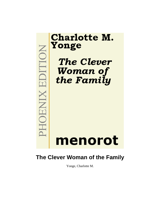

# **The Clever Woman of the Family**

Yonge, Charlotte M.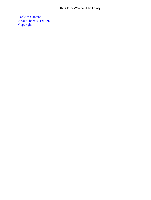[Table of Content](#page-416-0) [About Phoenix−Edition](#page-418-0) **[Copyright](#page-419-0)**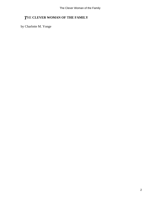## *T*HE **CLEVER WOMAN OF THE FAMILY**

by Charlotte M. Yonge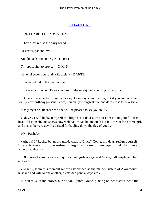## **[CHAPTER I](#page-416-0)**

#### *I*N **SEARCH OF A MISSION**

"Thou didst refuse the daily round

Of useful, patient love,

And longedst for some great emprise

Thy spirit high to prove."  $- C. M. N.$ 

«Che mi sedea con l'antica Rachele.» – **DANTE.**

«It is very kind in the dear mother.»

«But – what, Rachel? Don't you like it! She so enjoyed choosing it for you.»

 «Oh yes, it is a perfect thing in its way. Don't say a word to her; but if you are consulted for my next birthday present, Grace, couldn't you suggest that one does cease to be a girl.»

«Only try it on, Rachel dear, she will be pleased to see you in it.»

 «Oh yes, I will bedizen myself to oblige her. I do assure you I am not ungrateful. It is beautiful in itself, and shows how well nature can be imitated; but it is meant for a mere girl, and this is the very day I had fixed for hauling down the flag of youth.»

«Oh, Rachel.»

 «Ah, ha! If Rachel be an old maid, what is Grace? Come, my dear, resign yourself! There is nothing more unbecoming than want of perception of the close of young−ladyhood.»

 «Of course I know we are not quite young girls now,» said Grace, half perplexed, half annoyed.

 «Exactly, from this moment we are established as the maiden sisters of Avonmouth, husband and wife to one another, as maiden pairs always are.»

«Then thus let me crown, our bridal,» quoth Grace, placing on her sister's head the

CHAPTER I 3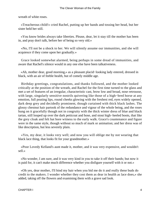wreath of white roses.

 «Treacherous child!» cried Rachel, putting up her hands and tossing her head, but her sister held her still.

 «You know brides always take liberties. Please, dear, let it stay till the mother has been in, and pray don't talk, before her of being so very old.»

 «No, I'll not be a shock to her. We will silently assume our immunities, and she will acquiesce if they come upon her gradually.»

 Grace looked somewhat alarmed, being perhaps in some dread of immunities, and aware that Rachel's silence would in any one else have been talkativeness.

 «Ah, mother dear, good morning,» as a pleasant placid−looking lady entered, dressed in black, with an air of feeble health, but of comely middle age.

 Birthday greetings, congratulations, and thanks followed, and the mother looked critically at the position of the wreath, and Rachel for the first time turned to the glass and met a set of features of an irregular, characteristic cast, brow low and broad, nose retrousse, with large, singularly sensitive nostrils quivering like those of a high−bred horse at any emotion, full pouting lips, round cheeks glowing with the freshest red, eyes widely opened, dark deep grey and decidedly prominent, though curtained with thick black lashes. The glossy chestnut hair partook of the redundance and vigour of the whole being, and the roses hung on it gracefully though not in congruity with the thick winter dress of blue and black tartan, still looped up over the dark petticoat and hose, and stout high−heeled boots, that like the grey cloak and felt hat bore witness to the early walk. Grace's countenance and figure were in the same style, though without so much of mark or animation; and her dress was of like description, but less severely plain.

 «Yes, my dear, it looks very well; and now you will oblige me by not wearing that black lace thing, that looks fit for your grandmother.»

 «Poor Lovedy Kelland's aunt made it, mother, and it was very expensive, and wouldn't sell.»

 «No wonder, I am sure, and it was very kind in you to take it off their hands; but now it is paid for, it can't make much difference whether you disfigure yourself with it or not.»

 «Oh yes, dear mother, I'll bind my hair when you bid me do it and really these buds do credit to the makers. I wonder whether they cost them as dear in health as lace does,» she added, taking off the flowers and examining them with a grave sad look.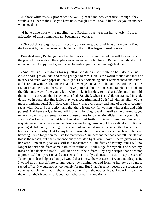«I chose white roses,» proceeded the well−pleased mother, «because I thought they would suit either of the silks you have now, though I own I should like to see you in another white muslin.»

 «I have done with white muslin,» said Rachel, rousing from her reverie. «It is an affectation of girlish simplicity not becoming at our age.»

 «Oh Rachel!» thought Grace in despair; but to her great relief in at that moment filed the five maids, the coachman, and butler, and the mother began to read prayers.

 Breakfast over, Rachel gathered up her various gifts, and betook herself to a room on the ground floor with all the appliances of an ancient schoolroom. Rather dreamily she took out a number of copy−books, and began to write copies in them in large text hand.

 «And this is all I am doing for my fellow−creatures,» she muttered half aloud. «One class of half−grown lads, and those grudged to me! Here is the world around one mass of misery and evil! Not a paper do I take up but I see something about wretchedness and crime, and here I sit with health, strength, and knowledge, and able to do nothing, nothing – at the risk of breaking my mother's heart! I have pottered about cottages and taught at schools in the dilettante way of the young lady who thinks it her duty to be charitable; and I am told that it is my duty, and that I may be satisfied. Satisfied, when I see children cramped in soul, destroyed in body, that fine ladies may wear lace trimmings! Satisfied with the blight of the most promising buds! Satisfied, when I know that every alley and lane of town or country reeks with vice and corruption, and that there is one cry for workers with brains and with purses! And here am I, able and willing, only longing to task myself to the uttermost, yet tethered down to the merest mockery of usefulness by conventionalities. I am a young lady forsooth! – I must not be out late, I must not put forth my views; I must not choose my acquaintance, I must be a mere helpless, useless being, growing old in a ridiculous fiction of prolonged childhood, affecting those graces of so−called sweet seventeen that I never had – because, because why? Is it for any better reason than because no mother can bear to believe her daughter no longer on the lists for matrimony? Our dear mother does not tell herself that this is the reason, but she is unconsciously actuated by it. And I have hitherto given way to her wish. I mean to give way still in a measure; but I am five and twenty, and I will no longer be withheld from some path of usefulness! I will judge for myself, and when my mission has declared itself, I will not be withheld from it by any scruple that does not approve itself to my reason and conscience. If it be only a domestic mission – say the care of Fanny, poor dear helpless Fanny, I would that I knew she was safe, – I would not despise it, I would throw myself into it, and regard the training her and forming her boys as a most sacred office. It would not be too homely for me. But I had far rather become the founder of some establishment that might relieve women from the oppressive task−work thrown on them in all their branches of labour. Oh, what a worthy ambition!»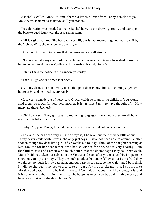«Rachel!» called Grace. «Come, there's a letter, a letter from Fanny herself for you. Make haste, mamma is so nervous till you read it.»

 No exhortation was needed to make Rachel hurry to the drawing−room, and tear open the black−edged letter with the Australian stamp.

 «All is right, mamma. She has been very ill, but is fast recovering, and was to sail by the Voluta. Why, she may be here any day.»

«Any day! My dear Grace, see that the nurseries are well aired.»

 «No, mother, she says her party is too large, and wants us to take a furnished house for her to come into at once – Myrtlewood if possible. Is it let, Grace?»

«I think I saw the notice in the window yesterday.»

«Then, I'll go and see about it at once.»

 «But, my dear, you don't really mean that poor dear Fanny thinks of coming anywhere but to us?» said her mother, anxiously.

 «It is very considerate of her,» said Grace, «with so many little children. You would find them too much for you, dear mother. It is just like Fanny to have thought of it. How many are there, Rachel?»

 «Oh! I can't tell. They got past my reckoning long ago. I only know they are all boys, and that this baby is a girl.»

«Baby! Ah, poor Fanny, I feared that was the reason the did not come sooner.»

 «Yes, and she has been very ill; she always is, I believe, but there is very little about it. Fanny never could write letters; she only just says: 'I have not been able to attempt a letter sooner, though my dear little girl is five weeks old to−day. Think of the daughter coming at last, too late for her dear father, who had so wished for one. She is very healthy, I am thankful to say; and I am now so much better, that the doctor says I may sail next week. Major Keith has taken our cabins, in the Voluta, and soon after you receive this, I hope to be showing you my dear boys. They are such good, affectionate fellows; but I am afraid they would be too much for my dear aunt, and our party is so large, so the Major and I both think it will be the best way for you to take a house for me for six months. I should like Myrtlewood best, if it is to be had. I have told Conrade all about it, and how pretty it is, and it is so near you that I think there I can be happy as ever I can be again in this world, and have your advice for the dear children.'»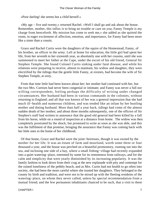«Poor darling! she seems but a child herself.»

 «My age – five and twenty,» returned Rachel. «Well I shall go and ask about the house. Remember, mother, this influx is to bring no trouble or care on you; Fanny Temple is my charge from henceforth. My mission has come to seek me,» she added as she quitted the room, in eager excitement of affection, emotion, and importance, for Fanny had been more like a sister than a cousin.

 Grace and Rachel Curtis were the daughters of the squire of the Homestead; Fanny, of his brother, an officer in the army. Left at home for education, the little girl had spent her life, from her seventh to her sixteenth year, as absolutely one with her cousins, until she was summoned to meet her father at the Cape, under the escort of his old friend, General Sir Stephen Temple. She found Colonel Curtis sinking under fatal disease, and while his relations were preparing to receive, almost to maintain, his widow and daughter, they were electrified by the tidings that the gentle little Fanny, at sixteen, had become the wife of Sir Stephen Temple, at sixty.

 From that time little had been known about her; her mother had continued with her, but the two Mrs. Curtises had never been congenial or intimate; and Fanny was never a full nor willing correspondent, feeling perhaps the difficulty of writing under changed circumstances. Her husband had been in various commands in the colonies, without returning to England; and all that was known of her was a general impression that she had much ill−health and numerous children, and was tended like an infant by her bustling mother and doting husband. More than half a year back, tidings had come of the almost sudden death of her mother; and about three months subsequently, one of the officers of Sir Stephen's staff had written to announce that the good old general had been killed by a fall from his horse, while on a round of inspection at a distance from home. The widow was then completely prostrated by the shock, but promised to write as soon as she was able, and this was the fulfilment of that promise, bringing the assurance that Fanny was coming back with her little ones to the home of her childhood.

 Of that home, Grace and Rachel were the joint−heiresses, though it was owned by the mother for her life. It was an estate of farm and moorland, worth some three or four thousand a year, and the house was perched on a beautiful promontory, running out into the sea, and inclosing one side of a bay, where a small fishing−village had recently expanded into a quiet watering−place, esteemed by some for its remoteness from railways, and for the calm and simplicity that were yearly diminished by its increasing popularity. It was the family fashion to look down from their crag at the new esplanade with pity and contempt for the ruined loneliness of the pebbly beach; and as Mrs. Curtis had not health to go often into society, she had been the more careful where she trusted her daughters. They belonged to the county by birth and tradition, and were not to be mixed up with the fleeting residents of the watering−place, on whom they never called, unless by special recommendation from a mutual friend; and the few permanent inhabitants chanced to be such, that a visit to them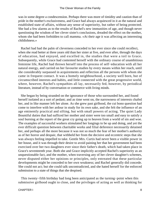was in some degree a condescension. Perhaps there was more of timidity and caution than of pride in the mother's exclusiveness, and Grace had always acquiesced in it as the natural and established state of affairs, without any sense of superiority, but rather of being protected. She had a few alarms as to the results of Rachel's new immunities of age, and though never questioning the wisdom of her clever sister's conclusions, dreaded the effect on the mother, whom she had been forbidden to call mamma. «At their age it was affecting an interesting childishness.»

 Rachel had had the palm of cleverness conceded to her ever since she could recollect, when she read better at three years old than her sister at five, and ever after, through the days of education, had enjoyed, and excelled in, the studies that were a toil to Grace. Subsequently, while Grace had contented herself with the ordinary course of unambitious feminine life, Rachel had thrown herself into the process of self−education with all her natural energy, and carried on her favourite studies by every means within her reach, until she considerably surpassed in acquirements and reflection all the persons with whom she came in frequent contact. It was a homely neighbourhood, a society well born, but of circumscribed interests and habits, and little connected with the great progressive world, where, however, Rachel's sympathies all lay, necessarily fed, however, by periodical literature, instead of by conversation or commerce with living minds.

 She began by being stranded on the ignorance of those who surrounded her, and found herself isolated as a sort of pedant; and as time went on, the narrowness of interests chafed her, and in like manner left her alone. As she grew past girlhood, the cui bono question had come to interfere with her ardour in study for its own sake, and she felt the influence of an age eminently practical and sifting, but with small powers of acting. The quiet Lady Bountiful duties that had sufficed her mother and sister were too small and easy to satisfy a soul burning at the report of the great cry going up to heaven from a world of sin and woe. The examples of successful workers stimulated her longings to be up and doing, and yet the ever difficult question between charitable works and filial deference necessarily detained her, and perhaps all the more because it was not so much the fear of her mother's authority as of her horror and despair, that withheld her from the decisive and eccentric steps that she was always feeling impelled to take. Gentle Mrs. Curtis had never been a visible power in her house, and it was through their desire to avoid paining her that her government had been exercised over her two daughters ever since their father's death, which had taken place in Grace's seventeenth year. Both she and Grace implicitly accepted Rachel's superiority as an unquestionable fact, and the mother, when traversing any of her clever daughter's schemes, never disputed either her opinions or principles, only entreated that these particular developments might be conceded to her own weakness; and Rachel generally did concede. She could not act; but she could talk uncontradicted, and she hated herself for the enforced submission to a state of things that she despised.

 This twenty−fifth birthday had long been anticipated as the turning−point when this submissive girlhood ought to close, and the privileges of acting as well as thinking for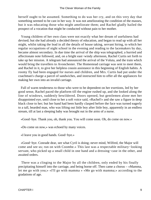herself ought to be assumed. Something to do was her cry, and on this very day that something seemed to be cast in her way. It was not ameliorating the condition of the masses, but it was educating those who might ameliorate them; and Rachel gladly hailed the prospect of a vocation that might be conducted without pain to her mother.

 Young children of her own class were not exactly what her dream of usefulness had devised; but she had already a decided theory of education, and began to read up with all her might, whilst taking the lead in all the details of house taking, servant hiring, to which her regular occupations of night school in the evening and reading to the lacemakers by day, became almost secondary. In due time the arrival of the ship was telegraphed, a hurried and affectionate note followed, and, on a bright east−windy afternoon, Rachel Curtis set forth to take up her mission. A telegram had announced the arrival of the Voluta, and the train which would bring the travellers to Avonchester. The Homestead carriage was sent to meet them, and Rachel in it, to give her helpless cousin assistance in this beginning of English habits. A roomy fly had been engaged for nurses and children, and Mrs. Curtis had put under the coachman's charge a parcel of sandwiches, and instructed him to offer all the appliances for making her own into an invalid carriage.

 Full of warm tenderness to those who were to be dependent on her exertions, led by her good sense, Rachel paced the platform till the engine rushed up, and she looked along the line of windows, suddenly bewildered. Doors opened, but gentlemen alone met her disappointed eye, until close to her a soft voice said, «Rachel!» and she saw a figure in deep black close to her; but her hand had been hardly clasped before the face was turned eagerly to a tall, bearded man, who was lifting out little boy after little boy, apparently in an endless stream, till at last a sleeping baby was brought out in the arms of a nurse.

«Good−bye. Thank you, oh, thank you. You will come soon. Oh, do come on now.»

«Do come on now,» was echoed by many voices.

«I leave you in good hands. Good−bye.»

 «Good−bye. Conrade dear, see what Cyril is doing; never mind, Wilfred, the Major will come and see us; run on with Coombe.» This last was a respectable military−looking servant, who picked up a small child in one hand and a dressing−case in the other, and awaited orders.

 There was a clinging to the Major by all the children, only ended by his finally precipitating himself into the carriage, and being borne off. Then came a chorus – «Mamma, let me go with you;» «I'll go with mamma » «Me go with mamma;» according to the gradations of age.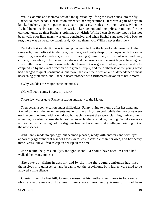While Coombe and mamma decided the question by lifting the lesser ones into the fly, Rachel counted heads. Her mission exceeded her expectations. Here was a pair of boys in knickerbockers, a pair in petticoats, a pair in pelisses, besides the thing in arms. When the fly had been nearly crammed, the two knickerbockers and one pelisse remained for the carriage, quite against Rachel's opinion, but «Little Wilfred can sit on my lap, he has not been well, poor little man,» was quite conclusive; and when Rachel suggested lying back to rest, there was a sweet, low laugh, and, «Oh, no thank you, Wilfred never tires me.»

 Rachel's first satisfaction was in seeing the veil disclose the face of eight years back, the same soft, clear, olive skin, delicate, oval face, and pretty deep−brown eyes, with the same imploring, earnest sweetness; no signs of having grown older, no sign of wear and tear, climate, or exertion, only the widow's dress and the presence of the great boys enhancing her soft youthfulness. The smile was certainly changed; it was graver, sadder, tenderer, and only conjured up by maternal affection or in grateful reply, and the blitheness of the young brow had changed to quiet pensiveness, but more than ever there was an air of dependence almost beseeching protection, and Rachel's heart throbbed with Britomart's devotion to her Amoret.

«Why wouldn't the Major come, mamma?»

«He will soon come, I hope, my dear.»

Those few words gave Rachel a strong antipathy to the Major.

 Then began a conversation under difficulties, Fanny trying to inquire after her aunt, and Rachel to detail the arrangements made for her at Myrtlewood, while the two boys were each accommodated with a window; but each moment they were claiming their mother's attention, or rushing across the ladies' feet to each other's window, treating Rachel's knees as a pivot, and vouchsafing not the slightest heed to her attempts at intelligent pointing out of the new scenes.

 And Fanny made no apology, but seemed pleased, ready with answers and with eyes, apparently ignorant that Rachel's toes were less insensible than her own, and her heavy three−years−old Wilfred asleep on her lap all the time.

 «She feeble, helpless, sickly!» thought Rachel, «I should have been less tired had I walked the twenty miles!»

 She gave up talking in despair, and by the time the young gentlemen had tired themselves into quiescence, and began to eat the provisions, both ladies were glad to be allowed a little silence.

 Coming over the last hill, Conrade roused at his mother's summons to look out at «home,» and every word between them showed how fondly Avonmouth had been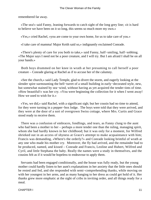remembered far away.

 «The sea!» said Fanny, leaning forwards to catch sight of the long grey line; «it is hard to believe we have been on it so long, this seems so much more my own.»

«Yes,» cried Rachel, «you are come to your own home, for us to take care of you.»

«I take care of mamma! Major Keith said so,» indignantly exclaimed Conrade.

 «There's plenty of care for you both to take,» said Fanny, half−smiling, half−sobbing. «The Major says I need not be a poor creature, and I will try. But I am afraid I shall be on all your hands.»

 Both boys drummed on her knee in wrath at her presuming to call herself a poor creature – Conrade glaring at Rachel as if to accuse her of the calumny.

 «See the church,» said Lady Temple, glad to divert the storm, and eagerly looking at the slender spire surmounting the bell−turret of a small building in early−decorated style, new, but somewhat stained by sea−wind, without having as yet acquired the tender tints of time. «How beautiful!» was her cry. «You were beginning the collection for it when I went away! How we used to wish for it.»

 «Yes, we did,» said Rachel, with a significant sigh; but her cousin had no time to attend, for they were turning in a pepper−box lodge. The boys were told that they were arrived, and they were at the door of a sort of overgrown Swiss cottage, where Mrs. Curtis and Grace stood ready to receive them.

 There was a confusion of embraces, fondlings, and tears, as Fanny clung to the aunt who had been a mother to her – perhaps a more tender one than the ruling, managing spirit, whom she had hardly known in her childhood; but it was only for a moment, for Wilfred shrieked out in an access of shyness at Grace's attempt to make acquaintance with him; Francis was demanding, «Where's the orderly?» and Conrade looking brimful of wrath at any one who made his mother cry. Moreover, the fly had arrived, and the remainder had to be produced, named, and kissed – Conrade and Francis, Leoline and Hubert, Wilfred and Cyril, and little Stephana the baby. Really the names were a study in themselves, and the cousins felt as if it would be hopeless to endeavour to apply them.

 Servants had been engaged conditionally, and the house was fully ready, but the young mother could hardly listen to her aunt's explanations in her anxiety that the little ones should be rested and fed, and she responded with semi−comprehending thanks, while moving on with her youngest in her arms, and as many hanging to her dress as could get hold of it. Her thanks grew more emphatic at the sight of cribs in inviting order, and all things ready for a meal.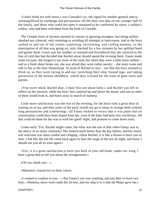«I don't drink tea with nurse,» was Conrade's cry, the signal for another general outcry, untranquillized by soothings and persuasions, till the door was shut on the younger half of the family, and those who could not open it remained to be comforted by nurse, a soldier's widow, who had been with them from the birth of Conrade.

 The Temple form of shyness seemed to consist in ignoring strangers, but being neither abashed nor silenced, only resenting or avoiding all attempts at intercourse, and as the boys rushed in and out of the rooms, exploring, exclaiming, and calling mamma, to the interruption of all that was going on, only checked for a few minutes by her uplifted hand and gentle hush, Grace saw her mother so stunned and bewildered that she rejoiced in the fear of cold that had decided that Rachel alone should spend the evening there. Fanny made some excuses; she longed to see more of her aunt, but when they were a little more settled, – and as a fresh shout broke out, she was afraid they were rather unruly, – she must come and talk to her at the dear Homestead. So kind of Rachel to stay – not that the boys seemed to think so, as they went racing in and out, stretching their ship−bound legs, and taking possession of the minute shrubbery, which they scorned for the want of gum−trees and parrots.

 «You won't mind, Rachel dear, I must first see about baby;» and Rachel was left to reflect on her mission, while the boys' feet cantered up and down the house, and one or other of them would look in, and burst away in search of mamma.

 Little more satisfactory was the rest of the evening, for the boys took a great deal of waiting on at tea, and then some of the party would not go to sleep in strange beds without long persuasions and comfortings, till Fanny looked so weary that it was plain that no conversation could have been hoped from her, even if the baby had been less vociferous. All that could be done for her was to wish her good−night, and promise to come down early.

 Come early! Yes, Rachel might come, but what was the use of that when Fanny was at the mercy of so many claimants? She looked much better than the day before, and her sweet, soft welcome was most cordial and clinging. «Dear Rachel, it is like a dream to have you so near. I felt like the old life come back again to hear the surge of the sea all night, and know I should see you all so soon again.»

 «Yes, it is a great satisfaction to have you back in your old home, under our wing. I have a great deal to tell you about the arrangements.»

«Oh yes; thank you  $-\infty$ 

«Mamma!» roared two or three voices.

 $\ll$ I wanted to explain to you – » But Fanny's eye was roaming, and just then in burst two boys. «Mamma, nurse won't undo the tin box, and my ship is in it that the Major gave me.»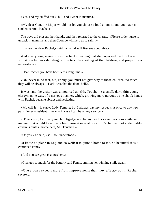«Yes, and my stuffed duck−bill, and I want it, mamma.»

 «My dear Con, the Major would not let you shout so loud about it, and you have not spoken to Aunt Rachel.»

 The boys did present their hands, and then returned to the charge. «Please order nurse to unpack it, mamma, and then Coombe will help us to sail it.»

«Excuse me, dear Rachel,» said Fanny, «I will first see about this.»

 And a very long seeing it was, probably meaning that she unpacked the box herself, whilst Rachel was deciding on the terrible spoiling of the children, and preparing a remonstrance.

«Dear Rachel, you have been left a long time.»

 «Oh, never mind that, but, Fanny, you must not give way to those children too much; they will be always – Hark! was that the door−bell?»

 It was, and the visitor was announced as «Mr. Touchett;» a small, dark, thin young clergyman he was, of a nervous manner, which, growing more nervous as he shook hands with Rachel, became abrupt and hesitating.

 «My call is – is early, Lady Temple; but I always pay my respects at once to any new parishioner – resident, I mean – in case I can be of any service.»

 « Thank you, I am very much obliged,» said Fanny, with a sweet, gracious smile and manner that would have made him more at ease at once, if Rachel had not added, «My cousin is quite at home here, Mr. Touchett.»

«Oh yes,» he said, «so – so I understood.»

 «I know no place in England so well; it is quite a home to me, so beautiful it is,» continued Fanny.

«And you see great changes here.»

«Changes so much for the better,» said Fanny, smiling her winning smile again.

 «One always expects more from improvements than they effect,» put in Rachel, severely.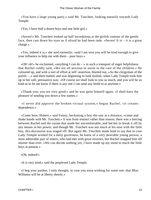«You have a large young party,» said Mr. Touchett, looking uneasily towards Lady Temple.

«Yes, I have half a dozen boys and one little girl.»

 «Seven!» Mr. Touchett looked up half incredulous at the girlish contour of the gentle face, then cast down his eyes as if afraid he had been rude. «Seven! It is – it is a great charge.»

 «Yes, indeed it is,» she said earnestly; «and I am sure you will be kind enough to give your influence to help me with them – poor boys.»

«Oh! oh!» he exclaimed, «anything I can do  $-$ » in such a transport of eager helpfulness that Rachel coldly said, «We are all anxious to assist in the care of the children.» He coloured up, and with a sort of effort at self−assertion, blurted out, «As the clergyman of the parish – ,» and there halted, and was beginning to look foolish, when Lady Temple took him up in her soft, persuasive way. «Of course we shall look to you so much, and you will be so kind as to let me know if there is any one I can send any broth to at anytime.»

 «Thank you; you are very good;» and he was quite himself again. «I shall have the pleasure of sending you down a few names.»

 «I never did approve the broken victual system,» began Rachel, «it creates dependence.»

 «Come here, Hubert,» said Fanny, beckoning a boy she saw at a distance, «come and shake hands with Mr. Touchett.» It was from instinct rather than reason; there was a fencing between Rachel and the curate that made her uncomfortable, and led her to break it off by any means in her power; and though Mr. Touchett was not much at his ease with the little boy, this discussion was staged off. But again Mr. Touchett made bold to say that in case Lady Temple wished for a daily governess, he knew of a very desirable young person, a most admirable pair of sisters, who had met with great reverses, but Rachel snapped him off shorter than ever. «We can decide nothing yet; I have made up my mind to teach the little boys at present.»

«Oh, indeed!»

«It is very kind,» said the perplexed Lady Temple.

 «I beg your pardon, I only thought, in case you were wishing for some one, that Miss Williams will be at liberty shortly.»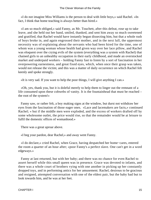«I do not imagine Miss Williams is the person to deal with little boys,» said Rachel. «In fact, I think that home teaching is always better than hired.»

 «I am so much obliged,» said Fanny, as Mr. Touchett, after this defeat, rose up to take leave, and she held out her hand, smiled, thanked, and sent him away so much sweetened and gratified, that Rachel would have instantly begun dissecting him, but that a whole rush of boys broke in, and again engrossed their mother, and in the next lull, the uppermost necessity was of explaining about the servants who had been hired for the time, one of whom was a young woman whose health had given way over her lace pillow, and Rachel was eloquent over the crying evils of the system (everything was a system with Rachel) that chained girls to an unhealthy occupation in their early childhood, and made an overstocked market and underpaid workers – holding Fanny fast to listen by a sort of fascination in her overpowering earnestness, and great fixed eyes, which, when once their grasp was taken, would not release the victim; and this was a matter of daily occurrence on which Rachel felt keenly and spoke strongly.

«It is very sad. If you want to help the poor things, I will give anything I can.»

 «Oh, yes, thank you, but it is doleful merely to help them to linger out the remnant of a life consumed upon these cobwebs of vanity. It is the fountainhead that must be reached – the root of the system!»

 Fanny saw, or rather felt, a boy making signs at the window, but durst not withdraw her eyes from the fascination of those eager ones. «Lace and lacemakers are facts,» continued Rachel; « but if the middle men were exploded, and the excess of workers drafted off by some wholesome outlet, the price would rise, so that the remainder would be at leisure to fulfil the domestic offices of womanhood.»

There was a great uproar above.

«I beg your pardon, dear Rachel,» and away went Fanny.

 «I do declare,» cried Rachel, when Grace, having despatched her home−cares, entered the room a quarter of an hour after; «poor Fanny's a perfect slave. One can't get in a word edgeways.»

 Fanny at last returned, but with her baby; and there was no chance for even Rachel to assert herself while this small queen was in presence. Grace was devoted to infants, and there was a whole court of brothers vying with one another in picking up her constantly dropped toys, and in performing antics for her amusement. Rachel, desirous to be gracious and resigned, attempted conversation with one of the eldest pair, but the baby had but to look towards him, and he was at her feet.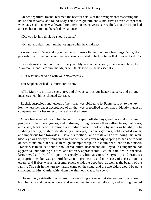On her departure, Rachel resumed the needful details of the arrangements respecting the house and servants, and found Lady Temple as grateful and submissive as ever, except that, when advised to take Myrtlewood for a term of seven years, she replied, that the Major had advised her not to bind herself down at once.

«Did you let him think we should quarrel?»

«Oh, no, my dear; but it might not agree with the children.»

 «Avonmouth! Grace, do you hear what heresy Fanny has been learning? Why, the proportion of ozone in the air here has been calculated to be five times that of even Aveton!»

 «Yes, dearest,» said poor Fanny, very humbly, and rather scared, «there is no place like Avonmouth, and I am sure the Major will think so when he has seen it.»

«But what has he to do with your movements?»

«Sir Stephen wished – » murmured Fanny.

 «The Major is military secretary, and always settles our head−quarters, and no one interferes with him,» shouted Conrade.

 Rachel, suspicious and jealous of her rival, was obliged to let Fanny pass on to the next item, where her eager acceptance of all that was prescribed to her was evidently meant as compensation for her refractoriness about the house.

 Grace had meanwhile applied herself to keeping off the boys, and was making some progress in their good graces, and in distinguishing between their sallow faces, dark eyes, and crisp, black heads. Conrade was individualized, not only by superior height, but by soldierly bearing, bright pride glancing in his eyes, his quick gestures, bold, decided words, and imperious tone towards all, save his mother – and whatever he was doing, his keen, black eye was always turning in search of her, he was ever ready to spring to her side to wait on her, to maintain her cause in rough championship, or to claim her attention to himself. Francis was thick−set, round−shouldered, bullet−headed and dull−eyed, in comparison, not aggressive, but holding his own, and not very approachable; Leoline, thin, white−cheeked, large−eyed and fretful−lipped, was ready to whine at Conrade's tyranny and Francis's appropriations, but was grateful for Grace's protection, and more easy of access than his elders; and Hubert was a handsome, placid child, the good boy, as well as the beauty of the family. The pair in the nursery hardly came on the stage, and the two elders would be quite sufficient for Mrs. Curtis, with whom the afternoon was to be spent.

 The mother, evidently, considered it a very long absence, but she was anxious to see both her aunt and her own home, and set out, leaning on Rachel's arm, and smiling pleased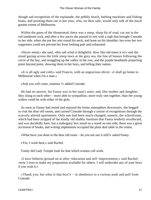though sad recognition of the esplanade, the pebbly beach, bathing machines and fishing boats, and pointing them out to her sons, who, on their side, would only talk of the much greater extent of Melbourne.

 Within the gates of the Homestead, there was a steep, sharp bit of road, cut out in the red sandstone rock, and after a few paces she paused to rest with a sigh that brought Conrade to her side, when she put her arm round his neck, and leant on his shoulder; but even her two supporters could not prevent her from looking pale and exhausted.

 «Never mind,» she said, «this salt wind is delightful. How like old times it is!» and she stood gazing across the little steep lawn at the grey sea, the line of houses following the curve of the bay, and straggling up the valley in the rear, and the purple headlands projecting point beyond point, showing them to her boys, and telling their names.

 «It is all ugly and cold,» said Francis, with an ungracious shiver. «I shall go home to Melbourne when I'm a man.»

«And you will come, mamma ?» added Conrade.

 He had no answer, for Fanny was in her aunt's arms; and, like mother and daughter, they clung to each other – more able to sympathize, more truly one together, than the young widow could be with either of the girls.

 As soon as Fanny had rested and enjoyed the home atmosphere downstairs, she begged to visit the dear old rooms, and carried Conrade through a course of recognitions through the scarcely altered apartments. Only one had been much changed, namely, the schoolroom, which had been stripped of the kindly old shabby furniture that Fanny tenderly recollected, and was decidedly bare; but a mahogany box stood on a stand on one side; there was a great accession of books, and writing implements occupied the plain deal table in the centre.

«What have you done to the dear old room – do you not use it still?» asked Fanny.

«Yes, I work here,» said Rachel.

Vainly did Lady Temple look for that which women call work.

 «I have hitherto ground on at after−education and self−improvement,» said Rachel; «now I trust to make my preparation available for others. I will undertake any of your boys if you wish it.»

«Thank you; but what is that  $box?$ » – in obedience to a curious push and pull from Conrade.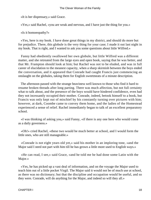«It is her dispensary,» said Grace.

«Yes,» said Rachel, «you are weak and nervous, and I have just the thing for you.»

«Is it homoeopathy?»

 «Yes, here is my book. I have done great things in my district, and should do more but for prejudice. There, this globule is the very thing for your case; I made it out last night in my book. That is right, and I wanted to ask you some questions about little Wilfred.»

 Fanny had obediently swallowed her own globule, but little Wilfred was a different matter, and she retreated from the large eyes and open book, saying that he was better, and that Mr. Frampton should look at him; but Rachel was not to be eluded, and was in full career of elucidation to the meanest capacity, when a sharp skirmish between the boys ended the conversation, and it appeared that Conrade had caught Francis just commencing an onslaught on the globules, taking them for English sweetmeats of a minute description.

 The afternoon passed with the strange heaviness well known to those who find it hard to resume broken threads after long parting. There was much affection, but not full certainty what to talk about, and the presence of the boys would have hindered confidence, even had they not incessantly occupied their mother. Conrade, indeed, betook himself to a book, but Francis was only kept out of mischief by his constantly turning over pictures with him; however, at dark, Coombe came to convey them home, and the ladies of the Homestead experienced a sense of relief. Rachel immediately began to talk of an excellent preparatory school.

 «I was thinking of asking you,» said Fanny, «if there is any one here who would come as a daily governess.»

 «Oh!» cried Rachel, «these two would be much better at school, and I would form the little ones, who are still manageable.»

 «Conrade is not eight years old yet,» said his mother in an imploring tone, «and the Major said I need not part with him till he has grown a little more used to English ways.»

 «He can read, I see,» said Grace, «and he told me he had done some Latin with the Major.»

 «Yes, he has picked up a vast deal of information, and on the voyage the Major used to teach him out of a little pocket Virgil. The Major said it would not be of much use at school, as there was no dictionary; but that the discipline and occupation would be useful, and so they were. Conrade, will do anything for the Major, and indeed so will they all.»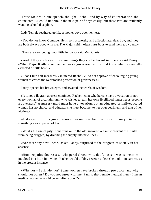Three Majors in one speech, thought Rachel; and by way of counteraction she enunciated, «I could undertake the next pair of boys easily, but these two are evidently wanting school discipline.»

Lady Temple feathered up like a mother dove over her nest.

 «You do not know Conrade. He is so trustworthy and affectionate, dear boy, and they are both always good with me. The Major said it often hurts boys to send them too young.»

«They are very young, poor little fellows,» said Mrs. Curtis.

 «And if they are forward in some things they are backward in others,» said Fanny. «What Major Keith recommended was a governess, who would know what is generally expected of little boys.»

 «I don't like half measures,» muttered Rachel. «I do not approve of encouraging young women to crowd the overstocked profession of governesses.»

Fanny opened her brown eyes, and awaited the words of wisdom.

 «Is it not a flagrant abuse,» continued Rachel, «that whether she have a vocation or not, every woman of a certain rank, who wishes to gain her own livelihood, must needs become a governess? A nursery maid must have a vocation, but an educated or half−educated woman has no choice; and educator she must become, to her own detriment, and that of her victims.»

 «I always did think governesses often much to be pitied,» said Fanny, finding something was expected of her.

 «What's the use of pity if one runs on in the old groove? We must prevent the market from being drugged, by diverting the supply into new lines.»

 «Are there any new lines?» asked Fanny, surprised at the progress of society in her absence.

 «Homoeopathic doctresses,» whispered Grace; who, dutiful as she was, sometimes indulged in a little fun, which Rachel would affably receive unless she took it in earnest, as in the present instance.

 «Why not – I ask why not? Some women have broken through prejudice, and why should not others? Do you not agree with me, Fanny, that female medical men – I mean medical women – would be an infinite boon?»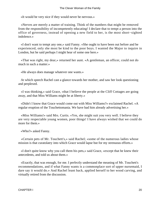«It would be very nice if they would never be nervous.»

 «Nerves are merely a matter of training. Think of the numbers that might be removed from the responsibility of incompetently educating! I declare that to tempt a person into the office of governess, instead of opening a new field to her, is the most short−sighted indolence.»

 «I don't want to tempt any one,» said Fanny. «She ought to have been out before and be experienced, only she most be kind to the poor boys. I wanted the Major to inquire in London, but he said perhaps I might hear of some one here.»

 «That was right, my dear,» returned her aunt. «A gentleman, an officer, could not do much in such a matter.»

«He always does manage whatever one wants.»

 At which speech Rachel cast a glance towards her mother, and saw her look questioning and perplexed.

 «I was thinking,» said Grace, «that I believe the people at the Cliff Cottages are going away, and that Miss Williams might be at liberty.»

 «Didn't I know that Grace would come out with Miss Williams?» exclaimed Rachel. «A regular eruption of the Touchettomania. We have had him already advertising her.»

 «Miss Williams!» said Mrs. Curtis. «Yes, she might suit you very well. I believe they are very respectable young women, poor things! I have always wished that we could do more for them.»

«Who?» asked Fanny.

 «Certain pets of Mr. Touchett's,» said Rachel; «some of the numerous ladies whose mission is that curatolatry into which Grace would lapse but for my strenuous efforts.»

 «I don't quite know why you call them his pets,» said Grace, «except that he knew their antecedents, and told us about them.»

 «Exactly, that was enough, for me. I perfectly understand the meaning of Mr. Touchett's recommendations, and if what Fanny wants is a commonplace sort of upper nursemaid, I dare say it would do.» And Rachel leant back, applied herself to her wood carving, and virtually retired from the discussion.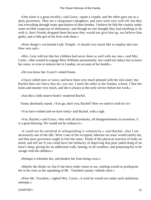«One sister is a great invalid,» said Grace, «quite a cripple, and the other goes out as a daily governess. They are a clergyman's daughters, and once were very well off, but they lost everything through some speculation of their brother. I believe he fled the country under some terrible suspicion of dishonesty; and though no one thought they had anything to do with it, their friends dropped them because they would not give him up, nor believe him guilty, and a little girl of his lives with them.»

 «Poor things!» exclaimed Lady Temple. «I should very much like to employ this one. How very sad.»

 «Mrs. Grey told me that her children had never done so well with any one,» said Mrs. Curtis. «She wanted to engage Miss Williams permanently, but could not induce her to leave her sister, or even to remove her to London, on account of her health.»

«Do you know her, Grace?» asked Fanny.

 «I have called once or twice, and have been very much pleased with the sick sister; but Rachel does not fancy that set, you see. I meet the other at the Sunday school, I like her looks and manner very much, and she is always at the early service before her work.»

«Just like a little mauve book!» muttered Rachel.

Fanny absolutely stared. «You go, don't you, Rachel? How we used to wish for it!»

«You have wished and we have tried,» said Rachel, with a sigh.

 «Yes, Rachel,» said Grace; «but with all drawbacks, all disappointments in ourselves, it is a great blessing. We would not be without it.»

 «I could not be satisfied in relinquishing it voluntarily,» said Rachel, «but I am necessarily one of the idle. Were I one of the occupied, laborare est orare would satisfy me, and that poor governess ought to feel the same. Think of the physical reaction of body on mind, and tell me if you could have the barbarity of depriving that poor jaded thing of an hour's sleep, giving her an additional walk, fasting, in all weathers, and preparing her to be savage with the children.»

«Perhaps it refreshes her, and hinders her from being cross.»

 «Maybe she thinks so; but if she have either sense or ear, nothing would so predispose her to be cross as the squeaking of Mr. Touchett's penny−whistle choir.»

 «Poor Mr. Touchett,» sighed Mrs. Curtis; «I wish he would not make such ambitious attempts.»

CHAPTER I 21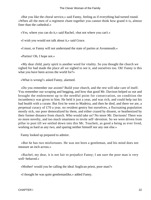«But you like the choral service,» said Fanny, feeling as if everything had turned round. «When all the men of a regiment chant together you cannot think how grand it is, almost finer than the cathedral.»

«Yes, where you can do it,» said Rachel, «but not where you can't.»

«I wish you would not talk about it,» said Grace.

«I must, or Fanny will not understand the state of parties at Avonmouth.»

«Parties! Oh, I hope not.»

 «My dear child, party spirit is another word for vitality. So you thought the church we sighed for had made the place all we sighed to see it, and ourselves too. Oh! Fanny is this what you have been across the world for?»

«What is wrong?» asked Fanny, alarmed.

 «Do you remember our axiom? Build your church, and the rest will take care of itself. You remember our scraping and begging, and how that good Mr. Davison helped us out and brought the endowment up to the needful point for consecration, on condition the incumbency was given to him. He held it just a year, and was rich, and could help out his bad health with a curate. But first he went to Madeira, and then he died, and there we are, a perpetual curacy of £70 a year, no resident gentry but ourselves, a fluctuating population mostly sick, our poor demoralized by them, and either crazed by dissent, or heathenized by their former distance from church. Who would take us? No more Mr. Davisons! There was no more novelty, and too much smartness to invite self−devotion. So we were driven from pillar to post till we settled down into this Mr. Touchett, as good a being as ever lived, working as hard as any two, and sparing neither himself nor any one else.»

Fanny looked up prepared to admire.

 «But he has two misfortunes. He was not born a gentleman, and his mind does not measure an inch across.»

 «Rachel, my dear, it is not fair to prejudice Fanny; I am sure the poor man is very well−behaved.»

«Mother! would you be calling the ideal Anglican priest, poor man?»

«I thought he was quite gentlemanlike,» added Fanny.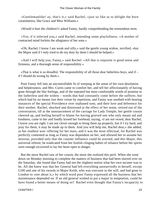«Gentlemanlike! ay, that's it,» said Rachel, «just so like as to delight the born curatolatress, like Grace and Miss Williams.»

«Would it hurt the children?» asked Fanny, hardly comprehending the tremendous term.

 «Yes, if it infected you,» said Rachel, intending some playfullness. «A mother of contracted mind forfeits the allegiance of her sons.»

 «Oh, Rachel, I know I am weak and silly,» said the gentle young widow, terrified, «but the Major said if I only tried to do my duty by them I should be helped.»

 «And I will help you, Fanny,» said Rachel. «All that is requisite is good sense and firmness, and a thorough sense of responsibility.»

 «That is what is so dreadful. The responsibility of all those dear fatherless boys, and if – if I should do wrong by them.»

 Poor Fanny fell into an uncontrollable fit of weeping at the sense of her own desolation and helplessness, and Mrs. Curtis came to comfort her, and tell her affectionately of having gone through the like feelings, and of the repeated but most comfortable words of promise to the fatherless and the widow – words that had constantly come before the sufferer, but which had by no means lost their virtue by repetition, and Fanny was soothed with hearing instances of the special Providence over orphaned sons, and their love and deference for their mother. Rachel, shocked and distressed at the effect of her sense, retired out of the conversation, till at the announcement of the carriage for Lady Temple, her gentle cousin cheered up, and feeling herself to blame for having grieved one who only meant aid and kindness, came to her and fondly kissed her forehead, saying, «I am not vexed, dear Rachel, I know you are right. I am not clever enough to bring them up properly, but if I try hard, and pray for them, it may be made up to them. And you will help me, Rachel dear,» she added, as her readiest woe−offering for her tears, and it was the most effectual, for Rachel was perfectly contented as long as Fanny was dependent on her, and allowed her to assume her mission, provided only that the counter influence could be averted, and this Major, this universal referee, be eradicated from her foolish clinging habits of reliance before her spirits were enough recovered to lay her heart open to danger.

 But the more Rachel saw of her cousin, the more she realized this peril. When she went down on Monday morning to complete the matters of business that had been slurred over on the Saturday, she found that Fanny had not the slightest notion what her own income was to be. All she knew was that her General had left everything unreservedly to herself, except £100 and one of his swords to Major Keith, who was executor to the will, and had gone to London to «see about it,» by which word poor Fanny expressed all the business that her maintenance depended on. If an old general wished to put a major in temptation, could he have found a better means of doing so? Rachel even thought that Fanny's incapacity to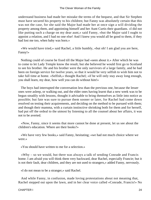understand business had made her mistake the terms of the bequest, and that Sir Stephen must have secured his property to his children; but Fanny was absolutely certain that this was not the case, for she said the Major had made her at once sign a will dividing the property among them, and appointing himself and her Aunt Curtis their guardians. «I did not like putting such a charge on my dear aunt,» said Fanny, «but the Major said I ought to appoint a relation, and I had no one else! And I knew you would all be good to them, if they had lost me too, when baby was born.»

 «We would have tried,» said Rachel, a little humbly, «but oh! I am glad you are here, Fanny!»

 Nothing could of course be fixed till the Major had «seen about it.» After which he was to come to let Lady Temple know the result; but she believed he would first go to Scotland to see his brother. He and his brother were the only survivors of a large family, and he had been on foreign service for twelve years, so that it would be very selfish to wish him not to take full time at home. «Selfish,» thought Rachel; «if he will only stay away long enough, you shall learn, my dear, how well you can do without him!»

 The boys had interrupted the conversation less than the previous one, because the lesser ones were asleep, or walking out, and the elder ones having learnt that a new week was to be begun steadily with lessons, thought it advisable to bring themselves as little into notice as possible; but fate was sure to pursue them sooner or later, for Rachel had come down resolved on testing their acquirements, and deciding on the method to be pursued with them; and though their mamma, with a curtain instinctive shrinking both for them and for herself, had put off the ordeal to the utmost by listening to all the counsel about her affairs, it was not to be averted.

 «Now, Fanny, since it seems that more cannot be done at present, let us see about the children's education. Where are their books?»

 «We have very few books,» said Fanny, hesitating; «we had not much choice where we were.»

«You should have written to me for a selection.»

 «Why – so we would, but there was always a talk of sending Conrade and Francis home. I am afraid you will think them very backward, dear Rachel, especially Francie; but it is not their fault, dear children, and they are not used to strangers,» added Fanny, nervously.

«I do not mean to be a stranger,» said Rachel.

 And while Fanny, in confusion, made loving protestations about not meaning that, Rachel stepped out upon the lawn, and in her clear voice called «Conrade, Francis!» No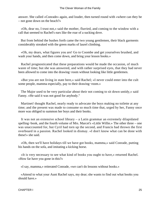answer. She called «Conrade» again, and louder, then turned round with «where can they be – not gone down on the beach?»

 «Oh, dear no, I trust not,» said the mother, flurried, and coming to the window with a call that seemed to Rachel's ears like the roar of a sucking dove.

 But from behind the bushes forth came the two young gentlemen, their black garments considerably streaked with the green marks of laurel climbing.

 «Oh, my dears, what figures you are! Go to Coombe and get yourselves brushed, and wash your hands, and then come down, and bring your lesson books.»

 Rachel prognosticated that these preparations would be made the occasion, of much waste of time; but she was answered, and with rather surprised eyes, that they had never been allowed to come into the drawing−room without looking like little gentlemen.

 «But you are not living in state here,» said Rachel; «I never could enter into the cult some people, mamma especially, pay to their drawing−room.»

 The Major used to be very particular about their not coming to sit down untidy,« said Fanny. »He said it was not good for anybody."

 Martinet! thought Rachel, nearly ready to advocate the boys making no toilette at any time; and the present was made to consume so much time that, urged by her, Fanny once more was obliged to summon her boys and their books.

 It was not an extensive school library – a Latin grammar an extremely dilapidated spelling−book, and the fourth volume of Mrs. Marcet's «Little Willie.» The other three – one was unaccounted for, but Cyril had torn up the second, and Francis had thrown the first overboard in a passion. Rachel looked in dismay. «I don't know what can be done with these!» she said.

 «Oh, then we'll have holidays till we have got books, mamma,» said Conrade, putting his hands on the sofa, and imitating a kicking horse.

 «It is very necessary to see what kind of books you ought to have,» returned Rachel. «How far have you gone in this?»

«I say, mamma,» reiterated Conrade, «we can't do lessons without books.»

 «Attend to what your Aunt Rachel says, my dear; she wants to find out what books you should have.»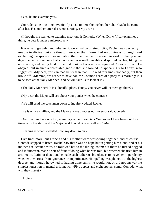«Yes, let me examine you.»

 Conrade came most inconveniently close to her; she pushed her chair back; he came after her. His mother uttered a remonstrating, «My dear!»

 «I thought she wanted to examine me,» quoth Conrade. «When Dr. M'Vicar examines a thing, he puts it under a microscope.»

 It was said gravely, and whether it were malice or simplicity, Rachel was perfectly unable to divine, but she thought anyway that Fanny had no business to laugh, and explaining the species of examination that she intended, she went to work. In her younger days she had worked much at schools, and was really an able and spirited teacher, liking the occupation; and laying hold of the first book in her way, she requested Conrade to read. He obeyed, but in such a detestable gabble that she looked up appealingly to Fanny, who suggested, «My dear, you can read better than that.» He read four lines, not badly, but then broke off, «Mamma, are not we to have ponies? Coombe heard of a pony this morning; it is to be seen at the 'Jolly Mariner,' and he will take us to look at it.»

«The 'Jolly Mariner!' It is a dreadful place, Fanny, you never will let them go there?»

«My dear, the Major will see about your ponies when he comes.»

«We will send the coachman down to inquire,» added Rachel.

«He is only a civilian, and the Major always chooses our horses,» said Conrade.

 «And I am to have one too, mamma,» added Francis. «You know I have been out four times with the staff, and the Major said I could ride as well as Con!»

«Reading is what is wanted now, my dear, go on.»

 Five lines more; but Francis and his mother were whispering together, and of course Conrade stopped to listen. Rachel saw there was no hope but in getting him alone, and at his mother's reluctant desire, he followed her to the dining−room; but there he turned dogged and indiifferent, made a sort of feint of doing what he was told, but whether she tried him in arithmetic, Latin, or dictation, he made such ludicrous blunders as to leave her in perplexity whether they arose from ignorance or impertinence. His spelling was phonetic to the highest degree, and though he owned to having done sums, he would not, or did not answer the simplest question in mental arithmetic. «Five apples and eight apples, come, Conrade, what will they make?»

«A pie.»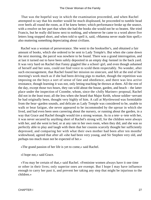That was the hopeful way in which the examination proceeded, and when Rachel attempted to say that his mother would be much displeased, he proceeded to tumble head over heels all round the room, as if he knew better; which performance broke up the seance, with a resolve on her part that when she had the books she would not be so beaten. She tried Francis, but he really did know next to nothing, and whenever he came to a word above five letters long stopped short, and when told to spell it, said, «Mamma never made him spell;» also muttering something depreciating about civilians.

 Rachel was a woman of perseverance. She went to the bookseller's, and obtained a fair amount of books, which she ordered to be sent to Lady Temple's. But when she came down the next morning, the parcel was nowhere to be found. There was a grand interrogation, and at last it turned out to have been safely deposited in an empty dog−kennel in the back yard. It was very hard on Rachel that Fanny giggled like a school−girl, and even though ashamed of herself and her sons, could not find voice to scold them respectably. No wonder, after such encouragement, that Rachel found her mission no sinecure, and felt at the end of her morning's work much as if she had been driving pigs to market, though the repetition was imposing on the boys a sort of sense of fate and obedience, and there was less active resistance, though learning it was not, only letting teaching be thrown at them. All the rest of the day, except those two hours, they ran wild about the house, garden, and beach – the latter place under the inspection of Coombe, whom, since the «Jolly Mariner» proposal, Rachel did not in the least trust; all the less when she heard that Major Keith, whose soldier−servant he had originally been, thought very highly of him. A call at Myrtlewood was formidable from the bear−garden sounds, and delicate as Lady Temple was considered to be, unable to walk or bear fatigue, she never appeared to be incommoded by the uproar in which she lived, and had even been seen careering about the nursery, or running about the garden, in a way that Grace and Rachel thought would tire a strong woman. As to a tete−a−tete with her, it was never secured by anything short of Rachel's strong will, for the children were always with her, and she went to bed, or at any rate to her own room, when they did, and she was so perfectly able to play and laugh with them that her cousins scarcely thought her sufficiently depressed, and comparing her with what their own mother had been after ten months' widowhood, agreed that after all «she had been very young, and Sir Stephen very old, and perhaps too much must not be expected of her.»

«The grand passion of her life is yet to come,» said Rachel.

«I hope not,» said Grace.

 «You may be certain of that,» said Rachel. «Feminine women always have it one time or other in their lives; only superior ones are exempt. But I hope I may have influence enough to carry her past it, and prevent her taking any step that might be injurious to the children.»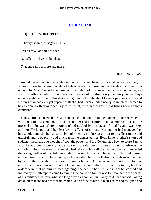## **[CHAPTER II](#page-416-0)**

### *R*ACHEL'S **DISCIPLINE**

"Thought is free, as sages tells us –

Free to rove, and free to soar;

But affection lives in bondage,

That enthrals her more and more."

#### JEAN INGELOW.

 An old friend lived in the neighbourhood who remembered Fanny's father, and was very anxious to see her again, though not able to leave the house. So the first day that it was fine enough for Mrs. Curtis to venture out, she undertook to convey Fanny to call upon her, and was off with a wonderfully moderate allowance of children, only the two youngest boys outside with their maid. This drive brought more to light about Fanny's past way of life and feelings than had ever yet appeared. Rachel had never elicited nearly so much as seemed to have come forth spontaneously to the aunt, who had never in old times been Fanny's confidante.

 Fanny's life had been almost a prolonged childhood. From the moment of her marriage with the kind old General, he and her mother had conspired to make much of her; all the more that she was almost constantly disabled by her state of health, and was kept additionally languid and helpless by the effects of climate. Her mother had managed her household, and she had absolutely had no care, no duty at all but to be affectionate and grateful, and to be pretty and gracious at the dinner parties. Even in her mother's short and sudden illness, the one thought of both the patient and the General had been to spare Fanny, and she had been scarcely made aware of the danger, and not allowed to witness the suffering. The chivalrous old man who had taken on himself the charge of her, still regarded the young mother of his children as almost as much of a baby herself, and devoted himself all the more to sparing her trouble, and preventing her from feeling more thrown upon her by her mother's death. The notion of training her to act alone never even occurred to him, and when he was thrown from his horse, and carried into a wayside−hut to die, his first orders were that no hurried message might be sent to her, lest she might be startled and injured by the attempt to come to him. All he could do for her was to leave her in the charge of his military secretary, who had long been as a son to him. Fanny told her aunt with loving detail all that she had heard from Major Keith of the brave old man's calm and resigned end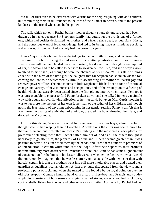– too full of trust even to be distressed with alarms for the helpless young wife and children, but committing them in full reliance to the care of their Father in heaven, and to the present kindness of the friend who stood by his pillow.

 The will, which not only Rachel but her mother thought strangely unguarded, had been drawn up in haste, because Sir Stephen's family had outgrown the provisions of a former one, which had besides designated her mother, and a friend since dead, as guardians. Haste, and the conscious want of legal knowledge, had led to its being made as simple as possible, and as it was, Sir Stephen had scarcely had the power to sign it.

 It was Major Keith who had borne the tidings to the poor little widow, and had taken the sole care of the boys during the sad weeks of care utter prostration and illness. Female friends were with her, and tended her affectionately, but if exertion or thought were required of her, the Major had to be called to her sofa to awaken her faculties, and she always awoke to attend to his wishes, as though he were the channel of her husband's. This state of things ended with the birth of the little girl, the daughter that Sir Stephen had so much wished for, coming too late to be welcomed by him, but awakening her mother to tearful joy and renewed powers of life. The nine months of little Stephana's life had been a tone of continual change and variety, of new interests and occupations, and of the resumption of a feeling of health which had scarcely been tasted since the first plunge into warm climates. Perhaps it was unreasonable to expect to find Fanny broken down; and she talked in her own simple way with abundant overflowing affection of her husband; but even Mrs. Curtis thought it was to her more like the loss of her own father than of the father of her children; and though not in the least afraid of anything unbecoming in her gentle, retiring Fanny, still felt that it was more the charge of a girl than of a widow, dreaded the boys, dreaded their fate, and dreaded the Major more.

 During this drive, Grace and Rachel had the care of the elder boys, whom Rachel thought safer in her keeping than in Coombe's. A walk along the cliffs was one resource for their amusement, but it resulted in Conrade's climbing into the most break−neck places, by preference selecting those that Rachel called him out of, and as all the others thought it necessary to go after him, the jeopardy of Leoline and Hubert became greater than it was possible to permit; so Grace took them by the hands, and lured them home with promises of an introduction to certain white rabbits at the lodge. After their departure, their brothers became infinitely more obstreperous. Whether it were that Conrade had some slight amount of consideration for the limbs of his lesser followers, or whether the fact were – what Rachel did not remotely imagine – that he was less utterly unmanageable with her sister than with herself, certain it is that the brothers went into still more intolerable places, and treated their guardian as ducklings treat an old hen. At last they quite disappeared from the view round a projecting point of rock, and when she turned it, she found a battle royal going on over an old lobster−pot – Conrade hand to hand with a stout fisher−boy, and Francis and sundry amphibious creatures of both sexes exchanging a hail of stones, water−smoothed brick−bats, cockle−shells, fishes' backbones, and other unsavoury missiles. Abstractedly, Rachel had her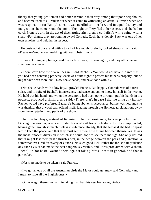theory that young gentlemen had better scramble their way among their poor neighbours, and become used to all ranks; but when it came to witnessing an actual skirmish when she was responsible for Fanny's sons, it was needful to interfere, and in equal dismay and indignation she came round the point. The light artillery fled at her aspect, and she had to catch Francis's arm in the act of discharging after them a cuttlefish's white spine, with a sharp «For shame, they are running away! Conrade, Zack, have done!» Zack was one of her own scholars, and held her in respect.

 He desisted at once, and with a touch of his rough forelock, looked sheepish, and said, «Please ma'am, he was meddling with our lobster−pot.»

 «I wasn't doing any harm,» said Conrade. «I was just looking in, and they all came and shied stones at us.»

 «I don't care how the quarrel began,» said Rachel. «You would not have run into it if you had been behaving properly. Zack was quite right to protect his father's property, but he might have been more civil. Now shake hands, and have done with it.»

 «Not shake hands with a low boy,» growled Francis. But happily Conrade was of a freer spirit, and in spite of Rachel's interference, had sense enough to know himself in the wrong. He held out his hand, and when the ceremony had been gone through, put his hands in his pockets, produced a shilling, and said, «There, that's in case I did the thing any harm.» Rachel would have preferred Zachary's being above its acceptance, but he was not, and she was thankful that a wood path offend itself, leading through the Homestead plantations away from the temptations and perils of the shore.

 That the two boys, instead of listening to her remonstrance, took to punching and kicking one another, was a mitigated form of evil for which she willingly compounded, having gone through so much useless interference already, that she felt as if she had no spirit left to keep the peace, and that they must settle their little affairs between themselves. It was the most innocent diversion in which she could hope to see them indulge. She only desired that it might last them past a thrush's nest, in the hedge between the park and plantation, a somewhat treasured discovery of Grace's. No such good luck. Either the thrush's imprudence or Grace's visits had made the nest dangerously visible, and it was proclaimed with a shout. Rachel, in hot haste, warned them against taking birds'−nests in general, and that in particular.

«Nests are made to be taken,» said Francis.

 «I've got an egg of all the Australian birds the Major could get me,» said Conrade, «and I mean to have all the English ones.»

«Oh, one egg; there's no harm in taking that; but this nest has young birds.»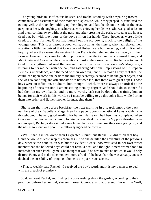The young birds must of course be seen, and Rachel stood by with despairing frowns, commands, and assurances of their mother's displeasure, while they peeped in, tantalized the gaping yellow throats, by holding up their fingers, and laid hands on the side of the nest, peeping at her with laughing, mischievous eyes, enjoying her distress. She was glad at last to find them coming away without the nest, and after crossing the park, arrived at the house, tired out, but with two hours of the boys still on her hands. They, however, were a little tired, too; and, further, Grace had hunted out the old bowls, much to the delight of the younger ones. This sport lasted a good while, but at last the sisters, who had relaxed their attention a little, perceived that Conrade and Hubert were both missing, and on Rachel's inquiry where they were, she received from Francis that elegant stock answer, «in their skins.» However, they came to light in process of time, the two mothers returned home, and Mrs. Curtis and Grace had the conversation almost in their own hands. Rachel was too much tired to do anything but read the new number of her favourite «Traveller's Magazine,» listening to her mother with one ear, and gathering additional impressions of Sir Stephen Temple's imprudence, and the need of their own vigilance. To make Fanny feel that she could lean upon some one besides the military secretary, seemed to be the great object, and she was so confiding and affectionate with her own kin, that there were great hopes. Those boys were an infliction, no doubt, but, thought Rachel, 'there is always an ordeal at the beginning of one's mission. I am mastering them by degrees, and should do so sooner if I had them in my own hands, and no more worthy task can be done than training human beings for their work in this world, so I must be willing to go through a little while I bring them into order, and fit their mother for managing them."

 She spent the time before breakfast the next morning in a search among the back numbers of the «Traveller's Magazine» for a paper upon «Educational Laws,» which she thought would be very good reading for Fanny. Her search had been just completed when Grace returned home from church, looking a good deal distressed. «My poor thrushes have not escaped, Rachel,» she said; «I came home that way to see how they were going on, and the nest is torn out, one poor little fellow lying dead below it.»

 «Well, that is much worse than I expected!» burst out Rachel. «I did think that boy Conrade would at least keep his promises.» And she detailed the adventure of the previous day, whence the conclusion was but too evident. Grace, however, said in her own sweet manner that she believed boys could not resist a nest, and thought it mere womanhood to intercede for such lawful game. She thought it would be best to take no notice, it would only distress Fanny and make «the mother» more afraid of the boys than she was already, and she doubted the possibility of bringing it home to the puerile conscience.

 «That is weak!» said Rachel. «I received the boy's word, and it is my business to deal with the breach of promise.»

 So down went Rachel, and finding the boys rushing about the garden, according to their practice, before her arrival, she summoned Conrade, and addressed him with, « Well,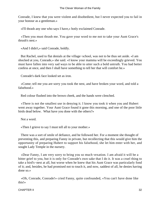Conrade, I knew that you were violent and disobedient, but I never expected you to fail in your honour as a gentleman.»

«I'll thrash any one who says I have,» hotly exclaimed Conrade.

 «Then you must thrash me. You gave your word to me not to take your Aunt Grace's thrush's nest.»

«And I didn't,» said Conrade, boldly.

 But Rachel, used to flat denials at the village−school, was not to be thus set aside. «I am shocked at you, Conrade,» she said. «I know your mamma will be exceedingly grieved. You must have fallen into very sad ways to be able to utter such a bold untruth. You had better confess at once, and then I shall have something to tell her that will comfort he.»

Conrade's dark face looked set as iron.

 «Come; tell me you are sorry you took the nest, and have broken your word, and told a falsehood.»

Red colour flushed into the brown cheek, and the hands were clenched.

 «There is not the smallest use in denying it. I know you took it when you and Hubert went away together. Your Aunt Grace found it gone this morning, and one of the poor little birds dead below. What have you done with the others?»

Not a word.

«Then I grieve to say I must tell all to your mother.»

 There was a sort of smile of defiance, and he followed her. For a moment she thought of preventing this, and preparing Fanny in private, but recollecting that this would give him the opportunity of preparing Hubert to support his falsehood, she let him enter with her, and sought Lady Temple in the nursery.

 «Dear Fanny, I am very sorry to bring you so much vexation. I am afraid it will be a bitter grief to you, but it is only for Conrade's own sake that I do it. It was a cruel thing to take a bird's−nest at all, but worse when he knew that his Aunt Grace was particularly fond of it; and, besides, he had promised not to touch it, and now, saddest of all, he denies having done so.»

 «Oh, Conrade, Conrade!» cried Fanny, quite confounded, «You can't have done like this!»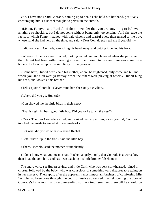«So, I have not,» said Conrade, coming up to her, as she held out her hand, positively encouraging him, as Rachel thought, to persist in the untruth.

 «Listen, Fanny,» said Rachel. «I do not wonder that you are unwilling to believe anything so shocking, but I do not come without being only too certain.» And she gave the facts, to which Fanny listened with pale cheeks and tearful eyes, then turned to the boy, whose hand she had held all the time, and said, «Dear Con, do pray tell me if you did it.»

«I did not,» said Conrade, wrenching his hand away, and putting it behind his back.

 «Where's Hubert?» asked Rachel, looking round, and much vexed when she perceived that Hubert had been within hearing all the time, though to be sure there was some little hope to be founded upon the simplicity of five years old.

 «Come here, Hubert dear,» said his mother; «don't be frightened, only come and tell me where you and Con went yesterday, when the others were playing at bowls.» Hubert hung his head, and looked at his brother.

«Tell,» quoth Conrade. «Never mind her, she's only a civilian.»

«Where did you go, Hubert?»

«Con showed me the little birds in their nest.»

«That is right, Hubert, good little boy. Did you or he touch the nest?»

 «Yes.» Then, as Conrade started, and looked fiercely at him, «Yes you did, Con, you touched the inside to see what it was made of.»

«But what did you do with it?» asked Rachel.

«Left it there, up in the tree,» said the little boy.

«There, Rachel!» said the mother, triumphantly.

 «I don't know what you mean,» said Rachel, angrily, «only that Conrade is a worse boy than I had thought him, end has been teaching his little brother falsehood.»

 The angry voice set Hubert crying, and little Cyril, who was very soft−hearted, joined in chorus, followed by the baby, who was conscious of something very disagreeable going on in her nursery. Thereupon, after the apparently most important business of comforting Miss Temple had been gone through, the court of justice adjourned, Rachel opening the door of Conrade's little room, and recommending solitary imprisonment there till he should be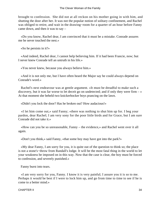brought to confession. She did not at all reckon on his mother going in with him, and shutting the door after her. It was not the popular notion of solitary confinement, and Rachel was obliged to retire, and wait in the drawing−room for a quarter of an hour before Fanny came down, and then it was to say –

 «Do you know, Rachel dear, I am convinced that it must be a mistake. Conrade assures me he never touched the nest.»

«So he persists in it?»

 «And indeed, Rachel dear, I cannot help believing him. If it had been Francie, now; but I never knew Conrade tell an untruth in his life.»

«You never knew, because you always believe him.»

 «And it is not only me, but I have often heard the Major say he could always depend on Conrade's word.»

 Rachel's next endeavour was at gentle argument. «It must be dreadful to make such a discovery, but it was far worse to let deceit go on undetected; and if only they were firm  $-\infty$ At that moment she beheld two knickerbocker boys prancing on the lawn.

«Didn't you lock the door? Has he broken out? How audacious!»

 «I let him come out,» said Fanny; «there was nothing to shut him up for. I beg your pardon, dear Rachel; I am very sony for the poor little birds and for Grace, but I am sure Conrade did not take it.»

 «How can you be so unreasonable, Fanny – the evidence,» and Rachel went over it all again.

«Don't you think,» said Fanny, «that some boy may have got into the park?»

 «My dear Fanny, I am sorry for you, it is quite out of the question to think so; the place is not a stone's−throw from Randall's lodge. It will be the most fatal thing in the world to let your weakness be imposed on in this way. Now that the case is clear, the boy must be forced to confession, and severely punished.»

Fanny burst into tears.

 «I am very sorry for you, Fanny. I know it is very painful; I assure you it is so to me. Perhaps it would be best if I were to lock him up, and go from time to time to see if he is come to a better mind.»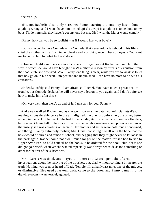She rose up.

 «No, no, Rachel!» absolutely screamed Fanny, starting up, «my boy hasn't done anything wrong, and I won't have him locked up! Go away! If anything is to be done to my boys, I'll do it myself: they haven't got any one but me. Oh, I wish the Major would come!»

«Fanny, how can you be so foolish? – as if I would hurt your boys!»

 «But you won't believe Conrade – my Conrade, that never told a falsehood in his life!» cried the mother, with a flush in her cheeks and a bright glance in her soft eyes. «You want me to punish him for what he hasn't done.»

 «How much alike mothers are in all classes of life,» thought Rachel, and much in the way in which she would have brought Zack's mother to reason by threats of expulsion from the shoe−club, she observed, «Well Fanny, one thing is clear, while you are so weak as to let that boy go on in his deceit, unrepentant and unpunished, I can have no more to do with his education.»

 «Indeed,» softly said Fanny, «I am afraid so, Rachel. You have taken a great deal of trouble, but Conrade declares he will never say a lesson to you again, and I don't quite see how to make him after this.»

«Oh, very well; then there's an end of it. I am sorry for you, Fanny.»

 And away walked Rachel, and as she went towards the gate two artificial jets d'eau, making a considerable curve in the air, alighted, the one just before her, the other, better aimed, in the back of her neck. She had too much dignity to charge back upon the offenders, but she went home full of the story of Fanny's lamentable weakness, and prognostications of the misery she was entailing on herself. Her mother and sister were both much concerned, and thought Fanny extremely foolish; Mrs. Curtis consoling herself with the hope that the boys would be cured and tamed at school, and begging that they might never be let loose in the park again. Rachel could not dwell much longer on the matter, for she had to ride to Upper Avon Park to hold council on the books to be ordered for the book−club; for if she did got go herself, whatever she wanted especially was always set aside as too something or other for the rest of the subscribers.

 Mrs. Curtis was tired, and stayed at home; and Grace spent the afternoon in investigations about the harrying of the thrushes, but, alas! without coming a bit nearer the truth. Nothing was seen or heard of Lady Temple till, at half−past nine, one of the midges, or diminutive flies used at Avonmonth, came to the door, and Fanny came into the drawing−room – wan, tearful, agitated.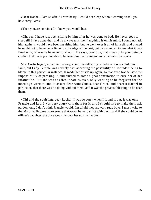«Dear Rachel, I am so afraid I was hasty, I could not sleep without coming to tell you how sorry I am.»

«Then you.are convinced? I knew you would be.»

 «Oh, yes, I have just been sitting by him after he was gone to bed. He never goes to sleep till I have done that, and he always tells me if anything is on his mind. I could not ask him again, it would have been insulting him; but he went over it all of himself, and owned he ought not to have put a finger on the edge of the nest, but he wanted so to see what it was lined with; otherwise he never touched it. He says, poor boy, that it was only your being a civilian that made you not able to believe him, I am sure you must believe him now.»

 Mrs. Curtis began, in her gentle way, about the difficulty of believing one's children in fault, but Lady Temple was entirely past accepting the possibility of Conrade's being to blame in this particular instance. It made her bristle up again, so that even Rachel saw the impossibility of pressing it, and trusted to some signal confutation to cure her of her infatuation. But she was as affectionate as ever, only wanting to be forgiven for the morning's warmth, and to assure dear Aunt Curtis, dear Grace, and dearest Rachel in particular, that there was no doing without them, and it was the greatest blessing to be near them.

 «Oh! and the squirting, dear Rachel! I was so sorry when I found it out, it was only Francie and Leo. I was very angry with them for it, and I should like to make them ask pardon, only I don't think Francie would. I'm afraid they are very rude boys. I must write to the Major to find me a governess that won't be very strict with them, and if she could be an officer's daughter, the boys would respect her so much more.»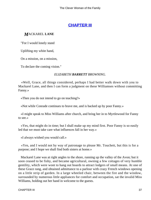## **[CHAPTER III](#page-416-0)**

#### *M*ACKAREL **LANE**

"For I would lonely stand

Uplifting my white hand,

On a mission, on a mission,

To declare the coming vision."

#### *ELIZABETH BARRETT BROWNING.*

 «Well, Grace, all things considered, perhaps I had better walk down with you to Mackarel Lane, and then I can form a judgment on these Williamses without committing Fanny.»

«Then you do not intend to go on teaching?»

«Not while Conrade continues to brave me, and is backed up by poor Fanny.»

 «I might speak to Miss Williams after church, and bring her in to Myrtlewood for Fanny to see.»

 «Yes, that might do in time; but I shall make up my mind first. Poor Fanny is so easily led that we must take care what influences fall in her way.»

«I always wished you would call.»

 «Yes, and I would not by way of patronage to please Mr. Touchett, but this is for a purpose; and I hope we shall find both sisters at home.»

 Mackarel Lane was at right angles to the shore, running up the valley of the Avon; but it soon ceased to be fishy, and became agricultural, owning a few cottages of very humble gentility, which were wont to hang out boards to attract lodgers of small means. At one of these Grace rang, and obtained admittance to a parlour with crazy French windows opening on a little strip of garden. In a large wheeled chair, between the fire and the window, surrounded by numerous little appliances for comfort and occupation, sat the invalid Miss Williams, holding out her hand in welcome to the guests.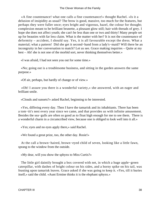«A fine countenance! what one calls a fine countenance!» thought Rachel. «Is it a delusion of insipidity as usual? The brow is good, massive, too much for the features, but perhaps they were fuller once; eyes bright and vigorous, hazel, the colour for thought; complexion meant to be brilliant brunette, a pleasant glow still; hair with threads of grey. I hope she does not affect youth; she can't be less than one or two and thirty! Many people set up for beauties with far less claim. What is the matter with her? It is not the countenance of deformity – accident, I should say. Yes, it is all favourable except the dress. What a material; what a pattern! Did she get it second−hand from a lady's−maid? Will there be an incongruity in her conversation to match? Let us see. Grace making inquiries – Quite at my best – Ah! she is not one of the morbid sort, never thinking themselves better.»

«I was afraid, I had not seen you out for some time.»

 «No; going out is a troublesome business, and sitting in the garden answers the same purpose.»

«Of air, perhaps, but hardly of change or of view.»

 «Oh! I assure you there is a wonderful variety,» she answered, with an eager and brilliant smile.

«Clouds and sunsets?» asked Rachel, beginning to be interested.

 «Yes, differing every day. Then I have the tamarisk and its inhabitants. There has been a tom−tit's nest every year since we came, and that provides us with infinite amusement. Besides the sea−gulls are often so good as to float high enough for me to see them. There is a wonderful charm in a circumcribed view, because one is obliged to look well into it all.»

«Yes; eyes and no eyes apply there,» said Rachel.

«We found a great prize, too, the other day. Rosie!»

 At the call a brown−haired, brown−eyed child of seven, looking like a little fawn, sprang to the window from the outside.

«My dear, will you show the sphynx to Miss Curtis?»

 The little girl daintily brought a box covered with net, in which a huge apple−green caterpillar, with dashes of bright colour on his sides, and a horny spike on his tail, was feasting upon tamarisk leaves. Grace asked if she was going to keep it. «Yes, till it buries itself,» said the child. «Aunt Ermine thinks it is the elephant sphynx.»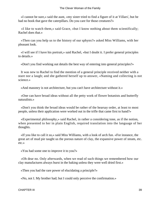«I cannot be sure,» said the aunt, «my sister tried to find a figure of it at Villars', but he had no book that gave the caterpillars. Do you care for those creatures?»

 «I like to watch them,» said Grace, «but I know nothing about them scientifically; Rachel does that.»

 «Then can you help us to the history of our sphynx?» asked Miss Williams, with her pleasant look.

 «I will see if I have his portrait,» said Rachel, «but I doubt it. I prefer general principles to details.»

«Don't you find working out details the best way of entering into general principles?»

 It was new to Rachel to find the mention of a general principle received neither with a stare nor a laugh; and she gathered herself up to answer, «Naming and collecting is not science.»

«And masonry is not architecture, but you can't have architecture without it.»

 «One can have broad ideas without all the petty work of flower botanists and butterfly naturalists.»

 «Don't you think the broad ideas would be rather of the hearsay order, at least to most people, unless their application were worked out in the trifle that came first to hand?»

 «Experimental philosophy,» said Rachel, in rather a considering tone, as if the notion, when presented to her in plain English, required translation into the language of her thoughts.

 «If you like to call it so,» said Miss Williams, with a look of arch fun. «For instance, the great art of mud pie taught us the porous nature of clay, the expansive power of steam, etc. etc.»

«You had some one to improve it to you?»

 «Oh dear no. Only afterwards, when we read of such things we remembered how our clay manufactures always burst in the baking unless they were well dried first.»

«Then you had the rare power of elucidating a principle?»

«No, not I. My brother had; but I could only perceive the confirmation.»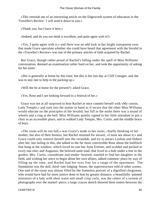«This reminds me of an interesting article on the Edgeworth system of education in the 'Traveller's Review.' I will send it down to you.»

«Thank you, but I have it here.»

«Indeed; and do you not think it excellent, and quite agree with it?»

 «Yes, I quite agree with it,» and there was an odd look in her bright transparent eyes that made Grace speculate whether she could have heard that agreement with the Invalid in the «Traveller's Review» was one of the primary articles of faith acquired by Rachel.

 But Grace, though rather proud of Rachel's falling under the spell of Miss Williams' conversation, deemed an examination rather hard on her, and took the opportunity of asking for her sister.

 «She is generally at home by this time; but this is her last day at Cliff Cottages, and she was to stay late to help in the packing up.»

«Will she be at home for the present?» asked Grace.

«Yes, Rose and I are looking forward to a festival of her.»

 Grace was not at all surprised to hear Rachel at once commit herself with «My cousin, Lady Temple,» and rush into the matter in hand as if secure that the other Miss Williams would educate on the principles of the Invalid; but full in the midst there was a sound of wheels and a ring at the bell. Miss Williams quietly signed to her little attendant to put a chair in an accessible place, and in walked Lady Temple, Mrs. Curtis, and the middle brace of boys.

 «The room will be too full,» was Grace's aside to her sister, chiefly thinking of her mother, but also of their hostess; but Rachel returned for answer, «I must see about it;» and Grace could only remove herself into the verandah, and try to attract Leoline and Hubert after her, but failing in this, she talked to the far more conversible Rose about the bullfinch that hung at the window, which loved no one but Aunt Ermine, and scolded and pecked at every one else; and Augustus, the beloved tame toad, that lived in a hole under a tree in the garden. Mrs. Curtis, considerate and tender−hearted, startled to find her daughter in the field, and wishing her niece to begin about her own affairs, talked common−place by way of filling up the time, and Rachel had her eyes free for a range of the apartment. The foundation was the dull, third−rate lodging−house, the superstructure told of other scenes. One end of the room was almost filled by the frameless portrait of a dignified clergyman, who would have had far more justice done to him by greater distance; a beautifully−painted miniature of a lady with short waist and small crisp curls, was the centre of a system of photographs over the mantel−piece; a large crayon sketch showed three sisters between the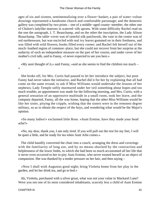ages of six and sixteen, sentimentalizing over a flower−basket; a pair of water−colour drawings represented a handsome church and comfortable parsonage; and the domestic gallery was completed by two prints – one of a middle−aged county−member, the other one of Chalon's ladylike matrons in watered−silk aprons. With some difficulty Rachel read on the one the autograph, J. T. Beauchamp, and on the other the inscription, the Lady Alison Beauchamp. The table−cover was of tasteful silk patchwork, the vase in the centre was of red earthenware, but was encircled with real ivy leaves gummed on in their freshness, and was filled with wild flowers; books filled every corner; and Rachel felt herself out of the much−loathed region of common−place, but she could not recover from her surprise at the audacity of such an independent measure on the part of her cousin; and under cover of her mother's civil talk, said to Fanny, «I never expected to see you here.»

 «My aunt thought of it,» said Fanny, «and as she seems to find the children too much – »

 She broke off, for Mrs. Curtis had paused to let her introduce the subject, but poor Fanny had never taken the initiative, and Rachel did it for her by explaining that all had come on the same errand, to ask if Miss Williams would undertake the lessons of her nephews; Lady Temple softly murmured under her veil something about hopes and too much trouble; an appointment was made for the following morning, and Mrs. Curtis, with a general sensation of an oppressive multitude in a small room, took her leave, and the company departed, Fanny, all the way home, hoping that the other Miss Williams would be like her sister, pitying the cripple, wishing that the sisters were in the remotest degree military, so as to obtain the respect of the hoys, and wondering what would be the Major's opinion.

 «So many ladies!» exclaimed little Rose. «Aunt Ermine, have they made your head ache?»

 «No, my dear, thank you, I am only tired. If you will pull out the rest for my feet, I will be quiet a little, and be ready for tea when Aunt Ailie comes.»

 The child handily converted the chair into a couch, arranging the dress and coverings with the familiarity of long use, and by no means shocked by the contraction and helplessness of the lower limbs, to which she had been so much accustomed all her life that it never even occurred to her to pity Aunt Ermine, who never treated herself as an object of compassion. She was thanked by a tender pressure on her hair, and then saying –

 «Now I shall wish Augustus good night; bring Violetta home from her play in the garden, and let her drink tea, and go to bed.»

 Ah, Violetta, purchased with a silver groat, what was not your value in Mackarel Lane? Were you not one of its most considered inhabitants, scarcely less a child of Aunt Ermine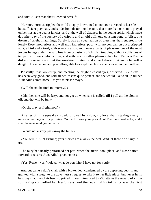and Aunt Alison than their Rosebud herself?

 Murmur, murmur, rippled the child's happy low−toned monologue directed to her silent but sufficient playmate, and so far from disturbing the aunt, that more than one smile played on her lips at the quaint fancies, and at the well of gladness in the young spirit, which made day after day of the society of a cripple and an old doll, one constant song of bliss, one dream of bright imaginings. Surely it was an equalization of blessings that rendered little lonely Rose, motherless and well nigh fatherless, poor, with no companion but a crippled aunt, a bird and a toad, with scarcely a toy, and never a party of pleasure, one of the most joyous beings under the sun, free from occasions of childish troubles, without collisions of temper, with few contradictions, and with lessons rather pleasure than toil. Perhaps Ermine did not take into account the sunshiny content and cheerfulness that made herself a delightful companion and playfellow, able to accept the child as her solace, not her burthen.

 Presently Rose looked up, and meeting the bright pleasant eyes, observed – «Violetta has been very good, and said all her lessons quite perfect, and she would like to sit up till her Aunt Ailie comes home. Do you think she may?»

«Will she not be tired to−morrow?»

 «Oh, then she will be lazy, and not get up when she is called, till I pull all the clothes off, and that will be fun.»

«Or she may be fretful now?»

 A series of little squeaks ensued, followed by «Now, my love; that is taking a very unfair advantage of my promise. You will make your poor Aunt Ermine's head ache, and I shall have to send you to bed.»

«Would not a story pass away the time?»

 «You tell it, Aunt Ermine; your stories are always the best. And let there be a fairy in it!»

 The fairy had nearly performed her part, when the arrival took place, and Rose darted forward to receive Aunt Ailie's greeting kiss.

«Yes, Rosie – yes, Violetta; what do you think I have got for you?»

 And out came a doll's chair with a broken leg, condemned by the departing pupils, and granted with a laugh to the governess's request to take it to her little niece; but never in its best days had the chair been so prized. It was introduced to Violetta as the reward of virtue for having controlled her fretfulness, and the repair of its infirmity was the first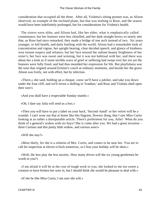consideration that occupied all the three. After all, Violetta's sitting posture was, as Alison observed, an example of the inclined plane, but that was nothing to Rose, and the seance would have been indefinitely prolonged, but for considerations for Violetta's health.

 The sisters were alike, and Alison had, like her elder, what is emphatically called countenance, but her features were less chiselled, and her dark straight brows so nearly met that, as Rose had once remarked, they made a bridge of one arch instead of two. Six years younger, in full health, and daily battling with the world, Alison had a remarkable look of concentration and vigour, her upright bearing, clear decided speech, and glance of kindness won instant respect and reliance, but her face missed the radiant beamy brightness of her sister's; her face was sweet and winning, but it was not habitual with her, and there was about her a look as if some terrible wave of grief or suffering had swept over her ere yet the features were fully fixed, and had thus moulded her expression for life. But playfulness was the tone that reigned around Ermine's couch at ordinary moments, and beside her the grave Alison was lively, not with effort, but by infection.

 «There,» she said, holding up a cheque; «now we'll have a jubilee, and take you down under the East cliff, and we'll invest a shilling in 'Ivanhoe,' and Rose and Violetta shall open their ears!»

«And you shall have a respectable Sunday mantle.»

«Oh, I dare say Julia will send us a box.»

 «Then you will have to put a label on your back, 'Second−hand!' or her velvet will be a scandal. I can't wear out that at home like this flagrant, flowery thing, that I saw Miss Curtis looking at as rather a disreputable article. There's preferment for you, Ailie! What do you think of a general's widow with six boys? She is come after you. We had a great invasion – three Curtises and this pretty little widow, and various sons!»

«Will she stay?»

 «Most likely, for she is a relation of Mrs. Curtis, and comes to be near her. You are to call for inspection at eleven o'clock tomorrow, so I fear your holiday will be short.»

 «Well, the less play the less anxiety. How many drives will the six young gentlemen be worth to you?»

 «I am afraid it will be at the cost of tough work to you; she looked to me too sweet a creature to have broken her sons in, but I should think she would be pleasant to deal with.»

«If she be like Miss Curtis, I am sure she will.»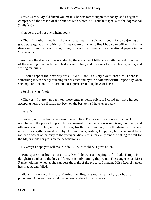«Miss Curtis? My old friend you mean. She was rather suppressed today, and I began to comprehend the reason of the shudder with which Mr. Touchett speaks of the dogmatical young lady.»

«I hope she did not overwhelm you!»

 «Oh, no! I rather liked her; she was so earnest and spirited, I could fancy enjoying a good passage at arms with her if these were old times. But I hope she will not take the direction of your school−room, though she is an admirer of the educational papers in the 'Traveller.'»

 And here the discussion was ended by the entrance of little Rose with the preliminaries of the evening meal, after which she went to bed, and the aunts took out books, work, and writing materials.

 Alison's report the next day was – «Well, she is a very sweet creature. There is something indescribably touching in her voice and eyes, so soft and wistful, especially when she implores one not to be hard on those great scrambling boys of hers.»

«So she is your fate?»

 «Oh, yes, if there had been ten more engagements offered, I could not have helped accepting hers, even if it had not been on the best terms I have ever had.»

«What?»

 «Seventy – for the hours between nine and five. Pretty well for a journeyman hack, is it not? Indeed, the pretty thing's only fear seemed to be that she was requiring too much, and offering too little. No, not her only fear, for there is some major in the distance to whose approval everything must be subject – uncle or guardian, I suppose, but he seemed to be rather an object of jealousy to the younger Miss Curtis, for every hint of wishing to wait for the Major made her press on the negotiations.»

«Seventy! I hope you will make it do, Ailie. It would be a great relief.»

 «And spare your brains not a little. Yes, I do trust to keeping it, for Lady Temple is delightful; and as to the boys, I fancy it is only taming they want. The danger is, as Miss Rachel told me, whether she can bear the sight of the process. I imagine Miss Rachel herself has tried it, and failed.»

 «Part amateur work,» said Ermine, smiling. «It really is lucky you had to turn governess, Ailie, or there would have been a talent thrown away.»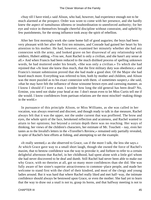«Stay till I have tried,» said Alison, who had, however, had experience enough not to be much alarmed at the prospect. Order was wont to come with her presence, and she hardly knew the aspect of tumultuous idleness or insubordination to unenforced authority; for her eye and voice in themselves brought cheerful discipline without constraint, and upheld by few punishments, for the strong influence took away the spirit of rebellion.

 After her first morning's work she came home full of good auguries; the boys had been very pleasant with her after the first ten minutes, and Conrade had gained her heart by his attention to his mother. He had, however, examined her minutely whether she had any connexion with the army, and looked grave on her disavowal of any relationship with soldiers; Hubert adding, «You see, Aunt Rachel is only a civilian, and she hasn't any sense at all.» And when Francis had been reduced to the much disliked process of spelling unknown words, he had muttered under his breath, «She was only a civilian.» To which she had rejoined that «At least she knew thus much, that the first military duty was obedience,» and Francis's instant submission proved that she had made a good shot. Of the Major she had heard much more. Everything was referred to him, both by mother and children, and Alison was the more puzzled as to his exact connexion with them. «I sometimes suspect,» she said, «that he may have felt the influence of those winsome brown eyes and caressing manner, as I know I should if I were a man. I wonder how long the old general has been dead? No, Ermine, you need not shake your head at me. I don't mean even to let Miss Curtis tell me if she would. I know confidences from partisan relations are the most mischief−making things in the world.»

 In pursuance of this principle Alison, or Miss Williams, as she was called in her vocation, was always reserved and discreet, and though ready to talk in due measure, Rachel always felt that it was the upper, not the under current that was proffered. The brow and eyes, the whole spirit of the face, betokened reflection and acuteness, and Rachel wanted to attain to her opinions; but beyond a certain depth there was no reaching. Her ways of thinking, her views of the children's characters, her estimate of Mr. Touchett – nay, even her tastes as to the Invalid's letters in the «Traveller's Review,» remained only partially revealed, in spite of Rachel's best efforts at fishing, and attempting to set the example.

 «It really seemed,» as she observed to Grace, «as if the more I talk, the less she says.» At which Grace gave way to a small short laugh, though she owned the force of Rachel's maxim, that to bestow confidence was the way to provoke it; and forbore to refer to a certain delightful afternoon that Rachel, in her childhood, had spent alone with a little girl whom she had never discovered to be deaf and dumb. Still Rachel had never been able to make out why Grace, with no theories at all, got so many more confidences than she did. She was fully aware of her sister's superior attractiveness to common−place people, and made her welcome to stand first with the chief of their kindred, and most of the clergy and young ladies around. But it was hard that where Rachel really liked and met half−way, the intimate confidence should always be bestowed upon Grace, or even the mother. She had yet to learn that the way to draw out a snail is not to, grasp its horns, and that halfway meeting is not to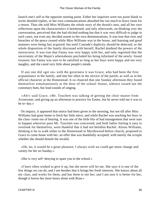launch one's self to the opposite starting point. Either her inquiries were too point blank to invite detailed replies, or her own communications absorbed her too much to leave room for a return. Thus she told Miss Williams the whole story of the thrush's nest, and all her own reflections upon the characteristics it betokened; and only afterwards, on thinking over the conversation, perceived that she had elicited nothing but that it was very difficult to judge in such cases, not even any decided assent to her own demonstrations. It was true that riots and breaches of the peace ceased while Miss Williams was in the house, and learning and good manners were being fast acquired; but until Conrade's duplicity should be detected, or the whole disposition of the family discussed with herself, Rachel doubted the powers of the instructress. It was true that Fanny was very happy with her, and only regretted that the uncertainty of the Major's whereabouts precluded his being informed of the newly−found treasure; but Fanny was sure to be satisfied as long as her boys were happy and not very naughty, and she cared very little about people's minds.

 If any one did «get on» with the governess it was Grace, who had been the first acquaintance in the family, and met her often in the service of the parish, as well as in her official character at the Homestead. It so chanced that one Sunday afternoon they found themselves simultaneously at the door of the school−house, whence issued not the customary hum, but loud sounds of singing.

 «Ah!» said Grace, «Mr. Touchett was talking of getting the choir master from Avoncester, and giving up an afternoon to practice for Easter, but he never told me it was to be to−day.»

 On inquiry, it appeared that notice had been given in the morning, but not till after Miss Williams had gone home to fetch her little niece, and while Rachel was teaching her boys in the class−room out of hearing. It was one of the little bits of bad management that were sure to happen wherever poor Mr. Touchett was concerned; and both ladies feeling it easy to overlook for themselves, were thankful that it had not befallen Rachel. Alison Williams, thinking it far to walk either to the Homestead or Myrtlewood before church, proposed to Grace to come home with her, an offer that was thankfully accepted, with merely the scruple whether she should disturb the invalid.

 «Oh, no, it would be a great pleasure; I always wish we could get more change and variety for her on Sunday.»

«She is very self−denying to spare you to the school.»

 «I have often wished to give it up, but she never will let me. She says it is one of the few things we can do, and I see besides that it brings her fresh interests. She knows about all my class, and works for them, and has them to see her; and I am sure it is better for her, though it leaves her more hours alone with Rose.»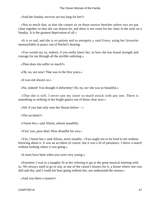«And the Sunday services are too long for her?»

 «Not so much that, as that she cannot sit on those narrow benches unless two are put close together so that she can almost lie, and there is not room for her chair in the aisle on a Sunday. It is the greatest deprivation of all.»

 «It is so sad, and she is so patient and so energetic,» said Grace, using her favourite monosyllable in peace, out of Rachel's hearing.

 «You would say so, indeed, if you really knew her, or how she has found strength and courage for me through all the terrible sutfering.»

«Then does she suffer so much?»

«Oh, no, not now! That was in the first years.»

«It was not always so.»

«No, indeed! You thought it deformity! Oh, no, no! she was so beautiful.»

 «That she is still. I never saw my sister so much struck with any one. There is something so striking in her bright glance out of those clear eyes.»

«Ah! if you had only seen her bloom before  $-\infty$ 

«The accident?»

«I burnt her,» said Alison, almost inaudibly.

«You! you, poor dear! How dreadful for you.»

 «Yes, I burnt her,» said Alison, more steadily. «You ought not to be kind to me without knowing about it. It was an accident of course, but it was a fit of petulance. I threw a match without looking where it was going.»

«It must have been when you were very young.»

 «Fourteen. I was in a naughty fit at her refusing to go to the great musical meeting with us. We always used to go to stay at one of the canon's houses for it, a house where one was dull and shy; and I could not bear going without her, nor understand the reason.»

«And was there a reason?»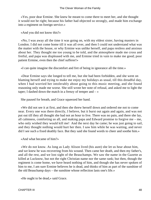«Yes, poor dear Ermine. She knew he meant to come there to meet her, and she thought it would not be right; because his father had objected so strongly, and made him exchange into a regiment on foreign service.»

«And you did not know this?»

 «No, I was away all the time it was going on, with my eldest sister, having masters in London. I did not come home till it was all over, and then I could not understand what was the matter with the house, or why Ermine was unlike herself, and papa restless and anxious about her. They thought me too young to be told, and the atmosphere made me cross and fretful, and papa was displeased with me, and Ermine tried in vain to make me good; poor patient Ermine, even then the chief sufferer!»

«I can quite imagine the discomfort and fret of being in ignorance all the time.»

 «Dear Ermine says she longed to tell me, but she had been forbidden, and she went on blaming herself and trying to make me enjoy my holidays as usual, till this dreadful day, when I had worried her intolerably about going to this music meeting, and she found reasoning only made me worse. She still wrote her note of refusal, and asked me to light the taper; I dashed down the match in a frenzy of temper and  $-\infty$ 

She paused for breath, and Grace squeezed her hand.

 «We did not see it at first, and then she threw herself down and ordered me not to come near. Every one was there directly, I believe, but it burst out again and again, and was not put out till they all thought she had not an hour to live. There was no pain, and there she lay, all calmness, comforting us all, and making papa and Edward promise to forgive me – me, who only wished they would kill me! And the next day he came; he was just going to sail, and they thought nothing would hurt her then. I saw him while he was waiting, and never did I see such a fixed deathly face. But they said she found words to cheer and soothe him.»

«And what became of him?»

 «We do not know. As long as Lady Alison lived (his aunt) she let us hear about him, and we knew he was recovering from his wound. Then came her death, and then my father's, and all the rest, and we lost sight of the Beauchamps. We saw the name in the Gazette as killed at Lucknow, but not the right Christian name nor the same rank; but then, though the regiment is come home, we have heard nothing of him, and though she has never spoken of him to me, I am sure Ermine believes he is dead, and thinks of him as part of the sunshine of the old Beauchamp days – the sunshine whose reflection lasts one's life.»

«He ought to be dead,» said Grace.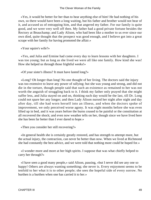«Yes, it would be better for her than to hear anything else of him! He had nothing of his own, so there would have been a long waiting, but his father and brother would not hear of it, and accused us of entrapping him, and that angered my father. For our family is quite good, and we were very well off then. My father had a good private fortune besides the Rectory at Beauchamp; and Lady Alison, who had been like a mother to us ever since our own died, quite thought that the prospect was good enough, and I believe got into a great scrape with her family for having promoted the affair.»

«Your squire's wife?»

 «Yes, and Julia and Ermine had come every day to learn lessons with her daughters. I was too young; but as long as she lived we were all like one family. How kind she was! How she helped us through those frightful weeks!»

«Of your sister's illness? It must have lasted long?»

 «Long? Oh longer than long! No one thought of her living. The doctors said the injury was too extensive to leave any power of rallying; but she was young and strong, and did not die in the torture, though people said that such an existence as remained to her was not worth the anguish of struggling back to it. I think my father only prayed that she might suffer less, and Julia stayed on and on, thinking each day would be the last, till Dr. Long could not spare her any longer; and then Lady Alison nursed her night after night and day after day, till she had worn herself into an illness, and when the doctors spoke of improvement, we only perceived worse agony. It was eight months before she was even lifted up in bed, and it was years before the burns ceased to be painful or the constitution at all recovered the shock; and even now weather tells on her, though since we have lived here she has been far better than I ever dared to hope.»

«Then you consider her still recovering?»

 «In general health she is certainly greatly restored, and has strength to attempt more, but the actual injury, the contraction, can never be better than now. When we lived at Richmond she had constantly the best advice, and we were told that nothing more could be hoped for.»

 «I wonder more and more at her high spirits. I suppose that was what chiefly helped to carry her through?»

 «I have seen a good many people,» said Alison, pausing, «but I never did see any one so happy! Others are always wanting something; she never is. Every enjoyment seems to be tenfold to her what it is to other people; she sees the hopeful side of every sorrow. No burthen is a burthen when one has carried it to her.»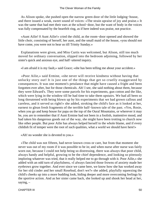As Alison spoke, she pushed open the narrow green door of the little lodging−house, and there issued a weak, sweet sound of voices: «The strain upraise of joy and praise.» It was the same that had met their ears at the school−door, but the want of body in the voices was fully compensated by the heartfelt ring, as if here indeed was praise, not practice.

 «Aunt Ailie! 0 Aunt Ailie!» cried the child, as the room−door opened and showed the little choir, consisting of herself, her aunt, and the small maid of the house, «you should not have come, you were not to hear us till Trinity Sunday.»

 Explanations were given, and Miss Curtis was welcomed, but Alison, still too much moved for ordinary conversation, slipped into the bedroom adjoining, followed by her sister's quick and anxious eye, and half−uttered inquiry.

«I am afraid it is my fault,» said Grace; «she has been telling me about your accident.»

 «Poor Ailie,» said Ermine, «she never will receive kindness without having that unlucky story out! It is just one of the things that get so cruelly exaggerated by consequences. It was one moment's petulance that might have caused a fright and been forgotten ever after, but for those chemicals. Ah! I see, she said nothing about them, because they were Edward's. They were some parcels for his experiments, gun cotton and the like, which were lying in the window till he had time to take them upstairs. We had all been so long threatened with being blown up by his experiments that we had grown callous and careless, and it served us right!» she added, stroking the child's face as it looked at her, earnest to glean fresh fragments of the terrible half−known tale of the past. «Yes, Rosie, when you go and keep house for papa on the top of the Oural Mountains, or wherever it may be, you are to remember that if Aunt Ermine had not been in a foolish, inattentive mood, and had taken his dangerous goods out of the way, she might have been trotting to church now like other people. But poor Ailie has always helped herself to the whole blame, and if every childish fit of temper were the root of such qualities, what a world we should have here!»

«Ah! no wonder she is devoted to you.»

 «The child was not fifteen, had never known cross or care, but from that moment she never was out of my room if it was possible to be in; and when nurse after nurse was fairly worn out, because I could not help being so distressing, there was always that poor child, always handy and helpful, growing to be the chief dependence, and looking so piteously imploring whatever was tried, that it really helped me to go through with it. Poor Ailie,» she added with an odd turn of playfulness, «I always fancied those frowns of anxiety made her eyebrows grow together. And ever since we came here, we know how she has worked away for her old cinder and her small Rosebud, don't we?» she added, playfully squeezing the child's cheeks up into a more budding look, hiding deeper and more overcoming feelings by the sportive action. And as her sister came back, she looked up and shook her head at her, saying, –

CHAPTER III 50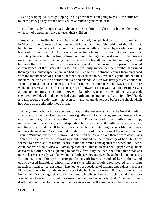«You gossiping Ailie, to go ripping up old grievances. I am going to ask Miss Curtis not to let the story go any farther, now you have relieved your mind of it.»

 «I did tell Lady Temple,» said Alison; «I never think it right not to let people know what sort of person they have to teach their children.»

 And Grace, on feeling her way, discovered that Lady Temple had been told the bare fact in Miss Williams's reserved and business−like manner, but with nothing of the affair that had led to it. She merely looked on it in the manner fully expressed by – «Ah, poor thing; how sad for her!» as a shocking secret, never to be talked of or thought about. And that voluntary detailed relation from Alison could only be regarded as drawn forth by Grace's own individual power of winning confidence, and the friendliness that had so long subsisted between them. Nor indeed was the reserve regarding the cause of the present reduced circumstances of the sisters at all lessened; it was only known that their brother had ruined them by a fraudulent speculation, and had then fled to the Continent, leaving them burthened with the maintenance of his child, but that they refused to believe in his guilt, and had thus incurred the displeasure of other relatives and friends. Alison was utterly silent about him. Ermine seemed to have a tender pleasure in bringing in a reference to his ways as if all were well, and it were a matter of course to speak of «Edward;» but it was plain that Ermine's was an outspoken nature. This might, however, be only because the one had been a guarded, sheltered invalid, while the other had gone forth among strangers to battle for a livelihood, and moreover, the elder sister had been fully grown and developed before the shock which had come on the still unformed Alison.

 At any rate, nobody but Grace «got on» with the governess, while the invalid made friends with all who visited her, and most signally with Rachel, who, ere long, esteemed her environment a good work, worthy of herself. The charity of sitting with a twaddling, muffatee−knitting old lady was indisputable, but it was perfectly within Grace's capacity; and Rachel believed herself to be far more capable of entertaining the sick Miss Williams, nor was she mistaken. When excited or interested, most people thought her oppressive; but Ermine Williams, except when unwell, did not find her so, and even then a sharp debate was sometimes a cure for the nervous ailments induced by the monotony of her life. They seemed to have a sort of natural desire to rub their minds one against the other, and Rachel could not rest without Miss Williams's opinion of all that interested her – paper, essay, book, or event; but often, when expecting to confer a favour by the loan, she found that what was new to her was already well known in that little parlour, and even the authorship no mystery. Ermine explained this by her correspondence with literary friends of her brother's, and country−bred Rachel, to whom literature was still an oracle unconnected with living agencies, listened, yes, absolutely listened to her anecdotes of sayings and doings, far more like clever memoirs than the experiences of the banks of the Avon. Perhaps there was this immediate disadvantage, that hearing of a more intellectual tone of society tended to make Rachel less tolerant of that which surrounded her, and especially of Mr. Touchett. It was droll that, having so long shunned the two sisters under the impression that they were his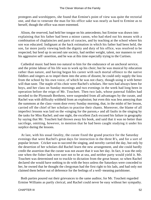protegees and worshippers, she found that Ermine's point of view was quite the rectorial one, and that to venerate the man for his office sake was nearly as hard to Ermine as to herself, though the office was more esteemed.

 Alison, the reserved, had held her tongue on his antecedents; but Ermine was drawn into explaining that his father had been a minor canon, who had eked out his means with a combination of chaplaincies and parts of curacies, and by teaching at the school where his son was educated. Indignant at the hack estimation in which his father had been held, the son, far more justly viewing both the dignity and duty of his office, was resolved to be respected; but bred up in second rate society, had neither weight, talent, nor manners to veil his aggressive self−assertion, and he was at this time especially trying to the Curtises.

 Cathedral music had been too natural to him for the endurance of an unchoral service, and the prime labour of his life was to work up his choir; but he was musical by education rather than nature, and having begun his career with such mortal offence to the native fiddlers and singers as to impel them into the arms of dissent, he could only supply the loss from the school by his own voice, of which he was not chary, though using it with better will than taste. The staple of his choir were Rachel's scholars. Her turn had always been for boys, and her class on Sunday mornings and two evenings in the week had long been in operation before the reign of Mr. Touchett. Then two lads, whose paternal fiddles had seceded to the Plymouth Brethren, were suspended from all advantages by the curate, and Rachel was with difficulty withheld from an explosion; but even this was less annoying than the summons at the class−room door every Sunday morning, that, in the midst of her lesson, carried off the chief of her scholars to practise their chants. Moreover, the blame of all imperfect lessons was laid on the «singing for the parson,» and all faults in the singing by the tasks for Miss Rachel; and one night, the excellent Zack excused his failure in geography by saying that Mr. Touchett had thrown away his book, and said that it was no better than sacrilege, omitting, however, to mention that he had been caught studying it under his surplice during the lessons.

 At last, with his usual fatality, the curate fixed the grand practice for the Saturday evenings that were Rachel's great days for instruction in the three R's, and for a sort of popular lecture. Cricket was to succeed the singing, and novelty carried the day, but only by the desertion of her scholars did Rachel learn the new arrangement, and she could hardly credit the assertion that the curate was not aware that it was her day. In fact, it was the only one when the fisher lads were sure not to be at sea, and neither party would yield it. Mr. Touchett was determined not to truckle to dictation from the great house; so when Rachel declared she would have nothing to do with the boys unless the Saturdays were conceded to her, he owned that he thought the clergyman had the first right to his lads, and had only not claimed them before out of deference for the feelings of a well−meaning parishioner.

 Both parties poured out their grievances to the same auditor, for Mr. Touchett regarded Ermine Williams as partly clerical, and Rachel could never be easy without her sympathy.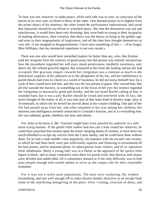To hear was not, however, to make peace, while each side was so sore, so conscious of the merits of its own case, so blind to those of the other. One deemed praise in its highest form the prime object of his ministry; the other found the performance indevotional, and raved that education should be sacrificed to wretched music. But that the dissension was sad and mischievous, it would have been very diverting; they were both so young in their incapacity of making allowances, their certainty that theirs was the theory to bring in the golden age, and even in their magnanimity of forgiveness, and all the time they thought themselves so very old. «I am resigned to disappointments; I have seen something of life.» – «You forget, Miss Williams, that my ministerial experience is not very recent.»

 There was one who would have smoothed matters far better than any, who, like Ermine, took her weapons from the armoury of good sense; but that person was entirely unconscious how the incumbent regarded her soft eyes, meek pensiveness, motherly sweetness, and, above all, the refined graceful dignity that remained to her from the leading station she had occupied. Her gracious respect towards her clergyman was a contrast as much to the deferential coquetry of his admirers as to the abruptness of his foe, and her indifference to parish details had even its charm in a world of fussiness; he did not know himself how far a wish of hers would have led him, and she was the last person to guess. She viewed him, like all else outside her nursery, as something out of the focus of her eye; her instinct regarded her clergyman as necessarily good and worthy, and her ear heard Rachel railing at him; it sounded hard, but it was a pity Rachel should be vexed and interfered with. In fact, she never thought of the matter at all; it was only part of that outer kind of dreamy stage−play at Avonmouth, in which she let herself he moved about at her cousin's bidding. One part of her life had passed away from her, and what remained to her was among her children; her interests and intelligence seemed contracted to Conrade's horizon, and as to everything else, she was subdued, gentle, obedient, but slow and obtuse.

 Yet, little as he knew it, Mr. Touchett might have even asserted his authority in a still more trying manner. If the gentle little widow had not cast a halo round her relatives, he could have preached that sermon upon the home−keeping duties of women, or have been too much offended to accept any service from the Curtis family; and he could have done without them, for he had a wide middle−class popularity; his manners with the second−rate society, in which he had been bred, were just sufficiently superior and flattering to recommend all his best points, and he obtained plenty of subscriptions from visitors, and of co−operation from inhabitants. Many a young lady was in a flutter at the approach of the spruce little figure in black, and so many volunteers were there for parish work, that districts and classes were divided and subdivided, till it sometimes seemed as if the only difficulty was to find poor people enough who would submit to serve as the corpus vile for their charitable treatment.

 For it was not a really poor population. The men were seafaring, the women lacemaking, and just well enough off to make dissent doubly attractive as an escape from some of the interfering almsgiving of the place. Over−visiting, criticism of dress, and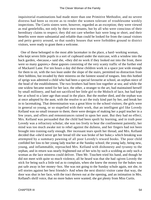inquisitorial examinations had made more than one Primitive Methodist, and no severe distress had been so recent as to render the women tolerant of troublesome weekly inspections. The Curtis sisters were, however, regarded as an exception; they were viewed as real gentlefolks, not only by their own tenants, but by all who were conscious of their hereditary claims to respect; they did not care whether hair were long or short, and their benefits were more substantial and reliable than could be looked for from the casual visitors and petty gentry around, so that sundry houses that were forbidden ground to district visitors, were ready to grant them a welcome.

 One of these belonged to the most able lacemaker in the place, a hard−working woman, who kept seven little pupils in a sort of cupboard under the staircase, with a window into the back garden, «because,» said she, «they did no work if they looked out into the front, there were so many gapsies;» these gapsies consisting of the very scanty traffic of the further end of Mackarel Lane. For ten hours a day did these children work in a space just wide enough for them to sit, with the two least under the slope of the stairs, permitted no distraction from their bobbins, but invaded by their mistress on the faintest sound of tongues. Into this hotbed of sprigs was admitted a child who had been a special favourite at school, an orphan niece of the head of the establishment. The two brothers had been lost together at sea; and while the one widow became noted for her lace, the other, a stranger to the art, had maintained herself by small millinery, and had not sacrificed her little girl to the Moloch of lace, but had kept her at school to a later age than usual in the place. But the mother died, and the orphan was at once adopted by the aunt, with the resolve to act the truly kind part by her, and break her in to lacemaking. That determination was a great blow to the school visitors; the girls were in general so young, or so stupefied with their work, that an intelligent girl like Lovedy Kelland was no small treasure to them; there were designs of making her a pupil teacher in a few years, and offers and remonstrances rained in upon her aunt. But they had no effect; Mrs. Kelland was persuaded that the child had been spoilt by learning, and in truth poor Lovedy was a refractory scholar; she was too lively to bear the confinement patiently; her mind was too much awake not to rebel against the dulness, and her fingers had not been brought into training early enough. Her incessant tears spoilt her thread, and Mrs. Kelland decided that «she'd never get her bread till she was broke of her buke;» which breaking was attempted by a summary pawning of all poor Lovedy's reward books. The poor child confided her loss to her young lady teacher at the Sunday school; the young lady, being new, young, and inflammable, reproached Mrs. Kelland with dishonesty and tyranny to the orphan, and in return was nearly frightened out of her wits by such a scolding as only such a woman as the lace mistress could deliver. Then Mr. Touchett tried his hand, and though he did not meet with quite so much violence, all he heard was that she had «given Lovedy the stick for being such a little tod as to complain, when she knew the money for the bukes was put safe away in her money−box. She was not going to the Sunday schule again, not she, to tell stories against her best friends!» And when the next district visitor came that way, the door was shut in her face, with the tract thrown out at the opening, and an intimation in Mrs. Kelland's shrill voice, that no more bukes were wanted; she got plenty from Miss Curtis.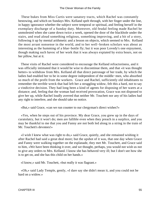These bukes from Miss Curtis were sanatory tracts, which Rachel was constantly bestowing, and which on Sundays Mrs. Kelland spelt through, with her finger under the line, in happy ignorance whether the subject were temporal or spiritual, and feeling herself in the exemplary discharge of a Sunday duty. Moreover, old feudal feeling made Rachel be unmolested when she came down twice a week, opened the door of the blackhole under the stairs, and read aloud something religious, something improving, and a bit of a story, following it up by mental arithmetic and a lesson on objects, which seemed to Mrs. Kelland the most arrant nonsense in the world, and to her well−broken scholars was about as interesting as the humming of a blue−bottle fly; but it was poor Lovedy's one enjoyment, though making such havoc of her work that it was always expiated by extra hours, not on her pillow, but at it.

 These visits of Rachel were considered to encourage the Kelland refractoriness, and it was officially intimated that it would be wise to discontinue them, and that «it was thought better» to withdraw from Mrs. Kelland all that direct patronage of her trade, by which the ladies had enabled her to be in some degree independent of the middle−men, who absorbed so much of the profit from the workers. Grace and Rachel, sufficiently old inhabitants to remember the terrible wreck that had left her a struggling widow, felt this a hard, not to say a vindictive decision. They had long been a kind of agents for disposing of her wares at a distance; and, feeling that the woman had received provocation, Grace was not disposed to give her up, while Rachel loudly averred that neither Mr. Touchett nor any of his ladies had any right to interfere, and she should take no notice.

«But,» said Grace, «can we run counter to our clergyman's direct wishes?»

 «Yes, when he steps out of his province. My dear Grace, you grew up in the days of curatolatry, but it won't do; men are fallible even when they preach in a surplice, and you may be thankful to me that you and Fanny are not both led along in a string in the train of Mr. Touchett's devotees!»

 «I wish I knew what was right to do,» said Grace, quietly, and she remained wishing it after Rachel had said a great deal more; but the upshot of it was, that one day when Grace and Fanny were walking together on the esplanade, they met Mr. Touchett, and Grace said to him, «We have been thinking it over, and we thought, perhaps, you would not wish us not to give any orders to Mrs. Kelland. I know she has behaved very ill; but I don't see how she is to get on, and she has this child on her hands.»

«I know,» said Mr. Touchett, «but really it was flagrant.»

 «Oh,» said Lady Temple, gently, «I dare say she didn't mean it, and you could not be hard on a widow.»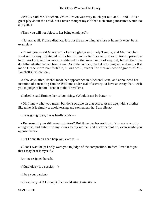«Well,» said Mr. Touchett, «Miss Brown was very much put out, and  $-$  and  $-$  it is a great pity about the child, but I never thought myself that such strong measures would do any good.»

«Then you will not object to her being employed?»

 «No, not at all. From a distance, it is not the same thing as close at home; it won't be an example.»

 «Thank you,» said Grace; and «I am so glad,» said Lady Temple; and Mr. Touchett went on his way, lightened of his fear of having let his zealous coadjutors oppress the hard−working, and far more brightened by the sweet smile of requital, but all the time doubtful whether he had been weak. As to the victory, Rachel only laughed, and said, «If it made Grace more comfortable, it was well, except for that acknowledgment of Mr. Touchett's jurisdiction.»

 A few days after, Rachel made her appearance in Mackerel Lane, and announced her intention of consulting Ermine Williams under seal of secrecy. «I have an essay that I wish you to judge of before I send it to the 'Traveller.'»

«Indeed!» said Ermine, her colour rising. «Would it not be better  $-\infty$ 

 «Oh, I know what you mean, but don't scruple on that score. At my age, with a mother like mine, it is simply to avoid teasing and excitement that I am silent.»

«I was going to say I was hardly a fair  $-\infty$ 

 «Because of your different opinions? But those go for nothing. You are a worthy antagonist, and enter into my views as my mother and sister cannot do, even while you oppose them.»

«But I don't think I can help you, even if  $-\infty$ 

 «I don't want help; I only want you to judge of the composition. In fact, I read it to you that I may hear it myself.»

Ermine resigned herself.

«'Curatolatry is a species – '»

«I beg your pardon.»

«Curatolatry. Ah! I thought that would attract attention.»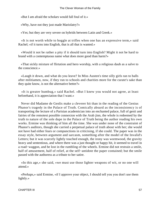«But I am afraid the scholars would fall foul of it.»

«Why, have not they just made Mariolatry?»

«Yes; but they are very severe on hybrids between Latin and Greek.»

 «It is not worth while to boggle at trifles when one has an expressive term,» said Rachel; «if it turns into English, that is all that is wanted.»

 «Would it not be rather a pity if it should turn into English? Might it not be hard to brand with a contemptuous name what does more good than harm?»

 «That sickly mixture of flirtation and hero worship, with a religious daub as a salve to the conscience.»

 «Laugh it down, and what do you leave? In Miss Austen's time silly girls ran to balls after militiamen, now, if they run to schools and charities more for the curate's sake than they quite know, is not the alternative better?»

 «It is greater humbug,» said Rachel. «But I knew you would not agree, at least beforehand, it is appreciation that I want.»

 Never did Madame de Genlis make a cleverer hit than in the reading of the Genius Phanor's tragedy in the Palace of Truth. Comically absurd as the inconsistency is of transporting the lecture of a Parisian academician into an enchanted palace, full of genii and fairies of the remotest possible connexion with the Arab jinn, the whole is redeemed by the truth to nature of the sole dupe in the Palace of Truth being the author reading his own works. Ermine was thinking of him all the time. She was under none of the constraint of Phanor's auditors, though she carried a perpetual palace of truth about with her; she would not have had either fears or compunctions in criticising, if she could. The paper was in the essay style, between argument and sarcasm, something after the model of the Invalid's Letters; but it was scarcely lightly touched enough, the irony was wormwood, the gravity heavy and sententious, and where there was a just thought or happy hit, it seemed to travel in a road−waggon, and be lost in the rumbling of the wheels. Ermine did not restrain a smile, half of amusement, half of relief, at the self−antidote the paper contained; but the smile passed with the authoress as a tribute to her satire.

 «In this age,» she said, «we must use those lighter weapons of wit, or no one will attend.»

 «Perhaps,» said Ermine, «if I approve your object, I should tell you you don't use them lightly.»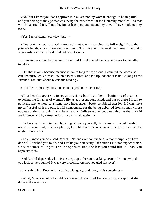«Ah! but I know you don't approve it. You are not lay woman enough to be impartial, and you belong to the age that was trying the experiment of the hierarchy modified: I to that which has found it will not do. But at least you understand my view; I have made out my case.»

«Yes, I understand your view; but  $-\infty$ 

 «You don't sympathize. Of course not; but when it receives its full weight from the printer's bands, you will see that it will tell. That bit about the weak tea fumes I thought of afterwards, and I am afraid I did not read it well.»

«I remember it; but forgive me if I say first I think the whole is rather too – too lengthy to take.»

 «Oh, that is only because manuscript takes long to read aloud. I counted the words, so I can't be mistaken, at least I collated twenty lines, and multiplied; and it is not so long as the Invalid's last letter about systematic reading.»

«And then comes my question again, Is good to come of it?»

 «That I can't expect you to see at this time; but it is to be the beginning of a series, exposing the fallacies of woman's life as at present conducted; and out of these I mean to point the way to more consistent, more independent, better combined exertion. If I can make myself useful with my pen, it will compensate for the being debarred from so many more obvious outlets. I should like to have as much influence over people's minds as that Invalid for instance, and by earnest effort I know I shall attain it.»

 «I – I – » half−laughing and blushing, «I hope you will, for I know you would wish to use it for good; but, to speak plainly, I doubt about the success of this effort, or  $-$  or if it ought to succeed.»

 «Yes, I know you do,» said Rachel. «No one ever can judge of a manuscript. You have done all I wished you to do, and I value your sincerity. Of course I did not expect praise, since the more telling it is on the opposite side, the less you could like it. I saw you appreciated it.»

 And Rachel departed, while Rose crept up to her aunt, asking, «Aunt Ermine, why do you look so very funny? It was very tiresome. Are not you glad it is over?»

«I was thinking, Rose, what a difficult language plain English is sometimes.»

 «What, Miss Rachel's? I couldn't understand one bit of her long story, except that she did not like weak tea.»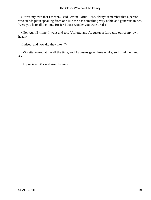«It was my own that I meant,» said Ermine. «But, Rose, always remember that a person who stands plain speaking from one like me has something very noble and generous in her. Were you here all the time, Rosie? I don't wonder you were tired.»

 «No, Aunt Ermine, I went and told Violetta and Augustus a fairy tale out of my own head.»

«Indeed; and how did they like it?»

 «Violetta looked at me all the time, and Augustus gave three winks, so I think he liked it.»

«Appreciated it!» said Aunt Ermine.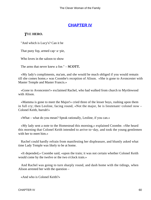## **[CHAPTER IV](#page-416-0)**

#### *T*HE **HERO.**

"And which is Lucy's? Can it be

That puny fop, armed cap−a−pie,

Who loves in the saloon to show

The arms that never knew a foe." – **SCOTT.**

 «My lady's compliments, ma'am, and she would he much obliged if you would remain till she comes home,» was Coombe's reception of Alison. «She is gone to Avoncester with Master Temple and Master Francis.»

 «Gone to Avoncester!» exclaimed Rachel, who had walked from church to Myrtlewood with Alison.

 «Mamma is gone to meet the Major!» cried three of the lesser boys, rushing upon them in full cry; then Leoline, facing round, «Not the major, he is lieutenant−colonel now – Colonel Keith, hurrah!»

«What – what do you mean? Speak rationally, Leoline, if you can.»

 «My lady sent a note to the Homestead this morning,» explained Coombe. «She heard this morning that Colonel Keith intended to arrive to−day, and took the young gentlemen with her to meet him.»

 Rachel could hardly refrain from manifesting her displeasure, and bluntly asked what time Lady Temple was likely to be at home.

 «It depended,» Coombe said, «upon the train; it was not certain whether Colonel Keith would come by the twelve or the two o'clock train.»

 And Rachel was going to turn sharply round, and dash home with the tidings, when Alison arrested her with the question –

«And who is Colonel Keith?»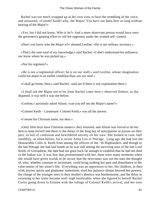Rachel was too much wrapped up in her own view to hear the trembling of the voice, and answered, «Colonel Keith! why, the Major! You have not been here so long without hearing of the Major?»

 «Yes, but I did not know. Who is he?» And a more observant person would have seen the governess's gasping effort to veil her eagerness under her wonted self−control.

«Don't you know who the Major is?» shouted Leoline. «He is our military secretary.»

 «That's the sum total of my knowledge,» said Rachel, «I don't understand his influence, nor know where he was picked up.»

«Nor his regiment?»

 «He is not a regimental officer; he is on our staff,» said Leoline, whose imagination could not attain to an earlier condition than «on our staff.»

«I shall go home, then,» said Rachel, «and see if there is any explanation there.»

 «I shall ask the Major not to let Aunt Rachel come here,» observed Hubert, as she departed; it was well it was not before.

«Leoline,» anxiously asked Alison, «can you tell me the Major's name?»

«Colonel Keith – Lieutenant−Colonel Keith,» was all the answer.

«I meant his Christian name, my dear.»

 «Only little boys have Christian names!» they returned, and Alison was forced to do her best to tame herself and them to the duties of the long day of anticipation so joyous on their part, so full of confusion and bewildered anxiety on her own. She looked in vain, half stealthily, as often before, for a recent Army List or Peerage. Long ago she had lost the Honourable Colin A. Keith from among the officers of the −th Highlanders, and though in the last Peerage she had laid hands on he was still among the surviving sons of the late Lord Keith, of Gowanbrae, the date had not gone back far enough to establish that he had not died in the Indian war. It was fear that predominated with her, there were many moments when she would have given worlds to be secure that the newcomer was not the man she thought of, who, whether constant or inconstant, could bring nothing but pain and disturbance to the calm tenour of her sister's life. Everything was an oppression to her; the children, in their wild, joyous spirits and gladsome inattention, tried her patience almost beyond her powers; the charge of the younger ones in their mother's absence was burthensome, and the delay in returning to her sister became well−nigh intolerable, when she figured to herself Rachel Curtis going down to Ermine with the tidings of Colonel Keith's arrival, and her own

CHAPTER IV 61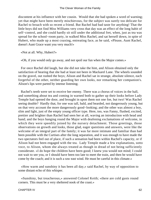discontent at his influence with her cousin. Would that she had spoken a word of warning; yet that might have been merely mischievous, for the subject was surely too delicate for Rachel to broach with so recent a friend. But Rachel had bad taste for anything! That the little boys did not find Miss Williams very cross that day was an effect of the long habit of self−control, and she could hardly sit still under the additional fret, when, just as tea was spread for the school−room party, in walked Miss Rachel, and sat herself down, in spite of Hubert, who made up a most coaxing, entreating face, as he said, «Please, Aunt Rachel, doesn't Aunt Grace want you very much!»

«Not at all. Why, Hubert?»

«Oh, if you would only go away, and not spoil our fun when the Major comes.»

 For once Rachel did laugh, but she did not take the hint, and Alison obtained only the satisfaction of hearing that she had at least not been in Mackarel Lane. The wheels sounded on the gravel, out rushed the boys; Alison and Rachel sat in strange, absolute silence, each forgetful of the other, neither guarding her own looks, nor remarking her companion's. Alison's lips were parted by intense listening;

 Rachel's teeth were set to receive her enemy. There was a chorus of voices in the hall, and something about tea and coming in warned both to gather up their looks before Lady Temple had opened the door, and brought in upon them not one foe, but two! Was Rachel seeing double? Hardly that, for one was tall, bald, and bearded, not dangerously young, but on that very account the more dangerously good−looking; and the other was almost a boy, slim and light, just of the empty young officer type. Here, too, was Fanny, flushed, excited, prettier and brighter than Rachel had seen her at all, waving an introduction with head and hand; and the boys hanging round the Major with deafening exclamations of welcome, in which they were speedily joined by the nursery detachment. Those greetings, those observations on growth and looks, those glad, eager questions and answers, were like the welcome of an integral part of the family; it was far more intimate and familiar than had been possible with the Curtises after the long separation, and it was enough to have made the two spectators feel out of place, if such a sensation had been within Rachel's capacity, or if Alison had not been engaged with the tea. Lady Temple made a few explanations, sotto voce, to Alison, whom she always treated as though in dread of not being sufficiently considerate. «I do hope the children have been good; I knew you would not mind; I could not wait to see you, or I should have been too late to meet the train, and then he would have come by the coach; and it is such a raw east wind. He must be careful in this climate.»

 «How warm and sunshiny it has been all day,» said Rachel, by way of opposition to some distant echo of this whisper.

 «Sunshiny, but treacherous,» answered Colonel Keith; «there are cold gusts round corners. This must be a very sheltered nook of the coast.»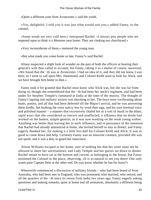«Quite a different zone from Avoncester,» said the youth.

 «Yes, delightful. I told you it was just what would suit you,» added Fanny, to the colonel.

 «Some winds are very cold here,» interposed Rachel. «I always pity people who are imposed upon to think it a Mentone near home. They are choking our churchyard.»

«Very inconsiderate of them,» muttered the young man.

«But what made you come home so late, Fanny?» said Rachel.

 Alison suspected a slight look of wonder on the part of both the officers at hearing their general's wife thus called to account; but Fanny, taking it as a matter of course, answered, «We found that the −th was at Avoncester. I had no idea of it, and they did not know I was here; so I went to call upon Mrs. Hammond, and Colonel Keith went to look for Alick, and we have brought him home to dine.»

 Fanny took it for granted that Rachel must know who Alick was, but she was far from doing so, though she remembered that the −th had been her uncle's regiment, and had been under Sir Stephen Temple's command in India at the time of the mutiny. The thought of Fanny's lapsing into military society was shocking to her. The boys were vociferating about boats, ponies, and all that had been deferred till the Major's arrival, and he was answering them kindly, but hushing the extra outcry less by word than sign, and his own lowered voice and polished manner – a manner that excessively chafed her as a sort of insult to the blunt, rapid ways that she considered as sincere and unaffected, a silkiness that no doubt had worked on the honest, simple general, as it was now working on the weak young widow. Anything was better than leaving her to such influence, and in pursuance of the intention that Rachel had already announced at home, she invited herself to stay to dinner; and Fanny eagerly thanked her, for making it a little less dull for Colonel Keith and Alick. It was so good to come down and help. Certainly Fanny was an innocent creature, provided she was not spoilt, and it was a duty to guard her innocence.

 Alison Williams escaped to her home, sure of nothing but that her sister must not be allowed to share her uncertainties; and Lady Temple and her guests sat down to dinner. Rachel meant to have sat at the bottom and carved, as belonging to the house; but Fanny motioned the Colonel to the place, observing, «It is so natural to see you there! One only wants poor Captain Dent at the other end. Do you know whether he has his leave?»

 Wherewith commenced a discussion of military friends – who had been heard of from Australia, who had been met in England, who was promoted, who married, who retired, and all the quarters of the −th since its return from India two years ago; Fanny eagerly asking questions and making remarks, quite at home and all animation, absolutely a different being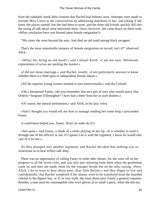from the subdued, meek little creature that Rachel had hitherto seen. Attempts were made to include Miss Curtis in the conversation by addressing anecdotes to her, and asking if she knew the places named; but she had been to none, and the three old friends quickly fell into the swing of talk about what interested them. Once, however, she came down on them with, «What conclusion have you formed upon female emigration?»

"'His sister she went beyond the seas, And died an old maid among black savagees.'

 That's the most remarkable instance of female emigration on record, isn't it?" observed Alick.

 «What; her dying an old maid?» said Colonel Keith. «I am not sure. Wholesale exportations of wives are spoiling the market.»

 «I did not mean marriage,» said Rachel, stoutly. «I am particularly anxious to know whether there is a field open to independent female labour.»

«All the superior young women seemed to turn nurserymaids,» said the Colonel.

 «Oh,» interposed Fanny, «do you remember that nice girl of ours who would marry that Orderly−Sergeant O'Donoghoe? I have had a letter from her in such distress.»

«Of course, the natural termination,» said Alick, in his lazy voice.

 «And I thought you would tell me how to manage sending her some help,» proceeded Fanny.

«I could have helped you, Fanny. Won't an order do it?»

 «Not quite,» said Fanny, a shade of a smile playing on her lip. «It is whether to send it through one of the officers or not. If Captain Lee is with the regiment, I know he would take care of it for her.»

 So they plunged into another regiment, and Rachel decided that nothing was so wearisome as to hear triflers talk shop.

 There was no opportunity of calling Fanny to order after dinner, for she went off on her progress to all the seven cribs, and was only just returning from them when the gentlemen came in, and then she made room for the younger beside her on the sofa, saying, «Now, Alick, I do so want to hear about poor, dear little Bessie;» and they began so low and confidentially, that Rachel wondered if her alarms wore to be transfered from the bearded colonel to the dapper boy, or if, in very truth, she must deem poor Fanny a general coquette. Besides, a man must be contemptible who wore gloves at so small a party, when she did not.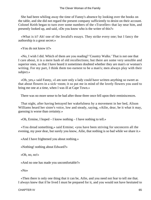She had been whiling away the time of Fanny's absence by looking over the books on the table, and she did not regard the present company sufficiently to desist on their account. Colonel Keith began to turn over some numbers of the «Traveller» that lay near him, and presently looked up, and said, «Do you know who is the writer of this?»

 «What is it? Ah! one of the Invalid's essays. They strike every one; but I fancy the authorship is a great secret.»

«You do not know it?»

 «No, I wish I did. Which of them are you reading? 'Country Walks.' That is not one that I care about, it is a mere hash of old recollections; but there are some very sensible and superior ones, so that I have heard it sometimes doubted whether they are man's or woman's writing. For my part, I think them too earnest to be a man's; men always play with their subject.»

 «Oh, yes,» said Fanny, «I am sure only a lady could have written anything so sweet as that about flowers in a sick−room; it so put me in mind of the lovely flowers you used to bring me one at a time, when I was ill at Cape Town.»

There was no more sense to be had after those three once fell upon their reminiscences.

 That night, after having betrayed her wakefulness by a movement in her bed, Alison Williams heard her sister's voice, low and steady, saying, «Ailie, dear, be it what it may, guessing is worse than certainty.»

«Oh, Ermine, I hoped – I know nothing – I have nothing to tell.»

 «You dread something,» said Ermine; «you have been striving for unconcern all the evening, my poor dear, but surely you know, Ailie, that nothing is so bad while we share it.»

«And I have frightened you about nothing.»

«Nothing! nothing about Edward?»

«Oh, no, no!»

«And no one has made you uncomfortable?»

«No»

 «Then there is only one thing that it can be, Ailie, and you need not fear to tell me that. I always knew that if he lived I must be prepared for it, and you would not have hesitated to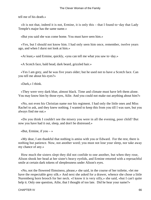tell me of his death.»

 «It is not that, indeed it is not, Ermine, it is only this – that I found to−day that Lady Temple's major has the same name.»

«But you said she was come home. You must have seen him.»

 «Yes, but I should not know him. I had only seen him once, remember, twelve years ago, and when I durst not look at him.»

«At least,» said Ermine, quickly, «you can tell me what you saw to−day.»

«A Scotch face, bald head, dark beard, grizzled hair.»

 «Yes I am grey, and he was five years older; but he used not to have a Scotch face. Can you tell me about his eyes?»

«Dark,» I think.

 «They were very dark blue, almost black. Time and climate must have left them alone. You may know him by those eyes, Ailie. And you could not make out anything about him?»

 «No, not even his Christian name nor his regiment. I had only the little ones and Miss Rachel to ask, and they knew nothing. I wanted to keep this from you till I was sure, but you always find me out.»

 «Do you think I couldn't see the misery you were in all the evening, poor child? But now you have had it out, sleep, and don't be distressed.»

«But, Ermine, if you  $-\infty$ 

 «My dear, I am thankful that nothing is amiss with you or Edward. For the rest, there is nothing but patience. Now, not another word; you must not lose your sleep, nor take away my chance of any.»

 How much the sisters slept they did not confide to one another, but when they rose, Alison shook her head at her sister's heavy eyelids, and Ermine retorted with a reproachful smile at certain dark tokens of sleeplessness under Alison's eyes.

 «No, not the flowered flimsiness, please,» she said, in the course of her toilette, «let me have the respectable grey silk.» And next she asked for a drawer, whence she chose a little Nuremberg horn brooch for her neck. «I know it is very silly,» she said, «but I can't quite help it. Only one question, Ailie, that I thought of too late. Did he hear your name?»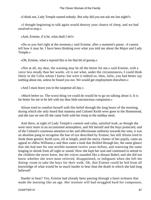«I think not, Lady Temple named nobody. But why did you not ask me last night?»

 «I thought beginning to talk again would destroy your chance of sleep, and we had resolved to stop.»

«And, Ermine, if it be, what shall I do?»

 «Do as you feel right at the moment,» said Ermine, after a moment's pause. «I cannot tell how it may be. I have been thinking over what you told me about the Major and Lady Temple.»

«Oh, Ermine, what a reproof this is for that bit of gossip.»

 «Not at all, my dear, the warning may be all the better for me,» said Ermine, with a voice less steady than her words. «It is not what, under the circumstances, I could think likely in the Colin whom I knew; but were it indeed so, then, Ailie, you had better say nothing about me, unless he found you out. We would get employment elsewhere.»

«And I must leave you to the suspense all day.»

 «Much better so. The worst thing we could do would be to go on talking about it. It is far better for me to be left with my dear little unconscious companion.»

 Alison tried to comfort herself with this belief through the long hours of the morning, during which she only heard that mamma and Colonel Keith were gone to the Homestead, and she saw no one till she came forth with her troop to the midday meal.

 And there, at sight of Lady Temple's content and calm, satisfied look, as though she were once more in an accustomed atmosphere, and felt herself and the boys protected, and of the Colonel's courteous attention to her and affectionate authority towards her sons, it was an absolute pang to recognise the hue of eye described by Ermine; but still Alison tried to think them generic Keith eyes, till at length, amid the merry chatter of her pupils, came an appeal to «Miss Williams,» and then came a look that thrilled through her, the same glance that she had met for one terrible moment twelve years before, and renewing the same longing to shrink from all sight or sound. How she kept her seat and continued to attend to the children she never knew, but the voices sounded like a distant Babel; and she did not know whether she were most relieved, disappointed, or indignant when she left the dining−room to take the boys for their walk. Oh, that Ermine could be hid from all knowledge of what would be so much harder to bear than the death in which she had long believed!

 Harder to bear? Yes, Ermine had already been passing through a heart sickness that made the morning like an age. Her resolute will had struggled hard for composure,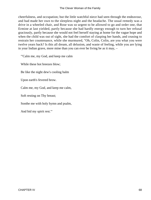cheerfulness, and occupation; but the little watchful niece had seen through the endeavour, and had made her own to the sleepless night and the headache. The usual remedy was a drive in a wheeled chair, and Rose was so urgent to be allowed to go and order one, that Ermine at last yielded, partly because she had hardly energy enough to turn her refusal graciously, partly because she would not feel herself staying at home for the vague hope and when the child was out of sight, she had the comfort of clasping her hands, and ceasing to restrain her countenance, while she murmured, "Oh, Colin, Colin, are you what you were twelve years back? Is this all dream, all delusion, and waste of feeling, while you are lying in your Indian grave, more mine than you can ever be living be as it may, –

"'Calm me, my God, and keep me calm

While these hot breezes blow;

Be like the night dew's cooling balm

Upon earth's fevered brow.

Calm me, my God, and keep me calm,

Soft resting on Thy breast;

Soothe me with holy hymn and psalm,

And bid my spirit rest.'"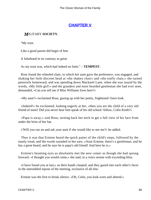# **[CHAPTER V](#page-416-0)**

### *M*ILITARY **SOCIETY.**

"My trust

Like a good parent did beget of him

A falsehood in its contrary as great

As my trust was, which had indeed no limit." – **TEMPEST.**

 Rose found the wheeled chair, to which her aunt gave the preference, was engaged, and shaking her little discreet head at «the shakey chair» and «the stuffy chair,» she turned pensively homeward, and was speeding down Mackarel Lane, when she was stayed by the words, «My little girl!» and the grandest and most bearded gentleman she had ever seen, demanded, «Can you tell me if Miss Williams lives here?»

«My aunt?» exclaimed Rose, gazing up with her pretty, frightened−fawn look.

 «Indeed!» he exclaimed, looking eagerly at her, «then you are the child of a very old friend of mine! Did you never hear him speak of his old school−fellow, Colin Keith?»

 «Papa is away,» said Rose, turning back her neck to get a full view of his face from under the brim of her hat.

«'Will you run on and ask your aunt if she would like to see me?» he added.

 Thus it was that Ermine heard the quick patter of the child's steps, followed by the manly tread, and the words sounded in her ears, «Aunt Ermine, there's a gentleman, and he has a great beard, and he says he is papa's old friend! And here he is.»

 Ermine's beaming eyes as absolutely met the new comer as though she had sprung forward. «I thought you would come,» she said, in a voice serene with exceeding bliss.

 «I have found you at last,» as their hands clasped; and they gazed into each other's faces in the untroubled repose of the meeting, exclusive of all else.

Ermine was the first to break silence. «Oh, Colin, you look worn and altered.»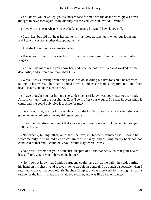«You don't; you have kept your sunbeam face for me with the dear brown glow I never thought to have seen again. Why did they tell me you were an invalid, Ermine?»

«Have you not seen Alison?» she asked, supposing he would have known all.

 «I saw her, but did not hear her name, till just now at luncheon, when our looks met, and I saw it was not another disappointment.»

«And she knows you are come to me?»

 «It was not in me to speak to her till I had recovered you! One can forgive, but not forget.»

 «You will do more when you know her, and how she has only lived and worked for me, dear Ailie, and suffered far more than  $I - \infty$ 

 «While I was suffering from being unable to do anything but live for you,» he repeated, taking up her words; «but that is ended now  $-\infty$  and as she made a negative motion of her head, «have you not trusted to me?»

 «I have thought you not living,» she said; «the last I know was your letter to dear Lady Alison, written from the hospital at Cape Town, after your wound. She was ill even when it came, and she could only give it to Ailie for me.»

 «Dear good aunt, she got into trouble with all the family for our sake; and when she was gone no one would give me any tidings of you.»

 «It was her last disappointment that you were not sent home on sick leave. Did you get well too fast?»

 «Not exactly; but my father, or rather, I believe, my brother, intimated that I should be welcome only if I had laid aside a certain foolish fancy, and as lying on my back had not conduced to that end, I could only say I would stay where I was.»

 «And was it worse for you? I am sure, in spite of all that tanned skin, that your health has suffered. Ought you to have come home?»

 «No, I do not know that London surgeons could have got at the ball,» he said, putting his hand on his chest, «and it gives me no trouble in general. I was such a spectacle when I returned to duty, that good old Sir Stephen Temple, always a proverb for making his staff a refuge for the infirm, made me his aide−de−camp, and was like a father to me.»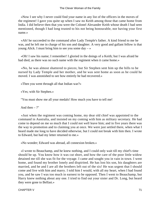«Now I see why I never could find your name in any list of the officers in the moves of the regiment! I gave you quite up when I saw no Keith among those that came home from India. I did believe then that you were the Colonel Alexander Keith whose death I had seen mentioned, though I had long trusted to his not being honourable, nor having your first name.»

 «Ah! he succeeded to the command after Lady Temple's father. A kind friend to me he was, and he left me in charge of his son and daughter. A very good and gallant fellow is that young Alick. I must bring him to see you some day  $-\infty$ 

 «Oh! I saw his name; I remember! I gloried in the doings of a Keith; but I was afraid he had died, as there was no such name with the regiment when it came home.»

 «No, he was almost shattered to pieces; but Sir Stephen sent him up the hills to be nursed by Lady Temple and her mother, and he was sent home as soon as he could he moved. I was astonished to see how entirely he had recovered.»

«Then you went through all that Indian war?»

«Yes; with Sir Stephen.»

"You must show me all your medals! How much you have to tell me!

And then  $-$  ?"

 «Just when the regiment was coming home, my dear old chief was appointed to the command in Australia, and insisted on my coming with him as military secretary. He had come to depend on me so much that I could not well leave him; and in five years there was the way to promotion and to claiming you at once. We were just settled there, when what I heard made me long to have decided otherwise, but I could not break with him then. I wrote to Edward, but had my letter returned to me.»

«No wonder; Edward was abroad, all connexion broken.»

 «I wrote to Beauchamp, and he knew nothing, and I could only wait till my chief's time should be up. You know how it was cut short, and how the care of the poor little widow detained me till she was fit for the voyage. I came and sought you in vain in town. I went home, and found my brother lonely and dispirited. He has lost his son, his daughters are married, and he and I are all the brothers left out of the six! He was urgent that I should come and live with him and marry. I told him I would, with all my heart, when I had found you, and he saw I was too much in earnest to be opposed. Then I went to Beauchamp, but Harry knew nothing about any one. I tried to find out your sister and Dr. Long, but heard they were gone to Belfast.»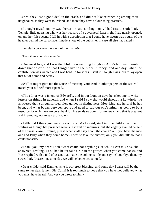«Yes, they lost a good deal in the crash, and did not like retrenching among their neighbours, so they went to Ireland, and there they have a flourishing practice.»

 «I thought myself on my way there,» he said, smiling; «only I had first to settle Lady Temple, little guessing who was her treasure of a governess! Last night I had nearly opened, on another false scent; I fell in with a description that I could have sworn was yours, of the heather behind the parsonage. I made a note of the publisher in case all else had failed.»

«I'm glad you knew the scent of the thyme!»

«Then it was no false scent?»

 «One must live, and I was thankful to do anything to lighten Ailie's burthen. I wrote down that description that I might live in the place in fancy; and one day, when the contribution was wanted and I was hard up for ideas, I sent it, though I was loth to lay open that bit of home and heart.»

 «Well it might give me the sense of meeting you! And in other papers of the series I traced your old self more ripened.»

 «The editor was a friend of Edward's, and in our London days he asked me to write letters on things in general, and when I said I saw the world through a key−hole, he answered that a circumscribed view gained in distinctness. Most kind and helpful he has been, and what began between sport and need to say out one's mind has come to be a resource for which we are very thankful. He sends us books for reviewal, and that is pleasant and improving, not to say profitable.»

 «Little did I think you were in such straits!» he said, stroking the child's head, and waiting as though her presence were a restraint on inquiries, but she eagerly availed herself of the pause. «Aunt Ermine, please what shall I say about the chairs? Will you have the nice one and Billy when they come home? I was to take the answer, only you did talk so that I could not ask!»

 «Thank you, my dear; I don't want chairs nor anything else while I can talk so,» she answered, smiling. «You had better take a run in the garden when you come back;» and Rose replied with a nod of assent that made the colonel smile and say, «Good−bye then, my sweet Lady Discretion, some day we will be better acquainted.»

 «Dear child,» said Ermine, «she is our great blessing, and some day I trust will be the same to her dear father. Oh, Colin! it is too much to hope that you have not believed what you must have heard! And yet you wrote to him.»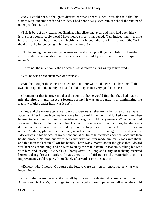«Nay, I could not but feel great distrust of what I heard, since I was also told that his sisters were unconvinced; and besides, I had continually seen him at school the victim of other people's faults.»

 «This is best of all,» exclaimed Ermine, with glistening eyes, and hand laid upon his; «it is the most comfortable word I have heard since it happened. Yes, indeed, many a time before I saw you, had I heard of 'Keith' as the friend who saw him righted. Oh, Colin! thanks, thanks for believing in him more than for all!»

 «Not believing, but knowing,» he answered – «knowing both you and Edward. Besides, is it not almost invariable that the inventor is ruined by his invention – a Prospero by nature?»

«It was not the invention,» she answered; «that throve as long as my father lived.»

«Yes, he was an excellent man of business.»

 «And he thought the concern so secure that there was no danger in embarking all the available capital of the family in it, and it did bring us in a very good income.»

 «I remember that it struck me that the people at home would find that they had made a mistake after all, and missed a fortune for me! It was an invention for diminishing the fragility of glass under heat; was it not?»

 «Yes, and the manufacture was very prosperous, so that my father was quite at ease about us. After his death we made a home for Edward in London, and looked after him when he used to be smitten with some new idea and forgot all sublunary matters. When he married we went to live at Richmond, and had his dear little wife very much with us, for she was a delicate tender creature, half killed by London. In process of time he fell in with a man named Maddox, plausible and clever, who became a sort of manager, especially while Edward was in his trances of invention; and at all times knew more about his accounts than he did himself. Nothing but my father's authority had ever made him really look into them, and this man took them all off his hands. There was a matter about the glass that Edward was bent on ascertaining, and he went to study the manufacture in Bohemia, taking his wife with him, and leaving Rose with us. Shortly after, Dr. Long and Harry Beauchamp received letters asking for a considerable advance, to be laid out on the materials that this improvement would require. Immediately afterwards came the crash.»

 «Exactly what I heard. Of course the letters were written in ignorance of what was impending.»

 «Colin, they were never written at all by Edward! He denied all knowledge of them. Alison saw Dr. Long's, most ingeniously managed – foreign paper and all – but she could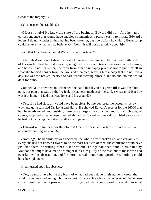swear to the forgery  $-\infty$ 

«You suspect this Maddox?»

 «Most strongly! He knew the state of the business; Edward did not. And he had a correspondence that would have enabled so ingenious a person easily to imitate Edward's letters. I do not wonder at their having been taken in; but how Julia – how Harry Beauchamp could believe – what they do believe. Oh, Colin! it will not do to think about it!»

«Oh, that I had been at home! Were no measures taken?»

 «Alas! alas! we urged Edward to come home and clear himself; but that poor little wife of his was terrified beyond measure, imagined prisons and trials. She was unable to move, and he could not leave her; she took from him an unhappy promise not to put himself in what she fancied danger from the law, and then died, leaving him a baby that did not live a day. He was too broken−hearted to care for vindicating himself, and no one−no one would do it for him!»

 Colonel Keith frowned and clenched the hand that lay in his grasp till it was absolute pain, but pain that was a relief to feel. «Madness, madness!» he said. «Miserable! But how was it at home – ? Did this Maddox stand his ground?»

 «Yes, if he had fled, all would have been clear, but he doctored the accounts his own way, and quite satisfied Dr. Long and Harry. He showed Edward's receipt for the £6000 that had been advanced, and besides, there was a large sum not accounted for, which was, of course, supposed to have been invested abroad by Edward – some said gambled away – as if he had not had a regular hatred of all sorts of games.»

 «Edward with his head in the clouds! One notion is as likely as the other. – Then absolutely nothing was done!»

 «Nothing! The bankruptcy was declared, the whole affair broken up; and certainly if every one had not known Edward to be the most heedless of men, the confusion would have justified them in thinking him a dishonest one. Things had been done in his name by Maddox that might have made a stranger think him guilty of the rest, but to those who had ever known his abstraction, and far more his real honour and uprightness, nothing could have been plainer.»

«It all turned upon his absence.»

 «Yes, he must have borne the brunt of what had been done in his name, I know; that would have been bad enough, but in a court of justice, his whole character would have been shown, and besides, a prosecution for forgery of his receipt would have shown what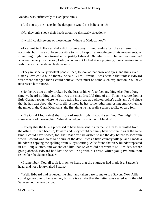Maddox was, sufficiently to exculpate him.»

«And you say the losers by the deception would not believe in it?»

«No, they only shook their heads at our weak sisterly affection.»

«I wish I could see one of those letters. Where is Maddox now?»

 «I cannot tell. He certainly did not go away immediately after the settlement of accounts, but it has not been possible to us to keep up a knowledge of his movements, or something might have turned up to justify Edward. Oh, what it is to be helpless women! You are the very first person, Colin, who has not looked at me pityingly, like a creature to be forborne with an undeniable delusion!»

 «They must be very insolent people, then, to look at that brow and eyes, and think even sisterly love could blind them,» he said. «Yes, Ermine, I was certain that unless Edward were more changed than I could believe, there must be some such explanation. You have never seen him since?»

 «No, he was too utterly broken by the loss of his wife to feel anything else. For a long time we heard nothing, and that was the most dreadful time of all! Then he wrote from a little German town, where he was getting his bread as a photographer's assistant. And since that he has cast about the world, till just now he has some rather interesting employment at the mines in the Oural Mountains, the first thing he has really seemed to like or care for.»

 «The Oural Mountains! that is out of reach. I wish I could see him. One might find some means of clearing him. What directed your suspicion to Maddox?»

 «Chiefly that the letters professed to have been sent in a parcel to him to be posted from the office. If it had been so, Edward and Lucy would certainly have written to us at the same time. I could have shown, too, that Maddox had written to me the day before to ascertain where Edward was, so as to be sure of the date. It was a little country village, and I made a blunder in copying the spelling from Lucy's writing. Ailie found that very blunder repeated in Dr. Long's letter, and we showed him that Edward did not write it so. Besides, before going abroad, Edward had lost the seal−ring with his crest, which you gave him. You remember the Saxon's head?»

 «I remember! You all took it much to heart that the engraver had made it a Saracen's head, and not a long−haired Saxon.»

 "Well, Edward had renewed the ring, and taken care to make it a Saxon. Now Ailie could get no one to believe her, but she is certain that the letter was sealed with the old Saracen not the new Saxon.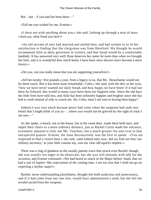But – but – if you had but been there – "

«Tell me you wished for me, Ermine.»

 «I durst not wish anything about you,» she said, looking up through a mist of tears. «And you, what fixed you here?»

 «An old servant of ours had married and settled here, and had written to us of her satisfaction in finding that the clergyman was from Hereford. We thought he would recommend Ailie as daily governess to visitors, and that Sarah would be a comfortable landlady. It has answered very well; Rose deserves her name far more than when we brought her here, and it is wonderful how much better I have been since doctors have become a mere luxury.»

«Do you, can you really mean that you are supporting yourselves?»

 «All but twenty−five pounds a year, from a legacy to us, that Mr. Beauchamp would not let them touch. But it has been most remarkable, Colin,» she said, with the dew in her eyes, "how we have never wanted our daily bread, and how happy we have been! If it had not been for Edward, this would in many ways have been our happiest time. Since the old days the little frets have told less, and Ailie has been infinitely happier and brighter since she has had to work instead of only to watch me. Ah, Colin, must I not own to having been happy?

 Indeed it was very much because peace had come when the suspense had sunk into belief that I might think of you as – , where you would not be grieved by the sight of what I am now  $-$  "

 As she spoke, a knock, not at the house, but at the room door, made them both start, and impel their chairs to a more ordinary distance, just as Rachel Curtis made her entrance, extremely amazed to find, not Mr. Touchett, but a much greater foe and rival in that unexpected quarter. Ermine, the least disconcerted, was the first to speak. «You are surprised to find a visitor here,» she said, «and indeed only now, did we find out that 'our military secretary,' as your little cousins say, was our clear old squire's nephew.»

 There was a ring of gladness in the usually patient voice that struck even Rachel, though she was usually too eager to be observant, but she was still unready with talk for the occasion, and Ermine continued: «We had heard so much of the Major before−hand, that we had a sort of Jupiter−like expectation of the coming man. I am not sure that I shall not go on expecting a mythic major!»

 Rachel, never understanding playfulness, thought this both audacious and unnecessary, and if it had come from any one else, would have administered a snub, but she felt the invalid sacred from her weapons.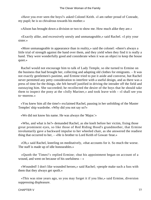«Have you ever seen the boys?» asked Colonel Keith. «I am rather proud of Conrade, my pupil; he is so chivalrous towards his mother.»

«Alison has brought down a division or two to show me. How much alike they are.»

 «Exactly alike, and excessively unruly and unmanageable,» said Rachel. «I pity your sister.»

 «More unmanageable in appearance than in reality,» said the colonel: «there's always a little trial of strength against the hand over them, and they yield when they find it is really a hand. They were wonderfully good and considerate when it was an object to keep the house quiet.»

 Rachel would not encourage him to talk of Lady Temple, so she turned to Ermine on the business that had brought her, collecting and adapting old clothes for emigrants. – It was not exactly gentlemen's pastime, and Ermine tried to put it aside and converse, but Rachel never permitted any petty consideration to interfere with a useful design, and as there was a press of time for the things, she felt herself justified in driving the intruder off the field and outstaying him. She succeeded; he recollected the desire of the boys that he should take them to inspect the pony at the «Jolly Mariner,» and took leave with – «I shall see you to−morrow.»

 «You knew him all the time!» exclaimed Rachel, pausing in her unfolding of the Master Temples' ship wardrobe. «Why did you not say so?»

«We did not know his name. He was always the 'Major.'»

 «Who, and what is he?» demanded Rachel, as she knelt before her victim, fixing those great prominent eyes, so like those of Red Riding Hood's grandmother, that Ermine involuntarily gave a backward impulse to her wheeled chair, as she answered the readiest thing that occurred to her, – «He is brother to Lord Keith of Gowan−brae.»

 «Oh,» said Rachel, kneeling on meditatively, «that accounts for it. So much the worse. The staff is made up of idle honourables.»

 «Quoth the 'Times!'» replied Ermine; «but his appointment began on account of a wound, and went on because of his usefulness – »

 «Wounded! I don't like wounded heroes,» said Rachel; «people make such a fuss with them that they always get spoilt.»

 «This was nine years ago, so you may forget it if you like,» said Ermine, diversion suppressing displeasure.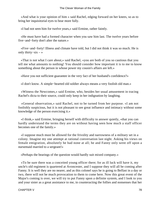«And what is your opinion of him » said Rachel, edging forward on her knees, so as to bring her inquisitorial eyes to bear more fully.

«I had not seen him for twelve years,» said Ermine, rather faintly.

 «He must have had a formed character when you saw him last. The twelve years before five−and−forty don't alter the nature.»

 «Five−and−forty! Illness and climate have told, but I did not think it was so much. He is only thirty−six – »

 «That is not what I care about,» said Rachel, «you are both of you so cautious that you tell me what amounts to nothing! You should consider how important it is to me to know something about the person in whose power my cousin's affairs are left.»

«Have you not sufficient guarantee in the very fact of her husband's confidence?»

«I don't know. A simple−hearted old soldier always means a very foolish old man.»

 «Witness the Newcomes,» said Ermine, who, besides her usual amusement in tracing Rachel's dicta to their source, could only keep in her indignation by laughing.

 «General observation,» said Rachel, not to be turned from her purpose. «I am not foolishly suspicious, but it is not pleasant to see great influence and intimacy without some knowledge of the person exercising it.»

 «I think,» said Ermine, bringing herself with difficulty to answer quietly, «that you can hardly understand the terms they are on without having seen how much a staff officer becomes one of the family.»

 «I suppose much must be allowed for the frivolity and narrowness of a military set in a colony. Imagine my one attempt at rational conversation last night. Asking his views on female emigration, absolutely he had none at all; he and Fanny only went off upon a nursemaid married to a sergeant!»

«Perhaps the bearings of the question would hardly suit mixed company.»

 «To be sure there was a conceited young officer there; for as ill luck will have it, my uncle's old regiment is quartered at Avoncester, and I suppose they will all be coming after Fanny. It is well they are no nearer, and as this colonel says he is going to Belfast in a day or two, there will not be much provocation to them to come here. Now this great event of the Major's coming is over, we will try to put Fanny upon a definite system, and I look to you and your sister as a great assistance to me, in counteracting the follies and nonsenses that her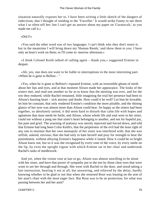situation naturally exposes her to. I have been writing a little sketch of the dangers of indecision, that I thought of sending to the 'Traveller.' It would strike Fanny to see there what I so often tell her; but I can't get an answer about my paper on 'Curatocult,' as you made me call it.»

#### «Did I!»

 «You said the other word was of two languages. I can't think why they don't insert it; but in the meantime I will bring down my 'Human Reeds,' and show them to you. I have only an hour's work on them; so I'll come to−morrow afternoon.»

 «I think Colonel Keith talked of calling again – thank you,» suggested Ermine in despair.

 «Ah, yes, one does not want to be liable to interruptions in the most interesting part. »When he is gone to Belfast – "

 «Yes, when he is gone to Belfast!» repeated Ermine, with an irresistible gleam of mirth about her lips and eyes, and at that moment Alison made her appearance. The looks of the sisters met, and read one another so far as to know that the meeting was over, and for the rest they endured, while Rachel remained, little imagining the trial her presence had been to Alison's burning heart – sick anxiety and doubt. How could it be well? Let him be loveable, let him be constant, that only rendered Ermine's condition the more pitiable, and the shining glance of her eyes was almost more than Alison could bear. So happy as the sisters had been together, so absolutely united, it did seem hard to disturb that calm life with hopes and agitations that must needs be futile; and Alison, whose whole life and soul were in her sister, could not without a pang see that sister's heart belonging to another, and not for hopeful joy, but pain and grief. The yearning of jealousy was sternly reproved and forced down, and told that Ermine had long been Colin Keith's, that the perpetrator of the evil had the least right of any one to murmur that her own monopoly of her sister was interfered with; that she was selfish, unkind, envious; that she had only to hate herself and pray for strength to bear the punishment, without alloying Ermine's happiness while it lasted. How it could be so bright Alison knew not, but so it was she recognised by every tone of the voice, by every smile on the lip, by even the upright vigour with which Ermine sat in her chair and undertook Rachel's tasks of needlework.

 And yet, when the visitor rose at last to go, Alison was almost unwilling to be alone with her sister, and have that power of sympathy put to the test by those clear eyes that were wont to see her through and through. She went with Rachel to the door, and stood taking a last instruction, hearing it not at all, but answering, and relieved by the delay, hardly knowing whether to be glad or not that when she returned Rose was leaning on the arm of her aunt's chair with the most eager face. But Rose was to be no protection, for what was passing between her and her aunt?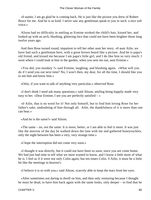«0 auntie, I am go glad he is coming back. He is just like the picture you drew of Robert Bruce for me. And he is so kind. I never saw any gentleman speak to you in such: a nice soft voice.»

 Alison had no difficulty in smiling as Ermine stroked the child's hair, kissed her, and looked up with an arch, blushing, glittering face that could not have been brighter those long twelve years ago.

 And then Rose turned round, impatient to tell her other aunt her story. «0 aunt Ailie, we have had such a gentleman here, with a great brown beard like a picture. And he is papa's old friend, and kissed me because I am papa's little girl, and I do like him so very much. I went where I could look at him in the garden, when you sent me out, aunt Ermine.»

 «You did, you monkey ?» said Ermine, laughing, and blushing again. «What will you do if I send you out next time? No, I won't then, my dear, for all the time, I should like you to see him and know him.»

«Only, if you want to talk of anything very particular,» observed Rose.

 «I don't think I need ask many questions,» said Alison, smiling being happily made very easy to her. «Dear Ermine, I see you are perfectly satisfied – »

 «0 Ailie, that is no word for it! Not only himself, but to find him loving Rose for her father's sake, undoubting of him through all. Ailie, the thankfulness of it is more than one can bear.»

«And he is the same?» said Alison.

 «The same – no, not the same. It is more, better, or I am able to feel it more. It was just like the morrow of the day he walked down the lane with me and gathered honeysuckles, only the night between has been a very, very strange time.»

«I hope the interruption did not come very soon.»

 «I thought it was directly, but it could not have been so soon, since you are come home. We had just had time to tell what we most wanted to know, and I know a little more of what he is. I feel as if it were not only Colin again, but ten times Colin. 0 Ailie, it must be a little bit like the meetings in heaven!»

«I believe it is so with you,» said Alison, scarcely able to keep the tears from her eyes.

 «After sometimes not daring to dwell on him, and then only venturing because I thought he must be dead, to have him back again with the same looks, only deeper – to find that he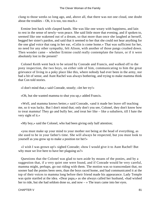clung to those weeks so long ago, and, above all, that there was not one cloud, one doubt about the troubles – Oh, it is too, too much.»

 Ermine lent back with clasped hands. She was like one weary with happiness, and lain to rest in the sense of newly−won peace. She said little more that evening, and if spoken to, seemed like one wakened out of a dream, so that more than once she laughed at herself, begged her sister's pardon, and said that it seemed to her that she could not hear anything for the one glad voice that rang in her ear, «Colin is come home.» That was sufficient for her, no need for any other sympathy, felt Alison, with another of those pangs crushed down. Then wonder came – whether Ermine could really contemplate the future, or if it were absolutely lost in the present?

 Colonel Keith went back to be seized by Conrade and Francis, and walked off to the pony inspection, the two boys, on either side of him, communicating to him the great grievance of living in a poky place like this, where nobody had ever been in the army, nor had a bit of sense, and Aunt Rachel was always bothering, and trying to make mamma think that Con told stories.

«I don't mind that,» said Conrade, stoutly; «let her try!»

«Oh, but she wanted mamma to shut you up,» added Francis.

 «Well, and mamma knows better,» said Conrade, «and it made her leave off teaching me, so it was lucky. But I don't mind that; only don't you see, Colonel, they don't know how to treat mamma! They go and bully her, and treat her like – like a subaltern, till I hate the very sight of it.»

«My boy,» said the Colonel, who had been giving only half attention;

 «you must make up your mind to your mother not being at the head of everything, as she used to be in your father's time. She will always be respected, but you must look to yourself as you grow up to make a position tor her!»

 «I wish I was grown up!» sighed Conrade; «how I would give it to Aunt Rachel! But why must we live here to have her plaguing us?»

 Questions that the Colonel was glad to turn aside by moans of the ponies, and by a suggestion that, if a very quiet one were found, and if Conrade would be very careful, mamma might, perhaps, go out riding with them. The motion was so transcendant that, no sooner had the ponies been seen, than the boys raced home, and had communicated it at the top of their voices to mamma long before their friend made his appearance. Lady Temple was quite startled at the idea. «Dear papa,» as she always called her husband, «had wished her to ride, but she had seldom done so, and now – » The tears came into her eyes.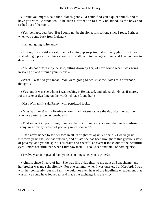«I think you might,» said the Colonel, gently; «I could find you a quiet animal, and to have you with Conrade would be such a protection to him,» he added, as the boys had rushed out of the room.

 «Yes; perhaps, dear boy. But I could not begin alone; it is so long since I rode. Perhaps when you come back from Ireland.»

«I am not going to Ireland.»

 «I thought you said – » said Fanny looking up surprised; «I am very glad! But if you wished to go, pray don't think about us! I shall learn to manage in time, and I cannot bear to detain you.»

 «You do not detain me,» he said, sitting down by her; «I have found what I was going in search of, and through your means.»

 «What – what do you mean! You were going to see Miss Williams this afternoon, I thought!»

 «Yes, and it was she whom I was seeking.» He paused, and added slowly, as if merely for the sake of dwelling on the words, «I have found her!»

«Miss Williams!» said Fanny, with perplexed looks.

 «Miss Williams! – my Ermine whom I had not seen since the day after her accident, when we parted as on her deathbed!»

 «That sister! Oh, poor thing, I am so glad! But I am sorry!» cried the much confused Fanny, in a breath; «were not you very much shocked?»

 «I had never hoped to see her face in all its brightness again,» he said. «Twelve years! It is twelve years that she has suffered, and of late she has been brought to this grievous state of poverty, and yet the spirit is as brave and cheerful as ever! It looks out of the beautiful eyes – more beautiful than when I first saw them, – I could see and think of nothing else!»

«Twelve years!» repeated Fanny; «is it so long since you saw her?»

 «Almost since I heard of her! She was like a daughter to my aunt at Beauchamp, and her brother was my schoolfellow. For one summer, when I was quartered at Hertford, I was with her constantly, but my family would not even hear of the indefinite engagement that was all we could have looked to, and made me exchange into the −th.»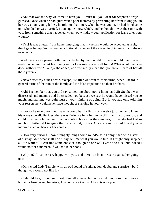«Ah! that was the way we came to have you! I must tell you, dear Sir Stephen always guessed. Once when he had quite vexed poor mamma by preventing her from joking you in her way about young ladies, he told me that once, when he was young, he had liked some one who died or was married, I don't quite know which, and he thought it was the same with you, from something that happened when you withdrew your application for leave after your wound.»

 «Yes! it was a letter from home, implying that my return would be accepted as a sign that I gave her up. So that was an additional instance of the exceeding kindness that I always received.»

 And there was a pause, both much affected by the thought of the good old man's ever ready consideration. At last Fanny said, «I am sure it was well for us! What would he have done without you? – and,» she added, «do you really mean that you never heard of her all these years?»

 «Never after my aunt's death, except just after we went to Melbourne, when I heard in general terms of the ruin of the family and the false imputation on their brother.»

 «Ah! I remember that you did say something about going home, and Sir Stephen was distressed, and mamma and I persuaded you because we saw he would have missed you so much, and mamma was quite hurt at your thinking of going. But if you had only told him your reason, he would never have thought of standing in your way.»

 «I know he would not, but I saw he could hardly find any one else just then who knew his ways so well. Besides, there was little use in going home till I had my promotion, and could offer her a home; and I had no notion how utter the ruin was, or that she had lost so much. So little did I imagine their straits that, but for Alison's look, I should hardly have inquired even on hearing her name.»

 «How very curious – how strangely things come round!» said Fanny; then with a start of dismay, «but what shall I do? Pray, tell me what you would like. If I might only keep her a little while till I can find some one else, though no one will ever be so nice, but indeed I would not for a moment, if you had rather not.»

 «Why so? Alison is very happy with you, and there can be no reason against her going on.»

 «Oh!» cried Lady Temple, with an odd sound of satisfaction, doubt, and surprise, «but I thought you would not like it.»

 «I should like, of course, to set them all at ease, but as I can do no more than make a home for Ermine and her niece, I can only rejoice that Alison is with you.»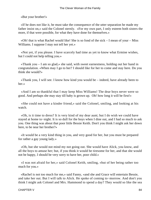«But your brother!»

 «If he does not like it, he must take the consequence of the utter separation he made my father insist on,» said the Colonel sternly. «For my own part, I only esteem both sisters the more, if that were possible, for what they have done for themselves.»

 «Oh! that is what Rachel would like! She is so fond of the sick – I mean of your – Miss Williams. I suppose I may not tell her yet.»

 «Not yet, if you please. I have scarcely had time as yet to know what Ermine wishes, but I could not help telling you.»

 «Thank you – I am so glad,» she said, with sweet earnestness, holding out her hand in congratulation. «When may I go to her? I should like for her to come and stay here. Do you think she would?»

 «Thank you, I will see. I know how kind you would be – indeed, have already been to her.»

 «And I am so thankful that I may keep Miss Williams! The dear boys never were so good. And perhaps she may stay till baby is grown up. Oh! how long it will be first!»

 «She could not have a kinder friend,» said the Colonel, smiling, and looking at his watch.

 «Oh, is it time to dress? It is very kind of my dear aunt; but I do wish we could have stayed at home to−night. It is so dull for the boys when I dine out, and I had so much to ask you. One thing was about that poor little Bessie Keith. Don't you think I might ask her down here, to be near her brother?»

 «It would be a very kind thing in you, and very good for her, but you must be prepared for rather a gay young lady.»

 «Oh, but she would not mind my not going out. She would have Alick, you know, and all the boys to amuse her; but, if you think it would be tiresome for her, and that she would not be happy, I should be very sorry to have her, poor child.»

 «I was not afraid for her,» said Colonel Keith, smiling, «but of her being rather too much for you.»

 «Rachel is not too much for me,» said Fanny, «and she and Grace will entertain Bessie, and take her out. But I will talk to Alick. He spoke of coming to−morrow. And don't you think I might ask Colonel and Mrs. Hammond to spend a day? They would so like the sea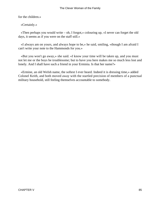for the children.»

«Certainly.»

 «Then perhaps you would write – oh, I forgot,» colouring up, «I never can forget the old days, it seems as if you were on the staff still.»

 «I always am on yours, and always hope to be,» he said, smiling, «though I am afraid I can't write your note to the Hammonds for you.»

 «But you won't go away,» she said. «I know your time will be taken up, and you must not let me or the boys be troublesome; but to have you here makes me so much less lost and lonely. And I shall have such a friend in your Erminia. Is that her name?»

 «Ermine, an old Welsh name, the softest I ever heard. Indeed it is dressing time,» added Colonel Keith, and both moved away with the startled precision of members of a punctual military household, still feeling themselves accountable to somebody.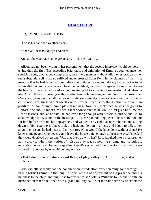## **[CHAPTER VI](#page-416-0)**

#### *E*RMINE'S **RESOLUTION**

"For as his hand the weather steers,

So thrive I best 'twixt joys and tears,

And all the year have some green ears." – H. VAUGHAN.

 Alison had not been wrong in her presentiment that the second interview would be more trying than the first. The exceeding brightness and animation of Ermine's countenance, her speaking eyes, unchanged complexion, and lively manner – above all, the restoration of her real substantial self – had so sufficed and engrossed Colin Keith in the gladness of their first meeting that he had failed to comprehend her helpless state; and already knowing her to be an invalid, not entirely recovered from her accident, he was only agreeably surprised to see the beauty of face he had loved so long, retaining all its vivacity of expression. And when he met Alison the next morning with a cordial brotherly greeting and inquiry for her sister, her «Very well,» and «not at all the worse for the excitement,» were so hearty and ready that he could not have guessed that «well» with Ermine meant something rather relative than positive. Alison brought him a playful message from her, that since he was not going to Belfast, she should meet him with a freer conscience if he would first give her time for Rose's lessons, and, as he said, he had lived long enough with Messrs. Conrade and Co. to acknowledge the wisdom of the message. But Rose had not long been at leisure to look out for him before he made his appearance, and walked in by right, as one at home; and sitting down in his yesterday's place, took the little maiden on his knee, and began to talk to her about the lessons he had been told to wait for. What would she have done without them? He knew some people who never could leave the house quiet enough to hear one's−self speak if they were deprived of lessons. Was that the way with her? Rose laughed like a creature, her aunt said, «to whom the notion of noise at play was something strange and ridiculous; necessity has reduced her to Jacqueline Pascal's system with her pensionnaires, who were allowed to play one by one without any noise.»

 «But I don't play all alone,» said Rose; «I play with you, Aunt Ermine, and with Violetta.»

 And Violetta speedily had the honour of an introduction, very solemnly gone through, in due form; Ermine, in the languid sportiveness of enjoyment of his presence and his kindness to the child, inciting Rose to present Miss Violetta Williams to Colonel Keith, an introduction that he returned with a grand military salute, at the same time as he shook the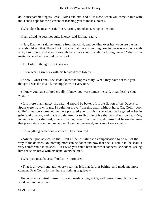doll's inseparable fingers. «Well, Miss Violetta, and Miss Rose, when you come to live with me, I shall hope for the pleasure of teaching you to make a noise.»

«What does he mean?» said Rose, turning round amazed upon her aunt.

«I am afraid he does not quite know,» said Ermine, sadly.

 «Nay, Ermine,» said he, turning from the child, and bending over her, «you are the last who should say that. Have I not told you that there is nothing now in our way – no one with a right to object, and means enough for all we should wish, including her  $-$  ? What is the matter?» he added, startled by her look.

«Ah, Colin! I thought you knew  $-\infty$ 

«Knew what, Ermine?» with his brows drawn together.

 «Knew – what I am,» she said; «knew the impossibility. What, they have not told you? I thought I was the invalid, the cripple, with every one.»

 «I knew you had suffered cruelly; I knew you were lame,» he said, breathlessly; «but – what  $-$  »

 «It is more than lame,» she said. «I should be better off if the fiction of the Queens of Spain were truth with me. I could not move from this chair without help. Oh, Colin! poor Colin! it was very cruel not to have prepared you for this!» she added, as he gazed at her in grief and dismay, and made a vain attempt to find the voice that would not come. «Yes, indeed it is so,» she said; «the explosion, rather than the fire, did mischief below the knee that poor nature could not repair, and I can but just stand, and cannot walk at all.»

«Has anything been done – advice?» he murmured.

 «Advice upon advice, so that I felt at the last almost a compensation to be out of the way of the doctors. No, nothing more can be done; and now that one is used to it, the snail is very comfortable in its shell. But I wish you could have known it sooner!» she added, seeing him shade his brow with his hand, overwhelmed.

«What you must have suffered!» he murmured.

 «That is all over long ago; every year has left that further behind, and made me more content. Dear Colin, for me there is nothing to grieve.»

 He could not control himself, rose up, made a long stride, and passed through the open window into the garden.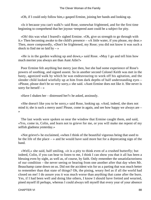«Oh, if I could only follow him,» gasped Ermine, joining her hands and looking up.

 «Is it because you can't walk?» said Rose, somewhat frightened, and for the first time beginning to comprehend that her joyous−tempered aunt could be a subject for pity.

 «Oh! this was what I feared!» sighed Ermine. «Oh, give us strength to go through with it.» Then becoming awake to the child's presence – «A little water, if you please, my dear.» Then, more composedly, «Don't be frightened, my Rose; you did not know it was such a shock to find me so laid by  $-\infty$ 

 «He is in the garden walking up and down,» said Rose. «May I go and tell him how much merrier you always are than Aunt Ailie?»

 Poor Ermine felt anything but merry just then, but she had some experience of Rose's powers of soothing, and signed assent. So in another second Colonel Keith was met in the hasty, agonized walk by which he was endeavouring to work off his agitation, and the slender child looked wistfully up at him from dark depths of half understanding eyes – «Please, please don't be so very sorry,» she said. «Aunt Ermine does not like it. She never is sorry for herself  $-$  »

«Have I shaken her – distressed her?» he asked, anxiously.

 «She doesn't like you to be sorry,» said Rose, looking up. «And, indeed, she does not mind it; she is such a merry aunt! Please, come in again, and see how happy we always are – »

 The last words were spoken so near the window that Ermine caught them, and said, «Yes, come in, Colin, and learn not to grieve for me, or you will make me repent of my selfish gladness yesterday.»

 «Not grieve!» he exclaimed, «when I think of the beautiful vigorous being that used to be the life of the place – » and he would have said more but for a deprecating sign of the hand.

 «Well,» she said, half smiling, «it is a pity to think even of a crushed butterfly; but indeed, Colin, if you can bear to listen to me, I think I can show you that it all has been a blessing even by sight, as well as, of course, by faith. Only remember the unsatisfactoriness of our condition – the never seeing or hearing from one another after that day when Mr. Beauchamp came down on us. Did not the accident win for us a parting that was much better to remember than that state of things? Oh, the pining, weary feel as if all the world had closed on me! I do assure you it was much worse than anything that came after the burn. Yes, if I had been well and doing like others, I know I should have fretted and wearied, pined myself ill perhaps, whereas I could always tell myself that every year of your absence

CHAPTER VI 88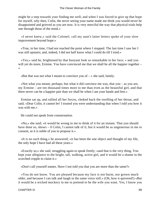might be a step towards your finding me well; and when I was forced to give up that hope for myself, why then, Colin, the never seeing your name made me think you would never be disappointed and grieved as you are now. It is very merciful the way that physical trials help one through those of the mind.»

 «I never knew,» said the Colonel; «all my aunt's latter letters spoke of your slow improvement beyond hope.»

 «True, in her time, I had not reached the point where I stopped. The last time I saw her I was still upstairs; and, indeed, I did not half know what I could do till I tried.»

 «Yes,» said he, brightened by that buoyant look so remarkable in her face; « and you will yet do more, Ermine. You have convinced me that we shall be all the happier together – »

«But that was not what I meant to convince you of  $-\infty$  she said, faintly.

«Not what you meant, perhaps; but what it did convince me was, that you – as you are, my Ermine – are ten thousand times more to me than even as the beautiful girl, and that there never can be a happier pair than we shall be when I am your hands and feet.»

 Ermine sat up, and rallied all her forces, choked back the swelling of her throat, and said, «Dear Colin, it cannot be! I trusted you were understanding that when I told you how it was with me.»

He could not speak from consternation.

 «No,» she said; «it would be wrong in me to think of it for an instant. That you should have done so, shows – 0 Colin, I cannot talk of it; but it would be as ungenerous in me to consent, as it is noble of you to propose it.»

 «It is no such thing,» he answered; «it has been the one object and thought of my life, the only hope I have had all these years.»

 «Exactly so,» she said, struggling again to speak firmly; «and that is the very thing. You kept your allegiance to the bright, tall, walking, active girl, and it would be a shame in the scorched cripple to claim it.»

«Don't call yourself names. Have I not told you that you are more than the same?»

 «You do not know. You are pleased because my face is not burnt, nor grown much older, and because I can talk and laugh in the same voice still.» (Oh, how it quivered!) «But it would be a wicked mockery in me to pretend to be the wife you want. Yes, I know you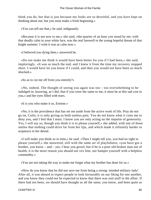think you do, but that is just because my looks are so deceitful, and you have kept on thinking about me; but you must make a fresh beginning.»

«You can tell me that,» he said, indignantly.

 «Because it is not new to me,» she said; «the quarter of an hour you stood by me, with that deadly calm in your white face, was the real farewell to the young hopeful dream of that bright summer. I wish it was as calm now.»

«I believed you dying then,» answered he.

 «Do not make me think it would have been better for you if I had been,» she said, imploringly. «It was as much the end, and I knew it from the time my recovery stopped short. I would have let you know if I could, and then you would not have been so much shocked.»

«So as to cut me off from you entirely?»

 «No, indeed. The thought of seeing you again was too – too overwhelming to be indulged in; knowing, as I did, that if you were the same to me, it must be at this sad cost to you,» and her eyes filled with tears.

«It is you who make it so, Ermine.»

 «No; it is the providence that has set me aside from the active work of life. Pray do not go on, Colin, it is only giving us both useless pain. You do not know what it costs me to deny you, and I feel that I must. I know you are only acting on the impulse of generosity. Yes, I will say so, though you think it is to please yourself,» she added, with one of those smiles that nothing could drive far from her lips, and which made it infinitely harder to acquiesce in her denial.

 «I will make you think so in time,» he said. «Then I might tell you, you had no right to please yourself,» she answered, still with the same air of playfulness; «you have got a brother, you know – and – yes, I hear you growl; but if he is a poor old broken man out of health, it is the more reason you should not vex him, nor hamper yourself with a helpless commodity.»

«You are not taking the way to make me forget what my brother has done for us.»

 «How do you know that he did not save me from being a strong−minded military lady! After all, it was absurd to expect people to look favourably on our liking for one another, and you know they could not be expected to know that there was real stuff in the affair. If there had not been, we should have thought so all the same, you know, and been quite as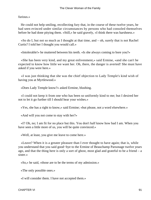furious.»

 He could not help smiling, recollecting fury that, in the course of these twelve years, he had seen evinced under similar circumstances by persons who had consoled themselves before he had done pitying them. «Still,» he said gravely, «I think there was harshness.»

«So do I, but not so much as I thought at that time, and  $-$  oh, surely that is not Rachel Curtis? I told her I thought you would call.»

«Intolerable!» he muttered between his teeth. «Is she always coming to bore you?»

 «She has been very kind, and my great enlivenment,» said Ermine, «and she can't be expected to know how little we want her. Oh, there, the danger is averted! She must have asked if you were here.»

 «I was just thinking that she was the chief objection to Lady Temple's kind wish of having you at Myrtlewood.»

«Does Lady Temple know?» asked Ermine, blushing.

 «I could not keep it from one who has been so uniformly kind to me; but I desired her not to let it go further till I should hear your wishes.»

«Yes, she has a right to know,» said Ermine; «but please, not a word elsewhere.»

«And will you not come to stay with her?»

 «I? Oh, no; I am fit for no place but this. You don't half know how bad I am. When you have seen a little more of us, you will be quite convinced.»

«Well, at least, you give me leave to come here.»

 «Leave? When it is a greater pleasure than I ever thought to have again; that is, while you understand that you said good−bye to the Ermine of Beauchamp Parsonage twelve years ago, and that the thing here is only a sort of ghost, most glad and grateful to be a friend – a sister.»

«So,» he said, «those are to be the terms of my admission.»

«The only possible ones.»

«I will consider them. I have not accepted them.»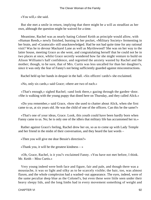«You will,» she said.

 But she met a smile in return, implying that there might be a will as steadfast as her own, although the question might be waived for a time.

 Meantime, Rachel was as nearly hating Colonel Keith as principle would allow, with «Human Reeds,» newly finished, burning in her pocket, «Military Society» fermenting in her brain, and «Curatocult» still unacknowledged. Had he not had quite time for any rational visit? Was he to devour Mackarel Lane as well as Myrtlewood? She was on her way to the latter house, meeting Grace as she went, and congratulating herself that he could not be in two places at once, whilst Grace secretly wondered how far she might venture to build on Alison Williams's half confidence, and regretted the anxiety wasted by Rachel and the mother; though, to be sure, that of Mrs. Curtis was less uncalled for than her daughter's, since it was only the fear of Fanny's not being sufficiently guarded against misconstructions.

Rachel held up her hands in despair in the hall. «Six officers' cards!» she exclaimed.

«No, only six cards,» said Grace; «there are two of each.»

 «That's enough,» sighed Rachel; «and look there,» gazing through the garden−door. «She is walking with the young puppy that dined here on Thursday, and they called Alick.»

 «Do you remember,» said Grace, «how she used to chatter about Alick, when she first came to us, at six years old. He was the child of one of the officers. Can this be the same?»

 «That's one of your ideas, Grace. Look, this youth could have been hardly born when Fanny came to us. No; he is only one of the idlers that military life has accustomed her to.»

 Rather against Grace's feeling, Rachel drew her on, so as to come up with Lady Temple and her friend in the midst of their conversation, and they heard the last words –

«Then you will give me dear Bessie's direction?»

«Thank you, it will be the greatest kindness  $-\infty$ 

 «Oh, Grace, Rachel, is it you?» exclaimed Fanny. «You have not met before, I think. Mr. Keith – Miss Curtis.»

 Very young indeed were both face and figure, fair and pale, and though there was a moustache, it was so light and silky as to be scarcely visible; the hair, too, was almost flaxen, and the whole complexion had a washed−out appearance. The eyes, indeed, were of the same peculiar deep blue as the Colonel's, but even these were little seen under their heavy sleepy lids, and the long limbs had in every movement something of weight and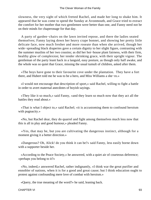slowness, the very sight of which fretted Rachel, and made her long to shake him. It appeared that he was come to spend the Sunday at Avonmouth, and Grace tried to extract the comfort for her mother that two gentlemen were better than one, and Fanny need not be on their minds for chaperonage for that day.

 A party of garden−chairs on the lawn invited repose, and there the ladies seated themselves; Fanny laying down her heavy crape bonnet, and showing her pretty little delicate face, now much fresher and more roseate than when she arrived, though her wide−spreading black draperies gave a certain dignity to her slight figure, contrasting with the summer muslins of her two cousins; as did her hot−house plant fairness, with their firm, healthy glow of complexion; her tender shrinking grace, with their upright vigour. The gentleman of the party leant hack in a languid, easy posture, as though only half awake, and the whole was so quiet that Grace, missing the usual tumult of children, asked after them.

 «The boys have gone to their favourite cove under the plantation. They have a fort there, and Hubert told me he was to be a hero, and Miss Williams a she−ro.»

 «I would not encourage that description of sport,» said Rachel, willing to fight a battle in order to avert maternal anecdotes of boyish sayings.

 «They like it so much,» said Fanny, «and they learn so much now that they act all the battles they read about.»

 «That is what I object to,» said Rachel; «it is accustoming them to confound heroism with pugnacity.»

 «No, but Rachel dear, they do quarrel and fight among themselves much less now that this is all in play and good humour,» pleaded Fanny.

 «Yes, that may be, but you are cultivating the dangerous instinct, although for a moment giving it a better direction.»

 «Dangerous? Oh, Alick! do you think it can be?» said Fanny, less easily borne down with a supporter beside her.

 «According to the Peace Society,» he answered, with a quiet air of courteous deference; «perhaps you belong to it?»

 «No, indeed,» answered Rachel, rather indignantly, «I think war the great purifier and ennobler of nations, when it is for a good and great cause; but I think education ought to protest against confounding mere love of combat with heroism.»

«Query, the true meaning of the word?» he said, leaning back.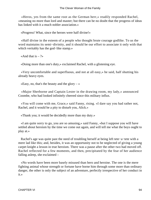«Heros, yes from the same root as the German herr,» readily responded Rachel, «meaning no more than lord and master; but there can be no doubt that the progress of ideas has linked with it a much nobler association.»

«Progress! What, since the heroes were half divine!»

 «Half divine in the esteem of a people who thought brute courage godlike. To us the word maintains its semi−divinity, and it should be our effort to associate it only with that which veritably has the god−like stamp.»

«And that is  $-$  ?»

«Doing more than one's duty,» exclaimed Rachel, with a glistening eye.

 «Very uncomfortable and superfluous, and not at all easy,» he said, half shutting his already heavy eyes.

«Easy, no, that's the beauty and the glory  $-\infty$ 

 «Major Sherborne and Captain Lester in the drawing room, my lady,» announced Coombe, who had looked infinitely cheered since this military influx.

 «You will come with me, Grace,» said Fanny, rising. «I dare say you had rather not, Rachel, and it would be a pity to disturb you, Alick.»

«Thank you; it would be decidedly more than my duty.»

 «I am quite sorry to go, you are so amusing,» said Fanny, «but I suppose you will have settled about heroism by the time we come out again, and will tell me what the boys ought to play at.»

 Rachel's age was quite past the need of troubling herself at being left tete−a−tete with a mere lad like this; and, besides, it was an opportunity not to be neglected of giving a young carpet knight a lesson in true heroism. There was a pause after the other two had moved off. Rachel reflected for a few moments, and then, precipitated by the fear of her audience falling asleep, she exclaimed –

 «No words have been more basely misused than hero and heroine. The one is the mere fighting animal whose strength or fortune have borne him through some more than ordinary danger, the other is only the subject of an adventure, perfectly irrespective of her conduct in it.»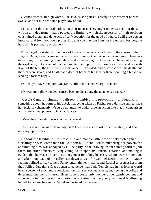«Bathos attends all high words,» he said, as she paused, chiefly to see whether he was awake, and not like her dumb playfellow of old.

 «This is not their natural bathos but their misuse. They ought to be reserved for those who in any department have passed the limits to which the necessity of their position constrained them, and done acts of self−devotion for the good of others. I will give you an instance, and from your own profession, that you may see I am not prejudiced, besides, the hero of it is past praise or blame.»

 Encouraged by seeing a little more of his eyes, she went on. «It was in the course of the siege of Delhi, a shell came into a tent where some sick and wounded were lying. There was one young officer among them who could move enough to have had a chance of escaping the explosion, but instead of that he took the shell up, its fuse burning as it was, and ran with it out of the tent, then hurled it to a distance. It exploded, and of course was his death, but the rest were saved, and I call that a deed of heroism far greater than mounting a breach or leading a forlorn hope.»

«Killed, you say?» inquired Mr. Keith, still in the same lethargic manner.

«Oh yes, mortally wounded: carried back to die among the men he had saved.»

 «Jessie Cameron singing his dirge,» mumbled this provoking individual, with something about the form of his cheek that being taken by Rachel for a derisive smile, made her exclaim vehemently, «You do not mean to undervalue an action like that in comparison with mere animal pugnacity in an advance.»

«More than one's duty was your test,» he said.

 «And was not this more than duty? Ah! I see yours is a spirit of depreciation, and I can only say I pity you.»

 He took the trouble to lift himself up and make a little bow of acknowledgment. Certainly he was worse than the Colonel; but Rachel, while mustering her powers for annihilating him, was annoyed by all the party in the drawing−room coming forth to join them, the other officers rallying young Keith upon his luxurious station, and making it evident that he was a proverb in the regiment for taking his ease. Chairs were brought out, and afternoon tea, and the callers sat down to wait for Colonel Keith to come in; Grace feeling obliged to stay to help Fanny entertain her visitors, and Rachel to protect her from their follies. One thing Grace began to perceive, that Lady Temple had in her former world been a person of much more consideration than she was made here, and seeing the polite and deferential manner of these officers to her, could only wonder at her gentle content and submission in meeting with no particular attention from anybody, and meekly allowing herself to be browbeaten by Rachel and lectured by her aunt.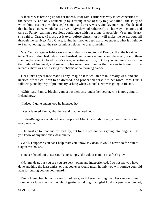A lecture was brewing up for her indeed. Poor Mrs. Curtis was very much concerned at the necessity, and only spurred up by a strong sense of duty to give a hint – the study of which hint cost her a whole sleepless night and a very weary Sunday morning. She decided that her best course would be to drive to Myrtlewood rather early on her way to church, and take up Fanny, gaining a previous conference with her alone, if possible. «Yes, my dear,» she said to Grace, «I must get it over before church, or it will make me so nervous all through the service.» And Grace, loving her mother best, durst not suggest what it might do to Fanny, hoping that the service might help her to digest the hint.

 Mrs. Curtis's regular habits were a good deal shocked to find Fanny still at the breakfast table. The children had indeed long finished, and were scattered about the room, one of them standing between Colonel Keith's knees, repeating a hymn; but the younger guest was still in the midst of his meal, and owned in his usual cool manner that he was to blame for the lateness, there was no resisting the charms of no morning parade.

 Her aunt's appearance made Fanny imagine it much later than it really was, and she hurried off the children to be dressed, and proceeded herself to her room, Mrs. Curtis following, and by way of preliminary, asking when Colonel Keith was going to Ireland.

 «Oh!» said Fanny, blushing most suspiciously under her secret, «he is not going to Ireland now.»

«Indeed! I quite understood he intended it.»

«Yes,» faltered Fanny, «but he found that he need not.»

 «Indeed!» again ejaculated poor perplexed Mrs. Curtis; «but then, at least, he is going away soon.»

 «He must go to Scotland by−and−by, but for the present he is going into lodgings. Do you know of any nice ones, dear aunt?»

 «Well, I suppose you can't help that; you know, my dear, it would never do for him to stay in this house.»

«I never thought of that,» said Fanny simply, the colour coming in a fresh glow.

 «No, my dear, but you see you are very young and inexperienced. I do not say you have done anything the least amiss, or that you ever would mean it, only you will forgive your old aunt for putting you on your guard.»

 Fanny kissed her, but with eyes full of tears, and cheeks burning, then her candour drew from her – «It was he that thought of getting a lodging. I am glad I did not persuade him not;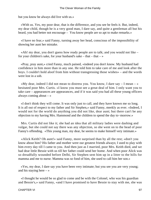but you know he always did live with us.»

 «With us. Yes, my poor dear, that is the difference, and you see he feels it. But, indeed, my dear child, though he is a very good man, I dare say, and quite a gentleman all but his beard, you had better not encourage – You know people are so apt to make remarks.»

 «I have no fear,» said Fanny, turning away her head, conscious of the impossibility of showing her aunt her mistake.

 «Ah! my dear, you don't guess how ready people are to talk; and you would not like – for your children's sake, for your husband's sake – that – that – »

 «Pray, pray aunt,» cried Fanny, much pained, «indeed you don't know. My husband had confidence in him more than in any one. He told him to take care of me and look after the boys. I couldn't hold aloof from him without transgressing those wishes» – and the words were lost in a sob.

«My dear, indeed I did not mean to distress you. You know, I dare say  $- I$  mean  $- \rightarrow$ hesitated poor Mrs. Curtis. «I know you must see a great deal of him. I only want you to take care – appearances are appearances, and if it was said you had all these young officers always coming about  $-\infty$ 

 «I don't think they will come. It was only just to call, and they have known me so long. It is all out of respect to my father and Sir Stephen,» said Fanny, meekly as ever. «Indeed, I would not for the world do anything you did not like, dear aunt; but there can't be any objection to my having Mrs. Hammond and the children to spend the day to−morrow.»

 Mrs. Curtis did not like it; she had an idea that all military ladies were dashing and vulgar, but she could not say there was any objection, so she went on to the head of poor Fanny's offending. «This young man, my dear, he seems to make himself very intimate.»

 «Alick Keith? Oh aunt!» said Fanny, more surprised than by all the rest; «don't you know about him? His father and mother were our greatest friends always; I used to play with him every day till I came to you. And then just as I married, poor Mrs. Keith died, and we had dear little Bessie with us till her father could send her home. And when poor Alick was so dreadfully wounded before Delhi, Sir Stephen sent him up in a litter to the hills for mamma and me to nurse. Mamma was so fond of him, she used to call him her son.»

 «Yes, my dear, I dare say you have been very intimate; but you see you are very young; and his staying here  $-\infty$ 

 «I thought he would be so glad to come and be with the Colonel, who was his guardian and Bessie's,» said Fanny, «and I have promised to have Bessie to stay with me, she was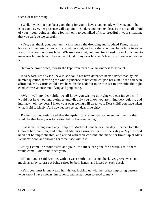such a dear little thing  $-\infty$ 

 «Well, my dear, it may be a good thing for you to have a young lady with you, and if he is to come over, her presence will explain it. Understand me, my dear, I am not at all afraid of your – your doing anything foolish, only to get talked of is so dreadful in your situation, that you can't be too careful.»

 «Yes, yes, thank you, dear aunt,» murmured the drooping and subdued Fanny, aware how much the remonstrance must cost her aunt, and sure that she must be in fault in some way, if she could only see how. «Please, dear aunt, help me, for indeed I don't know how to manage – tell me how to be civil and kind to my dear husband's friends without – without – »

Her voice broke down, though she kept from tears as an unkindness to her aunt.

 In very fact, little as she knew it, she could not have defended herself better than by this humble question, throwing the whole guidance of her conduct upon her aunt. If she had been affronted, Mrs. Curtis could have been displeased; but to be thus set to prescribe the right conduct, was at once mollifying and perplexing.

 «Well, well, my dear child, we all know you wish to do right; you can judge best. I would not have you ungrateful or uncivil, only you know you are living very quietly, and intimacy – oh! my dear, I know your own feeling will direct you. Dear child! you have taken what I said so kindly. And now let me see that dear little girl.»

 Rachel had not anticipated that the upshot of a remonstrance, even from her mother, would be that Fanny was to be directed by her own feeling!

 That same feeling took Lady Temple to Mackarel Lane later in the day. She had told the Colonel her intention, and obtained Alison's assurance that Ermine's stay at Myrtlewood need not be impracticable, and armed with their consent, she made her timid tap at Miss Williams' door, and showed her sweet face within it.

 «May I come in? Your sister and your little niece are gone for a walk. I told them I would come! I did want to see you!»

 «Thank you,» said Ermine, with a sweet smile, colouring cheek, yet grave eyes, and much taken by surprise at being seized by both hands, and kissed on each cheek.

 «Yes, you must let me,» said her visitor, looking up with her pretty imploring gesture, «you know I have known him so long, and he has been so good to me!»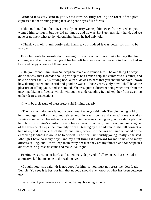«Indeed it is very kind in you,» said Ermine, fully feeling the force of the plea expressed in the winning young face and gentle eyes full of tears.

 «Oh, no, I could not help it. I am only so sorry we kept him away from you when you wanted him so much; but we did not know, and he was Sir Stephen's right hand, and we none of us knew what to do without him; but if he had only told  $-\infty$ 

 «Thank you, oh, thank you!» said Ermine, «but indeed it was better for him to be away.»

 Even her wish to console that pleading little widow could not make her say that his coming would not have been good for her. «It has been such a pleasure to hear he had so kind and happy a home all these years.»

 «Oh, you cannot think how Sir Stephen loved and valued him. The one thing I always did wish was, that Conrade should grow up to be as much help and comfort to his father, and now he never can! But,» driving back a tear, «it was so hard that you should not have known how distinguished and useful and good he was all those years. Only now I shall have the pleasure of telling you,» and she smiled. She was quite a different being when free from the unsympathizing influence which, without her understanding it, had kept her from dwelling on her dearest associations.

«It will be a pleasure of pleasures,» said Ermine, eagerly.

 «Then you will do me a favour, a very great favour,» said Lady Temple, laying hold of her hand again, «if you and your sister and niece will come and stay with me.» And as Ermine commenced her refusal, she went on in the same coaxing way, with a description of her plans for Ermine's comfort, giving her two rooms on the ground floor, and assuring her of the absence of steps, the immunity from all teasing by the children, of the full consent of her sister, and the wishes of the Colonel, nay, when Ermine was still unpersuaded of the exceeding kindness it would be to herself. «You see I am terribly young, really,» she said, «though I have so many boys, and my aunt thinks it awkward for me to have so many officers calling, and I can't keep them away because they are my father's and Sir Stephen's old friends; so please do come and make it all right!»

 Ermine was driven so hard, and so entirely deprived of all excuse, that she had no alternative left but to come to the real motive.

 «I ought not,» she said, «it is not good for him, so you must not press me, dear Lady Temple. You see it is best for him that nobody should ever know of what has been between us.»

«What! don't you mean – ?» exclaimed Fanny, breaking short off.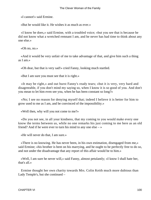«I cannot!» said Ermine.

«But he would like it. He wishes it as much as ever.»

 «I know he does,» said Ermine, with a troubled voice; «but you see that is because he did not know what a wretched remnant I am, and he never has had time to think about any one else.»

«Oh no, no.»

 «And it would be very unfair of me to take advantage of that, and give him such a thing as I am.»

«Oh dear, but that is very sad!» cried Fanny, looking much startled.

«But I am sure you must see that it is right.»

 «It may be right,» and out burst Fanny's ready tears; «but it is very, very hard and disagreeable, if you don't mind my saying so, when I know it is so good of you. And don't you mean to let him even see you, when he has been constant so long?»

 «No; I see no reason for denying myself that; indeed I believe it is better for him to grow used to me as I am, and be convinced of the impossibility.»

«Well then, why will you not come to me?»

 «Do you not see, in all your kindness, that my coming to you would make every one know the terms between us, while no one remarks his just coming to me here as an old friend? And if he were ever to turn his mind to any one else  $-\infty$ 

«He will never do that, I am sure.»

 «There is no knowing. He has never been, in his own estimation, disengaged from me,» said Ermine; «his brother is bent on his marrying, and he ought to be perfectly free to do so, and not under the disadvantage that any report of this affair would be to him.»

 «Well, I am sure he never will,» said Fanny, almost petulantly; «I know I shall hate her, that's all.»

 Ermine thought her own charity towards Mrs. Colin Keith much more dubious than Lady Temple's, but she continued –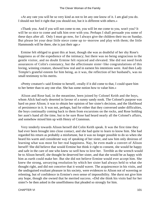«At any rate you will be so very kind as not to let any one know of it. I am glad you do. I should not feel it right that you should not, but it is different with others.»

 «Thank you. And if you will not come to me, you will let me come to you, won't you? It will be so nice to come and talk him over with you. Perhaps I shall persuade you some of these days after all. Only I must go now, for I always give the children their tea on Sunday. But please let your dear little niece come up to−morrow and play with them; the little Hammonds will be there, she is just their age.»

 Ermine felt obliged to grant this at least, though she was as doubtful of her shy Rose's happiness as of the expedience of the intimacy; but there was no being ungracious to the gentle visitor, and no doubt Ermine felt rejoiced and elevated. She did not need fresh assurances of Colin's constancy, but the affectionate sister−like congratulations of this loving, winning creature, showed how real and in earnest his intentions were. And then Lady Temple's grateful esteem for him being, as it was, the reflection of her husband's, was no small testimony to his merits.

 «Pretty creature!» said Ermine to herself, «really if it did come to that, I could spare him to her better than to any one else. She has some notion how to value him.»

 Alison and Rose had, in the meantime, been joined by Colonel Keith and the boys, whom Alick had early deserted in favour of a sunny sandy nook. The Colonel's purpose was hard on poor Alison; it was to obtain her opinion of her sister's decision, and the likelihood of persistence in it. It was not, perhaps, bad for either that they conversed under difficulties, the boys continually coming back to them from excursions on the rocks, and Rose holding her aunt's hand all the time, but to be sure Rose had heard nearly all the Colonel's affairs, and somehow mixed him up with Henry of Cranstoun.

 Very tenderly towards Alison herself did Colin Keith speak. It was the first time they had ever been brought into close contact, and she had quite to learn to know him. She had regarded his return as probably a misfortune, but it was no longer possible to do so when she heard his warm and considerate way of speaking of her sister, and saw him only desirous of learning what was most for her real happiness. Nay, he even made a convert of Alison herself! She did believe that would Ermine but think it right to consent, she would be happy and safe in the care of one who knew so well how to love her. Terrible as the wrench would be to Alison herself, she thought he deserved her sister, and that she would be as happy with him as earth could make her. But she did not believe Ermine would ever accept him. She knew the strong, unvarying resolution by which her sister had always held to what she thought right, and did not conceive that it would waver. The acquiescence in his visits, and the undisguised exultant pleasure in his society, were evidences to Alison not of wavering or relenting, but of confidence in Ermine's own sense of impossibility. She durst not give him any hope, though she owned that he merited success. «Did she think his visits bad for her sister?» he then asked in the unselfishness that pleaded so strongly for him.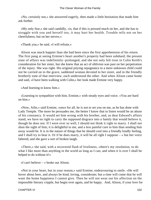«No, certainly not,» she answered eagerly, then made a little hesitation that made him ask further.

 «My only fear,» she said candidly, «is, that if this is pressed much on her, and she has to struggle with you and herself too, it may hurt her health. Trouble tells not on her cheerfulness, but on her nerves.»

«Thank you,» he said, «I will refrain.»

 Alison was much happier than she had been since the first apprehension of his return. The first pang at seeing Ermine's heart another's property had been subdued; the present state of affairs was indefinitely−prolonged, and she not only felt trust in Colin Keith's consideration for her sister, but she knew that an act of oblivion was past on her perpetration of the injury. She was right. His original pitying repugnance to a mere unknown child could not be carried on to the grave, saddened woman devoted to her sister, and in the friendly brotherly tone of that interview, each understood the other. And when Alison came home and said, «I have been walking with Colin,» her look made Ermine very happy.

«And learning to know him.»

 «Learning to sympathize with him, Ermine,» with steady eyes and voice. «You are hard on him.»

 «Now, Ailie,» said Ermine, «once for all, he is not to set you on me, as he has done with Lady Temple. The more he persuades me, the better I know that to listen would be an abuse of his constancy. It would set him wrong with his brother, and, as dear Edward's affairs stand, we have no right to carry the supposed disgrace into a family that would believe it, though he does not. If I were ever so well, I should not think it right to marry. I shall not shun the sight of him; it is delightful to me, and a less painful cure to him than sending him away would be. It is in the nature of things that he should cool into a friendly kindly feeling, and I shall try to bear it. Or if he does marry, it will be all right I suppose  $-\infty$  but her voice faltered, and she gave a sort of broken laugh.

 «There,» she said, with a recovered flash of liveliness, «there's my resolution, to do what I like more than anything in the world as long as I can; and when it is over I shall be helped to do without it!»

«I can't believe – » broke out Alison.

 «Not in your heart, but in your reason,» said Ermine, endeavouring to smile. «He will hover about here, and always be kind, loving, considerate; but a time will come that he will want the home happiness I cannot give. Then he will not wear out his affection on the impossible literary cripple, but begin over again, and be happy. And, Alison, if your love for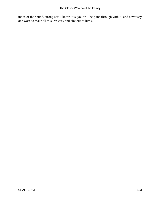me is of the sound, strong sort I know it is, you will help me through with it, and never say one word to make all this less easy and obvious to him.»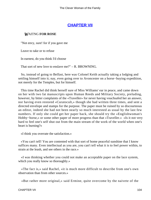# **[CHAPTER VII](#page-416-0)**

### *W*AITNG **FOR ROSE**

"Not envy, sure! for if you gave me

Leave to take or to refuse

In earnest, do you think I'd choose

That sort of new love to enslave me?" – R. BROWNING.

 So, instead of going to Belfast, here was Colonel Keith actually taking a lodging and settling himself into it; nay, even going over to Avoncester on a horse−buying expedition, not merely for the Temples, but for himself.

 This time Rachel did think herself sure of Miss Williams' ear in peace, and came down on her with two fat manuscripts upon Human Reeds and Military Society, preluding, however, by bitter complaints of the «Traveller» for never having vouchsafed her an answer, nor having even restored «Curatocult,» though she had written three times, and sent a directed envelope and stamps for the purpose. The paper must be ruined by so discourteous an editor, indeed she had not been nearly so much interested as usual by the last few numbers. If only she could get her paper back, she should try the «Englishwoman's Hobby−horse,» or some other paper of more progress than that «Traveller.» «Is it not very hard to feel one's self shut out from the main stream of the work of the world when one's heart is burning?»

«I think you overrate the satisfaction.»

 «You can't tell! You are contented with that sort of home peaceful sunshine that I know suffices many. Even intellectual as you are, you can't tell what it is to feel power within, to strain at the leash, and see others in the race.»

 «I was thinking whether you could not make an acceptable paper on the lace system, which you really know so thoroughly.»

 «The fact is,» said Rachel, «it is much more difficult to describe from one's own observation than from other sources.»

«But rather more original,» said Ermine, quite overcome by the naivete of the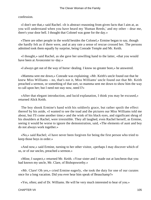confession.

 «I don't see that,» said Rachel. «It is abstract reasoning from given facts that I aim at, as you will understand when you have heard my 'Human Reeds,' and my other – dear me, there's your door bell. I thought that Colonel was gone for the day.»

 «There are other people in the world besides the Colonel,» Ermine began to say, though she hardly felt as if there were, and at any rate a sense of rescue crossed her. The persons admitted took them equally by surprise, being Conrade Temple and Mr. Keith.

 «I thought,» said Rachel, as she gave her unwilling hand to the latter, «that you would have been at Avoncester to−day.»

«I always get out of the way of horse−dealing. I know no greater bore,» he answered.

 «Mamma sent me down,» Conrade was explaining; «Mr. Keith's uncle found out that he knew Miss Williams – no, that's not it, Miss Williams' uncle found out that Mr. Keith preached a sermon, or something of that sort, so mamma sent me down to show him the way to call upon her; but I need not stay now, need I?»

 «After that elegant introduction, and lucid explanation, I think you may be excused,» returned Alick Keith.

 The boy shook Ermine's hand with his soldierly grace, but rather spoilt the effect thereof by his aside, «I wanted to see the toad and the pictures our Miss Williams told me about, but I'll come another time;» and the wink of his black eyes, and significant shrug of his shoulders at Rachel, were irresistible. They all laughed, even Rachel herself, as Ermine, seeing it would be worse to ignore the demonstration, said, «The elements of aunt and boy do not always work together.»

 «No,» said Rachel; «I have never been forgiven for being the first person who tried to keep those boys in order.»

 «And now,» said Ermine, turning to her other visitor, «perhaps I may discover which of us, or of our uncles, preached a sermon.»

 «Mine, I suspect,» returned Mr. Keith. «Your sister and I made out at luncheon that you had known my uncle, Mr. Clare, of Bishopsworthy.»

 «Mr. Clare! Oh yes,» cried Ermine eagerly, «he took the duty for one of our curates once for a long vacation. Did you ever hear him speak of Beauchamp?»

«Yes, often; and of Dr. Williams. He will be very much interested to hear of you.»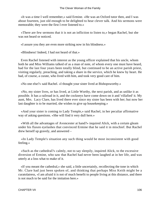«It was a time I well remember,» said Ermine. «He was an Oxford tutor then, and I was about fourteen, just old enough to be delighted to hear clever talk. And his sermons were memorable; they were the first I ever listened to.»

 «There are few sermons that it is not an infliction to listen to,» began Rachel, but she was not heard or noticed.

«I assure you they are even more striking now in his blindness.»

«Blindness! Indeed, I had not heard of that.»

 Even Rachel listened with interest as the young officer explained that his uncle, whom both he and Miss Williams talked of as a man of note, of whom every one must have heard, had for the last four years been totally blind, but continued to be an active parish priest, visiting regularly, preaching, and taking a share in the service, which he knew by heart. He had, of course, a curate, who lived with him, and took very good care of him.

«No one else?» said Rachel. «I thought your sister lived at Bishopsworthy.»

 «No, my sister lives, or has lived, at Little Worthy, the next parish, and as unlike it as possible. It has a railroad in it, and the cockneys have come down on it and 'villafied' it. My aunt, Mrs. Lacy Clare, has lived there ever since my sister has been with her; but now her last daughter is to be married, she wishes to give up housekeeping.»

 «And your sister is coming to Lady Temple,» said Rachel, in her peculiar affirmative way of asking questions. «She will find it very dull here.»

 «With all the advantages of Avoncester at hand?» inquired Alick, with a certain gleam under his flaxen eyelashes that convinced Ermine that he said it in mischief. But Rachel drew herself up gravely, and answered –

 «In Lady Temple's situation any such thing would be most inconsistent with good feeling.»

 «Such as the cathedral?» calmly, not to say sleepily, inquired Alick, to the excessive diversion of Ermine, who saw that Rachel had never been laughed at in her life, and was utterly at a loss what to make of it.

 «If you meant the cathedral,» she said, a little uncertainly, recollecting the tone in which Mr. Clare had just been spoken of, and thinking that perhaps Miss Keith might be a curatolatress, «I am afraid it is not of much benefit to people living at this distance, and there is not much to be said for the imitation here.»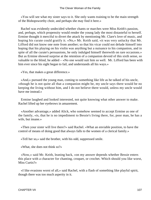«You will see what my sister says to it. She only wants training to be the main strength of the Bishopsworthy choir, and perhaps she may find it here.»

 Rachel was evidently undecided whether chants or marches were Miss Keith's passion, and, perhaps, which propensity would render the young lady the most distasteful to herself. Ermine thought it merciful to divert the attack by mentioning Mr. Clare's love of music, and hoping his curate could gratify it. «No,» Mr. Keith said, «it was very unlucky that Mr. Lifford did not know one note from another; so that his vicar could not delude himself into hoping that his playing on his violin was anything but a nuisance to his companion, and in spite of all the curate's persuasions, he only indulged himself therewith on rare occasions.» But as Ermine showed surprise at the retention of a companion devoid of this sixth sense, so valuable to the blind, he added – «No one would suit him so well. Mr. Lifford has been with him ever since his sight began to fail, and understands all his ways.»

«Yes, that makes a great difference.»

 «And,» pursued the young man, coming to something like life as he talked of his uncle, «though he is not quite all that a companion might be, my uncle says there would be no keeping the living without him, and I do not believe there would, unless my uncle would have me instead.»

 Ermine laughed and looked interested, not quite knowing what other answer to make. Rachel lifted up her eyebrows in amazement.

 «Another advantage,» added Alick, who somehow seemed to accept Ermine as one of the family, «is, that he is no impediment to Bessie's living there, for, poor man, he has a wife, but insane.»

 «Then your sister will live there?» said Rachel. «What an enviable position, to have the control of means of doing good that always falls to the women of a clerical family.»

«Tell her so,» said the brother, with his odd, suppressed smile.

«What, she does not think so?»

 «Now,» said Mr. Keith, leaning back, «on my answer depends whether Bessie enters this place with a character for chanting, croquet, or crochet. Which should you like worst, Miss Curtis?»

 «I like evasions worst of all,» said Rachel, with a flash of something like playful spirit, though there was too much asperity in it.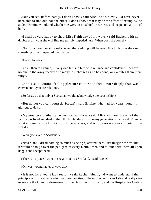«But you see, unfortunately, I don't know,» said Alick Keith, slowly. «I have never been able to find out, nor she either. I don't know what may be the effect of example,» he added. Ermine wondered whether he were in mischief or earnest, and suspected a little of both.

 «I shall be very happy to show Miss Keith any of my ways,» said Rachel, with no doubts at all; «but she will find me terribly impeded here. When does she come?»

 «Not for a month or six weeks, when the wedding will be over. It is high time she saw something of her respected guardian.»

«The Colonel?»

 «Yes,» then to Ermine, «Every one turns to him with reliance and confidence. I believe no one in the army received so many last charges as he has done, or executes them more fully.»

 «And,» said Ermine, feeling pleasure colour her cheek more deeply than was convenient, «you are relations.»

«So far away that only a Scotsman would acknowledge the cousinship.»

 «But do not you call yourself Scotch?» said Ermine, who had for years thought it glorious to do so.

 «My great grandfather came from Gowan−brae,» said Alick, «but our branch of the family has lived and died in the −th Highlanders for so many generations that we don't know what a home is out of it. Our birthplaces – yes, and our graves – are in all parts of the world.»

«Were you ever in Scotland?»

 «Never; and I dread nothing so much as being quartered there. Just imagine the trouble it would be to go over the pedigree of every Keith I met, and to dine with them all upon haggis and sheeps' head!»

«There's no place I want to see as much as Scotland,» said Rachel.

«Oh, yes! young ladies always do.»

 «It is not for a young lady reason,» said Rachel, bluntly. «I want to understand the principle of diffused education, as there practised. The only other places I should really care to see are the Grand Reformatory for the Destitute in Holland, and the Hospital for Cretins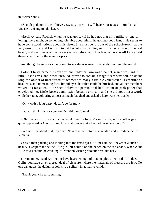## in Switzerland.»

 «Scotch pedants, Dutch thieves, Swiss goitres – I will bear your tastes in mind,» said Mr. Keith, rising to take leave.

 «Really,» said Rachel, when he was gone, «if he had not that silly military tone of joking, there might be something tolerable about him if he got into good hands. He seems to have some good notions about his sister. She must be just out of the school−room, at the very turn of life, and I will try to get her into my training and show her a little of the real beauty and usefulness of the career she has before her. How late he has stayed! I am afraid there is no time for the manuscripts.»

And though Ermine was too honest to say she was sorry, Rachel did not miss the regret.

 Colonel Keith came the next day, and under his arm was a parcel, which was laid in little Rose's arms, and, when unrolled, proved to contain a magnificent wax doll, no doubt long the object of unrequited attachment to many a little Avoncestrian, a creature of beauteous and unmeaning face, limpid eyes, hair that could be brushed, and all her members waxen, as far as could be seen below the provisional habiliment of pink paper that enveloped her. Little Rose's complexion became crimson, and she did not utter a word, while her aunt, colouring almost as much, laughed and asked where were her thanks.

«Oh!» with a long gasp, «it can't be for me!»

«Do you think it is for your aunt?» said the Colonel.

 «Oh, thank you! But such a beautiful creature for me!» said Rose, with another gasp, quite oppressed. «Aunt Ermine, how shall I ever make her clothes nice enough?»

 «We will see about that, my dear. Now take her into the verandah and introduce her to Violetta.»

 «Yes;» then pausing and looking into the fixed eyes, «Aunt Ermine, I never saw such a beauty, except that one the little girl left behind on the bench on the esplanade, when Aunt Ailie said I should he coveting if I went on wishing Violetta was like her.»

 «I remember,» said Ermine, «I have heard enough of that 'ne plus ultra' of doll! Indeed, Colin, you have given a great deal of pleasure, where the materials of pleasure are few. No one can guess the delight a doll is to a solitary imaginative child.»

«Thank you,» he said, smiling.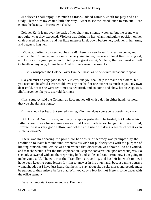«I believe I shall enjoy it as much as Rose,» added Ermine, «both for play and as a study. Please turn my chair a little this way, I want to see the introduction to Violetta. Here comes the beauty, in Rose's own cloak.»

 Colonel Keith leant over the back of her chair and silently watched, but the scene was not quite what they expected. Violetta was sitting in her «slantingdicular» position on her chair placed on a bench, and her little mistress knelt down before her, took her in her arms, and began to hug her.

 «Violetta, darling, you need not be afraid! There is a new beautiful creature come, and I shall call her Colinette, and we must be very kind to her, because Colonel Keith is so good, and knows your grandpapa; and to tell you a great secret, Violetta, that you must not tell Colinette or anybody, I think he is Aunt Ermine's own true knight.»

«Hush!» whispered the Colonel, over Ermine's head, as he perceived her about to speak.

 «So you must be very good to her, Violetta, and you shall help me make her clothes; but you need not be afraid I ever could love any one half or one quarter as much as you, my own dear child, not if she were ten times as beautiful, and so come and show her to Augustus. She'll never be like you, dear old darling.»

 «It is a study,» said the Colonel, as Rose moved off with a doll in either hand; «a moral that you should take home.»

Ermine shook her head, but smiled, saying, «Tell me, does your young cousin know – »

 «Alick Keith! Not from me, and Lady Temple is perfectly to be trusted; but I believe his father knew it was for no worse reason that I was made to exchange. But never mind, Ermine, he is a very good fellow, and what is the use of making a secret of what even Violetta knows?»

 There was no debating the point, for her desire of secrecy was prompted by the resolution to leave him unbound, whereas his wish for publicity was with the purpose of binding himself, and Ermine was determined that discussion was above all to be avoided, and that she would, after the first explanation, keep the conversation upon other subjects. So she only answered with another reproving look and smile, and said, «And now I am going to make you useful. The editor of the 'Traveller' is travelling, and has left his work to me. I have been keeping some letters for him to answer in his own hand, because mine betrays womanhood; but I have just heard that he is to stay about six weeks more, and people must be put out of their misery before that. Will you copy a few for me? Here is some paper with the office stamp.»

«What an important woman you are, Ermine.»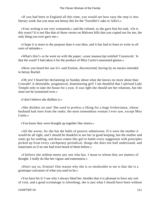«If you had been in England all this time, you would see how easy the step is into literary work; but you must not betray this for the 'Traveller's' sake or Ailie's.»

 «Your writing is not very womanish,» said the colonel, as she gave him his task. «Or is this yours? It is not like that of those verses on Malvern hills that you copied out for me, the only thing you ever gave me.»

 «I hope it is more to the purpose than it was then, and it has had to learn to write in all sorts of attitudes.»

 «What's this?» as he went on with the paper; «your manuscript entitled 'Curatocult.' Is that the word? I had taken it for the produce of Miss Curtis's unassisted genius.»

 «Have you heard her use it!» said Ermine, disconcerted, having by no means intended to betray Rachel.

 «Oh yes! I heard her declaiming on Sunday about what she knows no more about than Conrade! A detestable, pragmatical, domineering girl! I am thankful that I advised Lady Temple only to take the house for a year. It was right she should see her relations, but she must not be tyrannized over.»

«I don't believe she dislikes it.»

 «She dislikes no one! She used to profess a liking for a huge Irishwoman, whose husband had risen from the ranks; the most tremendous woman I ever saw, except Miss Curtis.»

«You know they were brought up together like sisters.»

 «All the worse, for she has the habit of passive submission. If it were the mother it would be all right, and I should be thankful to see her in good keeping, but the mother and sister go for nothing, and down comes this girl to battle every suggestion with principles picked up from every catchpenny periodical, things she does not half understand, and enunciates as if no one had even heard of them before.»

 «I believe she seldom meets any one who has. I mean to whom they are matters of thought. I really do like her vigour and eamestness.»

 «Don't say so, Ermine! One reason why she is so intolerable to me is that she is a grotesque caricature of what you used to be.»

 «You have hit it! I see why I always liked her, besides that it is pleasant to have any sort of visit, and a good scrimmage is refreshing; she is just what I should have been without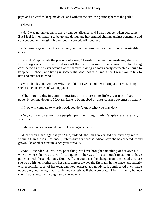papa and Edward to keep me down, and without the civilizing atmosphere at the park.»

«Never.»

 «No, I was not her equal in energy and beneficence, and I was younger when you came. But I feel for her longing to be up and doing, and her puzzled chafing against constraint and conventionality, though it breaks out in very odd effervescences.»

 «Extremely generous of you when you must be bored to death with her interminable talk.»

 «You don't appreciate the pleasure of variety! Besides, she really interests me, she is so full of vigorous crudities. I believe all that is unpleasing in her arises from her being considered as the clever woman of the family; having no man nearly connected enough to keep her in check, and living in society that does not fairly meet her. I want you to talk to her, and take her in hand.»

 «Me! Thank you, Ermine! Why, I could not even stand her talking about you, though she has the one grace of valuing you.»

 «Then you ought, in common gratitude, for there is no little greatness of soul in patiently coming down to Mackarel Lane to be snubbed by one's cousin's governess's sister.»

«If you will come up to Myrtlewood, you don't know what you may do.»

 «No, you are to set no more people upon me, though Lady Temple's eyes are very wistful.»

«I did not think you would have held out against her.»

 «Not when I had against you? No, indeed, though I never did see anybody more winning than she is in that meek, submissive gentleness! Alison says she has cheered up and grown like another creature since your arrival.»

 «And Alexander Keith's. Yes, poor thing, we have brought something of her own old world, where she was a sort of little queen in her way. It is too much to ask me to have patience with these relations, Ermine. If you could see the change from the petted creature she was with her mother and husband, almost always the first lady in the place, and latterly with a colonial court of her own, and now, ordered about, advised, domineered over, made nobody of, and taking it as meekly and sweetly as if she were grateful for it! I verily believe she is! But she certainly ought to come away.»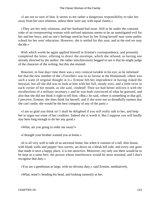«I am not so sure of that. It seems to me rather a dangerous responsibility to take her away from her own relations, unless there were any with equal claims.»

 «They are her only relations, and her husband had none. Still to be under the constant yoke of an overpowering woman with unfixed opinions seems to be an unmitigated evil for her and her boys; and no one's feelings need be hurt by her fixing herself near some public school for her sons' education. However, she is settled for this year, and at the end we may decide.»

 With which words he again applied himself to Ermine's correspondence, and presently completed the letter, offering to direct the envelope, which she refused, as having one already directed by the author. He rather mischievously begged to see it that he might judge of the character of the writing, but this she resisted.

 However, in four days' time there was a very comical twinkle in his eye, as he informed her that the new number of the «Traveller» was in no favour at the Homestead, «there was such a want of original thought in it.» Ermine felt her imprudence in having risked the betrayal, but all she did was to look at him with her full, steady eyes, and a little twist in each corner of her mouth, as she said, «Indeed! Then we had better enliven it with the recollections of a military secretary,» and he was both convinced of what he guessed, and also that she did not think it right to tell him; «But,» he said, «there is something in that girl, I perceive, Ermine; she does think for herself, and if she were not so dreadfully earnest that she can't smile, she would be the best company of any of the party.»

 «I am so glad you think so! I shall be delighted if you will really talk to her, and help her to argue out some of her crudities. Indeed she is worth it. But I suppose you will hardly stay here long enough to do her any good.»

«What, are you going to order me away?»

«I thought your brother wanted you at home.»

 «It is all very well to talk of an ancestral home, but when it consists of a tall, slim house, with blank walls and pepper−box turrets, set down on a bleak hill side, and every one gone that made it once a happy place, it is not attractive. Moreover, my only use there would be to be kept as a tame heir, the person whose interference would be most resented, and I don't recognise that duty.»

«You are a gentleman at large, with no obvious duty,» said Ermine, meditatively.

«What, none?» bending his head, and looking earnestly at her.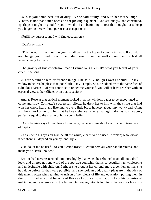«Oh, if you come here out of duty  $-\infty$  she said archly, and with her merry laugh. «There, is not that a nice occasion for picking a quarrel? And seriously,» she continued, «perhaps it might be good for you if we did. I am beginning to fear that I ought not to keep you lingering here without purpose or occupation.»

«Fulfil my purpose, and I will find occupation.»

«Don't say that.»

 «This once, Ermine. For one year I shall wait in the hope of convincing you. If you do not change, your mind in that time, I shall look for another staff appointment, to last till Rose is ready for me.»

 The gravity of this conclusion made Ermine laugh. «That's what you learnt of your chief,» she said.

 «There would be less difference in age,» he said. «Though I own I should like my widow to be less helpless than poor little Lady Temple. So,» he added, with the same face of ridiculous earnest, «if you continue to reject me yourself, you will at least rear her with an especial view to her efficiency in that capacity.»

 And as Rose at that critical moment looked in at the window, eager to be encouraged to come and show Colinette's successful toilette, he drew her to him with the smile that had won her whole heart, and listening to every little bit of honesty about «my work» and «Aunt Ermine's work,» he told her that he knew she was a very managing domestic character, perfectly equal to the charge of both young ladies.

 «Aunt Ermine says I must learn to manage, because some day I shall have to take care of papa.»

 «Yes,» with his eyes on Ermine all the while, «learn to be a useful woman; who knows if we shan't all depend on you by−and−by?»

 «Oh do let me be useful to you,» cried Rose; «I could hem all your handkerchiefs, and make you a kettle−holder.»

 Ermine had never esteemed him more highly than when he refrained from all but a droll look, and uttered not one word of the sportive courtship that is so peculiarly unwholesome and undesirable with children. Perhaps she thought her colonel more a gentleman than she had done before, if that were possible; and she took an odd, quaint pleasure in the idea of this match, often when talking to Alison of her views of life and education, putting them in the form of what would become of Rose as Lady Keith; and Colin kept his promise of making no more references to the future. On moving into his lodgings, the hour for his visits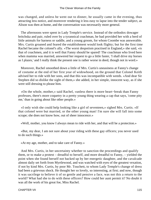was changed, and unless he went out to dinner, he usually came in the evening, thus attracting less notice, and moreover rendering it less easy to lapse into the tender subject, as Alison was then at home, and the conversation was necessarily more general.

 The afternoons were spent in Lady Temple's service. Instead of the orthodox dowager britchska and pair, ruled over by a tyrannical coachman, he had provided her with a herd of little animals for harness or saddle, and a young groom, for whom Coombe was answerable. Mrs. Curtis groaned and feared the establishment would look flighty; but for the first time Rachel became the colonel's ally. «The worst despotism practised in England,» she said, «is that of coachmen, and it is well that Fanny should be spared! The coachman who lived here when mamma was married, answered her request to go a little faster, 'I shall drive my horses as I plazes,' and I really think the present one is rather worse in deed, though not in word.»

 Moreover, Rachel smoothed down a little of Mrs. Curtis's uneasiness at Fanny's change of costume at the end of her first year of widowhood, on the ground that Colonel Keith advised her to ride with her sons, and that this was incompatible with weeds. «And dear Sir Stephen did so dislike the sight of them,» she added, in her simple, innocent way, as if she were still dressing to please him.

 «On the whole, mother,» said Rachel, «unless there is more heart−break than Fanny professes, there's more coquetry in a pretty young thing wearing a cap that says, 'come pity me,' than in going about like other people.»

 «I only wish she could help looking like a girl of seventeen,» sighed Mrs. Curtis. «If that colonel were but married, or the other young man! I'm sure she will fall into some scrape; she does not know how, out of sheer innocence.»

«Well, mother, you know I always mean to ride with her, and that will be a protection.»

 «But, my dear, I am not sure about your riding with these gay officers; you never used to do such things.»

«At my age, mother, and to take care of Fanny.»

 And Mrs. Curtis, in her uncertainty whether to sanction the proceedings and qualify them, or to make a protest – dreadful to herself, and more dreadful to Fanny, – yielded the point when she found herself not backed up by her energetic daughter, and the cavalcade almost daily set forth from Myrtlewood, and was watched with eyes of the greatest vexation, if not by kind Mrs. Curtis, by poor Mr. Touchett, to whom Lady Temple's change of dress had been a grievous shock. He thought her so lovely, so interesting, at first; and now, though it was sacrilege to believe it of so gentle and pensive a face, was not this a return to the world? What had she to do with these officers? How could her aunt permit it? No doubt it was all the work of his great foe, Miss Rachel.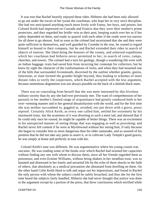It was true that Rachel heartily enjoyed these rides. Hitherto she had been only allowed to go out under the escort of her tyrant the coachman, who kept her in very strict discipline. She had not anticipated anything much more lively with Fanny, her boys, and ponies; but Colonel Keith had impressed on Conrade and Francis that they were their mother's prime protectors, and they regarded her bridle−rein as their post, keeping watch over her as if her safety depended on them, and ready to quarrel with each other if the roads were too narrow for all three to go abreast. And as soon as the colonel had ascertained that she and they were quite sufficient to themselves, and well guarded by Coombe in the rear, he ceased to regard himself as bound to their company, but he and Rachel extended their rides in search of objects of interest. She liked doing the honours of the county, and achieved expeditions which her coachman had hitherto never permitted to her, in search of ruins, camps, churches, and towers. The colonel had a turn for geology, though a wandering life even with an Indian baggage−train had saved him from incurring her contempt for collectors; but he knew by sight the character of the conformations of rocks, and when they had mounted one of the hills that surrounded Avonmouth, discerned by the outline whether granite, gneiss, limestone, or slate formed the grander height beyond, thus leading to schemes of more distant rides to verify the conjectures, which Rachel accepted with the less argument, because sententious dogmatism was not always possible on the back of a skittish black mare.

 There was no concealing from herself that she was more interested by this frivolous military society than by any she had ever previously met. The want of comprehension of her pursuits in her mother's limited range of acquaintance had greatly conduced both to her over−weening manner and to her general dissatisfaction with the world, and for the first time she was neither succumbed to, giggled at, avoided, nor put down with a grave, prosy reproof. Certainly Alick Keith, as every one called him, nettled her extremely by his murmured irony, but the acuteness of it was diverting in such a mere lad, and showed that if he could only once be roused, he might be capable of better things. There was an excitement in his unexpected manner of seeing things that was engaging as well as provoking; and Rachel never felt content if he were at Myrtlewood without her seeing him, if only because she began to consider him as more dangerous than his elder namesake, and so assured of his position that he did not take any pains to assert it, or to cultivate Lady Temple's good graces; he was simply at home and perfectly at ease with her.

 Colonel Keith's tone was different. He was argumentative where his young cousin was sarcastic. He was reading some of the books over which Rachel had strained her capacities without finding any one with whom to discuss them, since all her friends regarded them as poisonous; and even Ermine Williams, without being shaken in her steadfast trust, was so haunted and distressed in her lonely and unvaried life by the echo of these shocks to the faith of others, that absolutely as a medical precaution she abstained from dwelling on them. On the other hand Colin Keith liked to talk and argue out his impressions, and found in Rachel the only person with whom the subject could be safely broached, and thus she for the first time heard the subjects fairly handled. Hitherto she had never thought that justice was done to the argument except by a portion of the press, that drew conclusions which terrified while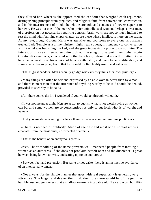they allured her, whereas she appreciated the candour that weighed each argument, distinguishing principle from prejudice, and religious faith from conventional construction, and in this measurement of minds she felt the strength, and acuteness of powers superior to her own. He was not one of the men who prefer unintellectual women. Perhaps clever men, of a profession not necessarily requiring constant brain work, are not so much inclined to rest the mind with feminine empty chatter, as are those whose intellect is more on the strain. At any rate, though Colonel Keith was attentive and courteous to every one, and always treated Lady Temple as a prime minister might treat a queen, his tendency to conversation with Rachel was becoming marked, and she grew increasingly prone to consult him. The interest of this new intercourse quite took out the sting of disappointment, when again Curatocult came back, «declined with thanks.» Nay, before making a third attempt she hazarded a question on his opinion of female authorship, and much to her gratification, and somewhat to her surprise, heard that he thought it often highly useful and valuable.

«That is great candour. Men generally grudge whatever they think their own privilege.»

 «Many things can often be felt and expressed by an able woman better than by a man, and there is no reason that the utterance of anything worthy to be said should be denied, provided it is worthy to be said.»

«Ah! there comes the hit. I wondered if you would get through without it.»

 «It was not meant as a hit. Men are as apt to publish what is not worth saying as women can be, and some women are so conscientious as only to put forth what is of weight and value.»

«And you are above wanting to silence them by palaver about unfeminine publicity?»

 «There is no need of publicity. Much of the best and most wide−spread writing emanates from the most quiet, unsuspected quarters.»

«That is the benefit of an anonymous press.»

 «Yes. The withholding of the name prevents well−mannered people from treating a woman as an authoress, if she does not proclaim herself one; and the difference is great between being known to write, and setting up for an authoress.»

 «Between fact and pretension. But write or not write, there is an instinctive avoidance of an intellectual woman.»

 «Not always, for the simple manner that goes with real superiority is generally very attractive. The larger and deeper the mind, the more there would be of the genuine humbleness and gentleness that a shallow nature is incapable of. The very word humility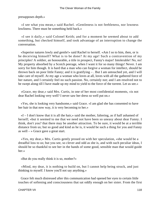presupposes depth.»

 «I see what you mean,» said Rachel. «Gentleness is not feebleness, nor lowness lowliness. There must be something held back.»

 «I see it daily,» said Colonel Keith; and for a moment he seemed about to add something, but checked himself, and took advantage of an interruption to change the conversation.

 «Superior natures lowly and gentle!» said Rachel to herself. «Am I so to him, then, or is he deceiving himself? What is to be done? At my age! Such a contravention of my principles! A soldier, an honourable, a title in prospect, Fanny's major! Intolerable! No, no! My property absorbed by a Scotch peerage, when I want it for so many things! Never. I am sorry for him though. It is hard that a man who can forgive a woman for intellect, should be thrown back on poor little Fanny; and it is gratifying – . But I am untouched yet, and I will take care of myself. At my age a woman who loves at all, loves with all the gathered force of her nature, and I certainly feel no such passion. No, certainly not; and I am resolved not to be swept along till I have made up my mind to yield to the force of the torrent. Let us see.»

 «Grace, my dear,» said Mrs. Curtis, in one of her most confidential moments, «is not dear Rachel looking very well? I never saw her dress so well put on.»

 «Yes, she is looking very handsome,» said Grace. «I am glad she has consented to have her hair in that now way, it is very becoming to her.»

 «I – I don't know that it is all the hair,» said the mother, faltering, as if half ashamed of herself; «but it seemed to me that we need not have been so uneasy about dear Fanny. I think, don't you? that there may be another attraction. To be sure, it would be at a terrible distance from us; but so good and kind as he is, it would be such a thing for you and Fanny as well – » Grace gave a great start.

 «Yes, my dear,» Mrs. Curtis gently prosed on with her speculation, «she would be a dreadful loss to us; but you see, so clever and odd as she is, and with such peculiar ideas, I should be so thankful to see her in the hands of some good, sensible man that would guide her.»

«But do you really think it is so, mother?»

 «Mind, my dear, it is nothing to build on, but I cannot help being struck, and just thinking to myself. I know you'll not say anything.»

 Grace felt much distressed after this communication had opened her eyes to certain little touches of softening and consciousness that sat oddly enough on her sister. From the first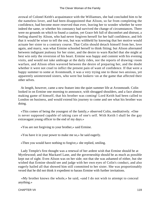avowal of Colonel Keith's acquaintance with the Williamses, she had concluded him to be the nameless lover, and had been disappointed that Alison, so far from completing the confidence, had become more reserved than ever, leaving her to wonder whether he were indeed the same, or whether his constancy had survived the change of circumstances. There were no grounds on which to found a caution, yet Grace felt full of discomfort and distrust, a feeling shared by Alison, who had never forgiven herself for her half confidence, and felt that it would be wiser to tell the rest, but was withheld by knowing that her motive would actuate her sister to a contrary course. That Colin should detach himself from her, love again, and marry, was what Ermine schooled herself to think fitting; but Alison alternated between indignant jealousy for her sister, and the desire to warn Rachel that she might at best win only the reversion of his heart. Ermine was happy and content with his evening visits, and would not take umbrage at the daily rides, nor the reports of drawing−room warfare, and Alison often wavered between the desire of preparing her, and the doubt whether it were not cruel to inflict the present pain of want of confidence. If that were a happy summer to some at Avonmouth, it was a very trying one to those two anxious, yet apparently uninterested sisters, who were but lookers−on at the game that affected their other selves.

 At length, however, came a new feature into the quiet summer life at Avonmouth. Colin looked in on Ermine one morning to announce, with shrugged shoulders, and a face almost making game of himself, that his brother was coming! Lord Keith had been called to London on business, and would extend his journey to come and see what his brother was doing.

 «This comes of being the youngest of the family,» observed Colin, meditatively. «One is never supposed capable of taking care of one's self. With Keith I shall be the gay extravagant young officer to the end of my days.»

«You are not forgiving to your brother,» said Ermine.

«You have it in your power to make me so,» he said eagerly.

«Then you would have nothing to forgive,» she replied, smiling.

 Lady Temple's first thought was a renewal of her ardent wish that Ermine should be at Myrtlewood; and that Mackarel Lane, and the governesship should be as much as possible kept out of sight. Even Alison was on her side; not that she was ashamed of either, but she wished that Ermine should see and judge with her own eyes of Colin's conduct, and also eagerly hailed all that showed him still committed to her sister. She was proportionably vexed that he did not think it expedient to harass Ermine with further invitations.

 «My brother knows the whole,» he said, «and I do not wish to attempt to conceal anything.»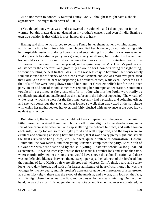«I do not mean to conceal,» faltered Fanny, «only I thought it might save a shock – appearances – he might think better of it, if  $-\infty$ 

 «You thought only what was kind,» answered the colonel, «and I thank you for it most warmly; but this matter does not depend on my brother's consent, and even if it did, Ermine's own true position is that which is most honourable to her.»

 Having said this, he was forced to console Fanny in her shame at her own kind attempt at this gentle little feminine subterfuge. He gratified her, however, by not interfering with her hospitable instincts of doing honour to and entertaining his brother, for whose sake her first approach to a dinner party was given; a very small one, but treated by her and her household as a far more natural occurrence than was any sort of entertainment at the Homestead. She even looked surprised, in her quiet way, at Mrs. Curtis's proffers of assistance in the et ceteras, and gratefully answered for Coombe's doing the right thing, without troubling herself further. Mrs. Curtis was less easy in her mind, her housewifely soul questioned the efficiency of her niece's establishment, and she was moreover persuaded that Lord Keith must be bent on inspecting his brother's choice, while even Rachel felt as if the toils of fate were being drawn round her, and let Grace embellish her for the dinner party, in an odd sort of mood, sometimes rejecting her attempts at decoration, sometimes vouchsafing a glance at the glass, chiefly to judge whether her looks were really as repellently practical and intellectual as she had been in the habit of supposing. The wreath of white roses, which she wore for the first time, certainly had a pleasing and softening effect, and she was conscious that she had never looked so well; then was vexed at the solicitude with which her mother looked her over, and fairly blushed with annoyance at the good lady's evident satisfaction.

 But, after all, Rachel, at her best, could not have competed with the grace of the quiet little figure that received them, the rich black silk giving dignity to the slender form, and a sort of compromise between veil and cap sheltering the delicate fair face; and with a son on each side, Fanny looked so touchingly proud and well supported, and the boys were so exultant and admiring at seeing her thus dressed, that it was a very pretty sight, and struck the first arrived of her guests, Mr. Touchett, quite dumb with admiration. Colonel Hammond, the two Keiths, and their young kinsman, completed the party. Lord Keith of Gowanbrae was best described by the said young kinsman's words «a long−backed Scotchman.» He was so intensely Scottish that he made his brother look and sound the same, whereas ordinarily neither air nor accent would have shown the colonel's nation, and there was no definable likeness between them, except, perhaps, the baldness of the forehead, but the remains of Lord Keith's hair were silvered red, whereas Colin's thick beard and scanty locks were dark brown, and with a far larger admixture of hoar−frost, though he was the younger by twenty years, and his brother's appearance gave the impression of a far greater age than fifty−eight, there was the stoop of rheumatism, and a worn, thin look on the face, with its high cheek bones, narrow lips, and cold eyes, by no means winning. On the other hand, he was the most finished gentleman that Grace and Rachel had ever encountered; he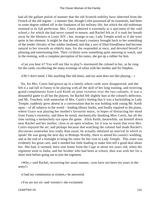had all the gallant polish of manner that the old Scottish nobility have inherited from the French of the old regime – a manner that, though Colin possessed all its essentials, had been in some degree rubbed off in the frankness of his military life, but which the old nobleman retained in its full perfection. Mrs. Curtis admired it extremely as a specimen of the «old school,» for which she had never ceased to mourn; and Rachel felt as if it took her breath away by the likeness to Louis XIV.; but, strange to say, Lady Temple acted as if she were quite in her element. It might be that the old man's courtesy brought back to her something of the tender chivalry of her soldier husband, and that a sort of filial friendliness had become natural to her towards an elderly man, for she responded at once, and devoted herself to pleasing and entertaining him. Their civilities were something quite amusing to watch, and in the evening, with a complete perception of his tastes, she got up a rubber for him.

 «Can you bear it? You will not like to play?» murmured the colonel to her, as he rung for the cards, recollecting the many evenings of whist with her mother and Sir Stephen.

«Oh! I don't mind. I like anything like old times, and my aunt does not like playing  $-\infty$ 

 No, for Mrs. Curtis had grown up in a family where cards were disapproved, and she felt it a sad fall in Fanny to be playing with all the skill of her long training, and receiving grand compliments from Lord Keith on joint victories over the two colonels. It was a distasteful game to all but the players, for Rachel felt slightly hurt at the colonel's defection, and Mr. Touchett, with somewhat of Mrs. Curtis's feeling that it was a backsliding in Lady Temple, suddenly grew absent in a conversation that he was holding with young Mr. Keith upon – of all subjects in the world – lending library books, and finally repaired to the piano, where Grace was playing her mother's favourite music, in hopes of distracting her mind from Fanny's enormity; and there he stood, mechanically thanking Miss Curtis, but all the time turning a melancholy eye upon the game. Alick Keith, meanwhile, sat himself down near Rachel and her mother, close to an open window, for it was so warm that even Mrs. Curtis enjoyed the air; and perhaps because that watching the colonel had made Rachel's discourses somewhat less ready than usual, he actually obtained an interval in which to speak! He was going the next day to Bishops Worthy, there to attend his cousin's wedding, and at the end of a fortnight to bring his sister for her visit to Lady Temple. This sister was evidently his great care, and it needed but little leading to make him tell a good deal about her. She had, it seemed, been sent home from the Cape at about ten years old, when the regiment went to India, and her brother who had been at school, then was with her for a short time before going out to join the regiment.

 «Why,» said Rachel, recovering her usual manner, «you have not been ten years in the army!»

«I had my commission at sixteen,» he answered.

«You are not six−and−twenty!» she exclaimed.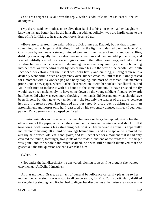«You are as right as usual,» was the reply, with his odd little smile; «at least till the 1st of August.»

 «My dear!» said her mother, more alive than Rachel to his amusement at her daughter's knowing his age better than he did himself, but adding, politely, «you are hardly come to the time of life for liking to hear that your looks deceived us.»

 «Boys are tolerated,» he said, with a quick glance at Rachel; but at that moment something many−legged and tickling flitted into the light, and dashed over her face. Mrs. Curtis was by no means a strong−minded woman in the matter of moths and crane−flies, disliking almost equally their sudden personal attentions and their suicidal propensities, and Rachel dutifully started up at once to give chase to the father−long−legs, and put it out of window before it had succeeded in deranging her mother's equanimity either by bouncing into her face, or suspending itself by two or three legs in the wax of the candle. Mr. Keith seconded her efforts, but the insect was both lively and cunning, eluding them with a dexterity wonderful in such an apparently over−limbed creature, until at last it kindly rested for a moment with its wooden peg of a body sloping, and most of its thread−like members prone upon a newspaper, where Rachel descended on it with her pocket−handkerchief, and Mr. Keith tried to inclose it with his hands at the same moment. To have crushed the fly would have been melancholy, to have come down on the young soldier's fingers, awkward; but Rachel did what was even more shocking – her hands did descend on, what should have been fingers, but they gave way under her – she felt only the leather of the glove between her and the newspaper. She jumped and very nearly cried out, looking up with an astonishment and horror only half reassured by his extremely amused smile. «I beg your pardon; I'm so sorry – » she gasped confused.

 «Inferior animals can dispense with a member more or less,» he replied, giving her the other corner of the paper, on which they bore their capture to the window, and shook it till it took wing, with various legs streaming behind it. «That venerable animal is apparently indifferent to having left a third of two legs behind him,» and as he spoke he removed the already half drawn−off left−hand glove, and let Rachel see for a moment that it had only covered the thumb, forefinger, two joints of the middle, and one of the third; the little finger was gone, and the whole hand much scarred. She was still so much dismayed that she gasped out the first question she had ever asked him –

«Where  $-$  ?»

 «Not under the handkerchief,» he answered, picking it up as if he thought she wanted convincing. «At Delhi, I imagine.»

 At that moment, Grace, as an act of general beneficence certainly pleasing to her mother, began to sing. It was a stop to all conversation, for Mrs. Curtis particularly disliked talking during singing, and Rachel had to digest her discoveries at her leisure, as soon as she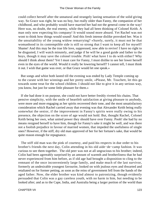could collect herself after the unnatural and strangely lasting sensation of the solid giving way. So Grace was right, he was no boy, but really older than Fanny, the companion of her childhood, and who probably would have married her had not the general come in the way! Here was, no doubt, the real enemy, while they had all been thinking of Colonel Keith. A man only now expecting his company! It would sound more absurd. Yet Rachel was not wont to think how things would sound! And this fresh intense dislike provoked her. Was it the unsuitability of the young widow remarrying? «Surely, surely, it must not be that womanhood in its contemptible side is still so strong that I want to keep all for myself! Shame! And this may be the true life love, suppressed, now able to revive! I have no right to be disgusted, I will watch minutely, and judge if he will be a good guide and father to the boys, though it may save the colonel trouble. Pish! what have I to do with either? Why should I think about them? Yet I must care for Fanny, I must dislike to see her lower herself even in the eyes of the world. Would it really be lowering herself? I cannot tell, I must think it out. I wish that game was over, or that Grace would let one speak.»

 But songs and whist both lasted till the evening was ended by Lady Temple coming up to the curate with her winnings and her pretty smile, «Please, Mr. Touchett, let this go towards some treat for the school children. I should not like to give it in any serious way, you know, but just for some little pleasure for them.»

 If she had done it on purpose, she could not have better freshly riveted his chains. That pensive simplicity, with the smile of heartfelt satisfaction at giving pleasure to anybody, were more and more engaging as her spirits recovered their tone, and the most unsatisfactory consideration which Rachel carried away that evening was that Alexander Keith being really somewhat the senior, if the improvement in Fanny's spirits were really owing to his presence, the objection on the score of age would not hold. But, thought Rachel, Colonel Keith being her own, what united power they should have over Fanny. Pooh! she had by no means resigned herself to have him, though for Fanny's sake it might be well, and was there not a foolish prejudice in favour of married women, that impeded the usefulness of single ones? However, if the stiff, dry old man approved of her for her fortune's sake, that would be quite reason enough for repugnance.

 The stiff old man was the pink of courtesy, and paid his respects in due order to his brother's friends the next day, Colin attending in his old aide−de−camp fashion. It was curious to see them together. The old peer was not at all ungracious to his brother; indeed, Colin had been agreeably surprised by an amount of warmth and brotherliness that he had never experienced from him before, as if old age had brought a disposition to cling to the remnant of the once inconveniently large family, and make much of the last survivor, formerly an undesirable youngest favourite, looked on with jealous eyes and thwarted and retaliated on for former petting, as soon as the reins of government fell from the hands of the aged father. Now, the elder brother was kind almost to patronizing, though evidently persuaded that Colin was a gay careless youth, with no harm in him, but needing to be looked after; and as to the Cape, India, and Australia being a larger portion of the world than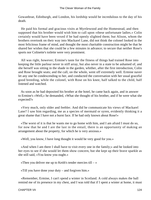Gowanbrae, Edinburgh, and London, his lordship would be incredulous to the day of his death.

 He paid his formal and gracious visits at Myrtlewood and the Homestead, and then supposed that his brother would wish him to call upon «these unfortunate ladies.» Colin certainly would have been vexed if he had openly slighted them; but Alison, whom the brothers overtook on their way into Mackarel Lane, did not think the colonel looked in the most felicitous frame of mind, and thought the most charitable construction might be that he shared her wishes that she could be a few minutes in advance; to secure that neither Rose's sports nor Colinette's toilette were very prominent.

 All was right, however; Ermine's taste for the fitness of things had trained Rose into keeping the little parlour never in stiff array, but also never in a state to be ashamed of, and she herself was sitting in the shade in the garden, whither, after the first introduction, Colin and Rose brought seats; and the call, on the whole, went off extremely well. Ermine naver let any one be condescending to her, and conducted the conversation with her usual graceful good breeding, while the colonel, with Rose on his knee, half talked to the child, half listened and watched.

 As soon as he had deposited his brother at the hotel, he came back again, and in answer to Ermine's «Well,» he demanded, «What she thought of his brother, and if he were what she expected?»

 «Very much, only older and feebler. And did he communicate his views of Mackarel Lane? I saw him regarding, me as a species of mermaid or syren, evidently thinking it a great shame that I have not a burnt face. If he had only known about Rose!»

 «The worst of it is that he wants me to go home with him, and I am afraid I must do so, for now that he and I are the last in the entail, there is an opportunity of making an arrangement about the property, for which he is very anxious.»

«Well, you know, I have long thought it would be very good for you.»

 «And when I am there I shall have to visit every one in the family;» and he looked into her eyes to see if she would let them show concern, but she kept up their brave sparkle as she still said, «You know you ought.»

«Then you deliver me up to Keith's tender mercies till  $-\infty$ 

«Till you have done your duty – and forgiven him.»

 «Remember, Ermine, I can't spend a winter in Scotland. A cold always makes the ball remind me of its presence in my chest, and I was told that if I spent a winter at home, it must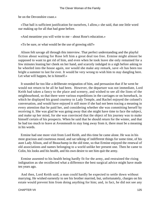be on the Devonshire coast.»

 «That ball is sufficient justification for ourselves, I allow,» she said, that one little word our making up for all that had gone before.

«And meantime you will write to me – about Rose's education.»

«To be sure, or what would be the use of growing old?»

 Alison felt savage all through this interview. That perfect understanding and the playful fiction about waiting for Rose left him a great deal too free. Ermine might almost be supposed to want to get rid of him, and even when he took leave she only remained for a few minutes leaning her cheek on her hand, and scarcely indulged in a sigh before asking to be wheeled into the house again, nor would she make any remark, save «It has been too bright a summer to last for ever. It would be very wrong to wish him to stay dangling here. Let what will happen, he is himself.»

 It sounded far too like a deliberate resignation of him, and persuasion that if he went he would not return to be all he had been. However, the departure was not immediate, Lord Keith had taken a fancy to the place and scenery, and wished to see all the lions of the neighbourhood, so that there were various expeditions in the carriages or on horseback, in which he displayed his grand courtesy to Lady Temple, and Rachel enjoyed the colonel's conversation, and would have enjoyed it still more if she had not been tracing a meaning in every attention that he paid her, and considering whether she was committing herself by receiving it. She was glad he was going away that she might have time to face the subject, and make up her mind, for she was convinced that the object of his journey was to make himself certain of his prospects. When he said that he should return for the winter, and that he had too much to leave at Avonmouth to stay long away from it, there must be a meaning in his words.

 Ermine had one more visit from Lord Keith, and this time he came alone. He was in his most gracious and courteous mood, and sat talking of indifferent things for some time, of his aunt Lady Alison, and of Beauchamp in the old time, so that Ermine enjoyed the renewal of old associations and names belonging to a world unlike her present one. Then he came to Colin, his looks and his health, and his own desire to see him quit the army.

 Ermine assented to his health being hardly fit for the army, and restrained the rising indignation as she recollected what a difference the best surgical advice might have made ten years ago.

 And then, Lord Keith said, a man could hardly be expected to settle down without marrying. He wished earnestly to see his brother married, but, unfortunately, charges on his estate would prevent him from doing anything for him; and, in fact, he did not see any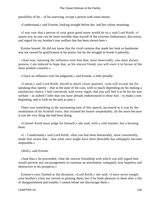possibility of his – of his marrying, except a person with some means.

«I understand,» said Ermine, looking straight before her, and her colour mounting.

 «I was sure that a person of your great good sense would do so,» said Lord Keith. «I assure you no one can be more sensible than myself of the extreme forbearance, discretion, and regard for my brother's true welfare that has been shown here.»

 Ermine bowed. He did not know that the vivid carmine that made her look so handsome was not caused by gratification at his praise, but by the struggle to brook it patiently.

 «And now, knowing the influence over him that, most deservedly, you must always possess, I am induced to hope that, as his sincere friend, you will exert it in favour of the more prudent counsels.»

«I have no influence over his judgment,» said Ermine, a little proudly.

 «I mean,» said Lord Keith, forced to much closer quarters, «you will excuse me for speaking thus openly – that in the state of the case, with so much depending on his making a satisfactory choice, I feel convinced, with every regret, that you will feel it to be for his true welfare – as indeed I infer that you have already endeavoured to show him – to make a new beginning, and to look on the past as past.»

 There was something in the insinuating tone of this speech, increased as it was by the modulation of his Scottish voice, that irritated his hearer unspeakably, all the more because it was the very thing she had been doing.

 «Colonel Keith must judge for himself,» she said, with a cold manner, but a burning heart.

 «I – I understand,» said Lord Keith, «that you had most honourably, most consistently, made him aware that – that what once might have been desirable has unhappily become impossible.»

«Well,» said Ermine.

 «And thus,» he proceeded, «that the sincere friendship with which you still regard him would prevent any encouragement to continue an attachment, unhappily now hopeless and obstructive to his prospects.»

 Ermine's eyes flashed at the dictation. «Lord Keith,» she said, «I have never sought your brother's visits nor striven to prolong them; but if he finds pleasure in them after a life of disappointment and trouble, I cannot refuse nor discourage them.»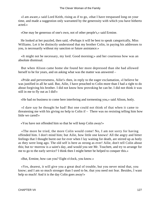«I am aware,» said Lord Keith, rising as if to go, «that I have trespassed long on your time, and made a suggestion only warranted by the generosity with which you have hitherto acted.»

«One may be generous of one's own, not of other people's,» said Ermine.

 He looked at her puzzled, then said, «Perhaps it will be best to speak categorically, Miss Williams. Let it be distinctly understood that my brother Colin, in paying his addresses to you, is necessarily without my sanction or future assistance.»

 «It might not be necessary, my lord. Good morning;» and her courteous bow was an absolute dismissal.

 But when Alison came home she found her more depressed than she had allowed herself to be for years, and on asking what was the matter was answered –

 «Pride and perverseness, Ailie!» then, in reply to the eager exclamation, «I believe he was justified in all he said. But, Ailie, I have preached to Colin more than I had a right to do about forgiving his brother. I did not know how provoking he can be. I did not think it was still in me to fly out as I did!»

«He had no business to come here interfering and tormenting you,» said Alison, hotly.

 «I dare say he thought he had! But one could not think of that when it came to threatening me with his giving no help to Colin if – There was no resisting telling him how little we cared!»

«You have not offended him so that he will keep Colin away!»

 «The more he tried, the more Colin would come! No, I am not sorry for having offended him. I don't mind him; but Ailie, how little one knows! All the angry and bitter feelings that I thought burnt out for ever when I lay waiting for death, are stirred up as hotly as they were long ago. The old self is here as strong as ever! Ailie, don't tell Colin about this; but to−morrow is a saint's day, and would you see Mr. Touchett, and try to arrange for me to go to the early service? I think then I might better be helped to conquer this.»

«But, Ermine, how can you? Eight o'clock, you know.»

 «Yes, dearest, it will give you a great deal of trouble, but you never mind that, you know; and I am so much stronger than I used to be, that you need not fear. Besides, I want help so much! And it is the day Colin goes away!»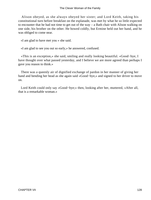Alison obeyed, as she always obeyed her sister; and Lord Keith, taking his constitutional turn before breakfast on the esplanade, was met by what he so little expected to encounter that he had not time to get out of the way – a Bath chair with Alison walking on one side, his brother on the other. He bowed coldly, but Ermine held out her hand, and he was obliged to come near.

«I am glad to have met you » she said.

«I am glad to see you out so early,» he answered, confused.

 «This is an exception,» she said, smiling and really looking beautiful. «Good−bye, I have thought over what passed yesterday, and I believe we are more agreed than perhaps I gave you reason to think.»

 There was a queenly air of dignified exchange of pardon in her manner of giving her hand and bending her head as she again said «Good−bye,» and signed to her driver to move on.

 Lord Keith could only say «Good−bye;» then, looking after her, muttered, «After all, that is a remarkable woman.»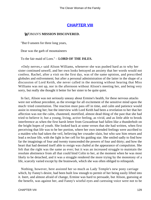## **[CHAPTER VIII](#page-416-0)**

## *W*OMAN'S **MISSION DISCOVERED.**

"But 0 unseen for three long years,

Dear was the garb of mountaineers

To the fair maid of Lorn." – **LORD OF THE ISLES.**

 «Only nerves,» said Alison Williams, whenever she was pushed hard as to why her sister continued unwell, and her own looks betrayed an anxiety that her words would not confess. Rachel, after a visit on the first day, was of the same opinion, and prescribed globules and enlivenment; but after a personal administration of the latter in the shape of a discussion of Lord Keith, she never called in the morning without hearing that Miss Williams was not up, nor in the afternoon without Alison's meeting her, and being very sorry, but really she thought it better for her sister to be quite quiet.

 In fact, Alison was not seriously uneasy about Ermine's health, for these nervous attacks were not without precedent, as the revenge for all excitement of the sensitive mind upon the much−tried constitution. The reaction must pass off in time, and calm and patience would assist in restoring her; but the interview with Lord Keith had been a revelation to her that her affection was not the calm, chastened, mortified, almost dead thing of the past that she had tried to believe it; but a young, living, active feeling, as vivid, and as little able to brook interference as when the first harsh letter from Gowanbrae had fallen like a thunderbolt on the bright hopes of youth. She looked back at some verses that she had written, when first perceiving that life was to be her portion, where her own intended feelings were ascribed to a maiden who had taken the veil, believing her crusader slain, but who saw him return and lead a recluse life, with the light in her cell for his guiding star. She smiled sadly to find how far the imaginings of four and twenty transcended the powers of four and thirty; and how the heart that had deemed itself able to resign was chafed at the appearance of compulsion. She felt that the right was the same as ever; but it was an increased struggle to maintain the resolute abstinence from all that could bind Colin to her, at the moment when he was most likely to be detached, and it was a struggle rendered the more trying by the monotony of a life, scarcely varied except by the brainwork, which she was often obliged to relinquish.

 Nothing, however, here assisted her so much as Lady Temple's new pony carriage which, by Fanny's desire, had been built low enough to permit of her being easily lifted into it. Inert, and almost afraid of change, Ermine was hard to persuade, but Alison, guessing at the benefit, was against her, and Fanny's wistful eyes and caressing voice were not to be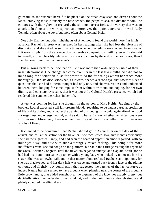gainsaid; so she suffered herself to be placed on the broad easy seat, and driven about the lanes, enjoying most intensely the new scenes, the peeps of sea, the distant moors, the cottages with their glowing orchards, the sloping harvest fields, the variety that was an absolute healing to the worn spirits, and moreover, that quiet conversation with Lady Temple, often about the boys, but more often about Colonel Keith.

 Not only Ermine, but other inhabitants of Avonmouth found the world more flat in his absence. Rachel's interest was lessened in her readings after she had lost the pleasure of discussion, and she asked herself many times whether the tedium were indeed from love, or if it were simply from the absence of an agreeable companion. «I will try myself,» she said to herself, «if I am heartily interested in my occupations by the end of the next week, then I shall believe myself my own woman!»

 But in going back to her occupations, she was more than ordinarily sensible of their unsatisfactoriness. One change had come over her in the last few months. She did not so much long for a wider field, as for power to do the few things within her reach more thoroughly. Her late discussions had, as it were, opened a second eye, that saw two sides of questions that she had hitherto thought had only one, and she was restless and undecided between them, longing for some impulse from within or without, and hoping, for her own dignity and consistency's sake, that it was not only Colonel Keith's presence which had rendered this summer the richest in her life.

 A test was coming for her, she thought, in the person of Miss Keith. Judging by the brother, Rachel expected a tall fair dreamy blonde, requiring to be taught a true appreciation of life and its duties, and whether the training of this young girl would again afford her food for eagerness and energy, would, as she said to herself, show whether her affections were still her own. Moreover, there was the great duty of deciding whether the brother were worthy of Fanny!

 It chanced to be convenient that Rachel should go to Avoncester on the day of the arrival, and call at the station for the traveller. She recollected how, five months previously, she had there greeted Fanny, and had seen the bearded apparition since regarded, with so much jealousy, and now with such a strangely mixed feeling. This being a far more indifferent errand, she did not go on the platform, but sat in the carriage reading the report of the Social Science Congress, until the travellers began to emerge, and Captain Keith (for he had had his promotion) came up to her with a young lady who looked by no means like his sister. She was somewhat tall, and in that matter alone realized Rachel's anticipations, for she was black−eyed, and her dark hair was crepe and turned back from a face of the plump contour, and slightly rosy complexion that suggested the patches of the last century; as indeed Nature herself seemed to have thought when planting near the corner of the mouth a little brown mole, that added somehow to the piquancy of the face, not exactly pretty, but decidedly attractive under the little round hat, and in the point device, though simple and plainly coloured travelling dress.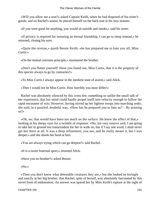«Will you allow me a seat?» asked Captain Keith, when he had disposed of his sister's goods; and on Rachel's assent, he placed himself on the back seat in his lazy manner.

«If you were good for anything, you would sit outside and smoke,» said his sister.

 «If privacy is required for swearing an eternal friendship, I can go to sleep instead,» he returned, closing his eyes.

 «Quite the reverse,» quoth Bessie Keith; «he has prepared me to hate you all, Miss Curtis.»

«On the mutual aversion principle,» murmured the brother.

 «Don't you flatter yourself! Have you found out, Miss Curtis, that it is the property of this species always to go by contraries?»

«To Miss Curtis I always appear in the meekest state of assent,» said Alick.

«Then I would not be Miss Curtis. How horribly you must differ!»

 Rachel was absolutely silenced by this cross fire; something so unlike the small talk of her experience, that her mind could hardly propel itself into velocity enough to follow the rapid encounter of wits. However, having stirred up her lightest troops into marching order, she said, in a puzzled, doubtful way, «How has he prepared you to hate us? – By praising us?»

 «Oh, no; that would have been too much on the surface. He knew the effect of that,» looking in his sleepy eyes for a twinkle of response. «No; his very reserve said, I am going to take her to ground too transcendent for her to walk on, but if I say one word, I shall never get her there at all. It was a deep refinement, you see, and he really meant it, but I was deeper,» and she shook her head at him.

«You are always trying which can go deepest?» said Rachel.

«It is a sweet fraternal sport,» returned Alick.

«Have you no brother?» asked Bessie.

«No.»

 «Then you don't know what detestable creatures they are,» but she looked so lovingly and saucily at her big brother, that Rachel, spite of herself, was absolutely fascinated by this novel form of endearment. An answer was spared her by Miss Keith's rapture at the sight of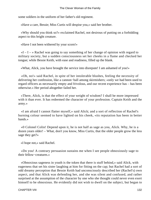some soldiers in the uniform of her father's old regiment.

«Have a care, Bessie; Miss Curtis will despise you,» said her brother.

 «Why should you think so?» exclaimed Rachel, not desirous of putting on a forbidding aspect to this bright creature.

«Have I not been withered by your scorn!»

 $\alpha I - I - \infty$  Rachel was going to say something of her change of opinion with regard to military society, but a sudden consciousness set her cheeks in a flame and checked her tongue; while Bessie Keith, with ease and readiness, filled up the blank.

«What, Alick, you have brought the service into disrepute! I am ashamed of you!»

 «Oh, no!» said Rachel, in spite of her intolerable blushes, feeling the necessity of delivering her confession, like a cannon−ball among skirmishers; «only we had been used to regard officers as necessarily empty and frivolous, and our recent experience has – has been otherwise.» Her period altogether failed her.

 «There, Alick, is that the effect of your weight of wisdom? I shall be more impressed with it than ever. It has redeemed the character of your profession. Captain Keith and the army.»

 «I am afraid I cannot flatter myself,» said Alick; and a sort of reflection of Rachel's burning colour seemed to have lighted on his cheek, «its reputation has been in better hands.»

 «0 Colonel Colin! Depend upon it, he is not half as sage as you, Alick. Why, he is a dozen years older! – What, don't you know, Miss Curtis, that the older people grow the less sage they get?»

«I hope not,» said Rachel.

 «Do you! A contrary persuasion sustains me when I see people obnoxiously sage to their fellow−creatures.»

 «Obnoxious sageness in youth is the token that there is stuff behind,» said Alick, with eagerness that set his sister laughing at him for fitting on the cap; but Rachel had a sort of odd dreamy perception that Bessie Keith had unconsciously described her (Rachel's) own aspect, and that Alick was defending her, and she was silent and confused, and rather surprised at the assumption of the character by one who she thought could never even exert himself to be obnoxious. He evidently did not wish to dwell on the subject, but began to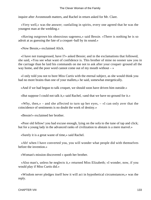inquire after Avonmouth matters, and Rachel in return asked for Mr. Clare.

 «Very well,» was the answer; «unfailing in spirits, every one agreed that he was the youngest man at the wedding.»

 «Having outgrown his obnoxious sageness,» said Bessie. «There is nothing he is so adroit at as guessing the fate of a croquet−ball by its sound.»

«Now Bessie,» exclaimed Alick.

 «I have not transgressed, have I?» asked Bessie; and in the exclamations that followed, she said, «You see what want of confidence is. This brother of mine no sooner saw you in the carriage than he laid his commands on me not to ask after your croquet−ground all the way home, and the poor word cannot come out of my mouth without  $-\infty$ 

 «I only told you not to bore Miss Curtis with the eternal subject, as she would think you had no more brains than one of your mallets,» he said, somewhat energetically.

«And if we had begun to talk croquet, we should soon have driven him outside.»

«But suppose I could not talk it,» said Rachel, «and that we have no ground for it.»

«Why, then,» – and she affected to turn up her eyes,  $-$  «I can only aver that the coincidence of sentiments is no doubt the work of destiny.»

«Bessie!» exclaimed her brother.

 «Poor old fellow! you had excuse enough, lying on the sofa to the tune of tap and click; but for a young lady in the advanced ranks of civilization to abstain is a mere marvel.»

«Surely it is a great waste of time,» said Rachel.

 «Ah! when I have converted you, you will wonder what people did with themselves before the invention.»

«Woman's mission discovered » quoth her brother.

 «Also man's, unless he neglects it,» returned Miss Elizabeth; «I wonder, now, if you would play if Miss Curtis did.»

 «Wisdom never pledges itself how it will act in hypothetical circumstances,» was the reply.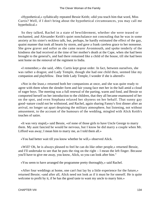«Hypothetical,» syllabically repeated Bessie Keith; «did you teach him that word, Miss Curtis? Well, if I don't bring about the hypothetical circumstances, you may call me hyperbolical.»

 So they talked, Rachel in a state of bewilderment, whether she were teased or enchanted, and Alexander Keith's quiet nonchalance not concealing that he was in some anxiety at his sister's reckless talk, but, perhaps, he hardly estimated the effect of the gay, quaint manner that took all hearts by storm, and gave a frank careless grace to her nonsense. She grew graver and softer as she came nearer Avonmouth, and spoke tenderly of the kindness she had received at the time of her mother's death at the Cape, when she had been brought to the general's, and had there remained like a child of the house, till she had been sent home on the removal of the regiment to India.

 «I remember,» she said, «Mrs. Curtis kept great order. In fact, between ourselves, she was rather a dragon; and Lady Temple, though she had one child then, seemed like my companion and playfellow. Dear little Lady Temple, I wonder if she is altered!»

 «Not in the least,» returned both her companions at once, and she was quite ready to agree with them when the slender form and fair young face met her in the hall amid a cloud of eager boys. The meeting was a full renewal of the parting, warm and fond, and Bessie so comported herself on her introduction to the children, that they all became enamoured of her on the spot, and even Stephana relaxed her shyness on her behalf. That sunny gay good−nature could not be withstood, and Rachel, again sharing Fanny's first dinner after an arrival, no longer sat apart despising the military atmosphere, but listening, not without amusement, to the account of the humours of the wedding, mingled with Alick Keith's touches of satire.

 «It was very stupid,» said Bessie, «of none of those girls to have Uncle George to marry them. My aunt fancied he would be nervous, but I know he did marry a couple when Mr. Lifford was away; I mean him to marry me, as I told them all.»

«You had better wait till you know whether he will,» observed Alick.

 «Will? Oh, he is always pleased to feel he can do like other people,» returned Bessie, and I'll undertake to see that he puts the ring on the right – I mean the left finger. Because you'll have to give me away, you know, Alick, so you can look after him."

«You seem to have arranged the programme pretty thoroughly,» said Rachel.

 «After four weddings at home, one can't but lay by a little experience for the future,» returned Bessie; «and after all, Alick need not look as if it must be for oneself. He is quite welcome to profit by it, if he has the good taste to want my uncle to marry him.»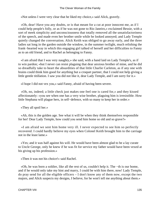«Not unless I were very clear that he liked my choice,» said Alick, gravely.

 «Oh, dear! Have you any doubts, or is that meant for a cut at poor innocent me, as if I could help people's folly, or as if he was not gone to Rio Janeiro,» exclaimed Bessie, with a sort of meek simplicity and unconsciousness that totally removed all the unsatisfactoriness of the speech, and made even her brother smile while he looked annoyed; and Lady Temple quietly changed the conversation. Alick Keith was obliged to go away early, and the three ladies sat long in the garden outside the window, in the summer twilight, much relishing the frank−hearted way in which this engaging girl talked of herself and her difficulties to Fanny as to an old friend, and to Rachel as belonging to Fanny.

 «I am afraid that I was very naughty,» she said, with a hand laid on Lady Temple's, as if to win pardon; «but I never can resist plaguing that dear anxious brother of mine, and he did so dreadfully take to heart the absurdities of that little Charlie Carleton, as if any one with brains could think him good for anything but a croquet partner, that I could not help giving a little gentle titillation. I saw you did not like it, dear Lady Temple, and I am sorry for it.»

«I hope I did not vex you,» said Fanny, afraid of having been severe.

 «Oh, no, indeed; a little check just makes one feel one is cared for,» and they kissed affectionately: «you see when one has a very wise brother, plaguing him is irresistible. How little Stephana will plague hers, in self−defence, with so many to keep her in order.»

«They all spoil her.»

 «Ah, this is the golden age. See what it will be when they think themselves responsible for her! Dear Lady Temple, how could you send him home so old and so grave?»

 «I am afraid we sent him home very ill. I never expected to see him so perfectly recovered. I could hardly believe my eyes when Colonel Keith brought him to the carriage not in the least lame.»

 «Yes; and it was half against his will. He would have been almost glad to be a lay curate to Uncle George, only he knew if he was fit for service my father would have been vexed at his giving up his profession.»

«Then it was not his choice!» said Rachel.

 «Oh, he was born a soldier, like all the rest of us, couldn't help it. The −th is our home, and if he would only take my hint and marry, I could be with him there, now! Lady Temple, do pray send for all the eligible officers – I don't know any of them now, except the two majors, and Alick suspects my designs, I believe, for he won't tell me anything about them.»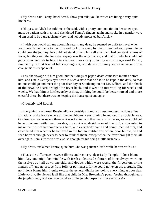«My dear!» said Fanny, bewildered, «how you talk; you know we are living a very quiet life here.»

 «Oh, yes, so Alick has told me,» she said, with a pretty compunction in her tone; «you must be patient with me,» and she kissed Fanny's fingers again and spoke in a gentler way. «I am used to be a great chatter−box, and nobody protested but Alick.»

 «I wish you would tell me about his return, my dear; he seemed so unfit to travel when your poor father came to the hills and took him away by dak. It seemed so impossible he could bear the journey; he could not stand or help himself at all, and had constant returns of fever; but they said the long sea voyage was the only chance, and that in India he could not get vigour enough to begin to recover. I was very unhappy about him,» said Fanny, innocently, whilst Rachel felt very vigilant, wondering if Fanny were the cause of the change his sister spoke of.

 «Yes, the voyage did him good, but the tidings of papa's death came two months before him, and Uncle George's eyes were in such a state that he had to be kept in the dark, so that no one could go and meet the poor dear boy at Southampton but Mr. Lifford, and the shock of the news he heard brought the fever back, and it went on intermitting for weeks and weeks. We had him at Littleworthy at first, thinking he could be better nursed and more cheerful there, but there was no keeping the house quiet enough.»

## «Croquet!» said Rachel.

 «Everything!» returned Bessie. «Four courtships in more or less progress, besides a few flirtations, and a house where all the neighbours were running in and out in a sociable way. Our loss was not as recent there as it was to him, and they were only nieces, so we could not have interfered with them; besides, my aunt was afraid he would be dull, and wanted to make the most of her conquering hero, and everybody came and complimented him, and catechised him whether he believed in the Indian mutilations, when, poor fellow, he had seen horrors enough never to bear to think of them, except when the fever brought them all over again. I am sure there was excuse enough for his being a little irritable.»

«My dear,» exclaimed Fanny, quite hurt, «he was patience itself while he was with us.»

 «That's the difference between illness and recovery, dear Lady Temple! I don't blame him. Any one might be irritable with fresh undetected splinters of bone always working themselves out, all down one side; and doubts which were worse, the fingers on, or the fingers off, and no escape from folly or politeness, for he could not even use a crutch. Oh, no, I don't blame him; I quite excuse the general dislike he took to everything at poor dear Littleworthy. He viewed it all like that child in Mrs. Browning's poem, 'seeing through tears the jugglers leap,' and we have partaken of the juggler aspect to him ever since!»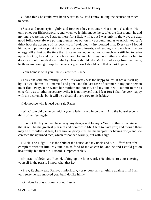«I don't think he could ever be very irritable,» said Fanny, taking the accusation much to heart.

 «Sister and recovery!» lightly said Bessie; «they encounter what no one else does! He only pined for Bishopsworthy, and when we let him move there, after the first month, he and my uncle were happy. I stayed there for a little while, but I was only in the way, the dear good folks were always putting themselves out on my account; and as to Alick, you can't think how the absence of his poor »souffre−douleur,« invigorated him. Every day I found him able to put more point into his cutting compliments, and reading to my uncle with more energy; till at last by the time the −th came home, he had not so much as a stiff leg to retire upon. Luckily, he and my uncle both cared too much for my poor father's wishes for him to do so without, though if any unlucky chance should take Mr. Lifford away from my uncle, he threatens coming to supply the vacancy, unless I should, and that is past hope.»

«Your home is with your uncle,» affirmed Rachel.

 «Yes,» she said, mournfully, «dear Littleworthy was too happy to last. It broke itself up by its own charms – all married and gone, and the last rose of summer in my poor person must float away. Jane wants her mother and not me, and my uncle will submit to me as cheerfully as to other necessary evils. It is not myself that I fear for; I shall be very happy with the dear uncle, but it will be a dreadful overthrow to his habits.»

«I do not see why it need be,» said Rachel.

 «What! two old bachelors with a young lady turned in on them! And the housekeeper – think of her feelings!»

 «I do not think you need be uneasy, my dear,» said Fanny. «Your brother is convinced that it will be the greatest pleasure and comfort to Mr. Clare to have you; and though there may be difficulties at first, I am sure anybody must be the happier for having you,» and she caressed the upturned face, which responded warmly, but with a sigh.

 «Alick is no judge! He is the child of the house, and my uncle and Mr. Lifford don't feel complete without him. My uncle is as fond of me as can be, and he and I could get on beautifully, but then Mr. Lifford is impracticable.»

 «Impracticable?» said Rachel, taking up the long word. «He objects to your exerting yourself in the parish. I know what that is.»

 «Pray, Rachel,» said Fanny, imploringly, «pray don't any anything against him! I am very sorry he has annoyed you, but I do like him.»

«Oh, does he play croquet!» cried Bessie.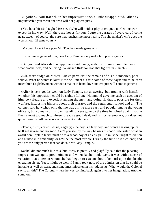«I gather,» said Rachel, in her impressive tone, a little disappointed, «that by impracticable you mean one who will not play croquet.»

 «You have hit it!» laughed Bessie. «Who will neither play at croquet, nor let one work except in his way. Well, there are hopes for you. I cure the curates of every cure I come near, except, of course, the cure that touches me most nearly. The shoemaker's wife goes the worst shod! I'll tame yours.»

«My dear, I can't have poor Mr. Touchett made game of.»

«I won't make game of him, dear Lady Temple, only make him play a game.»

 «But you said Alick did not approve,» said Fanny, with the dimmest possible ideas of what croquet was, and believing it a wicked flirtation trap that figured in «Punch.»

 «Oh, that's fudge on Master Alick's part! Just the remains of his old miseries, poor fellow. What he wants is love! Now he'll meet his fate some of these days; and as he can't meet three Englishwomen without a mallet in hand, love and croquet will come together.»

 «Alick is very good,» went on Lady Temple, not answering, but arguing with herself whether this opposition could be right. «Colonel Hammond gave me such an account of him, so valuable and excellent among the men, and doing all that is possible for their welfare, interesting himself about their library, and the regimental school and all. The colonel said he wished only that he was a little more easy and popular among the young officers; but so many of his own standing were gone by the time he joined again, that he lives almost too much to himself, reads a good deal, and is most exemplary, but does not quite make his influence as available as it might be.»

 «That's just it,» cried Bessie, eagerly; «the boy is a lazy boy, and wants shaking up, or he'll get savage and no good. Can't you see, by the way he uses his poor little sister, what an awful don Captain Keith must be to a schoolboy of an ensign? He must be taught toleration and hunted into amiability, or he'll be the most terrible Turk by the time he is a colonel; and you are the only person that can do it, dear Lady Temple.»

 Kachel did not much like this, but it was so prettily and playfully said that the pleasing impression was quite predominant; and when Rachel took leave, it was with a sense of vexation that a person whom she had begun to esteem should be hard upon this bright engaging sister. Yet it might be well if Fanny took note of the admission that he could be irritable as well as stern, and sometimes mistaken in his judgments. What would the Colonel say to all this? The Colonel – here he was coming back again into her imagination. Another symptom!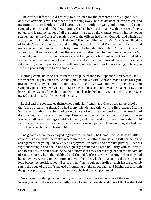The brother left the field entirely to his sister for the present; he was a good deal occupied after his leave, and other officers being away, he was detained at Avoncester, and meantime Bessie Keith took all hearts by storm with her gay good humour and eager sympathy. By the end of the first morning she had been to the stable with a swarm of boys, patted, and learnt the names of all the ponies; she was on the warmest terms with the young spaniel, that, to the Curtises' vexation, one of the officers had given Conrade, and which was always getting into the way; she had won Alison by telling her of Mr. Clare's recollections of Ermine's remarkable beauty and intelligence, and charmed Ermine herself by his kind messages and her own sunshiny brightness; she had delighted Mrs. Curtis and Grace by appreciating their views and their flowers; she had discussed hymnals and chants with Mr. Touchett, and promised her services; she had given a brilliant object lesson at Mrs. Kelland's, and received one herself in lace−making; and had proved herself, to Rachel's satisfaction, equally practical and well−read. All the outer world was asking, «Have you seen the young lady with Lady Temple?»

 Nothing came amiss to her, from the antiquity of man to Stephana's first words; and whether she taught Grace new stitches, played cricket with Conrade, made boats for Cyril, prattled with Lady Temple, or studied with Rachel, all was done with grace, zest, and sympathy peculiarly her own. Two practisings at the school removed the leaden drawl, and lessened the twang of the choir; and Mr. Touchett looked quite exalted, while even Rachel owned that she had hardly believed her ears.

 Rachel and she constituted themselves particular friends, and Grace kept almost aloof in the fear of disturbing them. She had many friends, and this was the first, except Ermine Williams, to whom Rachel had taken, since a favourite companion of her youth had disappointed her by a foolish marriage. Bessie's confidences had a vigour in them that even Rachel's half−way meetings could not check, and then the sharp, clever things she would say, in accordance with Rachel's views, were more sympathetic than anything she had met with. It was another new charm to life.

 One great pleasure they enjoyed together was bathing. The Homestead possessed a little cove of its own under the rocks, where there was a bathing−house, and full perfection of arrangement for young ladies' aquatic enjoyment, in safety and absolute privacy. Rachel's vigorous strength and health had been greatly promoted by her familiarity with salt water, and Bessie was in ecstasies at the naiad performances they shared together on the smooth bit of sandy shore, where they dabbled and floated fearlessly. One morning, when they had been down very early to be beforehand with the tide, which put a stop to their enjoyment long before the breakfast hour, Bessie asked if they could not profit by their leisure to climb round the edge of the cliff's instead of returning by the direct path, and Rachel agreed, with the greater pleasure, that it was an enterprise she had seldom performed.

 Very beautiful, though adventurous, was the walk – now on the brow of the steep cliff, looking down on the water or on little bays of shingle, now through bits of thicket that held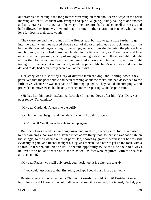out brambles to entangle the long tresses streaming on their shoulders; always in the brisk morning air, that filled them with strength and spirit, laughing, joking, calling to one another and to Conrade's little dog, that, like every other creature, had attached itself to Bessie, and had followed her from Myrtlewood that morning, to the vexation of Rachel, who had no love for dogs in their early youth.

 They were beyond the grounds of the Homestead, but had to go a little further to get into the path, when they paused above a sort of dip or amphitheatre of rock around a little bay, whilst Rachel began telling of the smugglers' traditions that haunted the place – how much brandy and silk had there been landed in the time of the great French war, and how once, when hard pressed, a party of smugglers, taking a short cut in the moonlight midnight across the Homestead gardens, had encountered an escaped Guinea−pig, and no doubt taking it for the very rat without a tail, in whose person Macbeth's witch was to do, and to do, and to do, had been nearly scared out of their wits.

 Her story was cut short by a cry of distress from the dog, and looking down, they perceived that the poor fellow had been creeping about the rocks, and had descended to the little cove, whence he was incapable of climbing up again. They called encouragingly, and pretended to move away, but he only moaned more despairingly, and leapt in vain.

 «He has hurt his foot!» exclaimed Rachel; «I must go down after him. Yes, Don, yes, poor fellow, I'm coming.»

«My dear Curtia, don't leap into the gulf!»

«Oh, it's no great height, and the tide will soon fill up this place.»

«Don't! don't! You'll never be able to get up again.»

 But Rachel was already scrambling down, and, in effect, she was sure−footed and used to her own crags, nor was the distance much above thirty foot, so that she was soon safe on the shingle, to the extreme relief of poor Don, shown by grateful whines; but he was still evidently in pain, and Rachel thought his leg was broken. And how to get up the rock, with a spaniel that when she tried to lift it became apparently twice the size she had always believed it to be, and where both hands as well as feet were required, with the sea fast advancing too?

«My dear Rachel, you will only break your neck, too, it is quite vain to try!»

«If you could just come to that first rock, perhaps I could push him up to you!»

 Bessie came to it, but screamed. «Oh, I'm not steady; I couldn't do it! Besides, it would hurt him so, and I know you would fall. Poor fellow, it is very sad; but indeed, Rachel, your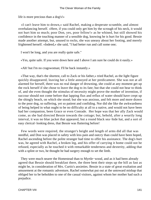life is more precious than a dog's!»

 «I can't leave him to drown,» said Rachel, making a desperate scramble, and almost overbalancing herself. «Here, if you could only get him by the scrough of his neck, it would not hurt him so much; poor Don, yes, poor fellow!» as he whined, but still showed his confidence in the touching manner of a sensible dog, knowing he is hurt for his good. Bessie made another attempt, but, unused to rocks, she was uneasy about her footing, and merely frightened herself. «Indeed,» she said, "I had better run and call some one;

I won't be long, and you are really quite safe."

«Yes, quite safe. If you were down here and I above I am sure he could do it easily.»

«Ah! but I'm no cragswoman; I'll be back instantly.»

 «That way, that's the shortest, call to Zack or his father,» tried Rachel, as the light figure quickly disappeared, leaving her a little annoyed at her predicament. She was not at all alarmed for herself, there was no real danger of drowning, she could at any moment get up the rock herself if she chose to leave the dog to its fate; but that she could not bear to think of, and she even thought the stimulus of necessity might prove the mother of invention, if succour should not come before that lapping flux and reflux of water should have crept up the shingly beach, on which she stood; but she was anxious, and felt more and more drawn to the poor dog, so suffering, yet so patient and confiding. Nor did she like the awkwardness of being helped in what ought to be no difficulty at all to a native, and would not have been had her companion, been Grace or even Conrade. Her hope was that her ally Zack would come, as she had directed Bessie towards the cottage; but, behold, after a wearily long interval, it was no blue jacket that appeared, but a round black sea−hide hat, and a sort of easy clerical−looking dress, that Bessie was fluttering before!

 Few words were required, the stranger's height and length of arms did all that was needful, and Don was placed in safety with less pain and outcry than could have been hoped, Rachel ascending before the polite stranger had time to offer his assistance. The dog's hurt was, he agreed with Rachel, a broken leg, and his offer of carrying it home could not be refused, especially as he touched it with remarkable tenderness and dexterity, adding that with a splint or two, he thought he had surgery enough to set the limb.

 They were much nearer the Homestead than to Myrtle−wood, and as it had been already agreed that Bessie should breakfast there, the three bent their steps up the hill as fast as might be, in consideration of Mrs. Curtis's anxieties. Bessie in a state of great exultation and amusement at the romantic adventure, Rachel somewhat put out at the untoward mishap that obliged her to be beholden to one of the casual visitors, against whom her mother had such a prejudice.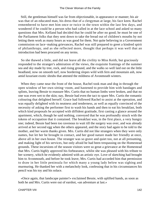Still, the gentleman himself was far from objectionable, in appearance or manner; his air was that of an educated man, his dress that of a clergyman at large, his face keen. Rachel remembered to have met him once or twice in the town within the last few days, and wondered if he could be a person who had called in at the lace school and asked so many questions that Mrs. Kelland had decided that he could be after no good; he must be one of the Parliament folks that they sent down to take the bread out of children's mouths by not letting them work as many hours as was good for them. Not quite believing in a Government commission on lace−making grievances, Rachel was still prepared to greet a kindred spirit of philanthropy, and as she reflected more, thought that perhaps it was well that an introduction had been procured on any terms.

 So she thawed a little, and did not leave all the civility to Miss Keith, but graciously responded to the stranger's admiration of the views, the exquisite framings of the summer sea and sky made by tree, rock, and rising ground, and the walks so well laid out on the little headland, now on smooth turf, now bordering slopes wild with fern and mountain ash, now amid luxuriant exotic shrubs that attested the mildness of Avonmouth winters.

 When they came near the front of the house, Rachel took man and dog in through the open window of her own sitting−room, and hastened to provide him with bandages and splints, leaving Bessie to reassure Mrs. Curtis that no human limbs were broken, and that no one was even wet to the skin; nay, Bessie had even the tact to spare Mrs. Curtis the romantic colouring that delighted herself. Grace had followed Rachel to assist at the operation, and was equally delighted with its neatness and tenderness, as well as equally convinced of the necessity of asking the performer first to wash his hands and then to eat his breakfast, both which kind proposals he accepted with diffident gratitude, first casting a glance around the apartment, which, though he said nothing, conveyed that he was profoundly struck with the tokens of occupation that it contained. The breakfast was, in the first place, a very hungry one; indeed, Bessie had been too ravenous to wait till the surgery was over, and was already arrived at her second egg when the others appeared, and the story had again to be told to the mother, and her warm thanks given. Mrs. Curtis did not like strangers when they were only names, but let her be brought in contact, and her good nature made her friendly at once, above all in her own house. The stranger was so grave and quiet too, not at all presuming, and making light of his services, but only afraid he had been trespassing on the Homestead grounds. These incursions of the season visitors were so great a grievance at the Homestead that Mrs. Curtis highly approved his forbearance, whilst she was pleased with his tribute to her scenery, which he evidently admired with an artistic eye. Love of sketching had brought him to Avonmouth, and before he took leave, Mrs. Curtis had accorded him that permission to draw in her little peninsula for which many a young lady below was sighing and murmuring. He thanked her with a melancholy look, confessing that in his circumstances his pencil was his toy and his solace.

 «Once again, that landscape painter!» exclaimed Bessie, with uplifted hands, as soon as both he and Mrs. Curtis were out of earshot, «an adventure at last.»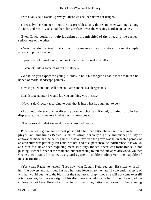«Not at all,» said Rachel, gravely; «there was neither alarm nor danger.»

 «Precisely; the romance minus the disagreeables. Only the sea monster wanting. Young Alcides, and rock – you stood there for sacrifice, I was the weeping Dardanian dames.»

 Even Grace could not help laughing at the mischief of the one, and the earnest seriousness of the other.

 «Now, Bessie, I entreat that you will not make a ridiculous story of a most simple affair,» implored Rachel.

«I promise not to make one, but don't blame me if it makes itself.»

«It cannot, unless some of us tell the story.»

 «What, do you expect the young Alcides to hold his tongue? That is more than can be hoped of mortal landscape painter.»

«I wish you would not call him so. I am sure he is a clergyman.»

«Landscape painter, I would lay you anything you please.»

«Nay,» said Grace, «according to you, that is just what he ought not to be.»

 «I do not understand what diverts you so much,» said Rachel, growing lofty in her displeasure. «What matters it what the man may be?»

«That is exactly what we want to see,» returned Bessie.

 Poor Rachel, a grave and earnest person like her, had little chance with one so full of playful wit and fun as Bessie Keith, to whom her very dignity and susceptibility of annoyance made her the better game. To have involved the grave Rachel in such a parody of an adventure was perfectly irresistible to her, and to expect absolute indifference to it would, as Grace felt, have been requiring mere stupidity. Indeed, there was forbearance in not pushing Rachel further at the moment; but proceeding to tell the tale at Myrtlewood, whither Grace accompanied Bessie, as a guard against possible madcap versions capable of misconstruction.

 «Yes,» said Rachel to herself, "I see now what Captain Keith regrets. His sister, with all her fine powers and abilities, has had her tone lowered to the hateful conventional style of wit that would put me to the blush for the smallest mishap. I hope he will not come over till it is forgotten, for the very sight of his disapproval would incite her further. I am glad the Colonel is not here. Here, of course, he is in my imagination. Why should I be referring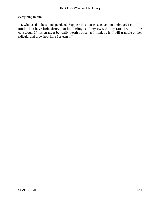everything to him;

 I, who used to be so independent? Suppose this nonsense gave him umbrage? Let it. I might then have light thrown on his feelings and my own. At any rate, I will not be conscious. If this stranger be really worth notice, as I think he is, I will trample on her ridicule, and show how little I esteem it."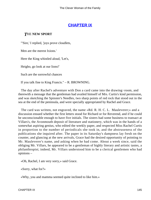## **[CHAPTER IX](#page-416-0)**

### *T*HE **NEW SPORT**

"'Sire,' I replied, 'joys prove cloudlets,

Men are the merest Ixions.'

Here the King whistled aloud, 'Let's,

Heigho, go look at our lions!'

Such are the sorrowful chances

If you talk fine to King Francis." – R. BROWNING.

 The day after Rachel's adventure with Don a card came into the drawing−room, and therewith a message that the gentleman had availed himself of Mrs. Curtis's kind permission, and was sketching the Spinster's Needles, two sharp points of red rock that stood out in the sea at the end of the peninsula, and were specially appropriated by Rachel and Grace.

 The card was written, not engraved, the name «Rd. R. H. C. L. Mauleverer;» and a discussion ensued whether the first letters stood for Richard or for Reverend, and if he could be unconscionable enough to have five initials. The sisters had some business to transact at Villars's, the Avonmouth deposit of literature and stationery, which was in the hands of a somewhat aspiring genius, who edited the weekly paper, and respected Miss Rachel Curtis in proportion to the number of periodicals she took in, and the abstruseness of the publications she inquired after. The paper in its Saturday's dampness lay fresh on the counter, and glancing at the new arrivals, Grace had the desired opportunity of pointing to Mr. Mauleverer's name, and asking when he had come. About a week since, said the obliging Mr. Villars, he appeared to be a gentleman of highly literary and artistic tastes, a philanthropist; indeed, Mr. Villars understood him to be a clerical gentlemen who had opinions –

«Oh, Rachel, I am very sorry,» said Grace.

«Sorry, what for?»

«Why, you and mamma seemed quite inclined to like him.»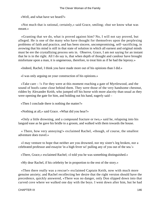«Well, and what have we heard?»

 «Not much that is rational, certainly,» said Grace, smiling; «but we know what was meant.»

 «Granting that we do, what is proved against him? No, I will not say proved, but alleged. He is one of the many who have thought for themselves upon the perplexing problems of faith and practice, and has been sincere, uncompromising, self−sacrificing, in avowing that his mind is still in that state of solution in which all earnest and original minds must be ere the crystallizing process sets in. Observe, Grace, I am not saying for an instant that he is in the right. All I do say is, that when depth of thought and candour have brought misfortune upon a man, it is ungenerous, therefore, to treat him as if he had the leprosy.»

«Indeed, Rachel, I think you have made more out of his opinions than I did.»

«I was only arguing on your construction of his opinions.»

 «Take care – !» For they were at this moment reaching a gate of Myrtlewood, and the sound of hoofs came close behind them. They were those of the very handsome chestnut, ridden by Alexander Keith, who jumped off his horse with more alacrity than usual as they were opening the gate for him, and holding out his hand, eagerly said –

«Then I conclude there is nothing the matter?»

«Nothing at all,» said Grace. «What did you hear?»

 «Only a little drowning, and a compound fracture or two,» said he, relapsing into his languid ease as he gave his bridle to a groom, and walked with them towards the house.

 « There, how very annoying!» exclaimed Rachel, «though, of course, the smallest adventure does travel.»

 «I may venture to hope that neither are you drowned, nor my sister's leg broken, nor a celebrated professor and essayist 'in a high fever wi' pulling any of you out of the sea.'»

«There, Grace,» exclaimed Rachel; «I told you he was something distinguished.»

«My dear Rachel, if his celebrity be in proportion to the rest of the story.»

 «Then there really was a rescue!» exclaimed Captain Keith, now with much more genuine anxiety; and Rachel recollecting her desire that the right version should have the precedence, quickly answered, «There was no danger, only Don slipped down into that curved cove where we walked one day with the boys. I went down after him, but he had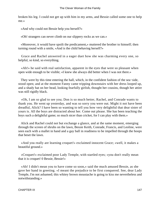broken his leg. I could not get up with him in my arms, and Bessie called some one to help me.»

«And why could not Bessie help you herself?»

«Oh! strangers can never climb on our slippery rocks as we can.»

 «Moreover, it would have spoilt the predicament,» muttered the brother to himself; then turning round with a smile, «And is the child behaving herself?»

 Grace and Rachel answered in a eager duet how she was charming every one, so helpful, so kind, so everything.

 «Ah!» he said with real satisfaction, apparent in the eyes that were so pleasant when open wide enough to be visible; «I knew she always did better when I was not there.»

 They were by this time entering the hall, which, in the confident fashion of the sea−side, stood open; and at the moment Fanny came tripping downstairs with her dress looped up, and a shady hat on her head, looking fearfully girlish, thought her cousins, though her attire was still rigidly black.

 «Oh, I am so glad to see you; Don is so much better, Rachel, and Conrade wants to thank you. He went up yesterday, and was so sorry you were out. Might it not have been dreadful, Alick? I have been so wanting to tell you how very delightful that dear sister of yours is. All the boys are distracted about her. Come out please. She has been teaching the boys such a delightful game; so much nicer than cricket, for I can play with them.»

 Alick and Rachel could not but exchange a glance, and at the same moment, emerging through the screen of shrubs on the lawn, Bessie Keith, Conrade, Francis, and Leoline, were seen each with a mallet in hand and a gay ball in readiness to be impelled through the hoops that beset the lawn.

 «And you really are learning croquet!» exclaimed innocent Grace; «well, it makes a beautiful ground.»

 «Croquet!» exclaimed poor Lady Temple, with startled eyes; «you don't really mean that it is croquet! 0 Bessie, Bessie!»

 «Ah! I didn't mean you to have come so soon,» said the much amused Bessie, as she gave her hand in greeting. «I meant the prejudice to be first conquered. See, dear Lady Temple, I'm not ashamed; this whitey brown moustache is going to kiss me nevertheless and notwithstanding.»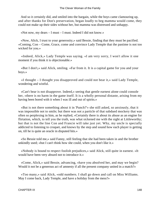And so it certainly did, and smiled into the bargain, while the boys came clamouring up, and after thanks for Don's preservation, began loudly to beg mamma would come, they could not make up their sides without her, but mamma was distressed and unhappy.

«Not now, my dears – I must – I must. Indeed I did not know.»

 «Now, Alick, I trust to your generosity,» said Bessie, finding that they must be pacified. «Coming, Con – Come, Grace, come and convince Lady Temple that the pastime is not too wicked for you.»

 «Indeed, Alick,» Lady Temple was saying. «I am very sorry, I won't allow it one moment if you think it is objectionable.»

 «But I don't,» said Alick, smiling. «Far from it. It is a capital game for you and your boys.»

 «I thought – I thought you disapproved and could not bear it,» said Lady Temple, wondering and wistful.

 «Can't bear is not disapprove. Indeed,» seeing that gentle earnest alone could console her, «there is no harm in the game itself. It is a wholly personal distaste, arising from my having been bored with it when I was ill and out of spirits.»

 «But is not there something about it in 'Punch?'» she still asked, so anxiously, that it was impossible not to smile; but there was not a particle of that subdued mockery that was often so perplexing in him, as he replied, «Certainly there is about its abuse as an engine for flirtation, which, to tell you the truth, was what sickened me with the sight at Littleworthy; but that is not the line Con and Francie will take just yet. Why, my uncle is specially addicted to listening to croquet, and knows by the step and sound how each player is getting on, till he is quite an oracle in disputed hits.»

 «So Bessie told me,» said Fanny, still feeling that she had been taken in and the brother unkindly used; «but I can't think how she could, when you don't like it.»

 «Nobody is bound to respect foolish prejudices,» said Alick, still quite in earnest. «It would have been very absurd not to introduce it.»

 «Come, Alick,» said Bessie, advancing, «have you absolved her, and may we begin? Would it not be a generous act of amnesty if all the present company united in a match?»

 «Too many,» said Alick, «odd numbers. I shall go down and call on Miss Williams. May I come back, Lady Temple, and have a holiday from the mess?»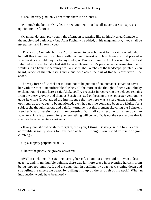«I shall be very glad; only I am afraid there is no dinner.»

 «So much the better. Only let me see you begin, or I shall never dare to express an opinion for the future.»

 «Mamma, do pray, pray begin; the afternoon is wasting like nothing!» cried Conrade of the much−tried patience. «And Aunt Rachel,» he added, in his magnanimity, «you shall be my partner, and I'll teach you.»

 «Thank you, Conrade, but I can't; I promised to be at home at four,» said Rachel, who had all this time been watching with curious interest which influence would prevail – whether Alick would play for Fanny's sake, or Fanny abstain for Alick's sake. She was best satisfied as it was, but she had still to parry Bessie Keith's persuasive determination. Why would she go home? it certainly was to inspect the sketches of the landscape−painter. «You heard, Alick, of the interesting individual who acted the part of Rachel's preserver,» she added.

 The very force of Rachel's resolution not to be put out of countenance served to cover her with the most uncomfortable blushes, all the more at the thought of her own unlucky exclamation. «I came here,» said Alick, coolly, «to assist in recovering the beloved remains from a watery grave;» and then, as Bessie insisted on hearing the Avoncester version, he gave it; while Grace added the intelligence that the hero was a clergyman, sinking the opinions, as too vague to be mentioned, even had not the company been too flighty for a subject she thought serious and painful. «And he is at this moment sketching the Spinster's Needles!» said Bessie. «Well, I am consoled. With all your resolve to flatten down an adventure, fate is too strong for you. Something will come of it. Is not the very resolve that it shall not be an adventure a token?»

 «If any one should wish to forget it, it is you, I think, Bessie,» said Alick. «Your admirable sagacity seems to have been at fault. I thought you prided yourself on your climbing.»

«Up a slippery perpendicular  $-\infty$ 

«I know the place,» he gravely answered.

 «Well,» exclaimed Bessie, recovering herself, «I am not a mermaid nor even a dear gazelle, and, in my humble opinion, there was far more grace in preventing heroism from being 'unwept, unnoticed, and unsung,' than in perilling my own neck, craning down and strangling the miserable beast, by pulling him up by the scrough of his neck! What an introduction would have been lost!»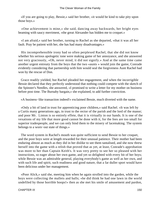«If you are going to play, Bessie,» said her brother, «it would be kind to take pity upon those boys.»

 «One achievement is mine,» she said, dancing away backwards, her bright eyes beaming with saucy merriment, «the great Alexander has bidden me to croquet.»

 «I am afraid,» said her brother, turning to Rachel as she departed, «that it was all her fault. Pray be patient with her, she has had many disadvantages.»

 His incomprehensible irony had so often perplexed Rachel, that she did not know whether his serious apologetic tone were making game of her annoyance, and she answered not very graciously, «Oh, never mind, it did not signify.» And at the same time came another urgent entreaty from the boys that the two «aunts » would join the game, Conrade evidently considering that partnership with him would seal the forgiveness Aunt Rachel had won by the rescue of Don.

 Grace readily yielded, but Rachel pleaded her engagement, and when the incorrigible Bessie declared that they perfectly understood that nothing could compete with the sketch of the Spinster's Needles, she answered, «I promised to write a letter for my mother on business before post time. The Burnaby bargain,» she explained, to add further conviction.

«A business−like transaction indeed!» exclaimed Bessie, much diverted with the name.

 «Only a bit of land in trust for apprenticing poor children,» said Rachel. «It was left by a Curtis many generations ago, in trust to the rector of the parish and the lord of the manor; and poor Mr. Linton is so entirely effete, that it is virtually in our hands. It is one of the vexations of my life that more good cannot be done with it, for the fees are too small for superior tradespeople, and we can only bind them to the misery of lacemaking. The system belongs to a worn−out state of things.»

 The word system in Rachel's mouth was quite sufficient to send Bessie to her croquet, and the poor boys were at length rewarded for their unusual patience. Their mother had been enduring almost as much as they did in her dislike to see them tantalised, and she now threw herself into the game with a relish that proved that as yet, at least, Conrade's approbation was more to her than Captain Keith's. It was very pretty to see her so pleased with her instructions, so eager about her own game, and yet so delighted with every hit of her boys; while Bessie was an admirable general, playing everybody's game as well as her own, and with such life and spirit, such readiness and good nature, that a far duller sport would have been delicious under her management.

 «Poor Alick,» said she, meeting him when he again strolled into the garden, while the boys were collecting the mallets and balls; «he did think he had one lawn in the world undefiled by those horrible hoops!» then as she met his smile of amusement and pardon,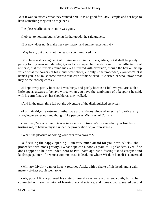«but it was so exactly what they wanted here. It is so good for Lady Temple and her boys to have something they can do together.»

The pleased affectionate smile was gone.

«I object to nothing but its being for her good,» he said gravely.

«But now, does not it make her very happy, and suit her excellently?»

«May be so, but that is not the reason you introduced it.»

 «You have a shocking habit of driving one up into corners, Alick, but it shall be purely, purely for my own selfish delight,» and she clasped her hands in so droll an affectation of remorse, that the muscles round his eyes quivered with diversion, though the hair on his lip veiled what the corners of his mouth were about; «if only,» she proceeded, «you won't let it banish you. You must come over to take care of this wicked little sister, or who knows what may be the consequences.»

 «I kept away partly because I was busy, and partly because I believe you are such a little ape as always to behave worse when you have the semblance of a keeper;» he said, with his arm fondly on her shoulder as they walked.

«And in the mean time fell out the adventure of the distinguished essayist.»

 «I am afraid,» he returned, «that was a gratuitous piece of mischief, particularly annoying to so serious and thoughtful a person as Miss Rachel Curtis.»

 «Jealousy?» exclaimed Bessie in an ecstatic tone. «You see what you lost by not trusting me, to behave myself under the provocation of your presence.»

«What! the pleasure of boxing your ears for a coward?»

 «Of seizing the happy opening! I am very much afraid for you now, Alick,» she proceeded with mock gravity. «What hope can a poor Captain of Highlanders, even if he does happen to be a wounded hero or two, have against a distinguished essayist and landscape painter; if it were a common case indeed, but where Wisdom herself is concerned  $\rightarrow$ 

 «Military frivolity cannot hope,» returned Alick, with a shake of his head, and a calm matter−of−fact acquiescent tone.

 «Ah, poor Alick,» pursued his sister, «you always were a discreet youth; but to be connected with such a union of learning, social science, and homeaopathy, soared beyond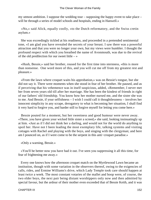my utmost ambition. I suppose the wedding tour – supposing the happy event to take place – will be through a series of model schools and hospitals, ending in Hanwell.»

 «No,» said Alick, equally coolly, «to the Dutch reformatory, and the Swiss cretin asylum.»

 She was exceedingly tickled at his readiness, and proceeded in a pretended sentimental tone, «I am glad you have revealed the secrets of your breast. I saw there was a powerful attraction and that you were no longer your own, but my views were humbler. I thought the profound respect with which you breathed the name of Avonmouth, was due to the revival of the old predilection for our sweet little  $-\infty$ 

 «Hush, Bessie,» said her brother, roused for the first time into sternness, «this is more than nonsense. One word more of this, and you will cut me off from my greatest rest and pleasure.»

 «From the lawn where croquet waits his approbation,» was on Bessie's tongue, but she did not say it. There were moments when she stood in fear of her brother. He paused, and as if perceiving that his vehemence was in itself suspicious, added, «Remember, I never met her from seven years old till after her marriage. She has been the kindest of friends in right of our fathers' old friendship. You know how her mother nursed me, and the sister she was to me. And Bessie, if your selfishness – I wish I could call it thoughtlessness – involves her innocent simplicity in any scrape, derogatory to what is becoming her situation, I shall find it very hard to forgive you, and harder still to forgive myself for letting you come here.»

 Bessie pouted for a moment, but her sweetness and good humour were never away. «There, you have given your wicked little sister a screed,» she said, looking insinuatingly up at him. «Just as if I did not think her a darling, and would not for the world do anything to spoil her. Have not I been leading the most exemplary life, talking systems and visiting cottages with Rachel and playing with the boys, and singing with the clergyman; and here am I pounced on, as if I were come to be the serpent in this anti−croquet paradise.»

«Only a warning, Bessie.»

 «You'll be better now you have had it out. I've seen you suppressing it all this time, for fear of frightening me away.»

 Every one knows how the afternoon croquet match on the Myrtlewood Lawn became an institution, though with some variation in the observers thereof, owing to the exigencies of calls, rides, and Ermine Williams's drive, which Lady Temple took care should happen at least twice a week. The most constant votaries of the mallet and hoop were, of course, the two elder boys, the next pair being distant worshippers only now and then admitted by special favour, but the ardour of their mother even exceeded that of Bessie Keith, and it was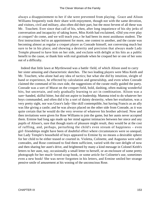always a disappointment to her if she were prevented from playing. Grace and Alison Williams frequently took their share with enjoyment, though not with the same devotion, and visitors, civil and military, also often did their part, but the most fervent of all these was Mr. Touchett. Ever since that call of his, when, after long impatience of his shy jerks of conversation and incapacity of taking leave, Miss Keith had exclaimed, «Did you ever play at croquet? do come, and we will teach you,» he had been its most assiduous student. The first instructions led to an appointment for more, one contest to another, and the curate was becoming almost as regular a croquet player as Conrade himself, not conversing much but sure to be in his place; and showing a dexterity and precision that always made Lady Temple pleased to have him on her side, and exclaim with delight at his hits as a public benefit to the cause, or thank him with real gratitude when he croqued her or one of her sons out of a difficulty.

 Indeed that little lawn at Myrtlewood was a battle−field, of which Alison used to carry her sister amusing and characteristic sketches. The two leading players were Miss Keith and Mr. Touchett, who alone had any idea of tactics; but what she did by intuition, sleight of hand or experience, he effected by calculation and generalship, and even when Conrade claimed the command of his own side, the suggestions of the curate really guided the party. Conrade was a sort of Murat on the croquet field, bold, dashing, often making wonderful hits, but uncertain, and only gradually learning to act in combination. Alison was a sure−handed, skilful hitter, but did not aspire to leadership. Mamma tried to do whatever her boys commanded, and often did it by a sort of dainty dexterity, when her exultation, was a very pretty sight, nor was Grace's lady−like skill contemptible, but having Francis as an ally was like giving a castle; and he was always placed on the other side from Conrade, as it was quite certain that he would do the very reverse of whatever his brother advised. Now and then invitations were given for Rose Williams to join the game, but her aunts never accepted them. Ermine had long ago made up her mind against intimacies between her niece and any pupils of Alison's, sure that though starts of pleasure might result, they would be at the cost of ruffling, and, perhaps, perturbing the child's even stream of happiness – even girl−friendships might have been of doubtful effect where circumstances were so unequal; but Lady Temple's household of boys appeared to Ermine by no means a desirable sphere for her child to be either teased or courted in. Violetta, Colinette, and Augustus were safer comrades, and Rose continued to find them sufficient, varied with the rare delight of now and then sharing her aunt's drive, and brightened by many a kind message in Colonel Keith's letters to her aunt, nay, occasionally a small letter to herself, or an enclosure of some pretty photograph for her much−loved scrap book, or some article for Colinette's use, sometimes even a new book! She was never forgotten in his letters, and Ermine smiled her strange pensive smile of amusement at his wooing of the unconscious Rose.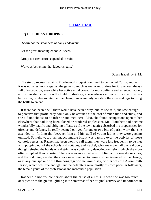# **[CHAPTER X](#page-416-0)**

#### *T*HE **PHILANTHROPIST.**

"Scorn not the smallness of daily endeavour,

Let the great meaning ennoble it ever,

Droop not o'er efforts expended in vain,

Work, as believing, that labour is gain."

Queen Isabel, by S. M.

 The sturdy recusant against Myrtlewood croquet continued to be Rachel Curtis, and yet it was not a testimony against the game so much as real want of time for it. She was always full of occupation, even while her active mind craved for more definite and extended labour; and when she came upon the field of strategy, it was always either with some business before her, or else so late that the champions were only assisting their several lags to bring the battle to an end.

 If there had been a will there would have been a way, but, as she said, she saw enough to perceive that proficiency could only be attained at the cost of much time and study, and she did not choose to be inferior and mediocre. Also, she found occupations open to her elsewhere that had long been closed or rendered unpleasant. Mr. Touchett had become wonderfully pacific and obliging of late, as if the lawn tactics absorbed his propensities for offence and defence, he really seemed obliged for one or two bits of parish work that she attended to; finding that between him and his staff of young ladies they were getting omitted. Somehow, too, an unaccountable blight was passing over the activity of those curatolatresses, as Rachel had been wont to call them; they were less frequently to be met with popping out of the schools and cottages, and Rachel, who knew well all the real poor, though refusing the bonds of a district, was continually detecting omissions which she more often supplied than reported. There was even a smaller sprinkling at the weekly services, and the odd thing was that the curate never seemed to remark or be distressed by the change, or if any one spoke of the thin congregation he would say, winter was the Avonmouth season, which was true enough, but the defaulters were mostly his own peculiar followers, the female youth of the professional and mercantile population.

 Rachel did not trouble herself about the cause of all this, indeed she was too much occupied with the gradual gliding into somewhat of her original activity and importance in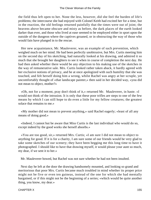the field thus left open to her. None the less, however, did she feel the burden of life's problems; the intercourse she had enjoyed with Colonel Keith had excited her for a time, but in the reaction, the old feelings returned painfully that the times were out of joint; the heavens above became obscure and misty as before, the dark places of the earth looked darker than ever, and those who lived at ease seemed to be employed either in sport upon the outside of the dungeon where the captives groaned, or in obstructing the way of those who would fain have plunged in to the rescue.

 Her new acquaintance, Mr. Mauleverer, was an example of such prevention, which weighed much on her mind. He had been perfectly unobtrusive, but Mrs. Curtis meeting him on the second day of his sketching, had naturally looked at his drawing, and admired it so much that she brought her daughters to see it when in course of completion the next day. He had then asked whether there would be any objection to his making use of the sketches in the way of remunerative sale. Mrs. Curtis looked rather taken aback, it hardly agreed with her exclusive notions of privacy, and he at once apologized with such humility that she was touched, and felt herself doing him a wrong, whilst Rachel was angry at her scruple, yet uncomfortably thought of «that landscape painter,» then said in her decided way, «you did not mean to object, mother?»

 «Oh, not for a moment, pray don't think of it,» returned Mr. Mauleverer, in haste. «I would not think of the intrusion. It is only that these poor trifles are steps to one of the few means by which I can still hope to do even a little for my fellow creatures; the greatest solace that remains to me.»

 «My mother did not mean to prevent anything,» said Rachel eagerly; «least of all any means of doing good.»

 «Indeed, I cannot but be aware that Miss Curtis is the last individual who would do so, except indeed by the good works she herself absorbs.»

 «You are too good, sir,» returned Mrs. Curtis; «I am sure I did not mean to object to anything for good. If it is for a charity, I am sure some of our friends would be very glad to take some sketches of our scenery; they have been begging me this long time to have it photographed. I should like to have that drawing myself, it would please your aunt so much, my dear, if we sent it to her.»

Mr. Mauleverer bowed, but Rachel was not sure whether he had not been insulted.

 Next day he left at the door the drawing handsomely mounted, and looking so grand and meritorious that poor Mrs. Curtis became much troubled in mind whether its proper price might not be five or even ten guineas, instead of the one for which she had mentally bargained, or if this might not be the beginning of a series; «which would be quite another thing, you know, my dear.»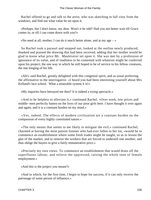Rachel offered to go and talk to the artist, who was sketching in full view from the windows, and find out what value he set upon it.

 «Perhaps, but I don't know, my dear. Won't it be odd? Had you not better wait till Grace comes in, or till I can come down with you?»

«No need at all, mother, I can do it much better alone, and at my age  $-\infty$ 

 So Rachel took a parasol and stepped out, looked at the outline newly produced, thanked and praised the drawing that had been received, adding that her mother would be glad to know what price Mr. Mauleverer set upon it. She was met by a profession of ignorance of its value, and of readiness to be contented with whatever might be conferred upon his project; the one way in which he still hoped to be of service to his fellow creatures, the one longing of his life.

 «Ah!» said Rachel, greatly delighted with this congenial spirit, and as usual preferring the affirmative to the interrogative. «I heard you had been interesting yourself about Mrs Kelland's lace school. What a miserable system it is!»

«My inquiries have betrayed me then? It is indeed a trying spectacle.»

 «And to be helpless to alleviate it,» continued Rachel. «Over work, low prices and middle−men perfectly batten on the lives of our poor girls here. I have thought it over again and again, and it is a constant burden on my mind.»

 «Yes, indeed. The effects of modern civilization are a constant burden on the compassion of every highly constituted nature.»

 «The only means that seems to me likely to mitigate the evil,» continued Rachel, charmed at having the most patient listener who had ever fallen to her lot, «would be to commence an establishment where some fresh trades might be taught, so as to lessen the glut of the market, and to remove the workers that are forced to undersell one another, and thus oblige the buyers to give a fairly remunerative price.»

 «Precisely my own views. To commence an establishment that would drain off the superfluous labour, and relieve the oppressed, raising the whole tone of female employment.»

«And this is the project you meant?»

 «And in which, for the first time, I begin to hope for success, if it can only receive the patronage of some person of influence.»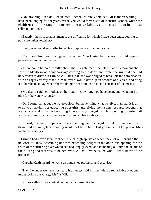«Oh, anything I can do!» exclaimed Rachel, infinitely rejoiced. «It is the very thing I have been longing for for years. What, you would form a sort of industrial school, where the children could be taught some remunerative labour, and it might soon be almost self−supporting?»

 «Exactly; the first establishment is the difficulty, for which I have been endeavouring to put a few mites together.»

«Every one would subscribe for such a purpose!» exclaimed Rachel.

 «You speak from your own generous nature, Miss Curtis; but the world would require patronesses to recommend.»

 «There could be no difficulty about that!» exclaimed Rachel; but at this moment she saw the Myrtlewood pony carriage coming to the door, and remembering that she had undertaken to drive out Ermine Williams in it, she was obliged to break off the conversation, with an eager entreaty that Mr. Mauleverer would draw up an account of his plan, and bring it to her the next day, when she would give her opinion on it, and consider of the means.

 «My dear,» said her mother, on her return, «how long you have been; and what am I to give for the water−colour?»

 «Oh, I forgot all about the water−colour; but never mind what we give, mamma, it is all to go to an asylum for educating poor girls, and giving them some resource beyond that weary lace−making – the very thing I have always longed for. He is coming to settle it all with me to−morrow, and then we will arrange what to give.»

 «Indeed, my dear, I hope it will be something well managed. I think if it were not for those middle−men, lace−making would not be so bad. But you must not keep poor Miss Williams waiting.»

 Ermine had never seen Rachael in such high spirits as when they set out through the network of lanes, describing her own exceeding delight in the door thus opening for the relief of the suffering over which she had long grieved, and launching out into the details of the future good that was to be achieved. At last Ermine asked what Rachel knew of the proposer.

«Captain Keith, heard he was a distinguished professor and essayist.»

 «Then I wonder we have not heard his name,» said Ermine. «It is a remarkable one; one might look in the 'Clergy List' at Villars's.»

«Villars called him a clerical gentleman,» mused Rachel.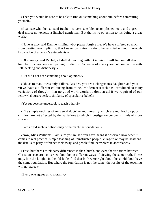«Then you would be sure to be able to find out something about him before committing yourself.»

 «I can see what he is,» said Rachel, «a very sensible, accomplished man, and a great deal more; not exactly a finished gentleman. But that is no objection to his doing a great work.»

 «None at all,» said Ermine, smiling; «but please forgive me. We have suffered so much from trusting too implicitly, that I never can think it safe to be satisfied without thorough knowledge of a person's antecedents.»

 «Of course,» said Rachel, «I shall do nothing without inquiry. I will find out all about him, but I cannot see any opening for distrust. Schemes of charity are not compatible with self−seeking and dishonesty.»

«But did I not hear something about opinions?»

 «Oh, as to that, it was only Villars. Besides, you are a clergyman's daughter, and your views have a different colouring from mine. Modern research has introduced so many variations of thought, that no good work would be done at all if we required of our fellow−labourers perfect similarity of speculative belief.»

«Yet suppose he undertook to teach others?»

 «The simple outlines of universal doctrine and morality which are required by poor children are not affected by the variations to which investigation conducts minds of more scope.»

«I am afraid such variations may often reach the foundation.»

 «Now, Miss Williams, I am sure you must often have heard it observed how when it comes to real practical simple teaching of uninstructed people, villagers or may be heathens, the details of party difference melt away, and people find themselves in accordance.»

 «True, but there I think party differences in the Church, and even the variations between Christian sects are concerned, both being different ways of viewing the same truth. These may, like the knights in the old fable, find that both were right about the shield, both have the same foundation. But where the foundation is not the same, the results of the teaching will not agree.»

«Every one agrees as to morality.»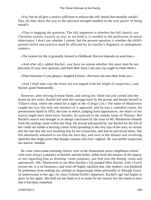«Yes, but do all give a motive sufficient to enforce the self−denial that morality entails? Nay, do they show the way to the spiritual strength needful to the very power of being moral?»

 «That is begging the question. The full argument is whether the full church, say Christian system, exactly as you, as we hold it, is needful to the perfection of moral observance. I don't say whether I assent, but the present question is whether the child's present belief and practice need be affected by its teacher's dogmatic or undogmatic system.»

«The system for life is generally formed in childhood. Harvest depends on seed time.»

 «And after all,» added Rachel, «we have no notion whether this poor man be not precisely of your own opinions, and from their fruits I am sure you ought to claim them.»

«Their blossoms if you please,» laughed Ermine. «We have not seen their fruits yet.»

 «And I shall take care the fruits are not nipped with the blight of suspicion,» said Rachel, good−humouredly.

 However, after driving Ermine home, and seeing her lifted out and carried into the house by her sister, Rachel did send the carriage back by the groom and betake herself to Villars's shop, where she asked for a sight of the «Clergy List.» The name of Mauleverer caught her eye, but only one instance of it appeared, and he was a cathedral canon, his presentation dated in 1832, the time at which, judging from appearances, the object of her search might have been born; besides, he rejoiced in the simple name of Thomas. But Rachel's search was brought to an abrupt conclusion by the issue of Mr. Mauleverer himself from the reading−room within the shop. He bowed and passed by, but Rachel for the life of her could not hinder a burning colour from spreading to the very tips of her ears; so certain did she feel that she was insulting him by her researches, and that he perceived them. She felt absolutely ashamed to see him the next day, and even in her dreams was revolving speeches that might prove that though cautious and clear−sighted, she was neither suspicious nor narrow−minded.

 He came when some morning visitors were at the Homestead, prosy neighbours whose calls were always a penance to Rachel, and the butler, either from the manner of the inquiry or not regarding him as drawing−room company, put him into the dining−room and announced, «Mr. Mauleverer to see Miss Rachel.» Up jumped Miss Rachel, with «You'll excuse me, it is on business;» and went off highly satisfied that «the mother» was hindered by politeness from making any attempt at chaperonage either personally or through Grace, so unnecessary at her age, for since Colonel Keith's departure, Rachel's age had begun to grow on her again. She held out her hand as if to atone for her search, hut she found at once that it had been remarked.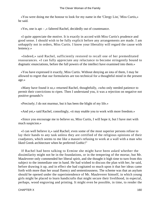«You were doing me the honour to look for my name in the 'Clergy List,' Miss Curtis,» he said.

«Yes, one is apt – ,» faltered Rachel, decidedly out of countenance.

 «I quite appreciate the motive. It is exactly in accord with Miss Curtis's prudence and good sense. I should wish to be fully explicit before any arrangements are made. I am unhappily not in orders, Miss Curtis. I know your liberality will regard the cause with leniency.»

 «Indeed,» said Rachel, sufficiently restored to recall one of her premeditated reassurances. «I can fully appreciate any reluctance to become stringently bound to dogmatic enunciations, before the full powers of the intellect have examined into them.»

 «You have expressed it exactly, Miss Curtis. Without denying an iota of them, I may be allowed to regret that our formularies are too technical for a thoughtful mind in the present age.»

 «Many have found it so,» returned Rachel, thoughtfully, «who only needed patience to permit their convictions to ripen. Then I understand you, it was a rejection on negative not positive grounds?»

«Precisely; I do not murmur, but it has been the blight of my life.»

«And yet,» said Rachel, consolingly, «it may enable you to work with more freedom.»

 «Since you encourage me to believe so, Miss Curtis, I will hope it, but I have met with much suspicion.»

 «I can well believe it,» said Rachel; even some of the most superior persons refuse to lay their hands to any task unless they are certified of the religious opinions of their coadjutors, which seems to me like a mason's refusing to work at a wall with a man who liked Greek architecture when he preferred Gothic!"

 If Rachel had been talking to Ermine she might have been asked whether the dissimilarity might not be in the foundations, or in the tempering of the mortar, but Mr. Mauleverer only commended her liberal spirit, and she thought it high time to turn from this subject to the immediate one in hand. He had wished to discuss the plan with her, he said, before drawing it up, and in effect she had cogitated so much upon it that her ideas came forth with more than her usual fluency and sententiousness. The scheme was that an asylum should be opened under the superintendence of Mr. Mauleverer himself, in which young girls might be placed to learn handicrafts that might secure their livelihood, in especial, perhaps, wood engraving and printing. It might even be possible, in time, to render the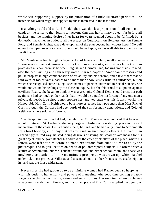whole self−supporting, suppose by the publication of a little illustrated periodical, the materials for which might be supplied by those interested in the institution.

 If anything could add to Rachel's delight it was this last proposition. In all truth and candour, the relief to the victims to lace−making was her primary object, far before all besides, and the longing desire of her heart for years seemed about to be fulfilled; but a domestic magazine, an outlet to all the essays on Curatocult, on Helplessness, on Female Folly, and Female Rights, was a development of the plan beyond her wildest hopes! No dull editor to hamper, reject or curtail! She should be as happy, and as well able to expand as the Invalid herself.

 Mr. Mauleverer had brought a large packet of letters with him, in all manner of hands. There were some testimonials from a German university, and letters from German professors in a compromise between English and German hand, looking impossible to read, also the neat writing and thin wavy water−marked paper of American professors and philanthropists in high commendation of his ability and his scheme, and a few others that he said were of too private a nature to do more than show Miss Curtis in confidence, but on which she recognised some distinguished names of persons interested in Social Science. She would not wound his feelings by too close an inquiry, but she felt armed at all points against cavillers. Really, she began to think, it was a great pity Colonel Keith should cross her path again, she had so much on her hands that it would be a public misfortune if any one man's private domestic love should monopolize her; and yet, such was this foolish world, the Honourable Mrs. Colin Keith would be a more esteemed lady patroness than Miss Rachel Curtis, though the Curtises had been lords of the soil for many generations, and Colonel Keith was a mere soldier of fortune.

 One disappointment Rachel had, namely, that Mr. Mauleverer announced that he was about to return to St. Herbert's, the very large and fashionable watering−place in the next indentation of the coast. He had duties there, he said, and he had only come to Avonmouth for a brief holiday, a holiday that was to result in such happy effects. He lived in an exceedingly retired way, he said, being desirous of saving his small private means for his great object, and he gave Rachel his address at the chief printseller's of the place, where his letters were left for him, while he made excursions from time to time to study the picturesque, and to give lectures on behalf of philanthropical subjects. He offered such a lecture at Avonmouth, but Mr. Touchett would not lend either school−room, and space was nowhere else available. In the meantime a prospectus was drawn up, which Rachel undertook to get printed at Villars's, and to send about to all her friends, since a subscription in hand was the first desideratum.

 Never since she had grown up to be a thinking woman had Rachel been so happy as with this outlet to her activity and powers of managing, «the good time coming at last.» Eagerly she claimed sympathy, names and subscriptions. Her own immediate circle was always easily under her influence, and Lady Temple, and Mrs. Curtis supplied the dignity of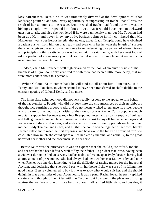lady patronesses; Bessie Keith was immensely diverted at the development of «that landscape painter,» and took every opportunity of impressing on Rachel that all was the result of her summons to the rescue. Ermine wished Rachel had found out who was the bishop's chaplain who rejected him, but allowed that it would have been an awkward question to ask, and also she wondered if he were a university man; but Mr. Touchett had been at a Hall, and never knew anybody, besides being so firmly convinced that Mr. Mauleverer was a pestiferous heretic, that no one, except Lady Temple, could have obtained a patient answer from him on that head – and even with her he went the length of a regret that she had given the sanction of her name to an undertaking by a person of whose history and principles nothing satisfactory was known. «Oh!» said Fanny, with her sweet look of asking pardon, «I am so sorry you think so; Rachel wished it so much, and it seems such a nice thing for the poor children.»

 «Indeed,» said Mr. Touchett, well nigh disarmed by the look, «I am quite sensible of the kindness of all you do, I only ventured to wish there had been a little more delay, that we were more certain about this person.»

 «When Colonel Keith comes back he will find out all about him, I am sure,» said Fanny, and Mr. Touchett, to whom seemed to have been transferred Rachel's dislike to the constant quoting of Colonel Keith, said no more.

 The immediate neighbourhood did not very readily respond to the appeal to it in behalf of the lace−makers. People who did not look into the circumstances of their neighbours thought lace furnished a good trade, and by no means wished to enhance its price; people who did care for the poor had charities of their own, nor was Rachel Curtis popular enough to obtain support for her own sake; a few five−pound notes, and a scanty supply of guineas and half−guineas from people who were ready at any cost to buy off her vehement eyes and voice was all she could obtain, and with a subscription of twenty pounds each from her mother, Lady Temple, and Grace, and all that she could scrape together of her own, hardly seemed sufficient to meet the first expenses, and how would the future be provided for? She calculated how much she could spare out of her yearly income, and actually, to the great horror of her mother and the coachman, sold her horse.

 Bessie Keith was the purchaser. It was an expense that she could quite afford, for she and her brother had been left very well off by their father – a prudent man, who, having been a widower during his Indian service, had been able to live inexpensively, besides having had a large amount of prize money. She had always had her own horse at Littleworthy, and now when Rachel was one day lamenting to her the difficulty of raising money for the Industrial Asylum, and declaring that she would part with her horse if she was sure of its falling into good hands, Bessie volunteered to buy it, it was exactly what would suit her, and she should delight in it as a reminder of dear Avonmouth. It was a pang, Rachel loved the pretty spirited creature, and thought of her rides with the Colonel; but how weigh the pleasure of riding against the welfare of one of those hard−worked, half−stifled little girls, and besides, it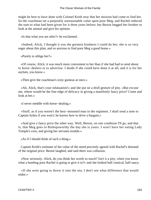might be best to have done with Colonel Keith now that her mission had come to find her. So the coachman set a purposely unreasonable value upon poor Meg, and Rachel reduced the sum to what had been given for it three years before; but Bessie begged her brother to look at the animal and give his opinion.

«Is that what you are after?» he exclaimed.

 «Indeed, Alick, I thought it was the greatest kindness I could do her; she is so very eager about this plan, and so anxious to find poor Meg a good home.»

«Purely to oblige her?»

 «Of course, Alick, it was much more convenient to her than if she had had to send about to horse−dealers or to advertise. I doubt if she could have done it at all; and it is for her asylum, you know.»

«Then give the coachman's sixty guineas at once.»

 «Ah, Alick, that's your infatuation!» and she put on a droll gesture of pity. «But excuse me, where would be the fine edge of delicacy in giving a manifestly fancy price? Come and look at her.»

«I never meddle with horse−dealing.»

 «Stuff, as if you weren't the best−mounted man in the regiment. I shall send a note to Captain Sykes if you won't; he knows how to drive a bargain.»

 «And give a fancy price the other way. Well, Bessie, on one condition I'll go, and that is, that Meg goes to Bishopsworthy the day she is yours. I won't have her eating Lady Temple's corn, and giving her servants trouble.»

«As if I should think of such a thing.»

 Captain Keith's estimate of the value of the steed precisely agreed with Rachel's demand of the original price. Bessie laughed, and said there was collusion.

 «Now seriously, Alick, do you think her worth so much? Isn't it a pity, when you know what a humbug poor Rachel is going to give it to?» and she looked half comical, half saucy.

 «If she were going to throw it into the sea, I don't see what difference that would make.»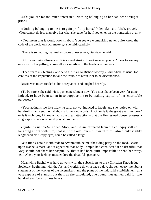«Ah! you are far too much interested. Nothing belonging to her can bear a vulgar price.»

 «Nothing belonging to me is to gain profit by her self−denial,» said Alick, gravely. «You cannot do less than give her what she gave for it, if you enter on the transaction at all.»

 «You mean that it would look shabby. You see we womankind never quite know the code of the world on such matters,» she said, candidly.

«There is something that makes codes unnecessary, Bessie,» he said.

 «Ah! I can make allowances. It is a cruel stroke. I don't wonder you can't bear to see any one else on her palfrey; above all as a sacrifice to the landscape painter.»

 «Then spare my feelings, and send the mare to Bishopsworthy,» said Alick, as usual too careless of the imputation to take the trouble to rebut it or to be disconcerted.

Bessie was much tickled at his acceptance, and laughed heartily.

 «To be sure,» she said, «it is past concealment now. You must have been very far gone, indeed, to have been taken in to suppose me to be making capital of her 'charitable purposes.'»

 «Your acting is too like life,» he said, not yet induced to laugh, and she rattled on with her droll, sham sentimental air. «Is it the long words, Alick, or is it 'the great eyes, my dear;' or is it – oh, yes, I know what is the great attraction – that the Homestead doesn't possess a single spot where one could play at croquet!»

 «Quite irresistible!» replied Alick, and Bessie retreated from the colloquy still not laughing at but with him; that is, if the odd, quaint, inward mirth which only visibly lengthened his sleepy eyes, could be called a laugh.

 Next time Captain Keith rode to Avonmouth he met the riding party on the road, Bessie upon Rachel's mare, and it appeared that Lady Temple had considered it so dreadful that Meg should not share her hospitality, that it had been quite impossible to send her away. «So, Alick, your feelings must endure the dreadful spectacle.»

 Meanwhile Rachel was hard at work with the subscribers to the «Christian Knowledge Society.» Beginning with the A's, and working down a page a day, she sent every member a statement of the wrongs of the lacemakers, and the plans of the industrial establishment, at a vast expense of stamps; but then, as she calculated, one pound thus gained paid for two hundred and forty fruitless letters.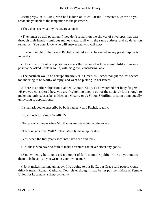«And pray,» said Alick, who had ridden on to call at the Homestead, «how do you reconcile yourself to the temptation to the postmen?»

«They don't see what my letters are about?»

 «They must be dull postmen if they don't remark on the shower of envelopes that pass through their hands – ominous money−letters, all with the same address, and no detection remember. You don't know who will answer and who will not.»

 «I never thought of that,» said Rachel; «but risks must be run when any great purpose is in hand.»

 «The corruption of one postman versus the rescue of – how many children make a postman?» asked Captain Keith, with his grave, considering look.

 «The postman would be corrupt already,» said Grace, as Rachel thought the last speech too mocking to be worthy of reply, and went on picking up her letters.

 «There is another objection,» added Captain Keith, as he watched her busy fingers. «Have you considered how you are frightening people out of the society? It is enough to make one only subscribe as Michael Miserly or as Simon Skinflint, or something equally uninviting to applications.»

«I shall ask you to subscribe by both names!» said Rachel, readily.

«How much for Simon Skinflint?»

«Ten pounds. Stop – when Mr. Mauleverer gives him a reference.»

«That's ungenerous. Will Michael Miserly make up for it?»

«Yes, when the first year's accounts have been audited.»

«Ah! those who have no faith to make a venture can never effect any good.»

 «You evidently build on a great amount of faith from the public. How do you induce them to believe – do you write in your own name?»

 «No, it makes mamma unhappy. I was going to put R. C., but Grace said people would think it meant Roman Catholic. Your sister thought I had better put the initials of Female Union for Lacemaker's Employment.»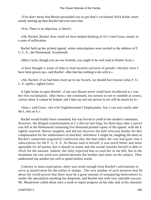«You don't mean that Bessie persuaded you to put that?» exclaimed Alick Keith, more nearly starting up than Rachel had ever seen him.

«Yes. There is no objection, is there?»

 «Oh, Rachel, Rachel, how could we have helped thinking of it?» cried Grace, nearly in a state of suffocation.

 Rachel held up her printed appeal, where subscriptions were invited to the address of F. U. L. E., the Homestead, Avonmouth.

«Miss Curtis, though you are not Scottish, you ought to be well read in Walter Scott.»

 «I have thought it waste of time to read incorrect pictures of pseudo−chivalry since I have been grown up,» said Rachel. «But that has nothing to do with it.»

 «Ah, Rachel, if we had been more up in our Scotch, we should have known what F. U. L. E. spells,» sighed Grace.

 A light broke in upon Rachel. «I am sure Bessie never could have recollected it,» was her first exclamation. «But there,» she continued, too earnest to see or stumble at straws, «never mind. It cannot be helped, and I dare say not one person in ten will be struck by it.»

 «Stay,» said Grace, «let it be Englishwoman's Employment. See, I can very easily alter the L into an E.»

 Rachel would hardly have consented, but was forced to yield to her mother's entreaties. However, the diligent transformation at L's did not last long, for three days after a parcel was left at the Homestead containing five thousand printed copies of the appeal, with the E rightly inserted. Bessie laughed, and did not disavow the half reluctant thanks for this compensation for her inadvertence or mischief, whichever it might be, laughing the more at Rachel's somewhat ungrateful confession that she had rather the cost had gone into a subscription for the F. U. E. E. As Bessie said to herself, it was much better and more agreeable for all parties that it should so stand, and she would consider herself in debt to Alick for the amount. Indeed, she fully expected him to send her in the bill, but in the meantime not one word was uttered between the brother and sister on the subject. They understood one another too well to spend useless words.

 Contrary to most expectation, there was result enough from Rachel's solicitations to serve as justification for the outlay in stamps. The very number of such missives that fly about the world proves that there must be a great amount of uninquiring benevolence to render the speculation anything but desperate, and Rachel met with very tolerable success. Mr. Mauleverer called about once a week to report progress on his side, and, in his character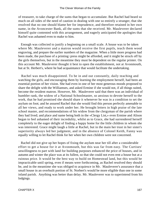of treasurer, to take charge of the sums that began to accumulate. But Rachel had heard so much on all sides of the need of caution in dealing with one so entirely a stranger, that she resolved that no one should blame her for imprudence, and therefore retained in her own name, in the Avoncester Bank, all the sums that she received. Mr. Mauleverer declared himself quite contented with this arrangement, and eagerly anticipated the apologies that Rachel was ashamed even to make to him.

 Enough was collected to justify a beginning on a small scale. A house was to be taken where Mr. Mauleverer and a matron would receive the first pupils, teach them wood engraving, and prepare the earlier numbers of the magazine. When a little more progress had been made, the purchase of a printing−press might be afforded, and it might be struck off by the girls themselves, but in the meantime they must be dependent on the regular printer. On this account Mr. Mauleverer thought it best to open the establishment, not at Avonmouth, but at St. Herbert's, where he had acquaintance that would facilitate the undertaking.

 Rachel was much disappointed. To be in and out constantly, daily teaching and watching the girls, and encouraging them by learning the employment herself, had been an essential portion of her vision. She had even in one of her most generous moods proposed to share the delight with the Williamses, and asked Ermine if she would not, if all things suited, become the resident matron. However, Mr. Mauleverer said that there was an individual of humbler rank, the widow of a National Schoolmaster, so anxious to devote herself to the work, that he had promised she should share it whenever he was in a condition to set the asylum on foot; and he assured Rachel that she would find this person perfectly amenable to all her views, and ready to work under her. He brought letters in high praise of the late school master, and recommendations of his widow from the clergyman of the parish where they had lived; and place and name being both in the «Clergy List,» even Ermine and Alison began to feel ashamed of their incredulity, whilst as to Grace, she had surrendered herself completely to the eager delight of finding a happy home for the little children in whom she was interested. Grace might laugh a little at Rachel, but in the main her trust in her sister's superiority always led her judgment, and in the absence of Colonel Keith, Fanny was equally willing to let Rachel think for her when her own children were not concerned.

 Rachel did not give up her hopes of fixing the asylum near her till after a considerable effort to get a house for it at Avonmouth, but this was far from easy. The Curtises' unwillingness to part with land for building purposes enhanced the price of houses, and in autumn and winter the place was at its fullest, so that she could not even rent a house but at a ruinous price. It would be the best way to build on Homestead land, but this would be impracticable until spring, even if means were forthcoming, as Rachel resolved they should be, and in the meantime she was obliged to acquiesce in Mr. Mauleverer's assurance that a small house in an overbuilt portion of St. Norbert's would be more eligible than one in some inland parish. Anything was better than delay. Mr. Mauleverer was to superintend from his lodgings.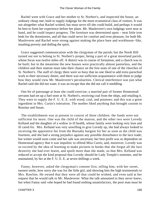Rachel went with Grace and her mother to St. Norbert's, and inspected the house, an ordinary cheap one, built to supply lodgings for the more economical class of visitors. It was not altogether what Rachel wished, but must serve till she could build, and perhaps it would be best to form her experience before her plans. Mr. Mauleverer's own lodgings were near at hand, and he could inspect progress. The furniture was determined upon – neat little iron beds for the dormitories, and all that could serve for comfort and even pleasure, for both Mr. Mauleverer and Rachel were strong against making the place bare and workhouse−like, insulting poverty and dulling the spirit.

 Grace suggested communication with the clergyman of the parish; but the North Hill turned out not to belong to St. Norbert's proper, being a part of a great moorland parish, whose focus was twelve miles off. A district was in course of formation, and a church was to be built; but in the meantime the new houses were practically almost pastorless, and the children and their matron must take their chance on the free seats of one of the churches of St. Norbert's. The staff of clergy there were so busy that no one liked to add extra parochial work to their necessary duties, and there was not sufficient acquaintance with them to judge how they would view Mr. Mauleverer's peculiarities. Clerical interference was just what Rachel said she did not want; it was an escape that she did not call it meddling.

 One bit of patronage at least she could exercise; a married pair of former Homestead servants had set up a fuel store at St. Norbert's, receiving coal from the ships, and retailing it. They were to supply the F. U. E. E. with wood, coal, and potatoes; and this was a great ingredient in Mrs. Curtis's toleration. The mother liked anything that brought custom to Rossitur and Susan.

 The establishment was at present to consist of three children: the funds were not sufficient for more. One was the child of the matron, and the other two were Lovedy Kelland and the daughter of a widow in ill health, whose family were looking very lean and ill cared for. Mrs. Kelland was very unwilling to give Lovedy up, she had always looked to receiving the apprentice fee from the Burnaby bargain for her as soon as the child was fourteen, and she had a strong prejudice against any possible disturbance to the lace trade; but winter would soon come and her sale was uncertain; her best profit was so dependent on Homestead agency that it was impolitic to offend Miss Curtis; and, moreover, Lovedy was so excited by the idea of learning to make pictures to books that she forgot all the lace dexterity she had ever learnt, and spoilt more than she made, so that Mrs. Kelland was reduced to accept the kind proposal that Lovedy should be Lady Temple's nominee, and be maintained, by her at the F. U. E. E. at seven shillings a week.

 Fanny, however, asked the clergyman's consent first, telling him, with her sweet, earnest smile, how sorry she was for the little girl, and showing him the high testimonials to Mrs. Rawlins. He owned that they were all that could be wished, and even said at her request that he would talk to Mr. Mauleverer. What the talk amounted to they never knew; but when Fanny said «she hoped he had found nothing unsatisfactory, the poor man must be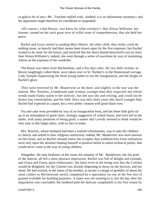so glad to be of use;» Mr. Touchett replied with, «Indeed, it is an unfortunate situation;» and his opposition might therefore be considered as suspended.

 «Of course,» cried Bessie, «we know by what witchery!» But Alison Williams, her listener, turned on her such great eyes of wilful want of comprehension, that she held her peace.

 Rachel and Grace united in sending Mary Morris, the other child; they really could do nothing more, so heavily had their means been drawn upon for the first expenses; but Rachel trusted to do more for the future, and resolved that her dress should henceforth cost no more than Alison Williams's; indeed, she went through a series of assertions by way of examining Alison on the expenses of her wardrobe.

 The house was taken from Michaelmas, and a few days after, the two little victims, as Bessie laughingly called them, were taken over to St. Norbert's in the Homestead carriage, Lady Temple chaperoning the three young ladies to see the inauguration, and the height of Rachel's glory.

 They were received by Mr. Mauleverer at the door, and slightly in the rear saw the matron, Mrs. Rawlins, a handsome pale woman, younger than they expected, but whose weeds made Fanny warm to her directly; but she was shy and retiring, and could not be drawn into conversation; and her little Alice was only three years old, much younger than Rachel had expected as a pupil, but a very pretty creature with great black eyes.

 Tea and cake were provided by way of an inauguration feast, and the three little girls sat up in an atmosphere of good cheer, strongly suggestive of school feasts, and were left in the midst, with many promises of being good, a matter that Lovedy seemed to think would be very easy in this happy place, with no lace to make.

 Mrs. Rawlins, whose husband had been a trained schoolmaster, was to take the children to church, and attend to their religious instruction; indeed, Mr. Mauleverer was most anxious on this head, and as Rachel already knew the scruples that withheld him from ordination were only upon the absolute binding himself to positive belief in minor technical points, that would never come in the way of young children.

 Altogether, the neat freshness of the room, the urbanity of Mr. Mauleverer, the shy grief of the matron, all left a most pleasant impression. Rachel was full of delight and triumph, and Grace and Fanny quite enthusiastic; the latter even to the being sure that the Colonel would be delighted, for the Colonel was already beginning to dawn on the horizon, and not alone. He had written, in the name of his brother, to secure a cottage of gentility of about the same calibre as Myrtlewood, newly completed by a speculator on one of the few bits of ground available for building purposes. A name was yet wanting to it; but the day after the negotiation was concluded, the landlord paid the delicate compliment to his first tenant by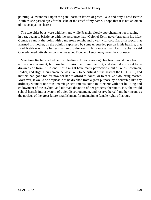painting «Gowanbrae» upon the gate−posts in letters of green. «Go and bray,» read Bessie Keith as she passed by; «for the sake of the chief of my name, I hope that it is not an omen of his occupations here.»

 The two elder boys were with her; and while Francis, slowly apprehending her meaning in part, began to bristle up with the assurance that «Colonel Keith never brayed in his life,» Conrade caught the point with dangerous relish, and dwelt with colonial disrespect, that alarmed his mother, on the opinion expressed by some unguarded person in his hearing, that Lord Keith was little better than an old donkey. «He is worse than Aunt Rachel,» said Conrade, meditatively, «now she has saved Don, and keeps away from the croquet.»

 Meantime Rachel studied her own feelings. A few weeks ago her heart would have leapt at the announcement; but now her mission had found her out, and she did not want to be drawn aside from it. Colonel Keith might have many perfections, but alike as Scotsman, soldier, and High−Churchman, he was likely to be critical of the head of the F. U. E. E., and matters had gone too far now for her to afford to doubt, or to receive a doubting master. Moreover, it would be despicable to be diverted from a great purpose by a courtship like any ordinary woman; nor must marriage settlements come to interfere with her building and endowment of the asylum, and ultimate devotion of her property thereunto. No, she would school herself into a system of quiet discouragement, and reserve herself and her means as the nucleus of the great future establishment for maintaining female rights of labour.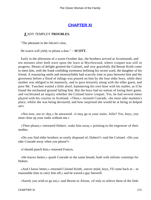## **[CHAPTER XI](#page-416-0)**

#### *L*ADY TEMPLE'S **TROUBLES.**

"The pheasant in the falcon's claw,

He scarce will yield, to please a daw." – **SCOTT.**

 Early in the afternoon of a warm October day, the brothers arrived at Avomnouth, and ten minutes after both were upon the lawn at Myrtlewood, where croquet was still in progress. Shouts of delight greeted the Colonel, and very gracefully did Bessie Keith come to meet him, with the frank confiding sweetness befitting his recent ward, the daughter of his friend. A reassuring smile and monosyllable had scarcely time to pass between him and the governess before a flood of tidings was poured on him by the four elder boys, while their mother was obliged to be mannerly, and to pace leisurely along with the elder guest, and poor Mr. Touchett waited a little aloof, hammering his own boot with his mallet, as if he found the enchanted ground failing him. But the boys had no notion of losing their game, and vociferated an inquiry whether the Colonel knew croquet. Yes, he had several times played with his cousins in Scotland. «Then,» insisted Conrade, «he must take mamma's place, whilst she was being devoured, and how surprised she would be at being so helped on!»

 «Not now, not to−day,» he answered. «I may go to your sister, Ailie? Yes, boys, you must close up your ranks without me.»

 «Then please,» entreated Hubert, «take him away,» pointing to the engrosser of their mother.

 «Do you find elder brothers so easily disposed of, Hubert?» said the Colonel. «Do you take Conrade away when you please?»

«I should punch him,» returned Francis.

 «He knows better,» quoth Conrade in the same breath, both with infinite contempt for Hubert.

 «And I know better,» returned Colonel Keith; «never mind, boys, I'll come back in – in reasonable time to carry him off,» and he waved a gay farewell.

«Surely you wish to go too,» said Bessie to Alison, «if only to relieve them of the little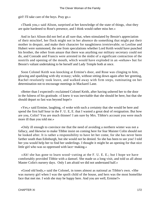girl! I'll take care of the boys. Pray go.»

 «Thank you,» said Alison, surprised at her knowledge of the state of things, «but they are quite hardened to Rose's presence, and I think would rather miss her.»

 And in fact Alison did not feel at all sure that, when stimulated by Bessie's appreciation of their mischief, her flock might not in her absence do something that might put their mother in despair, and make their character for naughtiness irretrievable; so Leoline and Hubert were summoned, the one from speculations whether Lord Keith would have punched his brother, the other from amaze that there was anything our military secretary could not do, and Conrade and Francis were arrested in the midst of a significant contraction of the nostrils and opening of the mouth, which would have exploded in an «eehaw» but for Bessie's valiant undertaking to be herself and Lady Temple both at once.

 Soon Colonel Keith was knocking at Ermine's door, and Rose was clinging to him, glowing and sparkling with shy ecstasy; while, without sitting down again after her greeting, Rachel resolutely took leave, and walked away with firm steps, ruminating on her determination not to encourage meetings in Mackarel Lane.

 «Better than I expected!» exclaimed Colonel Keith, after having ushered her to the door in the fulness of his gratitude. «I knew it was inevitable that she should be here, but that she should depart so fast was beyond hope!»

 «Yes,» said Ermine, laughing, «I woke with such a certainty that she would be here and spend the first half hour in the F. U. E, E. that I wasted a great deal of resignation. But how are you, Colin? You are much thinner! I am sure by Mrs. Tibbie's account you were much more ill than you told me.»

 «Only ill enough to convince me that the need of avoiding a northern winter was not a fallacy, and likewise to make Tibbie insist on coming here for fear Maister Colin should not be looked after. It is rather a responsibility to have let her come, for she has never been farther south than Edinburgh, but she would not be denied. So she has been to see you! I told her you would help her to find her underlings. I thought it might be an opening for that nice little girl who was so oppressed with lace−making.»

 «Ah! she has gone to learn wood−cutting at the F. U. E. E.; but I hope we have comfortably provided Tibbie with a damsel. She made us a long visit, and told us all about Master Colin's nursery days. Only I am afraid we did not understand half.»

 «Good old body,» said the Colonel, in tones almost as national as Tibbie's own. «She was nursery girl when I was the spoilt child of the house, and hers was the most homelike face that met me. I wish she may be happy here. And you are well, Ermine?»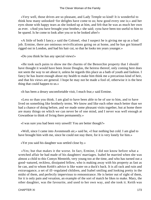«Very well, those drives are so pleasant, and Lady Temple so kind! It is wonderful to think how many unlooked−for delights have come to us; how good every one is;» and her eyes shone with happy tears as she looked up at him, and felt that he was as much her own as ever. «And you have brought your brother,» she said; «you have been too useful to him to be spared. Is he come to look after you or to be looked after!»

 «A little of both I fancy,» said the Colonel, «but I suspect he is giving me up as a bad job. Ermine, there are ominous revivifications going on at home, and he has got himself rigged out in London, and had his hair cut, so that he looks ten years younger.»

«Do you think he has any special views!»

 «He took such pains to show me the charms of the Benorchie property that I should have thought it would have been Jessie Douglas, the heiress thereof, only coming here does not seem the way to set about it, unless be regards this place as a bath of youth and fashion. I fancy he has learnt enough about my health to make him think me a precarious kind of heir, and that his views are general. I hope he may not be made a fool of, otherwise it is the best thing that could happen to us.»

«It has been a dreary uncomfortable visit, I much fear,» said Ermine.

 «Less so than you think. I am glad to have been able to be of use to him, and to have lived on something like brotherly terms. We know and like each other much better than we had a chance of doing before, and we made some pleasant visits together, but at home there are many things on which we can never be of one mind, and I never was well enough at Gowanbrae to think of living there permanently.»

«I was sure you had been very unwell! You are better though?»

 «Well, since I came into Avonmouth air,» said he, «I fear nothing but cold. I am glad to have brought him with me, since he could not stay there, for it is very lonely for him.»

«Yet you said his daughter was settled close by.»

 «Yes; but that makes it the worse. In fact, Ermine, I did not know before what a wretched affair he had made of his daughters' marriages. Isabel he married when she was almost a child to this Comyn Menteith, very young too at the time, and who has turned out a good−natured, reckless, dissipated fellow, who is making away with his property as fast as he can, and to whom Keith's advice is like water on a duck's back. It is all rack and ruin and extravagance, a set of ill−regulated children, and Isabel smiling and looking pretty in the midst of them, and perfectly impervious to remonstrance. He is better out of sight of them, for it is only pain and vexation, an example of the sort of match he likes to make. Mary, the other daughter, was the favourite, and used to her own way, and she took it. Keith was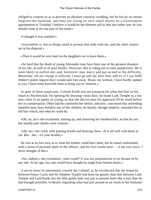obliged to consent so as to prevent an absolute runaway wedding, but he has by no means forgiven her husband, and they are living on very small means on a Government appointment in Trinidad. I believe it would be the bitterest pill to him that either son−in−law should come in for any part of the estate.»

«I thought it was entailed.»

 «Gowanbrae is, but as things stand at present that ends with me, and the other estates are at his disposal.»

«Then it would be very hard on the daughters not to have them.»

 «So hard that the death of young Alexander may have been one of the greatest disasters of my life, as well as of poor Keith's. However, this is riding out to meet perplexities. He is most likely to outlive me; and, moreover, may marry and put an end to the difficulty. Meantime, till my charge is relieved, I must go and see after him, and try if I can fulfil Hubert's polite request that I would take him away. Rosie, my woman, I have hardly spoken to you. I have some hyacinth roots to bring you to−morrow.»

 In spite of these suspicions, Colonel Keith was not prepared for what met him on his return to Myrtlewood. On opening the drawing−room door, he found Lady Temple in a low arm−chair in an agony of crying, so that she did not hear his approach till he stood before her in consternation. Often had he comforted her before, and now, convinced that something dreadful must have befallen one of the children, he hastily, though tenderly, entreated her to tell him which, and what he could do.

 «Oh, no, no!» she exclaimed, starting up, and removing her handkerchief, so that he saw her usually pale cheeks were crimson –

 «Oh, no,» she cried, with panting breath and heaving chest. «It is all well with them as yet. But – but – it's your brother.»

 He was at no loss now as to what his brother could have done, but he stood confounded, with a sense of personal share in the offence, and his first words were – «I am very sorry. I never thought of this.»

 «No, indeed,» she exclaimed, «who could? It was too preposterous to be dreamt of by any one. At his age, too, one would have thought he might have known better.»

 A secret sense of amusement crossed the Colonel, as he recollected that the disparity between Fanny Curtis and Sir Stephen Temple had been far greater than that between Lady Temple and Lord Keith, but the little gentle lady was just at present more like a fury than he had thought possible, evidently regarding what had just passed as an insult to her husband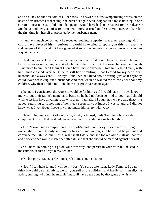and an attack on the freedom of all her sons. In answer to a few sympathising words on the haste of his brother's proceeding, she burst out again with indignation almost amusing in one so soft – «Haste! Yes! I did think that people would have had some respect for dear, dear Sir Stephen,» and her gush of tears came with more of grief and less of violence, as if she for the first time felt herself unprotected by her husband's name.

 «I am very much concerned,» he repeated, feeling sympathy safer than reasoning. «If I could have guessed his intentions, I would have tried to spare you this; at least the suddenness of it. I could not have guessed at such presumptuous expectations on so short an acquaintance.»

 «He did not expect me to answer at once,» said Fanny. «He said he only meant to let me know his hopes in coming here. And, oh, that's the worst of it! He won't believe me, though I said more to him than I thought I could have said to anybody! I told him,» said Fanny, with her hands clasped over her knee to still her trembling, «that I cared for my dear, dear husband, and always shall – always – and then he talked about waiting, just as if anybody could leave off loving one's husband! And then when he wanted me to consider about my children, why then I told him» – and her voice grew passionate again –

 «the more I considered, the worse it would be for him, as if I would have my boys know me without their father's name; and, besides, he had not been so kind to you that I should wish to let him have anything to do with them! I am afraid I ought not to have said that,» she added, returning to something of her meek softness; «but indeed I was so angry, I did not know what I was about. I hope it will not make him angry with you.»

 «Never mind me,» said Colonel Keith, kindly. «Indeed, Lady Temple, it is a wonderful compliment to you that he should have been ready to undertake such a family.»

 «I don't want such compliments! And, oh!» and here her eyes widened with fright, «what shall I do? He only said my feelings did me honour, and he would be patient and convince me. Oh, Colonel Keith, what shall I do?» and she looked almost afraid that fate and perseverance would master her after all, and that she should be married against her will.

 «You need do nothing but go on your own way, and persist in your refusal,» he said in the calm voice that always reassured her.

«Oh, but pray, pray never let him speak to me about it again!»

 «Not if I can help it, and I will do my best. You are quite right, Lady Temple. I do not think it would be at all advisable for yourself or the children, and hardly for himself,» he added, smiling. «I think the mischief must all have been done by that game at whist.»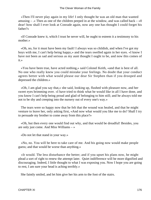«Then I'll never play again in my life! I only thought he was an old man that wanted amusing – .» Then as one of the children peeped in at the window, and was called back –  $\ll 0$ dear! how shall I ever look at Conrade again, now any one has thought I could forget his father?»

 «If Conrade knew it, which I trust he never will, he ought to esteem it a testimony to his mother.»

 «Oh, no, for it must have been my fault! I always was so childish, and when I've got my boys with me, I can't help being happy,» and the tears swelled again in her eyes. «I know I have not been as sad and serious as my aunt thought I ought to be, and now this comes of it.»

 «You have been true, have acted nothing,» said Colonel Keith, «and that is best of all. No one who really knew you could mistake your feelings. No doubt that your conduct agrees better with what would please our dear Sir Stephen than if you drooped and depressed the children.»

 «Oh, I am glad you say that,» she said, looking up, flushed with pleasure now, and her sweet eyes brimming over. «I have tried to think what he would like in all I have done, and you know I can't help being proud and glad of belonging to him still; and he always told me not to be shy and creeping into the nursery out of every one's way.»

 The tears were so happy now that he felt that the wound was healed, and that he might venture to leave her, only asking first, «And now what would you like me to do? Shall I try to persuade my brother to come away from this place?»

 «Oh, but then every one would find out why, and that would be dreadful! Besides, you are only just come. And Miss Williams – »

«Do not let that stand in your way.»

 «No, no. You will be here to take care of me. And his going now would make people guess; and that would be worse than anything.»

 «It would. The less disturbance the better; and if you upset his plans now, he might plead a sort of right to renew the attempt later. Quiet indifference will be more dignified and discouraging. Indeed, I little thought to what I was exposing you. Now I hope you are going to rest, I am sure your head is aching terribly.»

She faintly smiled, and let him give her his arm to the foot of the stairs.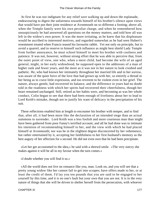At first he was too indignant for any relief save walking up and down the esplanade, endeavouring to digest the unfairness towards himself of his brother's silence upon views that would have put their joint residence at Avonmouth on so different a footing; above all, when the Temple family were his own peculiar charge, and when he remembered how unsuspiciously he had answered all questions on the money matters, and told how all was left in the widow's own power. It was the more irritating, as he knew that his displeasure would be ascribed to interested motives, and regarded somewhat as he had seen Hubert's resentment treated when Francis teased his favourite rabbit. Yet not only on principle, but to avoid a quarrel, and to reserve to himself such influence as might best shield Lady Temple from further annoyance, he must school himself to meet his brother with coolness and patience. It was not, however, without strong effort that he was able to perceive that, from the outer point of view, one who, when a mere child, had become the wife of an aged general, might, in her early widowhood, be supposed open to the addresses of a man of higher rank and fewer years, and the more as it was not in her nature to look crushed and pathetic. He, who had known her intimately throughout her married life and in her sorrow, was aware of the quiet force of the love that had grown up with her, so entirely a thread in her being as to crave little expression, and too reverent to be violent even in her grief. The nature, always gentle, had recovered its balance, and the difference in years had no doubt told in the readiness with which her spirits had recovered their cheerfulness, though her heart remained unchanged. Still, retired as her habits were, and becoming as was her whole conduct, Colin began to see that there had been enough of liveliness about her to lead to Lord Keith's mistake, though not to justify his want of delicacy in the precipitation of his suit.

 These reflections enabled him at length to encounter his brother with temper, and to find that, after all, it had been more like the declaration of an intended siege than an actual summons to surrender. Lord Keith was a less foolish and more courteous man than might have been gathered from poor Fanny's terrified account; and all he had done was to intimate his intention of recommending himself to her, and the view with which he had placed himself at Avonmouth; nor was he in the slightest degree disconcerted by her vehemence, but rather entertained by it, accepting her faithfulness to her first husband's memory as the best augury of her affection for a second. He did not even own that he had been precipitate.

 «Let her get accustomed to the idea,» he said with a shrewd smile. «The very outcry she makes against it will be all in my favour when the turn comes.»

«I doubt whether you will find it so.»

 «All the world does not live on romance like you, man. Look on, and you will see that a pretty young widow like her cannot fail to get into scrapes; have offers made to her, or at least the credit of them. I'd lay you ten pounds that you are said to be engaged to her yourself by this time, and it is no one's fault but your own that you are not. It is in the very nature of things that she will be driven to shelter herself from the persecution, with whoever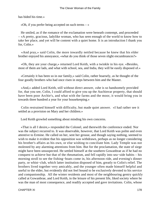has bided his time.»

«Oh, if you prefer being accepted on such terms – »

 He smiled, as if the romance of the exclamation were beneath contempt, and proceeded – «A pretty, gracious, ladylike woman, who has seen enough of the world to know how to take her place, and yet will be content with a quiet home. It is an introduction I thank you for, Colin.»

 «And pray,» said Colin, the more inwardly nettled because he knew that his elder brother enjoyed his annoyance, «what do you think of those seven slight encumbrances?»

 «Oh, they are your charge,» returned Lord Keith, with a twinkle in his eye. «Besides, most of them are lads, and what with school, sea, and India, they will be easily disposed of.»

 «Certainly it has been so in our family,» said Colin, rather hoarsely, as he thought of the four goodly brothers who had once risen in steps between him and the Master.

 «And,» added Lord Keith, still without direct answer, «she is so handsomely provided for, that you see, Colin, I could afford to give you up the Auchinvar property, that should have been poor Archie's, and what with the farms and the moor, it would bring you in towards three hundred a year for your housekeeping.»

 Colin restrained himself with difficulty, but made quiet answer. «I had rather see it settled as a provision on Mary and her children.»

Lord Keith growled something about minding his own concerns.

 «That is all I desire,» responded the Colonel, and therewith the conference ended. Nor was the subject recurred to. It was observable, however, that Lord Keith was polite and even attentive to Ermine. He called on her, sent her grouse, and though saying nothing, seemed to wish to make it evident that his opposition was withdrawn, perhaps as no longer considering his brother's affairs as his own, or else wishing to conciliate him. Lady Temple was not molested by any alarming attentions from him. But for the proclamation, the state of siege might have been unsuspected. He settled himself at the southern Gowanbrae as if he had no conquest to achieve but that of the rheumatism, and fell rapidly into sea−side habits – his morning stroll to see the fishing−boats come in, his afternoon ride, and evening's dinner party, or whist−club, which latter institution disposed of him, greatly to Colin's relief. The brothers lived together very amicably, and the younger often made himself helpful and useful to the elder, but evidently did not feel bound to be exclusively devoted to his service and companionship. All the winter residents and most of the neighbouring gentry quickly called at Gowanbrae, and Lord Keith, in the leisure of his present life, liked society where he was the man of most consequence, and readily accepted and gave invitations. Colin, whose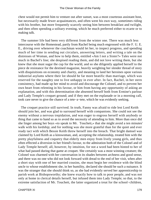chest would not permit him to venture out after sunset, was a most courteous assistant host, but necessarily made fewer acquaintances, and often went his own way, sometimes riding with his brother, but more frequently scarcely seeing him between breakfast and twilight, and then often spending a solitary evening, which he much preferred either to ecarte or to making talk.

 The summer life had been very different from the winter one. There was much less intercourse with the Homestead, partly from Rachel being much engrossed with the F. U. E. E., driving over whenever the coachman would let her, to inspect progress, and spending much of her time in sending out circulars, answering letters, and writing a tale on the distresses of Woman, and how to help them, entitled «Am I not a Sister?» Tales were not much in Bachel's line; she despised reading them, and did not love writing them, but she knew that she must sugar the cup for the world, and so she diligently applied herself to the piece de resistance for the destined magazine, heavily weighting her slender thread of story with disquisitions on economy and charity, and meaning to land her heroines upon various industrial asylums where their lot should be far more beatific than marriage, which was reserved for the naughty one to live unhappy in ever after. In fact, Rachel, in her stern consistency, had made up her mind to avoid and discourage the Colonel, and to prevent her own heart from relenting in his favour, or him from having any opportunity of asking an explanation, and with this determination she absented herself both from Ermine's parlour and Lady Temple's croquet ground; and if they met on the esplanade or in a morning call, took care never to give the chance of a tete−a−tete, which he was evidently seeking.

 The croquet practice still survived. In truth, Fanny was afraid to ride lest Lord Keith should join her, and was glad to surround herself with companions. She could not see the enemy without a nervous trepidation, and was eager to engross herself with anybody or thing that came to hand so as to avoid the necessity of attending to him. More than once did she linger among her boys «to speak to Mr. Touchett,» that she might avoid a ten minutes' walk with his lordship; and for nothing was she more grateful than for the quiet and ever ready tact with which Bessie Keith threw herself into the breach. That bright damsel was claimed by Lord Keith as a kinswoman, and, accepting the relationship, treated him with the pretty playfulness and coquetry that elderly men enjoy from lively young girls, and thus often effected a diversion in her friend's favour, to the admiration both of the Colonel and of Lady Temple herself; all, however, by intuition, for not a word had been hinted to her of what had passed during that game at croquet. She certainly was a most winning creature; the Colonel was charmed with her conversation in its shades between archness and good sense, and there was no one who did not look forward with dread to the end of her visit, when after a short stay with one of her married cousins, she must begin her residence with the blind uncle to whose establishment she, in her humility, declared she should be such a nuisance. It was the stranger that she should think so, as she had evidently served her apprenticeship to parish work at Bishopsworthy; she knew exactly how to talk to poor people, and was not only at home in clerical details herself, but infused them into Lady Temple; so that, to the extreme satisfaction of Mr. Touchett, the latter organized a treat for the school−children,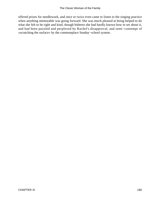offered prizes for needlework, and once or twice even came to listen to the singing practice when anything memorable was going forward. She was much pleased at being helped to do what she felt to be right and kind, though hitherto she had hardly known how to set about it, and had been puzzled and perplexed by Rachel's disapproval, and semi−contempt of «scratching the surface» by the commonplace Sunday−school system.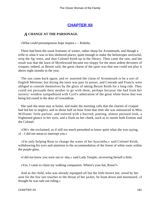## **[CHAPTER XII](#page-416-0)**

### *A* **CHANGE AT THE PARSONAGE.**

«What could presumptuous hope inspire.» – Rokeby.

 There had been the usual foretaste of winter, rather sharp for Avonmouth, and though a trifle to what it was in less sheltered places, quite enough to make the heliotropes sorrowful, strip the fig−trees, and shut Colonel Keith up in the library. Then came the rain, and the result was that the lawn of Myrtlewood became too sloppy for the most ardent devotees of croquet; indeed, as Bessie said, the great charm of the sport was that one could not play it above eight months in the year.

 The sun came back again, and re−asserted the claim of Avonmouth to be a sort of English Mentone; but drying the lawn was past its power, and Conrade and Francis were obliged to console themselves by the glory of taking Bessie Keith for a long ride. They could not persuade their mother to go with them, perhaps because she had from her nursery−window sympathized with Cyril's admiration of the great white horse that was being led round to the door of Gowanbrae.

 She said she must stay at home, and make the morning calls that the charms of croquet had led her to neglect, and in about half an hour from that time she was announced in Miss Williams' little parlour, and entered with a hurried, panting, almost pursued look, a frightened glance in her eyes, and a flush on her cheek, such as to startle both Ermine and the Colonel.

 «Oh!» she exclaimed, as if still too much perturbed to know quite what she was saying,  $\ll$ I – I did not mean to interrupt you.»

 «I'm only helping Rose to change the water of her hyacinths,» said Colonel Keith, withdrawing his eyes and attention to the accommodation of the forest of white roots within the purple glass.

«I did not know you were out to−day,» said Lady Temple, recovering herself a little.

«Yes, I came to claim my walking companion. Where's your hat, Rosie?»

 And as the child, who was already equipped all but the little brown hat, stood by her aunt for the few last touches to the throat of her jacket, he leant down and murmured, «I thought he was safe out riding.»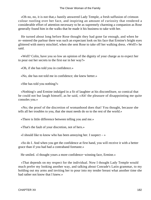«Oh no, no, it is not that,» hastily answered Lady Temple, a fresh suffusion of crimson colour rustling over her face, and inspiring an amount of curiosity that rendered a considerable effort of attention necessary to be as supremely charming a companion as Rose generally found him in the walks that he made it his business to take with her.

 He turned about long before Rose thought they had gone far enough, and when he re−entered the parlour there was such an expectant look on his face that Ermine's bright eyes glittered with merry mischief, when she sent Rose to take off her walking dress. «Well!» he said.

 «Well? Colin, have you so low an opinion of the dignity of your charge as to expect her to pour out her secrets to the first ear in her way?»

«Oh, if she has told you in confidence.»

«No, she has not told me in confidence; she knew better.»

«She has told you nothing?»

 «Nothing!» and Ermine indulged in a fit of laughter at his discomfiture, so comical that he could not but laugh himself, as he said, «Ah! the pleasure of disappointing me quite consoles you.»

 «No; the proof of the discretion of womanhood does that! You thought, because she tells all her troubles to you, that she must needs do so to the rest of the world.»

«There is little difference between telling you and me.»

«That's the fault of your discretion, not of hers.»

 $\le$ I should like to know who has been annoying her. I suspect  $\rightarrow \infty$ 

 «So do I. And when you get the confidence at first hand, you will receive it with a better grace than if you had had a contraband foretaste.»

He smiled. «I thought yours a more confidence−winning face, Ermine.»

 «That depends on my respect for the individual. Now I thought Lady Temple would much prefer my looking another way, and talking about Conrade's Latin grammar, to my holding out my arms and inviting her to pour into my tender breast what another time she had rather not know that I knew.»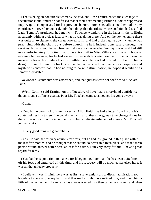«That is being an honourable woman,» he said, and Rose's return ended the exchange of speculations; but it must be confessed that at their next meeting Ermine's look of suppressed inquiry quite compensated for her previous banter, more especially as neither had he any confidence to reveal or conceal, only the tidings that the riders, whose coalition had justified Lady Temple's prudence, had met Mr. Touchett wandering in the lanes in the twilight, apparently without a clear idea of what he was doing there. And on the next evening there was quite an excitement, the curate looked so ill, and had broken quite down when he was practising with the choir boys before church; he had, indeed, gone safely through the services, but at school he had been entirely at a loss as to what Sunday it was, and had still more unfortunately forgotten that to be extra civil to Miss Villars was the only hope of retaining her services, for he had walked by her with less attention than if she had been the meanest scholar. Nay, when his most faithful curatolatress had offered to submit to him a design for an illumination for Christmas, he had escaped from her with a desperate and mysterious answer that he had nothing to do with illumination, he hoped it would be as sombre as possible.

 No wonder Avonmouth was astonished, and that guesses were not confined to Mackarel Lane.

 «Well, Colin,» said Ermine, on the Tuesday, «I have had a first−hand confidence, though from a different quarter. Poor Mr. Touchett came to announce his going away.»

#### «Going!»

 «Yes. In the very nick of time, it seems, Alick Keith has had a letter from his uncle's curate, asking him to see if he could meet with a southern clergyman to exchange duties for the winter with a London incumbent who has a delicate wife, and of course. Mr. Touchett jumped at it.»

«A very good thing – a great relief.»

 «Yes. He said he was very anxious for work, but he had lost ground in this place within the last few months, and he thought that he should do better in a fresh place, and that a fresh person would answer better here, at least for a time. I am very sorry for him, I have a great regard for him.»

 «Yes; but he is quite right to make a fresh beginning. Poor man! he has been quite lifted off his feet, and entranced all this time, and his recovery will be much easier elsewhere. It was all that unlucky croquet.»

 «I believe it was. I think there was at first a reverential sort of distant admiration, too hopeless to do any one any harm, and that really might have refined him, and given him a little of the gentleman−like tone he has always wanted. But then came the croquet, and when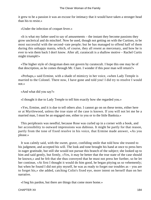it grew to be a passion it was an excuse for intimacy that it would have taken a stronger head than his to resist.»

«Under the infection of croquet fever.»

 «It is what my father used to say of amusements – the instant they become passions they grow unclerical and do mischief. Now he used, though not getting on with the Curtises, to be most successful with the second−rate people; but he has managed to offend half of them during this unhappy mania, which, of course, they all resent as mercenary, and how he is ever to win them back I don't know. After all, curatocult is a shallow motive – Rachel Curtis might triumph!»

 «The higher style of clergyman does not govern by curatocult. I hope this one may be of that description, as he comes through Mr. Clare. I wonder if this poor man will return?»

 «Perhaps,» said Ermine, with a shade of mimicry in her voice, «when Lady Temple is married to the Colonel. There now, I have gone and told you! I did try to resolve I would not.»

«And what did you say?»

«I thought it due to Lady Temple to tell him exactly how she regarded you.»

 «Yes, Ermine, and it is due to tell others also. I cannot go on on these terms, either here or at Myrtlewood, unless the true state of the case is known. If you will not let me he a married man, I must be an engaged one, either to you or to the little Banksia.»

 This periphrasis was needful, because Rose was curled up in a corner with a book, and her accessibility to outward impressions was dubious. It might be partly for that reason, partly from the tone of fixed resolve in his voice, that Ermine made answer, «As you please.»

 It was calmly said, with the sweet, grave, confiding smile that told how she trusted to his judgment, and accepted his will. The look and tone brought his hand at once to press hers in eager gratitude, but still she would not pursue this branch of the subject; she looked up to him and said gently, but firmly, «Yes, it may be better that the true state of the case should be known,» and he felt that she thus conveyed that he must not press her further, so he let her continue, «At first I thought it would do him good, he began pitying us so vehemently; but when he found I did not pity myself, he was as ready to forget our troubles as – you are to forget his,» she added, catching Colin's fixed eye, more intent on herself than on her narrative.

«I beg his pardon, but there are things that come more home.»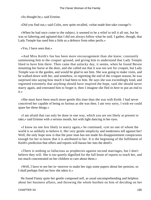«So thought he,» said Ermine.

«Did you find out,» said Colin, now quite recalled, «what made him take courage?»

 «When he had once come to the subject, it seemed to be a relief to tell it all out, but he was so faltering and agitated that I did not always follow what he said. I gather, though, that Lady Temple has used him a little as a defence from other perils.»

«Yes, I have seen that.»

 «And Miss Keith's fun has been more encouragement than she knew; constantly summoning him to the croquet−ground, and giving him to understand that Lady Temple liked to have him there. Then came that unlucky day, it seems, when he found Bessie mounting her horse at the door, and she called out that it was too wet for croquet, but Lady Temple was in the garden, and would be glad to see him. She was going to make visits, and he walked down with her, and somehow, in regretting the end of the croquet season, he was surprised into saying how much it had been to him. He says she was exceedingly kind, and regretted extremely that anything should have inspired the hope, said she should never marry again, and entreated him to forget it, then I imagine she fled in here to put an end to it.»

 «She must have been much more gentle this time than she was with Keith. I had never conceived her capable of being so furious as she was then. I am very sorry, I wish we could spare her these things.»

 «I am afraid that can only be done in one way, which you are not likely at present to take,» said Ermine with a serious mouth, but with light dancing in her eyes.

 «I know no one less likely to marry again,» he continued, «yet no one of whom the world is so unlikely to believe it. Her very gentle simplicity and tenderness tell against her! Well, the only hope now is that the poor man has not made his disappointment conspicuous enough for her to know that it is attributed to her. It is the beginning of the fulfilment of Keith's prediction that offers and reports will harass her into the deed!»

 «There is nothing so fallacious as prophecies against second marriages, but I don't believe they will. She is too quietly dignified for the full brunt of reports to reach her, and too much concentrated on her children to care about them.»

 «Well, I have to see her to−morrow to make her sign some papers about her pension, so I shall perhaps find out how she takes it.»

 He found Fanny quite her gentle composed self, as usual uncomprehending and helpless about her business affairs, and throwing the whole burthen on him of deciding on her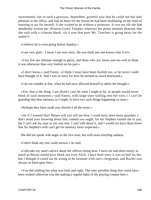investments; but in such a gracious, dependent, grateful way that he could not but take pleasure in the office, and had no heart for the lesson he had been meditating on the need of learning to act for herself, if she wished to do without a protector. It was not till she had obediently written her «Frances Grace Temple» wherever her prime minister directed, that she said with a crimson blush, «Is it true that poor Mr. Touchett is going away for the winter?»

«I believe he is even going before Sunday.»

«I am very glad – I mean I am very sorry. Do you think any one knows why it is?»

 «Very few are intimate enough to guess, and those who are, know you too well to think it was otherwise than very foolish on his part.»

 «I don't know,» said Fanny, «I think I must have been foolish too, or he never could have thought of it. And I was so sorry for him, he seemed so much distressed.»

«I do not wonder at that, when he had once allowed himself to admit the thought.»

 «Yes, that is the thing. I am afraid I can't be what I ought to be, or people would never think of such nonsense,» said Fanny, with large tears welling into her eyes.« I can't be guarding that dear memory as I ought, to have two such things happening so soon.»

«Perhaps they have made you cherish it all the more.»

 «As if I wanted that! Please will you tell me how I could have been more guarded. I don't mind your knowing about this; indeed you ought, for Sir Stephen trusted me to you, but I can't ask my aunt or any one else. I can't talk about it, and I would not have them know that Sir Stephen's wife can't get his memory more respected.»

She did not speak with anger as the first time, but with most touching sadness.

«I don't think any one could answer,» he said.

 «I did take my aunt's advice about the officers being here. I have not had them nearly as much as Bessie would have liked, not even Alick. I have been sorry it was so dull for her, but I thought it could not be wrong to be intimate with one's clergyman, and Rachel was always so hard upon him.»

 «You did nothing but what was kind and right. The only possible thing that could have been wished otherwise was the making a regular habit of his playing croquet here.»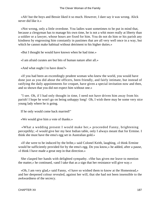«Ah! but the boys and Bessie liked it so much. However, I dare say it was wrong. Alick never did like it.»

 «Not wrong, only a little overdone. You ladies want sometimes to be put in mind that, because a clergyman has to manage his own time, he is not a whit more really at liberty than a soldier or a lawyer, whose hours are fixed for him. You do not do him or his parish any kindness by engrossing him constantly in pastimes that are all very well once in a way, but which he cannot make habitual without detriment to his higher duties.»

«But I thought he would have known when he had time.»

«I am afraid curates are but bits of human nature after all.»

«And what ought I to have done?»

 «If you had been an exceedingly prudent woman who knew the world, you would have done just as you did about the officers, been friendly, and fairly intimate, but instead of ratifying the daily appointments for croquet, have given a special invitation now and then, and so shown that you did not expect him without one.»

 "I see. Oh, if I had only thought in time, I need not have driven him away from his parish! I hope he won't go on being unhappy long! Oh, I wish there may be some very nice young lady where he is going.

If he only would come back married!"

«We would give him a vote of thanks.»

 «What a wedding present I would make her,» proceeded Fanny, brightening perceptibly; «I would give her my best Indian table, only I always meant that for Ermine. I think she must have the emu's egg set in Australian gold.»

 «If she were to be induced by the bribe,» said Colonel Keith, laughing, «I think Ermine would be sufficiently provided for by the emu's egg. Do you know,» he added, after a pause, «I think I have made a great step in that direction.»

 She clasped her hands with delighted sympathy. «She has given me leave to mention the matter,» he continued, «and I take that as a sign that her resistance will give way.»

 «Oh, I am very glad,» said Fanny, «I have so wished them to know at the Homestead,» and her deepened colour revealed, against her will, that she had not been insensible to the awkwardness of the secrecy.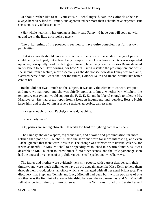«I should rather like to tell your cousin Rachel myself, said the Colonel; »she has always been very kind to Ermine, and appreciated her more than I should have expected. But she is not easily to be seen now."

 «Her whole heart is in her orphan asylum,» said Fanny. «I hope you will soon go with us and see it; the little girls look so nice.»

 The brightening of his prospects seemed to have quite consoled her for her own perplexities.

 That Avonmouth should have no suspicion of the cause of the sudden change of pastor could hardly be hoped; but at least Lady Temple did not know how much talk was expended upon her, how quietly Lord Keith hugged himself, how many comical stories Bessie detailed in her letters to her Clare cousins, nor how Mrs. Curtis resented the presumption; and while she shrank from a lecture, more especially as she did not see how dear Fanny was to blame, flattered herself and Grace that, for the future, Colonel Keith and Rachel would take better care of her.

 Rachel did not dwell much on the subject, it was only the climax of conceit, croquet, and mere womanhood; and she was chiefly anxious to know whether Mr. Mitchell, the temporary clergyman, would support the F. U. E. E., and be liberal enough to tolerate Mr. Mauleverer. She had great hopes from a London incumbent, and, besides, Bessie Keith knew him, and spoke of him as a very sensible, agreeable, earnest man.

«Earnest enough for you, Rachel,» she said, laughing.

«Is he a party man?»

«Oh, parties are getting obsolete! He works too hard for fighting battles outside.»

 The Sunday showed a spare, vigorous face, and a voice and pronunciation far more refined than poor Mr. Touchett's; also the sermons were far more interesting, and even Rachel granted that there were ideas in it. The change was effected with unusual celerity, for it was as needful to Mrs. Mitchell to be speedily established in a warm climate, as it was desirable to Mr. Touchett to throw himself into other scenes; and the little parsonage soon had the unusual ornaments of tiny children with small spades and wheelbarrows.

 The father and mother were evidently very shy people, with a great deal beneath their timidity, and were much delighted to have an old acquaintance like Miss Keith to help them through their introductions, an office which she managed with all her usual bright tact. The discovery that Stephana Temple and Lucy Mitchell had been born within two days of one another, was the first link of a warm friendship between the two mammas; and Mr. Mitchell fell at once into friendly intercourse with Ermine Williams, to whom Bessie herself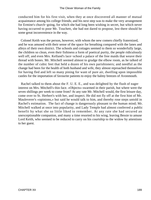conducted him for his first visit, when they at once discovered all manner of mutual acquaintance among his college friends; and his next step was to make the very arrangement for Ermine's church−going, for which she had long been wishing in secret, but which never having occurred to poor Mr. Touchett, she had not dared to propose, lest there should be some great inconvenience in the way.

 Colonel Keith was the person, however, with whom the new comers chiefly fraternized, and he was amused with their sense of the space for breathing compared with the lanes and alleys of their own district. The schools and cottages seemed to them so wonderfully large, the children so clean, even their fishiness a form of poetical purity, the people ridiculously well off, and even Mrs. Kelland's lace−school a palace of the free maids that weave their thread with bones. Mr. Mitchell seemed almost to grudge the elbow room, as he talked of the number of cubic feet that held a dozen of his own parishioners; and needful as the change had been for the health of both husband and wife, they almost reproached themselves for having fled and left so many pining for want of pure air, dwelling upon impossible castles for the importation of favourite patients to enjoy the balmy breezes of Avonmouth.

 Rachel talked to them about the F. U. E. E., and was delighted by the flush of eager interest on Mrs. Mitchell's thin face. «Objects» swarmed in their parish, but where were the seven shillings per week to come from? At any rate Mr. Mitchell would, the first leisure day, come over to St. Herbert's with her, and inspect. He did not fly off at the first hint of Mr. Mauleverer's «opinions,» but said he would talk to him, and thereby rose steps untold in Rachel's estimation. The fact of change is dangerously pleasant to the human mind; Mr. Mitchell walked at once into popularity, and Lady Temple had almost conferred a public benefit by what she so little liked to remember. At any rate she had secured an unexceptionable companion, and many a time resorted to his wing, leaving Bessie to amuse Lord Keith, who seemed to be reduced to carry on his courtship to the widow by attentions to her guest.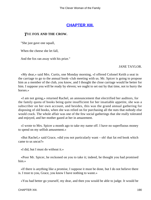## **[CHAPTER XIII.](#page-416-0)**

### *T*HE **FOX AND THE CROW.**

"She just gave one squall,

When the cheese she let fall,

And the fox ran away with his prize."

#### JANE TAYLOR.

 «My dear,» said Mrs. Curtis, one Monday morning, «I offered Colonel Keith a seat in the carriage to go to the annual book−club meeting with us. Mr. Spicer is going to propose him as a member of the club, you know, and I thought the close carriage would be better for him. I suppose you will be ready by eleven; we ought to set out by that time, not to hurry the horses.»

 «I am not going,» returned Rachel, an announcement that electrified her auditors, for the family quota of books being quite insufficient for her insatiable appetite, she was a subscriber on her own account, and besides, this was the grand annual gathering for disposing of old books, when she was relied on for purchasing all the nuts that nobody else would crack. The whole affair was one of the few social gatherings that she really tolerated and enjoyed, and her mother gazed at her in amazement.

 «I wrote to Mrs. Spicer a month ago to take my name off. I have no superfluous money to spend on my selfish amusement.»

 «But Rachel,» said Grace, «did you not particularly want – oh! that fat red book which came to us uncut?»

«I did, but I must do without it.»

 «Poor Mr. Spicer, he reckoned on you to take it; indeed, he thought you had promised him.»

 «If there is anything like a promise, I suppose it must be done, but I do not believe there is. I trust to you, Grace, you know I have nothing to waste.»

«You had better go yourself, my dear, and then you would be able to judge. It would be

CHAPTER XIII. 190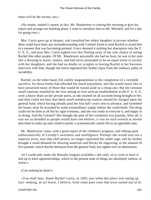more civil by the society, too.»

 «No matter, indeed I cannot; in fact, Mr. Mauleverer is coming this morning to give his report and arrange our building plans. I want to introduce him to Mr. Mitchell, and fix a day for going over.»

 Mrs. Curtis gave up in despair, and consulted her eldest daughter in private whether there could have been any misunderstanding with Colonel Keith to lead Rachel to avoid him in a manner that was becoming pointed. Grace deemed it nothing but absorption into the F. U. E. E., and poor Mrs. Curtis sighed over this fleeting away of her sole chance of seeing Rachel like other people. Of Mr. Mauleverer personally she had no fears, he was in her eyes like a drawing or music−master, and had never pretended to be on equal terms in society with her daughters, and she had no doubts or scruples in leaving Rachel to her business interview with him, though she much regretted this further lapse from the ordinary paths of sociability.

 Rachel, on the other hand, felt calmly magnanimous in the completion of a veritable sacrifice, for those books had afforded her much enjoyment, and she would much like to have possessed many of those that would be tossed aside at a cheap rate. But the constant small expenses entailed by the first setting on foot such an establishment as the F. U. E. E. were a heavy drain on her private purse, as she insisted on all accounts being brought to her, and then could not bear that these small nondescript matters should be charged upon the general fund, which having already paid the first half−year's rent in advance, and furnished the house, must be recruited by some extraordinary supply before she could build. The thing could not be done at all but by rigid economy, and she was ready to exercise it, and happy in so doing. And the Colonel? She thought the pain of her resolution was passing. After all, it was not so dreadful as people would have one believe, it was no such wrench as novels described to make up one's mind to prefer a systematically useful life to an agreeable man.

 Mr. Mauleverer came, with a good report of the children's progress, and talking quite enthusiastically of Lovedy's sweetness and intelligence. Perhaps she would turn out a superior artist, now that chill penury no longer repressed her noble rage, and he further brought a small demand for drawing materials and blocks for engraving, to the amount of five pounds, which Rachel defrayed from the general fund, but sighed over its diminution.

 «If I could only make the Barnaby bargain available,» she said; «it is cruel to have it tied up to mere apprenticeships, which in the present state of things are absolutely useless, or worse.»

«Can nothing be done?»

 «You shall hear. Dame Rachel Curtis, in 1605, just when this place was taking up lace−making, an art learnt, I believe, from some poor nuns that were turned out of St.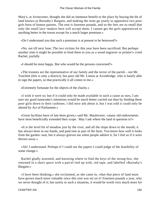Mary's, at Avoncester, thought she did an immense benefit to the place by buying the bit of land known as Burnaby's Bargain, and making the rents go yearly to apprentice two poor girls born of honest parents. The rent is fourteen pounds, and so the fees are so small that only the small lace−makers here will accept them. I cannot get the girls apprenticed to anything better in the towns except for a much larger premium.»

«Do I understand you that such a premium is at present to be bestowed?»

 «No, not till next June. The two victims for this year have been sacrificed. But perhaps another time it might be possible to bind them to you as a wood engraver or printer!» cried Rachel, joyfully.

«I should be most happy. But who would be the persons concerned?»

 «The trustees are the representative of our family and the rector of the parish – not Mr. Touchett (this is only a district), but poor old Mr. Linton at Avonbridge, who is barely able to sign the papers, so that practically it all comes to me.»

«Extremely fortunate for the objects of the charity.»

 «I wish it were so; but if it could only be made available in such a cause as ours, I am sure my good namesake's intentions would be much better carried out than by binding these poor girls down to their cushions. I did once ask about it, but I was told it could only be altered by Act of Parliament.»

 «Great facilities have of late been given,» said Mr. Mauleverer, «many old endowments have most beneficially extended their scope. May I ask where the land in question is?»

 «It is the level bit of meadow just by the river, and all the slope down to the mouth; it has always been in our hands, and paid rent as part of the farm. You know how well it looks from the garden−seat, but it always grieves me when people admire it, for I feel as if it were thrown away.»

 «Ah! I understand. Perhaps if I could see the papers I could judge of the feasibility of some change.»

 Rachel gladly assented, and knowing where to find the keys of the strong box, she returned in a short space with a parcel tied up with, red tape, and labelled «Barnaby's Bargain.»

 «I have been thinking,» she exclaimed, as she came in, «that that piece of land must have grown much more valuable since this rent was set on it! Fourteen pounds a year, why we never thought of it; but surely in such a situation, it would be worth very much more for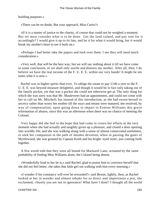building purposes.»

«There can be no doubt. But your approach, Miss Curtis?»

 «If it is a matter of justice to the charity, of course that could not be weighed a moment. But we must consider what is to be done. Get the land valued, and pay rent for it accordingly? I would give it up to its fate, and let it for what it would bring, but it would break my mother's heart to see it built on.»

 «Perhaps I had better take the papers and look over them. I see they will need much consideration.»

 «Very well, that will be the best way, but we will say nothing about it till we have come to some conclusion, or we shall only startle and distress my mother. After all, then, I do believe we have the real income of the F. U. E. E. within our very hands! It might be ten times what it is now.»

 Rachel was in higher spirits than ever. To oblige the estate to pay £140 a year to the F. U. E. E. was beyond measure delightful, and though it would be in fact only taking out of the family pocket, yet that was a pocket she could not otherwise get at. The only thing for which she was sorry was that Mr. Mauleverer had an appointment, and could not come with her to call on Mr. Mitchell; but instead of this introduction, as she had sworn herself to secrecy rather than worry her mother till the ways and means were matured, she resolved, by way of compensation, upon going down to impart to Ermine Williams this grave reformation of abuses, since this was an afternoon when there was no chance of meeting the Colonel.

 Very happy did she feel in the hope that had come to crown her efforts at the very moment when she had actually and tangibly given up a pleasure, and closed a door opening into worldly life, and she was walking along with a sense of almost consecrated usefulness, to seek her companion in the path of maiden devotion, when in passing the gates of Myrtlewood, she was greeted by Captain Keith and his bright−eyed sister, just coming forth together.

 A few words told that they were all bound for Mackarel Lane, actuated by the same probability of finding Miss Williams alone, the Colonel being absent.

 «Wonderfully kind to her he is,» said Rachel, glad to praise him to convince herself that she did not feel bitter; «he takes that little girl out walking with him every morning.»

 «I wonder if his constancy will ever be rewarded?» said Bessie, lightly; then, as Rachel looked at her in wonder and almost rebuke for so direct and impertinent a jest, she exclaimed, «Surely you are not in ignorance! What have I done? I thought all the world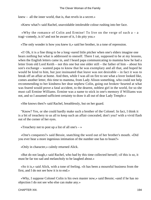knew – all the inner world, that is, that revels in a secret.»

«Knew what?» said Rachel, unavoidable intolerable colour rushing into her face.

 «Why the romance of Colin and Ermine! To live on the verge of such a – a tragi−comedy, is it? and not be aware of it, I do pity you.»

«The only wonder is how you knew it,» said her brother, in a tone of repression.

 «I! Oh, it is a fine thing to be a long−eared little pitcher when one's elders imagine one hears nothing but what is addressed to oneself. There I sat, supposed to be at my lessons, when the English letters came in, and I heard papa communicating to mamma how he had a letter from old Lord Keith – not this one but one older still – the father of him – about his son's exchange – wanted papa to know that he was exemplary and all that, and hoped he would be kind to him, but just insinuated that leave was not desirable – in fact it was to break off an affair at home. And then, while I was all on fire to see what a lover looked like, comes another letter, this time to mamma, from Lady Alison something, who could not help recommending to her kindness her dear nephew Colin, going out broken−hearted at what was feared would prove a fatal accident, to the dearest, noblest girl in the world, for so she must call Ermine Williams. Ermine was a name to stick in one's memory if Williams was not, and so I assumed sufficient certainty to draw it all out of dear Lady Temple.»

«She knows then?» said Rachel, breathlessly, but on her guard.

 "Know? Yes, or she could hardly make such a brother of the Colonel. In fact, I think it is a bit of treachery to us all to keep such an affair concealed, don't you? with a vivid flash out of the corner of her eyes.

«Treachery not to post up a list of all one's  $-\infty$ 

 «One's conquests?» said Bessie, snatching the word out of her brother's mouth. «Did you ever hear a more ingenious intimation of the number one has to boast?»

«Only in character,» calmly returned Alick.

 «But do not laugh,» said Rachel, who had by this time collected herself; «if this is so, it must be far too sad and melancholy to be laughed about.»

 «So it is,» said Alick, with a tone of feeling. «It has been a mournful business from the first, and I do not see how it is to end.»

 «Why, I suppose Colonel Colin is his own master now,» said Bessie; «and if he has no objection I do not see who else can make any.»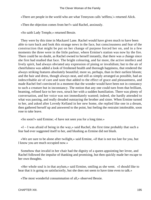«There are people in the world who are what Tennyson calls 'selfless,'» returned Alick.

«Then the objection comes from her?» said Rachel, anxiously.

«So saith Lady Temple,» returned Bessie.

 They were by this time in Mackarel Lane. Rachel would have given much to have been able to turn back and look this strange news in the face, but consciousness and fear of the construction that might be put on her change of purpose forced her on, and in a few moments the three were in the little parlour, where Ermine's station was now by the fire. There could be no doubt, as Rachel owned to herself instantly, that there was a change since she first had studied that face. The bright colouring, and far more, the active intellect and lively spirit, had always obviated any expression of pining or invalidism; but to the air of cheerfulness was added a look of freshened health and thorough happiness, that rendered the always striking features absolutely beautiful; more so, perhaps, than in their earliest bloom; and the hair and dress, though always neat, and still as simply arranged as possible, had an indescribable air of care and taste that added to the effect of grace and pleasantness, and made Rachel feel convinced in a moment that the wonder would have been not in constancy to such a creature but in inconstancy. The notion that any one could turn from that brilliant, beaming, refined face to her own, struck her with a sudden humiliation. There was plenty of conversation, and her voice was not immediately wanted; indeed, she hardly attended to what was passing, and really dreaded outstaying the brother and sister. When Ermine turned to her, and asked after Lovedy Kelland in her new home, she replied like one in a dream, then gathered herself up and answered to the point, but feeling the restraint intolerable, soon rose to take leave.

«So soon?» said Ermine; «I have not seen you for a long time.»

 «I – I was afraid of being in the way,» said Rachel, the first time probably that such a fear had ever suggested itself to her, and blushing as Ermine did not blush.

 «We are sure to be alone after twilight,» said Ermine, «if that is not too late for you, but I know you are much occupied now.»

 Somehow that invalid in her chair had the dignity of a queen appointing her levee, and Rachel followed the impulse of thanking and promising, but then quickly made her escape to her own thoughts.

 «Her whole soul is in that asylum,» said Ermine, smiling as she went. «I should like to hear that it is going on satisfactorily, but she does not seem to have time even to talk.»

«The most wonderful consummation of all,» observed Bessie.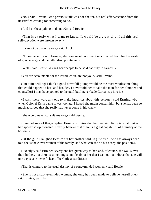«No,» said Ermine, «the previous talk was not chatter, but real effervescence from the unsatisfied craving for something to do.»

«And has she anything to do now?» said Bessie.

 «That is exactly what I want to know. It would be a great pity if all this real self−devotion were thrown away.»

«It cannot be thrown away,» said Alick.

 «Not on herself,» said Ermine, «but one would not see it misdirected, both for the waste of good energy and the bitter disappointment.»

«Well,» said Bessie, «I can't bear people to be so dreadfully in earnest!»

«You are accountable for the introduction, are not you?» said Ermine.

 «I'm quite willing! I think a good downfall plump would be the most wholesome thing that could happen to her; and besides, I never told her to take the man for her almoner and counsellor! I may have pointed to the gulf, but I never bade Curtia leap into it.»

 «I wish there were any one to make inquiries about this person,» said Ermine; «but when Colonel Keith came it was too late. I hoped she might consult him, but she has been so much absorbed that she really has never come in his way.»

«She would never consult any one,» said Bessie.

 «I am not sure of that,» replied Ermine. «I think that her real simplicity is what makes her appear so opinionated. I verily believe that there is a great capability of humility at the bottom.»

 «Of the gulf,» laughed Bessie; but her brother said, «Quite true. She has always been told she is the clever woman of the family, and what can she do but accept the position?»

 «Exactly,» said Ermine; «every one has given way to her, and, of course, she walks over their bodies, but there is something so noble about her that I cannot but believe that she will one day shake herself clear of her little absurdities.»

«That is contrary to the usual destiny of strong−minded women,» said Bessie.

 «She is not a strong−minded woman, she only has been made to believe herself one,» said Ermine, warmly.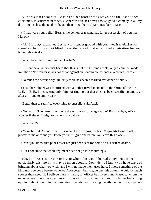With this last encounter, Bessie and her brother took leave, and the last at once exclaimed, in sentimental tones, «Generous rivals! I never saw so good a comedy in all my days! To disclose the fatal truth, and then bring the rival fair ones face to face!»

 «If that were your belief, Bessie, the demon of teasing has fuller possession of you than I knew.»

 «Ah! I forgot,» exclaimed Bessie, «it is tender ground with you likewise. Alas! Alick, sisterly affection cannot blind me to the fact of that unrequited admiration for your honourable rival.»

«What, from the strong−minded Curtia?»

 «Ah! but have we not just heard that this is not the genuine article, only a country−made imitation? No wonder it was not proof against an honourable colonel in a brown beard.»

«So much the better; only unluckily there has been a marked avoidance of him.»

 «Yes; the Colonel was sacrificed with all other trivial incidents at the shrine of the F. U. L. E. – E. E., I mean. And only think of finding out that one has been sacrificing empty air after all – and to empty air!»

«Better than to sacrifice everything to oneself,» said Alick.

 «Not at all. The latter practice is the only way to be agreeable! By−the−bye, Alick, I wonder if she will deign to come to the ball?»

«What ball?»

 «Your ball at Avoncester. It is what I am staying on for! Major McDonald all but promised me one; and you know you must give one before you leave this place.»

«Don't you know that poor Fraser has just been sent for home on his sister's death?»

«But I conclude the whole regiment does not go into mourning?»

 «No, but Fraser is the one fellow to whom this would he real enjoyment. Indeed, I particularly wish no hints may be given about it. Don't deny, I know you have ways of bringing about what you wish, and I will not have them used here. I know something of the kind must be done before we leave Avoncester, but to give one this autumn would be much sooner than needful. I believe there is hardly an officer but myself and Fraser to whom the expense would not be a serious consideration, and when I tell you my father had strong opinions about overdoing reciprocities of gaiety, and drawing heavily on the officers' purses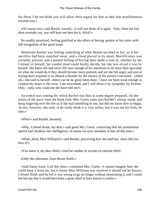for them, I do not think you will allow their regard for him to take that manifestation towards you.»

 «Of course not,» said Bessie, warmly; «I will not think of it again. Only when the fate does overtake you, you will have me here for it, Alick?»

 He readily promised, feeling gratified at the effect of having spoken to his sister with full recognition of her good sense.

 Meantime Rachel was feeling something of what Bessie ascribed to her, as if her sacrifice had been snatched away, and a cloud placed in its stead. Mortification was certainly present, and a pained feeling of having been made a fool of, whether by the Colonel or herself, her candid mind could hardly decide; but she was afraid it was by herself. She knew she had never felt sure enough of his attentions to do more than speculate on what she would do if they should become more pointed, and yet she felt angry and sore at having been exposed to so absurd a blunder by the silence of the parties concerned. «After all,» she said to herself, «there can be no great harm done, I have not been weak enough to commit my heart to the error. I am unscathed, and I will show it by sympathy for Ermine. Only – only, why could not she have told me?»

 An ordeal was coming for which Rachel was thus in some degree prepared. On the return of the party from the book club, Mrs. Curtis came into Rachel's sitting−room, and hung lingering over the fire as if she had something to say, but did not know how to begin. At last, however, she said, «I do really think it is very unfair, but it was not his fault, he says.»

«Who?» said Rachel, dreamily.

 «Why, Colonel Keith, my dear,» said good Mrs. Curtis, conceiving that her pronominal speech had «broken» her intelligence; «it seems we were mistaken in him all this time.»

 «What, about Miss Williams?» said Rachel, perceiving how the land lay; «how did you hear it?»

«You knew it, my dear child,» cried her mother in accents of extreme relief.

«Only this afternoon, from Bessie Keith.»

 «And Fanny knew it all this time,» continued Mrs. Curtis. «I cannot imagine how she could keep it from me, but it seems Miss Williams was resolved it should not be known. Colonel Keith said he felt it was wrong to go on longer without mentioning it, and I could not but say that it would have been a great relief to have known it earlier.»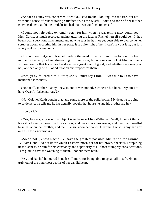«As far as Fanny was concerned it would,» said Rachel, looking into the fire, but not without a sense of rehabilitating satisfaction, as the wistful looks and tone of her mother convinced her that this semi−delusion had not been confined to herself.

 «I could not help being extremely sorry for him when he was telling me,» continued Mrs. Curtis, as much resolved against uttering the idea as Rachel herself could be. «It has been such a very long attachment, and now he says he has not yet been able to overcome her scruples about accepting him in her state. It is quite right of her, I can't say but it is, but it is a very awkward situation.»

 «I do not see that,» said Rachel, feeling the need of decision in order to reassure her mother; «it is very sad and distressing in some ways, but no one can look at Miss Williams without seeing that his return has done her a great deal of good; and whether they marry or not, one can only be full of admiration and respect for them.»

 «Yes, yes,» faltered Mrs. Curtis; «only I must say I think it was due to us to have mentioned it sooner.»

 «Not at all, mother. Fanny knew it, and it was nobody's concern but hers. Pray am I to have Owen's 'Palaeontology'?»

 «No, Colonel Keith bought that, and some more of the solid books. My dear, he is going to settle here; he tells me he has actually bought that house he and his brother are in.»

#### «Bought it!»

 «Yes; he says, any way, his object is to be near Miss Williams. Well, I cannot think how it is to end, so near the title as he is, and her sister a governess, and then that dreadful business about her brother, and the little girl upon her hands. Dear me, I wish Fanny had any one else for a governess.»

 «So do not I,» said Rachel. «I have the greatest possible admiration for Ermine Williams, and I do not know which I esteem most, her for her brave, cheerful, unrepining unselfishness, or him for his constancy and superiority to all those trumpery considerations. I am glad to have the watching of them. I honour them both.»

 Yes, and Rachel honoured herself still more for being able to speak all this freely and truly out of the innermost depths of her candid heart.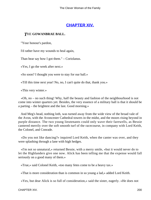## **[CHAPTER XIV.](#page-416-0)**

### *T*HE **GOWANBRAE BALL.**

"Your honour's pardon,

I'd rather have my wounds to heal again,

Than hear say how I got them." – Coriolanus.

«Yes, I go the week after next.»

«So soon? I thought you were to stay for our ball.»

«Till this time next year! No, no, I can't quite do that, thank you.»

«This very winter.»

 «Oh, no – no such thing! Why, half the beauty and fashion of the neighbourhood is not come into winter quarters yet. Besides, the very essence of a military ball is that it should be a parting – the brightest and the last. Good morning.»

 And Meg's head, nothing loth, was turned away from the wide view of the broad vale of the Avon, with the Avoncester Cathedral towers in the midst, and the moors rising beyond in purple distance. The two young lieutenants could only wave their farewells, as Bessie cantered merrily over the soft smooth turf of the racecourse, in company with Lord Keith, the Colonel, and Conrade.

 «Do you not like dancing?» inquired Lord Keith, when the canter was over, and they were splashing through a lane with high hedges.

 «I'm not so unnatural,» returned Bessie, with a merry smile, «but it would never do to let the Highlanders give one now. Alick has been telling me that the expense would fall seriously on a good many of them.»

«True,» said Colonel Keith, «too many fetes come to be a heavy tax.»

«That is more consideration than is common in so young a lad,» added Lord Keith.

«Yes, but dear Alick is so full of consideration,» said the sister, eagerly. «He does not

CHAPTER XIV. 200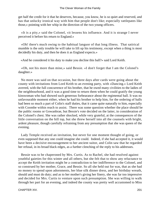get half the credit for it that he deserves, because, you know, he is so quiet and reserved, and has that unlucky ironical way with him that people don't like; especially rattlepates like those,» pointing with her whip in the direction of the two young officers.

 «It is a pity,» said the Colonel, «it lessens his influence. And it is strange I never perceived it before his return to England.»

 «Oh! there's much owing to the habitual languor of that long illness. That satirical mumble is the only trouble he will take to lift up his testimony, except when a thing is most decidedly his duty, and then he does it as England expects.»

«And he considered it his duty to make you decline this ball?» said Lord Keith.

 «Oh, not his more than mine,» said Bessie. «I don't forget that I am the Colonel's daughter.»

 No more was said on that occasion, but three days after cards were going about the county with invitations from Lord Keith to an evening party, with «Dancing.» Lord Keith averred, with the full concurrence of his brother, that he owed many civilities to the ladies of the neighbourhood, and it was a good time to return them when he could gratify the young kinswoman who had showed such generous forbearance about the regimental ball. It was no unfavourable moment either, when he had his brother to help him, for the ordering of balls had been so much a part of Colin's staff duties, that it came quite naturally to him, especially with Coombe within reach to assist. There was some question whether the place should be the public rooms or Gowanbrae, but Bessie's vote decided on the latter, in consideration of the Colonel's chest. She was rather shocked, while very grateful, at the consequences of the little conversation on the hill top, but she threw herself into all the counsels with bright, ardent pleasure, though carefully refraining from any presumption that she was queen of the evening.

 Lady Temple received an invitation, but never for one moment thought of going, or even supposed that any one could imagine she could. Indeed, if she had accepted it, it would have been a decisive encouragement to her ancient suitor, and Colin saw that he regarded her refusal, in its broad black edges, as a further clenching of the reply to his addresses.

 Bessie was to be chaperoned by Mrs. Curtis. As to Rachel, she had resolved against youthful gaieties for this winter and all others, but she felt that to show any reluctance to accept the Keith invitation might be a contradiction to her indifference to the Colonel, and so construed by her mother, Grace, and Bessie. So all she held out for was, that as she had no money to spend upon adornments, her blue silk dinner dress, and her birthday wreath, should and must do duty; and as to her mother's giving her finery, she was far too impressive and decided for Mrs. Curtis to venture upon such presumption. She was willing to walk through her part for an evening, and indeed the county was pretty well accustomed to Miss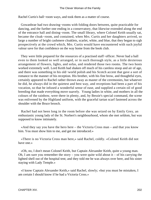Rachel Curtis's ball−room ways, and took them as a matter of course.

 Gowanbrae had two drawing−rooms with folding doors between, quite practicable for dancing, and the further one ending in a conservatory, that likewise extended along the end of the entrance hall and dining−room. The small library, where Colonel Keith usually sat, became the cloak−room, and contained, when Mrs. Curtis and her daughters arrived, so large a number of bright cashmere cloaklets, scarlet, white, and blue, that they began to sigh prospectively at the crowd which, Mrs. Curtis would have encountered with such joyful valour save for that confidence on the way home from the book club.

 They were little prepared for the resources of a practised staff−officer. Never had a ball even to them looked so well arranged, or in such thorough style, as a little dexterous arrangement of flowers, lights, and sofas, and rendered those two rooms. The two hosts worked extremely well. Lord Keith had shaken off much of his careless stoop and air of age, and there was something in his old−world polish and his Scotch accent that gave a sort of romance to the manner of his reception. His brother, with his fine brow, and thoughtful eyes, certainly appeared to Rachel rather thrown away as master of the ceremonies, but whatever he did, he always did in the quietest and best way, and receptions had been a part of his vocation, so that he infused a wonderful sense of ease, and supplied a certain oil of good breeding that made everything move suavely. Young ladies in white, and mothers in all the colours of the rainbow, were there in plenty, and, by Bessie's special command, the scene was enlivened by the Highland uniform, with the graceful tartan scarf fastened across the shoulder with the Bruce brooch.

 Rachel had not been long in the room before she was seized on by Emily Grey, an enthusiastic young lady of the St. Norbert's neighbourhood, whom she met seldom, but was supposed to know intimately.

 «And they say you have the hero here – the Victoria Cross man – and that you know him. You must show him to me, and get me introduced.»

 «There is no Victoria Cross man here,» said Rachel, coldly. «Colonel Keith did not have one.»

 «Oh, no, I don't mean Colonel Keith, but Captain Alexander Keith, quite a young man. Oh, I am sure you remember the story – you were quite wild about it – of his carrying the lighted shell out of the hospital tent; and they told me he was always over here, and his sister staying with Lady Temple.»

 «I know Captain Alexander Keith,» said Rachel, slowly; «but you must be mistaken, I am certain I should know if he had a Victoria Cross.»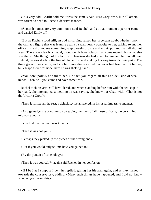«It is very odd; Charlie told me it was the same,» said Miss Grey, who, like all others, was forced to bend to Rachel's decisive manner.

 «Scottish names are very common,» said Rachel, and at that moment a partner came and carried Emily off.

 "But as Rachel stood still, an odd misgiving seized her, a certain doubt whether upon the tall lazy figure that was leaning against a wall nearly opposite to her, talking to another officer, she did not see something suspiciously bronze and eight−pointed that all did not wear. There was clearly a medal, though with fewer clasps than some owned; but what else was there? She thought of the lecture on heroism she had given to him, and felt hot all over. Behold, he was skirting the line of chaperons, and making his way towards their party. The thing grew more visible, and she felt more disconcerted than ever had been her lot before; but escape there was none, here he was shaking hands.

 «You don't polk?» he said to her. «In fact, you regard all this as a delusion of weak minds. Then, will you come and have some tea?»

 Rachel took his arm, still bewildered, and when standing before him with the tea−cup in her hand, she interrupted something he was saying, she knew not what, with, «That is not the Victoria Cross?»

«Then it is, like all the rest, a delusion,» he answered, in his usual impassive manner.

 «And gained,» she continued, «by saving the lives of all those officers, the very thing I told you about!»

«You told me that man was killed.»

«Then it was not you!»

«Perhaps they picked up the pieces of the wrong one.»

«But if you would only tell me how you gained it.»

«By the pursuit of conchology.»

«Then it was yourself?» again said Rachel, in her confusion.

 «If I be I as I suppose I be,» he replied, giving her his arm again, and as they turned towards the conservatory, adding, «Many such things have happened, and I did not know whether you meant this.»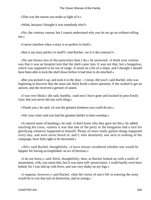«That was the reason you made so light of it.»

«What, because I thought it was somebody else?»

 «No, the contrary reason; but I cannot understand why you let me go on without telling me.»

«I never interfere when a story is so perfect in itself.»

«But is my story perfect in itself?» said Rachel, «or is it the contrary?»

 «No one knows less of the particulars than I do,» he answered. «I think your version was that it was an hospital tent that the shell came into. It was not that, but a bungalow, which was supposed to be out of range. It stood on a bit of a slope, and I thought I should have been able to kick the shell down before it had time to do mischief.»

 «But you picked it up, and took it to the door – I mean, did you?» said Rachel, who was beginning to discover that she must ask Alick Keith a direct question, if she wished to get an answer, and she received a gesture of assent.

 «I was very blind,» she said, humbly, «and now I have gone and insisted to poor Emily Grey that you never did any such thing.»

«Thank you,» he said; «it was the greatest kindness you could do me.»

«Ah! your sister said you had the greatest dislike to hero worship.»

 «A natural sense of humbug,» he said. «I don't know why they gave me this,» he added, touching his cross, «unless it was that one of the party in the bungalow had a turn for glorifying whatever happened to himself. Plenty of more really gallant things happened every day, and were never heard of, and I, who absolutely saw next to nothing of the campaign, have little right to be decorated.»

 «Ah!» said Rachel, thoughtfully, «I have always wondered whether one would be happier for having accomplished. an act of heroism.»

 «I do not know,» said Alick, thoughtfully; then, as Rachel looked up with a smile of amazement, «Oh, you mean this; but it was mere self−preservation. I could hardly even have bolted, for I was laid up with fever, and was very shaky on my legs.»

 «I suppose, however,» said Rachel, «that the vision of one's life in entering the army would be to win that sort of distinction, and so young.»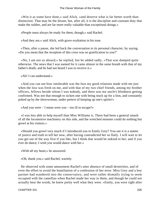«Win it as some have done,» said Alick, «and deserve what is far better worth than distinction. That may be the dream, but, after all, it is the discipline and constant duty that make the soldier, and are far more really valuable than exceptional doings.»

«People must always be ready for them, though,» said Rachel.

«And they are,» said Alick, with grave exultation in his tone.

 «Then, after a pause, she led back the conversation to its personal character, by saying. »Do you mean that the reception of this cross was no gratification to you?"

 «No, I am not so absurd,» he replied, but he added sadly, «That was damped quite otherwise. The news that I was named for it came almost in the same breath with that of my father's death, and he had not heard I was to receive it.»

«Ah! I can understand.»

 «And you can see how intolerable was the fuss my good relations made with me just when the loss was fresh on me, and with that of my two chief friends, among my brother officers, fellows beside whom I was nobody, and there was my uncle's blindness getting confirmed. Was not that enough to sicken one with being stuck up for a lion, and constantly poked up by the showwoman, under pretext of keeping up one's spirits!»

«And you were – I mean were you – too ill to escape?»

 «I was less able to help myself than Miss Williams is. There had been a general smash of all the locomotive machinery on this side, and the wretched monster could do nothing but growl at his visitors.»

 «Should you growl very much if I introduced you to Emily Grey? You see it is a matter of justice and truth to tell her now, after having contradicted her so flatly. I will wait to let you get out of the way first if you like, but I think that would be unkind to her; and if you ever do dance, I wish you would dance with her.»

«With all my heart,» he answered.

«Oh, thank you,» said Rachel, warmly.

 He observed with some amusement Rachel's utter absence of small dexterities, and of even the effort to avoid the humiliation of a confession of her error. Miss Grey and a boy partner had wandered into the conservatory, and were rather dismally trying to seem occupied with the camellias when Rachel made her way to them, and though he could not actually hear the words, he knew pretty well what they were. «Emily, you were right after

CHAPTER XIV. 205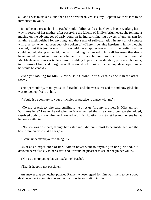all, and I was mistaken,» and then as he drew near, «Miss Grey, Captain Keith wishes to be introduced to you.»

 It had been a great shock to Rachel's infallibility, and as she slowly began working her way in search of her mother, after observing the felicity of Emily's bright eyes, she fell into a musing on the advantages of early youth in its indiscriminating powers of enthusiasm for anything distinguished for anything, and that sense of self−exaltation in any sort of contact with a person who had been publicly spoken of. «There is genuine heroism in him,» thought Rachel, «but it is just in what Emily would never appreciate – it is in the feeling that he could not help doing as he did; the half−grudging his reward to himself because other deeds have passed unspoken. I wonder whether his ironical humour would allow him to see that Mr. Mauleverer is as veritable a hero in yielding hopes of consideration, prospects, honours, to his sense of truth and uprightness. If he would only look with an unprejudiced eye, I know he would be candid.»

 «Are you looking for Mrs. Curtis?» said Colonel Keith. «I think she is in the other room.»

 «Not particularly, thank you,» said Rachel, and she was surprised to find how glad she was to look up freely at him.

«Would it be contrary to your principles or practice to dance with me?»

 «To my practice,» she said smilingly, «so let us find my mother. Is Miss Alison Williams here? I never heard whether it was settled that she should come,» she added, resolved both to show him her knowledge of his situation, and to let her mother see her at her ease with him.

 «No, she was obstinate, though her sister and I did our utmost to persuade her, and the boys were crazy to make her go.»

«I can't understand your wishing it.»

 «Not as an experience of life? Alison never went to anything in her girlhood, but devoted herself solely to her sister, and it would be pleasant to see her begin her youth.»

«Not as a mere young lady!» exclaimed Rachel.

«That is happily not possible.»

 An answer that somewhat puzzled Rachel, whose regard for him was likely to be a good deal dependent upon his contentment with Alison's station in life.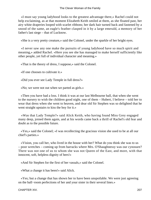«I must say young ladyhood looks to the greatest advantage there,» Rachel could not help exclaiming, as at that moment Elizabeth Keith smiled at them, as she floated past, her airy white draperies looped with scarlet ribbons; her dark hair turned back and fastened by a snood of the same, an eagle's feather clasped in it by a large emerald, a memory of her father's last siege – that of Lucknow.

«She is a very pretty creature,» said the Colonel, under the sparkle of her bright eyes.

 «I never saw any one make the pursuits of young ladyhood have so much spirit and meaning,» added Rachel. «Here you see she has managed to make herself sufficiently like other people, yet full of individual character and meaning.»

«That is the theory of dress, I suppose,» said the Colonel.

«If one chooses to cultivate it.»

«Did you ever see Lady Temple in full dress?»

«No; we were not out when we parted as girls.»

 «Then you have had a loss. I think it was at our last Melbourne ball, that when she went to the nursery to wish the children good night, one of them – Hubert, I believe – told her to wear that dress when she went to heaven, and dear old Sir Stephen was so delighted that he went straight upstairs to kiss the boy for it.»

 «Was that Lady Temple?» said Alick Keith, who having found Miss Grey engaged many deep, joined them again, and at his words came back a thrill of Rachel's old fear and doubt as to the possible future.

 «Yes,» said the Colonel; «I was recollecting the gracious vision she used to be at all our chief's parties.»

 «Vision, you call her, who lived in the house with her? What do you think she was to us – poor wretches – coming up from barracks where Mrs. O'Shaughnessy was our cynosure? There was not one of us to whom she was not Queen of the East, and more, with that innocent, soft, helpless dignity of hers!»

«And Sir Stephen for the first of her vassals,» said the Colonel.

«What a change it has been!» said Alick.

 «Yes; but a change that has shown her to have been unspoilable. We were just agreeing on the ball−room perfections of her and your sister in their several lines.»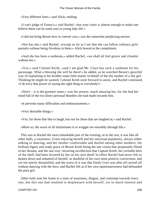«Very different lines,» said Alick, smiling.

 «I can't judge of Fanny's,» said Rachel, «but your sister is almost enough to make one believe there can be some soul in young lady life.»

«I did not bring Bessie here to convert you,» was the somewhat perplexing answer.

 «Nor has she,» said Rachel, «except so far as I see that she can follow ordinary girls' pursuits without being frivolous in them.» Alick bowed at the compliment.

 «And she has been a sunbeam,» added Rachel, «we shall all feel graver and cloudier without her.»

 «Yes,» said Colonel Keith, «and I am glad Mr. Clare has such a sunbeam for his parsonage. What a blessing she will be there!» he added, as he watched Bessie's graceful way of explaining to his brother some little matter in behalf of the shy mother of a shy girl. Thinking he might be wanted, Colonel Keith went forward to assist, and Rachel continued, «I do envy that power of saying the right thing to everybody!»

 «Don't – it is the greatest snare,» was his answer, much amazing her, for she had her mind full of the two direct personal blunders she had made towards him.

«It prevents many difficulties and embarrassments.»

«Very desirable things.»

«Yes; for those that like to laugh, but not for those that are laughed at,» said Rachel.

«More so; the worst of all misfortunes is to wriggle too smoothly through life.»

 This was to Rachel the most remarkable part of the evening; as to the rest, it was like all other balls, a weariness: Grace enjoying herself and her universal popularity, always either talking or dancing, and her mother comfortable and dutiful among other mothers; the brilliant figure and ready grace of Bessie Keith being the one vision that perpetually flitted in her dreams, and the one ever−recurring recollection that Captain Keith, the veritable hero of the shell, had been lectured by her on his own deed! In effect Rachel had never felt so beaten down and ashamed of herself; so doubtful of her own most positive convictions, and yet not utterly dissatisfied, and the worst of it was that Emily Grey was after all carried off without dancing with the hero; and Rachel felt as if her own opinionativeness had defrauded the poor girl.

 Other balls sent her home in a state of weariness, disgust, and contempt towards every one, but this one had resulted in displeasure with herself, yet in much interest and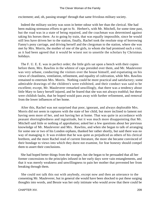excitement; and, oh, passing strange! through that same frivolous military society.

 Indeed the military society was soon in better odour with her than the clerical. She had been making strenuous efforts to get to St. Herbert's, with Mr. Mitchell, for some time past, but the road was in a state of being repaired, and the coachman was determined against taking his horses there. As to going by train, that was equally impossible, since he would still less have driven her to the station, finally, Rachel took the resolute stop of borrowing Fanny's pony carriage, and driving herself and the clergyman to the station, where she was met by Mrs. Morris, the mother of one of the girls, to whom she had promised such a visit, as it had been agreed that it would be wisest not to unsettle the scholars by Christmas holidays.

 The F. U. E. E. was in perfect order; the little girls sat upon a bench with their copies before them, Mrs. Rawlins in the whitest of caps presided over them, and Mr. Mauleverer was very urbane, conducting the visitors over the house himself, and expatiating on his views of cleanliness, ventilation, refinement, and equality of cultivation, while Mrs. Rawlins remained to entertain Mrs. Morris. Nothing could be more practical and satisfactory; some admirable drawings of the children's were exhibited, and their conduct was said to be excellent; except, Mr. Mauleverer remarked unwillingly, that there was a tendency about little Mary to fancy herself injured, and he feared that she was not always truthful; but these were childish faults, that he hoped would pass away with further refinement, and removal from the lower influences of her home.

 After this, Rachel was not surprised that poor, ignorant, and always deplorable Mrs. Morris did not seem in raptures with the state of her child, but more inclined to lament not having seen more of her, and not having her at home. That was quite in accordance with peasant shortsightedness and ingratitude, but it was much more disappointing that Mr. Mitchell said little or nothing of approbation; asked her a few questions about her previous knowledge of Mr. Mauleverer and Mrs. Rawlins, and when she began to talk of arranging for some one or two of his London orphans, thanked her rather shortly, but said there was no way of managing it. It was evident that he was quite as prejudiced as others of his clerical brethren, and the more Rachel read of current literature, the more she became convinced of their bondage to views into which they durst not examine, for fear honesty should compel them to assert their conclusions.

 She had hoped better things from the stranger, but she began to be persuaded that all her former concessions to the principles infused in her early days were vain entanglements, and that it was merely weakness and unwillingness to pain her mother that prevented her from breaking through them.

 She could not talk this out with anybody, except now and then an utterance to the consenting Mr. Mauleverer, but in general she would have been shocked to put these surging thoughts into words, and Bessie was her only intimate who would avow that there could be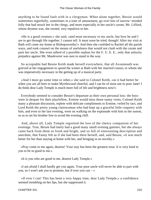anything to be found fault with in a clergyman. When alone together, Bessie would sometimes regretfully, sometimes in a tone of amusement, go over bits of narrow−minded folly that had struck her in the clergy, and more especially in her uncle's curate, Mr. Lifford, whose dryness was, she owned, very repulsive to her.

 «He is a good creature,» she said, «and most necessary to my uncle, but how he and I are to get through life together, I cannot tell. It must soon be tried, though! After my visit at Bath will come my home at Bishopsworthy!» And then she confided to Rachel all the parish ways, and took counsel on the means of usefulness that would not clash with the curate and pain her uncle. She even talked of a possible orphan for the F. U. E. E., only that unlucky prejudice against Mr. Mauleverer was sure to stand in the way.

 So acceptable had Bessie Keith made herself everywhere, that all Avonmouth was grieved at her engagement to spend the winter at Bath with her married cousin, to whom she was imperatively necessary in the getting up of a musical party.

 «And I must go some time or other,» she said to Colonel Keith, «so it had better be when you are all here to make Myrtlewood cheerful, and I can be of most use to poor Jane! I do think dear Lady Temple is much more full of life and brightness now!»

 Everybody seemed to consider Bessie's departure as their own personal loss: the boys were in despair for their playfellow, Ermine would miss those sunny visits; Colonel Keith many a pleasant discussion, replete with delicate compliments to Ermine, veiled by tact; and Lord Keith the pretty young clanswoman who had kept up a graceful little coquetry with him, and even to the last evening, went on walking on the esplanade with him in the sunset, so as to set his brother free to avoid the evening chill.

 And, above all, Lady Temple regretted the loss of the cheery companion of her evenings. True, Bessie had lately had a good many small evening gaieties, but she always came back from them so fresh and bright, and so full of entertaining description and anecdote, that Fanny felt as if she had been there herself, and, said Bessie, «it was much better for her than staying at home with her, and bringing in no novelty.»

 «Pray come to me again, dearest! Your stay has been the greatest treat. It is very kind in you to be so good to me.»

«It is you who are good to me, dearest Lady Temple.»

 «I am afraid I shall hardly get you again. Your poor uncle will never be able to part with you, so I won't ask you to promise, but if ever you can – »

 «If ever I can! This has been a very happy time, dear Lady Temple,» a confidence seemed trembling on her lips, but she suppressed it.

CHAPTER XIV. 210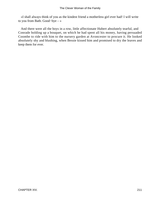«I shall always think of you as the kindest friend a motherless girl ever had! I will write to you from Bath. Good−bye – »

 And there were all the boys in a row, little affectionate Hubert absolutely tearful, and Conrade holding up a bouquet, on which he had spent all his money, having persuaded Coombe to ride with him to the nursery garden at Avoncester to procure it. He looked absolutely shy and blushing, when Bessie kissed him and promised to dry the leaves and keep them for ever.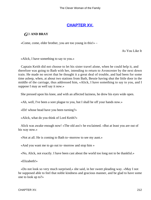# **[CHAPTER XV.](#page-416-0)**

### *G*O **AND BRAY**

«Come, come, elder brother, you are too young in this!» –

As You Like It

«Alick, I have something to say to you.»

 Captain Keith did not choose to let his sister travel alone, when he could help it, and therefore was going to Bath with her, intending to return to Avoncester by the next down train. He made no secret that he thought it a great deal of trouble, and had been for some time asleep, when, at about two stations from Bath, Bessie having shut the little door in the middle of the carriage, thus addressed him, «Alick, I have something to say to you, and I suppose I may as well say it now.»

She pressed upon his knee, and with an affected laziness, he drew his eyes wide open.

«Ah, well, I've been a sore plague to you, but I shall be off your hands now.»

«Eh! whose head have you been turning?»

«Alick, what do you think of Lord Keith?»

 Alick was awake enough now! «The old ass!» he exclaimed. «But at least you are out of his way now.»

«Not at all. He is coming to Bath to−morrow to see my aunt.»

«And you want me to go out to−morrow and stop him »

«No, Alick, not exactly. I have been cast about the world too long not to be thankful.»

«Elizabeth!»

 «Do not look so very much surprised,» she said, in her sweet pleading way. «May I not be supposed able to feel that noble kindness and gracious manner, and be glad to have some one to look up to?»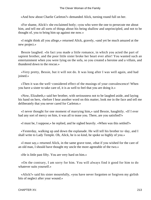«And how about Charlie Carleton?» demanded Alick, turning round full on her.

 «For shame, Alick!» she exclaimed hotly; «you who were the one to persecute me about him, and tell me all sorts of things about his being shallow and unprincipled, and not to be thought of, you to bring him up against me now.»

 «I might think all you allege,» returned Alick, gravely, «and yet be much amazed at the new project.»

 Bessie laughed. «In fact you made a little romance, in which you acted the part of sapient brother, and the poor little sister broke her heart ever after! You wanted such an entertainment when you were lying on the sofa, so you created a heroine and a villain, and thundered down to the rescue.»

 «Very pretty, Bessie, but it will not do. It was long after I was well again, and had joined.»

 «Then it was the well−considered effect of the musings of your convalescence! When you have a sister to take care of, it is as well to feel that you are doing it.»

 «Now, Elizabeth,» said her brother, with seriousness not to be laughed aside, and laying his hand on hers, «before I hear another word on this matter, look me in the face and tell me deliberately that you never cared for Carleton.»

 «I never thought for one moment of marrying him,» said Bessie, haughtily. «If I ever had any sort of mercy on him, it was all to tease you. There, are you satisfied?»

«I must be, I suppose,» he replied, and he sighed heavily. «When was this settled?»

 «Yesterday, walking up and down the esplanade. He will tell his brother to−day, and I shall write to Lady Temple. Oh, Alick, he is so kind, he spoke so highly of you.»

 «I must say,» returned Alick, in the same grave tone, «that if you wished for the care of an old man, I should have thought my uncle the more agreeable of the two.»

«He is little past fifty. You are very hard on him.»

 «On the contrary, I am sorry for him. You will always find it good for him to do whatever suits yourself.»

 «Alick?» said his sister mournfully, «you have never forgotten or forgiven my girlish bits of neglect after your wound.»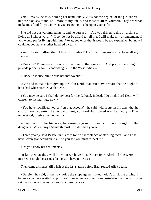«No, Bessie,» he said, holding her hand kindly, «it is not the neglect or the girlishness, but the excuses to me, still more to my uncle, and most of all to yourself. They are what make me afraid for you in what you are going to take upon yourself.»

 She did not answer immediately, and he pursued – «Are you driven to this by dislike to living at Bishopsworthy? If so, do not be afraid to tell me. I will make any arrangement, if you would prefer living with Jane. We agreed once that it would be too expensive, but now I could let you have another hundred a year.»

 «As if I would allow that, Alick! No, indeed! Lord Keith means you to have all my share.»

 «Does he? There are more words than one to that question. And pray is he going to provide properly for his poor daughter in the West Indies?»

«I hope to induce him to take her into favour.»

 «Eh? and to make him give up to Colin Keith that Auchinvar estate that he ought to have had when Archie Keith died?»

 «You may be sure I shall do my best for the Colonel. Indeed, I do think Lord Keith will consent to the marriage now.»

 «You have sacrificed yourself on that account?» he said, with irony in his tone, that he could have repented the next moment, so good−humoured was her reply, «That is understood, so give me the merit.»

 «The merit of, for his sake, becoming a grandmother. You have thought of the daughters? Mrs. Comyn Menteith must be older than yourself.»

 «Three years,» said Bessie, in his own tone of acceptance of startling facts, «and I shall have seven grandchildren in all, so you see you must respect me.»

«Do you know her sentiments »

 «I know what they will be when we have met. Never fear, Alick. If she were not married it might be serious, being so, I have no fears.»

Then came a silence, till a halt at the last station before Bath roused Alick again.

 «Bessie,» he said, in the low voice the stoppage permitted, «don't think me unkind. I believe you have waited on purpose to leave me no time for expostulation, and what I have said has sounded the more harsh in consequence.»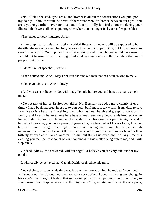«No, Alick,» she said, «you are a kind brother in all but the constructions you put upon my doings. I think it would be better if there were more difference between our ages. You are a young guardian, over anxious, and often morbidly fanciful about me during your illness. I think we shall be happier together when you no longer feel yourself responsible.»

«The tables turned,» muttered Alick.

 «I am prepared for misconstruction,» added Bessie. «I know it will be supposed to be the title; the estate it cannot be, for you know how poor a property it is; but I do not mean to care for the world. Your opinion is a different thing, and I thought you would have seen that I could not be insensible to such dignified kindness, and the warmth of a nature that many people think cold.»

«I don't like set speeches, Bessie.»

«Then believe me, Alick. May I not love the fine old man that has been so kind to me?»

«I hope you do,» said Alick, slowly.

 «And you can't believe it? Not with Lady Temple before you and hers was really an old man.»

 «Do not talk of her or Sir Stephen either. No, Bessie,» he added more calmly after a time, «I may be doing great injustice to you both, but I must speak what it is my duty to say. Lord Keith is a hard, self−seeking man, who has been harsh and grasping towards his family, and I verily believe came here bent on marriage, only because his brother was no longer under his tyranny. He may not be harsh to you, because he is past his vigour, and if he really loves you, you have a power of governing; but from what I know of you, I cannot believe in your loving him enough to make such management much better than selfish manoeuvring. Therefore I cannot think this marriage for your real welfare, or be other than bitterly grieved at it. Do not answer, Bessie, but think this over, and if at any time this evening you feel the least doubt of your happiness in this matter, telegraph to me, and I will stop him.»

 «Indeed, Alick,» she answered, without anger, «I believe yon are very anxious for my good.»

It will readily be believed that Captain Keith received no telegram.

 Nevertheless, as soon as his time was his own the next morning, he rode to Avonmouth and sought out the Colonel, not perhaps with very defined hopes of making any change in his sister's intentions, but feeling that some attempt on his own part must be made, if only to free himself from acquiescence, and thinking that Colin, as late guardian to the one party,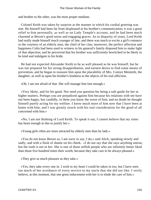and brother to the other, was the most proper medium.

 Colonel Keith was taken by surprise at the manner in which his cordial greeting was met. He himself had been far from displeased at his brother's communication; it was a great relief to him personally, as well as on Lady Temple's account, and he had been much charmed at Bessie's good sense and engaging graces. As to disparity of years, Lord Keith had really made himself much younger of late, and there was much to excite a girl's romance in the courtesy of an elderly man, the chief of her clan; moreover, the perfect affection and happiness Colin had been used to witness in his general's family disposed him to make light of that objection; and he perceived that his brother was sufficiently bewitched to be likely to be kind and indulgent to his bride.

 He had not expected Alexander Keith to be as well pleased as he was himself, but he was not prepared for his strong disapprobation, and earnest desire to find some means of prevention, and he began to reassure him upon the placability of Mrs. Comyn Menteith, the daughter, as well as upon his brother's kindness to the objects of his real affection.

«Oh, I am not afraid of that. She will manage him fast enough.»

 «Very likely, and for his good. Nor need you question his being a safe guide for her in higher matters. Perhaps you are prejudiced against him because his relations with me have not been happy, but candidly, in them you know the worst of him; and no doubt he thought himself purely acting for my welfare. I know much more of him now that I have been at home with him, and I was greatly struck with his real consideration for the good of all concerned with him.»

 «No, I am not thinking of Lord Keith. To speak it out, I cannot believe that my sister has heart enough in this to justify her.»

«Young girls often are more attracted by elderly men than by lads.»

 «You do not know Bessie as, I am sorry to say, I do,» said Alick, speaking slowly and sadly, and with a flush of shame on his cheek. «I do not say that she says anything untrue, but the truth is not in her. She is one of those selfish people who are infinitely better liked than those five hundred times their worth, because they take care to be always pleased.»

«They give as much pleasure as they take.»

 «Yes, they take every one in. I wish to my heart I could be taken in too, but I have seen too much of her avoidance of every service to my uncle that she did not like. I verily believe, at this moment, that one great inducement with her is to elude the care of him.»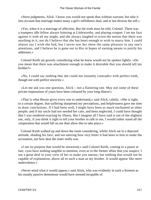«Stern judgments, Alick. I know you would not speak thus without warrant; but take it into account that marriage makes many a girl's selfishness dual, and at last drowns the self.»

 «Yes, when it is a marriage of affection. But the truth must be told, Colonel. There was a trumpery idle fellow always loitering at Littleworthy, and playing croquet. I set my face against it with all my might, and she always laughed to scorn the notion that there was anything in it, nor do I believe that she has heart enough to wish to marry him. I could almost say I wish she had, but I never saw her show the same pleasure in any one's attentions, and I believe he is gone out to Rio in hopes of earning means to justify his addresses.»

 Colonel Keith sat gravely considering what he knew would not be spoken lightly. «Do you mean that there was attachment enough to make it desirable that you should tell my brother?»

 «No, I could say nothing that she could not instantly contradict with perfect truth, though not with perfect sincerity.»

 «Let me ask you one question, Alick – not a flattering one. May not some of these private impressions of yours have been coloured by your long illness!»

 «That is what Bessie gives every one to understand,» said Alick, calmly. «She is right, to a certain degree, that suffering sharpened my perceptions, and helplessness gave me time to draw conclusions. If I had been well, I might have been as much enchanted as other people; and if my uncle had not needed her care, and been neglected, I could have thought that I was rendered exacting by illness. But I imagine all I have said is not of the slightest use, only, if you think it right to tell your brother to talk to me, I would rather stand all the vituperation that would fall on me than allow this to take place.»

 Colonel Keith walked up and down the room considering, whilst Alick sat in a dejected attitude, shading his face, and not uttering how very bitter it had been to him to make the accusation, nor how dear the sister really was.

 «I see no purpose that would be answered,» said Colonel Keith, coming to a pause at last; «you have nothing tangible to mention, even as to the former affair that you suspect. I see a great deal in your view of her to make you uneasy, but nothing that would not be capable of explanation, above all to such a man as my brother. It would appear like mere malevolence.»

 «Never mind what it would appear,» said Alick, who was evidently in such a ferment as his usually passive demeanour would have seemed incapable of.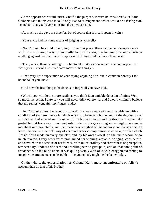«If the appearance would entirely baffle the purpose, it must be considered,» said the Colonel; «and in this case it could only lead to estrangement, which would be a lasting evil. I conclude that you have remonstrated with your sister.»

«As much as she gave me time for; but of course that is breath spent in vain.»

«Your uncle had the same means of judging as yourself.»

 «No, Colonel, he could do nothing! In the first place, there can be no correspondence with him; and next, he is so devotedly fond of Bessie, that he would no more believe anything against her than Lady Temple would. I have tried that more than once.»

 «Then, Alick, there is nothing for it but to let it take its course; and even upon your own view, your sister will be much safer married than single.»

 «I had very little expectation of your saying anything else, but in common honesty I felt bound to let you know.»

«And now the best thing to be done is to forget all you have said.»

 «Which you will do the more easily as you think it an amiable delusion of mine. Well, so much the better. I dare say you will never think otherwise, and I would willingly believe that my senses went after my fingers' ends.»

 The Colonel almost believed so himself. He was aware of the miserably sensitive condition of shattered nerve in which Alick had been sent home, and of the depression of spirits that had ensued on the news of his father's death; and he thought it extremely probable that his weary hours and solicitude for his gay young sister might have made molehills into mountains, and that these now weighed on his memory and conscience. At least, this seemed the only way of accounting for an impression so contrary to that which Bessie Keith made on every one else, and, by his own avowal, on the uncle whom he so much revered. Every other voice proclaimed her winning, amiable, obliging, considerate, and devoted to the service of her friends, with much drollery and shrewdness of perception, tempered by kindness of heart and unwillingness to give pain; and on that sore point of residence with the blind uncle, it was quite possibly a bit of Alick's exaggerated feeling to imagine the arrangement so desirable – the young lady might be the better judge.

 On the whole, the expostulation left Colonel Keith more uncomfortable on Alick's account than on that of his brother.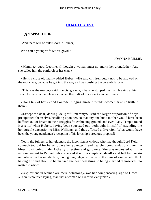# **[CHAPTER XVI.](#page-416-0)**

### *A*N **APPARITION.**

"And there will be auld Geordie Tanner,

Who coft a young wife wi' his gowd."

#### JOANNA BAILLIE.

 «Mamma,» quoth Leoline, «I thought a woman must not marry her grandfather. And she called him the patriarch of her clan.»

 «He is a cross old man,» added Hubert. «He said children ought not to be allowed on the esplanade, because he got into the way as I was pushing the perambulator.»

 «This was the reason,» said Francis, gravely, «that she stopped me from braying at him. I shall know what people are at, when they talk of disrespect another time.»

 «Don't talk of her,» cried Conrade, flinging himself round; «women have no truth in them.»

 «Except the dear, darling, delightful mammy!» And the larger proportion of boys precipitated themselves headlong upon her, so that any one but a mother would have been buffeted out of breath in their struggles for embracing ground; and even Lady Temple found it a relief when Hubert, having been squeezed out, bethought himself of extending the honourable exception to Miss Williams, and thus effected a diversion. What would have been the young gentlemen's reception of his lordship's previous proposal!

 Yet in the fulness of her gladness the inconsistent widow, who had thought Lord Keith so much too old for herself, gave her younger friend heartfelt congratulations upon the blessing of being under fatherly direction and guidance. She was entrusted with the announcement to Rachel, who received it with a simple «Indeed!» and left her cousin unmolested in her satisfaction, having long relegated Fanny to the class of women who think having a friend about to be married the next best thing to being married themselves, no matter to whom.

 «Aspirations in women are mere delusions,» was her compensating sigh to Grace. «There is no truer saying, than that a woman will receive every man.»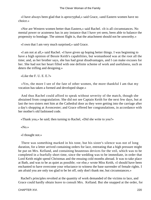«I have always been glad that is aprocryphal,» said Grace, «and Eastern women have no choice.»

 «Nor are Western women better than Eastern,» said Rachel. «It is all circumstances. No mental power or acuteness has in any instance that I have yet seen, been able to balance the propensity to bondage. The utmost flight is, that the attachment should not be unworthy.»

«I own that I am very much surprised,» said Grace.

 «I am not at all,» said Rachel. «I have given up hoping better things. I was beginning to have a high opinion of Bessie Keith's capabilities, but womanhood was at the root all the time; and, as her brother says, she has had great disadvantages, and I can make excuses for her. She had not her heart filled with one definite scheme of work and usefulness, such as deters the trifling and designing.»

«Like the F. U. E. E.?»

 «Yes, the more I see of the fate of other women, the more thankful I am that my vocation has taken a formed and developed shape.»

 And thus Rachel could afford to speak without severity of the match, though she abstained from congratulation. She did not see Captain Keith for the next few days, but at last the two sisters met him at the Cathedral door as they were getting into the carriage after a day's shopping at Avoncester; and Grace offered her congratulations, in accordance with her mother's old fashioned code.

«Thank you,» he said; then turning to Rachel, «Did she write to you?»

«No.»

«I thought not.»

 There was something marked in his tone, but his sister's silence was not of long duration, for a letter arrived containing orders for lace, entreating that a high pressure might be put on Mrs. Kelland, and containing beauteous devices for the veil, which was to be completed in a fearfully short time, since the wedding was to be immediate, in order that Lord Keith might spend Christmas and the ensuing cold months abroad. It was to take place at Bath, and was to be as quiet as possible; «or else,» wrote Miss Keith, «I should have been enchanted to have overcome your reluctance to witness the base surrender of female rights. I am afraid you are only too glad to be let off, only don't thank me, but circumstances.»

 Rachel's principles revolted at the quantity of work demanded of the victims to lace, and Grace could hardly obtain leave to consult Mrs. Kelland. But she snapped at the order, for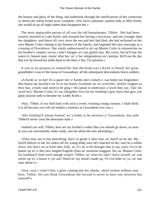the honour and glory of the thing, and undertook through the ramifications of her connexion to obtain the whole bridal array complete. «For such a pleasant−spoken lady as Miss Keith, she would sit up all night rather than disappoint her.»

 The most implacable person of all was the old housekeeper, Tibbie. She had been warmly attached to Lady Keith, and resented her having a successor, and one younger than her daughters; and above all, ever since the son and heir had died, she had reckoned on her own Master Colin coming to the honours of the family, and regarded this new marriage as a crossing of Providence. She vainly endeavoured to stir up Master Colin to remonstrate on his brother's «makin' siccan a fule's bargain wi' yon glaikit lass. My certie, but he'll hae the warst o't, honest man; rinnin' after her, wi' a' her whigmaleries an' cantrips. He'll rue the day that e'er he bowed his noble head to the likes o' her, I'm jalousin.»

 It was to no purpose to remind her that the bride was a Keith in blood; her great grandfather a son of the house of Gowanbrae; all the subsequent descendants brave soldiers.

 «A Keith ca' ye her! It's a queer kin' o' Keiths she's comed o', nae better nor Englishers that haena sae muckle's set fit in our bonny Scotland; an' sic scriechin', skirlin' tongues as they hae, a body wad need to be gleg i' the uptak to understan' a word they say. Tak' my word for't, Maister Colin, it's no a'thegither luve for his lordship's grey hairs that gars yon gilpy lassock seek to become my Leddy Keith.»

 «Nay, Tibbie, if you find fault with such a sweet, winning young creature, I shall think it is all because you will not endure a mistress at Gowanbrae over you.»

 «His lordship'll please himsel' wi' a leddy to be mistress o' Gowanbrae, but auld Tibbie'll never cross the doorstane mair.»

 «Indeed you will, Tibbie; here are my brother's orders that you should go down, as soon as you can conveniently make ready, and see about the new plenishing.»

 «They may see to the plenishing' that's to guide it after han, an' that'll no be me. My lord'll behove to tak' his orders aff his young leddy ance he's married on her, may be a whilie afore, but that's no to bind ither folk, an' it's no to be thought that at my years I'm to be puttin' up wi' a' ther new fangled English fykes an' nonsense maggots. Na, na, Maister Colin, his lordship'll fend weel aneugh wantin' Tibbie; an' what for suld I leave yerself, an' you settin' up wi' a house o' yer ain? Deed an' my mind's made up, I'll e'en bide wi' ye, an' nae mair about it.»

 «Stay, stay,» cried Colin, a glow coming into his cheeks, «don't reckon without your host, Tibbie. Do you think Gowanbrae the second is never to have any mistress but yourself?»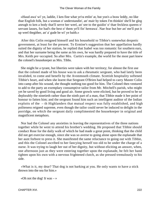«Haud awa' wi' ye, laddie, I ken fine what ye'ra ettlin' at, but yon's a braw leddy, no like thae English folk, but a woman o' understandin', an' mair by token I'm thinkin' she'll be gleg aneugh to ken a body that'll serve her weel, an' see to the guidin' o' thae feckless queens o' servant lasses, for bad's the best o' them ye'll fin' hereawa'. Nae fear but her an' me'll put it up weel thegither, an' a' gude be wi' ye baith.»

 After this Colin resigned himself and his household to Tibbie's somewhat despotic government, at least for the present. To Ermine's suggestion that her appellation hardly suited the dignity of her station, he replied that Isabel was too romantic for southern ears, and that her surname being the same as his own, he was hardly prepared to have the title of Mrs. Keith pre−occupied. So after Mrs. Curtis's example, the world for the most part knew the colonel's housekeeper as Mrs. Tibbs.

 She might be a tyrant, but liberties were taken with her territory; for almost the first use that the colonel made of his house was to ask a rheumatic sergeant, who had lately been invalided, to come and benefit by the Avonmouth climate. Scottish hospitality softened Tibbie's heart, and when she learnt that Sergeant O'Brien had helped to carry Master Colin into camp after his wound, she thought nothing too good for him. The Colonel then ventured to add to the party an exemplary consumptive tailor from Mr. Mitchell's parish, who might yet be saved by good living and good air. Some growls were elicited, but he proved to be so deplorably the ninetieth rather than the ninth part of a man, that Tibbie made it her point of honour to fatten him; and the sergeant found him such an intelligent auditor of the Indian exploits of the – th Highlanders that mutual respect was fully established, and high politeness reigned supreme, even though the tailor could never be induced to delight in the porridge, on which the sergeant daily complimented the housekeeper in original and magnificent metaphors.

 Nor had the Colonel any anxieties in leaving the representatives of the three nations together while he went to attend his brother's wedding. He proposed that Tibbie should conduct Rose for the daily walk of which he had made a great point, thinking that the child did not get exercise enough, since she was so averse to going alone upon the esplanade that her aunt forbore to press it. She manifested the same reluctance to going out with Tibbie, and this the Colonel ascribed to her fancying herself too old to be under the charge of a nurse. It was trying to laugh her out of her dignity, but without eliciting an answer, when, one afternoon just as they were entering together upon the esplanade, he felt her hand tighten upon his own with a nervous frightened clutch, as she pressed tremulously to his side.

 «What is it, my dear? That dog is not barking at you. He only wants to have a stick thrown into the sea for him.»

«Oh not the dog! It was  $-\infty$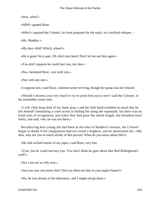«Was, what?»

«HIM!» gasped Rose.

«Who?» inquired the Colonel, far from prepared for the reply, in a terrified whisper, –

«Mr. Maddox.»

«My dear child! Which, where?»

«He is gone! he is past. Oh, don't turn back! Don't let me see him again.»

«You don't suppose he could hurt you, my dear.»

«No,» hesitated Rose, «not with you.»

«Nor with any one.»

«I suppose not,» said Rose, common sense reviving, though her grasp was not relaxed.

 «Would it distress you very much to try to point him out to me?» said the Colonel, in his irresistibly sweet tone.

 «I will. Only keep hold of my hand, pray,» and the little hand trembled so much that he felt himself committing a cruel action in leading her along the esplanade, but there was no fresh start of recognition, and when they had gone the whole length, she breathed more freely, and said, «No, he was not there.»

 Recollecting how young she had been at the time of Maddox's treason, the Colonel began to doubt if her imagination had not raised a bugbear, and he questioned her, «My dear, why are you so much afraid, of this person? What do you know about him?»

«He told wicked stories of my papa,» said Rose, very low.

 «True, but he could not hurt you. You don't think he goes about like Red Ridinghood's wolf?»

«No, I am not so silly now.»

«Are you sure you know him? Did you often see him in your papa's house?»

«No, he was always in the laboratory, and I might not go there.»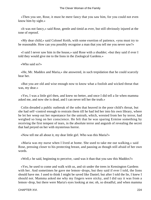«Then you see, Rose, it must he mere fancy that you saw him, for you could not even know him by sight.»

 «It was not fancy,» said Rose, gentle and timid as ever, but still obviously injured at the tone of reproof.

 «My dear child,» said Colonel Keith, with some exertion of patience, «you must try to be reasonable. How can you possibly recognise a man that you tell me you never saw?»

 «I said I never saw him in the house,» said Rose with a shudder; «but they said if ever I told they would give me to the lions in the Zoological Gardens.»

«Who said so?»

 «He, Mr. Maddox and Maria,» she answered, in such trepidation that he could scarcely hear her.

 «But you are old and wise enough now to know what a foolish and wicked threat that was, my dear.»

 «Yes, I was a little girl then, and knew no better, and once I did tell a lie when mamma asked me, and now she is dead, and I can never tell her the truth.»

 Colin dreaded a public outbreak of the sobs that heaved in the poor child's throat, but she had self−control enough to restrain them till he had led her into his own library, where he let her weep out her repentance for the untruth, which, wrested from her by terror, had weighed so long on her conscience. He felt that he was sparing Ermine something by receiving the first tempest of tears, in the absolute terror and anguish of revealing the secret that had preyed on her with mysterious horror.

«Now tell me all about it, my dear little girl. Who was this Maria?»

 «Maria was my nurse when I lived at home. She used to take me out walking,» said Rose, pressing closer to his protecting breast, and pausing as though still afraid of her own words.

«Well,» he said, beginning to perceive, «and was it than that you saw this Maddox?»

 «Yes, he used to come and walk with us, and sit under the trees in Kensington Gardens with her. And sometimes he gave me lemon−drops, but they said if ever I told, the lions should have me. I used to think I might be saved like Daniel; but after I told the lie, I knew I should not. Mamma asked me why my fingers were sticky, and I did say it was from a lemon−drop, but there were Maria's eyes looking at me; oh, so dreadful, and when mamma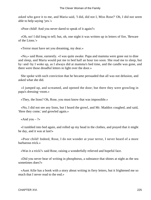asked who gave it to me, and Maria said, 'I did, did not I, Miss Rose?' Oh, I did not seem able to help saying 'yes.'»

«Poor child! And you never dared to speak of it again?»

 «Oh, no! I did long to tell; but, oh, one night it was written up in letters of fire, 'Beware of the Lions.'»

«Terror must have set you dreaming, my dear.»

 «No,» said Rose, earnestly. «I was quite awake. Papa and mamma were gone out to dine and sleep, and Maria would put me to bed half an hour too soon. She read me to sleep, but by−and−by I woke up, as I always did at mamma's bed time, and the candle was gone, and there were those dreadful letters in light over the door.»

 She spoke with such conviction that he became persuaded that all was not delusion, and asked what she did.

 «I jumped up, and screamed, and opened the door; but there they were growling in papa's dressing−room.»

«They, the lions? Oh, Rose, you must know that was impossible.»

 «No, I did not see any lions, but I heard the growl, and Mr. Maddox coughed, and said, 'Here they come,' and growled again.»

«And you  $-$  ?»

 «I tumbled into bed again, and rolled up my head in the clothes, and prayed that it might be day, and it was at last!»

 «Poor child! Indeed, Rose, I do not wonder at your terror, I never heard of a more barbarous trick.»

«Was it a trick?» said Rose, raising a wonderfully relieved and hopeful face.

 «Did you never hear of writing in phosphorus, a substance that shines at night as the sea sometimes does?»

 «Aunt Ailie has a book with a story about writing in fiery letters, but it frightened me so much that I never read to the end.»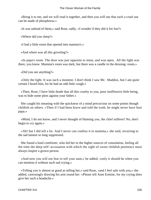«Bring it to me, and we will read it together, and then you will see that such a cruel use can be made of phosphorus.»

«It was unkind of them,» said Rose, sadly, «I wonder if they did it for fun?»

«Where did you sleep?»

«I had a little room that opened into mamma's.»

«And where was all this growling?»

 «In papa's room. The door was just opposite to mine, and was open. All the light was there, you know. Mamma's room was dark, but there was a candle in the dressing−room.»

«Did you see anything?»

 «Only the light. It was such a moment. I don't think I saw Mr. Maddox, but I am quite certain I heard him, for he had an odd little cough.»

 «Then, Rose, I have little doubt that all this cruelty to you, poor inoffensive little being, was to hide some plots against your father.»

 She caught his meaning with the quickness of a mind precocious on some points though childish on others. «Then if I had been brave and told the truth, he might never have hurt papa.»

 «Mind, I do not know, and I never thought of blaming you, the chief sufferer! No, don't begin to cry again.»

 «Ah! but I did tell a lie. And I never can confess it to mamma,» she said, recurring to the sad lament so long suppressed.

 She found a kind comforter, who led her to the higher sources of consolation, feeling all the time the deep self−accusation with which the sight of sweet childish penitence must always inspire a grown person.

 «And now you will not fear to tell your aunt,» he added, «only it should be when you can mention it without such sad crying.»

 «Telling you is almost as good as telling her,» said Rose, «and I feel safe with you,» she added, caressingly drawing his arm round her. «Please tell Aunt Ermine, for my crying does give her such a headache.»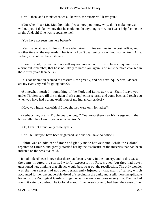«I will, then, and I think when we all know it, the terrors will leave you.»

 «Not when I see Mr. Maddox. Oh, please now you know why, don't make me walk without you. I do know now that he could not do anything to me, but I can't help feeling the fright. And, oh! if he was to speak to me!»

«You have not seen him here before?»

 «Yes I have, at least I think so. Once when Aunt Ermine sent me to the post−office, and another time on the esplanade. That is why I can't bear going out without you or Aunt Ailie. Indeed, it is not disliking Tibbie.»

 «I see it is not, my dear, and we will say no more about it till you have conquered your alarm; but remember, that he is not likely to know you again. You must be more changed in these three years than he is.»

 This consideration seemed to reassure Rose greatly, and her next inquiry was, «Please, are my eyes very red for going home?»

 «Somewhat mottled – something of the York and Lancaster rose. Shall I leave you under Tibbie's care till the maiden blush complexion returns, and come back and fetch you when you have had a grand exhibition of my Indian curiosities?»

«Have you Indian curiosities! I thought they were only for ladies?»

 «Perhaps they are. Is Tibbie guard enough? You know there's an Irish sergeant in the house taller than I am, if you want a garrison?»

«Oh, I am not afraid, only these eyes.»

«I will tell her you have been frightened, and she shall take no notice.»

 Tibbie was an admirer of Rose and gladly made her welcome, while the Colonel repaired to Ermine, and greatly startled her by the disclosure of the miseries that had been inflicted on the sensitive child.

 It had indeed been known that there had been tyranny in the nursery, and to this cause the aunts imputed the startled wistful expression in Rose's eyes; but they had never questioned her, thinking that silence would best wear out the recollection. The only wonder was that her senses had not been permanently injured by that night of terror, which accounted for her unconquerable dread of sleeping in the dark; and a still more inexplicable horror of the Zoological Gardens, together with many a nervous misery that Ermine had found it vain to combat. The Colonel asked if the nurse's cruelty had been the cause of her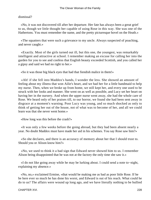#### dismissal?

 «No, it was not discovered till after her departure. Her fate has always been a great grief to us, though we little thought her capable of using Rose in this way. She was one of the Hathertons. You must remember the name, and the pretty picturesque hovel on the Heath.»

 «The squatters that were such a grievance to my uncle. Always suspected of poaching, and never caught.»

 «Exactly. Most of the girls turned out ill, but this one, the youngest, was remarkably intelligent and attractive at school. I remember making an excuse for calling her into the garden for you to see and confess that English beauty exceeded Scottish, and you called her a gipsy and said we had no right to her.»

«So it was those big black eyes that had that fiendish malice in them!»

 «Ah! if she fell into Maddox's hands, I wonder the less. She showed an amount of feeling about my illness that won Ailie's heart, and we had her for a little handmaid to help my nurse. Then, when we broke up from home, we still kept her, and every one used to be struck with her looks and manner. She went on as well as possible, and Lucy set her heart on having her in the nursery. And when the upper nurse went away, she had the whole care of Rose. We heard only of her praises till, to our horror, we found she had been sent away in disgrace at a moment's warning. Poor Lucy was young, and so much shocked as only to think of getting her out of the house, not of what was to become of her, and all we could learn was that she never went home.»

«How long was this before the crash?»

 «It was only a few weeks before the going abroad, but they had been absent nearly a year. No doubt Maddox must have made her aid in his schemes. You say Rose saw him?»

 «So she declares, and there is an accuracy of memory about her that I should trust to. Should you or Alison know him?»

 «No, we used to think it a bad sign that Edward never showed him to us. I remember Alison being disappointed that he was not at the factory the only time she saw it.»

 «I do not like going away while he may be lurking about. I could send a note to−night, explaining my absence.»

 «No, no,» exclaimed Ermine, «that would be making me as bad as poor little Rose. If he be here ever so much he has done his worst, and Edward is out of his reach. What could he do to us? The affairs were wound up long ago, and we have literally nothing to be bullied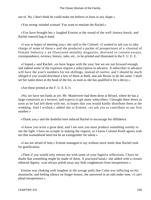out of. No, I don't think he could make me believe in lions in any shape.»

«You strong−minded woman! You want to emulate the Rachel.»

 «You have brought her,» laughed Ermine at the sound of the well−known knock, and Rachel entered bag in hand.

 «I was in hopes of meeting you,» she said to the Colonel. «I wanted to ask you to take charge of some of these;» and she produced a packet of prospectuses of a «Journal of Female Industry,» an illustrated monthly magazine, destined to contain essays, correspondence, reviews, history, tales, etc., to be printed and illustrated in the F. U. E. E.

 «I hoped,» said Rachel, «to have begun with the year, but we are not forward enough, and indeed some of the expenses require a subscription in advance. A subscriber in advance will have the year's numbers for ten shillings, instead of twelve; and I should be much obliged if you would distribute a few of these at Bath, and ask Bessie to do the same. I shall set her name down at the head of the list, as soon as she has qualified it for a decoy.»

«Are these printed at the F. U. E. E.?»

 «No, we have not funds as yet. Mr. Mauleverer had them done at Bristol, where he has a large connexion as a lecturer, and expects to get many subscribers. I brought these down as soon as he had left them with me, in hopes that you would kindly distribute them at the wedding. And I wished,» added she to Ermine, «to ask you to contribute to our first number.»

«Thank you,» and the doubtful tone induced Rachel to encourage her diffidence.

 «I know you write a great deal, and I am sure you must produce something worthy to see the light. I have no scruple in making the request, as I know Colonel Keith agrees with me that womanhood need not be an extinguisher for talent.»

 «I am not afraid of him,» Ermine managed to say without more smile than Rachel took for gratification.

 «Then if you would only entrust me with some of your fugitive reflections, I have no doubt that something might be made of them. A practised hand,» she added with a certain editorial dignity, «can always polish away any little roughnesses from inexperience.»

 Ermine was choking with laughter at the savage pulls that Colin was inflicting on his moustache, and feeling silence no longer honest, she answered in an odd under tone, «I can't plead inexperience.»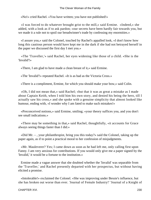«No!» cried Rachel. «You have written; you have not published!»

 «I was forced to do whatever brought grist to the mill,» said Ermine. «Indeed,» she added, with a look as if to ask pardon; «our secrets have been hardly fair towards you, but we made it a rule not to spoil our breadwinner's trade by confessing my enormities.»

 «I assure you,» said the Colonel, touched by Rachel's appalled look, «I don't know how long this cautious person would have kept me in the dark if she had not betrayed herself in the paper we discussed the first day I met you.»

 «The 'Traveller,'» said Rachel, her eyes widening like those of a child. «She is the 'Invalid'!»

«There, I am glad to have made a clean breast of it,» said Ermine.

«The 'Invalid'!» repeated Rachel. «It is as bad as the Victoria Cross.»

«There is a compliment, Ermine, for which you should make your bow,» said Colin.

 «Oh, I did not mean that,» said Rachel; «but that it was as great a mistake as I made about Captain Keith, when I told him his own story, and denied his being the hero, till I actually saw his cross,» and she spoke with a genuine simplicity that almost looked like humour, ending with, «I wonder why I am fated to make such mistakes!»

 «Preconceived notions,» said Ermine, smiling; «your theory suffices you, and you don't see small indications.»

 «There may be something in that,» said Rachel, thoughtfully, «it accounts for Grace always seeing things faster than I did.»

 «Did Mr. – , your philanthropist, bring you this today?» said the Colonel, taking up the paper again, as if to point a practical moral to her confession of misjudgments.

 «Mr. Mauleverer? Yes; I came down as soon as he had left me, only calling first upon Fanny. I am very anxious for contributions. If you would only give me a paper signed by the 'Invalid,' it would be a fortune to the institution.»

 Ermine made a vague answer that she doubted whether the 'Invalid' was separable from the 'Traveller,' and Rachel presently departed with her prospectus, but without having elicited a promise.

 «Intolerable!» exclaimed the Colonel. «She was improving under Bessie's influence, but she has broken out worse than ever. 'Journal of Female Industry!' 'Journal of a Knight of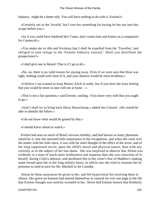Industry,' might be a better title. You will have nothing to do with it, Ermine?»

 «Certainly not as the 'Invalid,' but I owe her something for having let her run into this scrape before you.»

 «As if you could have hindered her! Come, don't waste time and brains on a companion for Curatocult.»

 «You make me so idle and frivolous that I shall be expelled from the 'Traveller,' and obliged to take refuge in the 'Female Industry Journal.' Shall you distribute the prospectuses?»

«I shall give one to Bessie! That is if I go at all.»

 «No, no, there is no valid reason for staying away. Even if we were sure that Rose was right, nothing could well come of it, and your absence would be most invidious.»

 «I believe I am wanted to keep Master Alick in order, but if you have the least feeling that you would be more at ease with me at home – »

 «That is not a fair question,» said Ermine, smiling. «You know very well that you ought to go.»

 «And I shall try to bring back Harry Beauchamp,» added the Colonel. «He would be able to identify the fellow.»

«I do not know what would be gained by that.»

«I should know whom to watch.»

 Ermine had seen so much of Rose's nervous timidity, and had known so many phantoms raised by it, that she attached little importance to the recognition, and when she went over the matter with her little niece, it was with far more thought of the effect of the terror, and of the long suppressed secret, upon the child's moral and physical nature, than with any curiosity as to the subject of her last alarm. She was surprised to observe that Alison was evidently in a state of much more restlessness and suspense than she was conscious of in herself, during Colin's absence, and attributed this to her sister's fear of Maddox's making some inroad upon her in her long solitary hours, in which case she tried to reassure her by promises to send at once for Mr. Mitchell or for Coombe.

 Alison let these assurances be given to her, and felt hypocritical for receiving them in silence. Her grave set features had tutored themselves to conceal for ever one page in the life that Ermine thought was entirely revealed to her. Never had Ermine known that brotherly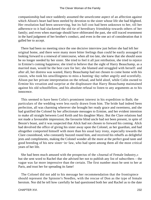companionship had once suddenly assumed the unwelcome aspect of an affection against which Alison's heart had been steeled by devotion to the sister whose life she had blighted. Her resolution had been unswerving, but its full cost had been unknown to her, till her adherence to it had slackened the old tie of hereditary friendship towards others of her family; and even when marriage should have obliterated the past, she still traced resentment in the hard judgment of her brother's conduct, and even in the one act of consideration that it galled her to accept.

 There had been no meeting since the one decisive interview just before she had left her original home, and there were many more bitter feelings than could be easily assuaged in looking forward to a renewal of intercourse, when all too late, she knew that she should soon be no longer needed by her sister. She tried to feel it all just retribution, she tried to rejoice in Ermine's coming happiness; she tried to believe that the sight of Harry Beauchamp, as a married man, would he the best cure for her; she blamed and struggled with herself: and after all, her distress was wasted, Harry Beauchamp had not chosen to come home with his cousin, who took his unwillingness to miss a hunting−day rather angrily and scornfully. Alison put her private interpretation on the refusal, and held aloof, while Colin owned to Ermine his vexation and surprise at the displeasure that Harry Beauchamp maintained against his old schoolfellow, and his absolute refusal to listen to any arguments as to his innocence.

 This seemed to have been Colin's prominent interest in his expedition to Bath; the particulars of the wedding were less easily drawn from him. The bride had indeed been perfection, all was charming wherever she brought her ready grace and sweetness, and she had gratified the Colonel by her affectionate messages to Ermine, and her evident intention to make all straight between Lord Keith and his daughter Mary. But the Clare relations had not made a favourable impression; the favourite blind uncle had not been present, in spite of Bessie's boast, and it was suspected that Alick had not chosen to forward his coming. Alick had devolved the office of giving his sister away upon the Colonel, as her guardian, and had altogether comported himself with more than his usual lazy irony, especially towards the Clare cousinhood, who constantly buzzed round him, and received his rebuffs as delightful jests and compliments, making the Colonel wonder all the more at the perfect good taste and good breeding of his new sister−in−law, who had spent among them all the most critical years of her life.

 She had been much amused with the prospectus of the «Journal of Female Industry,» but she sent word to Rachel that she advised her not to publish any list of subscribers – the vague was far more impressive than the certain. The first number must be sent to her at Paris, and trust her for spreading its fame!

 The Colonel did not add to his message her recommendation that the frontispiece should represent the Spinster's Needles, with the rescue of Don as the type of female heroism. Nor did he tell how carefully he had questioned both her and Rachel as to the date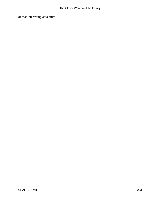of that interesting adventure.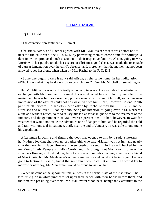## **[CHAPTER XVII.](#page-416-0)**

### *T*HE **SIEGE.**

«The counterfeit presentment.» – Hamlet.

 Christmas came, and Rachel agreed with Mr. Mauleverer that it was better not to unsettle the children at the F. U. E. E. by permitting them to come home for holidays, a decision which produced much discontent in their respective families. Alison, going to Mrs. Morris with her pupils, to take her a share of Christmas good cheer, was made the receptacle of a great lamentation over the child's absence; and, moreover, that the mother had not been allowed to see her alone, when taken by Miss Rachel to the F. U. E. E.

 «Some one ought to take it up,» said Alison, as she came home, in her indignation. «Who knows what may be done to those poor children? Can't Mr. Mitchell do something?»

 But Mr. Mitchell was not sufficiently at home to interfere. He was indeed negotiating an exchange with Mr. Touchett, but until this was effected he could hardly meddle in the matter, and he was besides a reserved, prudent man, slow to commit himself, so that his own impression of the asylum could not be extracted from him. Here, however, Colonel Keith put himself forward. He had often been asked by Rachel to visit the F. U. E. E., and he surprised and relieved Alison by announcing his intention of going over to St. Norbert's alone and without notice, so as to satisfy himself as far as might be as to the treatment of the inmates, and the genuineness of Mauleverer's pretensions. He had, however, to wait for weather that would not make the adventure one of danger to him, and he regarded the cold and rain with unusual impatience, until, near the end of January, he was able to undertake his expedition.

 After much knocking and ringing the door was opened to him by a rude, slatternly, half−witted looking charwoman, or rather girl, who said «Master was not in,» and nearly shut the door in his face. However, he succeeded in sending in his card, backed by the mention of Lady Temple and Miss Curtis; and this brought out Mrs. Rawlins, her white streamers floating stiff behind her, full of curtsies and regrets at having to refuse any friend of Miss Curtis, but Mr. Mauleverer's orders were precise and could not be infringed. He was gone to lecture at Bristol, but if the gentleman would call at any hour he would fix to morrow or next day, Mr. Mauleverer would be proud to wait on him.

 «When he came at the appointed time, all was in the normal state of the institution. The two little girls in white pinafores sat upon their bench with their books before them, and their matron presiding over them; Mr. Mauleverer stood near, benignantly attentive to the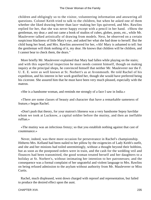children and obligingly so to the visitor, volunteering information and answering all questions. Colonel Keith tried to talk to the children, but when he asked one of them whether she liked drawing better than lace−making her lips quivered, and Mrs. Rawlins replied for her, that she was never happy except with a pencil in her hand. »Show the gentleman, my dear,« and out came a book of studios of cubes, globes, posts, etc., while Mr. Mauleverer talked artistically of drawing from models. Next, he observed on a certain suspicious blackness of little Mary's eye, and asked her what she had done to herself. But the child hung her head, and Mrs. Rawlins answered for her, »Ah! Mary is ashamed to tell: but the gentleman will think nothing of it, my dear. He knows that children will be children, and I cannot bear to check them, the dears."

 More briefly Mr. Mauleverer explained that Mary had fallen while playing on the stairs; and with this superficial inspection he must needs content himself, though on making inquiry at the principal shops, he convinced himself that neither Mr. Mauleverer nor the F. U. E. E. were as well known at St. Norbert's as at Avonmouth. He told Rachel of his expedition, and his interest in her work gratified her, though she would have preferred being his cicerone. She assured him that he must have been very much pleased, especially with the matron.

«She is a handsome woman, and reminds me strongly of a face I saw in India.»

 «There are some classes of beauty and character that have a remarkable sameness of feature,» began Rachel.

 «Don't push that theory, for your matron's likeness was a very handsome Sepoy havildar whom we took at Lucknow, a capital soldier before the mutiny, and then an ineffable ruffian.»

 «The mutiny was an infectious frenzy; so that you establish nothing against that cast of countenance.»

 Never, indeed, was there more occasion for perseverance in Rachel's championship. Hitherto Mrs. Kelland had been nailed to her pillow by the exigencies of Lady Keith's outfit, and she and her minions had toiled unremittingly, without a thought beyond their bobbins, but as soon as the postponed orders were in train, and the cash for the wedding veil and flounces had been transmitted, the good woman treated herself and her daughters to a holiday at St. Norbert's, without intimating her intention to her patronesses; and the consequence was a formal complaint of her ungrateful and violent language to Mrs. Rawlins on being refused admission to the asylum without authority from Mr. Mauleverer or Miss Curtis.

 Rachel, much displeased, went down charged with reproof and representation, but failed to produce the desired effect upon the aunt.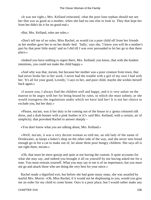«It was not right,» Mrs. Kelland reiterated, «that the poor lone orphan should not see her that was as good as a mother, when she had no one else to look to. They that kept her from her didn't do it for no good end.»

«But, Mrs. Kelland, rules are rules.»

 «Don't tell me of no rules, Miss Rachel, as would cut a poor child off from her friends as her mother gave her to on her death−bed. 'Sally,' says she, 'I know you will do a mother's part by that poor little maid;' and so I did till I was over persuaded to let her go to that there place.»

 «Indeed you have nothing to regret there, Mrs. Kelland; you know, that with the kindest intentions, you could not make the child happy.»

 «And why was that, ma'am, but because her mother was a poor creature from town, that had never broke her to her work. I never had the trouble with a girl of my own I had with her. 'It's all for your good, Lovedy,' I says to her, and poor child, maybe she wishes herself back again.»

 «I assure you, I always find the children well and happy, and it is very unfair on the matron to be angry with her for being bound by rules, to which she must submit, or she would transgress the regulations under which we have laid her! It is not her choice to exclude you, but her duty.»

 «Please, ma'am, was it her duty to be coming out of the house in a 'genta coloured silk dress, and a drab bonnet with a pink feather in it?» said Mrs. Kelland, with a certain, air of simplicity, that provoked Rachel to answer sharply –

«You don't know what you are talking about, Mrs. Kelland.»

 «Well, ma'am, it was a very decent woman as told me, an old lady of the name of Drinkwater, as keeps a baker's shop on the other side of the way, and she never sees bread enough go in for a cat to make use of, let alone three poor hungry children. She says all is not right there, ma'am.»

 «Oh, that must be mere gossip and spite at not having the custom. It quite accounts for what she may say, and indeed you brought it all on yourself by not having asked me for a note. You must restrain yourself. What you may say to me is of no importance, but you must not go and attack those who are doing the very best for your niece.»

 Rachel made a dignified exit, but before she had gone many steps, she was assailed by tearful Mrs. Morris: «Oh, Miss Rachel, if it would not be displeasing to you, would you give me an order for my child to come home. Ours is a poor place, but I would rather make any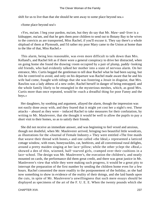shift for us to live than that she should he sent away to some place beyond sea.»

«Some place beyond sea!»

 «Yes, ma'am. I beg your pardon, ma'am, but they do say that Mr. Maw−and−liver is a kidnapper, ma'am, and that he gets them poor children to send out to Botany Bay to be wives to the convicts as are transported, Miss Rachel, if you'll excuse it. They say there's a whole shipload of them at Plymouth, and I'd rather my poor Mary came to the Union at home than to the like of that, Miss Rachel.»

 This alarm, being less reasonable, was even more difficult to talk down than Mrs. Kelland's, and Rachel felt as if there wore a general conspiracy to drive her distracted, when on going home she found the drawing−room occupied by a pair of plump, paddy−looking old friends, who had evidently talked her mother into a state of nervous alarm. On her entrance, Mrs. Curtis begged the gentleman to tell dear Rachel what he had been saying, but this he contrived to avoid, and only on his departure was Rachel made aware that he and his wife had come, fraught with tidings that she was fostering a Jesuit in disguise, that Mrs. Rawlins was a lady abbess of a new order, Rachel herself in danger of being entrapped, and the whole family likely to be entangled in the mysterious meshes, which, as good Mrs. Curtis more than once repeated, would be «such a dreadful thing for poor Fanny and the boys.»

 Her daughters, by soothing and argument, allayed the alarm, though the impression was not easily done away with, and they feared that it might yet cost her a night's rest. These attacks – absurd as they were – induced Rachel to take measures for their confutation, by writing to Mr. Mauleverer, that she thought it would be well to allow the pupils to pay a short visit to their homes, so as to satisfy their friends.

 She did not receive an immediate answer, and was beginning to feel vexed and anxious, though not doubtful, when Mr. Mauleverer arrived, bringing two beautiful little woodcuts, as illustrations for the «Journal of Female Industry.» They were entitled «The free maids that weave their thread with bones,» and one called «the Ideal,» represented a latticed cottage window, with roses, honeysuckles, cat, beehives, and all conventional rural delights, around a pretty maiden singing at her lace−pillow; while the other yclept the «Real,» showed a den of thin, wizened, half−starved girls, cramped over their cushions in a lace−school. The design was Mr. Mauleverer's, the execution the children's; and neatly mounted on cards, the performance did them great credit, and there was great justice in Mr. Manleverer's view that while they were making such progress, it would be a great pity to interrupt the preparation of the first number by sending the children home even for a few hours. Rachel consented the more readily to the postponement of the holiday, as she had now something to show in evidence of the reality of their doings, and she laid hands upon the cuts, in spite of Mr. Mauleverer'a unwillingness that such mere essays should be displayed as specimens of the art of the F. U. E. E. When the twenty pounds which she

CHAPTER XVII. 237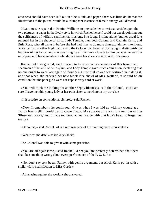advanced should have been laid out in blocks, ink, and paper, there was little doubt that the illustrations of the journal would be a triumphant instance of female energy well directed.

 Meantime she repaired to Ermine Williams to persuade her to write an article upon the two pictures, a paper in the lively style in which Rachel herself could not excel, pointing out the selfishness of wilfully sentimental illusions. She found Ermine alone, but her usual fate pursued her in the shape of, first, Lady Temple, then both Colonel and Captain Keith, and little Rose, who all came in before she had had time to do more than explain her intentions. Rose had had another fright, and again the Colonel had been vainly trying to distinguish the bugbear of her fancy, and she was clinging all the more closely to him because he was the only person of her aquaintance who did not treat her alarms as absolutely imaginary.

 Rachel held her ground, well pleased to have so many spectators of this triumphant specimen of the skill of her asylum, and Lady Temple gave much admiration, declaring that no one ought to wear lace again without being sure that no one was tortured in making it, and that when she ordered her new black lace shawl of Mrs. Kelland, it should be on condition that the poor girls were not kept so very hard at work.

 «You will think me looking for another Sepoy likeness,» said the Colonel, «but I am sure I have met this young lady or her twin sister somewhere in my travels.»

«It is a satire on conventional pictures,» said Rachel.

 «Now, I remember,» he continued. «It was when I was laid up with my wound at a Dutch boer's till I could get to Cape Town. My sole reading was one number of the 'Illustrated News,' and I made too good acquaintance with that lady's head, to forget her easily.»

«Of course,» said Rachel, «it is a reminiscence of the painting there represented.»

«What was the date?» asked Alick Keith.

The Colonel was able to give it with some precision.

 «You are all against me,» said Rachel, «I see you are perfectly determined that there shall be something wrong about every performance of the F. U. E. E.»

 «No, don't say so,» began Fanny, with gentle argument, but Alick Keith put in with a smile, «It is a satisfaction to Miss Curtis.»

«Athanasius against the world,» she answered.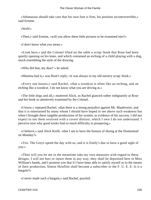«Athanasius should take care that his own foot is firm, his position incontrovertible,» said Ermine.

«Well!»

«Then,» said Ermine, «will you allow these little pictures to be examined into?»

«I don't know what you mean.»

 «Look here,» and the Colonel lifted on the table a scrap−book that Rose had been quietly opening on his knee, and which contained an etching of a child playing with a dog, much resembling the style of the drawing.

«Who did that, my dear? » he asked.

«Mamma had it,» was Rose's reply; «it was always in my old nursery scrap−hook.»

 «Every one knows,» said Rachel, «that a woodcut is often like an etching, and an etching like a woodcut. I do not know what you are driving at.»

 «The little dogs and all,» muttered Alick, as Rachel glanced rather indignantly at Rose and her book so attentively examined by the Colonel.

 «I know,» repeated Rachel, «that there is a strong prejudice against Mr. Mauleverer, and that it is entertained by many whom I should have hoped to see above such weakness but when I brought these tangible productions of his system, as evidence of his success, I did not expect to see them received with a covert distrust, which I own I do not understand. I perceive now why good works find so much difficulty in prospering.»

 «I believe,» said Alick Keith, «that I am to have the honour of dining at the Homestead on Monday?»

 «Yes. The Greys spend the day with us, and it is Emily's due to have a good sight of you.»

 «Then will you let me in the meantime take my own measures with regard to these designs. I will not hurt or injure them in any way; they shall be deposited here in Miss William's hands, and I promise you that if I have been able to satisfy myself as to the means of their production, Simon Skinflint shall become a subscriber to the F. U. E. E. Is it a bargain?»

«I never made such a bargain,» said Rachel, puzzled.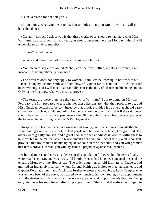«Is that a reason for not doing so?»

 «I don't know what you mean to do. Not to molest that poor Mrs. Rawlins. I will not have that done.»

 «Certainly not. All I ask of you is that these works of art should remain here with Miss Williams, as a safe neutral, and that you should meet me here on Monday, when I will undertake to convince myself.»

«Not me?» cried Rachel.

«Who would make it part of his terms to convince a lady?»

 «You mean to say,» exclaimed Rachel, considerably nettled, «that as a woman, I am incapable of being rationally convinced!»

 «The proverb does not only apply to women,» said Ermine, coming to her rescue; but Rachel, stung by the arch smile and slight bow of Captain Keith, continued – «Let the proof be convincing, and I will meet it as candidly as it is the duty of all reasonable beings to do. Only let me first know what you mean to prove.»

 «The terms are these then, are they not, Miss Williams? I am to come on Monday, February the 5th, prepared to test whether these designs are what they profess to be, and Miss Curtis undertakes to be convinced by that proof, provided it be one that should carry conviction to a clear, unbiassed mind. I undertake, on the other hand, that if the said proof should be effectual, a mythical personage called Simon Skinflint shall become a supporter of the Female Union for Englishwomen's Employment.»

 Ho spoke with his own peculiar slowness and gravity, and Rachel, uncertain whether he were making game of her or not, looked perplexed, half on the defence, half gratified. The others were greatly amused, and a great deal surprised at Alick's unwonted willingness to take trouble in the matter. After a few moment's deliberation, Rachel said, «Well, I consent, provided that my candour be met by equal candour on the other side, and you will promise that if this ordeal succeeds, you will lay aside all prejudice against Mauleverer.»

 A little demur as to the reasonableness of this stipulation followed, but the terms finally were established. Mr. and Mrs. Grey, old family friends, had long been engaged to spend the ensuing Monday at the Homestead. The elder daughter, an old intimate of Grace's, had married an Indian civil servant, whom Colonel Keith was invited to meet at luncheon, and Captain Keith at dinner, and Alick was further to sleep at Gowanbrae. Lady Temple, who was to have been of the party, was called away, much to her own regret, by an appointment with the dentist of St. Norbert's, who was very popular, and proportionately despotic, being only visible at his own times, after long appointment. She would therefore be obliged to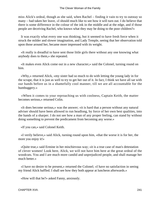miss Alick's ordeal, though as she said, when Rachel – finding it vain to try to outstay so many – had taken her leave, «I should much like to see how it will turn out. I do believe that there is some difference in the colour of the ink in the middle and at the edge, and if those people are deceiving Rachel, who knows what they may be doing to the poor children?»

 It was exactly what every one was thinking, but it seemed to have fresh force when it struck the milder and slower imagination, and Lady Temple, seeing that her observation told upon those around her, became more impressed with its weight.

 «It really is dreadful to have sent those little girls there without any one knowing what anybody does to them,» she repeated.

 «It makes even Alick come out in a new character,» said the Colonel, turning round on him.

 «Why,» returned Alick, «my sister had so much to do with letting the young lady in for the scrape, that it is just as well to try to get her out of it. In fact, I think we have all sat with our hands before us in a shamefully cool manner, till we are all accountable for the humbuggery.»

 «When it comes to your reproaching us with coolness, Captain Keith, the matter becomes serious,» returned Colin.

 «It does become serious,» was the answer; «it is hard that a person without any natural adviser should have been allowed to run headlong, by force of her own best qualities, into the hands of a sharper. I do not see how a man of any proper feeling, can stand by without doing something to prevent the predicament from becoming any worse.»

«If you can,» said Colonel Keith.

 «I verily believe,» said Alick, turning round upon him, «that the worse it is for her, the more you enjoy it!»

 «Quite true,» said Ermine in her mischievous way; «it is a true case of man's detestation of clever women! Look here, Alick, we will not have him here at the great ordeal of the woodcuts. You and I are much more candid and unprejudiced people, and shall manage her much better.»

 «I have no desire to be present,» returned the Colonel; «I have no satisfaction in seeing my friend Alick baffled. I shall see how they both appear at luncheon afterwards.»

«How will that be?» asked Fanny, anxiously.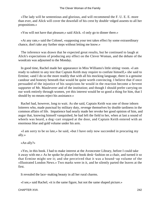«The lady will be sententious and glorious, and will recommend the F. U. E. E. more than ever, and Alick will cover the downfall of his crest by double−edged assents to all her propositions.»

«You will not have that pleasure,» said Alick. «I only go to dinner there.»

 «At any rate,» said the Colonel, «supposing your test takes effect by some extraordinary chance, don't take any further steps without letting me know.»

 The inference was drawn that he expected great results, but he continued to laugh at Alick's expectations of producing any effect on the Clever Woman, and the debate of the woodcuts was adjourned to the Monday.

 In good time, Rachel made her appearance in Miss Williams's little sitting−room. «I am ready to submit to any test that Captain Keith may require to confute himself,» she said to Ermine; «and I do so the more readily that with all his mocking language, there is a genuine candour and honesty beneath that would he quite worth convincing. I believe that if once persuaded of the injustice of his suspicions he would in the reaction become a fervent supporter of Mr. Mauleverer and of the institution; and though I should prefer carrying on our work entirely through women, yet this interest would be so good a thing for him, that I should by no means reject his assistance.»

 Rachel had, however, long to wait. As she said, Captain Keith was one of those inborn loiterers who, made punctual by military duty, revenge themselves by double tardiness in the common affairs of life. Impatience had nearly made her revoke her good opinion of him, and augur that, knowing himself vanquished, he had left the field to her, when at last a sound of wheels was heard, a dog−cart stopped at the door, and Captain Keith entered with an enormous blue and gold volume under his arm.

 «I am sorry to be so late,» he said, «but I have only now succeeded in procuring my ally.»

«An ally?»

 «Yes, in this book. I had to make interest at the Avoncester Library, before I could take it away with me.» As he spoke he placed the book desk−fashion on a chair, and turned it so that Ermine might see it; and she perceived that it was a bound−up volume of the «Illustrated London News.» Two marks were in it, and he silently parted the leaves at the first.

It revealed the lace−making beauty in all her rural charms.

«I see,» said Rachel; «it is the same figure, but not the same shaped picture.»

CHAPTER XVII. 242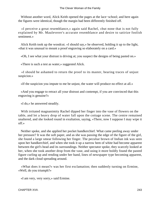Without another word, Alick Keith opened the pages at the lace−school; and here again the figures were identical, though the margin had been differently finished off.

 «I perceive a great resemblance,» again said Rachel, «but none that is not fully explained by Mr. Mauleverer's accurate resemblance and desire to satirize foolish sentiment.»

 Alick Keith took up the woodcut. «I should say,» he observed, holding it up to the light, «that it was unusual to mount a proof engraving so elaborately on a card.»

«Oh, I see what your distrust is driving at; you suspect the designs of being pasted on.»

«There is such a test as water,» suggested Alick.

 «I should be ashamed to return the proof to its master, bearing traces of unjust suspicion.»

«If the suspicion you impute to me be unjust, the water will produce no effect at all.»

 «And you engage to retract all your distrust and contempt, if you are convinced that this engraving is genuine?»

«I do,» he answered steadily.

 With irritated magnanimity Rachel dipped her finger into the vase of flowers on the table, and let a heavy drop of water fall upon the cottage scene. The centre remained unaltered, and she looked round in exultation, saying, «There, now I suppose I may wipe it off.»

 Neither spoke, and she applied her pocket handkerchief. What came peeling away under her pressure? It was the soft paper, and as she was passing the edge of the figure of the girl, she found a large smear following her finger. The peculiar brown of Indian ink was seen upon her handkerchief, and when she took it up a narrow hem of white had become apparent between the girl's head and its surroundings. Neither spectator spoke, they scarcely looked at her, when she took another drop from the vase, and using it more boldly found the pasted figure curling up and rending under her hand, lines of newspaper type becoming apparent, and the dark cloud spreading around.

 «What does it mean?» was her first exclamation; then suddenly turning on Ermine, «Well, do you triumph?»

«I am very, very sorry,» said Ermine.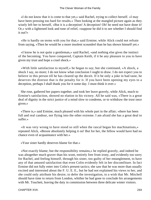«I do not know that it is come to that yet,» said Rachel, trying to collect herself. «I may have been pressing too hard for results.» Then looking at the mangled picture again as they wisely left her to herself, «But it is a deception! A deception! Oh! he need not have done it! Or,» with a lightened look and tone of relief, «suppose he did it to see whether I should find it out?»

 «He is hardly on terms with you for that,» said Ermine; while Alick could not refrain from saying, «Then he would be a more insolent scoundrel than he has shown himself yet.»

 «I know he is not quite a gentleman,» said Rachel, «and nothing else gives the instinct of the becoming. You have conquered, Captain Keith, if it be any pleasure to you to have given my trust and hope a cruel shock.»

 «With little satisfaction to myself,» he began to say; but she continued, «A shock, a shock I say, no more; I do not know what conclusion I ought to draw. I do not expect you to believe in this person till he has cleared up the deceit. If it be only a joke in bad taste, he deserves the distrust that is the penalty for it. If you have been opening my eyes to a deception, perhaps I shall thank you for it some day. I must think it over.»

 She rose, gathered her papers together, and took her leave gravely, while Alick, much to Ermine's satisfaction, showed no elation in his victory. All he said was, «There is a great deal of dignity in the strict justice of a mind slow to condemn, or to withdraw the trust once given.»

 «There is,» said Ermine, much pleased with his whole part in the affair; «there has been full and real candour, not flying into the other extreme. I am afraid she has a great deal to suffer.»

 «It was very wrong to have stood so still when the rascal began his machinations,» repeated Alick, «Bessie absolutely helping it on! But for her, the fellow would have had no chance even of acquaintance with her.»

«Your sister hardly deserves blame for that.»

 «Not exactly blame; but the responsibility remains,» he replied gravely, and indeed he was altogether much graver than his wont, entirely free from irony, and evidently too sorry for Rachel, and feeling himself, through his sister, too guilty of her entanglement, to have any of that amused satisfaction that even Colin evidently felt in her discomfiture. In fact Ermine did not fully enter into Colin's present tactics; she saw that he was more than usually excited and interested about the F. U. E. E., but he had not explained his views to her, and she could only attribute his desire, to defer the investigation, to a wish that Mr. Mitchell should have time to return from London, whither he had gone to conclude his arrangements with Mr. Touchett, leaving the duty in commission between three delicate winter visitors.

CHAPTER XVII. 244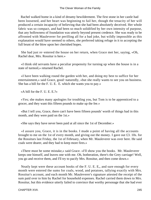Rachel walked home in a kind of dreamy bewilderment. The first stone in her castle had been loosened, and her heart was beginning to fail her, though the tenacity of her will produced a certain incapacity of believing that she had been absolutely deceived. Her whole fabric was so compact, and had been so much solidified by her own intensity of purpose, that any hollowness of foundation was utterly beyond present credence. She was ready to be affronted with Mauleverer for perilling all for a bad joke, but wildly impossible as this explanation would have seemed to others, she preferred taking refuge in it to accepting the full brunt of the blow upon her cherished hopes.

 She had just re−entered the house on her return, when Grace met her, saying, «Oh, Rachel dear, Mrs. Rossitur is here.»

 «I think old servants have a peculiar propensity for turning up when the house is in a state of turmoil,» returned Rachel.

 «I have been walking round the garden with her, and doing my best to suffice for her entertainment,» said Grace, good−naturedly, «but she really wants to see you on business. She has a bill for the F. U. E. E. which she wants you to pay.»

«A bill for the F. U. E. E.?»

 «Yes; she makes many apologies for troubling you, but Tom is to be apprenticed to a grocer, and they want this fifteen pounds to make up the fee.»

 «But I tell you, Grace, there can't have been fifteen pounds' worth of things had in this month, and they were paid on the 1st.»

«She says they have never been paid at all since the 1st of December.»

 «I assure you, Grace, it is in the books. I made a point of having all the accounts brought to me on the 1st of every month, and giving out the money. I gave out £3. 10s. for the Rossiturs last Friday, the 1st of February, when Mr. Mauleverer was over here. He said coals were dearer, and they had to keep more fires.»

 «There must be some mistake,» said Grace. «I'll show you the books. Mr. Mauleverer keeps one himself, and leaves one with me. Oh, botheration, there's the Grey carriage! Well, you go and receive them, and I'll try to pacify Mrs. Rossitur, and then come down.»

 Neatly kept were these account books of the F. U. E. E,, and sure enough for every month were entered the sums for coals, wood, and potatoes, tallying exactly with Mrs. Rossitur's account, and each month Mr. Mauleverer's signature attested the receipt of the sum paid over to him by Rachel for household expenses. Rachel carried them down to Mrs. Rossitur, but this evidence utterly failed to convince that worthy personage that she had ever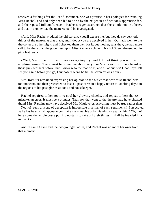received a farthing after the 1st of December. She was profuse in her apologies for troubling Miss Rachel, and had only been led to do so by the exigencies of her son's apprentice fee, and she reposed full confidence in Rachel's eager assurance that she should not be a loser, and that in another day the matter should be investigated.

 «And, Miss Rachel,» added the old servant, «you'll excuse me, but they do say very odd things of the matron at that place, and I doubt you are deceived in her. Our lads went to the the−a−ter the other night, and I checked them well for it; but mother, says they, we had more call to be there than the governess up to Miss Rachel's schule in Nichol Street, dressed out in pink feathers.»

 «Well, Mrs. Rossitur, I will make every inquiry, and I do not think you will find anything wrong. There must be some one about very like Mrs. Rawlins. I have heard of those pink feathers before, but I know who the matron is, and all about her! Good−bye. I'll see you again before you go, I suppose it won't be till the seven o'clock train.»

 Mrs. Rossitur remained expressing her opinion to the butler that dear Miss Rachel was too innocent, and then proceeded to lose all past cares in a happy return to «melting day,» in the regions of her past glories as cook and housekeeper.

 Rachel repaired to her room to cool her glowing cheeks, and repeat to herself, «A mistake, an error. It must be a blunder! That boy that went to the theatre may have cheated them! Mrs. Rawlins may have deceived Mr. Mauleverer. Anything must be true rather than – No, no! such a tissue of deception is impossible in a man of such sentiments! Pursecuted as he has been, shall appearances make me – me, his only friend−turn against him? Oh, me! here come the whole posse purring upstairs to take off their things! I shall be invaded in a moment.»

 And in came Grace and the two younger ladies, and Rachel was no more her own from that moment.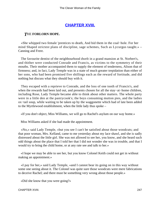## **[CHAPTER XVIII.](#page-416-0)**

#### *T*HE **FORLORN HOPE.**

 «She whipped two female 'prentices to death, And hid them in the coal−hole. For her mind Shaped strictest plans of discipline, sage schemes, Such as Lycurgus taught.» – Canning and Frere.

 The favourite dentist of the neighbourhood dwelt in a grand mansion at St. Norbert's, and thither were conducted Conrade and Francis, as victims to the symmetry of their mouths. Their mother accompanied them to supply the element of tenderness, Alison that of firmness; and, in fact, Lady Temple was in a state of much greater trepidation than either of her sons, who had been promised five shillings each as the reward of fortitude, and did nothing but discuss what they should buy with it.

 They escaped with a reprieve to Conrade, and the loss of one tooth of Francis's, and when the rewards had been laid out, and presents chosen for all the stay−at−home children, including Rose, Lady Temple became able to think about other matters. The whole party were in a little den at the pastrycook's; the boys consuming mutton pies, and the ladies ox−tail soup, while waiting to be taken up by the waggonette which had of late been added to the Myrtlewood establishment, when the little lady thus spoke –

«If you don't object, Miss Williams, we will go to Rachel's asylum on our way home.»

Miss Williams asked if she had made the appointment.

 «No,» said Lady Temple, «but you see I can't be satisfied about those woodcuts; and that poor woman, Mrs. Kelland, came to me yesterday about my lace shawl, and she is sadly distressed about the little girl. She was not allowed to see her, you know, and she heard such odd things about the place that I told her that I did not wonder she was in trouble, and that I would try to bring the child home, or at any rate see and talk to her.»

 «I hope we may be able to see her, but you know Colonel Keith could not get in without making an appointment.»

 «I pay for her,» said Lady Temple, «and I cannot bear its going on in this way without some one seeing about it. The Colonel was quite sure those woodcuts were mere fabrications to deceive Rachel; and there must be something very wrong about those people.»

«Did she know that you were going?»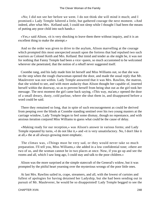«No; I did not see her before we went. I do not think she will mind it much; and I promised.» Lady Temple faltered a little, but gathered courage the next moment. «And indeed, after what Mrs. Kelland said, I could not sleep while I thought I had been the means of putting any poor child into such hands.»

 «Yes,» said Alison, «it is very shocking to leave them there without inquiry, and it is an excellent thing to make the attempt.»

 And so the order was given to drive to the asylum, Alison marvelling at the courage which prompted this most unexpected assault upon the fortress that had repulsed two such warriors as Colonel Keith and Mrs. Kelland. But timid and tender as she might be, it was not for nothing that Fanny Temple had been a vice−queen, so much accustomed to be welcomed wherever she penetrated, that the notion of a rebuff never suggested itself.

 Coombe rang, and his lady made him let herself and Miss Williams out, so that she was on the step when the rough charwoman opened the door, and made the usual reply that Mr. Mauleverer was not within. Lady Temple answered that it was Mrs. Rawlins, the matron, that she wished to see, and with more audacity than Alison thought her capable of, inserted herself within the doorway, so as to prevent herself from being shut out as the girl took her message. The next moment the girl came back saying, «This way, ma'am,» opened the door of a small dreary, dusty, cold parlour, where she shut them in, and disappeared before a word could be said.

 There they remained so long, that in spite of such encouragement as could be derived from peeping over the blinds at Coombe standing sentinel over his two young masters at the carriage window, Lady Temple began to feel some dismay, though no repentance, and with anxious iteration conjured Miss Williams to guess what could be the cause of delay.

 «Making ready for our reception,» was Alison's answer in various forms; and Lady Temple repeated by turns, «I do not like it,» and «it is very unsatisfactory. No, I don't like it at all,» the at all always growing more emphatic.

 The climax was, «Things must be very sad, or they would never take so much preparation. I'll tell you, Miss Williams,» she added in a low confidential tone; «there are two of us, and the woman cannot be in two places at once. Now, if you go up and see the rooms and all, which I saw long ago, I could stay and talk to the poor children.»

 Alison was the more surprised at the simple statecraft of the General's widow, but it was prompted by the pitiful heart yearning over the mysterious wrongs of the poor little ones.

 At last Mrs. Rawlins sailed in, crape, streamers, and all, with the lowest of curtsies and fullest of apologies for having detained her Ladyship, but she had been sending out in pursuit of Mr. Mauleverer, he would be so disappointed! Lady Temple begged to see the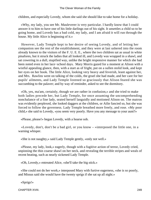children, and especially Lovedy, whom she said she should like to take home for a holiday.

 «Why, my lady, you see Mr. Mauleverer is very particular. I hardly know that I could answer it to him to have one of his little darlings out of his sight. It unsettles a child so to be going home, and Lovedy has a bad cold, my lady, and I am afraid it will run through the house. My little Alice is beginning of it.»

 However, Lady Temple kept to her desire of seeing Lovedy, and of letting her companion see the rest of the establishment, and they were at last ushered into the room already known to the visitors of the F. U. E. E., where the two children sat as usual in white pinafores, but it struck the ladies that all looked ill, and Lovedy was wrapped in a shawl, and sat cowering in a dull, stupified way, unlike the bright responsive manner for which she had been noted even in her lace−school days. Mary Morris gazed for a moment at Alison with a wistful appealing glance, then, with a start as of fright, put on a sullen stolid look, and kept her eyes on her book. The little Alice, looking very heavy and feverish, leant against her, and Mrs. Rawlins went on talking of the colds, the gruel she had made, and her care for her pupils' ailments, and Lady Temple listened so graciously that Alison feared she was succumbing to the palaver; and by way of reminder, asked to see the dormitory.

 «Oh, yes, ma'am, certainly, though we are rather in confusion,» and she tried to make both ladies precede her, but Lady Temple, for once assuming the uncomprehending nonchalance of a fine lady, seated herself languidly and motioned Alison on. The matron was evidently perplexed, she looked daggers at the children, or Ailie fancied so, but she was forced to follow the governess. Lady Temple breathed more freely, and rose. «My poor child,» she said to Lovedy, «you seem very poorly. Have you any message to your aunt?»

«Please, please!» began Lovedy, with a hoarse sob.

 «Lovedy, don't, don't be a bad girl, or you know – »interposed the little one, in a warning whisper.

«She is not naughty,» said Lady Temple gently, «only not well.»

 «Please, my lady, look,» eagerly, though with a fugitive action of terror, Lovedy cried, unpinning the thin coarse shawl on her neck, and revealing the terrible stripes and weals of recent beating, such as nearly sickened Lady Temple.

«Oh, Lovedy,» entreated Alice, «she'll take the big stick.»

 «She could not do her work,» interposed Mary with furtive eagerness, «she is so poorly, and Missus said she would have the twenty sprigs if she sat up all night.»

«Sprigs!»

CHAPTER XVIII. 249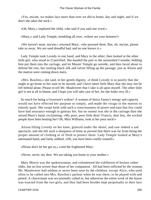«Yes, ma'am, we makes lace more than ever we did to home, day and night; and if we don't she takes the stick.»

«Oh, Mary,» implored the child, «she said if you said one word.»

«Mary,» said Lady Temple, trembling all over, «where are your bonnets?»

 «We haven't none, ma'am,» returned Mary, «she pawned them. But, oh, ma'am, please take us away. We are used dreadful bad, and no one knows it.»

 Lady Temple took Lovedy in one hand, and Mary in the other; then looked at the other little girl, who stood as if petrified. She handed the pair to the astonished Coombe, bidding him put them into the carriage, and let Master Temple go outside, and then faced about to defend the rear, her rustling black silk and velvet filling up the passage, just as Alison and the matron were coming down stairs.

 «Mrs. Rawlins,» she said, in her gentle dignity, «I think Lovedy is so poorly that she ought to go home to her aunt to be nursed, and I have taken little Mary that she may not be left behind alone. Please to tell Mr. Mauleverer that I take it all upon myself. The other little girl is not at all to blame, and I hope you will take care of her, for she looks very ill.»

 So much for being a Governor's widow! A woman of thrice Fanny's energy and capacity would not have effected her purpose so simply, and made the virago in the matron so entirely quail. She swept forth with such a consciousness of power and ease that few could have had assurance enough to gainsay her, but no sooner was she in the carriage than she seized Mary's hand, exclaiming, «My poor, poor little dear! Francis, dear boy, the wicked people have been beating her! Oh, Miss Williams, look at her poor neck!»

 Alison lifting Lovedy on her knee, glanced under the shawl, and saw indeed a sad spectacle, and she felt such a sharpness of bone as proved that there was far from being the proper amount of clothing or of flesh to protect them. Lady Temple looked at Mary's attenuated hand, and fairly sobbed, «Oh, you have been cruelly treated!»

«Please don't let her get us,» cried the frightened Mary.

«Never, never, my dear. We are taking you home to your mother.»

 Mary Morris was the spokeswoman, and volunteered the exhibition of bruises rather older, but no less severe than those of her companion. All had been inflicted by the woman; Mr. Mauleverer had seldom or never been seen by the children, except Alice, who used often to be called into Mrs. Rawlins's parlour when he was there, to be played with and petted. A charwoman was occasionally called in, but otherwise the entire work of the house was exacted from the two girls, and they had been besides kept perpetually to their lace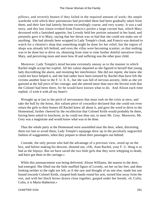pillows, and severely beaten if they failed in the required amount of work; the ample wardrobe with which their patronesses had provided them had been gradually taken from them, and their fare had latterly become exceedingly coarse, and very scanty. It was a sad story, and this last clause evoked from Francis's pocket a large currant bun, which Mary devoured with a famished appetite, but Lovedy held her portion untasted in her hand, and presently gave it to Mary, saying that her throat was so bad that she could not make use of anything. She had already been wrapped in Lady Temple's cloak, and Francis was desired to watch for a chemist's shop that something might be done for her relief, but the region of shops was already left behind, and even the villas were becoming scantier, so that nothing was to be done but to drive on, obtaining from time to time further doleful narratives from Mary, and perceiving more and more how ill and suffering was the other poor child.

 Moreover, Lady Temple's mind became extremely uneasy as to the manner in which Rachel might accept her exploit. All her valour departed as she figured to herself that young lady discrediting the alarm, and resenting her interference. She did not repent, she knew she could not have helped it, and she had rather have been tortured by Rachel than have left the victims another hour to the F. U. E. E., but she was full of nervous anxiety, little as she yet guessed at the full price of her courage; and she uttered more than once the fervent wish that the Colonel had been there, for he would have known what to do. And Alison each time replied, «I wish it with all my heart!»

 Wrought up at last to the pitch of nervousness that must rush on the crisis at once, and take the bull by the horns, this valiant piece of cowardice declared that she could not even return the girls to their homes till Rachel knew all about it, and gave the word to drive to the Homestead, further cheered by the recollection that Colonel Keith would probably be there, having been asked to luncheon, as he could not dine out, to meet Mr. Grey. Moreover, Mr. Grey was a magistrate and would know what was to be done.

 Thus the whole party at the Homestead were assembled near the door, when, discerning them too late to avoid them, Lady Temple's equipage drew up in the peculiarly ungraceful fashion of waggonettes, when they prepare to shoot their passengers out behind.

 Conrade, the only person who had the advantage of a previous view, stood up on the box, and before making his descent, shouted out, «Oh, Aunt Rachel, your F. U. thing is as bad as the Sepoys. But we have saved the two little girls that they were whipping to death, and have got them in the carriage.»

 While this announcement was being delivered, Alison Williams, the nearest to the door, had emerged. She lifted out the little muffled figure of Lovedy, set her on her feet, and then looking neither to the right nor left, as if she saw and thought of no one else, made but one bound towards Colonel Keith, clasped both hands round his arm, turned him away from the rest, and with her black brows drawn close together, gasped under her breath, «0, Colin, Colin, it is Maria Hatherton.»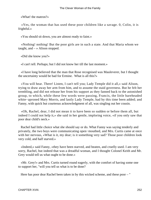«What! the matron?»

 «Yes, the woman that has used these poor children like a savage. 0, Colin, it is frightful.»

«You should sit down, you are almost ready to faint.»

 «Nothing! nothing! But the poor girls are in such a state. And that Maria whom we taught, and  $-\infty$  Alison stopped.

«Did she know you?»

«I can't tell. Perhaps; but I did not know her till the last moment.»

 «I have long believed that the man that Rose recognised was Mauleverer, but I thought the uncertainty would be bad for Ermine. What is all this?»

 «You will hear. There! Listen, I can't tell you; Lady Temple did it all,» said Alison, trying to draw away her arm from him, and to assume the staid governess. But he felt her trembling, and did not release her from his support as they fanned back to the astonished group, to which, while these few words were passing, Francis, the little bareheaded white−aproned Mary Morris, and lastly Lady Temple, had by this time been added; and Fanny, with quick but courteous acknowledgment of all, was singling out her cousin.

 «Oh, Rachel, dear, I did not mean it to have been so sudden or before them all, but indeed I could not help it,» she said in her gentle, imploring voice, «if you only saw that poor dear child's neck.»

 Rachel had little choice what she should say or do. What Fanny was saying tenderly and privately, the two boys were communicating open−mouthed, and Mrs. Curtis came at once with her nervous, «What is it, my dear; is it something very sad? Those poor children look very cold, and half starved.»

 «Indeed,» said Fanny, «they have been starved, and beaten, and cruelly used. I am very sorry, Rachel, but indeed that was a dreadful woman, and I thought Colonel Keith and Mr. Grey would tell us what ought to be done.»

 «Mr. Grey!» and Mrs. Curtis turned round eagerly, with the comfort of having some one to support her, "will you tell us what is to be done?

Here has poor dear Rachel been taken in by this wicked scheme, and these poor – "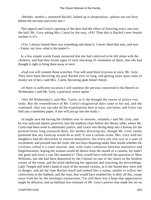«Mother, mother,» muttered Rachel, lashed up to desperation; «please not out here, before the servants and every one.»

 This appeal and Grace's opening of the door had the effect of directing every one into the hall, Mr. Grey asking Mrs. Curtis by the way, «Eh? Then this is Rachel's new female asylum, is it?»

 «Yes, I always feared there was something odd about it. I never liked that man, and now – Fanny, my love, what is the matter?»

 In a few simple words Fanny answered that she had contrived to be left alone with the children, and had then found signs of such shocking ill−treatment of them, that she had thought it right to bring them away at once.

 «And you will commit those wretches. You will send them to prison at once, Mr. Grey. They have been deceiving my poor Rachel ever so long, and getting sums upon sums of money out of her,» said Mrs. Curtis, becoming quite blood−thirsty.

 «If there is sufficient occasion I will summon the persons concerned to the Bench on Wednesday,» said Mr. Grey, a practical, active squire.

 «Not till Wednesday!» said Mrs. Curtis, as if she thought the course of justice very tardy. But the remembrance of Mr. Curtis's magisterial days came to her aid, and she continued, «but you can take all the examinations here at once, you know; and Grace can find you a summons paper, if you will just go into the study.»

 «It might save the having the children over to−morrow, certainly,» said Mr. Grey, and he was inducted almost passively into the leathern chair before the library table, where Mr. Curtis had been wont to administer justice, and Grace was diving deep into a bureau for the printed forms long treasured there, her mother directing her, though Mr. Grey vainly protested that any foolscap would do as well. It was a curious scene. Mrs. Grey with her daughters had the discretion to remove themselves, but every one else was in a state of excitement, and pressed into the room, the two boys disputing under their breath whether the civilians called it a court martial, and, with some confusion between mutineers and Englishwomen, hoping the woman would be blown from the mouth of a cannon, for hadn't she gone and worn a cap like mamma's? They would have referred the question to Miss Williams, but she had been deposited by the Colonel on one of the chairs in the furthest corner of the room, and he stood sheltering her agitation and watching the proceedings. Lady Temple still held a hand of each of her rescued victims, as if she feared they were still in danger, and all the time Rachel stood and looked like a statue, unable to collect her convictions in the hubbub, and the trust, that would have enabled her to defy all this, swept away from her by the morning's transactions. Yet still there was a hope that appearances might be delusive, and an habitual low estimate of Mr. Grey's powers that made her set on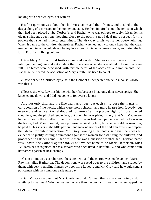looking with her own eyes, not with his.

 His first question was about the children's names and their friends, and this led to the despatching of a message to the mother and aunt. He then inquired about the terms on which they had been placed at St. Norbert's, and Rachel, who was obliged to reply, felt under his clear, stringent questions, keeping close to the point, a good deal more respect for his powers than she had hitherto entertained. That dry way of his was rather overwhelming. When it came to the children themselves, Rachel watched, not without a hope that the clear masculine intellect would detect Fanny in a more frightened woman's fancy, and bring the F. U. E. E. off with flying colours.

 Little Mary Morris stood forth valiant and excited. She was eleven years old, and intelligent enough to make it evident that she knew what she was about. The replies were full. The blows were described, with terrible detail of the occasions and implements. Still Rachel remembered the accusation of Mary's truth. She tried to doubt.

 «I saw her with a bruised eye,» said the Colonel's unexpected voice in a pause. «How was that?»

 «Please, sir, Mrs. Rawlins hit me with her fist because I had only done seven sprigs. She knocked me down, and I did not come to for ever so long.»

 And not only this, and the like sad narratives, but each child bore the marks in corroboration of the words, which were more reluctant and more hoarse from Lovedy, but even more effective. Rachel doubted no more after the piteous sight of those scarred shoulders, and the pinched feeble face; but one thing was plain, namely, that Mr. Mauleverer had no share in the cruelties. Even such severities as had been perpetrated while he was in the house, had, Mary thought, been protested against by him, but she had seldom seen him, he paid all his visits in the little parlour, and took no notice of the children except to prepare the tableau for public inspection. Mr. Grey, looking at his notes, said that there was full evidence to justify issuing a summons against the woman for assaulting the children, and proceeded to ask her name. Then while there was a question whether her Christian name was known, the Colonel again said, «I believe her name to be Maria Hatherton. Miss Williams has recognised her as a servant who once lived in her family, and who came from her father's parish at Beauchamp.»

 Alison on inquiry corroborated the statement, and the charge was made against Maria Rawlins, alias Hatherton. The depositions were read over to the children, and signed by them; with very trembling fingers by poor little Lovedy, and Mr. Grey said he would send a policeman with the summons early next day.

 «But, Mr. Grey,» burst out Mrs. Curtis, «you don't mean that you are not going to do anything to that man! Why he has been worse than the woman! It was he that entrapped the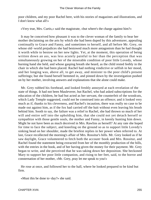poor children, and my poor Rachel here, with his stories of magazines and illustrations, and I don't know what all!»

«Very true, Mrs. Curtis,» said the magistrate, «but where's the charge against him?»

 It may be conceived how pleasant it was to the clever woman of the family to hear her mother declaiming on the arts by which she had been duped by this adventurer, appealing continually to Grace and Fanny, and sometimes to herself, and all before Mr. Grey, on whose old−world prejudices she had bestowed much more antagonism than he had thought it worth while to bestow on her new lights. Yet, at the moment, this operation of being written down an ass, was less acutely painful to her than the perception that was simultaneously growing on her of the miserable condition of poor little Lovedy, whose burning hand she held, and whose gasping breath she heard, as the child rested feebly in the chair in which she had been placed. Rachel had nothing vindictive or selfish in her mood, and her longing was, above all, to get away, and minister to the poor child's present sufferings; but she found herself hemmed in, and pinned down by the investigation pushed on by her mother, involving answers and explanations that she alone could make.

 Mr. Grey rubbed his forehead, and looked freshly annoyed at each revelation of the state of things. It had not been Mauleverer, but Rachel, who had asked subscriptions for the education of the children, he had but acted as her servant, the counterfeit of the woodcuts, which Lady Temple suggested, could not be construed into an offence; and it looked very much as if, thanks to his cleverness, and Rachel's incaution, there was really no case to be made out against him, as if the fox had carried off the bait without even leaving his brush behind him. Sooth to say, the failure was a relief to Rachel, she had thrown so much of her will and entire self into the upholding him, that she could not yet detach herself or sympathize with those gentle souls, the mother and Fanny, in keenly hunting him down. Might he not have been as much deceived in Mrs. Rawlins as herself? At any rate she hoped for time to face the subject, and kneeling on the ground so as to support little Lovedy's sinking head on her shoulder, made the briefest replies in her power when referred to. At last, Grace recollected the morning's affair of Mrs. Rossitur's bills. Mr. Grey looked as if he saw daylight, Grace volunteered to fetch both the account−book and Mrs. Rossitur, and Rachel found the statement being extracted from her of the monthly production of the bills, with the entries in the book, and of her having given the money for their payment. Mr. Grey began to write, and she perceived that he was taking down her deposition. She beckoned Mary to support her poor little companion, and rising to her feet, said, to the horror and consternation of her mother, «Mr. Grey, pray let me speak to you!»

 He rose at once, and followed her to the hall, where he looked prepared to be kind but firm.

«Must this be done to−day?» she said.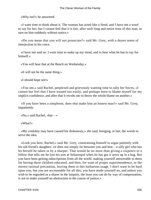«Why not?» he answered.

 «I want time to think about it. The woman has acted like a fiend, and I have not a word to say for her; but I cannot feel that it is fair, after such long and entire trust of this man, to turn on him suddenly without notice.»

 «Do you mean that you will not prosecute?» said Mr. Grey, with a dozen notes of interjection in his voice.

 «I have not said so. I want time to make up my mind, and to hear what he has to say for himself.»

«You will hear that at the Bench on Wednesday.»

«It will not be the same thing.»

«I should hope not!»

 «You see,» said Rachel, perplexed and grievously wanting time to rally her forces, «I cannot but feel that I have trusted too easily, and perhaps been to blame myself for my implicit confidence, and after that it revolts me to throw the whole blame on another.»

 «If you have been a simpleton, does that make him an honest man?» said Mr. Grey, impatiently.

«No,» said Rachel, «but – »

«What?»

 «My credulity may have caused his dishonesty,» she said, bringing, at last, the words to serve the idea.

 «Look you here, Rachel,» said Mr. Grey, constraining himself to argue patiently with his old friend's daughter; «it does not simply lie between you and him – a silly girl who has let herself be taken in by a sharper. That would be no more than giving a sixpence to a fellow that tells me he lost his arm at Sebastopol when he has got it sewn up in a bag. But you have been getting subscriptions from all the world, making yourself answerable to them for having these children educated, and then, for want of proper superintendence, or the merest rational precaution, leaving them to this barbarous usage. I don't want to be hard upon you, but you are accountable for all this; you have made yourself so, and unless you wish to be regarded as a sharer in the iniquity, the least you can do by way of compensation, is not to make yourself an obstruction to the course of justice.»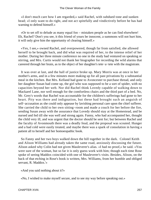«I don't much care how I am regarded,» said Rachel, with subdued tone and sunken head; «I only want to do right, and not act spitefully and vindictively before he has had warning to defend himself.»

 «Or to set off to delude as many equal foo – mistaken people as he can find elsewhere! Eh, Rachel? Don't you see, it this friend of yours be innocent, a summons will not hurt him, it will only give him the opportunity of clearing himself.»

 «Yes, I see,» owned Rachel, and overpowered, though far from satisfied, she allowed herself to be brought back, and did what was required of her, to the intense relief of her mother. During her three minute conference no one in the study had ventured on speaking or stirring, and Mrs. Curtis would not thank her biographer for recording the wild alarms that careered through her brain, as to the object of her daughter's tete−a−tete with the magistrate.

 It was over at last, and the hall of justice broke up. Mary Morris was at once in her mother's arms, and in a few minutes more making up for all past privations by a substantial meal in the kitchen. But Mrs. Kelland had gone to Avoncester to purchase thread, and only her daughter Susan had come up, the girl who was supposed to be a sort of spider, with no capacities beyond her web. Nor did Rachel think Lovedy capable of walking down to Mackarel Lane, nor well enough for the comfortless chairs and the third part of a bed. No, Mr. Grey's words that Rachel was accountable for the children's sufferings had gone to her heart. Pity was there and indignation, but these had brought such an anguish of self−accusation as she could only appease by lavishing personal care upon the chief sufferer. She carried the child to her own sitting−room and made a couch for her before the fire, sending Susan away with the assurance that Lovedy should stay at the Homestead, and be nursed and fed till she was well and strong again. Fanny, who had accompanied her, thought the child very ill, and was urgent that the doctor should be sent for; but between Rachel and the faculty of Avonmouth there was a deadly feud, and the proposal was scouted. Hunger and a bad cold were easily treated, and maybe there was a spark of consolation in having a patient all to herself and her homoeopathic book.

 So Fanny and her two boys walked down the hill together in the dark. Colonel Keith and Alison Williams had already taken the same road, anxiously discussing the future. Alison asked why Colin had not given Mauleverer's alias. «I had no proof,» he said. «You were sure of the woman, but so far it is only guess work with him; though each time Rose spoke of seeing Maddox coincided with one of Mauleverer's visits. Besides, Alison, on the back of that etching in Rose's book is written, Mrs. Williams, from her humble and obliged servant, R. Maddox.'»

«And you said nothing about it?»

«No, I wished to make myself secure, and to see my way before speaking out.»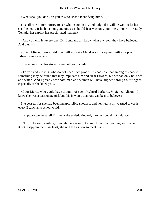«What shall you do? Can you trust to Rose's identifying him?»

 «I shall ride in to−morrow to see what is going on, and judge if it will be well to let her see this man, if he have not gone off, as I should fear was only too likely. Poor little Lady Temple, her exploit has precipitated matters.»

 «And you will let every one, Dr. Long and all, know what a wretch they have believed. And then  $-$  »

 «Stay, Alison, I am afraid they will not take Maddox's subsequent guilt as a proof of Edward's innocence.»

«It is a proof that his stories were not worth credit.»

 «To you and me it is, who do not need such proof. It is possible that among his papers something may be found that may implicate him and clear Edward, but we can only hold off and watch. And I greatly fear both man and woman will have slipped through our fingers, especially if she knew you.»

 «Poor Maria, who could have thought of such frightful barbarity?» sighed Alison. «I knew she was a passionate girl, but this is worse than one can bear to believe.»

 She ceased, for she had been inexpressibly shocked, and her heart still yearned towards every Beauchamp school child.

«I suppose we must tell Ermine,» she added; «indeed, I know I could not help it.»

 «Nor I,» he said, smiling, «though there is only too much fear that nothing will come of it but disappointment. At least, she will tell us how to meet that.»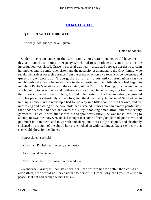## **[CHAPTER XIX.](#page-416-0)**

#### *T*HE **BREWST SHE BREWED.**

«Unwisely, not ignobly, have I given.»

Timon of Athens.

 Under the circumstances of the Curtis family, no greater penance could have been devised than the solemn dinner party which had to take place only an hour after the investigation was closed. Grace in especial was nearly distracted between her desire to calm her mother and to comfort her sister, and the necessity of attending to the Grey family, who repaid themselves for their absence from the scene of action by a torrent of condolences and questions, whence poor Grace gathered to her horror and consternation that the neighbourhood already believed that a tenderer sentiment than philanthropy had begun to mingle in Rachel's relations with the secretary of the F. U. E. E. Feeling it incumbent on the whole family to be as lively and indifferent as possible, Grace, having shut her friends into their rooms to perform their toilette, hurried to her sister, to find her so entirely engrossed with her patient as absolutely to have forgotten the dinner party. No wonder! She had had to hunt up a housemaid to make up a bed for Lovedy in a little room within her own, and the undressing and bathing of the poor child had revealed injuries even in a more painful state than those which had been shown to Mr. Grey, shocking emaciation, and most scanty garments. The child was almost torpid, and spoke very little. She was most unwilling to attempt to swallow; however, Rachel thought that some of her globules had gone down, and put much faith in them, and in warmth and sleep; but incessantly occupied, and absolutely sickened by the sight of the child's hurts, she looked up with loathing at Grace's entreaty that she would, dress for the dinner.

«Impossible,» she said.

«You must, Rachel dear; indeed, you must.»

«As if I could leave her.»

«Nay, Rachel, but if you would only send  $\rightarrow \rightarrow$ 

 «Nonsense, Grace; if I can stay with her I can restore her far better than could an allopathist, who would not leave nature to herself. 0 Grace, why can't you leave me in peace? Is it not bad enough without this?»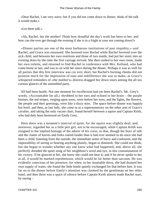«Dear Rachel, I am very sorry; but if you did not come down to dinner, think of the talk it would make.»

«Let them talk.»

 «Ah, Rachel, but the mother! Think how dreadful the day's work has been to her; and how can she ever get through the evening if she is in a fright at your not coming down?»

 «Dinner parties are one of the most barbarous institutions of past stupidity,» said Rachel, and Grace was reassured. She hovered over Rachel while Rachel hovered over the sick child, and between her own exertions and those of two maids, had put her sister into an evening dress by the time the first carriage arrived. She then rushed to her own room, made her own toilette, and returned to find Rachel in conference with Mrs. Kelland, who had come home at last, and was to sit with her niece during the dinner. Perhaps it was as well for all parties that this first interview was cut very short, but Rachel's burning cheeks did not promise much for the impression of ease and indifference she was to make, as Grace's whispered reminders of «the mother's» distress dragged her down stairs among the all too curious glances of the assembled party.

 All had been bustle. Not one moment for recollection had yet been Rachel's. Mr. Grey's words, «Accountable for all,» throbbed in her ears and echoed in her brain – the purple bruises, the red stripes, verging upon sores, were before her eyes, and the lights, the flowers, the people and their greetings, were like a dizzy mist. The space before dinner was happily but brief, and then, as last lady, she came in as a supernumerary on the other arm of Grace's cavalier, and taking the only vacant chair, found herself between a squire and Captain Keith, who had duly been bestowed on Emily Grey.

 Here there was a moment's interval of quiet, for the squire was slightly deaf, and, moreover, regarded her as a little pert girl, not to be encouraged, while Captain Keith was resigned to the implied homage of the adorer of his cross; so that, though the buzz of talk and the clatter of knives and forks roared louder than it had ever seemed to do since she had been a child, listening from the outside, the immediate sense of hurry and confusion, and the impossibility of seeing or hearing anything plainly, began to diminish. She could not think, but she began to wonder whether any one knew what had happened; and, above all, she perfectly dreaded the quiet sting of her neighbour's word and eye, in this consummation of his victory. If he glanced at her, she knew she could not bear it; and if he never spoke to her at all, it would be marked reprehension, which would be far better than sarcasm. He was evidently conscious of her presence; for when, in her insatiable thirst, she had drained her own supply of water, she found the little bottle quietly exchanged for that before him. It was far on in the dinner before Emily's attention was claimed by the gentleman on her other hand, and then there was a space of silence before Captain Keith almost made Rachel start, by saying –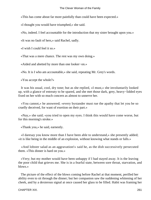«This has come about far more painfully than could have been expected.»

«I thought you would have triumphed,» she said.

«No, indeed. I feel accountable for the introduction that my sister brought upon you.»

«It was no fault of hers,» said Rachel, sadly.

«I wish I could feel it so.»

«That was a mere chance. The rest was my own doing.»

«Aided and abetted by more than one looker−on.»

«No. It is I who am accountable,» she said, repeating Mr. Grey's words.

«You accept the whole?»

 It was his usual, cool, dry tone; but as she replied, «I must,» she involuntarily looked up, with a glance of entreaty to be spared, and she met those dark, grey, heavy−lidded eyes fixed on her with so much concern as almost to unnerve her.

 «You cannot,» he answered; «every bystander must rue the apathy that let you be so cruelly deceived, for want of exertion on their part.»

 «Nay,» she said; «you tried to open my eyes. I think this would have come worse, but for this morning's stroke.»

«Thank you,» he said, earnestly.

 «I daresay you know more than I have been able to understand,» she presently added; «it is like being in the middle of an explosion, without knowing what stands or falls.»

 «And lobster salad as an aggravation!» said he, as the dish successively persecuted them. «This dinner is hard on you.»

 «Very; but my mother would have been unhappy if I had stayed away. It is the leaving the poor child that grieves me. She is in a fearful state, between sore throat, starvation, and blows.»

 The picture of the effect of the blows coming before Rachel at that moment, perilled her ability even to sit through the dinner; but her companion saw the suddening whitening of her cheek, and by a dexterous signal at once caused her glass to be filled. Habit was framing her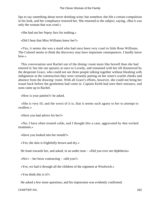lips to say something about never drinking wine; but somehow she felt a certain compulsion in his look, and her compliance restored her. She returned to the subject, saying, «But it was only the woman that was cruel.»

«She had not her Sepoy face for nothing.»

«Did I hear that Miss Williams knew her?»

 «Yes, it seems she was a maid who had once been very cruel to little Rose Williams. The Colonel seems to think the discovery may have important consequences. I hardly know how.»

 This conversation sent Rachel out of the dining−room more like herself than she had entered it; but she ran upstairs at once to Lovedy, and remained with her till disinterred by the desperate Grace, who could not see three people talking together without blushing with indignation at the construction they were certainly putting on her sister's scarlet cheeks and absence from the drawing−room. With all Grace's efforts, however, she could not bring her truant back before the gentlemen had come in. Captain Keith had seen their entrance, and soon came up to Rachel.

«How is your patient?» he asked.

 «She is very ill; and the worst of it is, that it seems such agony to her to attempt to swallow.»

«Have you had advice for her?»

 «No; I have often treated colds, and I thought this a case, aggravated by that wicked treatment.»

«Have you looked into her mouth?»

«Yes; the skin is frightfully brown and dry.»

He leant towards her, and asked, in an under tone – «Did you ever see diphtheria»

«No!» – her brow contracting – «did you?»

«Yes; we had it through all the children of the regiment at Woolwich.»

«You think this is it?»

He asked a few more questions, and his impression was evidently confirmed.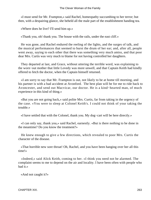«I must send for Mr. Frampton,» said Rachel, homeopathy succumbing to her terror; but then, with a despairing glance, she beheld all the male part of the establishment handing tea.

«Where does he live? I'll send him up.»

«Thank you, oh! thank you. The house with the rails, under the east cliff.»

 He was gone, and Rachel endured the reeling of the lights, and the surges of talk, and the musical performances that seemed to burst the drum of her ear; and, after all, people went away, saying to each other that there was something very much amiss, and that poor dear Mrs. Curtis was very much to blame for not having controlled her daughters.

 They departed at last, and Grace, without uttering the terrible word, was explaining to the worn−out mother that little Lovedy was more unwell, and that Captain Keith had kindly offered to fetch the doctor, when the Captain himself returned.

 «I am sorry to say that Mr. Frampton is out, not likely to be at home till morning, and his partner is with a bad accident at Avonford. The best plan will be for me to ride back to Avoncester, and send out Macvicar, our doctor. He is a kind−hearted man, of much experience in this kind of thing.»

 «But you are not going back,» said polite Mrs. Curtis, far from taking in the urgency of the case. «You were to sleep at Colonel Keith's. I could not think of your taking the trouble.»

«I have settled that with the Colonel, thank you. My dog−cart will be here directly.»

 «I can only say, thank you,» said Rachel, earnestly. «But is there nothing to be done in the meantime? Do you know the treatment?»

 He knew enough to give a few directions, which revealed to poor Mrs. Curtis the character of the disease.

 «That horrible new sore throat! Oh, Rachel, and you have been hanging over her all this time!»

 «Indeed,» said Alick Keith, coming to her. «I think you need not be alarmed. The complaint seems to me to depend on the air and locality. I have been often with people who had it.»

«And not caught it?»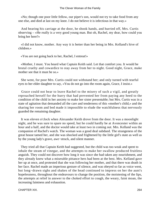«No; though one poor little fellow, our piper's son, would not try to take food from any one else, and died at last on my knee. I do not believe it is infectious in that way.»

 And hearing his carriage at the door, he shook hands, and hurried off, Mrs. Curtis observing – «He really is a very good young man. But oh, Rachel, my dear, how could you bring her here?»

 «I did not know, mother. Any way it is better than her being in Mrs. Kelland's hive of children.»

«You are not going back to her, Rachel, I entreat!»

 «Mother, I must. You heard what Captain Keith said. Let that comfort you. It would be brutal cruelty and cowardice to stay away from her to night. Good night, Grace, make mother see that it must be so.»

 She went, for poor Mrs. Curtis could not withstand her; and only turned with tearful eyes to her elder daughter to say, «You do not go into the room again, Grace, I insist.»

 Grace could not bear to leave Rachel to the misery of such a vigil, and greatly reproached herself for the hurry that had prevented her from paying any heed to the condition of the child in her anxiety to make her sister presentable; but Mrs. Curtis was in a state of agitation that demanded all the care and tenderness of this «mother's child,» and the sharing her room and bed made it impossible to elude the watchfulness that nervously guarded the remaining daughter.

 It was eleven o'clock when Alexander Keith drove from the door. It was a moonlight night, and he was sure to spare no speed, but he could hardly be at Avoncester within an hour and a half, and the doctor would take at least two in coming out. Mrs. Kelland was the companion of Rachel's watch. The woman was a good deal subdued. The strangeness of the great house tamed her, and she was shocked and frightened by the little girl's state as well as by the young lady's grave, awe−struck, and silent manner.

 They tried all that Captain Keith had suggested, but the child was too weak and spent to inhale the steam of vinegar, and the attempts to make her swallow produced fruitless anguish. They could not discover how long it was since she had taken any nourishment, and they already knew what a miserable pittance hers had been at the best. Mrs. Kelland gave her up at once, and protested that she was following her mother, and that there was death in her face. Rachel made an imperious gesture of silence, and was obeyed so far as voice went, but long−drawn sighs and shakes of the head continued to impress on her the aunt's hopelessness, throughout the endeavours to change the position, the moistening of the lips, the attempts at relief in answer to the choked effort to cough, the weary, faint moan, the increasing faintness and exhaustion.

CHAPTER XIX. 264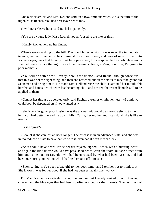One o'clock struck, and Mrs. Kelland said, in a low, ominous voice, «It is the turn of the night, Miss Rachel. You bad best leave her to me.»

«I will never leave her,» said Rachel impatiently.

«You are a young lady, Miss Rachel, you ain't used to the like of this.»

«Hark!» Rachel held up her finger.

 Wheels were crashing up the hill. The horrible responsibility was over, the immediate terror gone, help seemed to be coming at the utmost speed, and tears of relief rushed into Rachel's eyes, tears that Lovedy must have perceived, for she spoke the first articulate words she had uttered since the night−watch had begun, «Please, ma'am, don't fret, I'm going to poor mother.»

 «You will be better now, Lovedy, here is the doctor,» said Rachel, though conscious that this was not the right thing, and then she hastened out on the stairs to meet the gaunt old Scotsman and bring him in. He made Mrs. Kelland raise the child, examined her mouth, felt her feet and hands, which were fast becoming chill, and desired the warm flannels still to be applied to them.

 «Cannot her throat be operated on?» said Rachel, a tremor within her heart. «I think we could both be depended on if you wanted us.»

 «She is too far gone, poor lassie,» was the answer; «it would be mere cruelty to torment her. You had better go and lie down, Miss Curtis; her mother and I can do all she is like to need.»

«Is she dying?»

 «I doubt if she can last an hour longer. The disease is in an advanced state, and she was in too reduced a state to have battled with it, even had it been met earlier.»

 «As it should have been! Twice her destroyer!» sighed Rachel, with a bursting heart, and again the kind doctor would have persuaded her to leave the room, but she turned from him and came back to Lovedy, who had been roused by what had been passing, and had been murmuring something which had set her aunt off into sobs.

 «She's saying she've been a bad girl to me, poor lamb, and I tell her not to think of it! She knows it was for her good, if she had not been set against her work.»

 Dr. Macvicar authoritatively hushed the woman, but Lovedy looked up with flushed cheeks, and the blue eyes that had been so often noticed for their beauty. The last flush of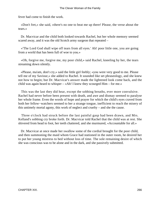fever had come to finish the work.

 «Don't fret,» she said, «there's no one to beat me up there! Please, the verse about the tears.»

 Dr. Macvicar and the child both looked towards Rachel, but her whole memory seemed scared away, and it was the old Scotch army surgeon that repeated –

 «'The Lord God shall wipe off tears from all eyes.' Ah! poor little one, you are going from a world that has been full of woe to you.»

 «Oh, forgive me, forgive me, my poor child,» said Rachel, kneeling by her, the tears streaming down silently.

 «Please, ma'am, don't cry,» said the little girl feebly; «you were very good to me. Please tell me of my Saviour,» she added to Rachel. It sounded like set phraseology, and she knew not how to begin; but Dr. Macvicar's answer made the lightened look come back, and the child was again heard to whisper – «Ah! I knew they scourged Him – for me.»

 This was the last they did hear, except the sobbing breaths, ever more convulsive. Rachel had never before been present with death, and awe and dismay seemed to paralyse her whole frame. Even the words of hope and prayer for which the child's eyes craved from both her fellow−watchers seemed to her a strange tongue, inefficient to reach the misery of this untimely mortal agony, this work of neglect and cruelty – and she the cause.

 Three o'clock had struck before the last painful gasp had been drawn, and Mrs. Kelland's sobbing cry broke forth. Dr. Macvicar told Rachel that the child was at rest. She shivered from head to foot, her teeth chattered, and she murmured, «Accountable for all.»

 Dr. Macvicar at once made her swallow some of the cordial brought for the poor child, and then summoning the maid whom Grace had stationed in the outer room, he desired her to put her young mistress to bed without loss of time. The sole remaining desire of which she was conscious was to be alone and in the dark, and she passively submitted.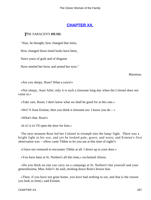# **[CHAPTER XX.](#page-416-0)**

### *T*HE SARACEN'S **HEAD.**

"Alas, he thought, how changed that mien,

How changed those timid looks have been,

Since years of guilt and of disguise

Have steeled her brow and armed her eyes."

Marmion.

«Are you sleepy, Rose? What a yawn!»

 «Not sleepy, Aunt Ailie; only it is such a tiresome long day when the Colonel does not come in.»

«Take care, Rosie; I don't know what we shall be good for at this rate.»

«We? 0 Aunt Ermine, then you think it tiresome too. I know you do  $-\infty$ 

«What's that, Rose!»

«It is! it is! I'll open the door for him.»

 The next moment Rose led her Colonel in triumph into the lamp−light. There was a bright light in his eye, and yet he looked pale, grave, and worn; and Ermine's first observation was – «How came Tibbie to let you out at this time of night?»

«I have not ventured to encounter Tibbie at all. I drove up to your door.»

«You have been at St. Norbert's all this time,» exclaimed Alison.

 «Do you think no one can carry on a campaign at St. Norbert's but yourself and your generalissima, Miss Ailie?» he said, stroking down Rose's brown hair.

 «Then, if you have not gone home, you have had nothing to eat, and that is the reason you look so tired,» said Ermine.

CHAPTER XX. 267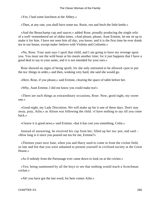«Yes; I had some luncheon at the Abbey.»

«Then, at any rate, you shall have some tea. Rosie, run and fetch the little kettle.»

 «And the Beauchamp cup and saucer,» added Rose, proudly producing the single relic of a well−remembered set of olden times. «And please, please, Aunt Ermine, let me sit up to make it for him. I have not seen him all day, you know; and it is the first time he ever drank tea in our house, except make−believe with Violetta and Colinette.»

 «No, Rose. Your aunt says I spoil that child, and I am going to have my revenge upon you. You must see the wild beast at his meals another time; for it just happens that I have a good deal to say to your aunts, and it is not intended for your ears.»

 Rose showed no signs of being spoilt, for she only entreated to be allowed «just to put the tea−things in order,» and then, winking very hard, she said she would go.

«Here, Rose, if you please,» said Ermine, clearing the space of table before her.

«Why, Aunt Ermine, I did not know you could make tea!»

 «There are such things as extraordinary occasions, Rose. Now, good night, my sweet one.»

 «Good night, my Lady Discretion. We will make up for it one of these days. Don't stay away, pray, Ailie,» as Alison was following the child. «I have nothing to say till you come back.»

«I know it is good news,» said Ermine; «but it has cost you something, Colin.»

 Instead of answering, he received his cup from her, filled up her tea−pot, and said – «How long is it since you poured out tea for me, Ermine?»

 «Thirteen years next June, when you and Harry used to come in from the cricket field, so late and hot that you were ashamed to present yourself in civilized society at the Great House.»

«As if nobody from the Parsonage ever came down to look on at the cricket.»

 «Yes; being summoned by all the boys to see that nothing would teach a Scotchman cricket.»

«Ah! you have got the last word, for here comes Ailie.»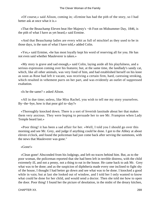«Of course,» said Alison, coming in; «Ermine has had the pith of the story, so I had better ask at once what it is.»

 «That the Beauchamp Eleven beat Her Majesty's −th Foot on Midsummer Day, 1846, is the pith of what I have as yet heard,» said Ermine.

 «And that Beauchamp ladies are every whit as full of mischief as they used to be in those days, is the sum of what I have told,» added Colin.

 «Yes,» said Ermine, «he has most loyally kept his word of reserving all for you. He has not even said whether Mauleverer is taken.»

 «My story is grave and sad enough,» said Colin, laying aside all his playfulness, and a serious expression coming over his features; but, at the same time, the landlady's sandy cat, which, like all other animals, was very fond of him, and had established herself on his knee as soon as Rose had left it vacant, was receiving a certain firm, hard, caressing stroking, which resulted in vehement purrs on her part, and was evidently an outlet of suppressed exaltation.

«Is he the same? » asked Alison.

 «All in due time; unless, like Miss Rachel, you wish to tell me my story yourselves. By−the−bye, how is that poor girl to−day?»

 «Thoroughly knocked down. There is a sort of feverish lassitude about her that makes them very anxious. They were hoping to persuade her to see Mr. Frampton when Lady Temple heard last.»

 «Poor thing! it has been a sad affair for her. »Well, I told you I should go over this morning and see Mr. Grey, and judge if anything could be done. I got to the Abbey at about eleven o'clock, and found the policeman had just come back after serving the summons, with the news that Mauleverer was gone."

«Gone!»

 «Clean gone! Absconded from his lodgings, and left no traces behind him. But, as to the poor woman, the policeman reported that she had been left in terrible distress, with the child extremely ill, and not a penny, not a thing to eat in the house. He came back to ask Mr. Grey what was to be done; and as the suspicion of diphtheria made every one inclined to fight shy of the house, I thought I had better go down and see what was to be done. I knocked a good while in vain; but at last she looked out of window, and I told her I only wanted to know what could be done for her child, and would send a doctor. Then she told me how to open the door. Poor thing! I found her the picture of desolation, in the midst of the dreary kitchen,

CHAPTER XX. 269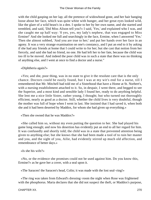with the child gasping on her lap; all the pretence of widowhood gone, and her hair hanging loose about her face, which was quite white with hunger, and her great eyes looked wild, like the glare of a wild beast's in a den. I spoke to her by her own name, and she started and trembled, and said, 'Did Miss Alison tell you?» I said, 'Yes,' and explained who I was, and she caught me up half way: '0 yes, yes, my lady's nephew, that was engaged to Miss Ermine!' And she looked me full and searchingly in the face, Ermine, when I answered 'Yes.' Then she almost sobbed, 'And you are true to her;' and put her hands over her face in an agony. It was a very strange examination on one's constancy, and I put an end to it by asking if she had any friends at home that I could write to for her; but she cast that notion from her fiercely, and said she had no friend, no one. He had left her to her fate, because the child was too ill to be moved. And indeed the poor child was in such a state that there was no thinking of anything else, and I went at once to find a doctor and a nurse."

«Diphtheria again?»

 «Yes; and she, poor thing, was in no state to give it the resolute care that is the only chance. Doctors could be easily found, but I was at my wit's end for a nurse, till I remembered that Mr. Mitchell had told me of a Sisterhood that have a Home at St. Norbert's, with a nursing establishment attached to it. So, in despair, I went there, and begged to see the Superior, and a most kind and sensible lady I found her, ready to do anything helpful. She lent me a nice little Sister, rather young, I thought; but who turned out thoroughly efficient, nearly as good as a doctor. Still, whether the child lives is very doubtful, though the mother was full of hope when I went in last. She insisted that I had saved it, when both she and it had been deserted by Maddox, for whom she had given up everything.»

«Then she owned that he was Maddox?»

 «She called him so, without my even putting the question to her. She had played his game long enough; and now his desertion has evidently put an end to all her regard for him. It was confusedly and shortly told; the child was in a state that prevented attention being given to anything else; but she knows that she had been made a tool of to ruin her master and you, and the sight of you, Ailie, had evidently stirred up much old affection, and remembrance of better days.»

«Is she his wife?»

 «No, or the evidence she promises could not be used against him. Do you know this, Ermine?» as he gave her a cover, with a seal upon it.

«The Saracen! the Saracen's head, Colin; it was made with the lost seal−ring!»

 «The ring was taken from Edward's dressing−room the night when Rose was frightened with the phosphorus. Maria declares that she did not suspect the theft, or Maddox's purpose,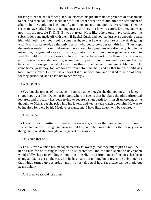till long after she had left her place. He effected his practices under pretence of attachment to her, and then could not shake her off. She went abroad with him after the settlement of affairs; but he could not keep out of gambling speculation, and lost everything. Then he seems to have larked about, obtaining means she knew not how – as artist, lecturer, and what not – till the notable F. U. E. E. was started. Most likely he would have collected the subscriptions and made off with them, if Rachel Curtis had not had just sense enough to trust him with nothing without seeing some result, so that he was forced to set the affair going with Maria at its head, as the only person who could co−operate with him. They kept themselves ready for a start whenever there should be symptoms of a discovery, but, in the meantime, he gambled away all that he got into his hands, and never gave her enough to feed the children. Thus she was absolutely driven to force work from them for subsistence; and she is a passionate creature, whom jealousy embittered more and more, so that she became more savage than she knew. Poor thing! She has her punishment. Maddox only came home, yesterday, too late for any train before the mail, and by that time the child was too ill to be moved. He must have thought it all up with him, and wished to be rid of both, for they quarrelled, and he left her to her misery.»

«What, gone?»

 $\langle x \rangle$  as  $\langle x \rangle$  she to  $\langle x \rangle$  as  $\langle y \rangle$  has haunts – haunts that he thought she did not know – a fancy shop, kept by a Mrs. Dench at Bristol, where it seems that he plays the philanthropical lecturer, and probably has been trying to secure a snug berth for himself unknown, as he thought, to Maria; but she pried into his letters, and kept a keen watch upon him. He was to be inquired for there by his Mauleverer name, and, I have little doubt, will be captured.»

#### «And then?»

 «He will be committed for trial at the sessions; and, in the meantime, I must see Beauchamp and Dr. Long, and arrange that he should be prosecuted for the forgery, even though he should slip through our fingers at the sessions.»

«Oh, could that be?»

 «This Clever Woman has managed matters so sweetly, that they might just as well try her as him for obtaining money on false pretences; and the man seems to have been wonderfully sharp in avoiding committing himself. Mrs. Curtis's man of business has been trying all day to get up the case, but he has made out nothing but a few more debts such as that which turned up yesterday; and it is very doubtful how far a case can be made out against him.»

«And then we should lose him.»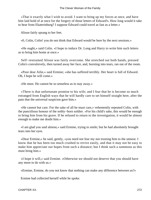«That is exactly what I wish to avoid. I want to bring up my forces at once, and have him laid hold of at once for the forgery of those letters of Edward's. How long would it take to hear from Ekaterinburg? I suppose Edward could travel as fast as a letter.»

Alison fairly sprang to her feet.

«0, Colin, Colin! you do not think that Edward would be here by the next sessions.»

 «He ought,» said Colin. «I hope to induce Dr. Long and Harry to write him such letters as to bring him home at once.»

 Self−restrained Alison was fairly overcome. She stretched out both hands, pressed Colin's convulsively, then turned away her face, and, bursting into tears, ran out of the room.

 «Poor dear Ailie,» said Ermine; «she has suffered terribly. Her heart is full of Edward. Oh, I hope he will come.»

«He must. He cannot be so senseless as to stay away.»

 «There is that unfortunate promise to his wife; and I fear that he is become so much estranged from English ways that he will hardly care to set himself straight here, after the pain that the universal suspicion gave him.»

 «He cannot but care. For the sake of all he must care,» vehemently repeated Colin, with the punctilious honour of the nobly−born soldier. «For his child's sake, this would be enough to bring him from his grave. If he refused to return to the investigation, it would be almost enough to make me doubt him.»

 «I am glad you said almost,» said Ermine, trying to smile; but he had absolutely brought tears into her eyes.

 «Dear Ermine,» he said, gently, «you need not fear my not trusting him to the utmost. I know that he has been too much crushed to revive easily, and that it may not be easy to make him appreciate our hopes from such a distance; but I think such a summons as this must bring him.»

 «I hope it will,» said Ermine. «Otherwise we should not deserve that you should have any more to do with us.»

«Ermine, Ermine, do you not know that nothing can make any difference between us?»

Ermine had collected herself while he spoke.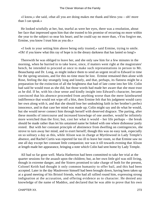«I know,» she said, «that all you are doing makes me thank and bless you – oh! more than I can speak.»

 He looked wistfully at her, but, tearful as were her eyes, there was a resolution, about her face that impressed upon him that she trusted to his promise of recurring no more within the year to the subject so near his heart; and he could say no more than, «You forgive me, Ermine, you know I trust him as you do.»

 «I look to your setting him above being only trusted,» said Ermine, trying to smile. «Oh! if you knew what this ray of hope is in the dreary darkness that has lasted so long!»

 Therewith he was obliged to leave her, and she only saw him for a few minutes in the morning, when he hurried in to take leave, since, if matters went right at the magistrates' bench, he intended to proceed at once to make such representations in person to Mr. Beauchamp and Dr. Long, as might induce them to send an urgent recall to Edward in time for the spring sessions, and for this no time must be lost. Ermine remained then alone with Rose, feeling the day strangely long and lonely, and that, perhaps, its flatness might be a preparation for the extinction of all the brightness that had of late come into her life. Colin had said he would trust as she did, but those words had made her aware that she must trust as he did. If he, with his clear sense and kindly insight into Edward's character, became convinced that his absence proceeded from anything worse than the mere fainthearted indifference that would not wipe off a blot, then Ermine felt that his judgment would carry her own along with it, and that she should lose her undoubting faith in her brother's perfect innocence, and in that case her mind was made up; Colin might say and do what he would, but she would never connect him through herself with deserved disgrace. The parting, after these months of intercourse and increased knowlege of one another, would be infinitely more wretched than the first; but, cost her what it would – her life perhaps – the break should be made rather than let his untainted name be linked with one where dishonour justly rested. But with her constant principle of abstinence from dwelling on contingencies, she strove to turn away her mind, and to exert herself; though this was no easy task, especially on so solitary a day as this, while Alison was in charge at Myrtlewood in Lady Temple's absence, and Rachel Curtis was reported far too ill to leave her room, so that Ermine saw no one all day except her constant little companion; nor was it till towards evening that Alison at length made her appearance, bringing a note which Colin had sent home by Lady Temple.

 All had so far gone well. Maria Hatherton had been committed to take her trial at the quarter sessions for the assault upon the children; but, as her own little girl was still living, though in extreme danger, and the Sisters promised to take charge of both for the present, Colonel Keith had thought it only common humanity to offer bail, and this had been accepted. Later in the day Mauleverer himself had been brought down, having been taken up at a grand meeting of his Bristol friends, who had all rallied round him, expressing strong indignation at the accusation, and offering evidence as to character. He denied any knowledge of the name of Maddox, and declared that he was able to prove that his own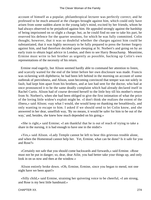account of himself as a popular, philanthropical lecturer was perfectly correct; and he professed to be much amazed at the charges brought against him, which could only have arisen from some sudden alarm in the young lady's mind, excited by her friends, whom he had always observed to be prejudiced against him. He appealed strongly against the hardship of being imprisoned on so slight a charge; but, as he could find no one to take his part, he reserved his defence for the quarter sessions, for which he was fully committed. Colin thought, however, that it was so doubtful whether the charges against him could be substantiated, that it was highly necessary to be fully prepared to press the former forgery against him, and had therefore decided upon sleeping at St. Norbert's and going on by an early train to obtain legal advice in London, and then to see Harry Beauchamp. Meantime, Ermine must write to her brother as urgently as possible, backing up Colin's own representations of the necessity of his return.

 Ermine read eagerly, but Alison seemed hardly able to command her attention to listen, and scarcely waited for the end of the letter before her own disclosure was made. Francis was sickening with diphtheria; he had been left behind in the morning on account of some outbreak of peevishness, and Alison, soon becoming convinced that temper was not solely in fault, had kept him apart from his brothers, and at last had sent for the doctor, who had at once pronounced it to be the same deadly complaint which had already declared itself in Rachel Curtis. Alison had of course devoted herself to the little boy till his mother's return from St. Norbert's, when she had been obliged to give the first intimation of what the price of the loving little widow's exploit might be. «I don't think she realizes the extent of the illness,» said Alison; «say what I would, she would keep on thanking me breathlessly, and only wanting to escape to him. I asked if we should send to let Colin know, and she answered in her dear, unselfish way, 'By no means, it would be safer for him to be out of the way,' and, besides, she knew how much depended on his going.»

 «She is right,» said Ermine; «I am thankful that he is out of reach of trying to take a share in the nursing, it is bad enough to have one in the midst!»

 «Yes,» said Alison. «Lady Temple cannot be left to bear this grievous trouble alone, and when the Homestead cannot help her. Yet, Ermine, what can be done? Is it safe for you and Rose?»

 «Certainly not safe that you should come backwards and forwards,» said Ermine. «Rose must not be put in danger; so, dear, dear Ailie, you had better take your things up, and only look in on us now and then at the window.»

 Alison entirely broke down. «Oh, Ermine, Ermine, since you began to mend, not one night have we been apart!»

 «Silly child,» said Ermine, straining her quivering voice to be cheerful, «I am strong, and Rose is my best little handmaid.»

CHAPTER XX. 274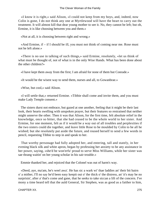«I know it is right,» said Alison, «I could not keep from my boys, and, indeed, now Colin is gone, I do not think any one at Myrtlewood will have the heart to carry out the treatment. It will almost kill that dear young mother to see it. No, they cannot be left; but oh, Ermine, it is like choosing between you and them.»

«Not at all, it is choosing between right and wrong.»

«And Ermine, if  $-$  if I should be ill, you must not think of coming near me. Rose must not be left alone.»

 «There is no use in talking of such things,» said Ermine, resolutely, «let us think of what must be thought of, not of what is in the only Wise Hands. What has been done about the other children?»

«I have kept them away from the first; I am afraid for none of them but Conrade.»

«It would be the wisest way to send them, nurses and all, to Gowanbrae.»

«Wise, but cool,» said Alison.

 «I will settle that,» returned Ermine. «Tibbie shall come and invite them, and you must make Lady Temple consent.»

 The sisters durst not embrace, but gazed at one another, feeling that it might be their last look, their hearts swelling with unspoken prayer, but their features so restrained that neither might unnerve the other. Then it was that Alison, for the first time, felt absolute relief in the knowledge, once so bitter, that she had ceased to be the whole world to her sister. And Ermine, for one moment, felt as if it would be a way out of all troubles and perplexities if the two sisters could die together, and leave little Rose to be moulded by Colin to be all he wished; but she resolutely put aside the future, and roused herself to send a few words in pencil, requesting Tibbie to step in and speak to her.

 That worthy personage had fully adopted her, and entering, tall and stately, in her evening black silk and white apron, began by professing her anxiety to be any assistance in her power, saying, «she'd be won'erfu' proud to serve Miss Williams, while her sister was sae thrang waitin' on her young scholar in his sair trouble.»

Emmie thanked her, and rejoiced that the Colonel was out of harm's way.

 «Deed, aye, ma'am, he's weel awa'. He has sic a wark wi' thae laddies an' their bit bairn o' a mither, I'll no say he'd been easy keepit out o' the thick o' the distress, an' it's may be no surprisin', after a' that's come and gane, that he seeks to take siccan a lift of the concern. I've mony a time heard tell that the auld General, Sir Stephen, was as good as a faither to him,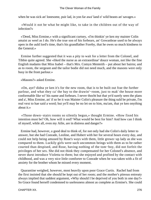when he was sick an' lonesome, puir lad, in yon far awa' land o' wild beasts an' savages.»

 «Would it not be what he might like, to take in the children out of the way of infection?»

 «'Deed, Miss Ermine,» with a significant curtsey, «I'm thinkin' ye ken my maister Colin amaist as weel as I do. He's the true son of his forbears, an' Gowanbrae used to be always open in the auld lord's time, that's his grandfather Foreby, that he owes so much kindness to the General.»

 Ermine further suggested that it was a pity to wait for a letter from the Colonel, and Tibbie quite agreed. She «liked the nurse as an extraordinar' douce woman, not like the fine English madams that Miss Isabel – that's Mrs. Comyn Menteith – put about her bairns; and as to room, the sergeant and the tailor bodie did not need much, and the masons were only busy in the front parlour.»

«Masons?» asked Ermine.

 «On, aye? didna ye ken it's for the new room, that is to be built out frae the further parlour, and what they ca' the bay to the drawin'−room, just to mak' the house more conformable like wi' his name and forbears. I never thocht but that ye'd surely seen the plans and a', Miss Ermine, an' if so be it was Maister Colin's pleasure the thing suld be private, I'm real vext to hae said a word; but ye'll may be no let on to him, ma'am, that ye ken onything about it.»

 «Those down−stairs rooms so silently begun,» thought Ermine. «How fixed his intention must be? Oh, how will it end? What would be best for him? And how can I think of myseif, while all, even my Ailie, are in distress and danger?»

 Ermine had, however, a good deal to think of, for not only had she Colin's daily letter to answer, but she had Conrade, Leoline, and Hubert with her for several hours every day, and could not help being amused by Rose's ways with them, little grown−up lady as she was compared to them. Luckily girls were such uncommon beings with them as to be rather courted than despised, and Rose, having nothing of the tom−boy, did not forfeit the privileges of her sex. She did not think they compensated for her Colonel's absence, and never durst introduce Violetta to them; but she enjoyed and profited by the contact with childhood, and was a very nice little comforter to Conrade when he was taken with a fit of anxiety for the brother whom he missed every moment.

 Quarantine weighed, however, most heavily upon poor Grace Curtis. Rachel had from the first insisted that she should be kept out of her room; and the mother's piteous entreaty always implied that saddest argument, «Why should I be deprived of you both in one day?» So Grace found herself condemned to uselessness almost as complete as Ermine's. She could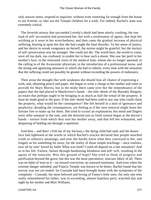only answer notes, respond to inquiries, without even venturing far enough from the house to see Ermine, or take out the Temple children for a walk. For indeed, Rachel's state was extremely critical.

 The feverish misery that succeeded Lovedy's death had been utterly crushing, the one load of self−accusation had prostrated her, but with a restlessness of agony, that kept her writhing as it were in her wretchedness; and then came the gradual increase of physical suffering, bearing in upon her that she had caught the fatal disorder. To her sense of justice, and her desire to wreak vengeance on herself, the notion might be grateful; but the instinct of self−preservation was far stronger. She could not die. The world here, the world to come, were all too dark, too confused, to enable her to bear such a doom. She saw her peril in her mother's face; in the reiterated visits of the medical man, whom she no longer spurned; in the calling in of the Avoncester physician; in the introduction of a professional nurse, and the strong and agonizing measures to which she had to submit, every time with the sensation that the suffering could not possibly be greater without exceeding the powers of endurance.

 Then arose the thought that with weakness she should lose all chance of expressing a wish, and, obtaining pencil and paper, she began to write a charge to her mother and sister to provide for Mary Morris; but in the midst there came over her the remembrance of the papers that she had placed in Mauleverer's hands – the title−deeds of the Burnaby Bargain; an estate that perhaps ought to be bringing in as much as half the rental of the property. It must be made good to the poor. If the title−deeds had been sold to any one who could claim the property, what would be the consequence? She felt herself in a mist of ignorance and perplexity; dreading the consequences, yet feeling as if her own removal might leave her fortune free to make up for them. She tried to scrawl an explanation; but mind and fingers were alike unequal to the task, and she desisted just as fresh torture began at the doctor's hands – torture from which they sent her mother away, and that left her exhausted, and despairing of holding out through a repetition.

 And then – and then! «Tell me of my Saviour,» the dying child had said; and the drawn face had lightened at the words to which Rachel's oracles declared that people attached crude or arbitrary meanings; and now she hardly knew what they conveyed to her, and longed, as for something far away, for the reality of those simple teachings – once realities, now all by rote! Saved by faith! What was faith? Could all depend on a last sensation? And as to her life. Failure, failure through headstrong blindness and self−will, resulting in the agony of the innocent. Was this ground of hope? She tried to think of progress and purification beyond the grave; but this was the most speculative, insecure fabric of all. There was no habit of trust to it – no inward conviction, no outward testimony. And even when the extreme danger subsided, and Francis Temple was known to be better, Rachel found that her sorrow was not yet ended: for Conrade had been brought home with the symptoms of the complaint – Conrade, the most beloved and loving of Fanny's little ones, the only one who really remembered his father, was in exceeding, almost hopeless peril, watched day and night by his mother and Miss Williams.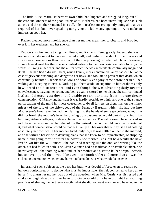The little Alice, Maria Hatherton's own child, had lingered and struggled long, but all the care and kindness of the good Sisters at St. Norbert's had been unavailing, she had sunk at last, and the mother remained in a dull, silent, tearless misery, quietly doing all that was required of her, but never speaking nor giving the ladies any opening to try to make an impression upon her.

 Rachel gleaned more intelligence than her mother meant her to obtain, and brooded over it in her weakness and her silence.

 Recovery is often more trying than illness, and Rachel suffered greatly. Indeed, she was not sure that she ought to have recovered at all, and perhaps the shock to her nerves and spirits was more serious than the effect of the sharp passing disorder, which had, however, so much weakened her that she succumbed entirely to the blow. «Accountable for all,» the words still rang in her ears, and the all for which she was accountable continually magnified itself. She had tied a dreadful knot, which Fanny, meek contemned Fanny had cut, but at the cost of grievous suffering and danger to her boys, and too late to prevent that death which continually haunted Rachel; those looks of convulsive agony came before her in all her waking and sleeping intervals. Nothing put them aside, occupation in her weakness only bewildered and distracted her, and even though she was advancing daily towards convalescence, leaving her room, and being again restored to her sister, she still continued listless, dejected, cast down, and unable to turn her mind from this one dreary contemplation. Of Fanny and her sons it was hardly possible to think, and one of the strange perturbations of the mind in illness caused her to dwell far less on them than on the minor misery of the fate of the title−deeds of the Burnaby Bargain, which she had put into Mauleverer's hand. She fancied their falling into the hands of some speculator, who, if he did not break the mother's heart by putting up a gasometer, would certainly wring it by building hideous cottages, or desirable marine residences. The value would be enhanced so as to be equal to more than half that of the Homestead, the poor would have been cheated of it, and what compensation could be made? Give up all her own share? Nay, she had nothing absolutely her own while her mother lived, only £5,000 was settled on her if she married, and she tortured herself with devising plans that she knew to be impracticable, of stripping herself, and going forth to suffer the poverty she merited. Yes, but how would she have lived? Not like the Williamses! She had tried teaching like the one, and writing like the other, but had failed in both. The Clever Woman had no marketable or available talent. She knew very well that nothing would induce her mother and sister to let her despoil herself, but to have injured them would be even more intolerable; and more than all was the sickening uncertainty, whether any harm had been done, or what would be its extent.

 Ignorant of such subjects at the best, her brain was devoid of force even to reason out her own conjectures, or to decide what must be impossible. She felt compelled to keep all to herself; to alarm her mother was out of the question, when Mrs. Curtis was distressed and shaken enough already, and to have told Grace would only have brought her soothing promises of sharing the burthen – exactly what she did not want – and would have led to the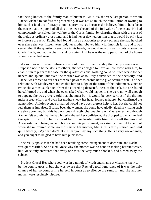fact being known to the family man of business, Mr. Cox, the very last person to whom Rachel wished to confess the proceeding. It was not so much the humiliation of owning to him such a fatal act of piracy upon his province, as because she believed him to have been the cause that the poor had all this time been cheated of the full value of the estate. He had complacently consulted the welfare of the Curtis family, by charging them with the rent of the fields as ordinary grass land, and it had never dawned on him that it would be only just to increase the rent. Rachel had found him an antagonist to every scheme she had hatched, ever since she was fifteen years old, her mother obeyed him with implicit faith, and it was certain that if the question were once in his hands, he would regard it as his duty to save the Curtis funds, and let the charity sink or swim. And he was the only person out of the house whom Rachel had seen.

 As soon as – or rather before – she could bear it, the first day that her presence was supposed not to be perilous to others, she was obliged to have an interview with him, to enable him to prepare the case for the quarter sessions. Nothing could be much worse for her nerves and spirits, but even the mother was absolutely convinced of the necessity, and Rachel was forced to tax her enfeebled powers to enable her to give accurate details of her relations with Mauleverer, and enable him to judge of the form of the indictment. Once or twice she almost sunk back from the exceeding distastefulness of the task, but she found herself urged on, and when she even asked what would happen if she were not well enough to appear, she was gravely told that she must be – it would be very serious if she did not make a great effort, and even her mother shook her head, looked unhappy, but confirmed the admonition. A little revenge or hatred would have been a great help to her, but she could not feel them as impulses. If it had been the woman, she could have gladly aided in visiting such cruelty upon her, but this had not been directly chargeable upon Mauleverer; and though Rachel felt acutely that he had bitterly abused her confidence, she drooped too much to feel the spirit of retort. The notion of being confronted with him before all the world at Avoncester, and being made to bring about his punishment, was simply dreadful to her, but when she murmured some word of this to her mother, Mrs. Curtis fairly started, and said quite fiercely, «My dear, don't let me hear you say any such thing. He is a very wicked man, and you ought to be glad to have him punished!»

 She really spoke as if she had been rebuking some infringement of decorum, and Rachel was quite startled. She asked Grace why the mother was so bent on making her vindictive, but Grace only answered that every one must be very much shocked, and turned away the subject.

 Prudent Grace! Her whole soul was in a tumult of wrath and shame at what she knew to be the county gossip, but she was aware that Rachel's total ignorance of it was the only chance of her so comporting herself in court as to silence the rumour, and she and her mother were resolutely discreet.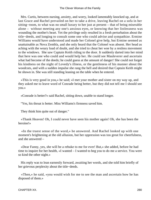Mrs. Curtis, between nursing, anxiety, and worry, looked lamentably knocked up, and at last Grace and Rachel prevailed on her to take a drive, leaving Rachel on a sofa in her sitting−room, to what was no small luxury to her just at present – that of being miserable alone – without meeting any one's anxious eyes, or knowing that her listlessness was wounding the mother's heart. Yet the privilege only resulted in a fresh perturbation about the title−deeds, and longing to consult some one who could advise and sympathize. Ermine Williams would have understood and made her Colonel give help, but Ermine seemed as unattainable as Nova Zembla, and she only heard that the Colonel was absent. Her head as aching with the weary load of doubt, and she tried to cheat her woe by a restless movement to the windows. She saw Captain Keith riding to the door. It suddenly darted into her mind that here was one who could and would help her. He could see Mauleverer and ascertain what had become of the deeds; he could guess at the amount of danger! She could not forget his kindness on the night of Lovedy's illness, or the gentleness of his manner about the woodcuts, and with a sudden impulse she rang the bell and desired that Captain Keith might be shown in. She was still standing leaning on the table when he entered.

 «This is very good in you,» he said; «I met your mother and sister on my way up, and they asked me to leave word of Conrade being better, but they did not tell me I should see you.»

«Conrade is better?» said Rachel, sitting down, unable to stand longer.

"Yes, his throat is better. Miss Williams's firmness saved him.

They think him quite out of danger."

 «Thank Heaven! Oh, I could never have seen his mother again! Oh, she has been the heroine!»

 «In the truest sense of the word,» he answered. And Rachel looked up with one moment's brightening at the old allusion, but her oppression was too great for cheerfulness, and she answered –

 «Dear Fanny, yes, she will be a rebuke to me for ever! But,» she added, before he had time to inquire for her health, «I wanted – I wanted to beg you to do me a service. You were so kind the other night.»

 His reply was to lean earnestly forward, awaiting her words, and she told him briefly of her grievous perplexity about the title−deeds.

 «Then,» he said, «you would wish for me to see the man and ascertain how he has disposed of them.»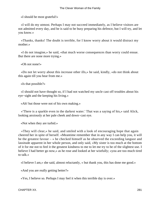«I should be most grateful!»

 «I will do my utmost. Perhaps I may not succeed immediately, as I believe visitors are not admitted every day, and he is said to be busy preparing his defence, but I will try, and let you know.»

 «Thanks, thanks! The doubt is terrible, for I know worry about it would distract my mother.»

 «I do not imagine,» he said, «that much worse consequences than worry could ensue. But there are none more trying.»

«Oh not none!»

 «Do not let worry about this increase other ills,» he said, kindly, «do not think about this again till you hear from me.»

«Is that possible?»

 «I should not have thought so, if I had not watched my uncle cast off troubles about his eye−sight and the keeping his living.»

«Ah! but those were not of his own making.»

 «'There is a sparkle even in the darkest water.' That was a saying of his,» said Alick, looking anxiously at her pale cheek and down−cast eye.

«Not when they are turbid.»

 «They will clear,» he said, and smiled with a look of encouraging hope that again cheered her in spite of herself. «Meantime remember that in any way I can help you, it will be the greatest favour – » he checked himself as he observed the exceeding languor and lassitude apparent in her whole person, and only said, «My sister is too much at the bottom of it for me not to feel it the greatest kindness to me to let me try to be of the slightest use. I believe I had better go now,» as he rose and looked at her wistfully; «you are too much tired to talk.»

«I believe I am,» she said, almost reluctantly, « but thank you, this has done me good.»

«And you are really getting better?»

«Yes, I believe so. Perhaps I may feel it when this terrible day is over.»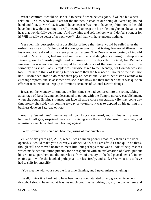What a comfort it would be, she said to herself, when he was gone, if we had but a near relation like him, who would act for the mother, instead of our being delivered up, bound hand and foot, to Mr. Cox. It would have been refreshing to have kept him now, if I could have done it without talking; it really seemed to keep the horrible thoughts in abeyance, to hear that wonderfully gentle tone! And how kind and soft the look was! I do feel stronger for it! Will it really be better after next week? Alas! that will have undone nothing.

 Yet even this perception of a possibility of hope that there would be relief after the ordeal, was new to Rachel; and it soon gave way to that trying feature of illness, the insurmountable dread of the mere physical fatigue. The Dean of Avoncester, a kind old friend of Mrs. Curtis, had insisted on the mother and daughters coming to sleep at the Deanery, on the Tuesday night, and remaining till the day after the trial; but Rachel's imagination was not even as yet equal to the endurance of the long drive, far less of the formality of a visit. Lady Temple was likewise asked to the Deanery, but Conrade was still too ill for her to think of leaving him for more than the few needful hours of the trial; nor had Alison been able to do more than pay an occasional visit at her sister's window to exchange reports, and so absorbed was she in her boys and their mother, that it was quite an effort of recollection to keep up to Ermine's accounts of Colonel Keith's doings.

 It was on the Monday afternoon, the first time she had ventured into the room, taking advantage of Rose having condescended to go out with the Temple nursery establishment, when she found Ermine's transparent face all alive with expectation. «He may come any time now,» she said; «his coming to−day or to−morrow was to depend on his getting his business done on Saturday or not.»

 And in a few minutes' time the well−known knock was heard, and Ermine, with a look half arch half gay, surprised her sister by rising with the aid of the arm of her chair, and adjusting a crutch that had been leaning against it.

«Why Ermine! you could not bear the jarring of that crutch  $-\infty$ 

 «Five or six years ago, Ailie, when I was a much poorer creature,» then as the door opened, «I would make you a curtsey, Colonel Keith, but I am afraid I can't quite do that,» though still she moved nearer to meet him, but perhaps there was a look of helplessness which made her exultation piteous, for he responded with an exclamation of alarm, put out his arm to support her, and did not relax a frown of anxiety till he had placed her safe in her chair again, while she laughed perhaps a little less freely, and said, «See what it is to have had to shift for oneself!»

«You met me with your eyes the first time, Ermine, and I never missed anything.»

 «Well, I think it is hard not to have been more congratulated on my great achievement! I thought I should have had at least as much credit as Widdrington, my favourite hero and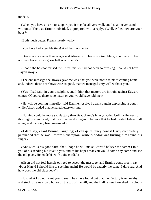model.»

 «When you have an arm to support you it may be all very well, and I shall never stand it without.» Then, as Ermine subsided, unprepared with a reply, «Well, Ailie, how are your boys?»

«Both much better, Francis nearly well.»

«You have had a terrible time! And their mother?»

 «Dearer and sweeter than ever,» said Alison, with her voice trembling; «no one who has not seen her now can guess half what she is!»

 «I hope she has not missed me. If this matter had not been so pressing, I could not have stayed away.»

 «The one message she always gave me was, that you were not to think of coming home; and, indeed, those dear boys were so good, that we managed very well without you.»

 «Yes, I had faith in your discipline, and I think that matters are in train against Edward comes. Of course there is no letter, or you would have told me.»

 «He will be coming himself,» said Ermine, resolved against again expressing a doubt; while Alison added that he hated letter−writing.

 «Nothing could he more satisfactory than Beauchamp's letter,» added Colin. «He was so thoroughly convinced, that he immediately began to believe that he had trusted Edward all along, and had only been overruled.»

 «I dare say,» said Ermine, laughing; «I can quite fancy honest Harry completely persuaded that he was Edward's champion, while Maddox was turning him round his finger.»

 «And such is his good faith, that I hope he will make Edward believe the same! I told you of his sending his love to you, and of his hopes that you would some day come and see the old place. He made his wife quite cordial.»

 Alison did not feel herself obliged to accept the message, and Ermine could freely say, «Poor Harry! I should like to see him again! He would be exactly the same, I dare say. And how does the old place look?»

 «Just what I do not want you to see. They have found out that the Rectory is unhealthy, and stuck up a new bald house on the top of the hill; and the Hall is new furnished in colours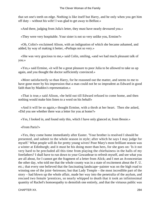that set one's teeth on edge. Nothing is like itself but Harry, and he only when you get him off duty – without his wife! I was glad to get away to Belfast.»

«And there, judging from Julia's letter, they must have nearly devoured you.»

«They were very hospitable. Your sister is not so very unlike you, Ermine?»

 «Oh, Colin!» exclaimed Alison, with an indignation of which she became ashamed, and added, by way of making it better, «Perhaps not so very.»

 «She was very gracious to me,» said Colin, smiling, «and we had much pleasant talk of you.»

 «Yes,» said Ermine, «it will be a great pleasure to poor Julia to be allowed to take us up again, and you thought the doctor sufficiently convinced.»

 «More satisfactorily so than Harry, for he reasoned out the matter, and seems to me to have gone more by his impression that a man could not be so imprudent as Edward in good faith than by Maddox's representation.»

 «That is true,» said Alison, «he held out till Edward refused to come home, and then nothing would make him listen to a word on his behalf»

 «And it will be so again,» thought Ermine, with a throb at her heart. Then she asked, «Did you see whether there was a letter for you at home?»

«Yes, I looked in, and found only this, which I have only glanced at, from Bessie.»

«From Paris?»

 «Yes, they come home immediately after Easter. 'Your brother is resolved I should be presented, and submit to the whole season in style; after which he says I may judge for myself.' What people will do for pretty young wives! Poor Mary's most brilliant season was a winter at Edinburgh; and it must be his doing more than hers, for she goes on: 'Is it not very hard to be precluded all this time from playing the chieftainess in the halls of my forefathers? I shall have to run down to your Gowanbrae to refresh myself, and see what you are all about, for I cannot get the fragment of a letter from Alick; and I met an Avoncestrian the other day, who told me that the whole county was in a state of excitement about the F. U. etc.; that every one believed that the fascinating landscape−painter was on the high road to winning one of the joint−heiresses; but that Lady Temple – the most incredible part of the story – had blown up the whole affair, made her way into the penetralia of the asylum, and rescued two female 'prentices, so nearly whipped to death that it took an infinitesimal quantity of Rachel's homoeopathy to demolish one entirely, and that the virtuous public was

CHAPTER XX. 284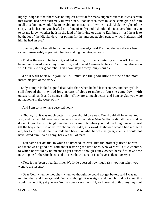highly indignant that there was no inquest nor trial for manslaughter; but that it was certain that Rachel had been extremely ill ever since. Poor Rachel, there must he some grain of truth in all this, but one would like to be able to contradict it. I wrote to ask Alick the rights of the story, but he has not vouchsafed me a line of reply; and I should take it as very kind in you to let me know whether he is in the land of the living or gone to Edinburgh – as I hear is to be the lot of the Highlanders – or pining for the uncroquetable lawn, to which I always told him he had an eye.'»

 «She may think herself lucky he has not answered,» said Ermine; «he has always been rather unreasonably angry with her for making the introduction.»

 «That is the reason he has not,» added Alison, «for he is certainly not far off. He has been over almost every day to inquire, and played German tactics all Saturday afternoon with Francis to our great relief. But I have stayed away long enough.»

 «I will walk back with you, Ailie. I must see the good little heroine of the most incredible part of the story.»

 Lady Temple looked a good deal paler than when he had last seen her, and her eyelids still showed that they had long arrears of sleep to make up; but she came down with outstretched hands and a sunny smile. «They are so much better, and I am so glad you were not at home in the worst of it.»

«And I am sorry to have deserted you.»

 «Oh, no, no, it was much better that you should be away. We should all have wanted you, and that would have been dangerous, and dear, dear Miss Williams did all that could be done. Do you know, it taught me that you were right when you told me I ought never to rest till the boys learnt to obey, for obedience' sake, at a word. It showed what a bad mother I am, for I am sure if dear Conrade had been like what he was last year, even she could not have saved him,» said Fanny, her eyes full of tears.

 Then came her details, to which he listened, as ever, like the brotherly friend he was, and there was a good deal said about restoring the little ones, who were still at Gowanbrae, to which he would by no means as yet consent, though Fanny owned herself to have time now to pine for her Stephana, and to «hear how dismal it is to have a silent nursery.»

 «Yes, it has been a fearful time. We little guessed how much risk you ran when you went to the rescue.»

 «Dear Con, when he thought – when we thought he could not get better, said I was not to mind that, and I don't,» said Fanny. «I thought it was right, and though I did not know this would come of it, yet you see God has been very merciful, and brought both of my boys out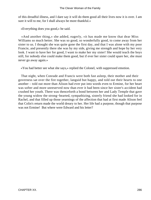of this dreadful illness, and I dare say it will do them good all their lives now it is over. I am sure it will to me, for I shall always be more thankful.»

«Everything does you good,» he said.

 «And another thing,» she added, eagerly, «it has made me know that dear Miss Williams so much better. She was so good, so wonderfully good, to come away from her sister to us. I thought she was quite gone the first day, and that I was alone with my poor Francie, and presently there she was by my side, giving me strength and hope by her very look. I want to have her for good, I want to make her my sister! She would teach the boys still, for nobody else could make them good, but if ever her sister could spare her, she must never go away again.»

«You had better see what she says,» replied the Colonel, with suppressed emotion.

 That night, when Conrade and Francis were both fast asleep, their mother and their governess sat over the fire together, languid but happy, and told out their hearts to one another – told out more than Alison had ever put into words even to Ermine, for her heart was softer and more unreserved now than ever it had been since her sister's accident had crushed her youth. There was thenceforth a bond between her and Lady Temple that gave the young widow the strong−hearted, sympathizing, sisterly friend she had looked for in Rachel, and that filled up those yearnings of the affection that had at first made Alison feel that Colin's return made the world dreary to her. Her life had a purpose, though that purpose was not Ermine! But where were Edward and his letter?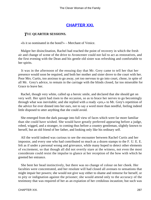## **[CHAPTER XXI.](#page-417-0)**

### *T*HE **QUARTER SESSIONS.**

«Is it so nominated in the bond?» – Merchant of Venice.

 Malgre her disinclination, Rachel had reached the point of recovery in which the fresh air and change of scene of the drive to Avoncester could not fail to act as restoratives, and the first evening with the Dean and his gentle old sister was refreshing and comfortable to her spirits.

 It was in the afternoon of the ensuing day that Mr. Grey came to tell her that her presence would soon be required, and both her mother and sister drove to the court with her. Poor Mrs. Curtis, too anxious to go away, yet too nervous to go into court, chose, in spite of all Mr. Grey's advice, to remain in the carriage with the blinds closed, far too miserable for Grace to leave her.

 Rachel, though very white, called up a heroic smile, and declared that she should get on very well. Her spirit had risen to the occasion, so as to brace her nerves to go becomingly through what was inevitable; and she replied with a ready «yes,» to Mr. Grey's repetition of the advice for ever dinned into her ears, not to say a word more than needful, feeling indeed little disposed to utter anything that she could avoid.

 She emerged from the dark passage into full view of faces which were far more familiar than she could have wished. She would have greatly preferred appearing before a judge, robed, wigged, and a stranger, to coming thus before a country gentleman, slightly known to herself, but an old friend of her father, and looking only like his ordinary self.

 All the world indeed was curious to see the encounter between Rachel Curtis and her impostor, and every one who had contributed so much as a dozen stamps to the F. U. E. E. felt as if under a personal wrong and grievance, while many hoped to detect other elements of excitement, so that though all did not overtly stare at the witness, not even the most considerate could resist the impulse to glance at her reception of the bow with which he greeted her entrance.

 She bent her head instinctively, but there was no change of colour on her cheek. Her faculties were concentrated, and her resolute will had closed all avenues to sensations that might impair her powers; she would not give way either to shame and remorse for herself, or to pity or indignation against the prisoner; she would attend only to the accuracy of the testimony that was required of her as an expiation of her credulous incaution; but such was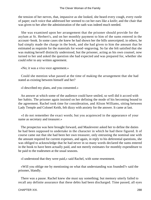the tension of her nerves, that, impassive as she looked, she heard every cough, every rustle of paper; each voice that addressed her seemed to cut her ears like a knife; and the chair that was given to her after the administration of the oath was indeed much needed.

 She was examined upon her arrangement that the prisoner should provide for the asylum at St. Herbert's, and on her monthly payment to him of the sums entered in the account−book. In some cases she knew he had shown her the bills unreceipted; in others, he had simply made the charge in the book, and she had given to him the amount that he estimated as requisite for the materials for wood−engraving. So far she felt satisfied that she was making herself distinctly understood, but the prisoner, acting as his own counsel, now turned to her and asked the question she had expected and was prepared for, whether she could refer to any written agreement.

«No; it was a viva voce agreement.»

 Could she mention what passed at the time of making the arrangement that she had stated as existing between himself and her?

«I described my plans, and you consented.»

 An answer at which some of the audience could have smiled, so well did it accord with her habits. The prisoner again insisted on her defining the mode of his becoming bound to the agreement. Rachel took time for consideration, and Alison Williams, sitting between Lady Temple and Colonel Keith, felt dizzy with anxiety for the answer. It came at last.

 «I do not remember the exact words; but you acquiesced in the appearance of your name as secretary and treasurer.»

 The prospectus was here brought forward, and Mauleverer asked her to define the duties he had been supposed to undertake in the character in which he had there figured. It of course came out that she had been her own treasurer, only entrusting the nominal one with the amount required for current expenses, and again, in reply to his deferential questions, she was obliged to acknowledge that he had never in so many words declared the sums entered in the book to have been actually paid, and not merely estimates for monthly expenditure to be paid to the tradesmen at the usual seasons.

«I understood that they were paid,» said Rachel, with some resentment.

 «Will you oblige me by mentioning on what that understanding was founded?» said the prisoner, blandly.

 There was a pause. Rachel knew she must say something; but memory utterly failed to recall any definite assurance that these debts had been discharged. Time passed, all eyes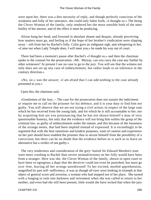were upon her, there was a dire necessity of reply, and though perfectly conscious of the weakness and folly of her utterance, she could only falter forth, «I thought so.» The being the Clever Woman of the family, only rendered her the more sensible both of the utter futility of her answer, and of the effect it must be producing.

 Alison hung her head, and frowned in absolute shame and despair, already perceiving how matters must go, and feeling as if the hope of her brother's vindication were slipping away – reft from her by Rachel's folly. Colin gave an indignant sigh, and whispering to her, «Come out when Lady Temple does, I will meet you,» he made his way out of court.

 There had been a moment's pause after Rachel's «I thought so,» and then the chairman spoke to the counsel for the prosecution. «Mr. Murray, can you carry the case any further by other witnesses? At present I see no case to go to the jury. You will see that the witness not only does not set up any case of embezzlement, but rather loads to an inference in the contrary direction.»

 «No, sir,» was the answer; «I am afraid that I can add nothing to the case already presented to you.»

Upon this, the chairman said,

 «Gentlemen of the Jury, – The case for the prosecution does not sustain the indictment or require me to call on the prisoner for his defence, and it is your duty to find him not guilty. You will observe that we are not trying a civil action, in respect of the large sum which he has received from the young lady, and for which he is still accountable to her; nor by acquitting him are you pronouncing that he has not shown himself a man of very questionable honesty, but only that the evidence will not bring him within the grasp of the criminal law, as guilty of embezzlement under the statute, and this because of the looseness of the arrange ments, that had been implied instead of expressed. It is exceedingly to be regretted that with the best intentions and kindest purposes, want of caution and experience on her part should have enabled the prisoner thus to secure himself from the possibility of a conviction; but there can be no doubt that the evidence before us is such as to leave no alternative but a verdict of not guilty.»

 The very tenderness and consideration of the grey−haired Sir Edward Morden's tone were more crushing to Rachel than severe animadversions on her folly would have been from a stranger. Here was she, the Clever Woman of the family, shown in open court to have been so egregious a dupe that the deceiver could not even be punished, but must go scot−free, leaving all her wrongs unredressed! To her excited, morbid apprehension, magnified by past self−sufficiency, it was as though all eyes were looking in triumph at that object of general scorn and aversion, a woman who had stepped out of her place. She turned with a longing to rush into darkness and retirement when she was called to return to her mother, and even had she still been present, little would she have recked that when the jury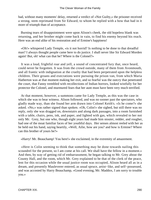had, without many moments' delay, returned a verdict of «Not Guilty,» the prisoner received a strong, stem reprimand from Sir Edward, to whom he replied with a bow that had in it more of triumph than of acceptance.

 Burning tears of disappointment were upon Alison's cheek, the old hopeless blank was returning, and her brother might come back in vain, to find his enemy beyond his reach. Here was an end alike of his restoration and of Ermine's happiness!

 «Oh!» whispered Lady Temple, «is it not horrid? Is nothing to be done to that dreadful man? I always thought people came here to do justice. I shall never like Sir Edward Morden again! But, oh! what can that be? Where is the Colonel?»

 It was a loud, frightful roar and yell, a sound of concentrated fury that, once heard, could never be forgotten. It was from the crowd outside, many of them from Avonmouth, and all frantic with indignation at the cruelty that had been perpetrated upon the helpless children. Their groans and execrations were pursuing the prison van, from which Maria Hatherton was at that moment making her exit, and so fearful was the outcry that penetrated the court, that Fanny trembled with recollections of Indian horrors, looked wistfully for her protector the Colonel, and murmured fears that her aunt must have been very much terrified.

 At that moment, however, a summons came for Lady Temple, as this was the case in which she was to bear witness. Alison followed, and was no sooner past the spectators, who gladly made way, than she found her arm drawn into Colonel Keith's. «Is he come?» she asked. «No,» was rather signed than spoken. «Oh, Colin!» she sighed, but still there was no reply, only she was dragged on, downstairs and along dark passages, into a room furnished with a table, chairs, pens, ink, and paper, and lighted with gas, which revealed to her not only Mr. Grey, but one who, though eight years had made him stouter, redder, and rougher, had one of the moat familiar faces of her youthful days. Her senses almost reeled with her as he held out his hand, saying heartily, «Well, Ailie, how are you? and how is Ermine? Where can this brother of yours be?»

«Harry! Mr. Beauchamp! You here!» she exclaimed, in the extremity of amazement.

 «Here is Colin seeming to think that something may be done towards nailing this scoundrel for the present, so I am come at his call. We shall have the fellow in a moment.» And then, by way of getting rid of embarrassment, he began talking to Mr. Grey about the County Hall, and the room, which Mr. Grey explained to be that of the clerk of the peace, lent for this occasion while the usual justice room was occupied, Alison heard all as in a dream, and presently Mauleverer entered, as usual spruce, artist−like, and self−possessed, and was accosted by Harry Beauchamp, «Good evening, Mr. Maddox, I am sorry to trouble you.»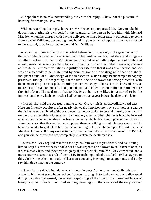«I hope there is no misunderstanding, sir,» was the reply. «I have not the pleasure of knowing for whom you take me.»

 Without regarding this reply, however, Mr. Beauchamp requested Mr. Grey to take his deposition, stating his own belief in the identity of the person before him with Richard Maddox, whom he charged with having delivered to him a letter falsely purporting to come from Edward Williams, demanding three hundred pounds, which upon this he had delivered to the accused, to be forwarded to the said Mr. Williams.

 Alison's heart beat violently at the ordeal before her of speaking to the genuineness of the letter. She had seen and suspected that to her brother−in−law, but she could not guess whether the flaws in that to Mr. Beauchamp would be equally palpable, and doubt and anxiety made her scarcely able to look at it steadily. To her great relief, however, she was able to detect sufficient variations to justify her assertion that it was not authentic, and she was able to confirm her statement by comparison of the writing with that of a short, indignant denial of all knowledge of the transaction, which Harry Beauchamp had happily preserved, though little regarding it at the time. She also showed the wrong direction, with the name of the place misspelt, according to her own copy of her sister−in−law's address, at the request of Maddox himself, and pointed out that a letter to Ermine from her brother bore the right form. The seal upon that to Mr. Beauchamp she likewise asserted to be the impression of one which her brother had lost more than a year before the date of the letter.

 «Indeed, sir,» said the accused, fuming to Mr. Grey, «this is an exceedingly hard case. Here am I, newly acquitted, after nearly six weeks' imprisonment, on so frivolous a charge that it has been dismissed without my even having occasion to defend myself, or to call my own most respectable witnesses as to character, when another charge is brought forward against me in a name that there has been an unaccountable desire to impose on me. Even if I were the person that this gentleman supposes, there is nothing proved. He may very possibly have received a forged letter, but I perceive nothing to fix the charge upon the party he calls Maddox. Let me call in my own witnesses, who had volunteered to come down from Bristol, and you will be convinced how completely mistaken the gentleman is.»

 To this Mr. Grey replied that the case against him was not yet closed, and cautioning him to keep his own witnesses back; but he was urgent to be allowed to call them at once, as it was already late, and they were to go by the six o'clock train. Mr. Grey consented, and a messenger was sent in search of them. Mr. Beauchamp looked disturbed. «What say you to this, Colin?» he asked, uneasily. «That man's audacity is enough to stagger one, and I only saw him three times at the utmost.»

 «Never fear,» said Colin, «delay is all in our favour.» At the same time Colin left them, and with him went some hope and confidence, leaving all to feel awkward and distressed during the delay that ensued, the accused expatiating all the time on the unreasonableness of bringing up an offence committed so many years ago, in the absence of the only witness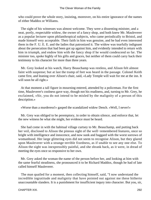who could prove the whole story, insisting, moreover, on his entire ignorance of the names of either Maddox or Williams.

 The sight of his witnesses was almost welcome. They were a dissenting minister, and a neat, portly, respectable widow, the owner of a fancy shop, and both knew Mr. Mauleverer as a popular lecturer upon philanthropical subjects, who came periodically to Bristol, and made himself very acceptable. Their faith in him was genuine, and he had even interested them in the F. U. E. E. and the ladies that patronized it. The widow was tearfully indignant about the persecution that had been got up against him, and evidently intended to return with him in triumph, and endow him with the fancy shop if he would condescend so far. The minister too, spoke highly of his gifts and graces, but neither of them could carry back their testimony to his character for more than three years.

 Mr. Grey looked at his watch, Harry Beauchamp was restless, and Alison felt almost faint with suspense; but at last the tramp of feet was heard in the passage. Colonel Keith came first, and leaning over Alison's chair, said, «Lady Temple will wait for me at the inn. It will soon be all right.»

 At that moment a tall figure in mourning entered, attended by a policeman. For the first time, Mauleverer's coolness gave way, though not his readiness, and, turning to Mr. Grey, he exclaimed, «Sir, you do not intend to be misled by the malignity of a person of this description.»

«Worse than a murderess!» gasped the scandalized widow Dench. «Well, I never!»

 Mr. Grey was obliged to be peremptory, in order to obtain silence, and enforce that, let the new witness be what she might, her evidence must be heard.

 She had come in with the habitual village curtsey to Mr. Beauchamp, and putting back her veil, disclosed to Alison the piteous sight of the well−remembered features, once so bright with intelligence and innocence, and now sunk and haggard with the worst sorrows of womanhood. Her large glittering eyes did not seem to recognise Alison, but they glared upon Mauleverer with a strange terrible fixedness, as if unable to see any one else. To Alison the sight was inexpressibly painful, and she shrank back, as it were, in dread of meeting the eyes once so responsive to her own.

 Mr. Grey asked the woman the name of the person before her, and looking at him with the same fearful steadiness, she pronounced it to be Richard Maddox, though he had of late called himself Mauleverer.

 The man quailed for a moment, then collecting himself, said, "I now understand the incredible ingratitude and malignity that have pointed out against me these hitherto unaccountable slanders. It is a punishment for insufficient inqury into character. But you, sir,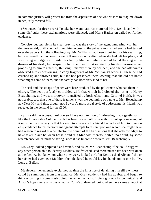in common justice, will protect me from the aspersions of one who wishes to drag me down in her justly merited fall.

 «Sentenced for three years! To take her examination!» muttered Mrs. Dench, and with some difficulty these exclamations were silenced, and Maria Hatherton called on for her evidence.

 Concise, but terrible in its clear brevity, was the story of the agent tampering with her, the nursemaid, until she had given him access to the private rooms, where he had turned over the papers. On the following day, Mr. Williams had been inquiring for his seal−ring, but she herself had not seen it again till some months after, when she had left her place, and was living in lodgings provided for her by Maddox, when she had found the ring in the drawer of his desk; her suspicion had then been first excited by his displeasure at her proposing to him to return it, thinking it merely there by accident, and she had afterwards observed him endeavouring to copy fragments of Mr. Williams's writing. These he had crushed up and thrown aside, but she had preserved them, owning that she did not know what might come of them, and the family had been very kind to her.

 The seal and the scraps of paper were here produced by the policeman who had them in charge. The seal perfectly coincided with that which had closed the letter to Harry Beauchamp, and was, moreover, identified by both Alison and Colonel Keith. It was noticeable, too, that one of these fragments was the beginning of a note to Mr. Beauchamp, as «Dear H.» and this, though not Edward's most usual style of addressing his friend, was repeated in the demand for the £300.

 «Sir,» said the accused, «of course I have no intention of intimating that a gentleman like the Honourable Colonel Keith has been in any collusion with this unhappy woman, but it must be obvious to you that his wish to exonerate his friend has induced him to give too easy credence to this person's malignant attempts to fasten upon one whom she might have had reason to regard as a benefactor the odium of the transactions that she acknowledges to have taken place between herself and this Maddox, thereto incited, no doubt, by some resemblance which must be strong, since it has likewise deceived Mr. Beauchamp.»

 Mr. Grey looked perplexed and vexed, and asked Mr. Beanchamp if he could suggest any other person able to identify Maddox. He frowned, said there must have been workmen at the factory, but knew not where they were, looked at Colin Keith, asked Alison if she or her sister had ever seen Maddox, then declared he could lay his hands on no one but Dr. Long at Belfast.

 Mauleverer vehemently exclaimed against the injustice of detaining him till a witness could be summoned from that distance. Mr. Grey evidently had his doubts, and began to think of calling in some fresh opinion whether he had sufficient grounds for committal, and Alison's hopes were only unstained by Colin's undaunted looks, when there came a knock at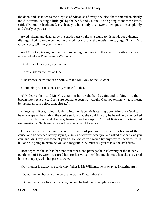the door, and, as much to the surprise of Alison as of every one else, there entered an elderly maid−servant, leading a little girl by the hand, and Colonel Keith going to meet the latter, said, «Do not be frightened, my dear, you have only to answer a few questions as plainly and clearly as you can.»

 Awed, silent, and dazzled by the sudden gas−light, she clung to his hand, but evidently distinguished no one else; and he placed her close to the magistrate saying, «This is Mr. Grey, Rose, tell him your name.»

 And Mr. Grey taking her hand and repeating the question, the clear little silvery voice answered, «I am Rose Ermine Williams.»

«And how old are you, my dear?»

«I was eight on the last of June.»

«She knows the nature of an oath?» asked Mr. Grey of the Colonel.

«Certainly, you can soon satisfy yourself of that.»

 «My dear,» then said Mr. Grey, taking her by the hand again, and looking into the brown intelligent eyes, «I am sure you have been well taught. Can you tell me what is meant by taking an oath before a magistrate?»

 «Yes,» said Rose, colour flushing into her face, «it is calling upon Almighty God to hear one speak the truth.» She spoke so low that she could hardly be heard, and she looked full of startled fear and distress, turning her face up to Colonel Keith with a terrified exclamation, «Oh please, why am I here, what am I to say?»

 He was sorry for her; but her manifest want of preparation was all in favour of the cause, and he soothed her by saying, «Only answer just what you are asked as clearly as you can, and Mr. Grey will soon let you go. He knows you would try any way to speak the truth, but as he is going to examine you as a magistrate, he must ask you to take the oath first.»

 Rose repeated the oath in her innocent tones, and perhaps their solemnity or the fatherly gentleness of Mr. Grey reassured her, for her voice trembled much less when she answered his next inquiry, who her parents were.

«My mother is dead,» she said; «my father is Mr Williams, he is away at Ekaterinburg.»

«Do you remember any time before he was at Ekaterinburg?»

«Oh yes; when we lived at Kensington, and he had the patent glass works.»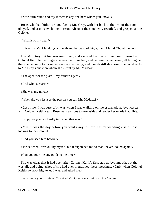«Now, turn round and say if there is any one here whom you know?»

 Rose, who had hitherto stood facing Mr. Grey, with her back to the rest of the room, obeyed, and at once exclaimed, «Aunt Alison,» then suddenly recoiled, and grasped at the Colonel.

«What is it, my dear?»

«It is – it is Mr. Maddox,» and with another gasp of fright, «and Maria! Oh, let me go.»

 But Mr. Grey put his arm round her, and assured her that no one could harm her, Colonel Keith let his fingers be very hard pinched, and her aunt came nearer, all telling her that she had only to make her answers distinctly; and though still shrinking, she could reply to Mr. Grey's question whom she meant by Mr. Maddox.

«The agent for the glass – my father's agent.»

«And who is Maria?»

«She was my nurse.»

«When did you last see the person you call Mr. Maddox?»

 «Last time, I was sure of it, was when I was walking on the esplanade at Avoncester with Colonel Keith,» said Rose, very anxious to turn aside and render her words inaudible.

«I suppose you can hardly tell when that was?»

 «Yes, it was the day before you went away to Lord Keith's wedding,» said Rose, looking to the Colonel.

«Had you seen him before?»

«Twice when I was out by myself, but it frightened me so that I never looked again.»

«Can you give me any guide to the time?»

 She was clear that it had been after Colonel Keith's first stay at Avonmouth, but that was all, and being asked if she had ever mentioned these meetings, «Only when Colonel Keith saw how frightened I was, and asked me.»

«Why were you frightened?» asked Mr. Grey, on a hint from the Colonel.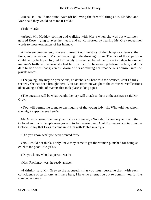«Because I could not quite leave off believing the dreadful things Mr. Maddox and Maria said they would do to me if I told.»

«Told what?»

 «About Mr. Maddox coming and walking with Maria when she was out with me,» gasped Rose, trying to avert her head, and not comforted by hearing Mr. Grey repeat her words to those tormentors of her infancy.

 A little encouragement, however, brought out the story of the phosphoric letters, the lions, and the vision of Maddox growling in the dressing−room. The date of the apparition could hardly be hoped for, but fortunately Rose remembered that it was two days before her mamma's birthday, because she had felt it so bard to be eaten up before the fete, and this date tallied with that given by Maria of her admitting her treacherous admirer into the private rooms.

 «The young lady may be precocious, no doubt, sir,» here said the accused, «but I hardly see why she has been brought here. You can attach no weight to the confused recollections of so young a child, of matters that took place so long ago.»

 «The question will be what weight the jury will attach to them at the assizes,» said Mr. Grey.

 «You will permit me to make one inquiry of the young lady, sir. Who told her whom she might expect to see here?»

 Mr. Grey repeated the query, and Rose answered, «Nobody; I knew my aunt and the Colonel and Lady Temple were gone in to Avoncester, and Aunt Ermine got a note from the Colonel to say that I was to come in to him with Tibbie in a fly.»

«Did you know what you were wanted for?»

 «No, I could not think. I only knew they came to get the woman punished for being so cruel to the poor little girls.»

«Do you know who that person was?»

«Mrs. Rawlins,» was the ready answer.

 «I think,» said Mr. Grey to the accused, «that you must perceive that, with such coincidence of testimony as I have here, I have no alternative but to commit you for the summer assizes.»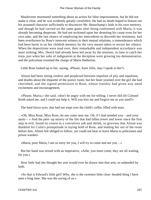Mauleverer murmured something about an action for false imprisonment, but he did not make it clear, and he was evidently greatly crestfallen. He had no doubt hoped to brazen out his assumed character sufficiently to disconcert Mr. Beauchamp's faith in his own memory, and though he had carried on the same game after being confronted with Maria, it was already becoming desperate. He had not reckoned upon her deserting his cause even for her own sake, and the last chance of employing her antecedents to discredit her testimony, had been overthrown by Rose's innocent witness to their mutual relations, a remembrance which had been burnt in on her childish memory by the very means taken to secure her silence. When the depositions were read over, their remarkable and independent accordance was most striking; Mrs. Dench had already been led away by the minister, in time to catch her train, just when her sobs of indignation at the deception were growing too demonstrative, and the policeman resumed the charge of Maria Hatherton.

Little Rose looked up to her, saying, «Please, Aunt Ailie, may I speak to her?»

 Alison had been sitting restless and perplexed between impulses of pity and repulsion, and doubts about the etiquette of the justice room; but her heart yearned over the girl she had cherished, and she signed permission to Rose, whose timidity had given way amid excitement and encouragement.

 «Please, Maria,» she said, «don't be angry with me for telling; I never did till Colonel Keith asked me, and I could not help it. Will you kiss me and forgive me as you used?»

The hard fierce eyes, that had not wept over the child's coffin, filled with tears.

 «Oh, Miss Rose, Miss Rose, do not come near me. Oh, if I had minded you – and your aunts – » And the pent−up misery of the life that had fallen lower and lower since the first step in evil, found its course in a convulsive sob and shriek, so grievous that Alison was thankful for Colin's promptitude in laying hold of Rose, and leading her out of the room before him. Alison felt obliged to follow, yet could not bear to leave Maria to policemen and prison warders.

«Maria, poor Maria, I am so sorry for you, I will try to come and see you  $-\infty$ 

 But her hand was seized with an imperative, «Ailie, you must come, they are all waiting for you.»

 How little had she thought her arm would ever be drawn into that arm, so unheeded by both.

 «So that is Edward's little girl! Why, she is the sweetest little clear−headed thing I have seen a long time. She was the saving of us.»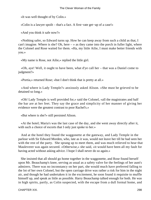«It was well thought of by Colin.»

«Colin is a lawyer spoilt – that's a fact. A first−rate get−up of a case!»

«And you think it safe now?»

 «Nothing safer, so Edward turns up. How he can keep away from such a child as that, I can't imagine. Where is she? Oh, here  $-\infty$  as they came into the porch in fuller light, where the Colonel and Rose waited for them. «Ha, my little Ailie, I must make better friends with you.»

«My name is Rose, not Ailie,» replied the little girl.

 «Oh, aye! Well, it ought to have been, what d'ye call her – that was a Daniel come to judgment?»

«Portia,» returned Rose; «but I don't think that is pretty at all.»

 «And where is Lady Temple?» anxiously asked Alison. «She must be grieved to be detained so long.»

 «Oh! Lady Temple is well provided for,» said the Colonel, «all the magistrates and half the bar are at her feet. They say the grace and simplicity of her manner of giving her evidence were the greatest contrast to poor Rachel's.»

«But where is she?» still persisted Alison.

 «At the hotel; Maria's was the last case of the day, and she went away directly after it, with such a choice of escorts that I only just spoke to her.»

 And at the hotel they found the waggonette at the gateway, and Lady Temple in the parlour with Sir Edward Morden, who, late as it was, would not leave her till he had seen her with the rest of the party. She sprang up to meet them, and was much relieved to hear that Mauleverer was again secured. «Otherwise,» she said, «it would have been all my fault for having acted without asking advice. I hope I shall never do so again.»

 She insisted that all should go home together in the waggonette, and Rose found herself upon Mr. Beauchamp's knee, serving as usual as a safety valve for the feelings of her aunt's admirers. There was no inconstancy on her part, she would much have preferred falling to the lot of her own Colonel, but the open carriage drive was rather a risk for him in the night air, and though he had undertaken it in the excitement, he soon found it requisite to muffle himself up, and speak as little as possible. Harry Beauchamp talked enough for both. He was in high spirits, partly, as Colin suspected, with the escape from a dull formal home, and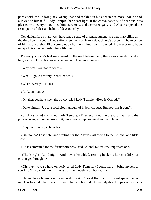partly with the undoing of a wrong that had rankled in his conscience more than he had allowed to himself. Lady Temple, her heart light at the convalescence of her sons, was pleased with everything, liked him extremely, and answered gaily; and Alison enjoyed the resumption of pleasant habits of days gone by.

 Yet, delightful as it all was, there was a sense of disenchantment: she was marvelling all the time how she could have suffered so much on Harry Beauchamp's account. The rejection of him had weighed like a stone upon her heart, but now it seemed like freedom to have escaped his companionship for a lifetime.

 Presently a horse's feet were heard on the road before them; there was a meeting and a halt, and Alick Keith's voice called out – «How has it gone?»

«Why, were you not in court?»

«What! I go to hear my friends baited!»

«Where were you then?»

«At Avonmouth.»

«Oh, then you have seen the boys,» cried Lady Temple. «How is Conrade?»

«Quite himself. Up to a prodigious amount of indoor croquet. But how has it gone?»

 «Such a shame!» returned Lady Temple. «They acquitted the dreadful man, and the poor woman, whom he drove to it, has a year's imprisonment and hard labour!»

«Acquitted! What, is he off?»

 «Oh, no, no! he is safe, and waiting for the Assizes, all owing to the Colonel and little Rose.»

«He is committed for the former offence,» said Colonel Keith; «the important one.»

 «That's right! Good night! And how,» he added, reining back his horse, «did your cousin get through it?»

 «Oh, they were so hard on her!» cried Lady Temple. «I could hardly bring myself to speak to Sir Edward after it! It was as if he thought it all her fault!»

 «Her evidence broke down completely,» said Colonel Keith. «Sir Edward spared her as much as he could; but the absurdity of her whole conduct was palpable. I hope she has had a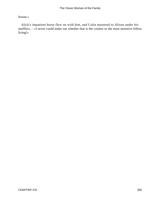### lesson.»

 Alick's impatient horse flew on with him, and Colin muttered to Alison under his mufflers, – «I never could make out whether that is the coolest or the most sensitive fellow living!»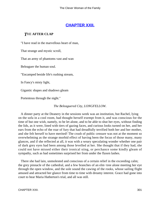# **[CHAPTER XXII.](#page-417-0)**

## *T*HE **AFTER CLAP**

"I have read in the marvellous heart of man,

That strange and mystic scroll,

That an army of phantoms vast and wan

Beleaguer the human soul.

"Encamped beside life's rushing stream,

In Fancy's misty light,

Gigantic shapes and shadows gleam

Portentous through the night."

#### *The Beleaguered City, LONGFELLOW.*

 A dinner party at the Deanery in the sessions week was an institution, but Rachel, lying on the sofa in a cool room, had thought herself exempt from it, and was conscious for the time of but one wish, namely, to be let alone, and to be able to shut her eyes, without finding the lids, as it were, lined with tiers of gazing faces, and curious looks turned on her, and her ears from the echo of the roar of fury that had dreadfully terrified both her and her mother, and she felt herself to have merited! The crush of public censure was not at the moment so overwhelming as the strange morbid effect of having been the focus of those many, many glances, and if she reflected at all, it was with a weary speculating wonder whether one pair of dark grey eyes had been among those levelled at her. She thought that if they had, she could not have missed either their ironical sting, or perchance some kindly gleam of sympathy, such as had sometimes surprised her from under the flaxen lashes.

 There she had lain, unmolested and conscious of a certain relief in the exceeding calm; the grey pinnacle of the cathedral, and a few branches of an elm−tree alone meeting her eye through the open window, and the sole sound the cawing of the rooks, whose sailing flight amused and attracted her glance from time to time with dreamy interest. Grace had gone into court to hear Maria Hatherton's trial, and all was still.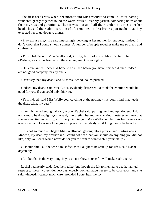The first break was when her mother and Miss Wellwood came in, after having wandered gently together round the warm, walled Deanery garden, comparing notes about their myrtles and geraniums. Then it was that amid all their tender inquiries after her headache, and their administration of afternoon tea, it first broke upon Rachel that they expected her to go down to dinner.

 «Pray excuse me,» she said imploringly, looking at her mother for support, «indeed, I don't know that I could sit out a dinner! A number of people together make me so dizzy and confused.»

 «Poor child!» said Miss Wellwood, kindly, but looking to Mrs. Curtis in her turn. «Perhaps, as she has been so ill, the evening might be enough.»

 «Oh,» exclaimed Rachel, «I hope to be in bed before you have finished dinner. Indeed I am not good company for any one.»

«Don't say that, my dear,» and Miss Wellwood looked puzzled.

 «Indeed, my dear,» said Mrs. Curtis, evidently distressed, «I think the exertion would be good for you, if you could only think so.»

 «Yes, indeed, said Miss Wellwood, catching at the notion; »it is your mind that needs the distraction, my dear."

 «I am distracted enough already,» poor Rachel said, putting her hand up. «Indeed, I do not want to be disobliging,» she said, interpreting her mother's anxious gestures to mean that she was wanting in civility; «it is very kind in you, Miss Wellwood, but this has been a very trying day, and I am sure I can give no pleasure to anybody, so if I might only be let off.»

 «It is not so much – » began Miss Wellwood, getting into a puzzle, and starting afresh. «Indeed, my dear, my brother and I could not bear that you should do anything you did not like, only you see it would never do for you to seem to want to shut yourself up.»

 «I should think all the world must feel as if I ought to be shut up for life,» said Rachel, dejectedly.

«Ah! but that is the very thing. If you do not show yourself it will make such a talk.»

 Rachel had nearly said, «Let them talk;» but though she felt tormented to death, habitual respect to these two gentle, nervous, elderly women made her try to be courteous, and she said, «Indeed, I cannot much care, provided I don't hear them.»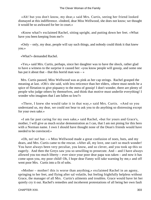«Ah! but you don't know, my dear,» said Mrs. Curtis, seeing her friend looked dismayed at this indifference. «Indeed, dear Miss Wellwood, she does not know; we thought it would be so awkward for her in court.»

 «Know what?» exclaimed Rachel, sitting upright, and putting down her feet. «What have you been keeping from me?»

 «Only – only, my dear, people will say such things, and nobody could think it that knew you.»

«What?» demanded Rachel.

 «Yes,» said Mrs. Curtis, perhaps, since her daughter was to have the shock, rather glad to have a witness to the surprise it caused her: «you know people will gossip, and some one has put it about that – that this horrid man was –  $\gg$ 

 Mrs. Curtis paused, Miss Wellwood was as pink as her cap strings. Rachel grasped the meaning at last. «Oh!» she said, with less reticence than her elders, «there must needs be a spice of flirtation to give piquancy to the mess of gossip! I don't wonder, there are plenty of people who judge others by themselves, and think that motive must underlie everything! I wonder who imagines that I am fallen so low?»

 «There, I knew she would take it in that way,» said Mrs. Curtis. «And so you understand us, my dear, we could not bear to ask you to do anything so distressing except for your own sake.»

 «I am far past caring for my own sake,» said Rachel, «but for yours and Grace's, mother, I will give as much ocular demonstration as I can, that I am not pining for this hero with a Norman name. I own I should have thought none of the Dean's friends would have needed to be convinced.»

«Oh, no! no! but  $-$  » Miss Wellwood made a great confusion of noes, buts, and my dears, and Mrs. Curtis came to the rescue. «After all, my love, one can't so much wonder! You have always been very peculiar, you know, and so clever, and you took up this so eagerly. And then the Greys saw you so unwilling to prosecute. And – and I have always allowed you too much liberty – ever since your poor dear papa was taken – and now it has come upon you, my poor child! Oh, I hope dear Fanny will take warning by me,» and off went poor Mrs. Curtis into a fit of sobs.

 «Mother – mother! this is worse than anything,» exclaimed Rachel in an agony, springing to her feet, and flying after sal volatile, but feeling frightfully helpless without Grace, the manager of all Mrs. Curtis's ailments and troubles. Grace would have let her quietly cry it out. Rachel's remedies and incoherent protestations of all being her own fault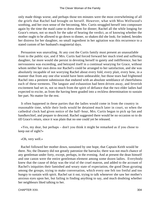only made things worse, and perhaps those ten minutes were the most overwhelming of all the griefs that Rachel had brought on herself. However, what with Miss Wellwood's soothing, and her own sense of the becoming, Mrs. Curtis struggled herself into composure again by the time the maid came to dress them for dinner; Rachel all the while longing for Grace's return, not so much for the sake of hearing the verdict, as of knowing whether the mother ought to be allowed to go down to dinner, so shaken did she look; for indeed, besides her distress for her daughter, no small ingredient in her agitation was this recurrence to a stated custom of her husband's magisterial days.

 Persuasion was unavailing. At any cost the Curtis family must present an unassailable front to the public eye, and if Mrs. Curtis had forced forward her much tried and suffering daughter, far more would she persist in devoting herself to gaiety and indifference, but her nervousness was exceeding, and betrayed itself in a continual wearying for Grace, without whom neither her own dress nor Rachel's could be arranged to her satisfaction, and she was absolutely incapable of not worrying Rachel about every fold, every plait, every bow, in a manner that from any one else would have been unbearable; but those tears had frightened Rachel into a penitent submission that endured with an absolute semblance of cheerfulness each of these torments. The languor and exhaustion had been driven away, and feverish excitement had set in, not so much from the spirit of defiance that the two elder ladies had expected to excite, as from the having been goaded into a reckless determination to sustain her part. No matter for the rest.

 It often happened in these parties that the ladies would come in from the country in reasonable time, while their lords would be detained much later in court, so when the cathedral clock had given notice of the half−hour, Mrs. Curtis began to pick up fan and handkerchief, and prepare to descend. Rachel suggested there would be no occasion so to do till Grace's return, since it was plain that no one could yet be released.

 «Yes, my dear, but perhaps – don't you think it might be remarked as if you chose to keep out of sight?»

«Oh, very well.»

 Rachel followed her mother down, sustained by one hope, that Captain Keith would be there. No; the Deanery did not greatly patronize the barracks; there was not much chance of any gentleman under forty, except, perhaps, in the evening. And at present the dean himself and one canon were the entire gentleman element among some dozen ladies. Everybody knew that the cause of delay was the trial of the cruel matron, and added to the account of Rachel's iniquities their famished and weary state of expectation, the good Dean gyrating among the groups, trying to make conversation, which every one felt too fretful and too hungry to sustain with spirit. Rachel sat it out, trying to talk whenever she saw her mother's anxious eyes upon her, but failing in finding anything to say, and much doubting whether her neighbours liked talking to her.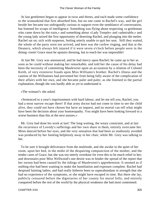At last gentlemen began to appear in twos and threes, and each made some confidence to the womankind that first absorbed him, but no one came in Rachel's way, and the girl beside her became too unfeignedly curious to support even the semblance of conversation, but listened for scraps of intelligence. Something was flying about respecting «a gentleman who came down by the train,» and something about «Lady Temple» and «admirable,» and the young lady seized the first opportunity of deserting Rachel, and plunging into the melee. Rachel sat on, sick with suspense, feeling utterly unable to quit her seat. Still they waited, the whole of the party were not arrived, and here was the curfew ringing, and that at the Deanery, which always felt injured if it were seven o'clock before people were in the dining−room! Grace must be upstairs dressing, but to reach her was impossible!

 At last Mr. Grey was announced, and he had mercy upon Rachel; he came up to her as soon as he could without making her remarkable, and told her the cause of his delay had been the necessity of committing Mauleverer upon an accusation by a relation of Colonel Keith, of very extensive frauds upon Miss Williams's brother. Rachel's illness and the caution of the Williamses had prevented her from being fully aware of the complication of their affairs with her own, and she became paler and paler, as she listened to the partial explanation, though she was hardly able as yet to understand it.

«The woman?» she asked.

 «Sentenced to a year's imprisonment with hard labour, and let me tell you, Rachel, you had a most narrow escape there! If that army doctor had not come in time to see the child alive, they could not have chosen but have an inquest, and no mortal can tell what might have been the decision about your homoeopathy. You might have been looking forward to a worse business than this at the next assizes.»

 Mr. Grey had done his work at last! The long waiting, the weary constraint, and at last the recurrence of Lovedy's sufferings and her own share in them, entirely overcame her. Mists danced before her eyes, and the very sensation that had been so studiously avoided was produced by her fainting helplessly away in her chair, while Mr. Grey was talking to her.

 To be sure it brought deliverance from the multitude, and she awoke in the quiet of her room, upon her bed, in the midst of the despairing compunction of the mother, and the tender cares of Grace, but she was too utterly overdone for even this to be much relief to her; and downstairs poor Miss Wellwood's one desire was to hinder the spread of the report that her swoon had been caused by the tidings of Mauleverer's apprehension. It seemed as if nothing else had been wanting to make the humiliation and exposure complete. Rachel had despised fainting ladies, and had really hitherto been so superabundant in strength that she had no experience of the symptoms, or she might have escaped in time. But there she lay, publicly censured before the dignitaries of her county for moral folly, and entirely conquered before the rest of the world by the physical weakness she had most contemned.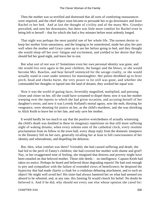Then the mother was so terrified and distressed that all sorts of comforting reassurances were required, and the chief object soon became to persuade her to go downstairs and leave Rachel to her bed. And at last the thought of civility and of the many Mrs. Grundys prevailed, and sent her downstairs, but there was little more comfort for Rachel even in being left to herself – that for which she had a few minutes before most ardently longed.

 That night was perhaps the most painful one of her whole life. The earnest desire to keep her mother from uneasiness, and the longing to be unmolested, made her play her part well when the mother and Grace came up to see her before going to bed, and they thought she would sleep off her over−fatigue and excitement, and yielded to her desire that they should bid her good night, and leave her to rest.

 But what sort of rest was it? Sometimes even her own personal identity was gone, and she would live over again in the poor children, the hunger and the blows, or she would become Mrs. Rawlins, and hear herself sentenced for the savage cruelty, or she would actually stand in court under sentence for manslaughter. Her pulses throbbed up to fever pitch, head and cheeks burnt, the very power to lie still was gone, and whether she commanded her thoughts or lapsed into the land of dreams, they worked her equal woe.

 Now it was the world of gazing faces, feverishly magnified, multiplied, and pressing closer and closer on her, till she could have screamed to dispel them; now it was her mother weeping over the reports to which she had given occasion, and accusing herself of her daughter's errors; and now it was Lovedy Kelland's mortal agony, now the mob, thirsting for vengeance, were shouting for justice on her, as the child's murderer, and she was shrieking to Alick Keith to leave her to her fate, and only save her mother.

 It would hardly be too much to say that the positive wretchedness of actually witnessing the child's death was doubled in these its imaginary repetitions on that still more suffering night of waking dreams, when every solemn note of the cathedral clock, every resolute proclamation from its fellow in the town hall, every sharp reply from the domestic timepiece in the Deanery fell on her ears, generally recalling her at least to full consciousness of her identity and whereabouts, and dispelling the delusion.

 But, then, what comfort was there? Veritably she had caused suffering and death; she had led to the peril of Fanny's children; she had covered her mother with shame and grief! Nay, in her exaggerated tone of feeling, she imagined that distress and poverty might have been entailed on that beloved mother. Those title deeds – no intelligence. Captain Keith had taken no notice. Perhaps he heard and believed those degrading reports! He had soul enough to pity and sympathize with the failure of extended views of beneficence; he despised the hypocrisy that had made charity a cloak for a credulous debasing attachment, and to such an object! He might well avoid her! His sister had always bantered her on what had seemed too absurd to be rebutted, and, at any rate, this fainting fit would clench his belief. No doubt he believed it. And if he did, why should not every one else whose opinion she cared for: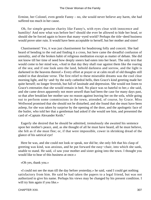Ermine, her Colonel, even gentle Fanny – no, she would never believe any harm, she had suffered too much in her cause.

 Oh, for simple genuine charity like Fanny's, with eyes clear with innocence and humility! And now what was before her? should she ever be allowed to hide her head, or should she be forced again to brave that many−eyed world? Perhaps the title−deed business would prove utter ruin. It would have been acceptable to herself, but her mother and sister!

 Chastisement! Yes, it was just chastisement for headstrong folly and conceit. She had heard of bending to the rod and finding it a cross, but here came the dreadful confusion of unreality, and of the broken habit of religious meditation except as matter of debate. She did not know till her time of need how deeply sneers had eaten into her heart. The only text that would come to her mind was, «And in that day they shall roar against them like the roaring of the sea; and if one look unto the land, behold darkness and sorrow, and the light is darkened in the heavens thereof.» Every effort at prayer or at calm recall of old thoughts still ended in that desolate verse. The first relief to these miserable dreams was the cool clear morning light, and by−and−by the early cathedral bells, then Grace's kind greeting made her quite herself; no longer feverish, but full of lassitude and depression. She would not listen to Grace's entreaties that she would remain in bed. No place was so hateful to her,« she said, and she came down apparently not more unwell than had been the case for many days past, so that after breakfast her mother saw no reason against leaving her on the sofa, while going out to perform some commissions in the town, attended, of course, by Grace. Miss Wellwood promised that she should not be disturbed, and she found that she must have been asleep, for she was taken by surprise by the opening of the door, and the apologetic face of the butler, who told her that a gentleman had asked if she would see him, and presented the card of »Captain Alexander Keith."

 Eagerly she desired that he should be admitted, tremulously she awaited his sentence upon her mother's peace, and, as she thought of all he must have heard, all he must believe, she felt as if she must flee; or, if that were impossible, cower in shrinking dread of the glance of his satirical eye!

 Here he was, and she could not look or speak, nor did he; she only felt that his clasp of greeting was kind, was anxious, and he put forward the easy−chair, into which she sank, unable to stand. He said, «I saw your mother and sister going into the town. I thought you would like to hear of this business at once.»

«Oh yes, thank you.»

 «I could not see the man till the day before yesterday,» he said, «and I could get nothing satisfactory from him. He said he had taken the papers to a legal friend, but was not authorized to give his name. Perhaps his views may be changed by his present condition. I will try him again if you like.»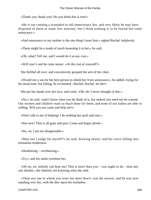«Thank you, thank you! Do you think this is true!»

 «He is too cunning a scoundrel to tell unnecessary lies, and very likely he may have disposed of them to some Jew attorney; but I think nothing is to be feared but some annoyance.»

«And annoyance to my mother is the one thing I most fear,» sighed Rachel, helplessly.

«There might be a mode of much lessening it to her,» he said.

«Oh, what? Tell me, and I would do it at any cost.»

«Will you?» and he came nearer. «At the cost of yourself?»

She thrilled all over, and convulsively grasped the arm of her chair.

 «Would not a son be the best person to shield her from annoyance,» he added, trying for his usual tone, but failing, he exclaimed, «Rachel, Rachel, let me!»

She put her hands over her face, and cried, «Oh! oh! I never thought of this.»

 «No,» he said, «and I know what you do think of it, but indeed you need not be wasted. Our women and children want so much done for them, and none of our ladies are able or willing. Will you not come and help me?»

«Don't talk to me of helping! I do nothing but spoil and ruin.»

«Not now! That is all gone and past. Come and begin afresh.»

«No, no, I am too disagreeable.»

 «May not I judge for myself?» he said, drawing nearer, and his voice falling into tremulous tenderness.

«Headstrong – overbearing.»

«Try,» and his smile overbore her.

 «Oh no, no, nobody can bear me! This is more than you – you ought to do – than any one should,» she faltered, not knowing what she said.

 «Than any one to whom you were not most dear!» was the answer, and he was now standing over her, with the dew upon his eyelashes.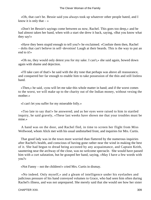«Oh, that can't be. Bessie said you always took up whatever other people hated, and I know it is only that  $-\infty$ 

 «Don't let Bessie's sayings come between us now, Rachel. This goes too deep,» and he had almost taken her hand, when with a start she drew it back, saying, «But you know what they say!»

 «Have they been stupid enough to tell you?» he exclaimed. «Confute them then, Rachel – dolts that can't believe in self−devotion! Laugh at their beards. This is the way to put an end to it!»

 «Oh no, they would only detest you for my sake. I can't,» she said again, bowed down again with shame and dejection.

 «I'll take care of that!» he said with the dry tone that perhaps was above all reassurance, and conquered her far enough to enable him to take possession of the thin and still listless hand.

 «Then,» he said, «you will let me take this whole matter in hand; and if the worst comes to the worst, we will make up to the charity out of the Indian money, without vexing the mother.»

«I can't let you suffer for my miserable folly.»

 «Too late to say that!» he answered; and as her eyes were raised to him in startled inquiry, he said gravely, «These last weeks have shown me that your troubles must be mine.»

 A hand was on the door, and Rachel fled, in time to screen her flight from Miss Wellwood, whom Alick met with his usual undisturbed front, and inquiries for Mrs. Curtis.

 That good lady was in the town more worried than flattered by the numerous inquiries after Rachel's health, and conscious of having gone rather near the wind in making the best of it. She had begun to dread being accosted by any acquaintance, and Captain Keith, sauntering near the archway of the close, was no welcome spectacle. She would have passed him with a curt salutation, but he grasped her hand, saying, «May I have a few words with you?»

«Not Fanny – not the children!» cried Mrs. Curtis in dismay.

 «No indeed. Only myself,» and a gleam of intelligence under his eyelashes and judicious pressure of his hand conveyed volumes to Grace, who had seen him often during Rachel's illness, and was not unprepared. She merely said that she would see how her sister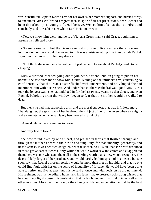was, substituted Captain Keith's arm for her own as her mother's support, and hurried away, to encounter Miss Wellwood's regrets that, in spite of all her precautions, dear Rachel had been disturbed by «a young officer, I believe. We see him often at the cathedral, and somebody said it was his sister whom Lord Keith married.»

 «Yes, we know him well, and he is a Victoria Cross man,» said Grace, beginning to assume his reflected glory.

 «So some one said, but the Dean never calls on the officers unless there is some introduction, or there would be no end to it. It was a mistake letting him in to disturb Rachel. Is your mother gone up to her, my dear?»

 «No, I think she is in the cathedral yard. I just came in to see about Rachel,» said Grace, escaping.

 Miss Wellwood intended going out to join her old friend; but, on going to put on her bonnet, she saw from the window Mrs. Curtis, leaning on the intruder's arm, conversing so confidentially that the Dean's sister flushed with amazement, and only hoped she had mentioned him with due respect. And under that southern cathedral wall good Mrs. Curtis took the longest walk she had indulged in for the last twenty years, so that Grace, and even Rachel, beholding from the window, began to fear that the mother would be walked to death.

 But then she had that supporting arm, and the moral support, that was infinitely more! That daughter, the spoilt pet of her husband, the subject of her pride, even when an enigma and an anxiety, whom she had lately been forced to think of as

"A maid whom there were few to praise

And very few to love,"

 she now found loved by one at least, and praised in terms that thrilled through and through the mother's heart in their truth and simplicity, for that sincerity, generosity, and unselfishness. It was her own daughter, her real Rachel, no illusion, that she heard described in those grave earnest words, only while the whole world saw the errors and exaggerated them, here was one who sank them all in the sterling worth that so few would recognise. The dear old lady forgot all her prudence, and would hardly let him speak of his means; but she soon saw that Rachel's present portion would be more than met on his side, and that no one could find fault with her on the score of inequality of fortune. He would have been quite able to retire, and live at ease, but this he said at once and with decision he did not intend. His regiment was his hereditary home, and his father had expressed such strong wishes that he should not lightly desert his profession, that he felt bound to it by filial duty as well as by other motives. Moreover, he thought the change of life and occupation would be the best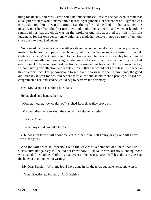thing for Rachel, and Mrs. Curtis could not but acquiesce, little as she had even dreamt that a daughter of hers would marry into a marching regiment! Her surrender of judgment was curiously complete. «Dear Alexinder,» as thenceforth she called him had assumed the mastery over her from the first turn they took under the cathedral, and when at length he reminded her that the clock was on the stroke of one, she accepted it on his infallible judgment, for her own sensations would have made her believe it not a quarter of an hour since the interview had begun.

 Not a word had been granted on either side to the conventional vows of secrecy, always made to be broken, and perhaps each tacitly felt that the less secrecy the better for Rachel. Certain it is that Mrs. Curtis went into the Deanery with her head considerably higher, kissed Rachel vehemently, and, assuring her she knew all about it, and was happier than she had ever thought to be again, excused her from appearing at luncheon, and hurried down thereto, without giving any attention to a feeble entreaty that she would not go so fast. And when at three o'clock Rachel crept downstairs to get into the carriage for her return home, the good old Dean lay in wait for her, told her she must allow him an old friend's privilege, kissed her, congratulated her, and said he would beg to perform the ceremony.

«Oh, Mr. Dean, it is nothing like that.»

He laughed, and handed her in.

«Mother, mother, how could you?» sighed Rachel, as they drove on.

«My dear, they were so kind; they could not help knowing!»

«But it can't be.»

«Rachel, my child, you like him!»

 «He does not know half about me yet. Mother, don't tell Fanny or any one till I have seen him again.»

 And the voice was so imperious with the wayward vehemence of illness that Mrs. Curtis durst not gainsay it. She did not know how Alick Keith was already silencing those who asked if he had heard of the great event at the Dean's party. Still less did she guess at the letter at that moment in writing: –

"My Dear Bessie, – Wish me joy. I have gone in for the uncroquetable lawn, and won it.

– Your affectionate brother', «A. C. Keith.»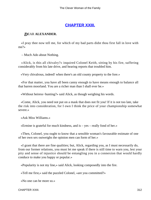# **[CHAPTER XXIII.](#page-417-0)**

## *D*EAR **ALEXANDER.**

 «I pray thee now tell me, for which of my bad parts didst thou first fall in love with me?»

– Much Ado about Nothing.

 «Alick, is this all chivalry?» inquired Colonel Keith, sitting by his fire, suffering considerably from his late drive, and hearing reports that troubled him.

«Very chivalrous, indeed! when there's an old county property to the fore.»

 «For that matter, you have all been canny enough to have means enough to balance all that barren moorland. You are a richer man than I shall ever be.»

«Without heiress−hunting?» said Alick, as though weighing his words.

 «Come, Alick, you need not put on a mask that does not fit you! If it is not too late, take the risk into consideration, for I own I think the price of your championship somewhat severe.»

«Ask Miss Williams.»

«Ermine is grateful for much kindness, and is – yes – really fond of her.»

 «Then, Colonel, you ought to know that a sensible woman's favourable estimate of one of her own sex outweighs the opinion men can form of her.»

 «I grant that there are fine qualities; but, Alick, regarding you, as I must necessarily do, from our former relations, you must let me speak if there is still time to warn you, lest your pity and sense of injustice should be entangling you in a connexion that would hardly conduce to make you happy or popular.»

«Popularity is not my line,» said Alick, looking composedly into the fire.

«Tell me first,» said the puzzled Colonel, «are you committed?»

«No one can be more so.»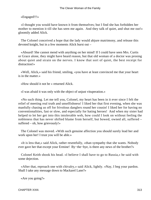### «Engaged!!!»

 «I thought you would have known it from themselves; but I find she has forbidden her mother to mention it till she has seen me again. And they talk of quiet, and shut me out!» gloomily added Alick.

 The Colonel conceived a hope that the lady would abjure matrimony, and release this devoted knight, but in a few moments Alick burst out –

 «Absurd! She cannot mend with anything on her mind! If I could have seen Mrs. Curtis or Grace alone, they might have heard reason, but that old woman of a doctor was prosing about quiet and strain on the nerves. I know that sort of quiet, the best receipt for distraction!»

 «Well, Alick,» said his friend, smiling, «you have at least convinced me that your heart is in the matter.»

«How should it not be » returned Alick.

«I was afraid it was only with the object of unjust vituperation.»

 «No such thing. Let me tell you, Colonel, my heart has been in it ever since I felt the relief of meeting real truth and unselfishness! I liked her that first evening, when she was manfully chasing us off for frivolous danglers round her cousin! I liked her for having no conventionalities, fast or slow, and especially for hating heroes! And when my sister had helped to let her get into this intolerable web, how could I look on without feeling the nobleness that has never shifted blame from herself, but bowed, owned all, suffered – suffered – oh, how grievously!»

 The Colonel was moved. «With such genuine affection you should surely lead her and work upon her! I trust you will be able.»

 «It is less that,» said Alick, rather resentfully, «than sympathy that she wants. Nobody ever gave her that except your Ermine! By−the−bye, is there any news of the brother?»

 Colonel Keith shook his head. «I believe I shall have to go to Russia,» he said with some dejection.

 «After that, reproach one with chivalry,» said Alick, lightly. «Nay, I beg your pardon. Shall I take any message down to Mackarel Lane?»

«Are you going?»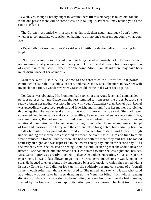«Well, yes, though I hardly ought to venture there till this embargo is taken off; for she is the one person there will be some pleasure in talking to. Perhaps I may reckon you as the same in effect.»

 The Colonel responded with a less cheerful look than usual, adding, «I don't know whether to congratulate you, Alick, on having to ask no one's consent but your own at your age.»

 «Especially not my guardian's!» said Alick, with the desired effect of making him laugh.

 «No, if you were my son, I would not interfere,» he added gravely. «I only feared your not knowing what you were about. I see you do know it, and it merely becomes a question of every man to his taste – except for one point, Alick. I am afraid there may have been much disturbance of her opinions.»

 «Surface work,» said Alick, «some of the effects of the literature that paints contradiction as truth. It is only skin deep, and makes me wish all the more to have her with my uncle for a time. I wonder whether Grace would let me in if I went back again!»

 No, Grace was obdurate. Mr. Frampton had spoken of a nervous fever, and commanded perfect quiescence; and Grace was the less tempted to transgress the order, because she really thought her mother was more in love with «dear Alexander» than Rachel was. Rachel was exceedingly depressed, restless, and feverish, and shrank from her mother's rejoicing, declaring that she was mistaken, and that nothing more must be said. She had never consented, and he must not make such a sacrifice; he would not when he knew better. Nay, in some moods, Rachel seemed to think even the undefined result of the interview an additional humiliation, and to feel herself falling, if not fallen, from her supreme contempt of love and marriage. The hurry, and the consent taken for granted, had certainly been no small elements in her present disturbed and overwhelmed state; and Grace, though understanding the motive, was disposed to resent the over−haste. Calm and time to think were promised to Rachel, but the more she had of both the more they hurt her. She tossed restlessly all night, and was depressed to the lowest ebb by day; but on the second day, ill as she evidently was, she insisted on seeing Captain Keith, declaring that she should never be better till she had made him understand her. Her nurses saw that she was right; and, besides, Mrs. Curtis's pity was greatly touched by dear Alexander's entreaties. So, as a desperate experiment, he was at last allowed to go into the dressing−room, where she was lying on the sofa. He begged to enter alone, only announced by a soft knock, to which she replied with a listless «Come in,» and did not look up till she suddenly became conscious of a footfall firmer though softer than those she was used to. She turned, and saw who it was who stood at a window opposite to her feet, drawing up the Venetian blind, from whose teasing divisions of glare and shade she had been hiding her eyes from the time she had come in, fretted by the low continuous tap of its laths upon the shutters. Her first involuntary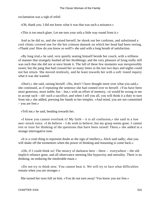exclamation was a sigh of relief.

«Oh, thank you. I did not know what it was that was such a nuisance.»

«This is too much glare. Let me turn your sofa a little way round from it.»

 And as he did so, and she raised herself, he shook out her cushions, and substituted a cool chintz covered one for the hot crimson damask on which her head had been resting. «Thank you! How do you know so well?» she said with a long breath of satisfaction.

 «By long trial,» he said, very quietly seating himself beside her couch, with a stillness of manner that strangely hushed all her throbbings; and the very pleasure of lying really still was such that she did not at once break it. The lull of these few moments was inexpressibly sweet, but the pang that had crossed her so many times in the last two days and nights could not but return. She moved restlessly, and he leant towards her with a soft−toned inquiry what it was she wanted.

 «Don't,» she said, raising herself. «No, don't! I have thought more over what you said,» she continued, as if repeating the sentence she had conned over to herself. «You have been most generous, most noble; but – but,» with an effort of memory, «it would be wrong in me to accept such – oh! such a sacrifice; and when I tell you all, you will think it a duty to turn from me,» she added, pressing her hands to her temples. «And mind, you are not committed – you are free.»

«Tell me,» he said, bending towards her.

 «I know you cannot overlook it! My faith – it is all confusion,» she said in a low awe−struck voice. «I do believe – I do wish to believe; but my grasp seems gone. I cannot rest or trust for thinking of the questions that have been raised! There,» she added in a strange interrogative tone.

 «It is a cruel thing to represent doubt as the sign of intellect,» Alick said sadly; «but you will shake off the tormentors when the power of thinking and reasoning is come back.»

 «Oh, if I could think so! The misery of darkness here – there – everywhere – the old implicit reliance gone, and all observance seeming like hypocrisy and unreality. There is no thinking, no enduring the intolerable maze.»

 «Do not try to think now. You cannot bear it. We will try to face what difficulties remain when you are stronger.»

She turned her eyes full on him. «You do not turn away! You know you are free.»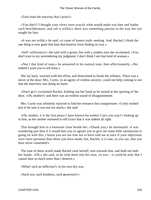«Turn from the sincerity that I prize?»

 «You don't? I thought your views were exactly what would make you hate and loathe such bewilderment, and call it wilful;» there was something piteous in the way her eye sought his face.

 «It was not wilful,» he said; «it came of honest truth−seeking. And, Rachel, I think the one thing is now gone that kept that honesty from finding its way.»

 «Self−sufficiency!» she said with a groan; but with a sudden turn she exclaimed, «You don't trust to my surrendering my judgment. I don't think I am that kind of woman.»

 «Nor I that kind of man,» he answered in his natural tone; then affectionately, «No, indeed I want you to aid mine.»

 She lay back, wearied with the effort, and disinclined to break the stillness. There was a move at the door; Mrs. Curtis, in an agony of restless anxiety, could not help coming to see that the interview was doing no harm.

 «Don't go!» exclaimed Rachel, holding out her hand as he turned at the opening of the door. «Oh, mother!» and there was an evident sound of disappointment.

 Mrs. Curtis was infinitely rejoiced to find her entrance thus inopportune. «I only wished just to be sure it was not too much,» she said.

 «Oh, mother, it is the first peace I have known for weeks! Can't you stay?» looking up to him, as her mother retreated to tell Grace that it was indeed all right.

 This brought him to a footstool close beside her. «Thank you,» he murmured. «I was wondering just then if it would hurt you or agitate you to give me some little satisfaction in going on with this. I know you are too true not to have told me at once if your objections were more personal than those you have made; but, Rachel, it is true, as you say, that you have never consented!»

 The tone of these words made Rachel raise herself, turn towards him, and hold out both her hands. «Oh,» she said, as he took them into his own, «it was – it could be only that I cannot bear so much more than I deserve.»

«What! such an infliction?» in his own dry way.

«Such rest, such kindness, such generosity!»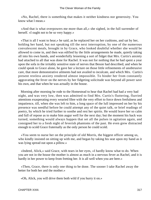«No, Rachel, there is something that makes it neither kindness nor generosity. You know what I mean.»

 «And that is what overpowers me more than all,» she sighed, in the full surrender of herself. «I ought not to be so very happy.»

 «That is all I want to hear,» he said, as he replaced her on her cushions, and sat by her, holding her hand, but not speaking till the next interruption, by one of the numerous convalescent meals, brought in by Grace, who looked doubtful whether she would be allowed to come in, and then was edified by the little arrangements he made, quietly taking all into his own hands, and wonderfully lessening a sort of fidget that Mrs. Curtis's anxiety had attached to all that was done for Rachel. It was not for nothing that he had spent a year upon the sofa in the irritably sensitive state of nerves that Bessie had described; and when he could speak to Grace alone, he gave her a lecture on those little refinements of unobtrusive care, that more demonstrative ailments had not availed to inculcate, and which Mrs. Curtis's present restless anxiety rendered almost impossible. To hinder her from constantly aggravating the fever on the nerves by her fidgeting solicitude was beyond all power save his own, and that when he was actually in the house.

 Morning after morning he rode to the Homestead to hear that Rachel had had a very bad night, and was very low, then was admitted to find Mrs. Curtis's fluttering, flurried attentions exasperating every wearied fibre with the very effort to force down fretfulness and impatience, till, when she was left to him, a long space of the lull impressed on her by his presence was needful before he could attempt any of the quiet talk, or brief readings of poetry, by which he tried further to soothe and rest her spirits. He would leave her so calm and full of repose as to make him augur well for the next day; but the moment his back was turned, something would always happen that set all the pulses in agitation again, and consigned her to a fresh night of feverish phantoms of the past. He even grew distracted enough to scold Grace fraternally as the only person he could scold.

 «You seem to nurse her on the principle of old Morris, the biggest officer among us, who kindly insisted on sitting up with me, and began by taking his seat upon my hand as it was lying spread out upon a pillow.»

 «Indeed, Alick,» said Grace, with tears in her eyes, «I hardly know what to do. When you are not in the house the mother is almost as much in a nervous fever as Rachel, and it is hardly in her power to keep from fretting her. It is all well when you are here.»

 «Then, Grace, there is only one thing to be done. The sooner I take Rachel away the better for both her and the mother.»

«Oh, Alick, you will drive them both wild if you hurry it on.»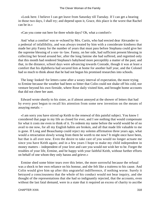«Look here. I believe I can get leave from Saturday till Tuesday. If I can get a hearing in those two days, I shall try; and depend upon it, Grace, this place is the worst that Rachel can be in.»

«Can you come out here for three whole days? Oh, what a comfort!»

 And 'what a comfort' was re−echoed by Mrs. Curtis, who had erected dear Alexander to a pedestal of infallibility, and was always treated by him with a considerate kindness that made her pity Fanny for the number of years that must pass before Stephana could give her the supreme blessing of a son−in−law. Fanny, on her side, had sufficient present blessing in collecting her brood around her, after the long famine she had suffered, and regretted only that this month had rendered Stephana's babyhood more perceptibly a matter of the past; and that, in the distance, school days were advancing towards Conrade, though it was at least a comfort that his diphtheria had secured him at home for another half year, and the Colonel had so much to think about that he had not begun his promised researches into schools.

The long–looked–for letters came after a weary interval of expectation, the more trying to Ermine because the weather had been so bitter that Colin could not shake off his cold, nor venture beyond his own fireside, where Rose daily visited him, and brought home accounts that did not cheer her aunt.

 Edward wrote shortly to his sister, as if almost annoyed at the shower of letters that had by every post begun to recall his attention from some new invention on the means of assaying metals: –

 «I am sorry you have stirred up Keith to the renewal of this painful subject. You know I considered that page in my life as closed for ever, and I see nothing that would compensate for what it costs me even to think of it. To redeem my name before the world would be of no avail to me now, for all my English habits are broken, and all that made life valuable to me is gone. If Long and Beauchamp could reject my solemn affirmation three years ago, what would a retractation slowly wrung from them be worth to me now? It might once have been, but that is all over now. Even the desire to take care of you would no longer actuate me since you have Keith again; and in a few years I hope to make my child independent in money matters – independent of your love and care you would not wish her to be. Forget the troubles of your life, Ermine, and be happy with your faithful Keith, without further efforts on behalf of one whom they only harass and grieve.»

 Ermine shed some bitter tears over this letter, the more sorrowful because the refusal was a shock to her own reliance on his honour, and she felt like a traitress to his cause. And Colin would give him up after this ungrateful indifference, if nothing worse. Surely it betrayed a consciousness that the whole of his conduct would not bear inquiry, and she thought of the representations that she had so indignantly rejected, that the accounts, even without the last fatal demand, were in a state that it required an excess of charity to ascribe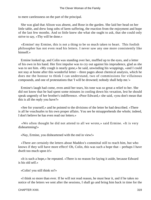to mere carelessness on the part of the principal.

 She was glad that Alison was absent, and Rose in the garden. She laid her head on her little table, and drew long sobs of keen suffering, the reaction from the enjoyment and hope of the last few months. And so little knew she what she ought to ask, that she could only strive to say, «Thy will be done.»

 «Ermine! my Ermine, this is not a thing to be so much taken to heart. This foolish philosopher has not even read his letters. I never saw any one more consistently like himself.»

 Ermine looked up, and Colin was standing over her, muffled up to the eyes, and a letter of his own in his hand. Her first impulse was to cry out against his imprudence, glad as she was to see him. «My cough is nearly gone,» he said, unwinding his wrappings, «and I could not stay at home after this wonderful letter – three pages about chemical analysis, which he does me the honour to think I can understand, two of commissions for villainous compounds, and one of protestations that 'I will be drowned; nobody shall help me.'»

 Ermine's laugh had come, even amid her tears, his tone was so great a relief to her. She did not know that he had spent some minutes in cooling down his vexation, lest he should speak ungently of her brother's indifference. «Poor Edward,» she said, «you don't mean that this is all the reply you have?»

 «See for yourself,» and he pointed to the divisions of the letter he had described. «There is all he vouchsafes to his own proper affairs. You see he misapprehends the whole; indeed, I don't believe he has even read our letters.»

 «We often thought he did not attend to all we wrote,» said Ermine. «It is very disheartening!»

«Nay, Ermine, you disheartened with the end in view!»

 «There are certainly the letters about Maddox's committal still to reach him, but who knows if they will have more effect! Oh, Colin, this was such a hope that – perhaps I have dwelt too much upon it!»

 «It is such a hope,» he repeated. «There is no reason for laying it aside, because Edward is his old self.»

«Colin! you still think so?»

 «I think so more than ever. If he will not read reason, he must hear it, and if he takes no notice of the letters we sent after the sessions, I shall go and bring him back in time for the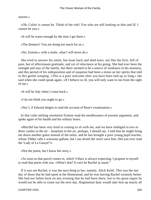assizes.»

 «Oh, Colin! it cannot be. Think of the risk! You who are still looking so thin and ill. I cannot let you.»

«It will be warm enough by the time I get there.»

«The distance! You are doing too much for us.»

«No, Ermine,» with a smile, «that I will never do.»

 She tried to answer his smile, but leant back and shed tears, not like the first, full of pain, but of affectionate gratitude, and yet of reluctance at his going. She had ever been the strength and stay of the family, but there seemed to be a source of weakness in his nearness, and this period of his indisposition and of suspense had been a strain on her spirits that told in this gentle weeping. «This is a poor welcome after you have been laid up so long,» she said when she could speak again. «If I behave so ill, you will only want to run from the sight of me.»

«It will be July when I come back.»

«I do not think you ought to go.»

«Nor I, if Edward deigns to read the account of Rose's examination.»

 In that calm smiling resolution Ermine read the needlessness of present argument, and spoke again of his health and his solitary hours.

 «Mitchel has been very kind in coming to sit with me, and we have indulged in two or three castles in the air – hospitals in the air, perhaps, I should say. I told him he might bring me down another guest instead of the tailor, and he has brought a poor young pupil teacher, whom Tibbie calls a winsome gallant, but I am afraid she won't save him. Did you ever read the 'Lady of La Garaye'?»

«Not the poem, but I know her story.»

 «As soon as that parcel comes in, which Villars is always expecting, I propose to myself to read that poem with you. »What's that? It can't be Rachel as usual."

 If it was not Rachel, it was the next thing to her, namely, Alick Keith. This was the last day of those that he had spent at the Homestead, and he was leaving Rachel certainly better. She had not fallen back on any evening that he had been there, but to his great regret he would not be able to come out the next day. Regimental duty would take him up nearly all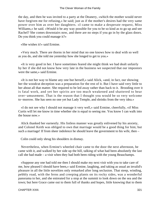the day, and then he was invited to a party at the Deanery, «which the mother would never have forgiven me for refusing,» he said; just as if the mother's desires had the very same power over him as over her daughters. «I came to make a desperate request, Miss Williams,» he said. «Would it be any way possible for you to be so kind as to go up and see Rachel? She comes downstairs now, and there are no steps if you go in by the glass doors. Do you think you could manage it?»

«She wishes it!» said Ermine.

 «Very much. There are thorns in her mind that no one knows how to deal with so well as you do, and she told me yesterday how she longed to get to you.»

 «It is very good in her. I have sometimes feared she might think we had dealt unfairly by her if she did not know how very late in the business we suspected that our impostors were the same,» said Ermine.

 «It is not her way to blame any one but herself,» said Alick, «and, in fact, our showing her the woodcut deception was a preparation for the rest of it. But I have said very little to her about all that matter. She required to be led away rather than back to it. Brooding over it is fatal work, and yet her spirits are too much weakened and shattered to bear over−amusement. That is the reason that I thought you would be so very welcome to−morrow. She has seen no one yet but Lady Temple, and shrinks from the very idea.»

 «I do not see why I should not manage it very well,» said Ermine, cheerfully, «if Miss Curtis will let me know in time whether she is equal to seeing me. You know I can walk into the house now.»

 Alick thanked her earnestly. His listless manner was greatly enlivened by his anxiety, and Colonel Keith was obliged to own that marriage would be a good thing for him; but such a marriage! If from sheer indolence he should leave the government to his wife, then –

Colin could only shrug his shoulders in dismay.

 Nevertheless, when Ermine's wheeled chair came to the door the next afternoon, he came with it, and walked by her side up the hill, talking of what had been absolutely the last call she had made – a visit when they had both been riding with the young Beauchamps.

 «Suppose any one had told me then I should make my next visit with you to take care of me, how pleased I should have been,» said Ermine, laughing, and taking as usual an invalid's pleasure in all the little novelties only remarked after long seclusion. That steep, winding, pebbly road, with the ferns and creeping plants on its rocky sides, was a wonderful panorama to her, and she entreated for a stop at the summit to look down on the sea and the town; but here Grace came out to them full of thanks and hopes, little knowing that to them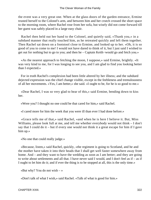the event was a very great one. When at the glass doors of the garden entrance, Ermine trusted herself to the Colonel's arm, and between him and her crutch crossed the short space to the morning room, where Rachel rose from her sofa, but wisely did not come forward till her guest was safely placed in a large easy chair.

 Rachel then held out her hand to the Colonel, and quietly said, «Thank you,» in a subdued manner that really touched him, as he retreated quickly and left them together. Then Rachel sat down on a footstool close to Ermine, and looked up to her. «Oh, it is so good of you to come to me! I would not have dared to think of it, but I just said I wished to get out for nothing but to go to you; and then he – Captain Keith−would go and fetch you.»

 «As the nearest approach to fetching the moon, I suppose,» said Ermine, brightly. «It was very kind to me, for I was longing to see you, and I am glad to find you looking better than I expected.»

 For in truth Rachel's complexion had been little altered by her illness; and the subdued dejected expression was the chief change visible, except in the feebleness and tremulousness of all her movements. «Yes, I am better,» she said. «I ought to be, for he is so good to me.»

 «Dear Rachel, I was so very glad to hear of this,» said Ermine, bending down to kiss her.

«Were you? I thought no one could be that cared for him,» said Rachel.

«I cared more for him the week that you were ill than ever I had done before.»

 «Grace tells me of that,» said Rachel, «and when he is here I believe it. But, Miss Williams, please look full at me, and tell me whether everybody would not think – I don't say that I could do it – but if every one would not think it a great escape for him if I gave him up.»

«No one that could really judge.»

 «Because, listen,» said Rachel, quickly, «the regiment is going to Scotland, and he and the mother have taken it into their heads that I shall get well faster somewhere away from home. And – and they want to have the wedding as soon as I am better; and they are going to write about settlements and all that. I have never said I would, and I don't feel as if – as if I ought to let him do it; and if ever the thing is to be stopped at all, this is the only time.»

«But why? You do not wish  $-\infty$ 

«Don't talk of what I wish,» said Rachel. «Talk of what is good for him.»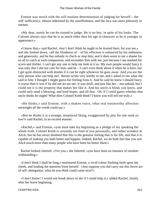Ermine was struck with the still resolute determination of judging for herself – the self–sufficiency, almost redeemed by the unselfishness, and the face was most piteously in earnest.

 «My dear, surely he can be trusted to judge. He is no boy, in spite of his looks. The Colonel always says that he is as much older than his age in character as he is younger in appearance.»

 «I know that,» said Rachel, «but I don't think he ought to be trusted here; for you see,» and she looked down, «all the blindness of – of his affection is enhanced by his nobleness and generosity, and he has nobody to check or stop him; and it does seem to me a shame for us all to catch at such compassion, and encumber him with me, just because I am marked for scorn and dislike. I can't get any one to help me look at it so. My own people would fancy it was only that I did not care for him; and he – I can't even think about it when he is here, but I get quite distracted with doubts if it can be right whenever he goes away. And you are the only person who can help me! Bessie wrote very kindly to me, and I asked to see what she said to him. I thought I might guess her feeling from it. And he said he knew I should fancy it worse than it was if he did not let me see. It was droll, and just like her – not unkind, but I could see it is the property that makes her like it. And his uncle is blind, you know, and could only send a blessing, and kind hopes, and all that. Oh, if I could guess whether that uncle thinks he ought! What does Colonel Keith think? I know you will tell me truly.»

 «He thinks,» said Ermine, with a shaken voice, «that real trustworthy affection outweighs all the world could say.»

 «But he thinks it is a strange, misplaced liking, exaggerated by pity for one sunk so low?» said Rachel, in an excited manner.

 «Rachel,» said Ermine, «you must take my beginning as a pledge of my speaking the whole truth. Colonel Keith is certainly not fond of you personally, and rather wonders at Alick, but he has never doubted that this is the genuine feeling that is for life, and that it is capable of making you both better and happier. Indeed, Rachel, we do both feel that you suit Alick much more than many people who have been far better liked.»

 Rachel looked cheered. «Yet you,» she faltered, «you have been an instance of resolute withstanding.»

 «I don't think I shall be long,» murmured Ermine, a vivid colour flashing forth upon her cheek, and leading the question from herself. «Just suppose you did carry out this fierce act of self−abnegation, what do you think could come next?»

 «I don't know! I would not break down or die if I could help it,» added Rachel, faintly after her brave beginning.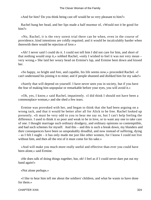«And for him? Do you think being cast off would be so very pleasant to him?»

 Rachel hung her head, and her lips made a half murmur of, «Would not it be good for him?»

 «No, Rachel, it is the very sorest trial there can be when, even in the course of providence, kind intentions are coldly requited; and it would be incalculably harder when therewith there would be rejection of love.»

 «Ah! I never said I could do it. I could not tell him I did not care for him, and short of that nothing would stop it,» sobbed Rachel, «only I wished to feel it was not very mean – very wrong.» She laid her weary head on Ermine's lap, and Ermine bent down and kissed her.

 «So happy, so bright and free, and capable, his life seems now,» proceeded Rachel. «I can't understand his joining it to mine; and if people shunned and disliked him for my sake!»

 «Surely that will depend on yourself. I have never seen you in society, but if you have the fear of making him unpopular or remarkable before your eyes, you will avoid it.»

 «Oh, yes, I know,» said Rachel, impatiently. «I did think I should not have been a commonplace woman,» and she shed a few tears.

 Ermine was provoked with her, and began to think that she had been arguing on a wrong tack, and that it would be better after all for Alick to be free. Rachel looked up presently. «It must be very odd to you to hear me say so, but I can't help feeling the difference. I used to think it so poor and weak to be in love, or to want any one to take care of one. I thought marriage such ordinary drudgery, and ordinary opinions so contemptible, and had such schemes for myself. And this – and this is such a break down, my blunders and their consequences have been so unspeakably dreadful, and now instead of suffering, dying – as I felt I ought – it has only made me just like other women, for I know I could not live without him, and then all the rest of it must come for his sake.»

 «And will make you much more really useful and effective than ever you could have been alone,» said Ermine.

 «He does talk of doing things together, but, oh! I feel as if I could never dare put out my hand again!»

«Not alone perhaps.»

 «I like to hear him tell me about the soldiers' children, and what he wants to have done for them.»

CHAPTER XXIII. 324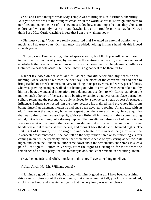«You and I little thought what Lady Temple was to bring us,» said Ermine, cheerfully, «but you see we are not the strongest creatures in the world, so we must resign ourselves to our fate, and make the best of it. They must judge how many imperfections they choose to endure, and we can only make the said drawbacks as little troublesome as may be. Now, I think I see Miss Curtis watching in fear that I am over−talking you.»

 «Oh, must you go? You have really comforted me! I wanted an external opinion very much, and I do trust yours! Only tell me,» she added, holding Ermine's hand, «is this indeed so with you?»

 «Not yet,» said Ermine, softly, «do not speak about it, but I think you will be comforted to hear that this matter of yours, by leading to the matron's confession, may have removed an obstacle that was far more serious in my eyes than even my own helplessness, willing as Colin was to cast both aside. Oh, Rachel, there is a great deal to be thankful for.»

 Rachel lay down on her sofa, and fell asleep, nor did Alick find any occasion for blaming Grace when he returned the next day. The effect of the conversation had been to bring Rachel to a meek submission, very touching in its passiveness and weary peacefulness. She was growing stronger, walked out leaning on Alick's arm, and was even taken out by him in a boat, a wonderful innovation, for a dangerous accident to Mr. Curtis had given the mother such a horror of the sea that no boating excursions had ever taken place during her solitary reign, and the present were only achieved by a wonderful stretch of dear Alexander's influence. Perhaps she trusted him the more, because his maimed hand prevented him from being himself an oarsman, though he had once been devoted to rowing. At any rate, with an old fisherman at the oar, many hours were spent upon the waters of the bay, in a tranquillity that was balm to the harassed spirit, with very little talking, now and then some reading aloud, but often nothing but a dreamy repose. The novelty and absence of old association was one secret of the benefit that Rachel thus derived. Any bustle or resumption of former habits was a trial to her shattered nerves, and brought back the dreadful haunted nights. The first sight of Conrade, still looking thin and delicate, quite overset her; a drive on the Avoncester road renewed all she had felt on the way thither; three or four morning visitors coming in on her unexpectedly, made the whole morbid sense of eyes staring at her recur all night, and when the London solicitor came down about the settlements, she shrank in such a painful though still submissive way, from the sight of a stranger, far more from the semblance of a dinner party, that the mother yielded, and let her remain in her sitting−room.

«May I come in?» said Alick, knocking at the door. I have something to tell you."

«What, Alick! Not Mr. Williams come?»

 «Nothing so good. In fact I doubt if you will think it good at all. I have been consulting this same solicitor about the title−deeds; that cheese you let fall, you know,» he added, stroking her hand, and speaking so gently that the very irony was rather pleasant.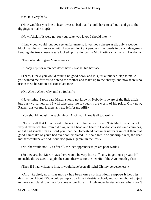«Oh, it is very bad.»

 «Now wouldn't you like to hear it was so bad that I should have to sell out, and go to the diggings to make it up?»

«Now, Alick, if it were not for your sake, you know I should like  $-\infty$ 

 «I know you would; but you see, unfortunately, it was not a cheese at all, only a wooden block that the fox ran away with. Lawyers don't put people's title−deeds into such dangerous keeping, the true cheese is safe locked up in a tin−box in Mr. Martin's chambers in London.»

«Then what did I give Mauleverer?»

«A copy kept for reference down here.» Rachel hid her face.

 «There, I knew you would think it no good news, and it is just a thunder−clap to me. All you wanted me for was to defend the mother and make up to the charity, and now there's no use in me,» he said in a disconsolate tone.

«Oh, Alick, Alick, why am I so foolish?»

 «Never mind; I took care Martin should not know it. Nobody is aware of the little affair but our two selves; and I will take care the fox learns the worth of his prize. Only now, Rachel, answer me, is there any use left for me still?»

«You should not ask me such things, Alick, you know it all too well.»

 «Not so well that I don't want to hear it. But I had more to say. This Martin is a man of very different calibre from old Cox, with a head and heart in London charities and churches, and it had struck him as it did you, that the Homestead had an easier bargain of it than that good namesake of yours had ever contemplated. If it paid treble or quadruple rent, the dear mother would never find it out, nor grow a geranium the less.»

«No, she would not! But after all, the lace apprenticeships are poor work.»

 «So they are, but Martin says there would be very little difficulty in getting a private bill to enable the trustees to apply the sum otherwise for the benefit of the Avonmouth girls.»

«Then if I had written to him, it would have been all right! Oh, my perverseness!»

 «And, Rachel, now that money has been once so intended; suppose it kept its destination. About £500 would put up a tidy little industrial school, and you might not object to have a scholarship or two for some of our little −th Highlander lassies whose fathers won't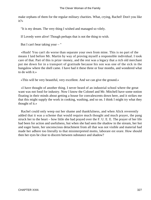make orphans of them for the regular military charities. What, crying, Rachel! Don't you like it?»

"It is my dream. The very thing I wished and managed so vilely.

If Lovedy were alive! Though perhaps that is not the thing to wish.

But I can't bear taking your – "

 «Hush! You can't do worse than separate your own from mine. This is no part of the means I laid before Mr. Martin by way of proving myself a responsible individual. I took care of that. Part of this is prize−money, and the rest was a legacy that a rich old merchant put me down for in a transport of gratitude because his son was one of the sick in the bungalow where the shell came. I have had it these three or four months, and wondered what to do with it.»

«This will be very beautiful, very excellent. And we can give the ground.»

 «I have thought of another thing. I never heard of an industrial school where the great want was not food for industry. Now I know the Colonel and Mr. Mitchell have some notion floating in their minds about getting a house for convalescents down here, and it strikes me that this might supply the work in cooking, washing, and so on. I think I might try what they thought of it.»

 Rachel could only weep out her shame and thankfulness, and when Alick reverently added that it was a scheme that would require much thought and much prayer, the pang struck her to the heart – how little she had prayed over the F. U. E. E. The prayer of her life had been for action and usefulness, but when she had seen the shadow in the stream, her hot and eager haste, her unconscious detachment from all that was not visible and material had made her adhere too literally to that misinterpreted motto, laborare est orare. How should then her eyes be clear to discern between substance and shadow?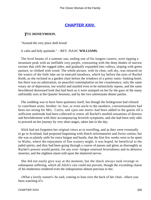## **[CHAPTER XXIV.](#page-417-0)**

#### *T*HE **HONEYMOON.**

"Around the very place doth brood

A calm and holy quietude." – REV. ISAAC **WILLIAMS.**

 The level beams of a summer sun, ending one of his longest careers, were tipping a mountain peak with an ineffable rosy purple, contrasting with the deep shades of narrow ravines that cleft the rugged sides, and gradually expanded into valleys, sloping with green pasture, or clothed with wood. The whole picture, with its clear, soft sky, was retraced on the waters of the little lake set in emerald meadows, which lay before the eyes of Rachel Keith, as she reclined in a garden chair before the windows of a pretty rustic−looking hotel, but there was no admiration, no peaceful contemplation on her countenance, only the same weary air of depression, too wistful and startled even to be melancholy repose, and the same bewildered distressed look that had been as it were stamped on her by the gaze of the many unfriendly eyes at the Quarter Sessions, and by her two unfortunate dinner parties.

 The wedding was to have been quietness itself, but though the bridegroom had refused to contribute sister, brother−in−law, or even uncle to the numbers, conventionalities had been too strong for Mrs. Curtis, and «just one more» had been added to the guests till a sufficient multitude had been collected to renew all Rachel's morbid sensations of distress and bewilderment with their accompanying feverish symptoms, and she had been only able to proceed on her journey by very short stages, taken late in the day.

 Alick had not forgotten her original views as to travelling, and as they were eventually to go to Scotland, had proposed beginning with Dutch reformatories and Swiss cretins; but she was so plainly unfit for extra fatigue and bustle, that the first few weeks were to be spent in Wales, where the enjoyment of fine scenery might, it was hoped, be beneficial to the jaded spirits, and they had been going through a course of passes and glens as thoroughly as Rachel's powers would permit, for any over−fatigue renewed feverishness and its delusive miseries, and the slightest alarm told upon the shattered nerves.

 She did not easily give way at the moment, but the shock always took revenge in subsequent suffering, which all Alick's care could not prevent, though the exceeding charm of his tenderness rendered even the indisposition almost precious to her.

 «What a lovely sunset!» he said, coming to lean over the back of her chair. «Have you been watching it?»

CHAPTER XXIV. 328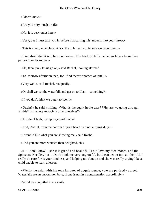«I don't know.»

«Are you very much tired?»

«No, it is very quiet here.»

«Very; but I must take you in before that curling mist mounts into your throat.»

«This is a very nice place, Alick, the only really quiet one we have found.»

 «I am afraid that it will be so no longer. The landlord tells me he has letters from three parties to order rooms.»

«Oh, then, pray let us go on,» said Rachel, looking alarmed.

«To−morrow afternoon then, for I find there's another waterfall.»

«Very well,» said Rachel, resignedly.

«Or shall we cut the waterfall, and get on to Llan – something?»

«If you don't think we ought to see it.»

 «Ought?» he said, smiling. «What is the ought in the case? Why are we going through all this? Is it a duty to society or to ourselves?»

«A little of both, I suppose,» said Rachel.

«And, Rachel, from the bottom of your heart, is it not a trying duty?»

«I want to like what you are showing me,» said Rachel.

«And you are more worried than delighted, eh »

 «I – I don't know! I see it is grand and beautiful! I did love my own moors, and the Spinsters' Needles, but – Don't think me very ungrateful, but I can't enter into all this! All I really do care for is your kindness, and helping me about,» and she was really crying like a child unable to learn a lesson.

 «Well,» he said, with his own languor of acquiescence, «we are perfectly agreed. Waterfalls are an uncommon bore, if one is not in a concatenation accordingly.»

Rachel was beguiled into a smile.

CHAPTER XXIV. 329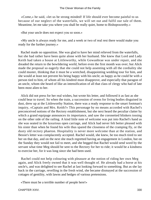«Come,» he said, «let us be strong minded! If life should ever become painful to us because of our neglect of the waterfalls, we will set out and fulfil our tale of them. Meantime, let me take you where you shall be really quiet, home to Bishopsworthy.»

«But your uncle does not expect you so soon.»

 «My uncle is always ready for me, and a week or two of real rest there would make you ready for the further journey.»

 Rachel made no opposition. She was glad to have her mind relieved from the waterfalls, but she had rather have been quite alone with her husband. She knew that Lord and Lady Keith had taken a house at Littleworthy, while Gowanbrae was under repair, and she dreaded the return to the bewildering world, before even the first month was over; but Alick made the proposal so eagerly that she could not help assenting with all the cordiality she could muster, thinking that it must be a wretched, disappointing wedding tour for him, and she would at least not prevent his being happy with his uncle; as happy as he could be with a person tied to him, of whom all his kindred must disapprove, and especially that paragon of an uncle, whom she heard of like an intensification of all that class of clergy who had of late been most alien to her.

 Alick did not press for her real wishes, but wrote his letter, and followed it as fast as she could bear to travel. So when the train, a succession of ovens for living bodies disguised in dust, drew up at the Littleworthy Station, there was a ready response to the smart footman's inquiry, «Captain and Mrs. Keith?» This personage by no means accorded with Rachel's preconceived notions of the Rectory establishment, but she next heard the peculiar clatter by which a grand equipage announces its importance, and saw the coronetted blinkers tossing on the other side of the railing. A kind little note of welcome was put into Rachel's hand as she was seated in the luxurious open carriage, and Alick had never felt better pleased with his sister than when he found his wife thus spared the closeness of the cramping fly, or the dusty old rectory phaeton. Hospitality is never more welcome than at the station, and Bessie's letter was complacently accepted. Rachel would, she knew, be too much tired to see her on that day, and on the next she much regretted having an engagement in London, but on the Sunday they would not fail to meet, and she begged that Rachel would send word by the servant what time Meg should be sent to the Rectory for her to ride; it would be a kindness to exercise her, for it was long since she had been used.

 Rachel could not help colouring with pleasure at the notion of riding her own Meg again, and Alick freely owned that it was well thought of. He already had a horse at his uncle's, and was delighted to see Rachel at last looking forward to something. But as she lay back in the carriage, revelling in the fresh wind, she became dismayed at the succession of cottages of gentility, with lawns and hedges of various pretensions.

«There must be a terrible number of people here!»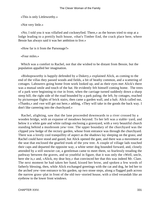«This is only Littleworthy.»

«Not very little.»

 «No; I told you it was villafied and cockneyfied. There,» as the horses tried to stop at a lodge leading to a prettily built house, «that's Timber End, the crack place here, where Bessie has always said it was her ambition to live.»

«How far is it from the Parsonage?»

«Four miles.»

 Which was a comfort to Rachel, not that she wished to be distant from Bessie, but the population appalled her imagination.

 «Bishopsworthy is happily defended by a Dukery,» explained Alick, as coming to the end of the villas they passed woods and fields, a bit of heathy common, and a scattering of cottages. Labourers going home from work looked up, and as their eyes met Alick's there was a mutual smile and touch of the hat. He evidently felt himself coming home. The trees of a park were beginning to rise in front, when the carriage turned suddenly down a sharp steep hill; the right side of the road bounded by a park paling; the left, by cottages, reached by picturesque flights of brick stairs, then came a garden wall, and a halt. Alick called out, «Thanks,» and «we will get out here,» adding, «They will take in the goods the back way. I don't like careering into the churchyard.»

 Rachel, alighting, saw that the lane proceeded downwards to a river crossed by a wooden bridge, with an expanse of meadows beyond. To her left was a stable−yard, and below it a white gate and white railings enclosing a graveyard, with a very beautiful church standing behind a mushroom yew−tree. The upper boundary of the churchyard was the clipped yew hedge of the rectory garden, whose front entrance was through the churchyard. There was a lovely cool tranquillity of aspect as the shadows lay sleeping on the grass; and Rachel could have stood and gazed, but Alick opened the gate, and there was a movement at the seat that enclosed the gnarled trunk of the yew tree. A couple of village lads touched their caps and departed the opposite way, a white setter dog bounded forward, and, closely attended by a still snowier cat, a gentleman came to meet them, so fearlessly treading the pathway between the graves, and so youthful in figure, that it was only the «Well, uncle, here she is,» and, «Alick, my dear boy,» that convinced her that this was indeed Mr. Clare. The next moment he had taken her hand, kissed her brow, and spoken a few words of fatherly blessing, then, while Alick exchanged greetings with the cat and dog, he led her to the arched yew−tree entrance to his garden, up two stone steps, along a flagged path across the narrow grass−plat in front of the old two−storied house, with a tiled verandah like an eyebrow to the lower front windows.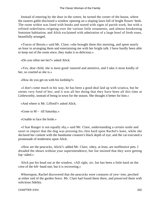Instead of entering by the door in the centre, he turned the corner of the house, where the eastern gable disclosed a window opening on a sloping lawn full of bright flower−beds. The room within was lined with books and stored with signs of parish work, but with a refined orderliness reigning over the various little ornaments, and almost betokening feminine habitation; and Alick exclaimed with admiration of a large bowl of fresh roses, beautifully arranged.

 «Traces of Bessie,» said Mr. Clare; «she brought them this morning, and spent nearly an hour in arranging them and entertaining me with her bright talk. I have hardly been able to keep out of the room since, they make it so delicious.»

«Do you often see her?» asked Alick.

 «Yes, dear child, she is most good−natured and attentive, and I take it most kindly of her, so courted as she is.»

«How do you get on with his lordship?»

 «I don't come much in his way, he has been a good deal laid up with sciatica, but he seems very fond of her; and it was all her doing that they have been all this time at Littleworthy, instead of being in town for the season. She thought it better for him.»

«And where is Mr. Lifford?» asked Alick.

«Gone to M – till Saturday.»

«Unable to face the bride.»

 «I fear Ranger is not equally shy,» said Mr. Clare, understanding a certain rustle and snort to import that the dog was pressing his chin hard upon Rachel's knee, while she declared her content with the handsome creature's black depth of eye; and the cat executed a promenade of tenderness upon Alick.

 «How are the peacocks, Alick?» added Mr. Clare; «they, at least, are inoffensive pets. I dreaded the shears without your superintendence, but Joe insisted that they were getting lop−sided.»

 Alick put his head out at the window. «All right, sir; Joe has been a little hard on the crest of the left−hand one, but it is recovering.»

 Whereupon, Rachel discovered that the peacocks were creatures of yew−tree, perched at either end of the garden fence. Mr. Clare had found them there, and preserved them with solicitous fidelity.

CHAPTER XXIV. 332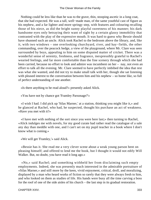Nothing could be less like than he was to the grave, thin, stooping ascetic in a long coat, that she had expected. He was a tall, well−made man, of the same youthful cast of figure as his nephew, and a far lighter and more springy step, with features and colouring recalling those of his niece, as did the bright sunny playful sweetness of his manner; his dark handsome eyes only betraying their want of sight by a certain glassy immobility that contrasted with the play of the expressive mouth. It was hard to guess why Bessie should have shunned such an uncle. Alick took Rachel to the bedroom above the library, and, like it, with two windows – one overlooking churchyard, river, and hay−fields, the other commanding, over the peacock hedge, a view of the playground, where Mr. Clare was seen surrounded by boys, appealing to him on some disputed matter of cricket. There was a wonderful sense of serenity, freshness, and fragrance, inexpressibly grateful to Rachel's wearied feelings, and far more comfortable than the fine scenery through which she had been carried, because no effort to look and admire was incumbent on her – nay, not even an effort to talk all the evening. Mr. Clare seemed to have perfectly imbibed the idea that rest was what she wanted, and did not try to make small talk with her, though she sat listening with pleased interest to the conversation between him and his nephew – so home like, so full of perfect understanding of one another.

«Is there anything to be read aloud?» presently asked Alick.

«You have not by chance got 'Framley Parsonage?'»

 «I wish I had. I did pick up 'Silas Marner,' at a station, thinking you might like it,» and he glanced at Rachel, who had, he suspected, thought his purchase an act of weakness. «Have you met with it?»

 «I have met with nothing of the sort since you were here last;» then turning to Rachel, «Alick indulges me with novels, for my good curate had rather read the catalogue of a sale any day than meddle with one, and I can't set on my pupil teacher in a book where I don't know what is coming.»

«We will get 'Framley,'» said Alick.

 «Bessie has it. She read me a very clever scene about a weak young parson bent on pleasing himself; and offered to lend me the book, but I thought it would not edify Will Walker. But, no doubt, you have read it long ago.»

 «No,» said Rachel; and something withheld her from disclaiming such empty employments. Indeed, she was presently much interested in the admirable portraiture of «Silas Marner,» and still more by the keen, vivid enjoyment, critical, droll, and moralizing, displayed by a man who heard works of fiction so rarely that they were always fresh to him, and who looked on them as studies of life. His hands were busy all the time carving a boss for the roof of one of the side aisles of his church – the last step in its gradual restoration.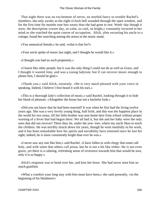That night there was no excitement of nerve, no morbid fancy to trouble Rachel's slumbers; she only awoke as the eight o'clock bell sounded through the open window, and for the first time for months rose less weary than she had gone to rest. Week−day though it were, the description «sweet day, so calm, so cool, so bright,» constantly recurred to her mind as she watched the quiet course of occupation. Alick, after escorting his uncle to a cottage, found her searching among the stores in the music stand.

«You unmusical female,» he said, «what is that for?»

«Your uncle spoke of music last night, and I thought he would like it.»

«I thought you had no such propensity.»

 «I learnt like other people, but it was the only thing I could not do as well as Grace, and I thought it wasted time, and was a young ladyism; but if can recover music enough to please him, I should be glad.»

 «Thank you,» said Alick, earnestly. «He is very much pleased with your voice in speaking. Indeed, I believe I first heard it with his ears.»

 «This is a thorough lady's collection of music,» said Rachel, looking through it to hide her blush of pleasure. «Altogether the house has not a bachelor look.»

 «Did you not know that he had been married? It was when he first had the living twelve years ago. She was a very lovely young thing, half Irish, and this was the happiest place in the world for two years, till her little brother was sent home here from school without proper warning of a fever that had begun there. We all had it, but she and her baby were the only ones that did not recover! There they lie, under the yew−tree, where my uncle likes to teach the children. He was terribly struck down for years, though he went manfully to his work, and it has been remarkable how his spirits and sociability have returned since he lost his sight; indeed, he is more consistently bright than ever he was.»

 «I never saw any one like him,» said Rachel. «I have fallen in with clergy that some call holy, and with some that others call pious, but he is not a bit like either. He is not even grave, yet there is a calming, refreshing sense of reverence towards him that would be awe, only it is so happy.»

 Alick's response was to bend over her, and kiss her brow. She had never seen him so much gratified.

 «What a comfort your long stay with him must have been,» she said presently, «in the beginning of his blindness!»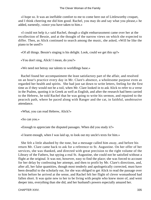«I hope so. It was an ineffable comfort to me to come here out of Littleworthy croquet, and I think cheering me did him good. Rachel, you may do and say what you please,» he added, earnestly, «since you have taken to him.»

 «I could not help it,» said Rachel, though a slight embarrassment came over her at the recollection of Bessie, and at the thought of the narrow views on which she expected to differ. Then, as Alick continued to search among the music, she asked, «Will he like the piano to be used?»

«Of all things. Bessie's singing is his delight. Look, could we get this up?»

«You don't sing, Alick! I mean, do you?»

«We need not betray our talents to worldlings base.»

 Rachel found her accompaniment the least satisfactory part of the affair, and resolved on an hour's practice every day in Mr. Clare's absence, a wholesome purpose even as regarded her health and spirits. She had just sat down to write letters, feeling for the first time as if they would not be a toil, when Mr. Clare looked in to ask Alick to refer to a verse in the Psalms, quoting it in Greek as well as English, and after the research had been carried to the Hebrew, he told Rachel that he was going to write his sermon, and repaired to the peacock path, where he paced along with Ranger and the cat, in faithful, unobtrusive attendance.

«What, you can read Hebrew, Alick?»

«So can you.»

«Enough to appreciate the disputed passages. When did you study it?»

«I learnt enough, when I was laid up, to look out my uncle's texts for him.»

 She felt a little abashed by the tone, but a message called him away, and before his return Mr. Clare came back to ask for a reference to St. Augustine. On her offer of her services, she was thanked, and directed with great precision to the right volume of the Library of the Fathers, but spying a real St. Augustine, she could not be satisfied without a flight at the original. It was not, however, easy to find the place; she was forced to account for her delay by confessing her attempt, and then to profit by Mr. Clare's directions, and, after all, her false quantities, though most tenderly and apologetically corrected, must have been dreadful to the scholarly ear, for she was obliged to get Alick to read the passage over to him before he arrived at the sense, and Rachel felt her flight of clever womanhood had fallen short. It was quite new to her to be living with people who knew more of, and went deeper into, everything than she did, and her husband's powers especially amazed her.

CHAPTER XXIV. 335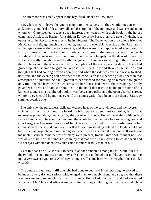The afternoon was chiefly spent in the hay−field under a willow−tree;

 Mr. Clare tried to leave the young people to themselves, but they would not consent; and, after a good deal of desultory talk and description of the minnows and water−spiders, in whom Mr. Clare seemed to take a deep interest, they went on with their book till the horses came, and Alick took Rachel for a ride in Earlsworthy Park, a private gate of which, just opposite to the Rectory, was free to its inhabitants. The Duke was an old college friend of Mr. Clare, and though much out of health, and hardly ever able to reside at the Park, all its advantages were at the Rector's service, and they were much appreciated when, on this sultry summer's day, Rachel found shade and coolness in the deep arcades of the beech woods, and freshness on the upland lawns, as she rode happily on the dear old mare, by whom she really thought herself fondly recognised. There was something in the stillness of the whole, even in the absence of the roll and plash of the sea waves beside which she had grown up, that seemed to give her repose from the hurry and throb of sensations and thoughts that had so long preyed upon her; and when the ride was over she was refreshed, not tired, and the evening bell drew her to the conclusion most befitting a day spent in that atmosphere of quietude. She felt grateful to her husband for making no remark, though the only time she had been within a church since her illness had been at their wedding, he only gave her his arm, and said she should sit in the nook that used to be his in the time of his lameness; and a most sheltered nook it was, between a pillar and the open chancel screen, where no eyes could haunt her, even if the congregation had been more than a Saturday summer evening one.

 She only saw the pure, clear, delicately−toned hues of the east window, and the reverent richness of the chancel, and she heard the blind pastor's deep musical voice, full of that expressive power always enhanced by the absence of a book. He led the Psalms with perfect security and a calm fervour that rendered the whole familiar service like something new and touching; the Lessons were read by Alick, and Rachel, though under any other circumstances she would have been startled to see him standing behind the Eagle, could not but feel all appropriate, and went along with each word as he read it in a tone well worthy of his uncle's scholar. Whether few or many were present, Rachel knew not, thought not; she was only sensible of the fulness of calm joy that made the Thanksgiving touch her heart and fill her eyes with unbidden tears, that came far more readily than of old.

 «Yet this can't be all,» she said to herself, as she wandered among the tall white lilies in the twilight; «is it a trance, or am I myself? I have not unthought or unfelt, yet I seem falling into a very sweet hypocrisy! Alick says thought will come back with strength. I don't think I wish it!»

 The curate did not return till after she had gone to bed, and in the morning he proved to be indeed a very dry and serious middle−aged man, extremely silent, and so grave that there was no knowing how much to allow for shyness. He looked much worn and had a wearied voice, and Mr. Clare and Alick were contriving all they could to give him the rest which he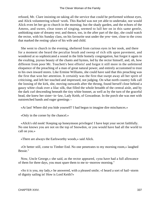refused, Mr. Clare insisting on taking all the service that could be performed without eyes, and Alick volunteering school−work. This Rachel was not yet able to undertake, nor would Alick even let her go to church in the morning; but the shady garden, and the echoes of the Amens, and sweet, clear tones of singing, seemed to lull her on in this same gentle, unthinking state of dreamy rest; and thence, too, in the after part of the day, she could watch the rector, with his Sunday class, on his favourite seat under the yew−tree, close to the cross that marked the resting−place of his wife and child.

 She went to church in the evening, sheltered from curious eyes in her nook, and there for a moment she heard the peculiar brush and sweep of rich silk upon pavement, and wondered at so sophisticated a sound in the little homely congregation, but forgot it again in the exulting, joyous beauty of the chants and hymns, led by the rector himself, and, oh, how different from poor Mr. Touchett's best efforts! and forgot it still more in the unfettered eloquence of the preaching of a man of great natural power, and entirely accustomed to trust to his own inward stores. Like Ermine Williams, she could have said that this preaching was the first that won her attention. It certainly was the first that swept away all her spirit of criticising, and left her touched and impressed, not judging. On what north country folk call the loosing of the kirk, she, moving outwards after the throng, found herself close behind a gauzy white cloak over a lilac silk, that filled the whole breadth of the central aisle, and by the dark curl descending beneath the tiny white bonnet, as well as by the turn of the graceful head, she knew her sister−in−law, Lady Keith, of Gowanbrae. In the porch she was met with outstretched hands and eager greetings –

«At last! Where did you hide yourself? I had begun to imagine dire mischances.»

«Only in the corner by the chancel.»

 «Alick's old nook! Keeping up honeymoon privileges! I have kept your secret faithfully. No one knows you are not on the top of Snowdon, or you would have had all the world to call on you.»

«There are always the Earlsworthy woods,» said Alick.

 «Or better still, come to Timber End. No one penetrates to my morning room,» laughed Bessie."

 Now, Uncle George,« she said, as the rector appeared, »you have had a full allowance of them for three days, you must spare them to me to−morrow morning."

 «So it is you, my lady,» he answered, with a pleased smile; «I heard a sort of hail−storm of dignity sailing in! How is Lord Keith?»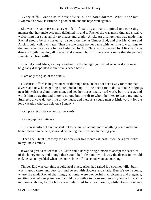«Very stiff. I want him to have advice, but he hates doctors. What is the last Avonmouth news? Is Ermine in good heart, and the boys well again?»

 She was the same Bessie as ever – full of exulting animation, joined to a caressing manner that her uncle evidently delighted in; and to Rachel she was most kind and sisterly, welcoming her so as amply to please and gratify Alick. An arrangement was made that Rachel should be sent for early to spend the day at Timber End, and that Mr. Clare and Alick should walk over later. Then the two pretty ponies came with her little low carriage to the yew−tree gate, were felt and admired by Mr. Clare, and approved by Alick, and she drove off gaily, leaving all pleased and amused, but still there was a sense that the perfect serenity had been ruffled.

 «Rachel,» said Alick, as they wandered in the twilight garden, «I wonder if you would be greatly disappointed if our travels ended here.»

«I am only too glad of the quiet.»

 «Because Lifford is in great need of thorough rest. He has not been away for more than a year, and now he is getting quite knocked up. All he does care to do, is to take lodgings near his wife's asylum, poor man, and see her occasionally: sad work, but it is rest, and winds him up again; and there is no one but myself to whom he likes to leave my uncle. Strangers always do too little or too much; and there is a young man at Littleworthy for the long vacation who can help on a Sunday.»

«Oh, pray let us stay as long as we can!»

«Giving up the Cretins?»

 «It is no sacrifice. I am thankful not to be hunted about; and if anything could make me better pleased to be here, it would be feeling that I was not hindering you.»

 «Then I will hunt him away for six weeks or two months at least. It will be a great relief to my uncle's mind.»

 It was so great a relief that Mr. Clare could hardly bring himself to accept the sacrifice of the honeymoon, and though there could be little doubt which way the discussion would end, he had not yielded when the ponies bore off Rachel on Monday morning.

 Timber End was certainly a delightful place. Alick had railed it a cockney villa, but it was in good taste, and very fair and sweet with flowers and shade. Bessie's own rooms, where she made Rachel charmingly at home, were wonderful in choiceness and elegance, exciting Rachel's surprise how it could be possible to be so sumptuously lodged in such a temporary abode, for the house was only hired for a few months, while Gowanbrae was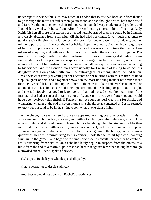under repair. It was within such easy reach of London that Bessie had been able from thence to go through the more needful season gaieties; and she had thought it wise, both for herself and Lord Keith, not to enter on their full course. It sounded very moderate and prudent, and Rachel felt vexed with herself and Alick for recollecting a certain hint of his, that Lady Keith felt herself more of a star in her own old neighbourhood than she could be in London, and wisely abstained from a full flight till she had tried her wings. It was much pleasanter to go along with Bessie's many far better and more affectionate reasons for prudence, and her minutely personal confidences about her habits, hopes, and fears, given with a strong sense of her own importance and consideration, yet with a warm sisterly tone that made them tokens of adoption, and with an arch drollery that invested them with a sort of grace. The number of engagements that she mentioned in town and country did indeed seem inconsistent with the prudence she spoke of with regard to her own health, or with her attention to that of her husband; but it appeared that all were quite necessary and according to his wishes, and the London ones were usually for the sake of trying to detach his daughter, Mrs. Comyn Menteith, from the extravagant set among whom she had fallen. Bessie was excessively diverting in her accounts of her relations with this scatter−brained step−daughter of hers, and altogether showed in the most flattering manner how much more thoroughly she felt herself belonging to her brother's wife. If she had ever been amazed or annoyed at Alick's choice, she had long ago surmounted the feeling, or put it out of sight, and she judiciously managed to leap over all that had passed since the beginning of the intimacy that had arisen at the station door at Avoncester. It was very flattering, and would have been perfectly delightful, if Rachel had not found herself wearying for Alick, and wondering whether at the end of seven months she should be as contented as Bessie seemed, to know her husband to be in the sitting−room without one sight of him.

 At luncheon, however, when Lord Keith appeared, nothing could be prettier than his wife's manner to him – bright, sweet, and with a touch of graceful deference, at which he always smiled and showed himself pleased, but Rachel thought him looking much older than in the autumn – he had little appetite, stooped a good deal, and evidently moved with pain. He would not go out of doors, and Bessie, after following him to the library, and spending a quarter of an hour in ministering to his comfort, took Rachel to sit by a cool dancing fountain in the garden, and began with some solicitude to consult her whether he could be really suffering from sciatica, or, as she had lately begun to suspect, from the effects of a blow from the end of a scaffold−pole that had been run against him when taking her through a crowded street. Rachel spoke of advice.

«What you, Rachel! you who despised allopathy!»

«I have learnt not to despise advice.»

And Bessie would not trench on Rachel's experiences.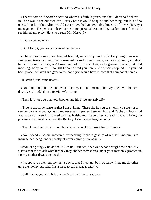«There's some old Scotch doctor to whom his faith is given, and that I don't half believe in. If he would see our own Mr. Harvey here it would be quite another thing; but it is of no use telling him that Alick would never have had an available knee but for Mr. Harvey's management. He persists in leaving me to my personal trust in him, but for himself he won't see him at any price! Have you seen Mr. Harvey?»

«I have seen no one.»

«Oh, I forgot, you are not arrived yet; but  $-\infty$ 

 «There's some one,» exclaimed Rachel, nervously; and in fact a young man was sauntering towards them. Bessie rose with a sort of annoyance, and «Never mind, my dear, he is quite inoffensive, we'll soon get rid of him.» Then, as he greeted her with «Good morning, Lady Keith, I thought I should find you here,» she quickly replied, «If you had been proper behaved and gone to the door, you would have known that I am not at home.»

He smiled, and came nearer.

 «No, I am not at home, and, what is more, I do not mean to be. My uncle will be here directly,» she added, in a fee−faw−fum tone.

«Then it is not true that your brother and his bride are arrived?»

 «True in the same sense as that I am at home. There she is, you see – only you are not to see her on any account,» as a bow necessarily passed between him and Rachel. «Now mind you have not been introduced to Mrs. Keith, and if you utter a breath that will bring the profane crowd in shoals upon the Rectory, I shall never forgive you.»

«Then I am afraid we must not hope to see you at the bazaar for the idiots.»

 «No, indeed,» Bessie answered, respecting Rachel's gesture of refusal; «no one is to infringe her incog, under penalty of never coming here again.»

 «You are going?» he added to Bessie; «indeed, that was what brought me here. My sisters sent me to ask whether they may shelter themselves under your matronly protection, for my mother dreads the crush.»

 «I suppose, as they put my name down, that I must go, but you know I had much rather give the money outright. It is a farce to call a bazaar charity.»

«Call it what you will, it is one device for a little sensation.»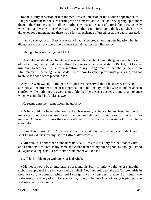Rachel's only sensation at that moment was satisfaction at the sudden appearance of Ranger's white head, the sure harbinger of his master and Alick, and she sprang up to meet them in the shrubbery path – all her morbid shyness at the sight of a fresh face passing away when her hand was within Alick's arm. When they came forth upon the lawn, Alick's brow darkened for a moment, and there was a formal exchange of greetings as the guest retreated.

 «I am so sorry,» began Bessie at once; «I had taken precautions against invasion, but he did not go to the front door. I do so hope Rachel has not been fluttered.»

«I thought he was at Rio,» said Alick.

 «He could not stand the climate, and was sent home about a month ago – a regular case of bad shilling, I am afraid, poor fellow! I am so sorry he came to startle Rachel, but I swore him over to secrecy. He is not to mention to any living creature that she is nearer than Plinlimmon till the incog, is laid aside! I know how to stand up for bridal privileges, and not to abuse the confidence placed in me.»

 Any one who was up to the game might have perceived that the sister was trying to attribute all the brother's tone of disapprobation to his anxiety lest his wife should have been startled, while both knew as well as possible that there was a deeper ground of annoyance which was implied in Alick's answer.

«He seems extremely tame about the garden.»

 «Or he would not have fallen on Rachel. It was only a chance; he just brought over a message about that tiresome bazaar that has been dinned into our ears for the last three months. A bazaar for idiots they may well call it! They wanted a carving of yours, Uncle George!»

 «I am afraid I gave little Alice Bertie one in a weak moment, Bessie,» said Mr. Clare, «but I hardly durst show my face to Lifford afterwards.»

 «After all, it is better than some bazaars,» said Bessie; «it is only for the idiot asylum, and I could not well refuse my name and countenance to my old neighbours, though I stood out against taking a stall. Lord Keith would not have liked it.»

«Will he be able to go with you?» asked Alick.

 «Oh, no; it would be an intolerable bore, and his Scottish thrift would never stand the sight of people making such very bad bargains! No, I am going to take the Carleton girls in, they are very accommodating, and I can get away whenever I please. I am much too forbearing to ask any of you to go with me, though I believe Uncle George is pining to go and see after his carving.»

```
CHAPTER XXIV. 341
```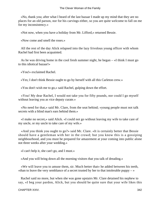«No, thank you; after what I heard of the last bazaar I made up my mind that they are no places for an old parson, nor for his carvings either, so you are quite welcome to fall on me for my inconsistency.»

«Not now, when you have a holiday from Mr. Lifford,» returned Bessie.

«Now come and smell the roses.»

 All the rest of the day Alick relapsed into the lazy frivolous young officer with whom Rachel had first been acquainted.

 As he was driving home in the cool fresh summer night, he began – «I think I must go to this idiotical bazaar!»

«You!» exclaimed Rachel.

«Yes; I don't think Bessie ought to go by herself with all this Carleton crew.»

«You don't wish me to go,» said Rachel, gulping down the effort.

 «You! My dear Rachel, I would not take you for fifty pounds, nor could I go myself without leaving you as vice deputy curate.»

 «No need for that,» said Mr. Clare, from the seat behind; «young people must not talk secrets with a blind man's ears behind them.»

 «I make no secret,» said Alick. «I could not go without leaving my wife to take care of my uncle, or my uncle to take care of my wife.»

 «And you think you ought to go?» said Mr. Clare. «It is certainly better that Bessie should have a gentleman with her in the crowd; but you know this is a gossiping neighbourhood, and you must be prepared for amazement at your coming into public alone not three weeks after your wedding.»

«I can't help it, she can't go, and I must.»

«And you will bring down all the morning visitors that you talk of dreading.»

 «We will leave you to amuse them, sir. Much better that» he added between his teeth, «than to leave the very semblance of a secret trusted by her to that intolerable puppy  $-\infty$ 

 Rachel said no more, but when she was gone upstairs Mr. Clare detained his nephew to say, «I beg your pardon, Alick, but you should be quite sure that your wife likes this

CHAPTER XXIV. 342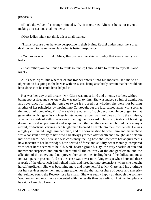#### proposal.»

 «That's the value of a strong−minded wife, sir,» returned Alick; «she is not given to making a fuss about small matters.»

«Most ladies might not think this a small matter.»

 «That is because they have no perspective in their brains. Rachel understands me a great deal too well to make me explain what is better unspoken.»

 «You know what I think, Alick, that you are the strictest judge that ever a merry girl had.»

 «I had rather you continued to think so, uncle; I should like to think so myself. Good night.»

 Alick was right, but whether or not Rachel entered into his motives, she made no objection to his going to the bazaar with his sister, being absolutely certain that he would not have done so if he could have helped it.

 Nor was her day at all dreary; Mr. Clare was most kind and attentive to her, without being oppressive, and she knew she was useful to him. She was indeed so full of admiration and reverence for him, that once or twice it crossed her whether she were not belying another of her principles by lapsing into Curatocult, but the idea passed away with scorn at the notion of comparing Mr. Clare with the objects of such devotion. He belonged to that generation which gave its choicest in intellectual, as well as in religious gifts to the ministry, when a fresh tide of enthusiasm was impelling men forward to build up, instead of breaking down, before disappointment and suspicion had thinned the ranks, and hurled back many a recruit, or doctrinal carpings had taught men to dread a search into their own tenets. He was a highly cultivated, large−minded man, and the conversation between him and his nephew was a constant novelty to her, who had always yearned after depth and thought, and seldom met with them. Still here she was constantly feeling how shallow were her acquirements, how inaccurate her knowledge, how devoid of force and solidity her reasonings compared with what here seemed to be old, well−beaten ground. Nay, the very sparkle of fun and merriment surprised and puzzled her; and all the courtesy of the one gentleman, and the affection of the other, could not prevent her sometimes feeling herself the dullest and most ignorant person present. And yet the sense was never mortifying except when here and there a apark of the old conceit had lighted itself, and lured her into pretensions where she thought herself proficient. She was becoming more and more helpful to Mr. Clare, and his gratitude for her services made them most agreeable, nor did that atmosphere of peace and sincerity that reigned round the Rectory lose its charm. She was really happy all through the solitary Wednesday, and much more contented with the results than was Alick. «A sickening place,» he said, «I am glad I went.»

CHAPTER XXIV. 343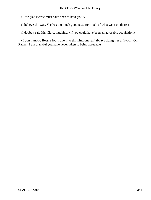«How glad Bessie must have been to have you!»

«I believe she was. She has too much good taste for much of what went on there.»

«I doubt,» said Mr. Clare, laughing, «if you could have been an agreeable acquisition.»

 «I don't know. Bessie fools one into thinking oneself always doing her a favour. Oh, Rachel, I am thankful you have never taken to being agreeable.»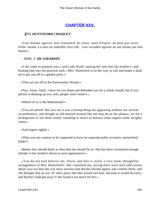# **[CHAPTER XXV.](#page-417-0)**

### *T*HE **HUNTSFORD CROQUET.**

 «Une femme egoiste, non seulement de coeur, mais d'esprit, ne pent pas sortir d'elle−meme. Le moi est indelible chez elle. Une veritable egoiste ne sait meme pas etre fausse.»

#### – MME. E. **DE GIRARDIN.**

 «I am come to prepare you,» said Lady Keith, putting her arm into her brother's, and leading him into the peacock path. «Mrs. Huntsford is on her way to call and make a dead set to get you all to a garden party.»

«Then we are off to the Earlsworthy Woods.»

 «Nay, listen, Alick. I have let you alone and defended you for a whole month, but if you persist in shutting up you wife, people won't stand it.»

«Which of us is the Mahometan?»

 «You are pitied! But you see it was a strong thing our appearing without our several incumbrances, and though an old married woman like me may do as she pleases, yet for a bridegroom of not three weeks' standing to resort to bazaars solus argues some weighty cause.»

«And argues rightly.»

 «Then you are content to be supposed to have an unproduceably eccentric melancholy bride?»

 «Better they should think so than that she should be so. She has been victimized enough already to her mother's desire to save appearances.»

 «You do not half believe me, Alick, and this is really a very kind, thoughtful arrangement of Mrs. Huntsford's. She consulted me, saying there were such odd stories about you two that she was most anxious that Rachel should appear and confute them; and she thought that an out−of−door party like this would suit best, because it would be early, and Rachel could get away if she found it too much for her.»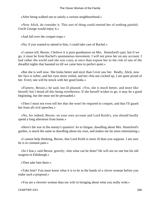«After being walked out to satisfy a curious neighbourhood.»

 «Now Alick, do consider it. This sort of thing could remind her of nothing painful; Uncle George would enjoy it.»

«And fall over the croquet traps.»

«No; if you wanted to attend to him, I could take care of Rachel.»

 «I cannot tell, Bessie, I believe it is pure goodnature on Mrs. Huntsford's part, but if we go, it must be from Rachel's spontaneous movement. I will not press her on any account. I had rather the world said she was crazy at once than expose her to the risk of one of the dreadful nights that haunted us till we came here to perfect quiet.»

 «But she is well now. She looks better and nicer than I ever saw her. Really, Alick, now her face is softer, and her eyes more veiled, and her chin not cocked up, I am quite proud of her. Every one will be struck with her good looks.»

 «Flattery, Bessie,» he said, not ill pleased. «Yes, she is much better, and more like herself; but I dread all this being overthrown. If she herself wishes to go, it may be a good beginning, but she must not be persuaded.»

 «Then I must not even tell her that she won't be required to croquet, and that I'll guard her from all civil speeches.»

 «No, for indeed, Bessie, on your own account and Lord Keith's, you should hardly spend a long afternoon from home.»

 «Here's the war in the enemy's quarters! As to fatigue, dawdling about Mrs. Huntsford's garden, is much the same as dawdling about my own, and makes me far more entertaining.»

 «I cannot help thinking, Bessie, that Lord Keith is more ill than you suppose. I am sure he is in constant pain.»

 «So I fear,» said Bessie, gravely; «but what can be done? He will see no one but his old surgeon in Edinburgh.»

«Then take him there.»

 «Take him? You must know what it is to be in the hands of a clever woman before you make such a proposal.»

«You are a cleverer woman than my wife in bringing about what you really wish.»

CHAPTER XXV. 346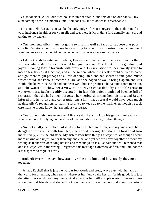«Just consider, Alick, our own house is uninhabitable, and this one on our hands – my aunt coming to me in a month's time. You don't ask me to do what is reasonable.»

 «I cannot tell, Bessie. You can be the only judge of what is regard of the right kind for your husband's health or for yourself; and see, there is Mrs. Huntsford actually arrived, and talking to my uncle.»

 «One moment, Alick: I am not going to insult myself so far as to suppose that poor Charlie Carleton's being at home has anything to do with your desire to deport me, but I want you to know that he did not come home till after we were settled here.»

 «I do not wish to enter into details, Bessie,» and he crossed the lawn towards the window where Mr. Clare and Rachel had just received Mrs. Huntsford, a goodnatured joyous−looking lady, a favourite with every one. Her invitation was dexterously given to meet a few friends at luncheon, and in the garden, where the guests would be free to come and go; there might perhaps be a little dancing later, she had secured some good music which would, she knew, attract Mr. Clare, and she hoped he would bring Captain and Mrs. Keith. She knew Mrs. Keith had not been well, but she promised her a quiet room to rest in, and she wanted to show her a view of the Devon coast done by a notable artist in water−colours. Rachel readily accepted – in fact, this quiet month had been so full of restoration that she had almost forgotten her morbid shrinking from visitors; and Bessie infused into her praise and congratulations a hint that a refusal would have been much against Alick's reputation, so that she resolved to keep up to the mark, even though he took care that she should know that she might yet retract.

 «You did not wish me to refuse, Alick,» said she, struck by his grave countenance, when she found him lying on the slope of the lawn shortly after, in deep thought.

 «No, not at all,» he replied; «it is likely to be a pleasant affair, and my uncle will be delighted to have us with him. No,» he added, seeing that she still looked at him inquisitively, «it is the old story. My sister! Poor little thing! I always feel as though I wore more unkind and unjust to her than any one else, and yet we are never together without my feeling as if she was deceiving herself and me; and yet it is all so fair and well reasoned that one is always left in the wrong. I regretted this marriage extremely at first, and I am not the less disposed to regret it now.»

 «Indeed! Every one says how attentive she is to him, and how nicely they go on together.»

 «Pshaw, Rachel! that is just the way. A few words and pretty ways pass with her and all the world for attention, when she is wherever her fancy calls her, all for his good. It is just the attention she showed my uncle. And now it is her will and pleasure to queen it here among her old friends, and she will not open her eyes to see the poor old man's precarious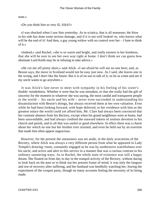state.»

«Do you think him so very ill, Alick?»

 «I was shocked when I saw him yesterday. As to sciatica, that is all nonsense; the blow in his side has done some serious damage, and if it is not well looked−to, who knows what will be the end of it! And then, a gay young widow with no control over her – I hate to think of it.»

 «Indeed,» said Rachel, «she is so warm and bright, and really earnest in her kindness, that she will be sure to see her own way right at home. I don't think we can guess how obstinate Lord Keith may be in refusing to take advice.»

 «He cut me off pretty short,» said Alick. «I am afraid he will see no one here; and, as Bessie says, the move to Scotland would not be easy just now. As I said, she leaves one in the wrong, and I don't like the future. But it is of no use to talk of it; so let us come and see if my uncle wants to go anywhere.»

 It was Alick's fate never to meet with sympathy in his feeling of his sister's double−mindedness. Whether it were that he was mistaken, or that she really had the gift of sincerity for the moment in whatever she was saying, the most candid and transparent people in the world – his uncle and his wife – never even succeeded in understanding his dissatisfaction with Bessie's doings, but always received them at her own valuation. Even while he had been looking forward, with hope deferred, to her residence with him as the greatest solace the world could yet afford him, Mr. Clare had always been convinced that her constant absence from his Rectory, except when his grand neighbours were at home, had been unavoidable, and had always credited the outward tokens of zealous devotion to his church and parish, and to all that was useful or good elsewhere. In effect there was a charm about her which no one but her brother ever resisted, and even he held out by an exertion that made him often appear ungracious.

 However, for the present the uneasiness was set aside, in the daily avocations of the Rectory, where Alick was always a very different person from what he appeared in Lady Temple's drawing–room, constantly engaged as he was by unobtrusive watchfulness over his uncle, and active and alert in this service in a manner that was a curious contrast to his ordinary sauntering ways. As to Rachel, the whole state of existence was still a happy dream. She floated on from day to day in the tranquil activity of the Rectory, without daring to look back on the past or to think out her present frame of mind; it was only the languor and rest of recovery after suffering, and her husband was heedfully watching her, fearing the experiment of the croquet party, though on many accounts feeling the necessity of its being made.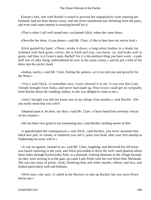Ermine's hint, that with Rachel it rested to prevent her unpopularity from injuring her husband, had not been thrown away, and she never manifested any shrinking from the party, and even took some interest in arraying herself for it.

«That is what I call well turned out,» exclaimed Alick, when she came down.

«Describe her dress, if you please,» said Mr. Clare, «I like to hear how my nieces look.»

 Alick guided his hand. «There, stroke it down, a long white feather in a shady hat trimmed with dark green, velvet; she is fresh and rosy, you know, sir, and looks well in green, and then, is it Grace's taste, Rachel? for it is the prettiest thing you have worn – a pale buff sort of silky thing, embroidered all over in the same colour,» and he put a fold of the dress into his uncle's hand.

 «Indian, surely,» said Mr. Clare, feeling the pattern, «it is too intricate and graceful for the West.»

 «Yes,» said Alick, «I remember now, Grace showed it to me. It was one that Lady Temple brought from India, and never had made up. Poor Grace could get no sympathy from Rachel about the wedding clothes, so she was obliged to come to me.»

 «And I thought you did not know one of my things from another,» said Rachel. «Do you really mean that you care?»

 «Depend upon it, he does, my dear,» said Mr. Clare. «I have heard him severely critical on his cousins.»

«He has been very good in not tormenting me,» said Rachel, nestling nearer to him.

 «I apprehended the consequences,» said Alick, «and besides, you never mounted that black lace pall, or curtain, or whatever you call it, upon your head, after your first attempt at frightening me away with it.»

 «A cap set against, instead of at,» said Mr. Clare, laughing; and therewith his old horse was heard clattering in the yard, and Alick proceeded to drive the well−used phaeton about three miles through Earlsworthy Park, to a pleasant−looking demesne in the village beyond. As they were turning in at the gate, up came Lady Keith with her two brisk little Shetlands. She was one mass of pretty, fresh, fluttering blue and white muslin, ribbon, and lace, and looked particularly well and brilliant.

 «Well met,» she said, «I called at the Rectory to take up Rachel, but you were flown before me.»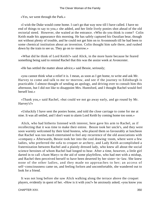«Yes, we went through the Park.»

 «I wish the Duke would come home. I can't go that way now till I have called. I have no end of things to say to you,» she added, and her little lively ponies shot ahead of the old rectorial steed. However, she waited at the entrance. «Who do you think is come? Colin Keith made his appearance this morning. He has safely captured his Ouralian bear, though not without plenty of trouble, and he could not get him on to Avonmouth till he had been to some chemical institution about an invention. Colin thought him safe there, and rushed down by the train to see us. They go on to−morrow.»

 «What did he think of Lord Keith?» said Alick, in the more haste because he feared something being said to remind Rachel that this was the assize week at Avoncester.

«He has settled the matter about advice,» said Bessie, seriously;

 «you cannot think what a relief it is. I mean, as soon as I get home, to write and ask Mr. Harvey to come and talk to me to−morrow, and see if the journey to Edinburgh is practicable. I almost thought of sending an apology, and driving over to consult him this afternoon, but I did not like to disappoint Mrs. Huntsford, and I thought Rachel would feel herself lost.»

 «Thank you,» said Rachel, «but could we not go away early, and go round by Mr. Harvey's?»

 «Unluckily I have sent the ponies home, and told the close carriage to come for me at nine. It was all settled, and I don't want to alarm Lord Keith by coming home too soon.»

 Alick, who had hitherto listened with interest, here gave his arm to Rachel, as if recollecting that it was time to make their entree. Bessie took her uncle's, and they were soon warmly welcomed by their kind hostess, who placed them so favourably at luncheon that Rachel was too much entertained to feel any recurrence of the old associations with «company.» Afterwards, Bessie took her into the cool drawing−room, where were a few ladies, who preferred the sofa to croquet or archery, and Lady Keith accomplished a fraternization between Rachel and a plainly dressed lady, who knew all about the social science heroines of whom Rachel had longed to hear. After a time, however, a little girl darted in to call «Aunt Mary» to the aid of some playfellow, who had met with a mishap, and Rachel then perceived herself to have been deserted by her sister−in−law. She knew none of the other ladies, and they made no approaches to her; an access of self−consciousness came on, and feeling forlorn and uncomfortable, she wandered out to look for a friend.

 It was not long before she saw Alick walking along the terrace above the croquet players, evidently in quest of her. «How is it with you?» he anxiously asked; «you know you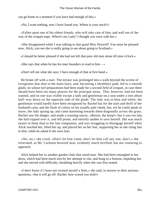can go home in a moment if you have had enough of this.»

«No, I want nothing, now I have found you. Where is your uncle?»

 «Fallen upon one of his oldest friends, who will take care of him, and well out of the way of the croquet traps. Where's my Lady? I thought you were with her.»

 «She disappeared while I was talking to that good Miss Penwell! You must be pleased now, Alick, you see she is really going to see about going to Scotland.»

«I should be better pleased if she had not left that poor old man alone till nine o'clock.»

«She says that when he has his man Saunders to read to him  $-\infty$ 

«Don't tell me what she says; I have enough of that at first hand.»

 He broke off with a start. The terrace was prolonged into a walk beyond the screen of evergreens that shut in the main lawn, and, becoming a shrubbery path, led to a smooth glade, on whose turf preparations had been made for a second field of croquet, in case there should have been too many players for the principal arena. This, however, had not been wanted, and no one was visible except a lady and gentleman on a seat under a tree about half−way down on the opposite side of the glade. The lady was in blue and white; the gentleman would hardly have been recognised by Rachel but for the start and thrill of her husband's arm, and the flush of colour on his usually pale cheek, but, ere he could speak or move, the lady sprang up, and came hastening towards them diagonally across the grass. Rachel saw the danger, and made a warning outcry, «Bessie, the hoop!» but it was too late, she had tripped over it, and fell prone, and entirely unable to save herself. She was much nearer to them than to her late companion, and was struggling to disengage herself when Alick reached her, lifted her up, and placed her on her feet, supporting her as she clung fast to him, while he asked if she were hurt.

 «No, no,» she cried. «Don't let him come; don't let him call any one, don't,» she reiterated, as Mr. Carleton hovered near, evidently much terrified, but not venturing to approach.

 Alick helped her to another garden chair that stood near. She had been entangled in her dress, which had been much torn by her attempt to rise, and hung in a festoon, impeding her, and she moved with difficulty, breathing heavily when she was first seated.

 «I don't know if I have not twisted myself a little,» she said, in answer to their anxious questions, «but it will go off. Rachel, how scared you look!»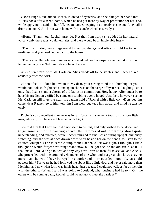«Don't laugh,» exclaimed Rachel, in dread of hysterics, and she plunged her hand into Alick's pocket for a scent−bottle, which he had put there by way of precaution for her, and, while applying it, said, in her full, sedate voice, keeping it as steady as she could, «Shall I drive you home? Alick can walk home with his uncle when he is ready.»

 «Home! Thank you, Rachel, pray do. Not that I am hurt,» she added in her natural voice, «only these rags would tell tales, and there would be an intolerable fuss.»

 «Then I will bring the carriage round to the road there,» said Alick. «I told Joe to be in readiness, and you need not go back to the house.»

 «Thank you. But, oh, send him away!» she added, with a gasping shudder. «Only don't let him tell any one. Tell him I desire he will not.»

 After a few words with Mr. Carleton, Alick strode off to the stables, and Rachel asked anxiously after the twist.

 «I don't feel it; I don't believe in it. My dear, your strong mind is all humbug, or you would not look so frightened,» and again she was on the verge of hysterical laughing; «it is only that I can't stand a chorus of old ladies in commotion. How happy Alick must be to have his prediction verified by some one tumbling over a hoop!» Just then, however, seeing Mr. Carleton still lingering near, she caught hold of Rachel with a little cry, «Don't let him come, dear Rachel; go to him, tell him I am well, but keep him away, and mind he tells no one!»

 Rachel's cold, repellent manner was in full force, and she went towards the poor little man, whose girlish face was blanched with fright.

 She told him that Lady Keith did not seem to be hurt, and only wished to be alone, and to go home without attracting notice. He stammered out something about quite understanding, and retreated, while Rachel returned to find Bessie sitting upright, anxiously watching, and she was at once drawn down to sit beside her on the bench, to listen to the excited whisper. «The miserable simpleton! Rachel, Alick was right. I thought, I little thought he would forget how things stand now, but he got back to the old strain, as if  $-I$ shall make Lord Keith go to Scotland any way now. I was so thankful to see you and Alick.» She proceeded with the agitated vehemence of one who, under a great shock, was saying more than she would have betrayed in a cooler and more guarded mood, «What could possess him? For years he had followed me about like a little dog, and never said more than I let him; and now what folly was in his head, just because I could not walk as far as the ruin with the others. »When I said I was going to Scotland, what business had he to – Oh! the others will be coming back, Rachel, could we not go to meet the carriage?"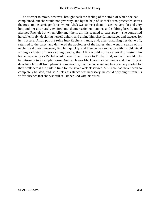The attempt to move, however, brought back the feeling of the strain of which she had complained, but she would not give way, and by the help of Rachel's arm, proceeded across the grass to the carriage−drive, where Alick was to meet them. It seemed very far and very hot, and her alternately excited and shame−stricken manner, and sobbing breath, much alarmed Rachel; but when Alick met them, all this seemed to pass away – she controlled herself entirely, declaring herself unhurt, and giving him cheerful messages and excuses for her hostess. Alick put the reins into Rachel's hands, and, after watching her drive off, returned to the party, and delivered the apologies of the ladies; then went in search of his uncle. He did not, however, find him quickly, and then he was so happy with his old friend among a cluster of merry young people, that Alick would not say a word to hasten him home, especially as Rachel would have driven Bessie to Timber End, so that it would only be returning to an empty house. And such was Mr. Clare's sociableness and disability of detaching himself from pleasant conversation, that the uncle and nephew scarcely started for their walk across the park in time for the seven o'clock service. Mr. Clare had never been so completely belated, and, as Alick's assistance was necessary, he could only augur from his wife's absence that she was still at Timber End with his sister.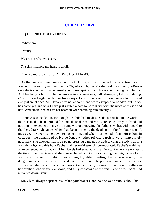# **[CHAPTER XXVI.](#page-417-0)**

### *T*HE **END OF CLEVERNESS.**

"Where am I?

0 vanity,

We are not what we deem,

The sins that hold my heart in thrall,

They are more real than all." – Rev. I. WILLIAMS.

 As the uncle and nephew came out of church, and approached the yew−tree gate, Rachel came swiftly to meet them. «Oh, Alick! oh, uncle!» she said breathlessly. «Bessie says she is shocked to have turned your house upside down, but we could not go any further. And her baby is born!» Then in answer to exclamations, half−dismayed, half−wondering, «Yes, it is all right, so Nurse Jones says. I could not send to you, for we had to send everywhere at once. Mr. Harvey was not at home, and we telegraphed to London, but no one has come yet, and now I have just written a note to Lord Keith with the news of his son and heir. And, uncle, she has set her heart on your baptizing him directly.»

 There was some demur, for though the child had made so sudden a rush into the world, there seemed to be no ground for immediate alarm; and Mr. Clare being always at hand, did not think it expedient to give the name without knowing the father's wishes with regard to that hereditary Alexander which had been borne by the dead son of the first marriage. A message, however, came down to hasten him, and when – as he had often before done in cottages – he demanded of Nurse Jones whether private baptism were immediately necessary, she allowed that she saw no pressing danger, but added, «that the lady was in a way about it,» and this both Rachel and her maid strongly corroborated. Rachel's maid was an experienced person, whom Mrs. Curtis had selected with a view to Rachel's weak state at the time of her marriage, and she showed herself anxious for anything that might abate Lady Keith's excitement, to which they at length yielded, feeling that resistance might be dangerous to her. She further insisted that the rite should be performed in her presence; nor was she satisfied when Rachel had brought in her uncle, but insisted on likewise calling in her brother, who vaguely anxious, and fully conscious of the small size of the room, had remained down−stairs.

Mr. Clare always baptized his infant parishioners, and no one was anxious about his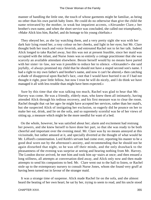manner of handling the little one, the touch of whose garments might be familiar, as being no other than his own parish baby linen. He could do no otherwise than give the child the name reiterated by the mother, in weak but impatient accents, «Alexander Clare,» her brother's own name, and when the short service was concluded, she called out triumphantly, «Make Alick kiss him, Rachel, and do homage to his young chieftain.»

 They obeyed her, as she lay watching them, and a very pretty sight she was with her dark hair lying round her, a rosy colour on her cheeks, and light in her eyes; but Mr. Clare thought both her touch and voice feverish, and entreated Rachel not to let her talk. Indeed Alick longed to take Rachel away, but this was not at present feasible, since her maid was occupied with the infant, and Nurse Jones was so entirely a cottage practitioner that she was scarcely an available attendant elsewhere. Bessie herself would by no means have parted with her sister−in−law, nor was it possible to reduce her to silence. «Alexander!» she said joyfully, «I always promised my child that he should not have a stupid second son's name. I had a right to my own father's and brother's name, and now it can't be altered,» then catching a shade of disapproval upon Rachel's face, «not that I would have hurried it on if I had not thought it right, poor little fellow, but now I trust he will do nicely, and I do think we have managed it all with less trouble than might have been expected.»

 Sure by this time that she was talking too much, Rachel was glad to hear that Mr. Harvey was come. He was a friendly, elderly man, who knew them all intimately, having attended Alick through his tedious recovery, and his first measure was to clear the room. Rachel thought that «at her age» he might have accepted her services, rather than her maid's, but she suspected Alick of instigating her exclusion, so eagerly did he pounce on her to make her eat, drink, and lie on the sofa, and so supremely scornful was he of her views of sitting up, a measure which might be the more needful for want of a bed.

 On the whole, however, he was satisfied about her; alarm and excitement had restrung her powers, and she knew herself to have done her part, so that she was ready to be both cheerful and important over the evening meal. Mr. Clare was by no means annoyed at this vicissitude, but rather amused at it, and specially diverted at the thought of what would be Mr. Lifford's consternation. Lord Keith's servant had come over, reporting his master to be a good deal worn out by the afternoon's anxiety, and recommending that he should not be again disturbed that night, so he was off their minds, and the only drawback to the pleasantness of the evening was surprise at seeing and hearing nothing from Mr. Harvey. The London doctor arrived, he met him and took him up−stairs at once; and then ensued a long stillness, all attempts at conversation died away, and Alick only now and then made attempts to send his companions to bed. Mr. Clare went out to the hall to listen, or Rachel stole up to the extemporary nursery to consult Nurse Jones, whom she found very gruff at having been turned out in favour of the stranger maid.

 It was a strange time of suspense. Alick made Rachel lie on the sofa, and she almost heard the beating of her own heart; he sat by her, trying to seem to read, and his uncle stood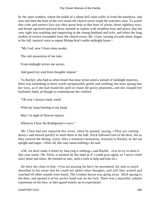by the open window, where the tinkle of a sheep bell came softly in from the meadows, and now and then the hoot of the owl round the church tower made the watchers start. To watch that calm and earnest face was their great help in that hour of alarm; those sightless eyes, and broad, upraised spiritual brow seemed so replete with steadfast trust and peace, that the very sight was soothing and supporting to the young husband and wife, and when the long strokes of twelve resounded from the church tower, Mr. Clare, turning towards them, began in his full, musical voice to repeat Bishop Ken's noble midnight hymn –

"My God, now I from sleep awake,

The sole possession of me take;

From midnight terrors me secure,

And guard my soul from thoughts impure."

 To Rachel, who had so often heard that hour strike amid a tumult of midnight miseries, there was something in these words inexpressibly gentle and soothing; the tears sprang into her eyes, as if she had found the spell to chase the grisly phantoms, and she clasped her husband's hand, as though to communicate her comfort.

"Oh may I always ready stand,

With my lamp burning in my hand;

May I in sight of Heaven rejoice,

Whene'er I hear the Bridegroom's voice."

 Mr. Clare had just repeated this verse, when he paused, saying, «They are coming down,» and moved quickly to meet them in the hall. Alick followed him to the door, but as they entered the dining−room, after a moment's hesitation, returned to Rachel, as she sat upright and eager. «After all, this may mean nothing,» he said.

 «Oh, we don't make it better by fancying it nothing,» said Rachel. «Let us try to meet it like your uncle. Oh, Alick, it seemed all this time as if I could pray again, as I never could since those sad times. He seemed so sure, such a rock to help and lean on.»

 He drew her close to him. «You are praying for her!» he murmured, his soul so much absorbed in his sister that he could not admit other thoughts, and still they waited and watched till other sounds were heard. The London doctor was going away. Alick sprang to the door, and opened it as his uncle's hand was on the lock. There was a mournful, solemn expression on his face, as they gazed mutely up in expectation.

CHAPTER XXVI. 356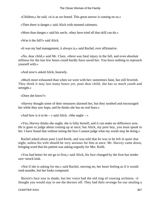«Children,» he said, «it is as we feared. This great sorrow is coming on us.»

«Then there is danger,» said Alick with stunned calmness.

«More than danger,» said his uncle, «they have tried all that skill can do.»

«Was it the fall?» said Alick.

«It was my bad management, it always is,» said Rachel, ever affirmative.

 «No, dear child,» said Mr. Clare, «there was fatal injury in the fall, and even absolute stillness for the last few hours could hardly have saved her. You have nothing to reproach yourself with.»

«And now!» asked Alick, hoarsely.

 «Much more exhausted than when we were with her; sometimes faint, but still feverish. They think it may last many hours yet, poor dear child, she has so much youth and strength.»

«Does she know?»

 «Harvey thought some of their measures alarmed her, but they soothed and encouraged her while they saw hope, and he thinks she has no real fears.»

«And how is it to be  $-$  » said Alick. «She ought  $-$  »

 «Yes; Harvey thinks she ought, she is fully herself, and it can make no difference now. He is gone to judge about coming up at once; but Alick, my poor boy, you must speak to her. I have found that without seeing the face I cannot judge what my words may be doing.»

 Rachel asked about poor Lord Keith, and was told that he was to be left in quiet that night, unless his wife should be very anxious for him at once. Mr. Harvey came down, bringing word that his patient was asking urgently for Mrs. Keith.

 «You had better let me go in first,» said Alick, his face changed by the firm but tender awe−struck look.

 «Not if she is asking for me,» said Rachel, moving on, her heart feeling as if it would rend asunder, but her looks composed.

 Bessie's face was in shade, but her voice had the old ring of coaxing archness. «I thought you would stay to see the doctors off. They had their revenge for our stealing a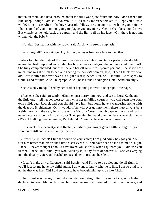march on them, and have prowled about me till I was quite faint; and now I don't feel a bit like sleep, though I am so tired. Would Alick think me very wicked if I kept you a little while? Don't I see Alick's shadow? Dear old fellow, are you come to wish me good−night? That is good of you. I am not going to plague you any more, Alick, I shall be so good now! But what?» as he held back the curtain, and the light fell on his face, «Oh! there is nothing wrong with the baby?»

«No, dear Bessie, not with the baby,» said Alick, with strong emphasis.

«What, myself?» she said quickly, turning her eyes from one face to the other.

 Alick told her the state of the case. Hers was a resolute character, or perhaps the double nature that had perplexed and chafed her brother was so integral that nothing could put it off. She fully comprehended, but as if she and herself were two separate persons. She asked how much time might be left to her, and hearing the doctor's opinion, said, «Then I think my poor old Lord Keith had better have his night's rest in peace. But, oh! I should like to speak to Colin. Send for him, Alick; telegraph, Alick; he is at the Paddington Hotel. Send directly.»

She was only tranquillised by her brother beginning to write a telegraphic message.

 «Rachel,» she said, presently, «Ermine must marry him now, and see to Lord Keith, and the little one – tell her so, please,» then with her unfailing courtesy, «he will seem like your own child, dear Rachel, and you should have him; but you'll have a wandering home with the dear old Highlanders. Oh! I wonder if he will ever go into them, there must always be a Keith there, and they say he is sure of the Victoria Cross, though papa will not send up his name because of being his own son.» Then passing her hand over her face, she exclaimed – «Wasn't I talking great nonsense, Rachel? I don't seem able to say what I mean.»

 «It is weakness, dearest,» said Rachel, «perhaps you might gain a little strength if you were quite still and listened to my uncle.»

 «Presently. 0 Rachel! I like the sound of your voice; I am glad Alick has got you. You suit him better than his wicked little sister ever did. You have been so kind to me to−night, Rachel; I never thought I should have loved you so well, when I quizzed you. I did use you ill then, Rachel, but I think you won Alick by it just by force of contrast,» – she was verging into the dreamy voice, and Rachel requested her to rest and be silent.

 «It can't make any difference,» said Bessie, «and I'll try to be quiet and do all right, if you'll just let me have my child again. I do want to know who he is like. I am so glad it is not he that was hurt. Oh! I did so want to have brought him up to be like Alick.»

 The infant was brought, and she insisted on being lifted to see its face, which she declared to resemble her brother; but here her real self seemed to gain the mastery, and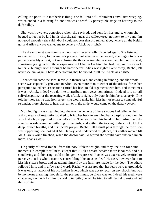calling it a poor little motherless thing, she fell into a fit of violent convulsive weeping, which ended in a fainting fit, and this was a fearfully perceptible stage on her way to the dark valley.

 She was, however, conscious when she revived, and sent for her uncle, whom she begged to let her be laid in his churchyard, «near the willow−tree; not next to my aunt, I'm not good enough,» she said, «but I could not bear that old ruined abbey, where all the Keiths go, and Alick always wanted me to be here – Alick was right!»

 The dreamy mist was coming on, nor was it ever wholly dispelled again. She listened, or seemed to listen, to her uncle's prayers, but whenever he ceased, she began to talk – perhaps sensibly at first, but soon losing the thread – sometimes about her child or husband, sometimes going back to those expressions of Charles Carleton that had been so dire a shock to her. «He ought not! I thought he knew better! Alick was right! Come away, Rachel, I'll never see him again. I have done nothing that he should insult me. Alick was right!»

 Then would come the sobs, terrible in themselves, and ending in fainting, and the whole scene was especially grievous to Alick, even more than to either of the others, for as her perception failed her, association carried her back to old arguments with him, and sometimes it was, «Alick, indeed you do like to attribute motives,» sometimes, «Indeed it is not all self−deception,» or the recurring wail, «Alick is right, only don't let him be so angry!» If he told her how far he was from anger, she would make him kiss her, or return to some playful rejoinder, more piteous to hear than all, or in the midst would come on the deadly swoon.

 Morning light was streaming into the room when one of these swoons had fallen on her, and no means of restoration availed to bring her back to anything but a gasping condition, in which she lay supported in Rachel's arms. The doctor had his hand on her pulse, the only sounds outside were the twittering of the birds, and within, the ticking of the clock, Alick's deep−drawn breaths, and his uncle's prayer. Rachel felt a thrill pass through the form she was supporting, she looked at Mr. Harvey, and understood his glance, but neither moved till Mr. Clare's voice finished, when the doctor said, «I feared she would have suffered much more. Thank God!»

 He gently relieved Rachel from the now lifeless weight, and they knelt on for some moments in complete stillness, except that Alick's breath became more laboured, and his shuddering and shivering could no longer be repressed. Rachel was excessively terrified to perceive that his whole frame was trembling like an aspen leaf. He rose, however, bent to kiss his sister's brow, and steadying himself by the furniture, made for the door. The others followed him, and in a few rapid words Rachel was assured that her fears were ungrounded, it was only an attack of his old Indian fever, which was apt to recur on any shock, but was by no means alarming, though for the present it must be given way to. Indeed, his teeth were chattering too much for him to speak intelligibly, when he tried to tell Rachel to rest and not think of him.

CHAPTER XXVI. 359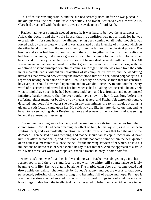This of course was impossible, and the sun had scarcely risen, before he was placed in his old quarters, the bed in the little inner study, and Rachel watched over him while Mr. Clare had driven off with the doctor to await the awakening of Lord Keith.

 Rachel had never so much needed strength. It was hard to believe the assurances of Alick, the doctor, and the whole house, that his condition was not critical, for he was exceedingly ill for some hours, the ailment having been coming on all night, though it was forced back by the resolute will, and it was aggravated by the intensity of his grief, which on the other hand broke forth the more violently from the failure of the physical powers. The brother and sister had been so long alone in the world together, and with all her faults she had been so winning, that it was a grievous loss to him, coming too in the full bloom of her beauty and prosperity, when he was conscious of having dealt severely with her foibles. All was at an end – that double thread of brilliant good−nature and worldly selfishness, with the one strand of sound principle sometimes coming into sight. The life was gone from the earth in its incompleteness, without an unravelling of its complicated texture, and the wandering utterances that revealed how entirely the brother stood first with her, added poignancy to his regret for having been harsh with her. It could hardly be otherwise than that his censures, however just, should now recoil upon him, and in vain did Rachel try to point out that every word of his sister's had proved that her better sense had all along acquiesced – he only felt what it might have been if he had been more indulgent and less ironical, and gave himself infinitely harder measure than he ever could have shown to her. It was long before the suffering, either mental or bodily, by any means abated, and Rachel felt extremely lonely, deserted, and doubtful whether she were in any way ministering to his relief, but at last a gleam of satisfaction came upon her. He evidently did like her attendance on him, and he began to say something about Bessie's real love and esteem for her – softer grief was setting in, and the ailment was lessening.

 The summer morning was advancing, and the knell rung out its two deep notes from the church tower. Rachel had been dreading the effect on him, but he lay still, as if he had been waiting for it, and was evidently counting the twenty−three strokes that told the age of the deceased. Then he said he was mending, and that he should fall asleep if Rachel would leave him, see after the poor child, and if his uncle should not come home within the next quarter of an hour take measures to silence the bell for the morning service; after which, he laid his injunctions on her to rest, or what should he say to her mother? And the approach to a smile with which these last words were spoken, enabled Rachel to obey in some comfort.

 After satisfying herself that the child was doing well, Rachel was obliged to go into her former room, and there to stand face to face with the white, still countenance so lately beaming with life. She was glad to be alone. The marble calm above all counteracted and drove aside the painful phantom left by Lovedy's agony, and yet the words of that poor, persecuted, suffering child came surging into her mind full of peace and hope. Perhaps it was the first time she had entered into what it is for weak things to confound the wise, or how things hidden from the intellectual can be revealed to babes; and she hid her face in her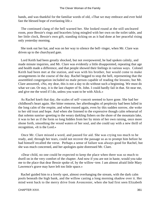hands, and was thankful for the familiar words of old, «That we may embrace and ever hold fast the blessed hope of everlasting life.»

 The continued clang of the bell warned her. She looked round at the still uncleared room, poor Bessie's rings and bracelets lying mingled with her own on the toilet table, and her little clock, Bessie's own gift, standing ticking on as it had done at her peaceful rising only yesterday morning.

 She took out her hat, and was on her way to silence the bell−ringer, when Mr. Clare was driven up to the churchyard gate.

 Lord Keith had been greatly shocked, but not overpowered, he had spoken calmly, and made minute inquiries, and Mr. Clare was evidently a little disappointed, repeating that age and health made a difference, and that people showed their feelings in various ways. Colonel Keith had been met at the station, and was with his brother, but would come to make arrangements in the course of the day. Rachel begged to stop the bell, representing that the assembled congregation included no male person capable of reading the lessons; but Mr. Clare answered, «No, my dear, this is not a day to do without such a beginning. We must do what we can. Or stay, it is the last chapter of St. John. I could hardly fail in that. Sit near me, and give me the word if I do, unless you want to be with Alick.»

 As Rachel knelt that day, the scales of self−conceit seemed to have gone. She had her childhood's heart again. Her bitter remorse, her afterthoughts of perplexity had been lulled in the long calm of the respite, and when roused again, even by this sudden sorrow, she woke to her old trust and hope. And when she listened to the expressive though calm rehearsal of that solemn sunrise−greeting to the weary darkling fishers on the shore of the mountain lake, it was to her as if the form so long hidden from her by mists of her own raising, once more shone forth, smoothing the vexed waters of her soul, and she could say with a new thrill of recognition, «It is the Lord.»

 Once Mr. Clare missed a word, and paused for aid. She was crying too much to be ready, and, through her tears, could not recover the passage so as to prompt him before he had himself recalled the verse. Perhaps a sense of failure was always good for Rachel, but she was much concerned, and her apologies quite distressed Mr. Clare.

 «Dear child, no one could be expected to keep the place when there was so much to dwell on in the very comfort of the chapter. And now if you are not in haste, would you take me to the place that dear Bessie spoke of, by the willow−tree. I am almost afraid little Mary Lawrence's grave may have left too little space.»

 Rachel guided him to a lovely spot, almost overhanging the stream, with the dark calm pools beneath the high bank, and the willow casting a long morning shadow over it. Her mind went back to the merry drive from Avoncester, when she had first seen Elizabeth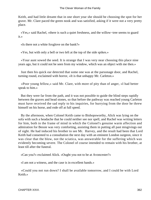Keith, and had little dreamt that in one short year she should be choosing the spot for her grave. Mr. Clare paced the green nook and was satisfied, asking if it were not a very pretty place.

 «Yes,» said Rachel, «there is such a quiet freshness, and the willow−tree seems to guard it.»

«Is there not a white foxglove on the bank?»

«Yes, but with only a bell or two left at the top of the side spikes.»

 «Your aunt sowed the seed. It is strange that I was very near choosing this place nine years ago, but it could not be seen from my window, which was an object with me then.»

 Just then his quick ear detected that some one was at the parsonage door, and Rachel, turning round, exclaimed with horror, «It is that unhappy Mr. Carleton.»

 «Poor young fellow,» said Mr. Clare, with more of pity than of anger, «I had better speak to him.»

 But they were far from the path, and it was not possible to guide the blind steps rapidly between the graves and head stones, so that before the pathway was reached young Carleton must have received the sad reply to his inquiries, for hurrying from the door he threw himself on his horse, and rode off at full speed.

 By the afternoon, when Colonel Keith came to Bishopsworthy, Alick was lying on the sofa with such a headache that he could neither see nor spell, and Rachel was writing letters for him, both in the frame of mind in which the Colonel's genuine warm affection and admiration for Bessie was very comforting, assisting them in putting all past misgivings out of sight. He had induced his brother to see Mr. Harvey, and the result had been that Lord Keith had consented to a consultation the next day with an eminent London surgeon, since it was clear that the blow, not the sciatica, was answerable for the suffering which was evidently becoming severe. The Colonel of course intended to remain with his brother, at least till after the funeral.

«Can you?» exclaimed Alick. «Ought you not to be at Avoncester?»

«I am not a witness, and the case is in excellent hands.»

 «Could you not run down? I shall be available tomorrow, and I could be with Lord Keith.»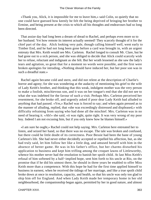«Thank you, Alick, it is impossible for me to leave him,» said Colin, so quietly that no one could have guessed how keenly he felt the being deprived of bringing her brother to Ermine, and being present at the crisis to which all his thoughts and endeavours had so long been directed.

 That assize day had long been a dream of dread to Rachel, and perhaps even more so to her husband. Yet how remote its interest actually seemed! They scarcely thought of it for the chief part of the day. Alick looking very pale, though calling himself well, went early to Timber End, and he had not long been gone before a card was brought in, with an urgent entreaty that Mrs. Keith would see Mrs. Carleton. Rachel longed to consult Mr. Clare, but he had gone out to a sick person, and she was obliged to decide that Alick could scarcely wish her to refuse, reluctant and indignant as she felt. But her wrath lessened as she saw the lady's tears and agitation, so great that for a moment no words were possible, and the first were broken apologies for intruding, «Nothing should have induced her, but her poor son was in such a dreadful state.»

 Rachel again became cold and stern, and did not relent at the description of Charlie's horror and agony; for she was wondering at the audacity of mentioning his grief to the wife of Lady Keith's brother, and thinking that this weak, indulgent mother was the very person to make a foolish, mischievous son, and it was on her tongue's end that she did not see to what she was indebted for the favour of such a visit. Perhaps Mrs. Carleton perceived her resentment, for she broke off, and urgently asked if poor dear Lady Keith had alluded to anything that had passed. «Yes,» Rachel was is forced to say; and when again pressed as to the manner of alluding, replied, that «she was exceedingly distressed and displeased,» with difficulty refraining from saying who had done all the mischief. Mrs. Carleton was in no need of hearing it. «Ah!» she said, «it was right, quite right. It was very wrong of my poor boy. Indeed I am not excusing him, but if you only knew how he blames himself.»

 «I am sure he ought,» Rachel could not help saying. Mrs. Carleton here entreated her to listen, and seized her hand, so that there was no escape. The tale was broken and confused, but there could be little doubt of its correctness. Poor Bessie had been the bane of young Carleton's life. She had never either decidedly accepted or repelled his affection, but, as she had truly said, let him follow her like a little dog, and amused herself with him in the absence of better game. He was in his father's office, but her charms disturbed his application to business and kept him trifling among the croquet lawns of Littleworthy, whence his mother never had the resolution to banish her spoilt child. At last Miss Keith's refusal of him softened by a half−implied hope, sent him forth to his uncle at Rio, on the promise that if he did his utmost there, he should in three years be enabled to offer Miss Keith more than a competence. With this hope he had for the first time applied himself to business in earnest, when he received the tidings of her marriage, and like a true spoilt child broke down at once in resolution, capacity, and health, so that his uncle was only too glad to ship him off for England. And when Lady Keith made her temporary home in her old neighbourhood, the companionship began again, permitted by her in good nature, and almost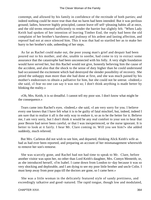contempt, and allowed by his family in confidence of the rectitude of both parties; and indeed nothing could be more true than that no harm had been intended. But it was perilous ground; ladies, however highly principled, cannot leave off self−pleasing habits all at once, and the old terms returned sufficiently to render the barrier but slightly felt. "When Lady Keith had spoken of her intention of leaving Timber End, the reply had been the old complaint of her brother's harshness and jealousy of his ardent and lasting affection, and reproof had not at once silenced him. This it was that had so startled her as to make her hurry to her brother's side, unheeding of her steps.

 As far as Rachel could make out, the poor young man's grief and despair had been poured out to his mother, and she, unable to soothe, had come to try to extract some assurance that the catastrophe had been unconnected with his folly. A very slight foundation would have served her, but this Rachel would not give, honestly believing him the cause of the accident, and also that the shock to the sense of duty higher than he could understand had occasioned the excitement which had destroyed the slender possibility of recovery. She pitied the unhappy man more than she had done at first, and she was much pained by his mother's endeavours to obtain a palliative for him, but she could not be untrue. «Indeed,» she said, «I fear no one can say it was not so; I don't think anything is made better by blinking the reality.»

 «Oh, Mrs. Keith, it is so dreadful. I cannot tell my poor son. I don't know what might be the consequence.»

 Tears came into Rachel's eyes. «Indeed,» she said, «I am very sorry for you. I believe every one knows that I have felt what it is to be guilty of fatal mischief, but, indeed, indeed I am sure that to realize it all is the only way to endure it, so as to be the better for it. Believe me, I am very sorry, but I don't think it would be any real comfort to your son to hear that poor Bessie had never been careful, or that I was inexperienced, or the nurse ignorant. It is better to look at it fairly. I hear Mr. Clare coming in. Will you see him?» she added suddenly, much relieved.

 But Mrs. Carleton did not wish to see him, and departed, thinking Alick Keith's wife as bad as had ever been reported, and preparing an account of her mismanagement wherewith to remove her son's remorse.

 She was scarcely gone, and Rachel had not had time to speak to Mr. Clare, before another visitor was upon her, no other than Lord Keith's daughter, Mrs. Comyn Menteith; or, as she introduced herself, «I'm Isabel. I came down from London to−day because it was so very shocking and deplorable, and I am dying to see my poor little brother and uncle Colin. I must keep away from poor papa till the doctors are gone, so I came here.»

 She was a little woman in the delicately featured style of sandy prettiness, and exceedingly talkative and good−natured. The rapid tongue, though low and modulated,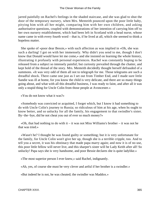jarred painfully on Rachel's feelings in the shaded staircase, and she was glad to shut the door of the temporary nursery, when Mrs. Menteith pounced upon the poor little baby, pitying him with all her might, comparing him with her own children, and asking authoritative questions, coupled with demonstrations of her intention of carrying him off to her own nursery establishment, which had been left in Scotland with a head nurse, whose name came in with every fourth word – that is, if he lived at all, which she seemed to think a hopeless matter.

 She spoke of «poor dear Bessie,» with such affection as was implied in «Oh, she was such a darling! I got on with her immensely. Why didn't you send to me, though I don't know that Donald would have let me come,» and she insisted on learning the whole history, illustrating it profusely with personal experiences. Rachel was constantly hoping to be released from a subject so intensely painful; but curiosity prevailed through the chatter, and kept hold of the thread of the story. Mrs. Menteith decidedly thought herself defrauded of a summons. «It was very odd of them all not to telegraph for me. Those telegrams are such a dreadful shock. There came one just as I set out from Timber End, and I made sure little Sandie was ill at home, for you know the child is very delicate, and there are so many things going about, and what with all this dreadful business, I was ready to faint, and after all it was only a stupid thing for Uncle Colin from those people at Avoncester.»

«You do not know what it was?»

 «Somebody was convicted or acquitted, I forget which, but I know it had something to do with Uncle Colin's journey to Russia; so ridiculous of him at his age, when hs ought to know better, and so unlucky for all the family, his engagement to that swindler's sister. By−the−bye, did he not cheat you out of ever so much money?»

«Oh, that had nothing to do with it – it was not Miss Williams's brother – it was not he that was tried.»

 «Wasn't he? I thought he was found guilty or something; but it is very unfortunate for the family, for Uncle Colin won't give her up, though she is a terrible cripple, too. And to tell you a secret, it was his obstinacy that made papa marry again; and now it is of no use, this poor little fellow will never live, and this sharper's sister will be Lady Keith after all! So unlucky! Papa says she is very handsome, and poor Bessie declares she is quite ladylike.»

«The most superior person I ever knew,» said Rachel, indignantly.

«Ah, yes, of course she must be very clever and artful if her brother is a swindler.»

«But indeed he is not, he was cheated; the swindler was Maddox.»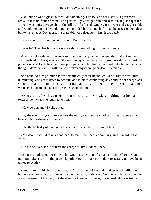«Oh, but he was a glass−blower, or something, I know, and her sister is a governess. I am sure it is no fault of mine! The parties I gave to get him and Jessie Douglas together! Donald was quite savage about the bills. And after all Uncle Colin went and caught cold, and would not come! I would not have minded half so much if it had been Jessie Douglas; but to have her at Gowanbrae – a glass−blower's daughter – isn't it too bad?»

«Her father was a clergyman of a good Welsh family.»

«Was he? Then her brother or somebody had something to do with glass.»

 Attempts at explanation were vain, the good lady had an incapacity of attention, and was resolved on her grievance. She went away at last because «those horrid doctors will be gone now, and I will be able to see poor papa, and tell him when I will take home the baby, though I don't believe he will live to be taken anywhere, poor dear little man.»

 She handled him go much more scientifically than Rachel could do, that it was quite humiliating, and yet to listen to her talk, and think of committing any child to her charge was sickening, and Rachel already felt a love and pity for her little charge that made her wretched at the thoughts of the prognostic about him.

 «You are tired with your visitors my dear,» said Mr. Clare, holding out his hand towards her, when she returned to him.

«How do you know?» she asked.

 «By the sound of your move across the room, and the stream of talk I heard above must be enough to exhaust any one.»

«She thinks badly of that poor child,» said Rachel, her voice trembling.

 «My dear, it would take a good deal to make me uneasy about anything I heard in that voice.»

«And if he lives, she is to have the charge of him,» added Rachel.

 «That is another matter on which I would suspend my fears,» said Mr. Clare. «Come out, and take a turn in the peacock path. You want air more than rest. So you have been talked to death.»

 «And I am afraid she is gone to talk Alick to death! I wonder when Alick will come home,» she proceeded, as they entered on the path. «She says Colonel Keith had a telegram about the result of the trial, but she does not know what it was, nor indeed who was tried.»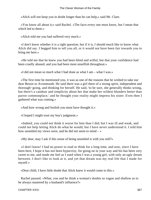«Alick will not keep you in doubt longer than he can help,» said Mr. Clare.

 «You know all about it;» said Rachel. «The facts every one must know, but I mean that which led to them.»

«Alick told me you had suffered very much.»

 «I don't know whether it is a right question, but if it is, I should much like to know what Alick did say. I begged him to tell you all, or it would not have been fair towards you to bring me here.»

 «He told me that he knew you had been blind and wilful, but that your confidence had been cruelly abused, and you had been most unselfish throughout.»

«I did not mean so much what I had done as what I am – what I was.»

 «The first time he mentioned you, it was as one of the reasons that he wished to take our dear Bessie to Avonmouth. He said there was a girl there of a strong spirit, independent and thorough−going, and thinking for herself. He said, 'to be sure, she generally thinks wrong, but there's a candour and simplicity about her that make her wildest blunders better than parrot commonplace,' and he thought your reality might impress his sister. Even then I gathered what was coming.»

«And how wrong and foolish you must have thought it.»

«I hoped I might trust my boy's judgment.»

 «Indeed, you could not think it worse for him than I did; but I was ill and weak, and could not help letting Alick do what he would; but I have never understood it. I told him how unsettled my views were, and he did not seem to mind  $-\infty$ 

«My dear, may I ask if this sense of being unsettled is with you still?»

 «I don't know! I had no power to read or think for a long time, and now, since I have been here, I hope it has not been hypocrisy, for going on in your way and his has been very sweet to me, and made me feel as I used when I was a young girl, with only an ugly dream between. I don't like to look at it, and yet that dream was my real life that I made for myself.»

«Dear child, I have little doubt that Alick knew it would come to this.»

 Rachel paused. «What, you and he think a woman's doubts so vague and shallow as to be always mastered by a husband's influence?»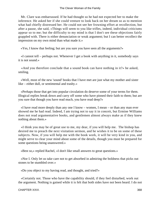Mr. Clare was embarrassed. If he had thought so he had not expected her to make the inference. He asked her if she could venture to look back on her dream so as to mention what had chiefly distressed her. He could not see her frowning effort at recollection, but after a pause, she said, «Things will seem to you like trifles, indeed, individual criticisms appear so to me; but the difficulty to my mind is that I don't see these objections fairly grappled with. There is either denunciation or weak argument; but I can better recollect the impression on my own mind than what made it.»

«Yes, I know that feeling; but are you sure you have seen all the arguments?»

 «I cannot tell – perhaps not. Whenever I get a book with anything in it, somebody says it is not sound.»

 «And you therefore conclude that a sound book can have nothing in it?» he asked, smiling.

 «Well, most of the new 'sound' books that I have met are just what my mother and sister like – either dull, or sentimental and trashy.»

 «Perhaps those that get into popular circulation do deserve some of your terms for them. Illogical replies break down and carry off some who have pinned their faith to them; but are you sure that though you have read much, you have read deep?»

 «I have read more deeply than any one I know – women, I mean – or than any man ever showed me he had read. Indeed, I am trying not to say it in conceit, but Ermine Williams does not read argumentative books, and gentlemen almost always make as if they knew nothing about them.»

 «I think you may be of great use to me, my dear, if you will help me. The bishop has desired me to preach the next visitation sermon, and he wishes it to be on some of these subjects. Now, if you will help me with the book work, it will be very kind in you, and might serve to clear your mind about some of the details, though you must be prepared for some questions being unanswered.»

«Best so,» replied Rachel, «I don't like small answers to great questions.»

 «Nor I. Only let us take care not to get absorbed in admiring the boldness that picks out stones to be stumbled over.»

«Do you object to my having read, and thought, and tried?»

 «Certainly not. Those who have the capability should, if they feel disturbed, work out the argument. Nothing is gained while it is felt that both sides have not been heard. I do not

CHAPTER XXVI. 368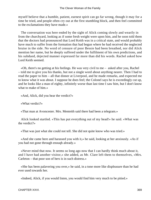myself believe that a humble, patient, earnest spirit can go far wrong, though it may for a time be tried, and people often cry out at the first stumbling block, and then feel committed to the exclamations they have made.»

 The conversation was here ended by the sight of Alick coming slowly and wearily in from the churchyard, looking as if some fresh weight were upon him, and he soon told them that the doctors had pronounced that Lord Keith was in a critical state, and would probably have much to suffer from the formation that had begun where he had received the neglected bruise in the side. No word of censure of poor Bessie had been breathed, nor did Alick mention her name, but he deeply suffered under the fulfilment of his own predictions, and his subdued, dejected manner expressed far more than did his words. Rachel asked how Lord Keith seemed.

 «Oh, there's no getting at his feelings. He was very civil to me – asked after you, Rachel – told me to give you his thanks, but not a single word about anything nearer. Then I had to read the paper to him – all that dinner at Liverpool, and he made remarks, and expected me to know what it was about. I suppose he does feel; the Colonel says he is exceedingly cut up, and he looks like a man of eighty, infinitely worse than last time I saw him, but I don't know what to make of him.»

«And, Alick, did you hear the verdict?»

«What verdict?»

«That man at Avoncester. Mrs. Menteith said there had been a telegram.»

 Alick looked startled. «This has put everything out of my head!» he said. «What was the verdict?»

«That was just what she could not tell. She did not quite know who was tried.»

 «And she came here and harassed you with it,» he said, looking at her anxiously. «As if you had not gone through enouqh already.»

 «Never mind that now. It seems so long ago now that I can hardly think much about it, and I have had another visitor,» she added, as Mr. Clare left them to themselves, «Mrs. Carleton – that poor son of hers is in such distress.»

 «She has been palavering you over,» he said, in a tone more like displeasure than he had ever used towards her.

«Indeed, Alick, if you would listen, you would find him very much to be pitied.»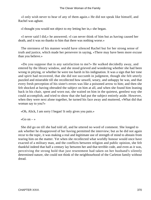«I only wish never to hear of any of them again.» He did not speak like himself, and Rachel was aghast.

«I thought you would not object to my letting her in,» she began.

 «I never said I did,» he answered; «I can never think of him but as having caused her death, and it was no thanks to him that there was nothing worse.»

 The sternness of his manner would have silenced Rachel but for her strong sense of truth and justice, which made her persevere in saying, «There may have been more excuse than you believe.»

 «Do you suppose that is any satisfaction to me?» He walked decidedly away, and entered by the library window, and she stood grieved and wondering whether she had been wrong in pitying, or whether he were too harsh in his indignation. It was a sign that her tone and spirit had recovered, that she did not succumb in judgment, though she felt utterly puzzled and miserable till she recollected how unwell, weary, and unhappy he was, and that every fresh perception of his sister's errors was like a poisoned arrow to him; and then she felt shocked at having obtruded the subject on him at all, and when she found him leaning back in his chair, spent and worn out, she waited on him in the quietest, gentlest way she could accomplish, and tried to show that she had put the subject entirely aside. However, when they were next alone together, he turned his face away and muttered, «What did that woman say to you?»

«Oh, Alick, I am sorry I began! It only gives you pain.»

«Go on  $-$  »

 She did go on till she had told all, and he uttered no word of comment. She longed to ask whether he disapproved of her having permitted the interview; but as he did not again recur to the topic, it was making a real and legitimate use of strength of mind to abstain from tearing him on the matter. Yet when she recollected what worldly honour would once have exacted of a military man, and the conflicts between religion and public opinion, she felt thankful indeed that half a century lay between her and that terrible code, and even as it was, perceiving the strong hold that just resentment had taken on her husband's silently determined nature, she could not think of the neighbourhood of the Carleton family without dread.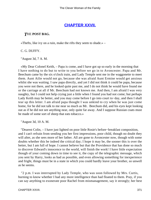# **[CHAPTER XXVII.](#page-417-0)**

### *T*HE **POST BAG.**

«Thefts, like ivy on a ruin, make the rifts they seem to shade.» –

C. G. DUFFY.

"August 3d, 7 A. M.

 «My Dear Colonel Keith, – Papa is come, and I have got up so early in the morning that I have nothing to do but to write to you before we go in to Avoncester. Papa and Mr. Beechum came by the six o'clock train, and Lady Temple sent me in the waggonette to meet them. Aunt Ailie would not go, because she was afraid Aunt Ermine would get anxious whilst she was waiting. I saw papa directly, and yet I did not think it could be papa, because you were not there, and he looked quite past me, and I do not think he would have found me or the carriage at all if Mr. Beechum had not known me. And then, I am afraid I was very naughty, but I could not help crying just a little when I found you had not come; but perhaps Lady Keith may be better, and you may come before I go into court to−day, and then I shall tear up this letter. I am afraid papa thought I was unkind to cry when he was just come home, for he did not talk to me near so much as Mr. Beechum did, and his eyes kept looking out as if he did not see anything near, only quite far away. And I suppose Russian coats must be made of some sort of sheep that eats tobacco.»

"August 3d, 10 A. M.

 "Dearest Colin, – I have just lighted on poor little Rosie's before−breakfast composition, and I can't refrain from sending you her first impressions, poor child, though no doubt they will alter, as she sees more of her father. All are gone to Avoncester now, though with some doubts whether this be indeed the critical day; I hope it may be, the sooner this is over the better, but I am full of hope. I cannot believe but that the Providence that has done so much to discover Edward's innocence to the world, will finish the work! I have little expectation though of your coming down in time to see it, the copy of the telegraphic message, which you sent by Harry, looks as bad as possible, and even allowing something for inexperience and fright, things must be in a state in which you could hardly leave your brother, so unwell as he seems.

 "2 p.m. I was interrupted by Lady Temple, who was soon followed by Mrs. Curtis, burning to know whether I had any more intelligence than had floated to them. Pray, if you can say anything to exonerate poor Rachel from mismanagement, say it strongly; her best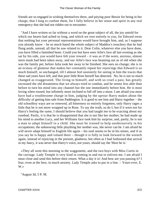friends are so engaged in wishing themselves there, and pitying poor Bessie for being in her charge, that I long to confute them, for I fully believe in her sense and spirit in any real emergency that she had not ridden out to encounter.

 "And I have written so far without a word on the great subject of all, the joy untold for which our hearts had ached so long, and which we owe entirely to you, for Edward owns that nothing but your personal representations would have brought him, and, as I suppose you already know – he so much hated the whole subject of Maddox's treachery that he had flung aside, unread, all that he saw related to it. Dear Colin, whatever else you have done, you have filled a famished heart. Could you but have seen Ailie's face all last evening as she sat by his side, you would have felt your reward – it was as if the worn, anxious, almost stern mask had been taken away, and our Ailie's face was beaming out as of old when she was the family pet, before Julia took her away to be finished. She sees no change; she is in an ecstasy of glamour that makes her constantly repeat her rejoicings that Edward is so much himself, so unchanged, till I almost feel unsisterly for seeing in him the traces that these sad years have left, and that poor little Rose herself has detected. No, he is not so much changed as exaggerated. The living to himself, and with so cruel a past, has greatly increased the old dreaminess that we always tried to combat, and he seems less able than before to turn his mind into any channel but the one immediately before him. He is most loving when roused, but infinitely more inclined to fall off into a muse. I am afraid you must have had a troublesome charge in him, judging by the uproar Harry makes about the difficulty of getting him safe from Paddington. It is good to see him and Harry together – the old schoolboy ways are so renewed, all bitterness so entirely forgotten, only Harry rages a little that he is not more wrapped up in Rose. To say the truth, so do I; but if it were not for Harry's feeling the same, I should believe that you had taught me to be exacting about my rosebud. Partly, it is that he is disappointed that she is not like her mother; he had made up his mind to another Lucy, and her Williams face took him by surprise, and, partly, he is not a man to adapt himself to a child. She must be trained to help unobtrusively in his occupations; the unknowing little plaything her mother was, she never can be. I am afraid he will never adapt himself to English life again – his soul seems to be in his mines, and if as you say he is happy and valued there – though it is folly to look forward to the wrench again, instead of rejoicing in the present, gladness; but often as I had fashioned that arrival in my fancy, it was never that Harry's voice, not yours, should say the 'Here he is.'

 «They all went this morning in the waggonette, and the two boys with Miss Curtis in the carriage. Lady Temple is very kind in coming in and out to enliven me. I am afraid I must close and send this before their return. What a day it is! And how are you passing it? I fear, even at the best, in much anxiety. Lady Temple asks to put in a line. – Yours ever, E. W.»

"August 3d, 5 P. M.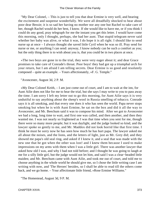"My Dear Colonel, – This is just to tell you that dear Ermine is very well, and bearing the excitement and suspense wonderfully. We were all dreadfully shocked to hear about poor dear Bessie; it is so sad her having no mother nor any one but Rachel to take care of her, though Rachel would do her best, I know. If she would like to have me, or if you think I could do any good, pray telegraph for me the instant you get this letter. I would have come this morning, only I thought, perhaps, she had her aunt. That stupid telegram never said whether her baby was alive, or what it was, I do hope it is all right. I should like to send nurse up at once – I always thought she saved little Cyril when he was so ill. Pray send for nurse or me, or anything I can send: anyway, I know nobody can be such a comfort as you; but the only thing there is to wish about you is, that you could be in two places at once.

 «The two boys are gone in to the trial, they were very eager about it; and dear Grace promises to take care of Conrade's throat. Poor boys! they had got up a triumphal arch for your return, but I am afraid I am telling secrets. Dear Ermine is so good and resolutely composed – quite an example. – Yours affectionately, »F. G. Temple."

"Avoncester, August 3d, 2 P. M.

 «My Dear Colonel Keith, – I am just come out of court, and I am to wait at the inn, for Aunt Ailie does not like for me to hear the trial, but she says I may write to you to pass away the time. I am sorry I left my letter out to go this morning, for Aunt Ailie says it is very undutiful to say anything about the sheep's wool in Russia smelling of tobacco. Conrade says it is all smoking, and that every one does it who has seen the world. Papa never stops smoking but when he is with Aunt Ermine, he sat on the box and did it all the way to Avoncester, and Mr. Beechum said it was to compose his mind. After we got to Avoncester we had a long, long time to wait, and first one was called, and then another, and then they wanted me. I was not nearly so frightened as I was that time when you sent for me, though there were so many more people; but it was daylight, and the judge looked so kind, and the lawyer spoke so gently to me, and Mr. Maddox did not look horrid like that first time. I think he must he sorry now he has seen how much he has hurt papa. The lawyer asked me all about the noises, and the lions, and the letters of light, just as Mr. Grey did; and they showed me papa's old seal ring, and asked if I knew it, and a seal that was made with the new one that he got when the other was lost! and I knew them because I used to make impressions on my arms with them when I was a little girl. There was another lawyer that asked how old I was, and why I had not told before; and I thought he was going to laugh at me for a silly little girl, but the judge would not let him, and said I was a clear−headed little maiden; and Mr. Beechum came with Aunt Ailie, and took me out of court, and told me to choose anything in the whole world he should give me, so I chose the little writing case I am writing with now, and 'The Heroes' besides, so I shall be able to read till the others come back, and we go home. – Your affectionate little friend, »Rose Ermine Williams."

"The Homestead, August 3d, 9 P. M.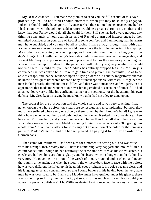"My Dear Alexander, – You made me promise to send you the full account of this day's proceedings, or I do not think I should attempt it, when you may be so sadly engaged. Indeed, I should hardly have gone to Avoncester had the sad intelligence reached me before I had set out, when I thought my sudden return would be a greater alarm to my mother, and I knew that dear Fanny would do all she could for her. Still she has had a very nervous day, thinking constantly of your dear sister, and of Rachel's alarm and inexperience; but her unlimited confidence in your care of Rachel is some comfort, and I am hoping that the alarm may have subsided, and you may be all rejoicing. I have always thought that, with dear Rachel, some new event or sensation would most efface the terrible memories of last spring. My mother is now taking her evening nap, and I am using the time for telling you of the day's doings. I took with me Fanny's two eldest, who were very good and manageable, and we met Mr. Grey, who put us in very good places, and told us the case was just coming on. You will see the report in detail in the paper, so I will only try to give you what you would not find there. I should tell you that Maddox has entirely dropped his alias. Mr. Grey is convinced that was only a bold stroke to gain time and prevent the committal, so as to be able to escape, and that he 'reckoned upon bullying a dense old country magistrate;' but that he knew it was quite untenable before a body of unexceptionable witnesses. Altogether the man looked greatly altered and crest−fallen, and there was a meanness and vulgarity in his appearance that made me wonder at our ever having credited his account of himself. He had an abject look, very unlike his confident manner at the sessions, nor did he attempt his own defence. Mr. Grey kept on saying he must know that he had not a leg to stand upon.

 "The counsel for the prosecution told the whole story, and it was very touching. I had never known the whole before; the sisters are so resolute and uncomplaining: but how they must have suffered when every one thought them ruined by their brother's fraud! I grieve to think how we neglected them, and only noticed them when it suited our convenience. Then he called Mr. Beechum, and you will understand better than I can all about the concern in which they were embarked, and Maddox coming to him for an advance of £300, giving him a note from Mr. Williams, asking for it to carry out an invention. The order for the sum was put into Maddox's hands, and the banker proved the paying it to him by an order on a German bank.

 "Then came Mr. Williams. I had seen him for a moment in setting out, and was struck with his strange, lost, dreamy look. There is something very haggard and mournful in his countenance; and, though he has naturally the same fine features as his eldest sister, his cheeks are hollow, his eyes almost glassy, and his beard, which is longer than the Colonel's, very grey. He gave me the notion of the wreck of a man, stunned and crushed, and never thoroughly alive again; but when he stood in the witness−box, face to face with the traitor, he was very different; he lifted up his head, his eyes brightened, his voice became clear, and his language terse and concentrated, so that I could believe in his having been the very able man he was described to be. I am sure Maddox must have quailed under his glance, there was something so loftily innocent in it, yet so wistful, as much as to say, 'how could you abuse my perfect confidence?' Mr. Williams denied having received the money, written the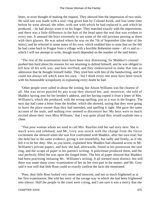letter, or even thought of making the request. They showed him the impression of two seals. He said one was made with a seal−ring given him by Colonel Keith, and lost some time before he went abroad; the other, with one with which he had replaced it, and which he produced, – he had always worn it on his finger. They matched exactly with the impressions; and there was a little difference in the hair of the head upon the seal that was evident to every one. It amused the boys extremely to see some of the old jurymen peering at them with their glasses. He was asked where he was on the 7th of September (the date of the letter), and he referred to some notes of his own, which enabled him to state that on the 6th he had come back to Prague from a village with a horrible Bohemian name – all cs and zs – which I will not attempt to write, though much depended on the number of the said letters.

 "The rest of the examination must have been very distressing, for Maddox's counsel pushed him hard about his reasons for not returning to defend himself, and he was obliged to tell how ill his wife was, and how terrified; and they endeavoured to make that into an admission that he thought himself liable. They tried him with bits of the handwriting, and he could not always tell which were his own; – but I think every one must have been struck with his honourable scrupulosity in explaining every doubt he had.

 "Other people were called in about the writing, but Alison Williams was the clearest of all. She was never puzzled by any scrap they showed her, and, moreover, she told of Maddox having sent for her brother's address, and her having copied it from a letter of Mrs. Williams's, which she produced, with the wrong spelling, just as it was in the forgery. The next day had come a letter from the brother, which she showed, saying that they were going to leave the place sooner than they had intended, and spelling it right. She gave the same account of the seals, and nothing ever seemed to disconcert her. My boys were so much excited about their 'own Miss Williams,' that I was quite afraid they would explode into a cheer.

 "That poor woman whom we used to call Mrs. Rawlins told her sad story next. She is much worn and subdued, and Mr. Grey was struck with the change from the fierce excitement she showed when she was first confronted with Maddox, after her own trial; but she held fast to the same evidence, giving it not resentfully, but sadly and firmly, as if she felt it to be her duty. She, as you know, explained how Maddox had obtained access to Mr. Williams's private papers, and how she had, afterwards, found in his possession the seal ring, and the scraps of paper in his patron's writing. A policeman produced them, and the seal perfectly filled the wax upon the forged letter. The bits of paper showed that Maddox had been practising imitating Mr. Williams's writing. It all seemed most distinct, but still there was some sharp cross−examination of her on her own part in the matter, and Mr. Grey said it was well that little Rose could so exactly confirm the facts she mentioned.

 "Poor, dear little Rose looked very sweet and innocent, and not so much frightened as at her first examination. She told her story of the savage way in which she had been frightened into silence. Half the people in the court were crying, and I am sure it was a mercy that she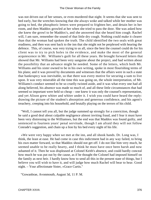was not driven out of her senses, or even murdered that night. It seems that she was sent to bed early, but the wretches knowing that she always woke and talked while her mother was going to bed, the phosphoric letters were prepared to frighten her, and detain her in her room, and then Maddox growled at her when she tried to pass the door. She was asked how she knew the growl to be Maddox's, and she answered that she heard him cough. Rachel will, I am sure, remember the sound of that little dry cough. Nothing could make it clearer than that the woman had spoken the truth. The child identified the two seals with great readiness, and then was sent back to the inn that she might not be perplexed with hearing the defence. This, of course, was very trying to us all, since the best the counsel could do for his client was to try to pick holes in the evidence, and make the most of the general acquiescence in Mr. Williams's guilt for all these years. He brought forward letters that showed that Mr. Williams had been very sanguine about the project, and had written about the possibility that an advance might be needed. Some of the letters, which both Mr. Williams and his sister owned to be in his own writing, spoke in most flourishing terms of his plans; and it was proved by documents and witnesses that the affairs were in such a state that bankruptcy was inevitable, so that there was every motive for securing a sum to live upon. It was very miserable all the time this was going on, the whole interpretation, of Mr. Williams's conduct seemed to be so cruelly twisted aside, and it was what every one had all along believed, his absence was made so much of, and all these little circumstances that had seemed so important were held so cheap – one knew it was only the counsel's representation, and yet Alison grew whiter and whiter under it. I wish you could have heard the reply: drawing the picture of the student's absorption and generous confidence, and his agent's treachery, creeping into his household, and brutally playing on the terrors of his child.

 "Well, I cannot tell you all, but the judge summed up strongly for a conviction, though he said a good deal about culpable negligence almost inviting fraud, and I fear it must have been very distressing to the Williamses, but the end was that Maddox was found guilty, and sentenced to fourteen years' penal servitude, though I am afraid they will not follow Conrade's suggestion, and chain up a lion by his bed every night of his life.

 «We were very happy when we met at the inn, and all shook hands. Dr. Long was, I think, the least at ease. He had come in case this indictment had in any way failed, to bring his own matter forward, so that Maddox should not get off. I do not like him very much, he seemed unable to be really hearty, and I think he must have once been harsh and now ashamed of it. Then he was displeased at Colonel Keith's absence, and could hardly conceal how much he was put out by the cause, as if he thought the Colonel had imposed himself on the family as next heir. I hardly know how to send all this in the present state of things, but I believe you will wish to have it, and will judge how much Rachel will bear to hear. Good night. – Your affectionate Sister, »Grace Curtis."

"Gowanbrae, Avonmouth, August 3d, 11 P. M.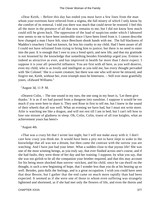«Dear Keith, – Before this day has ended you must have a few lines from the man whom your exertions have relieved from a stigma, the full misery of which I only know by the comfort of its removal. I told you there was much that could never be restored. I feel this all the more in the presence of all that now remains to me, but I did not know how much could still be given back. The oppression of the load of suspicion under which I laboured now seems to me to have been intolerable since I have been freed from it. I cannot describe how changed a man I have felt, since Beechum shook hands with me. The full blackness of Maddox's treachery I had not known, far less his cruelty to my child. Had I been aware of all I could not have refrained from trying to bring him to justice; but there is no need to enter into the past. It is enough that I owe to you a freed spirit, and new life, and that my gratitude is not lessened by the knowledge that something besides friendship urged you. Ermine is indeed as attractive as ever, and has improved in health far more than I durst expect. I suppose it is your all−powerful influence. You are first with all here, as you well deserve, even my child, who is as lovely and intelligent as you told me, has every thought pervaded with 'the Colonel.' She is a sweet creature; but there was one who will never be retraced, and forgive me, Keith, without her, even triumph must be bitterness. – Still ever most gratefully yours, »Edward Williams."

"August 3d, 11 P. M.

 «Dearest Colin, – The one sound in my ears, the one song in my heart is, 'Let them give thanks.' It is as if we had passed from a dungeon into sunshine. I suppose it would be too much if you were here to share it. They sent Rose in first to tell me, but I knew in the sound of their wheels that all was well. What an evening we have had, but I must not write more. Ailie is watching me like a dragon, and will not rest till I am in bed; but I can't tell how to lose one minute of gladness in sleep. Oh, Colin, Colin, truest of all true knights, what an achievement yours has been!»

"August 4th.

 «That was a crazy bit that I wrote last night, but I will not make away with it. I don't care how crazy you think me. It would have been a pity not to have slept to wake to the knowledge that all was not a dream, but then came the contrast with the sorrow you are watching. And I have just had your letter. What a sudden close to that joyous life! She was one of the most winning beings, as you truly say, that ever flashed across one's course, and if she had faults, they were those of her day and her training. I suppose, by what you say, that she was too girlish to be all the companion your brother required, and that this may account for his being more shocked than sorrow−stricken, and his child, since he can dwell on the thought, is such a new beginning of hope, that I wonder less than you do at his bearing up so well. Besides, pain dulls the feelings, and is a great occupation. I wish you could have seen that dear Bessie, but I gather that the end came on much more rapidly than had been expected. It seemed as if she were one of those to whom even suffering was strangely lightened and shortened, as if she had met only the flowers of life, and even the thorns and

CHAPTER XXVII. 377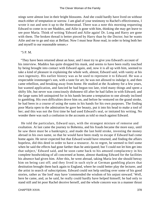stings were almost lost in their bright blossoms. And she could hardly have lived on without much either of temptation or sorrow. I am glad of your testimony to Rachel's effectiveness, I wrote it out and sent it up to the Homestead. There was a note this morning requesting Edward to come in to see Maddox, and Ailie is gone with him, thinking she may get leave to see poor Maria. Think of writing 'Edward and Ailie again! Dr. Long and Harry are gone with them. The broken thread is better pieced by Harry than by the Doctor; but he wants Ailie and me to go and stay at Belfast. Now I must hear Rose read, in order to bring both her and myself to our reasonable senses.»

#### "5 P. M.

 "They have been returned about an hour, and I must try to give you Edward's account of his interview. Maddox has quite dropped his mask, and seems to have been really touched by being brought into contact with Edward again, and, now it is all up with him, seemed to take a kind of pleasure in explaining the whole web, almost, Edward said, with vanity at his own ingenuity. His earlier history was as he used to represent it to Edward. He was a respectable ironmonger's son, with a taste for art; he was not allowed to indulge it, and then came rebellion, and breaking away from home. He studied at the Academy for a few years, but wanted application, and fancied he had begun too late, tried many things and spent a shifty life, but never was consciously dishonest till after he had fallen in with Edward; and the large sums left uninquired for in his hands became a temptation to one already inclined to gambling. His own difficulties drove him on, and before he ventured on the grand stroke, he had been in a course of using the sums in his hands for his own purposes. The finding poor Maria open to the admiration he gave her beauty, put it into his head to make a tool of her; and this was not the first time he had used Edward's seal, or imitated his writing. No wonder there was such a confusion in the accounts as told so much against Edward.

 He told the particulars, Edward says, with the strangest mixture of remorse and exultation. At last came the journey to Bohemia, and his frauds became the more easy, until he saw there must be a bankruptcy, and made the last bold stroke, investing the money abroad in his own name, so that he would have been ready to escape if Edward had come home again. He never expected but that Edward would have returned, and finding the affairs hopeless, did this deed in order to have a resource. As to regret, he seemed to feel some when he said the effects had gone farther than he anticipated; but 'I could not let him get into that subject,' Edward said, and he soon came back to his amused complacency in his complete hoodwinking of all concerned at home, almost thanking Edward for the facilities his absence had given him. After this, he went abroad, taking Maria lest she should betray him on being cast off; and they lived in such style at German gambling places that destitution brought them back again to England, where he could better play the lecturer, and the artist in search of subscriptions. Edward could not help smiling over some of his good stories, rather as 'the lord' may have 'commended the wisdom of his unjust steward.' Well, here he came, and, as he said, he really could hardly have helped himself; he had only to stand still and let poor Rachel deceive herself, and the whole concern was in a manner thrust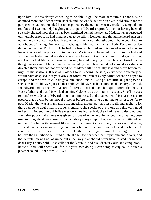upon him. He was always expecting to be able to get the main sum into his hands, as he obtained more confidence from Rachel, and the woodcuts were an over−bold stroke for the purpose; he had not intended her to keep or show them, but her ready credulity tempted him too far; and I cannot help laughing now at poor Edward's reproofs to us for having been all so easily cheated, now that he has been admitted behind the scenes. Maddox never suspected our neighbourhood, he had imagined us to be still in London, and though he heard Alison's name, he did not connect it with us. After all, what you thought would have been fatal to your hopes of tracing him, was really what gave him into our hands – Lady Temple's sudden descent upon their F. U. E. E. If he had not been so hurried and distressed as to be forced to leave Maria and the poor child to her fate, Maria would have held by him to the last and without her testimony where should we have been? But with a summons out against him, and hearing that Maria had been recognised, he could only fly to the place at Bristol that he thought unknown to Maria. Even when seized by the police, he did not know it was she who directed them, and had not expected her evidence till he actually saw and heard her on the night of the sessions. It was all Colonel Keith's doing, he said, every other adversary he would have despised, but your array of forces met him at every corner where he hoped to escape, and the dear little Rosie gave him check−mate, like a gallant little knight's pawn as she is. 'Who could have guessed that child would have such a confounded memory?' he said, for Edward had listened with a sort of interest that had made him quite forget that he was Rose's father, and that this wicked cunning Colonel was working in his cause. So off he goes to penal servitude, and Edward is so much impressed and touched with his sharpness as to predict that he will be the model prisoner before long, if he do not make his escape. As to poor Maria, that was a much more sad meeting, though perhaps less really melancholy, for there can be no doubt that she repents entirely, she speaks of every one as being very good to her, and indeed the old influences only needed revival, they had never quite died out. Even that poor child's name was given for love of Ailie, and the perception of having been used to bring about her master's ruin had always preyed upon her, and further embittered her temper. The barbarity seemed like a dream in connexion with her, but, as she told Ailie, when she once began something came over her, and she could not help striking harder. It reminded me of horrible stories of the Hathertons' usage of animals. Enough of this. I believe the Sisterhood will find a safe shelter for her when her imprisonment is over, and that temptation will not again be put in her way. We should never have trusted her in poor dear Lucy's household. Rose calls for the letters. Good bye, dearest Colin and conqueror. I know all this will cheer you, for it is your own doing. I can't stop saying so, it is such a pleasant sound – Your own, «E. W.»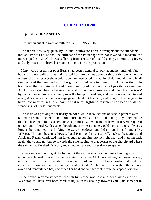# **[CHAPTER XXVIII.](#page-417-0)**

### *V*ANITY **OF VANITIES.**

«Unfaith in aught is want of faith in all.» – **TENNYSON.**

 The funeral was very quiet. By Colonel Keith's considerate arrangement the attendants met at Timber End, so that the stillness of the Parsonage was not invaded, a measure the more expedient, as Alick was suffering from a return of his old enemy, intermitting fever, and only was able to leave his room in time to join the procession.

 Many were present, for poor Bessie had been a general favourite, and her untimely fate had stirred up feelings that had created her into a saint upon earth; but there was no one whose token of respect she would have more esteemed than Colonel Hammond's, who in all the bustle of the remove to Edinburgh had found time to come to Bishopsworthy to do honour to the daughter of his old commanding officer. A flush of gratitude came over Alick's pale face when he became aware of his colonel's presence, and when the choristers' hymn had pealed low and sweetly over the tranquil meadows, and the mourners had turned away, Alick paused at the Parsonage gate to hold out his hand, and bring in this one guest to hear how near to Bessie's heart the father's Highland regiment had been in all the wanderings of her last moments.

 The visit was prolonged for nearly an hour, while recollections of Alick's parents were talked over, and Rachel thought him more cheered and gratified than by any other tribute that had been paid to his sister. He was promised an extension of leave, if it were required on account of Lord Keith's state, though under protest that he would have the aguish fever as long as he remained overlooking the water meadows, and did not put himself under Dr. M'Vicar. Through these meadows Colonel Hammond meant to walk back to the station, and Alick and Rachel conducted him far enough to put him into the right path, and in going back again, they could not but go towards the stile leading to that corner of the churchyard where the sexton had finished his work, and smoothed the sods over that new grave.

 Some one was standing at the foot – not the sexton – but a young man bending as with an intolerable load of grief. Rachel saw him first, when Alick was helping her down the step, and her start of dismay made him turn and look round. His brow contracted, and she clutched his arm with an involuntary cry of, «Oh, don't,» but he, with a gesture that at once awed and tranquillized her, unclasped her hold and put her back, while he stepped forward.

 She could hear every word, though his voice was low and deep with emotion. «Carleton, if I have ever been harsh or unjust in my dealings towards you, I am sorry for it.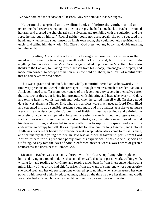We have both had the saddest of all lessons. May we both take it as we ought.»

 He wrung the surprised and unwilling hand, and before the youth, startled and overcome, had recovered enough to attempt a reply, he had come back to Rachel, resumed her arm, and crossed the churchyard, still shivering and trembling with the agitation, and the force he had put on himself. Rachel neither could nor durst speak; she only squeezed his hand, and when he had shut himself up in his own room, she could not help repairing to his uncle, and telling him the whole. Mr. Clare's «God bless you, my boy,» had double meaning in it that night.

 Not long after, Alick told Rachel of his having met poor young Carleton in the meadows, pretending to occupy himself with his fishing−rod, but too wretched to do anything. And in a short time Mrs. Carleton again called to pour out to Mrs. Keith her warm thanks to the Captain, for having roused her son from his moody, unmanageable despair, and made him consent to accept a situation in a new field of labour, in a spirit of manful duty that he had never evinced before.

This was a grave and subdued, but not wholly mournful, period at Bishopsworthy – a time very precious to Rachel in the retrospect – though there was much to render it anxious. Alick continued to suffer from recurrences of the fever, not very severe in themselves after the first two or three, but laying him prostrate with shivering and headache every third day, and telling heavily on his strength and looks when he called himself well. On these good days he was always at Timber End, where his services were much needed. Lord Keith liked and esteemed him as a sensible prudent young man, and his qualities as a first−rate nurse were of great assistance to the Colonel. Lord Keith's illness was tedious and painful, the necessity of a dangerous operation became increasingly manifest, but the progress towards such a crisis was slow and the pain and discomfort great; the patient never moved beyond his dressing−room, and needed incessant attention to support his spirits and assist his endeavours to occupy himself. It was impossible to leave him for long together, and Colonel Keith was never set at liberty for exercise or rest except when Alick came to his assistance, and fortunately this young brother−in−law was an especial favourite, partly from Lord Keith's esteem for his prudence partly from his experience in this especial species of suffering. At any rate the days of Alick's enforced absence were always times of greater restlessness and uneasiness at Timber End.

 Meantime Rachel was constantly thrown with Mr. Clare, supplying Alick's place to him, and living in a round of duties that suited her well, details of parish work, walking with, writing for, and reading to Mr Clare, and reaping much benefit from intercourse with such a mind. Many of her errors had chiefly arisen from the want of some one whose superiority she could feel, and her old presumptions withered up to nothing when she measured her own powers with those of a highly educated man, while all the time he gave her thanks and credit for all she had effected, but such as taught her humility by very force of infection.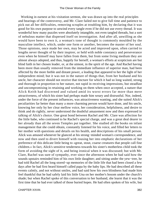Working in earnest at his visitation sermon, she was drawn up into the real principles and bearings of the controversy, and Mr. Clare failed not to give full time and patience to pick out all her difficulties, removing scruples at troubling him, by declaring that it was good for his own purpose to unwind every tangle even if he did not use every thread. It was wonderful how many puzzles were absolutely intangible, not even tangled threads, but a sort of nebulous matter that dispersed itself on investigation. And after all, unwilling as she would have been to own it, a woman's tone of thought is commonly moulded by the masculine intellect, which, under one form or another, becomes the master of her soul. Those opinions, once made her own, may be acted and improved upon, often carried to lengths never thought of by their inspirer, or held with noble constancy and perseverance even when he himself may have fallen from them, but from some living medium they are almost always adopted, and thus, happily for herself, a woman's efforts at scepticism are but blind faith in her chosen leader, or, at the utmost, in the spirit of the age. And Rachel having been more than usually removed from the immediate influence of superior man, had been affected by the more feeble and distant power, a leading that appeared to her the light of her independent mind; but it was not in the nature of things that, from her husband and his uncle, her character should not receive that tincture for which it had so long waited, strong and thorough in proportion to her nature, not rapid in receiving impressions, but steadfast and uncompromising in retaining and working on them when once accepted, a nature that Alick Keith had discerned and valued amid its worst errors far more than mere attractiveness, of which his sister had perhaps made him weary and distrustful. Nor, indeed, under the force of the present influences, was attractiveness wanting, and she suited Alick's peculiarities far better than many a more charming person would have done, and his uncle, knowing her only by her clear mellow voice, her consideration, helpfulness, and desire to think and do rightly, never understood the doubtful amazement now and then expressed in talking of Alick's choice. One great bond between Rachel and Mr. Clare was affection for the little babe, who continued to be Rachel's special charge, and was a great deal dearer to her already than all the seven Temples put together. She studied all the books on infant management that she could obtain, constantly listened for his voice, and filled her letters to her mother with questions and details on his health, and descriptions of his small person. Alick was amused whenever he glanced at his strong−minded woman's correspondence, and now and then used to divert himself with rousing her into emphatic declarations of her preference of this delicate little being to «great, stout, coarse creatures that people call fine children.» In fact, Alick's sensitive tenderness towards his sister's motherless child took the form of avoiding the sight of it, and being ironical when it was discussed; but with Mr. Clare, Rachel was sure of sympathy, ever since the afternoon when he had said how the sounds upstairs reminded him of his own little daughter; and sitting under the yew−tree, he had told Rachel all the long stored−up memories of the little life that had been closed a few days after he had first heard himself called papa by the baby lips. He had described all these events calmly, and not without smiles, and had said how his own blindness had made him feel thankful that he had safely laid his little Una on her mother's bosom under the church's shade; but when Rachel spoke of this conversation to her husband, she learnt that it was the first time that he had ever talked of those buried hopes. He had often spoken of his wife, but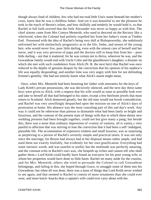though always fond of children, few who had not read little Una's name beneath her mother's cross, knew that he was a childless father. And yet it was beautiful to see the pleasure he took in the touch of Bessie's infant, and how skilfully and tenderly he would hold it, so that Rachel in full faith averred that the little Alexander was never so happy as with him. The chief alarms came from Mrs Comyn Menteith, who used to descend on the Rectory like a whirlwind, when the Colonel had politely expelled her from her father's room at Timber End. Possessed with the idea of Rachel's being very dull at Bishopsworthy, she sedulously enlivened her with melancholy prognostics as to the life, limbs, and senses of the young heir, who would never live, poor little darling, even with the utmost care of herself and her nurse, and it was very perverse of papa and the doctors still to keep him from her – poor little darling – not that it mattered, for he was certain not to thrive, wherever he was, and the Gowanbrae family would end with Uncle Colin and the glassblower's daughter; a disaster on which she met with such condolence from Alick (N. B. the next heir) that Rachel was once reduced to the depths of genuine despair by the conviction that his opinion of his nephew's life was equally desponding; and another time was very angry with him for not defending Ermine's gentility. She had not entirely learnt what Alick's assent might mean.

 Once, when Mrs. Menteith had been besetting her father with entreaties for the keys of Lady Keith's private possessions, she was decisively silenced, and the next day these same keys were given to Alick, with a request that his wife would as soon as possible look over and take to herself all that had belonged to his sister, except a few heirloom jewels that must return to Scotland. Alick demurred greatly, but the old man would not brook contradiction, and Rachel was very unwillingly despatched upon the mission on one of Alick's days of prostration at home. His absence was the most consoling part of this sad day's work. Any way it could not be otherwise than piteous to dismantle what had been lately so bright and luxurious, and the contrast of the present state of things with that in which these dainty new wedding presents had been brought together, could not but give many a pang; but beside this, there was a more than ordinary impression of «vanity of vanities, all is vanity,» very painful to affection that was striving to lose the conviction that it had been a self−indulgent, plausible life. The accumulation of expensive trinkets and small luxuries, was as surprising as perplexing to a person of Rachel's severely simple and practical tastes. It was not only since the marriage; for Bessie had always had at her disposal means rather ample, and had used them not exactly foolishly, but evidently for her own gratification. Everything had some intrinsic worth, and was tasteful or useful, but the multitude was perfectly amazing, and the constant echo in Rachel's ears was, «he heapeth up riches and cannot tell who shall gather them.» Lord Keith could hardly have found an executrix for his poor young wife, to whom her properties would have done so little harm. Rachel set many aside for the cousins, and for Mrs. Menteith, others she tried to persuade the Colonel to call Gowanbrae belongings, and failing in this, she hoped through Grace, to smuggle some of them into his Gowanbrae; but when all was done, there was a mass of things that Lord Keith never wished to see again, and that seemed to Rachel to consist of more ornaments than she could ever wear, and more knick−knacks than a captain's wife could ever carry about with her.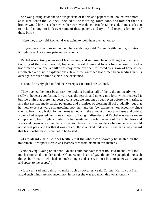She was putting aside the various packets of letters and papers to be looked over more at leisure, when the Colonel knocked at the morning−room door, and told her that his brother would like to see her, when her work was done. «But first,» he said, «I must ask you to be kind enough to look over some of these papers, and try to find receipts for some of those bills.»

«Here they are,» said Rachel, «I was going to look them over at home.»

 «If you have time to examine them here with me,» said Colonel Keith, gently, «I think it might save Alick some pain and vexation.»

 Rachel was entirely unaware of his meaning, and supposed he only thought of the mere thrilling of the recent wound; but when he sat down and took a long account out of a tradesman's envelope, a chill of dismay came over her, followed by a glow of hope as she recollected a possible explanation: «Have these wretched tradesmen been sending in bills over again at such a time as this?» she exclaimed.

«I should be very glad to find their receipts,» returned the Colonel.

They opened the most business–like looking bundles, all of them, though neatly kept, really in hopeless confusion. In vain was the search, and notes came forth which rendered it but too plain that there had been a considerable amount of debt even before the marriage, and that she had made partial payments and promises of clearing all off gradually, but that her new expenses were still growing upon her, and the few payments «on account,» since she had been Lady Keith, by no means tallied with the amount of new purchases and orders. No one had suspected her money matters of being in disorder, and Rachel was very slow to comprehend; her simple, country life had made her utterly unaware of the difficulties and ways and means of a young lady of fashion. Even the direct evidence before her eyes would not at first persuade her that it was not «all those wicked tradesmen;» she had always heard that fashionable shops were not to be trusted.

 «I am afraid,» said Colonel Keith, «that the whole can scarcely be shifted on the tradesmen. I fear poor Bessie was scarcely free from blame in this matter.»

 «Not paying! Going on in debt! Oh she could not have meant it;» said Rachel, still too much astonished to understand. «Of course one hears of gay, thoughtless people doing such things, but Bessie – who had so much thought and sense. It must be a mistake! Can't you go and speak to the people?»

 «It is very sad and painful to make such discoveries,» said Colonel Keith; «but I am afraid such things are not uncommon in the set she was too much thrown amongst.»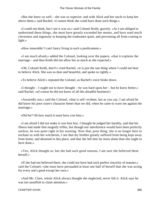«But she knew so well – she was so superior; and with Alick and her uncle to keep her above them,» said Rachel; «I cannot think she could have done such things.»

 «I could not think, but I see it was so,» said Colonel Keith, gravely. «As I am obliged to understand these things, she must have greatly exceeded her means, and have used much cleverness and ingenuity in keeping the tradesmen quiet, and preventing all from coming to light.»

«How miserable! I can't fancy living in such a predicament.»

 «I am much afraid,» added the Colonel, looking over the papers, «that it explains the marriage – and then Keith did not allow her as much as she expected.»

 «Oh, Colonel Keith, don't!» cried Rachel; «it is just the one thing where I could not bear to believe Alick. She was so dear and beautiful, and spoke so rightly.»

«To believe Alick!» repeated the Colonel, as Rachel's voice broke down.

 «I thought – I ought not to have thought – he was hard upon her – but he knew better,» said Rachel, «of course he did not know of all this dreadful business!»

 «Assuredly not,» said the Colonel, «that is self−evident, but as you say, I am afraid he did know his poor sister's character better than we did, when he came to warn me against the marriage.»

«Did he? Oh how much it must have cost him.»

 «I am afraid I did not make it cost him less. I thought he judged her harshly, and that his illness had made him magnify trifles, but though our interference would have been perfectly useless, he was quite right in his warning. Now that, poor thing, she is no longer here to enchant us with her witcheries, I see that my brother greatly suffered from being kept away from home, and detained in this place, and that she left him far more alone than she ought to have done.»

 «Yes, Alick thought so, but she had such good reasons, I am sure she believed them herself.»

 «If she had not believed them, she could not have had such perfect sincerity of manner,» said the Colonel; «she must have persuaded at least one half of herself that she was acting for every one's good except her own.»

 «And Mr. Clare, whom Alick always thought she neglected, never felt it. Alick says he was too unselfish to claim attention.»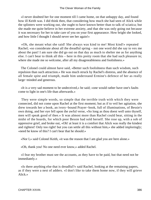«I never doubted her for one moment till I came home, on that unhappy day, and found how ill Keith was. I did think then, that considering how much she had seen of Alick while the splinters were working out, she ought to have known better than to talk of sciatica; but she made me quite believe in her extreme anxiety, and that she was only going out because it was necessary for her to take care of you on your first appearance. How bright she looked, and how little I thought I should never see her again!»

 «Oh, she meant what she said! She always was kind to me! Most kind!» repeated Rachel; «so considerate about all the dreadful spring – not one word did she say to vex me about the past! I am sure she did go out on that day as much to shelter me as for anything else. I can't bear to think all this – here in this pretty room that she had such pleasure in; where she made me so welcome, after all my disagreeableness and foolishness.»

 The Colonel could almost have said, «Better such foolishness than such wisdom, such repulsion than such attraction.» He was much struck by Rachel's distress, and the absence of all female spite and triumph, made him understand Ermine's defence of her as really large−minded and generous.

 «It is a very sad moment to be undeceived,» he said; «one would rather have one's faults come to light in one's life than afterwards.»

 They were simple words, so simple that the terrible truth with which they were connected, did not come upon Rachel at the first moment; but as if to veil her agitation, she drew towards her a book, an ivory−bound Prayer−book, full of illuminations, of Bessie's own doing, and her eye fell upon the awful verse, «So long as thou doest well unto thyself, men will speak good of thee.» It was almost more than Rachel could bear, sitting in the midst of the hoards, for which poor Bessie had sold herself. She rose up, with a sob of oppressive grief, and broke out, «Oh! at least it is a comfort that Alick was really the kindest and rightest! Only too right! but you can settle all this without him,» she added imploringly; «need he know of this? I can't bear that he should.»

«Nor I,» said Colonel Keith, «it was the reason that I am glad you are here alone.»

«Oh, thank you! No one need ever know,» added Rachel.

 «I fear my brother must see the accounts, as they have to be paid, but that need not be immediately.»

 «Is there anything else that is dreadful?» said Rachel, looking at the remaining papers, as if they were a nest of adders. «I don't like to take them home now, if they will grieve Alick.»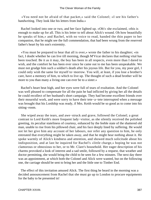«You need not be afraid of that packet,» said the Colonel; «I see his father's handwriting. They look like his letters from India.»

 Rachel looked into one or two, and her face lighted up. «Oh!» she exclaimed, «this is enough to make up for all. This is his letter to tell about Alick's wound. Oh how beautifully he speaks of him,» and Rachel, with no voice to read, handed the thin paper to her companion, that he might see the full commendation, that had been wrung from the reserved father's heart by his son's extremity.

 «You must be prepared to hear that all is over,» wrote the father to his daughter; «in fact, I doubt whether he can live till morning, though M'Vicar declares that nothing vital has been touched. Be it as it may, the boy has been in all respects, even more than I dared to wish, and the comfort he has been ever since he came out to me has been unspeakable. We must not grudge him such a soldier's death after his joyous life. But for you, my poor girl, I could only wish the same for myself to−morrow. You will, at least, if you lose a brother's care, have a memory of him, to which to live up. The thought of such a dead brother will be more to you than many a living one can ever be to a sister.»

 Rachel's heart beat high, and her eyes were full of tears of exultation. And the Colonel was well pleased to compensate for all the pain he had inflicted by giving her all the details he could recollect of her husband's short campaign. They had become excellent friends over their mournful work, and were sorry to have their tete−a−tete interrupted when a message was brought that his Lordship was ready, if Mrs. Keith would be so good as to come into his sitting−room.

 She wiped away the tears, and awe−struck and grave, followed the Colonel; a great contrast to Lord Keith's more frequent lady−visitor, as she silently received the polished greeting, its peculiar stateliness of courtesy, enhanced by the feeble state of the shattered old man, unable to rise from his pillowed chair, and his face deeply lined by suffering. He would not let her give him any account of her labours, nor refer any question to him, he only entreated that everything might be taken away, and that he might hear nothing about it. He spoke warmly of Alick's kindness and attention, and showed much solicitude about his indisposition, and at last he inquired for Rachel's «little charge,» hoping he was not clamorous or obnoxious to her, or to Mr. Clare's household. Her eager description of his charms provoked a look of interest and a sad smile, followed by a request, that weather and doctor permitting, she would bring the child to be seen for a few minutes. The next day there was an appointment, at which both the Colonel and Alick were wanted, but on the following one, the carriage should be sent to bring her and the little one to Timber End.

 The effect of this invitation amused Alick. The first thing he heard in the morning was a decided announcement from Rachel that she must go up to London to procure equipments for the baby to be presented in!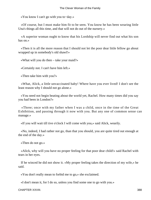«You know I can't go with you to−day.»

 «Of course, but I must make him fit to be seen. You know he has been wearing little Una's things all this time, and that will not do out of the nursery.»

 «A superior woman ought to know that his Lordship will never find out what his son has on.»

 «Then it is all the more reason that I should not let the poor dear little fellow go about wrapped up in somebody's old shawl!»

«What will you do then – take your maid?»

«Certainly not. I can't have him left.»

«Then take him with you?»

 «What, Alick, a little unvaccinated baby! Where have you ever lived! I don't see the least reason why I should not go alone.»

 «You need not begin beating about the world yet, Rachel. How many times did you say you had been in London?»

 «Three; once with my father when I was a child, once in the time of the Great Exhibition, and passing through it now with you. But any one of common sense can manage.»

«If you will wait till tive o'clock I will come with you,» said Alick, wearily.

 «No, indeed, I had rather not go, than that you should, you are quite tired out enough at the end of the day.»

«Then do not go.»

 «Alick, why will you have no proper feeling for that poor dear child!» said Rachel with tears in her eyes.

 If he winced he did not show it. «My proper feeling takes the direction of my wife,» he said.

«You don't really mean to forbid me to go,» she exclaimed.

«I don't mean it, for I do so, unless you find some one to go with you.»

CHAPTER XXVIII. 388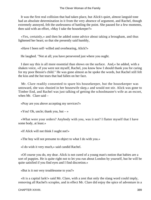It was the first real collision that had taken place, but Alick's quiet, almost languid tone had an absolute determination in it from the very absence of argument, and Rachel, though extremely annoyed, felt the uselessness of battling the point. She paused for a few moments, then said with an effort, «May I take the housekeeper?»

 «Yes, certainly,» and then he added some advice about taking a brougham, and thus lightened her heart; so that she presently said humbly,

«Have I been self−willed and overbearing, Alick?»

He laughed. "Not at all; you have persevered just where you ought.

 I dare say this is all more essential than shows on the surface. And,« he added, with a shaken voice, »if you were not myself, Rachel, you know how I should thank you for caring for my poor Bessie's child." He was gone almost as he spoke the words, but Rachel still felt the kiss and the hot tears that had fallen on her face.

 Mr. Clare readily consented to spare his housekeeper, but the housekeeper was untoward, she was «busied in her housewife skep,» and would not stir. Alick was gone to Timber End, and Rachel was just talking of getting the schoolmaster's wife as an escort, when Mr. Clare said –

«Pray are you above accepting my services?»

«You! Oh, uncle; thank you, but  $-\infty$ 

 «What were your orders? Anybody with you, was it not? I flatter myself that I have some body, at least.»

«If Alick will not think I ought not!»

«The boy will not presume to object to what I do with you.»

«I do wish it very much,» said candid Rachel.

 «Of course you do, my dear. Alick is not cured of a young man's notion that babies are a sort of puppies. He is quite right not to let you run about London by yourself, but he will be quite satisfied if you find eyes and I find discretion.»

«But is it not very troublesome to you?»

 «It is a capital lark!» said Mr. Clare, with a zest that only the slang word could imply, removing all Rachel's scruples, and in effect Mr. Clare did enjoy the spice of adventure in a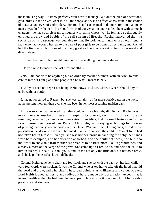most amusing way. He knew perfectly well how to manage, laid out the plan of operations, gave orders to the driver, went into all the shops, and was an effective assistant in the choice of material and even of embroidery. His touch and ear seemed to do more for him than many men's eyes do for them; he heard odd scraps of conversation and retailed them with so much character; he had such pleasant colloquies with all in whose way he fell, and so thoroughly enjoyed the flow and babble of the full stream of life, that Rachel marvelled that the seclusion of his parsonage was bearable to him. He took her to lunch with an old friend, a lady who had devoted herself to the care of poor girls to be trained as servants, and Rachel had the first real sight of one of the many great and good works set on foot by personal and direct labour.

«If I had been sensible, I might have come to something like this!» she said.

«Do you wish to undo these last three months?»

 «No; I am not fit to be anything but an ordinary married woman, with an Alick to take care of me; but I am glad some people can be what I meant to be.»

 «And you need not regret not being useful now,» said Mr. Clare. «Where should any of us be without you?»

 It had not occurred to Rachel, but she was certainly of far more positive use in the world at the present moment than ever she had been in her most assuming maiden days.

 Little Alexander was arrayed in all that could enhance his baby dignity, and Rachel was more than ever resolved to assert his superiority over «great frightful fine children,» resenting vehemently an innocent observation from Alick, that the small features and white skin promised sandiness of hair. Perhaps Alick delighted in saying such things for the sake of proving the «very womanhood» of his Clever Woman. Rachel hung back, afraid of the presentation, and would have sent her maid into the room with the child if Colonel Keith had not taken her in himself. Even yet she was not dexterous in handling the baby, her hands were both occupied, and her attention absorbed, and she could not speak, she felt it so mournful to show this frail motherless creature to a father more like its grandfather, and already almost on the verge of the grave. She came up to Lord Keith, and held the child to him in silence. He said, «Thank you,» and kissed not only the little one, but her own brow, and she kept the tears back with difficulty.

 Colonel Keith gave her a chair and footstool, and she sat with the baby on her lap, while very few words were spoken. It was the Colonel who asked her to take off the hood that hid the head and brow, and who chiefly hazarded opinions as to likeness and colour of eyes. Lord Keith looked earnestly and sadly, but hardly made any observation, except that it looked healthier than he had been led to expect. He was sure it owed much to Mrs. Keith's great care and kindness.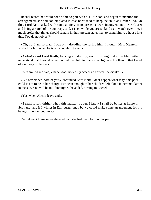Rachel feared he would not be able to part with his little son, and began to mention the arrangements she had contemplated in case he wished to keep the child at Timber End. On this, Lord Keith asked with some anxiety, if its presence were inconvenient to Mr. Clare; and being assured of the contrary, said, «Then while you are so kind as to watch over him, I much prefer that things should remain in their present state, than to bring him to a house like this. You do not object?»

 «Oh, no; I am so glad. I was only dreading the losing him. I thought Mrs. Menteith wished for him when he is old enough to travel.»

 «Colin!» said Lord Keith, looking up sharply, «will nothing make the Menteiths understand that I would rather put out the child to nurse in a Highland hut than in that Babel of a nursery of theirs?»

Colin smiled and said, «Isabel does not easily accept an answer she dislikes.»

 «But remember, both of you,» continued Lord Keith, «that happen what may, this poor child is not to be in her charge. I've seen enough of her children left alone in perambulators in the sun. You will be in Edinburgh?» he added, turning to Rachel.

«Yes, when Alick's leave ends.»

 «I shall return thither when this matter is over, I know I shall be better at home in Scotland, and if I winter in Edinburgh, may be we could make some arrangement for his being still under your eye.»

Rachel went home more elevated than she had been for months past.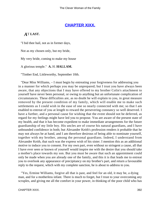### **[CHAPTER XIXX.](#page-417-0)**

### *A*T **LAST.**

"I bid thee hail, not as in former days,

Not as my chosen only, but my bride,

My very bride, coming to make my house

A glorious temple." **A.** H. **HALLAM.**

"Timber End, Littleworthy, September 10th.

 "Dear Miss Williams, – I must begin by entreating your forgiveness for addressing you in a manner for which perhaps you may be unprepared; but I trust you have always been aware, that any objections that I may have offered to my brother Colin's attachment to yourself have never been personal, or owing to anything but an unfortunate complication of circumstances. These difficulties are, as no doubt he will explain to you, in great measure removed by the present condition of my family, which will enable me to make such settlements as I could wish in the ease of one so nearly connected with me; so that I am enabled to entreat of you at length to reward the persevering constancy so well deserved. I have a further, and a personal cause for wishing that the event should not be deferred, as regard for my feelings might have led you to propose. You are aware of the present state of my health, and that it has become expedient to make immediate arrangements for the future guardianship of my little boy. His uncles are of course his natural guardians, and I have unbounded confidence in both; but Alexander Keith's profession renders it probable that he may not always be at hand, and I am therefore desirous of being able to nominate yourself, together with my brother, among the personal guardians. Indeed, I understand from Alexander Keith, that such was the express wish of his sister. I mention this as an additional motive to induce you to consent. For my own part, even without so stringent a cause, all that I have ever seen or known of yourself would inspire me with the desire that you should take a mother's place towards my son. But you must be aware that such an appointment could only be made when you are already one of the family, and this it is that leads me to entreat you to overlook any appearance of precipitancy on my brother's part, and return a favourable reply to the request, which with my complete sanction, he is about to address to you.

 "Yes, Ermine Williams, forgive all that is past, and feel for an old, it may be, a dying man, and for a motherless infant. There is much to forget, but I trust to your overcoming any scruples, and giving me all the comfort in your power, in thinking of the poor child who has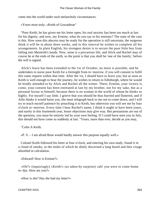come into the world under such melancholy circumstances.

«Yours most truly, »Keith of Gowanbrae"

 "Poor Keith, he has given me his letter open, his real anxiety has been too much at last for his dignity; and now, my Ermine, what do you say to his entreaty? The state of the case is this. How soon this abscess may be ready for the operation is still uncertain, the surgeons think it will be in about three weeks, and in this interval he wishes to complete all his arrangements. In plain English, his strongest desire is to secure the poor little boy from falling into Menteith's hands. Now, mine is a precarious life, and Alick and Rachel may of course be at the ends of the earth, so the point is that you shall be 'one of the family,' before the will is signed.

 Alick's leave has been extended to the 1st of October, no more is possible, and he undertakes to nurse poor Keith for a fortnight from to−morrow, if you will consent to fulfil this same request within that time. After the 1st, I should have to leave you, but as soon as Keith is well enough to bear the journey, he wishes to return to Edinburgh, where he would be kindly attended to by Alick and Rachel all the winter. There, Ermine, your victory is come, your consent has been entreated at last by my brother, not for my sake, but as a personal favour to himself, because there is no woman in the world of whom he thinks so highly. For myself I say little. I grieve that you should be thus hurried and fluttered, and if Ailie thinks it would harm you, she must telegraph back to me not to come down, and I will try to teach myself patience by preaching it to Keith, but otherwise you will see me by four o'clock to−morrow. Every time I hear Rachel's name, I think it ought to have been yours, and surely in this fourteenth year, lesser objections may give way. But persuasions are out of the question, you must be entirely led by your own feeling. If I could have seen you in July, this should not have come so suddenly at last. "Yours, more than ever, decide as you may,

"Colin A Keith.

«P. S. – I am afraid Rose would hardly answer this purpose equally well.»

 Colonel Keith followed his letter at four o'clock, and entering his own study, found it in a cloud of smoke, in the midst of which he dimly discerned a long beard and thin visage absorbed in calculation.

«Edward! How is Ermine?»

 «Oh?» (inquiringly) «Keith!» (as taken by surprise) «ah! you were to come home to−day. How are you?»

«How is she? Has she had my letter?»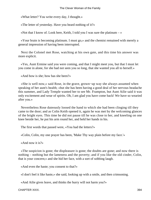«What letter? You write every day, I thought.»

«The letter of yesterday. Have you heard nothing of it?»

«Not that I know of. Look here, Keith, I told you I was sure the platinum  $-\infty$ 

 «Your brain is becoming platinum. I must go,» and the chemist remained with merely a general impression of having been interrupted.

 Next the Colonel met Rose, watching at his own gate, and this time his answer was more explicit.

 «Yes, Aunt Ermine said you were coming, and that I might meet you, but that I must let you come in alone, for she had not seen you so long, that she wanted you all to herself.»

«And how is she; how has she been?»

 «She is well now,» said Rose, in the grave, grown−up way she always assumed when speaking of her aunt's health; «but she has been having a good deal of her nervous headache this summer, and Lady Temple wanted her to see Mr. Frampton, but Aunt Ailie said it was only excitement and wear of spirits. Oh, I am glad you have come back! We have so wearied after you.»

 Nevertheless Rose duteously loosed the hand to which she had been clinging till they came to the door; and as Colin Keith opened it, again he was met by the welcoming glances of the bright eyes. This time he did not pause till he was close to her, and kneeling on one knee beside her, he put his arm round her, and held her hands in his.

The first words that passed were, «You had the letters?»

«Colin, Colin, my one prayer has been, 'Make Thy way plain before my face.'»

«And now it is?»

 «The suspicion is gone; the displeasure is gone; the doubts are gone; and now there is nothing – nothing but the lameness and the poverty; and if you like the old cinder, Colin, that is your concern;» and she hid her face, with a sort of sobbing laugh.

«And even the haste; you consent to that?»

«I don't feel it like haste,» she said, looking up with a smile, and then crimsoning.

«And Ailie gives leave, and thinks the hurry will not harm you?»

CHAPTER XIXX. 394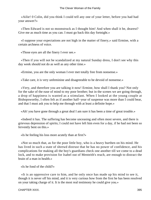«Ailie! 0 Colin, did you think I could tell any one of your letter, before you had had your answer?»

 «Then Edward is not so moonstruck as I thought him! And when shall it be, dearest? Give me as much time as you can. I must go back this day fortnight.»

 «I suppose your expectations are not high in the matter of finery,» said Ermine, with a certain archness of voice.

«Those eyes are all the finery I ever see.»

 «Then if you will not be scandalized at my natural Sunday dress, I don't see why this day week should not do as well as any other time.»

«Ermine, you are the only woman I ever met totally free from nonsense.»

«Take care, it is very unfeminine and disagreeable to be devoid of nonsense.»

 «Very, and therefore you are talking it now! Ermine, how shall I thank you? Not only for the sake of the ease of mind to my poor brother; but in the scenes we are going through, a drop of happiness is wanted as a stimulant. When I looked at the young couple at Bishopsworthy, I often felt as if another half−year of suspense was more than I could bear, and that I must ask you to help me through with at least a definite hope.»

«Ah! you have gone through a great deal I am sure it has been a time of great trouble.»

 «Indeed it has. The suffering has become unceasing and often most severe, and there is grievous depression of spirits; I could not have left him even for a day, if he had not been so fervently bent on this.»

«Is he feeling his loss more acutely than at first?»

 «Not so much that, as for the poor little boy, who is a heavy burthen on his mind. He has lived in such a state of shrewd distrust that he has no power of confidence, and his complications for making all the boy's guardians check one another till we come to a dead lock, and to make provision for Isabel out of Menteith's reach, are enough to distract the brain of a man in health.»

«Is he fond of the child?»

 «It is an oppressive care to him, and he only once has made up his mind to see it, though it is never off his mind, and it is very curious how from the first he has been resolved on your taking charge of it. It is the most real testimony he could give you.»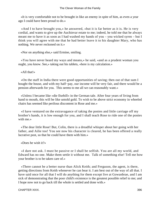«It is very comfortable not to be brought in like an enemy in spite of him, as even a year ago I could have been proud to do.»

 «And I to have brought you,» he answered, «but it is far better as it is. He is very cordial, and wants to give up the Auchinvar estate to me; indeed, he told me that he always meant me to have it as soon as I had washed my hands of you – you wicked syren – but I think you will agree with me that he had better leave it to his daughter Mary, who has nothing. We never reckoned on it.»

«Nor on anything else,» said Ermine, smiling.

 «You have never heard my ways and means,» he said, «and as a prudent woman you ought, you know. See,» taking out his tablets, «here is my calculation.»

«All that!»

 «On the staff in India there were good opportunities of saving; then out of that sum I bought the house, and with my half−pay, our income will be very fair, and there would be a pension afterwards for you. This seems to me all we can reasonably want.»

 «Unless I became like »die Ilsebill« in the German tale. After four years of living from hand to mouth, this will be like untold gold. To wish to be above strict economy in wheeled chairs has seemed like perilous discontent in Rose and me.»

 «I have ventured on the extravagance of taking the ponies and little carriage off my brother's hands, it is low enough for you, and I shall teach Rose to ride one of the ponies with me.»

 «The dear little Rose! But, Colin, there is a dreadful whisper about her going with her father, and Ailie too! You see now his character is cleared, he has been offered a really lucrative post, so that he could have them with him.»

«Does he wish it?»

 «I dare not ask. I must be passive or I shall be selfish. You are all my world, and Edward has no one. Make them settle it without me. Talk of something else! Tell me how your brother is to be taken care of.»

 «There cannot be a better nurse than Alick Keith; and Ferguson, the agent, is there, getting directions from Keith whenever he can bear it. I am best out of the way of all that. I have said once for all that I will do anything for them except live at Gowanbrae, and I am sick of demonstrating that the poor child's existence is the greatest possible relief to me; and I hope now not to go back till the whole is settled and done with.»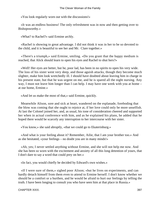«You look regularly worn out with the discussions!»

 «It was an endless business! The only refreshment was in now and then getting over to Bishopsworthy.»

«What? to Rachel?» said Ermine archly.

 «Rachel is showing to great advantage. I did not think it was in her to be so devoted to the child, and it is beautiful to see her and Mr. Clare together.»

 «There's a triumph,» said Ermine, smiling. «Do you grant that the happy medium is reached, that Alick should learn to open his eyes and Rachel to shut hers?»

 «Well! Her eyes are better, but he, poor lad, has been in no spirits to open his very wide. The loss of his sister went very deep, and those aguish attacks, though they become much slighter, make him look wretchedly ill. I should have doubted about leaving him in charge in his present state, but that he was urgent on me, and he is spared all the night nursing. Any way, I must not leave him longer than I can help. I may have one week with you at home – at our home, Ermine.»

«And let us make the most of that,» said Ermine, quickly.

 Meanwhile Alison, sore and sick at heart, wandered on the esplanade, foreboding that the blow was coming that she ought to rejoice at, if her love could only be more unselfish. At last the Colonel joined her, and, as usual, his tone of consideration cheered and supported her when in actual conference with him, and as he explained his plans, he added that he hoped there would be scarcely any interruption to her intercourse with her sister.

«You know,» she said abruptly, «that we could go to Ekaterinburg.»

 «And what is your feeling about it? Remember, Ailie, that I am your brother too.» And as she hesitated, «your feelings – no doubt you are in many minds!»

 «Ah, yes; I never settled anything without Ermine, and she will not help me now. And she has been so worn with the excitement and anxiety of all this long detention of yours, that I don't dare to say a word that could prey on her.»

«In fact, you would chiefly be decided by Edward's own wishes.»

 «If I were sure of them,» sighed poor Alison; «but he lives on experiments, and can hardly detach himself from them even to attend to Ermine herself. I don't know whether we should be a comfort or a burthen, and he would be afraid to hurt our feelings by telling the truth. I have been longing to consult you who have seen him at that place in Russia.»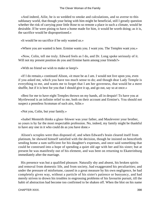«And indeed, Ailie, he is so wedded to smoke and calculations, and so averse to this sublunary world, that though your being with him might be beneficial, still I greatly question whether the risk of carrying poor little Rose to so remote a place in such a climate, would be desirable. If he were pining to have a home made for him, it would be worth doing; as it is, the sacrifice would be disproportioned.»

«It would be no sacrifice if he only wanted us.»

«Where you are wanted is here. Ermine wants you. I want you. The Temples want you.»

 «Now, Colin, tell me truly. Edward feels as I do, and Dr. Long spoke seriously of it. Will not my present position do you and Ermine harm among your friends?»

«With no friend we wish to make or keep!»

 «If I do remain,» continued Alison, «it must be as I am. I would not live upon you, even if you asked me, which you have too much sense to do; and though dear Lady Temple is everything to me, and wants me to forget that I am her governess, that would be a mere shuffle, but if it is best for you that I should give it up, and go out, say so at once.»

 «Best for me to have eight Temples thrown on my hands, all in despair! To have you at Myrtlewood is an infinite relief to me, both on their account and Ermine's. You should not suspect a penniless Scotsman of such airs, Ailie.»

«Not you, Colin, but your family.»

 «Isabel Menteith thinks a glass−blower was your father, and Mauleverer your brother, so yours is by far the most respectable profession. No, indeed, my family might be thankful to have any one in it who could do as you have done.»

 Alison's scruples were thus disposed of, and when Edward's brain cleared itself from platinum, he showed himself satisfied with the decision, though he insisted on henceforth sending home a sum sufficient for his daughter's expenses, and once said something that could be construed into a hope of spending a quiet old age with her and his sister; but at present he was manifestly out of his element, and was bent on returning to Ekaterinburg immediately after the marriage.

 His presence was but a qualified pleasure. Naturally shy and absent, his broken spirits and removal from domestic life, and from society, had exaggerated his peculiarities; and under the pressure of misfortune, caused in a great measure by his own negligence, he had completely given way, without a particle of his sister's patience or buoyancy, and had merely striven to drown his troubles in engrossing problems of his favourite pursuit, till the habit of abstraction had become too confirmed to be shaken off. When the blot on his name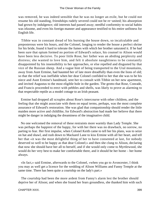was removed, he was indeed sensible that he was no longer an exile, but he could not resume his old standing, friendships rudely severed could not be re−united; his absorption had grown by indulgence; old interests had passed away; needful conformity to social habits was irksome, and even his foreign manner and appearance testified to his entire unfitness for English life.

 Tibbie was in constant dread of his burning the house down, so incalculable and preposterous were his hours, and the Colonel, longing to render the house a perfect shrine for his bride, found it hard to tolerate the fumes with which her brother saturated it. If he had been sure that opium formed no portion of Edward's solace, his counsel to Alison would have been less decisive. To poor little Rose, her father was an abiding perplexity and distress; she wanted to love him, and felt it absolute naughtiness to be constantly disappointed by his insensibility to her approaches, or else repelled and disgusted by that vice of the Russian sheep. And a vague hint of being transported to the Ural mountains, away from Aunt Ermine, had haunted her of late more dreadfully than even the lions of old; so that the relief was ineffable when her dear Colonel confided to her that she was to be his niece and Aunt Ermine's handmaid, sent her to consult with Tibbie on her new apartment, and invited Augustus to the most eligible hole in the garden. The grotto that Rose, Conrade, and Francis proceeded to erect with pebbles and shells, was likely to prove as alarming to that respectable reptile as a model cottage to an Irish peasant.

 Ermine had dropped all scruples about Rose's intercourse with other children, and the feeling that she might associate with them on equal terms, perhaps, was the most complete assurance of Edward's restoration. She was glad that companionship should render the little maiden more active and childlike, for Edward's abstraction had made her believe that there might be danger in indulging the dreaminess of the imaginative child.

 No one welcomed the removal of these restraints more warmly than Lady Temple. She was perhaps the happiest of the happy, for with her there was no drawback, no sorrow, no parting to fear. Her first impulse, when Colonel Keith came to tell her his plans, was to seize on hat and shawl, and rush down to Mackarel Lane to kiss Ermine with all her heart, and tell her that «it was the most delightful thing of her to have consented at last, for nobody deserved so well to be happy as that dear Colonel;» and then she clung to Alison, declaring that now she should have her all to herself, and if she would only come to Myrtlewood, she would do her very best to make her comfortable there, and it should be her home – her home always.

 «In fact,» said Ermine, afterwards to the Colonel, «when you go to Avoncester, I think you may as well get a licence for the wedding of Alison Williams and Fanny Temple at the same time. There has been quite a courtship on the lady's part.»

 The courtship had been the more ardent from Fanny's alarm lest the brother should deprive her of Alison; and when she found her fears groundless, she thanked him with such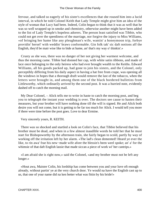fervour, and talked so eagerly of his sister's excellences that she roused him into a lucid interval, in which he told Colonel Keith that Lady Temple might give him an idea of the style of woman that Lucy had been. Indeed, Colin began to think that it was as well that he was so well wrapped up in smoke and chemistry, otherwise another might have been added to the list of Lady Temple's hopeless adorers. The person least satisfied was Tibbie, who could not get over the speediness of the marriage, nor forgive the injury to Miss Williams, «of bringing her hame like any pleughman's wife, wantin' a honeymoon trip, forbye providin' hersel' with weddin' braws conformable. Gin folk tak' sic daft notions aff the English, they'd be mair wise like to bide at hame, an' that's my way o' thinkin'.»

 Crusty as she was, there was no danger of her not giving her warmest welcome, and thus the morning came. Tibbie had donned her cap, with white satin ribbons, and made of lace once belonging to the only heiress who had ever brought wealth to the Keiths. Edward Williams, all his goods packed up, had gone to join his sisters, and the Colonel, only perceptibly differing from his daily aspect in having a hat free from crape, was opening all the windows in hopes that a thorough draft would remove the last of the tobacco, when the letters were brought in, and among them one of the black bordered bulletins from Littleworthy, which ordinarily arrived by the second post. It was a hurried note, evidently dashed off to catch the morning mail.

 My Dear Colonel, – Alick tells me to write in haste to catch the morning post, and beg you to telegraph the instant your wedding is over. The doctors see cause to hasten their measures, but your brother will have nothing done till the will is signed. He and Alick both desire you will not come, but it is getting to be far too much for Alick. I would tell you more if there were time before the post goes. Love to dear Ermine.

Very sincerely yours, R. KEITH.

 There was so shocked and startled a look on Colin's face, that Tibbie believed that his brother must be dead, and when in a few almost inaudible words he told her that he must start for Bishopsworthy by the afternoon train, she fairly began to scold, partly by way of working off the irritation left by her alarm. «The lad's clean demented! Heard ye ever the like, to rin awa' frae his new−made wife afore the blessin's been weel spoke; an' a' for the whimsie of that daft English lassie that made siccan a piece of work wi' her cantrips.»

 «I am afraid she is right now,» said the Colonel, «and my brother must not be left any longer.»

 «Hout awa, Maister Colin, his lordship has come between you and your luve oft enough already, without partin' ye at the very church door. Ye would na have the English cast up to us, that one of your name did na ken better what was fittin by his bride!»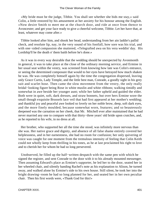«My bride must be the judge, Tibbie. You shall see whether she bids me stay,» said Colin, a little restored by his amusement at her anxiety for his honour among the English. «Now desire Smith to meet me at the church door, and ride at once from thence to Avoncester; and get your face ready to give a cheerful welcome, Tibbie. Let her have that, at least, whatever may come after.»

 Tibbie looked after him, and shook her head, understanding from her ain laddie's pallid check, and resolute lip, nay, in the very sound of his footfall, how sore was his trial, and with one−sided compassion she muttered, «Telegrafted awa on his vera weddin' day. His Lordship'll be the death o' them baith before he's done.»

 As it was in every way desirable that the wedding should be unexpected by Avonmonth in general, it was to take place at the close of the ordinary morning service, and Ermine in her usual seat within the vestry, was screened from knowing how late was Colin's entrance, or seeing the determined composure that would to her eyes have betrayed how much shaken he was. He was completely himself again by the time the congregation dispersed, leaving only Grace Curtis, Lady Temple, and the little best man, Conrade, a goodly sight in his grey suit and scarlet hose. Then came the slow movement from the vestry, the only really bridal−looking figure being Rose in white muslin and white ribbons; walking timidly and somewhat in awe beside her younger aunt; while her father upheld and guided the elder. Both were in quiet, soft, dark dresses, and straw bonnets, but over hers Ermine wore the small though exquisite Brussels lace veil that had first appeared at her mother's wedding; and thankful joy and peaceful awe looked so lovely on her noble brow, deep, soft dark eyes, and the more finely moulded, because somewhat worn, features; and so beauteously deepened was the carnation on her cheek, that Mr. Mitchell ever after maintained that he had never married any one to compare with that thirty−three years' old bride upon crutches, and, as he reported to his wife, in no dress at all.

 Her brother, who supported her all the time she stood, was infinitely more nervous than she was. Her native grace and dignity, and absence of all false shame entirely covered her helplessness, and in her earnestness, she had no room for confusion; her only quivering of voice was caught for one moment from the tremulous intensity of feeling that Colin Keith could not wholly keep from thrilling in his tones, as he at last proclaimed his right to love and to cherish her for whom he had so long persevered.

 Unobserved, he filled up the half−written despatch with the same pen with which he signed the register, and sent Conrade to the door with it to his already mounted messenger. Then assuming Edward's place as Ermine's supporter, he led her to the door, seated her in her wheeled chair, and silently handing Rachel's note as his explanation to Alison, he turned away, and walked alone by Ermine's side to his own house. Still silent, he took her into the bright drawing−room he had so long planned for her, and seated her in her own peculiar chair. Then his first words were, «Thank God for this!»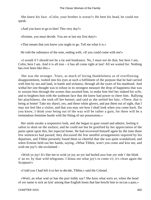She knew his face. «Colin, your brother is worse?» He bent his head, he could not speak.

«And you have to go to him! This very day?»

«Ermine, you must decide. You are at last my first duty!»

«That means that you know you ought to go. Tell me what it is.»

He told the substance of the note, ending with, «If you could come with me!»

 «I would if I should not be a tie and hindrance. No, I must not do that; but here I am, Colin, here I am. And it is all true – it has all come right at last! All we waited for. Nothing has ever been like this.»

 She was the stronger. Tears, as much of loving thankfulness as of overflowing disappointment, rushed into his eyes at such a fulfilment of the purpose that he had carried with him by sea and land, in battle and sickness, through all the years of his manhood. And withal her one thought was to infuse in its strongest measure the drop of happiness that was to sustain him through the scenes that awaited him, to make him feel her indeed his wife, and to brighten him with the sunbeam face that she knew had power to cheer him. Rallying her playfulness, she took off her bonnet, and said as she settled her hair, «There, that is being at home! Take my shawl, yes, and these white gloves, and put them out of sight, that I may not feel like a visitor, and that you may see how I shall look when you come back. Do you know, I think your being out of the way will be rather a gain, for there will be a tremendous feminine bustle with the fitting of our possessions.»

 Her smile awoke a responsive look, and she began to gaze round and admire, feeling it safest to skim on the surface; and he could not but be gratified by her appreciation of the pains spent upon this, her especial home. He had recovered himself again by the time these few sentences had passed; they discussed the few needful arrangements required by his departure, and Tibbie presently found them so cheerful that she was quite scandalized, and when Ermine held out her hands, saying, «What Tibbie, won't you come and kiss me, and wish me joy?» she exclaimed –

 «Wish ye joy! It's like me to wish ye joy an yer lad hurled awa frae yer side i' the blink o' an ee, by thae wild telegrams. I dinna see what joy's to come o't; it's clean again the Scripture!»

«I told you I had left it to her to decide, Tibbie,» said the Colonel.

 «Weel, an what wad ye hae the puir leddy say? She kens what sorts ye, when the head of yer name is sick an lyin' among thae English loons that hae brocht him to siccan a pass.»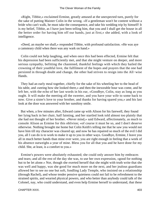«Right, Tibbie,» exclaimed Ermine, greatly amused at the unexpected turn, purely for the sake of putting Maister Colin in the wrong. «If a gentleman won't be content without a bride who can't walk, he must take the consequence, and take his wedding trip by himself! It is my belief, Tibbie, as I have just been telling him, that you and I shall get the house in all the better order for having him off our hands, just at first,» she added, with a look of intelligence.

 «Deed, an maybe we shall,» responded Tibbie, with profound satisfaction. «He was aye a camsteary child when there was any wark on hand.»

 Colin could not help laughing, and when once this had been effected, Ermine felt that his depression had been sufficiently met, and that she might venture on deeper, and more serious sympathy, befitting the chastened, thankful feelings with which they hailed the crowning of their youthful love, the fulfilment of the hopes and prayers that the one had persisted in through doubt and change, the other had striven to resign into the All−wise Hands.

 They had an early meal together, chiefly for the sake of his wheeling her to the head of his table, and «seeing how she looked there,» and then the inexorable hour was come, and he left her, with the echo of her last words in his ear, «Goodbye, Colin, stay as long as you ought. It will make the meeting all the sweeter, and you have your wife to some back to now. Give a sister's love to your brother, and thanks for having spared you,» and his last look at the door was answered with her sunshiny smile.

 But when, a few minutes after, Edward came up with Alison for his farewell, they found her lying back in her chair, half fainting, and her startled look told almost too plainly that she had not thought of her brother. «Never mind,» said Edward, affectionately, as much to console Alison as Ermine for this oblivion; «of course it must be so, and I don't deserve otherwise. Nothing brought me home but Colin Keith's telling me that he saw you would not have him till my character was cleared up; and now he has repaired so much of the evil I did you, all I can do is to work to make it up to you in other ways. Goodbye, Ermine, I leave you all in much better hands than mine ever were, you are right enough in feeling that a week of his absence outweighs a year of mine. Bless you for all that you and he have done for my child. She, at least, is a comfort to you.»

 Ermine's powers were absolutely exhausted; she could only answer him by embraces and tears; and all the rest of the day she was, to use her own expression, «good for nothing but to be let alone.» Nor, though she exerted herself that she might with truth write that she was well and happy, was she good for much more on the next, and her jealous guardians allowed her to see no one but soft, fondling Lady Temple, who insisted on a relationship (through Rachel), and whose tender pensive quietness could not fail to be refreshment to the strained spirits, and wearied physical powers, and who better than anybody could talk of the Colonel, nay, who could understand, and even help Ermine herself to understand, that these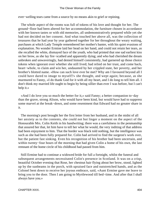ever−welling tears came from a source by no means akin to grief or repining.

 The whole aspect of the rooms was full of tokens of his love and thought for her. The ground−floor had been altered for her accommodation, the furniture chosen in accordance with her known tastes or with old memories, all undemonstratively prepared while yet she had not decided on her consent. And what touched her above all, was the collection of treasures that he had year by year gathered together for her throughout the weary waiting, purchases at which Lady Temple remembered her mother's banter, with his quiet evasions of explanation. No wonder Ermine laid her head on her hand, and could not retain her tears, as she recalled the white, dismayed face of the youth, who had printed that one sad earliest kiss on her brow, as she lay fire−scathed and apparently dying; and who had cherished the dream unbroken and unwaveringly, had denied himself consistently, had garnered up those choice tokens when ignorant over whether she still lived; had relied on her trust, and come back, heart−whole, to claim and win her, undaunted by her crippled state, her poverty, and her brother's blotted name. «How can such love ever be met? Why am I favoured beyond all I could have dared to image to myself?» she thought, and wept again; because, as she murmured to Fanny, «I do thank God for it with all my heart, and I do long to tell him all. I don't think my married life ought to begin by being sillier than ever I was before, but I can't help it.»

 «And I do love you so much the better for it,» said Fanny; a better companion to−day than the grave, strong Alison, who would have been kind, but would have had to suppress some marvel at the break−down, and some resentment that Edward had no greater share in it.

 The morning's post brought her the first letter from her husband, and in the midst of all her anxiety as to the contents, she could not but linger a moment on the aspect of the Honourable Mrs. Colin Keith in his handwriting; there was a carefulness in the penmanship that assured her that, let him have to tell her what he would, the very inditing of that address had been enjoyment to him. That the border was black told nothing, but the intelligence was such as she had been fully prepared for. Colin had arrived to find the surgeon's work over, but the patient fast sinking. Even his recognition of his brother had been uncertain, and within twenty−four hours of the morning that had given Colin a home of his own, the last remnant of the home circle of his childhood had passed from him.

 Still Ermine had to continue a widowed bride for full a fortnight, whilst the funeral and subsequent arrangements necessitated Colin's presence in Scotland. It was on a crisp, beautiful October evening that Rose, her chestnut hair flying about her brow, stood, lighted up by the sunbeams in the porch, with upraised face and outstretched hands, and as the Colonel bent down to receive her joyous embrace, said, «Aunt Ermine gave me leave to bring you to the door. Then I am going to Myrtlewood till bed−time. And after that I shall always have you.»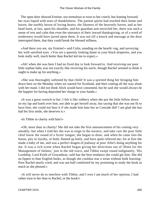The open door showed Ermine, too tremulous to trust to her crutch, but leaning forward, her eyes liquid with tears of thankfulness. The patient spirits had reached their home and haven, the earthly haven of loving hearts, the likeness of the heavenly haven, and as her head leant, at last, upon his shoulder, and his guardian arm encircled her, there was such a sense of rest and calm that even the utterance of their inward thanksgiving, or of a word of tenderness would have jarred upon them. It was not till a knock and message at the door interrupted them, that they could break the blessed stillness.

 «And there you are, my Ermine!» said Colin, standing on the hearth−rug, and surveying her with satisfied eyes. «You are a queenly looking dame in your black draperies, and you look really well, much better than Rachel led me to expect.»

 «Ah! when she was here I had no fixed day to look forward to. And receiving our poor little orphan baby was not exactly like receiving his uncle, though Rachel seemed to think it ought to make up for anything.»

 «She was thoroughly softened by that child! It was a spirited thing her bringing him down here on the Monday when we started for Scotland, and then coming all the way alone with her maid. I did not think Alick would have consented, but he said she would always be the happier for having deposited her charge in your hands.»

 «It was a great wrench to her. I felt it like robbery when she put the little fellow down on my lap and knelt over him, not able to get herself away, but saying that she was not fit to have him; she could not bear it if she made him hate her as Conrade did! I am glad she has had his first smile, she deserves it.»

«Is Tibbie in charity with him?»

 «Oh, more than in charity! She did not take the first announcement of his coming very amiably; but when I told her she was to reign in the nursery, and take care the poor little chief know the sound of a Scots' tongue, she began to thaw; and when he came into the house, pity or loyalty, or both, flamed up hotly, and have quite relieved me; for at first she made a baby of me, and was a perfect dragon of jealousy at poor Ailie's doing anything for me. It was a rich scene when Rachel began giving her directions out of 'Hints for the Management of Infants,' just in the old voice, and Tibbie swept round indignantly, 'His Lordship, Lord Keith of Gowanbrae, suld hae the best tendance she could gie him. She did na lippen to thae English buiks, as though she couldna rear a wean without bulk learning.' Poor Rachel nearly cried, and was not half comforted by my promising to study the book as much as she pleased.»

 «It will never do to interfere with Tibbie, and I own I am much of her opinion, I had rather trust to her than to Rachel, or the book!»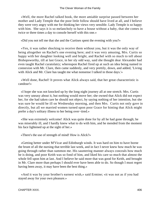«Well, the more Rachel talked book, the more amiable surprise passed between her mother and Lady Temple that the poor little follow should have lived at all, and I believe they were very angry with me for thinking her views very sensible. Lady Temple is so happy with him. She says it is so melancholy to have a house without a baby, that she comes in twice or three times a day to console herself with this one.»

«Did you not tell me that she and the Curtises spent the evening with you?»

 «Yes, it was rather shocking to receive them without you, but it was the only way of being altogether on Rachel's one evening here; and it was very amusing, Mrs. Curtis so happy with her daughter looking well and bright, and Rachel with so much to tell about Bishopsworthy, till at last Grace, in her sly odd way, said she thought dear Alexander had even taught Rachel curatolatry; whereupon Rachel fired up at such an idea being named in connexion with Mr. Clare, then came suddenly, and very prettily, down, and added, 'Living with Alick and Mr. Clare has taught me what nonsense I talked in those days.'»

 «Well done, Rachel! It proves what Alick always said, that her great characteristic is candour!»

 «I hope she was not knocked up by the long night journey all at one stretch. Mrs. Curtis was very uneasy about it, but nothing would move her; she owned that Alick did not expect her, for she had taken care he should not object, by saying nothing of her intention, but she was sure he would be ill on Wednesday morning, and then Mrs. Curtis not only gave in directly, but all we married women turned upon poor Grace for hinting that Alick might prefer a day's solitary illness to her being over−tired.»

 «She was extremely welcome! Alick was quite done for by all he had gone through; he was miserably ill, and I hardly knew what to do with him, and he mended from the moment his face lightened up at the sight of her.»

«There's the use of strength of mind! How is Alick?»

 «Getting better under M'Vicar and Edinburgh winds. It was hard on him to have borne the brunt of all the nursing that terrible last week, and in fact I never knew how much he was going through rather than summon me. His sauntering manner always conceals how much he is doing, and poor Keith was so fond of him, and liked his care so much that almost the whole fell upon him at last. And I believe he said more that was good for Keith, and brought in Mr. Clare more than perhaps I should ever have been able to do. So though I must regret having been away, it may have been the best thing.»

 «And it was by your brother's earnest wish,» said Ermine; «it was not as if you had stayed away for your own pleasure.»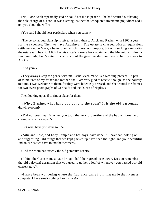«No! Poor Keith repeatedly said he could not die in peace till he had secured our having the sole charge of his son. It was a strong instinct that conquered inveterate prejudice! Did I tell you about the will?»

«You said I should hear particulars when you came.»

 «The personal guardianship is left to us first, then to Alick and Rachel, with £300 a year for the expenses. Then we have Auchinvar. The estate is charged with an equivalent settlement upon Mary, a better plan, which I durst not propose, but with so long a minority the estate will bear it. Alick has his sister's fortune back again, and the Menteith children a few hundreds; but Menteith is rabid about the guardianship, and would hardly speak to Alick.»

«And you?»

 «They always keep the peace with me. Isabel even made us a wedding present – a pair of miniatures of my father and mother, that I am very glad to rescue, though, as she politely told me, I was welcome to them, for they were hideously dressed, and she wanted the frames for two sweet photographs of Garibaldi and the Queen of Naples.»

Then looking up as if to find a place for them  $-$ 

 «Why, Ermine, what have you done to the room? It is the old parsonage drawing−room!»

 «Did not you mean it, when you took the very proportions of the bay window, and chose just such a carpet?»

«But what have you done to it?»

 «Ailie and Rose, and Lady Temple and her boys, have done it. I have sat looking on, and suggesting. Old things that we kept packed up have seen the light, and your beautiful Indian curiosities have found their corners.»

«And the room has exactly the old geranium scent!»

 «I think the Curtises must have brought half their greenhouse down. Do you remember the old oak−leaf geranium that you used to gather a leaf of whenever you passed our old conservatory?»

 «I have been wondering where the fragrance came from that made the likeness complete. I have smelt nothing like it since!»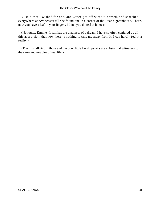«I said that I wished for one, and Grace got off without a word, and searched everywhere at Avoncester till she found one in a corner of the Dean's greenhouse. There, now you have a leaf in your fingers, I think you do feel at home.»

 «Not quite, Ermine. It still has the dizziness of a dream. I have so often conjured up all this as a vision, that now there is nothing to take me away from it, I can hardly feel it a reality.»

 «Then I shall ring. Tibbie and the poor little Lord upstairs are substantial witnesses to the cares and troubles of real life.»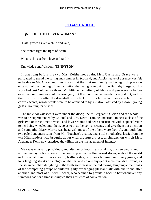## **[CHAPTER XXX.](#page-417-0)**

### <span id="page-409-0"></span>*W*HO **IS THE CLEVER WOMAN?**

"Half−grown as yet, a child and vain,

She cannot fight the fight of death.

What is she cut from love and faith?

Knowledge and Wisdom, **TENNYSON.**

 It was long before the two Mrs. Keiths met again. Mrs. Curtis and Grace were persuaded to spend the spring and summer in Scotland, and Alick's leave of absence was felt to be due to Mr. Clare, and thus it was that the first real family gathering took place on occasion of the opening of the institution that had grown out of the Burnaby Bargain. This work had cost Colonel Keith and Mr. Mitchell an infinity of labour and perseverance before even the preliminaries could be arranged, but they contrived at length to carry it out, and by the fourth spring after the downfall of the F. U. E. E. a house had been erected for the convalescents, whose wants were to be attended to by a matron, assisted by a dozen young girls in training for service.

 The male convalescents were under the discipline of Sergeant O'Brien and the whole was to be superintended by Colonel and Mrs. Keith. Ermine undertook to hear a class of the girls two or three times a week, and lower rooms had been constructed with a special view to her being wheeled into them, so as to visit the convalescents, and give them her attention and sympathy. Mary Morris was head girl, most of the others were from Avonmouth, but two pale Londoners came from Mr. Touchett's district, and a little motherless lassie from the −th Highlanders was brought down with the nursery establishment, on which Mrs. Alexander Keith now practised the «Hints on the management of Infants.»

 May was unusually propitious, and after an orthodox tea−drinking, the new pupils and all the Sunday−schools were turned out to play on the Homestead slopes, with all the world to look on at them. It was a warm, brilliant day, of joyous blossom and lively green, and long laughing streaks of sunlight on the sea, and no one enjoyed it more than did Ermine, as she sat in her chair delighting in the fresh sweetness of the old thorns, laughing at the freaks of the scampering groups of children, gaily exchanging pleasant talk with one friend after another, and most of all with Rachel, who seemed to gravitate back to her whenever any summons had for a time interrupted their affluence of conversation.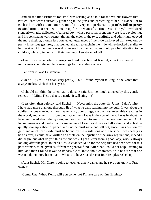And all the time Ermine's footstool was serving as a table for the various flowers that two children were constantly gathering in the grass and presenting to her, to Rachel, or to each other, with a constant stream of not very comprehensible prattle, full of pretty gesticulation that seemed to make up for the want of distinctness. The yellow−haired, slenderly−made, delicately−featured boy, whose personal pronouns were just developing, and his consonants very scanty, though the elder of the two, dutifully and admiringly obeyed the more distinct, though less connected, utterances of the little dark−eyed girl, eked out by pretty imperious gestures, that seemed already to enchain the little white−frocked cavalier to her service. All the time it was droll to see how the two ladies could pay full attention to the children, while going on with their own unbroken stream of talk.

 «I am not overwhelming you,» suddenly exclaimed Rachel, checking herself in mid−career about the mothers' meetings for the soldiers' wives.

«Far from it. Was I inattentive  $-$  ?»

«Oh no  $-$  (Yes, Una dear, very pretty)  $-$  but I found myself talking in the voice that always makes Alick shut his eyes.»−

 «I should not think he often had to do so,» said Ermine, much amused by this gentle remedy – («Mind, Keith, that is a nettle. It will sting  $-\infty$ )

 «Less often than before,» said Rachel – («Never mind the butterfly, Una) – I don't think I have had more than one thorough fit of what he calls leaping into the gulf. It was about the soldiers' wives married without leave, who, poor things, are the most miserable creatures in the world; and when I first found out about them I was in the sort of mood I was in about the lace, and raved about the system, and was resolved to employ one poor woman, and Alick looked meeker and meeker, and assented to all I said, as if he was half asleep, and at last he quietly took up a sheet of paper, and said he must write and sell out, since I was bent on my gulf, and an officer's wife must be bound by the regulations of the service. I was nearly as bad as ever, I could have written an article on the injustice of the army regulations, indeed I did begin, but what do you think the end was? I got a letter from a good lady, who is always looking after the poor, to thank Mrs. Alexander Keith for the help that had been sent for this poor woman, to be given as if from the general fund. After that I could not help listening to him, and then I found it was so impossible to know about character, or to be sure that one was not doing more harm than – What is it, boys?» as three or four Temples rushed up.

 «Aunt Rachel, Mr. Clare is going to teach us a new game, and he says you know it. Pray come.»

«Come, Una. What, Keith, will you come too? I'll take care of him, Ermine.»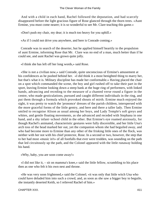And with a child in each hand, Rachel followed the deputation, and had scarcely disappeared before the light gracious figure of Rose glanced through the thorn trees. «Aunt Ermine, you must come nearer; it is so wonderful to see Mr. Clare teaching this game.»

«Don't push my chair, my dear; it is much too heavy for you uphill.»

«As if I could not drive you anywhere, and here is Conrade coming.»

 Conrade was in search of the deserter, but he applied himself heartily to the propulsion of aunt Ermine, informing Rose that Mr. Clare was no end of a man, much better than if he could see, and aunt Rachel was grown quite jolly.

«I think she has left off her long words,» said Rose.

 «She is not a civilian now,» said Conrade, quite unconscious of Ermine's amusement at his confidences as he pushed behind her. «I did think it a most benighted thing to marry her, but that's what it is. Military discipline has made her conformable.» Having placed the chair on a spot which commanded the scene, the boy and girl rushed off to take their part in the sport, leaving Ermine looking down a steep bank at the huge ring of performers, with linked hands, advancing and receding to the measure of a chanted verse round a figure in the centre, who made gesticulations, pursued and caught different individuals in the ring, and put them through a formula which provoked shouts of mirth. Ermine much enjoyed the sight, it was pretty to watch the 'prononce' dresses of the parish children, interspersed with the more graceful forms of the little gentry, and here and there a taller lady. Then Ermine smiled to recognise Alison as usual among her boys, and Lady Temple's soft greys and whites, and gentle floating movements, as she advanced and receded with Stephana in one hand, and a shy infant−school child in the other. But Ermine's eye roamed anxiously, for though Rachel's animated, characteristic gestures were fully discernible, and her little Una's arch toss of the head marked her out, yet the companion whom she had beguiled away, and who had become more to Ermine than any other of the frisking little ones of the flock, was neither with her not with his chief protector, Rose. In a second or two, however, the step that to her had most «music in't» of all footfalls that ever were trodden, was sounding on the path that led circuitously up the path, and the Colonel appeared with the little runaway holding his hand.

«Why, baby, you are soon come away!»

 «I did not like it, – sit on mamma's knee,» said the little fellow, scrambling to his place then as one who felt it his own nest and throne.

 «He was very soon frightened,» said the Colonel; «it was only that little witch Una who could have deluded him into such a crowd, and, as soon as she saw a bigger boy to beguile, she instantly deserted Keith, so I relieved Rachel of him.»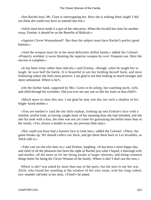«See Rachel now; Mr. Clare is interrogating her. How she is making them laugh! I did not think she could ever have so entered into fun.»

 «Alick must have made it a part of her education. When the Invalid has time for another essay, Ermine, it should be on the Benefits of Ridicule.»

 «Against Clever Womanhood? But then the subject must have Rachel's perfect good humour.»

 «And the weapon must be in the most delicately skilful hands,» added the Colonel. «Properly wielded, it saves blunting the superior weapon by over−frequent use. Here the success is complete.»

 «It has been irony rather than ridicule,» said Ermine, «though, when he taught her to laugh, he won half the battle. It is beautiful to see her holding herself back, and most forbearing where she feels most positive. I am glad to see him looking so much stronger and more substantial. Where is he?»

 «On the further bank, supposed by Mrs. Curtis to be asleep, but watching uncle, wife, and child through his eyelashes. Did you ever see any one so like his sister as that child?»

 «Much more so than this one. I am glad he may one day see such a shadow of his bright−faced mother.»

 «You are mother!» said the the little orphan, looking up into Ermine's face with a startled, wistful look, as having caught more of her meaning than she had intended, and she met his look with a kiss, the time was not yet come for gainsaying the belief more than in the words, «Yes, always a mother to you, my precious little man.»

 «Nor could you have had a bonnier face to look into,» added the Colonel. «There, the game breaks up. We should collect our flock, and get them them back to Les Invalides, as Alick calls it.»

 «Take care no one else does so,» said Ermine, laughing. «It has been a most happy day, and chief of all the pleasures has been the sight of Rachel just what I hoped, a thorough wife and mother, all the more so for her being awake to larger interests, and doing common things better for being the Clever Woman of the family. Where is she? I don't see her now.»

 Where is she? was asked by more than one of the party, but the next to see her was Alick, who found her standing at the window of her own room, with her long−robed, two−months' old baby in her arms. «Tired?» he asked.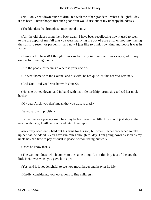«No; I only sent down nurse to drink tea with the other grandees. What a delightful day it has been! I never hoped that such good fruit would rise out of my unhappy blunders.»

«The blunders that brought so much good to me.»

 «Ah! the old places bring them back again. I have been recollecting how it used to seem to me the depth of my fall that you were marrying me out of pure pity, without my having the spirit to resent or prevent it, and now I just like to think how kind and noble it was in you.»

 «I am glad to hear it! I thought I was so foolishly in love, that I was very glad of any excuse for pressing it on.»

«Are the people dispersing? Where is your uncle?»

«He went home with the Colonel and his wife; he has quite lost his heart to Ermine.»

«And Una – did you leave her with Grace?»

 «No, she trotted down hand in hand with his little lordship: promising to lead her uncle back.»

«My dear Alick, you don't mean that you trust to that?»

«Why, hardly implicitly.»

 «Is that the way you say so? They may be both over the cliffs. If you will just stay in the room with baby, I will go down and fetch them up.»

 Alick very obediently held out his arms for his son, but when Rachel proceeded to take up her hat, he added, «You have run miles enough to−day. I am going down as soon as my uncle has had time to pay his visit in peace, without being hunted.»

«Does he know that?»

 «The Colonel does, which comes to the same thing. Is not this boy just of the age that little Keith was when you gave him up?»

«Yes; and is it not delightful to see how much larger and heavier he is!»

«Hardly, considering your objections to fine children.»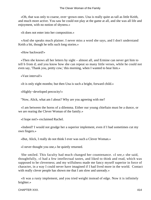«Oh, that was only to coarse, over−grown ones. Una is really quite as tall as little Keith, and much more active. You saw he could not play at the game at all, and she was all life and enjoyment, with no notion of shyness.»

«It does not enter into her composition.»

 «And she speaks much plainer. I never miss a word she says, and I don't understand Keith a bit, though he tells such long stories.»

«How backward!»

 «Then she knows all her letters by sight – almost all, and Ermine can never get him to tell b from d; and you know how she can repeat so many little verses, while he could not even say, 'Thank you, pretty cow,' this morning, when I wanted to hear him.»

«Vast interval!»

«It is only eight months; but then Una is such a bright, forward child.»

«Highly−developed precocity!»

"Now, Alick, what am I about? Why are you agreeing with me?

 «I am between the horns of a dilemma. Either our young chieftain must be a dunce, or we are rearing the Clever Woman of the family.»

«I hope not!» exclaimed Rachel.

 «Indeed? I would not grudge her a superior implement, even if I had sometimes cut my own fingers.»

«But, Alick, I really do not think I ever was such a Clever Woman.»

«I never thought you one,» he quietly returned.

 She smiled. This faculty had much changed her countenance. «I see,» she said, thoughtfully, «I had a few intellectual tastes, and liked to think and read, which was supposed to be cleverness; and my wilfulness made me fancy myself superior in force of character, in a way I could never have imagined if I had lived more in the world. Contact with really clever people has shown me that I am slow and unready.»

 «It was a rusty implement, and you tried weight instead of edge. Now it is infinitely brighter.»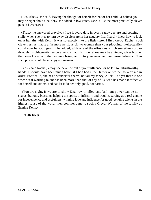«But, Alick,» she said, leaving the thought of herself for that of her child, «I believe you may be right about Una, for,» she added in low voice, «she is like the most practically clever person I ever saw.»

 «True,» he answered gravely, «I see it every day, in every saucy gesture and coaxing smile, when she tries to turn away displeasure in her naughty fits. I hardly knew how to look on at her airs with Keith, it was so exactly like the little sister I first knew. Rachel, such cleverness as that is a far more perilous gift to woman than your plodding intellectuality could ever be. God grant,» he added, with one of the effusions which sometimes broke through his phlegmatic temperament, «that this little fellow may be a kinder, wiser brother than ever I was, and that we may bring her up to your own truth and unselfishness. Then such power would be a happy endowment.»

 «Yes,» said Rachel, «may she never be out of your influence, or be left to untrustworthy hands. I should have been much better if I had had either father or brother to keep me in order. Poor child, she has a wonderful charm, not all my fancy, Alick. And yet there is one whose real working talent has been more than that of any of us, who has made it effective for herself and others, and has let it do her only good, not harm.»

 «You are right. If we are to show Una how intellect and brilliant power can be no snares, but only blessings helping the spirits in infirmity and trouble, serving as a real engine for independence and usefulness, winning love and influence for good, genuine talents in the highest sense of the word, then commend me to such a Clever Woman of the family as Ermine Keith.»

#### **THE END**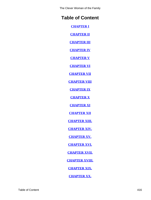The Clever Woman of the Family

# **Table of Content**

**[CHAPTER I](#page-3-0)**

**[CHAPTER II](#page-28-0)**

**[CHAPTER III](#page-37-0)**

**[CHAPTER IV](#page-60-0)**

**[CHAPTER V](#page-69-0)**

**[CHAPTER VI](#page-86-0)**

**[CHAPTER VII](#page-104-0)**

**[CHAPTER VIII](#page-129-0)**

**[CHAPTER IX](#page-145-0)**

**[CHAPTER X](#page-154-0)**

**[CHAPTER XI](#page-171-0)**

**[CHAPTER XII](#page-181-0)**

**[CHAPTER XIII.](#page-190-0)**

**[CHAPTER XIV.](#page-200-0)**

**[CHAPTER XV.](#page-212-0)**

**[CHAPTER XVI.](#page-219-0)**

**[CHAPTER XVII.](#page-234-0)**

**[CHAPTER XVIII.](#page-247-0)**

**[CHAPTER XIX.](#page-259-0)**

**[CHAPTER XX.](#page-267-0)**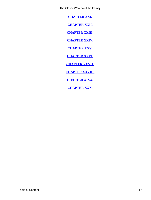<span id="page-417-0"></span>The Clever Woman of the Family

**[CHAPTER XXI.](#page-287-0)**

**[CHAPTER XXII.](#page-301-0)**

**[CHAPTER XXIII.](#page-312-0)**

**[CHAPTER XXIV.](#page-328-0)**

**[CHAPTER XXV.](#page-345-0)**

**[CHAPTER XXVI.](#page-354-0)**

**[CHAPTER XXVII.](#page-371-0)**

**[CHAPTER XXVIII.](#page-380-0)**

**[CHAPTER XIXX.](#page-392-0)**

**[CHAPTER XXX.](#page-409-0)**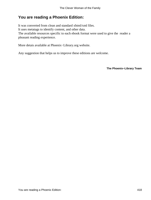## **You are reading a Phoenix Edition:**

It was converted from clean and standard xhtml/xml files. It uses metatags to identify content, and other data. The available resources specific to each ebook format were used to give the reader a pleasant reading experience.

More detais available at Phoenix−Library.org website.

Any suggestion that helps us to improve these editions are welcome.

**The Phoenix−Library Team**